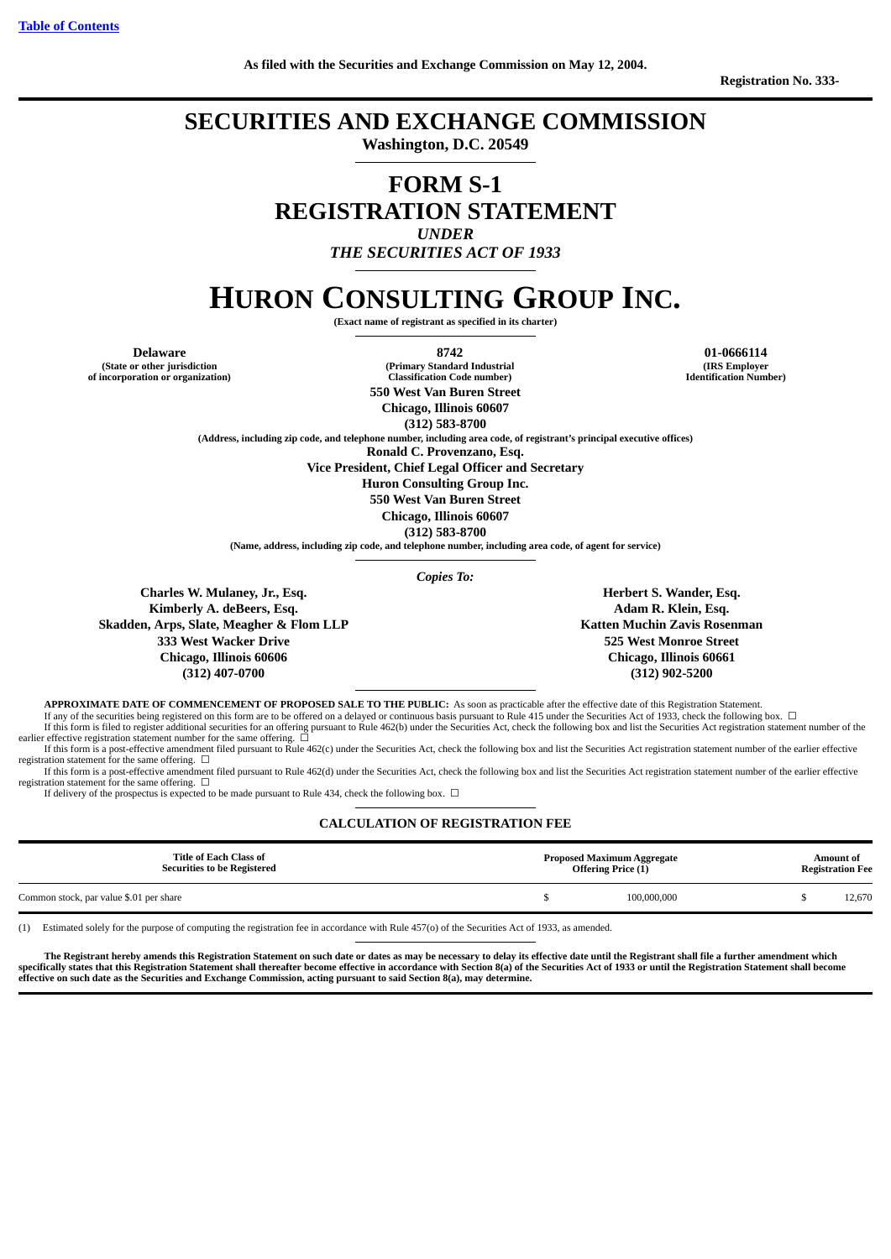**Registration No. 333-** 

### **SECURITIES AND EXCHANGE COMMISSION**

**Washington, D.C. 20549**

### **FORM S-1 REGISTRATION STATEMENT**

*UNDER*

*THE SECURITIES ACT OF 1933*

# **HURON CONSULTING GROUP INC.**

**(Exact name of registrant as specified in its charter)**

**(State or other jurisdiction of incorporation or organization)**

**Delaware 8742 01-0666114 (Primary Standard Industrial Classification Code number) 550 West Van Buren Street**

**(IRS Employer Identification Number)**

**Chicago, Illinois 60607 (312) 583-8700**

**(Address, including zip code, and telephone number, including area code, of registrant's principal executive offices)**

**Ronald C. Provenzano, Esq. Vice President, Chief Legal Officer and Secretary**

**Huron Consulting Group Inc.**

**550 West Van Buren Street**

**Chicago, Illinois 60607**

**(312) 583-8700**

**(Name, address, including zip code, and telephone number, including area code, of agent for service)**

*Copies To:*

**Charles W. Mulaney, Jr., Esq. Herbert S. Wander, Esq. Kimberly A. deBeers, Esq. Adam R. Klein, Esq. Skadden, Arps, Slate, Meagher & Flom LLP Katten Muchin Zavis Rosenman 333 West Wacker Drive 525 West Monroe Street Chicago, Illinois 60606 Chicago, Illinois 60661 (312) 407-0700 (312) 902-5200**

**APPROXIMATE DATE OF COMMENCEMENT OF PROPOSED SALE TO THE PUBLIC:** As soon as practicable after the effective date of this Registration Statement. If any of the securities being registered on this form are to be offered on a delayed or continuous basis pursuant to Rule 415 under the Securities Act of 1933, check the following box.  $\Box$ <br>If this form is filed to regis

If this form is a post-effective amendment filed pursuant to Rule 462(c) under the Securities Act, check the following box and list the Securities Act registration statement number of the earlier effective registration statement for the same offering.  $□$ 

If this form is a post-effective amendment filed pursuant to Rule 462(d) under the Securities Act, check the following box and list the Securities Act registration statement number of the earlier effective registration statement for the same offering.  $\Box$ 

If delivery of the prospectus is expected to be made pursuant to Rule 434, check the following box.  $\Box$ 

#### **CALCULATION OF REGISTRATION FEE**

| Title of Each Class of                  | Proposed Maximum Aggregate | <b>Amount</b> of        |        |
|-----------------------------------------|----------------------------|-------------------------|--------|
| <b>Securities to be Registered</b>      | <b>Offering Price (1)</b>  | <b>Registration Fee</b> |        |
| Common stock, par value \$.01 per share |                            | 100,000,000             | 12,670 |

(1) Estimated solely for the purpose of computing the registration fee in accordance with Rule 457(o) of the Securities Act of 1933, as amended.

**The Registrant hereby amends this Registration Statement on such date or dates as may be necessary to delay its effective date until the Registrant shall file a further amendment which specifically states that this Registration Statement shall thereafter become effective in accordance with Section 8(a) of the Securities Act of 1933 or until the Registration Statement shall become effective on such date as the Securities and Exchange Commission, acting pursuant to said Section 8(a), may determine.**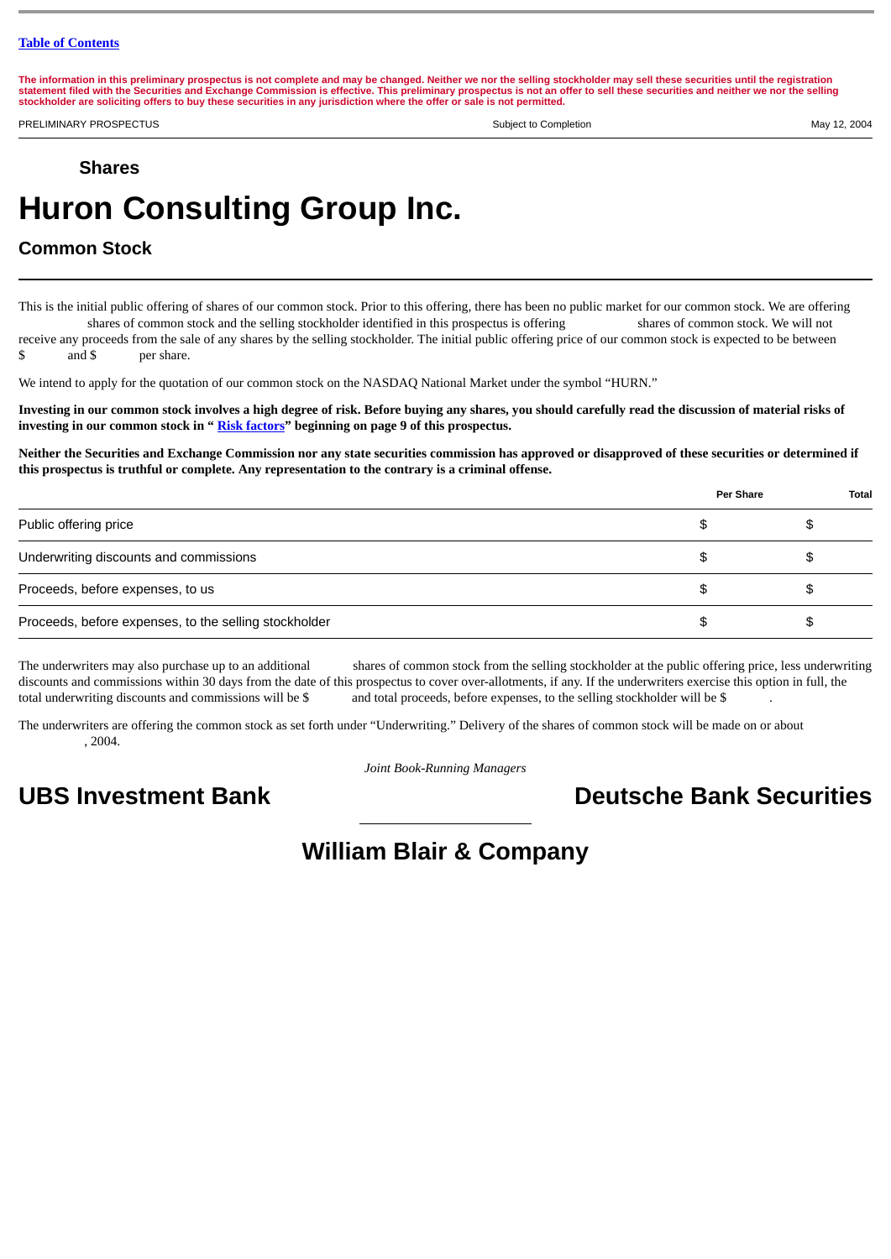**The information in this preliminary prospectus is not complete and may be changed. Neither we nor the selling stockholder may sell these securities until the registration statement filed with the Securities and Exchange Commission is effective. This preliminary prospectus is not an offer to sell these securities and neither we nor the selling stockholder are soliciting offers to buy these securities in any jurisdiction where the offer or sale is not permitted.**

PRELIMINARY PROSPECTUS **Example 2004** Subject to Completion Subject to Completion May 12, 2004

#### **Shares**

# **Huron Consulting Group Inc.**

### **Common Stock**

This is the initial public offering of shares of our common stock. Prior to this offering, there has been no public market for our common stock. We are offering shares of common stock and the selling stockholder identified in this prospectus is offering shares of common stock. We will not

receive any proceeds from the sale of any shares by the selling stockholder. The initial public offering price of our common stock is expected to be between \$ and \$ per share.

We intend to apply for the quotation of our common stock on the NASDAQ National Market under the symbol "HURN."

**Investing in our common stock involves a high degree of risk. Before buying any shares, you should carefully read the discussion of material risks of investing in our common stock in " [Risk factors"](#page-11-0) beginning on page 9 of this prospectus.**

**Neither the Securities and Exchange Commission nor any state securities commission has approved or disapproved of these securities or determined if this prospectus is truthful or complete. Any representation to the contrary is a criminal offense.**

|                                                       |    | <b>Total</b><br><b>Per Share</b> |
|-------------------------------------------------------|----|----------------------------------|
| Public offering price                                 | \$ |                                  |
| Underwriting discounts and commissions                | S  |                                  |
| Proceeds, before expenses, to us                      | \$ |                                  |
| Proceeds, before expenses, to the selling stockholder | \$ |                                  |

The underwriters may also purchase up to an additional shares of common stock from the selling stockholder at the public offering price, less underwriting discounts and commissions within 30 days from the date of this prospectus to cover over-allotments, if any. If the underwriters exercise this option in full, the total underwriting discounts and commissions will be \$ and total proceeds, before expenses, to the selling stockholder will be \$

The underwriters are offering the common stock as set forth under "Underwriting." Delivery of the shares of common stock will be made on or about , 2004.

*Joint Book-Running Managers*

### **UBS Investment Bank Deutsche Bank Securities**

### **William Blair & Company**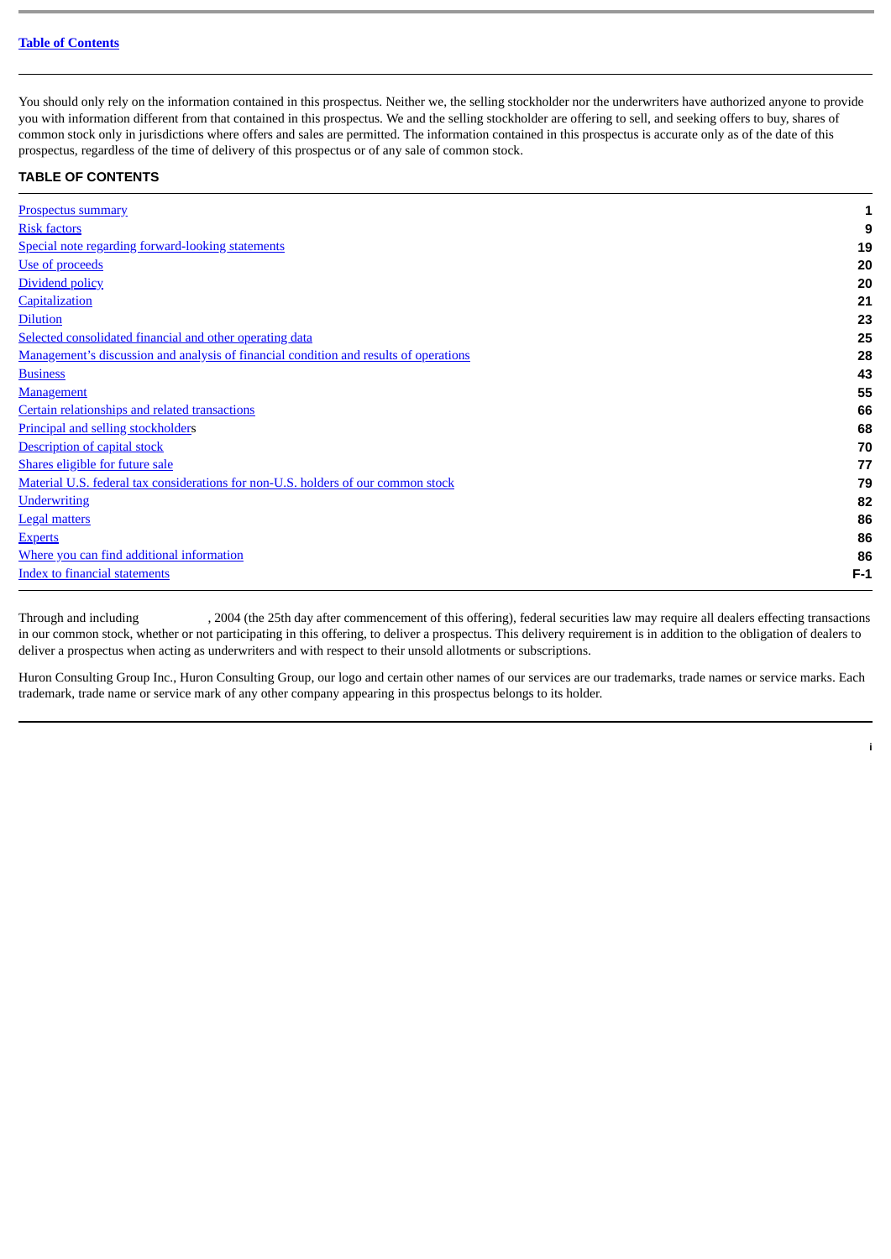You should only rely on the information contained in this prospectus. Neither we, the selling stockholder nor the underwriters have authorized anyone to provide you with information different from that contained in this prospectus. We and the selling stockholder are offering to sell, and seeking offers to buy, shares of common stock only in jurisdictions where offers and sales are permitted. The information contained in this prospectus is accurate only as of the date of this prospectus, regardless of the time of delivery of this prospectus or of any sale of common stock.

#### <span id="page-2-0"></span>**TABLE OF CONTENTS**

| <b>Prospectus summary</b>                                                             | $\mathbf{1}$ |
|---------------------------------------------------------------------------------------|--------------|
| <b>Risk factors</b>                                                                   | 9            |
| <b>Special note regarding forward-looking statements</b>                              | 19           |
| <b>Use of proceeds</b>                                                                | 20           |
| Dividend policy                                                                       | 20           |
| Capitalization                                                                        | 21           |
| <b>Dilution</b>                                                                       | 23           |
| Selected consolidated financial and other operating data                              | 25           |
| Management's discussion and analysis of financial condition and results of operations | 28           |
| <b>Business</b>                                                                       | 43           |
| Management                                                                            | 55           |
| Certain relationships and related transactions                                        | 66           |
| Principal and selling stockholders                                                    | 68           |
| Description of capital stock                                                          | 70           |
| Shares eligible for future sale                                                       | 77           |
| Material U.S. federal tax considerations for non-U.S. holders of our common stock     | 79           |
| <b>Underwriting</b>                                                                   | 82           |
| <b>Legal matters</b>                                                                  | 86           |
| <b>Experts</b>                                                                        | 86           |
| Where you can find additional information                                             | 86           |
| <b>Index to financial statements</b>                                                  | $F-1$        |

Through and including , 2004 (the 25th day after commencement of this offering), federal securities law may require all dealers effecting transactions in our common stock, whether or not participating in this offering, to deliver a prospectus. This delivery requirement is in addition to the obligation of dealers to deliver a prospectus when acting as underwriters and with respect to their unsold allotments or subscriptions.

Huron Consulting Group Inc., Huron Consulting Group, our logo and certain other names of our services are our trademarks, trade names or service marks. Each trademark, trade name or service mark of any other company appearing in this prospectus belongs to its holder.

**i**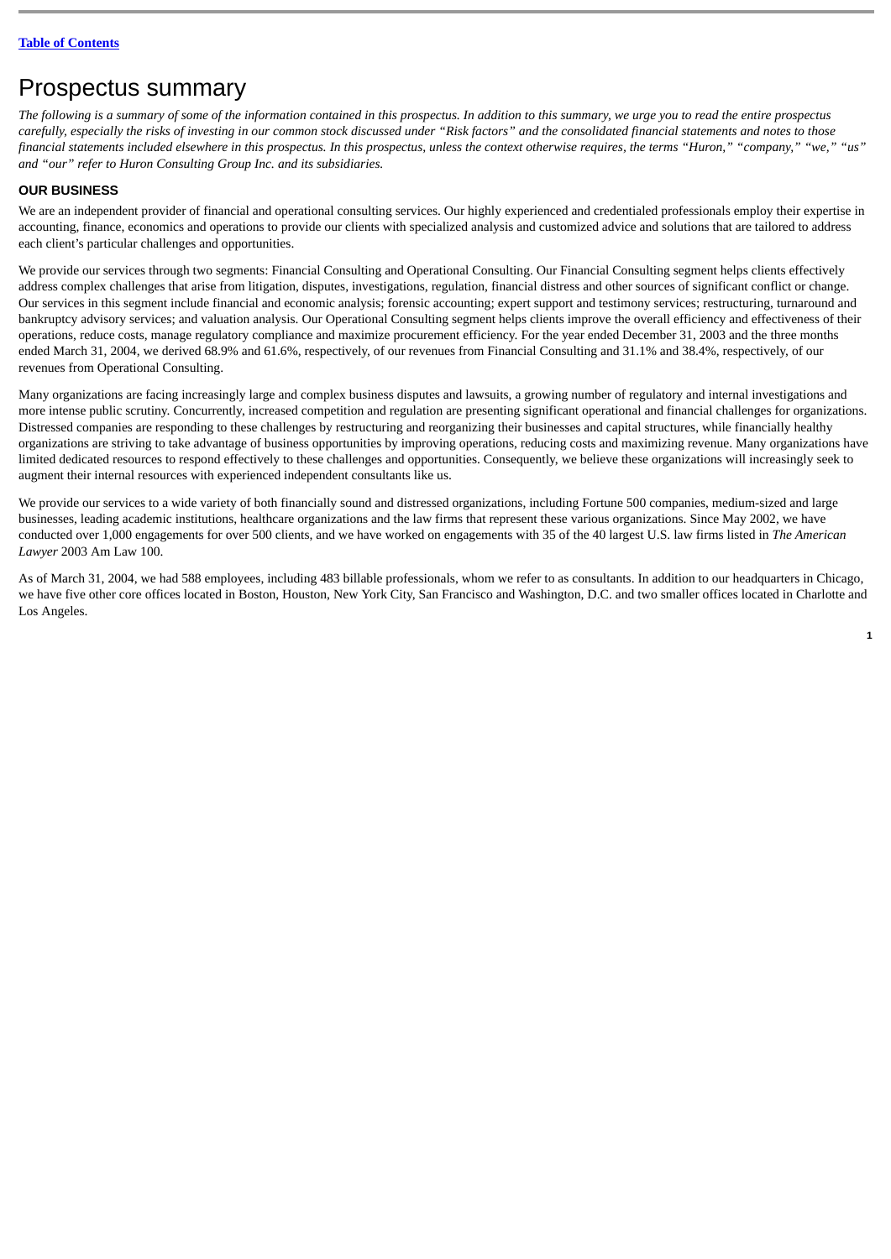### <span id="page-3-0"></span>Prospectus summary

*The following is a summary of some of the information contained in this prospectus. In addition to this summary, we urge you to read the entire prospectus carefully, especially the risks of investing in our common stock discussed under "Risk factors" and the consolidated financial statements and notes to those financial statements included elsewhere in this prospectus. In this prospectus, unless the context otherwise requires, the terms "Huron," "company," "we," "us" and "our" refer to Huron Consulting Group Inc. and its subsidiaries.*

#### **OUR BUSINESS**

We are an independent provider of financial and operational consulting services. Our highly experienced and credentialed professionals employ their expertise in accounting, finance, economics and operations to provide our clients with specialized analysis and customized advice and solutions that are tailored to address each client's particular challenges and opportunities.

We provide our services through two segments: Financial Consulting and Operational Consulting. Our Financial Consulting segment helps clients effectively address complex challenges that arise from litigation, disputes, investigations, regulation, financial distress and other sources of significant conflict or change. Our services in this segment include financial and economic analysis; forensic accounting; expert support and testimony services; restructuring, turnaround and bankruptcy advisory services; and valuation analysis. Our Operational Consulting segment helps clients improve the overall efficiency and effectiveness of their operations, reduce costs, manage regulatory compliance and maximize procurement efficiency. For the year ended December 31, 2003 and the three months ended March 31, 2004, we derived 68.9% and 61.6%, respectively, of our revenues from Financial Consulting and 31.1% and 38.4%, respectively, of our revenues from Operational Consulting.

Many organizations are facing increasingly large and complex business disputes and lawsuits, a growing number of regulatory and internal investigations and more intense public scrutiny. Concurrently, increased competition and regulation are presenting significant operational and financial challenges for organizations. Distressed companies are responding to these challenges by restructuring and reorganizing their businesses and capital structures, while financially healthy organizations are striving to take advantage of business opportunities by improving operations, reducing costs and maximizing revenue. Many organizations have limited dedicated resources to respond effectively to these challenges and opportunities. Consequently, we believe these organizations will increasingly seek to augment their internal resources with experienced independent consultants like us.

We provide our services to a wide variety of both financially sound and distressed organizations, including Fortune 500 companies, medium-sized and large businesses, leading academic institutions, healthcare organizations and the law firms that represent these various organizations. Since May 2002, we have conducted over 1,000 engagements for over 500 clients, and we have worked on engagements with 35 of the 40 largest U.S. law firms listed in *The American Lawyer* 2003 Am Law 100.

As of March 31, 2004, we had 588 employees, including 483 billable professionals, whom we refer to as consultants. In addition to our headquarters in Chicago, we have five other core offices located in Boston, Houston, New York City, San Francisco and Washington, D.C. and two smaller offices located in Charlotte and Los Angeles.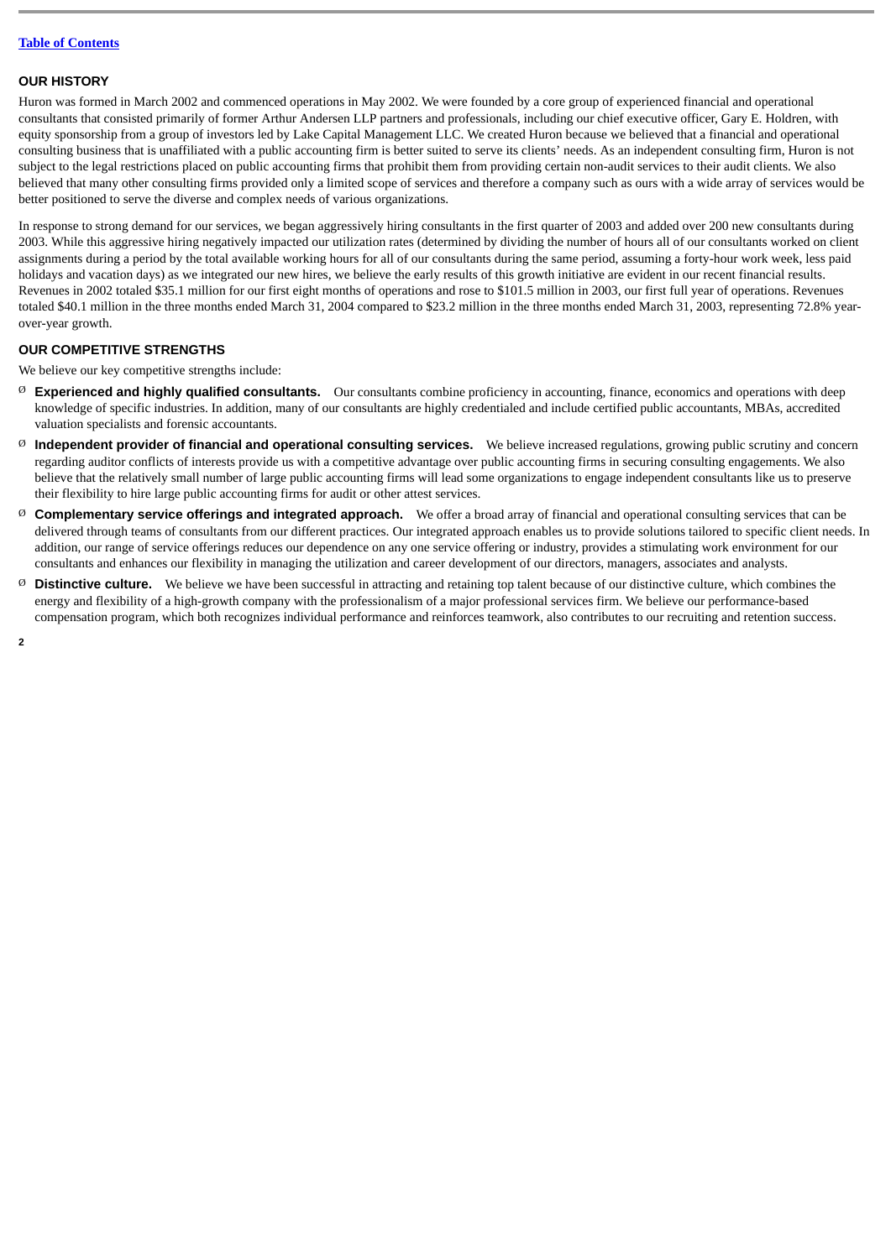#### **OUR HISTORY**

Huron was formed in March 2002 and commenced operations in May 2002. We were founded by a core group of experienced financial and operational consultants that consisted primarily of former Arthur Andersen LLP partners and professionals, including our chief executive officer, Gary E. Holdren, with equity sponsorship from a group of investors led by Lake Capital Management LLC. We created Huron because we believed that a financial and operational consulting business that is unaffiliated with a public accounting firm is better suited to serve its clients' needs. As an independent consulting firm, Huron is not subject to the legal restrictions placed on public accounting firms that prohibit them from providing certain non-audit services to their audit clients. We also believed that many other consulting firms provided only a limited scope of services and therefore a company such as ours with a wide array of services would be better positioned to serve the diverse and complex needs of various organizations.

In response to strong demand for our services, we began aggressively hiring consultants in the first quarter of 2003 and added over 200 new consultants during 2003. While this aggressive hiring negatively impacted our utilization rates (determined by dividing the number of hours all of our consultants worked on client assignments during a period by the total available working hours for all of our consultants during the same period, assuming a forty-hour work week, less paid holidays and vacation days) as we integrated our new hires, we believe the early results of this growth initiative are evident in our recent financial results. Revenues in 2002 totaled \$35.1 million for our first eight months of operations and rose to \$101.5 million in 2003, our first full year of operations. Revenues totaled \$40.1 million in the three months ended March 31, 2004 compared to \$23.2 million in the three months ended March 31, 2003, representing 72.8% yearover-year growth.

#### **OUR COMPETITIVE STRENGTHS**

We believe our key competitive strengths include:

- $\emptyset$  **Experienced and highly qualified consultants.** Our consultants combine proficiency in accounting, finance, economics and operations with deep knowledge of specific industries. In addition, many of our consultants are highly credentialed and include certified public accountants, MBAs, accredited valuation specialists and forensic accountants.
- Ø **Independent provider of financial and operational consulting services.** We believe increased regulations, growing public scrutiny and concern regarding auditor conflicts of interests provide us with a competitive advantage over public accounting firms in securing consulting engagements. We also believe that the relatively small number of large public accounting firms will lead some organizations to engage independent consultants like us to preserve their flexibility to hire large public accounting firms for audit or other attest services.
- $\emptyset$  **Complementary service offerings and integrated approach.** We offer a broad array of financial and operational consulting services that can be delivered through teams of consultants from our different practices. Our integrated approach enables us to provide solutions tailored to specific client needs. In addition, our range of service offerings reduces our dependence on any one service offering or industry, provides a stimulating work environment for our consultants and enhances our flexibility in managing the utilization and career development of our directors, managers, associates and analysts.
- Ø **Distinctive culture.** We believe we have been successful in attracting and retaining top talent because of our distinctive culture, which combines the energy and flexibility of a high-growth company with the professionalism of a major professional services firm. We believe our performance-based compensation program, which both recognizes individual performance and reinforces teamwork, also contributes to our recruiting and retention success.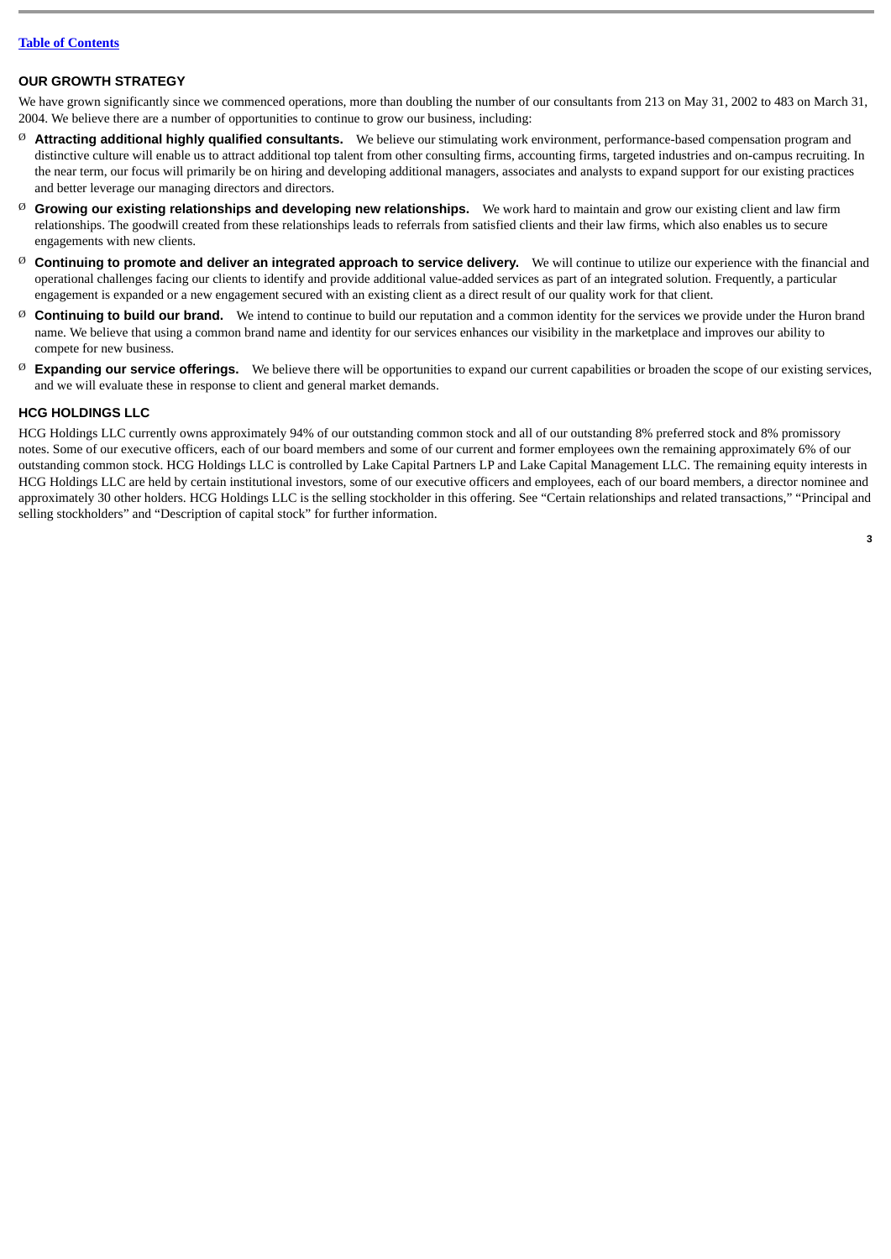#### **OUR GROWTH STRATEGY**

We have grown significantly since we commenced operations, more than doubling the number of our consultants from 213 on May 31, 2002 to 483 on March 31, 2004. We believe there are a number of opportunities to continue to grow our business, including:

- Ø **Attracting additional highly qualified consultants.** We believe our stimulating work environment, performance-based compensation program and distinctive culture will enable us to attract additional top talent from other consulting firms, accounting firms, targeted industries and on-campus recruiting. In the near term, our focus will primarily be on hiring and developing additional managers, associates and analysts to expand support for our existing practices and better leverage our managing directors and directors.
- $\emptyset$  **Growing our existing relationships and developing new relationships.** We work hard to maintain and grow our existing client and law firm relationships. The goodwill created from these relationships leads to referrals from satisfied clients and their law firms, which also enables us to secure engagements with new clients.
- Ø **Continuing to promote and deliver an integrated approach to service delivery.** We will continue to utilize our experience with the financial and operational challenges facing our clients to identify and provide additional value-added services as part of an integrated solution. Frequently, a particular engagement is expanded or a new engagement secured with an existing client as a direct result of our quality work for that client.
- $\emptyset$  **Continuing to build our brand.** We intend to continue to build our reputation and a common identity for the services we provide under the Huron brand name. We believe that using a common brand name and identity for our services enhances our visibility in the marketplace and improves our ability to compete for new business.
- $\emptyset$  **Expanding our service offerings.** We believe there will be opportunities to expand our current capabilities or broaden the scope of our existing services, and we will evaluate these in response to client and general market demands.

#### **HCG HOLDINGS LLC**

HCG Holdings LLC currently owns approximately 94% of our outstanding common stock and all of our outstanding 8% preferred stock and 8% promissory notes. Some of our executive officers, each of our board members and some of our current and former employees own the remaining approximately 6% of our outstanding common stock. HCG Holdings LLC is controlled by Lake Capital Partners LP and Lake Capital Management LLC. The remaining equity interests in HCG Holdings LLC are held by certain institutional investors, some of our executive officers and employees, each of our board members, a director nominee and approximately 30 other holders. HCG Holdings LLC is the selling stockholder in this offering. See "Certain relationships and related transactions," "Principal and selling stockholders" and "Description of capital stock" for further information.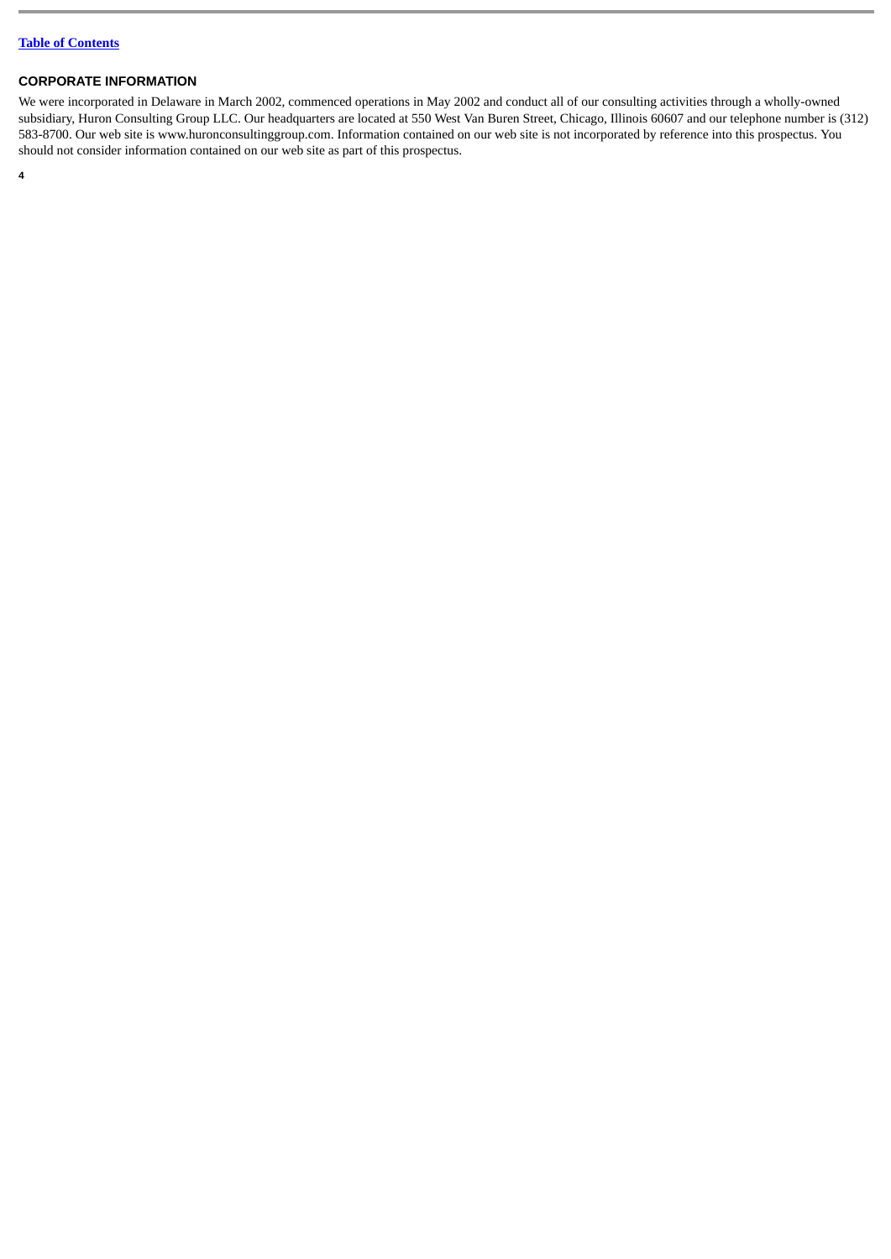#### **CORPORATE INFORMATION**

We were incorporated in Delaware in March 2002, commenced operations in May 2002 and conduct all of our consulting activities through a wholly-owned subsidiary, Huron Consulting Group LLC. Our headquarters are located at 550 West Van Buren Street, Chicago, Illinois 60607 and our telephone number is (312) 583-8700. Our web site is www.huronconsultinggroup.com. Information contained on our web site is not incorporated by reference into this prospectus. You should not consider information contained on our web site as part of this prospectus.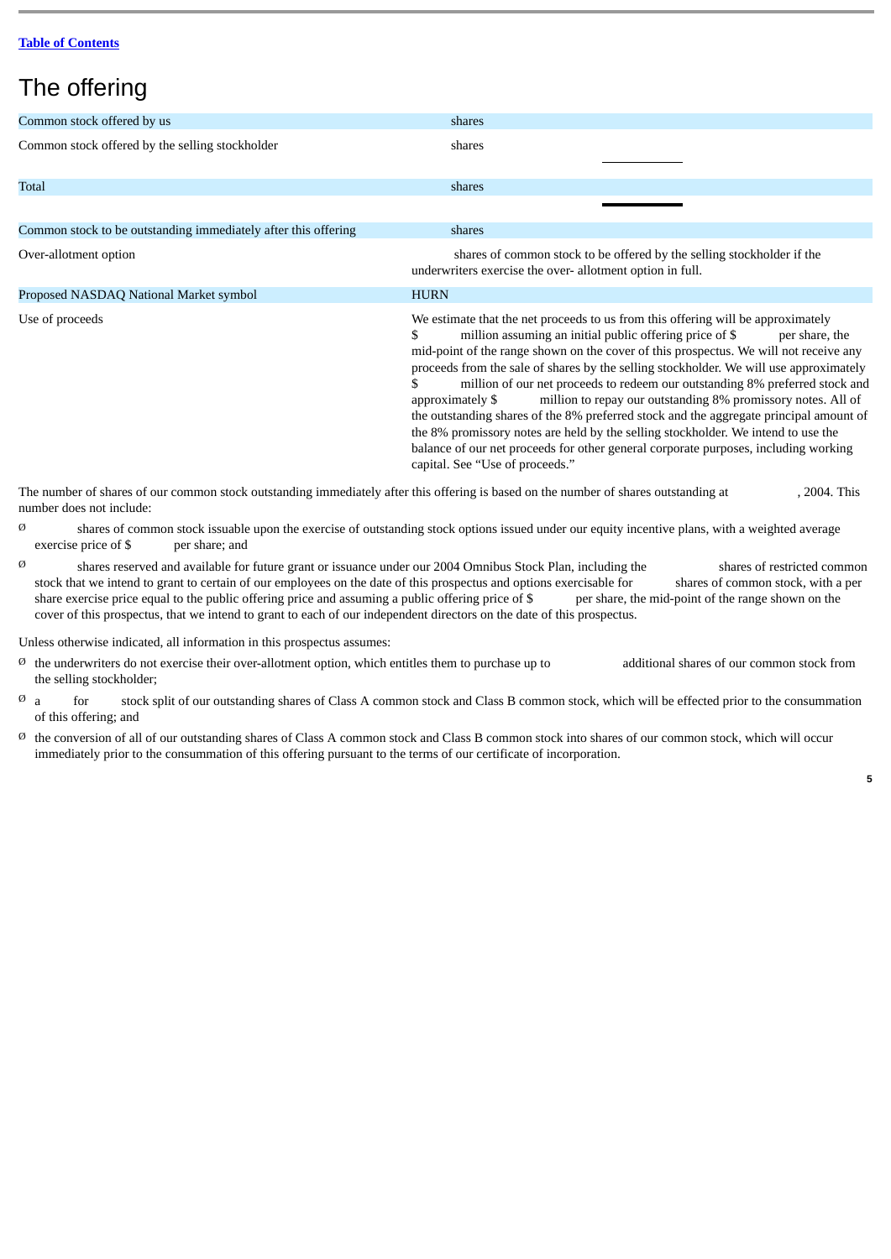### The offering

| Common stock offered by us                                     | shares                                                                                                                                                                                                                                                                                                                                                                                                                                                                                                                                                                                                                                                                                                                                                                                                                              |
|----------------------------------------------------------------|-------------------------------------------------------------------------------------------------------------------------------------------------------------------------------------------------------------------------------------------------------------------------------------------------------------------------------------------------------------------------------------------------------------------------------------------------------------------------------------------------------------------------------------------------------------------------------------------------------------------------------------------------------------------------------------------------------------------------------------------------------------------------------------------------------------------------------------|
| Common stock offered by the selling stockholder                | shares                                                                                                                                                                                                                                                                                                                                                                                                                                                                                                                                                                                                                                                                                                                                                                                                                              |
| <b>Total</b>                                                   | shares                                                                                                                                                                                                                                                                                                                                                                                                                                                                                                                                                                                                                                                                                                                                                                                                                              |
|                                                                |                                                                                                                                                                                                                                                                                                                                                                                                                                                                                                                                                                                                                                                                                                                                                                                                                                     |
| Common stock to be outstanding immediately after this offering | shares                                                                                                                                                                                                                                                                                                                                                                                                                                                                                                                                                                                                                                                                                                                                                                                                                              |
| Over-allotment option                                          | shares of common stock to be offered by the selling stockholder if the<br>underwriters exercise the over-allotment option in full.                                                                                                                                                                                                                                                                                                                                                                                                                                                                                                                                                                                                                                                                                                  |
| Proposed NASDAQ National Market symbol                         | <b>HURN</b>                                                                                                                                                                                                                                                                                                                                                                                                                                                                                                                                                                                                                                                                                                                                                                                                                         |
| Use of proceeds                                                | We estimate that the net proceeds to us from this offering will be approximately<br>\$<br>million assuming an initial public offering price of \$<br>per share, the<br>mid-point of the range shown on the cover of this prospectus. We will not receive any<br>proceeds from the sale of shares by the selling stockholder. We will use approximately<br>million of our net proceeds to redeem our outstanding 8% preferred stock and<br>million to repay our outstanding 8% promissory notes. All of<br>approximately \$<br>the outstanding shares of the 8% preferred stock and the aggregate principal amount of<br>the 8% promissory notes are held by the selling stockholder. We intend to use the<br>balance of our net proceeds for other general corporate purposes, including working<br>capital. See "Use of proceeds." |

The number of shares of our common stock outstanding immediately after this offering is based on the number of shares outstanding at , 2004. This number does not include:

 $\varnothing$  shares of common stock issuable upon the exercise of outstanding stock options issued under our equity incentive plans, with a weighted average exercise price of \$ per share; and

 $\varnothing$  shares reserved and available for future grant or issuance under our 2004 Omnibus Stock Plan, including the shares of restricted common stock that we intend to grant to certain of our employees on the date of this prospectus and options exercisable for shares of common stock, with a per share exercise price equal to the public offering price and assuming a public offering price of \$ per share, the mid-point of the range shown on the cover of this prospectus, that we intend to grant to each of our independent directors on the date of this prospectus.

Unless otherwise indicated, all information in this prospectus assumes:

- $\emptyset$  the underwriters do not exercise their over-allotment option, which entitles them to purchase up to additional shares of our common stock from the selling stockholder;
- $\emptyset$  a for stock split of our outstanding shares of Class A common stock and Class B common stock, which will be effected prior to the consummation of this offering; and
- $\emptyset$  the conversion of all of our outstanding shares of Class A common stock and Class B common stock into shares of our common stock, which will occur immediately prior to the consummation of this offering pursuant to the terms of our certificate of incorporation.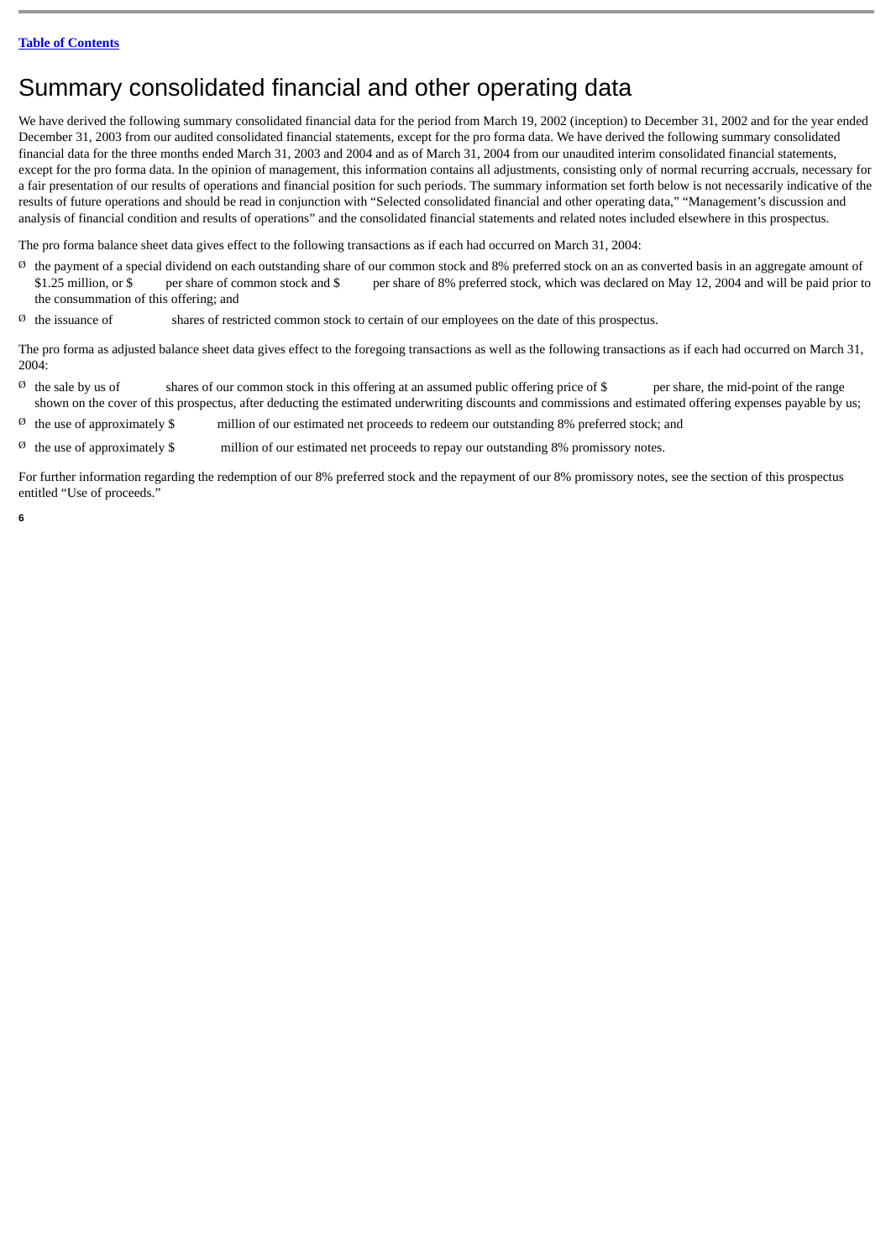# Summary consolidated financial and other operating data

We have derived the following summary consolidated financial data for the period from March 19, 2002 (inception) to December 31, 2002 and for the year ended December 31, 2003 from our audited consolidated financial statements, except for the pro forma data. We have derived the following summary consolidated financial data for the three months ended March 31, 2003 and 2004 and as of March 31, 2004 from our unaudited interim consolidated financial statements, except for the pro forma data. In the opinion of management, this information contains all adjustments, consisting only of normal recurring accruals, necessary for a fair presentation of our results of operations and financial position for such periods. The summary information set forth below is not necessarily indicative of the results of future operations and should be read in conjunction with "Selected consolidated financial and other operating data," "Management's discussion and analysis of financial condition and results of operations" and the consolidated financial statements and related notes included elsewhere in this prospectus.

The pro forma balance sheet data gives effect to the following transactions as if each had occurred on March 31, 2004:

- $\emptyset$  the payment of a special dividend on each outstanding share of our common stock and 8% preferred stock on an as converted basis in an aggregate amount of \$1.25 million, or \$ per share of common stock and \$ per share of 8% preferred stock, which was declared on May 12, 2004 and will be paid prior to the consummation of this offering; and
- $\emptyset$  the issuance of shares of restricted common stock to certain of our employees on the date of this prospectus.

The pro forma as adjusted balance sheet data gives effect to the foregoing transactions as well as the following transactions as if each had occurred on March 31, 2004:

- $\varnothing$  the sale by us of shares of our common stock in this offering at an assumed public offering price of \$ per share, the mid-point of the range shown on the cover of this prospectus, after deducting the estimated underwriting discounts and commissions and estimated offering expenses payable by us;
- $\emptyset$  the use of approximately  $\emptyset$  million of our estimated net proceeds to redeem our outstanding 8% preferred stock; and
- $\emptyset$  the use of approximately \$ million of our estimated net proceeds to repay our outstanding 8% promissory notes.

For further information regarding the redemption of our 8% preferred stock and the repayment of our 8% promissory notes, see the section of this prospectus entitled "Use of proceeds."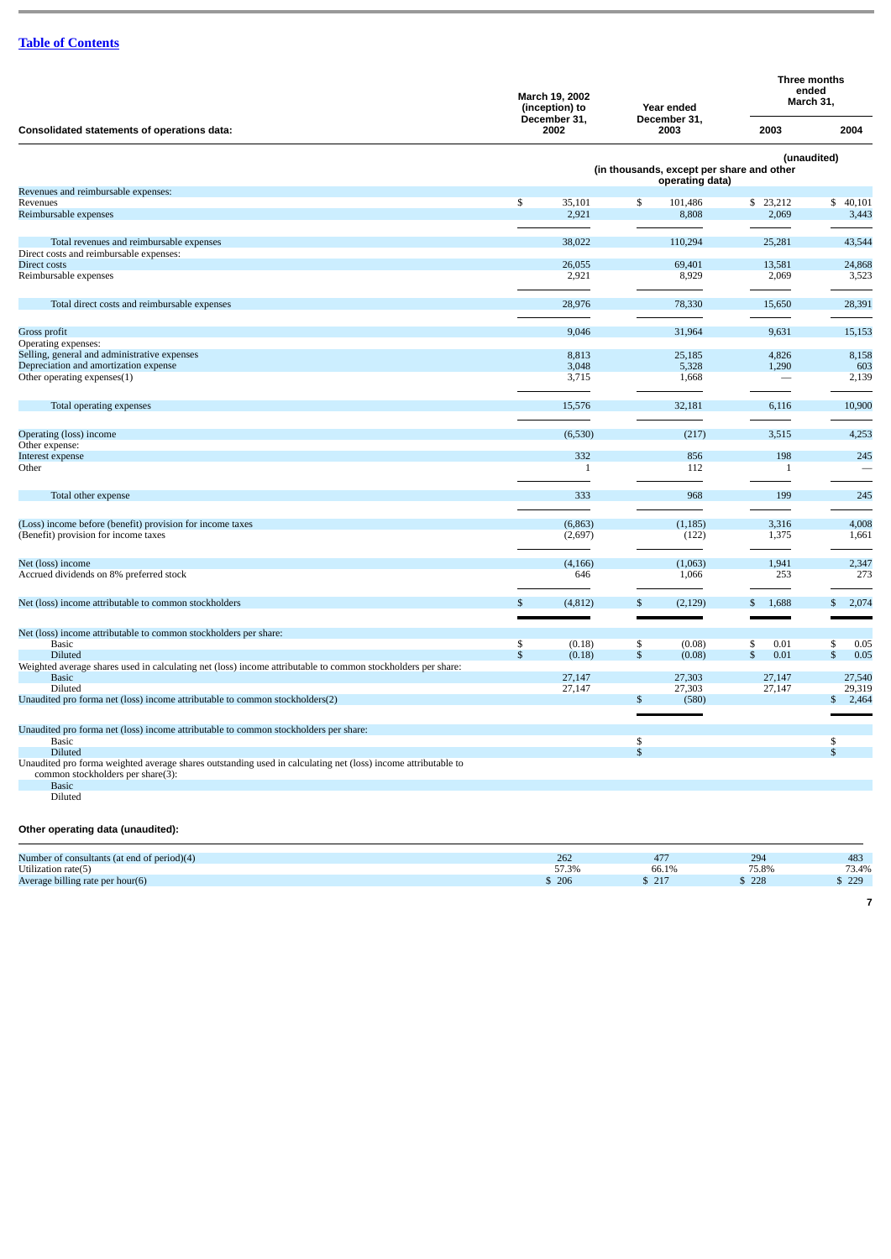|                                                                                                                                                    |                                                                             | March 19, 2002<br>(inception) to |    | Year ended           |               | Three months<br>ended<br>March 31, |    |          |  |
|----------------------------------------------------------------------------------------------------------------------------------------------------|-----------------------------------------------------------------------------|----------------------------------|----|----------------------|---------------|------------------------------------|----|----------|--|
| Consolidated statements of operations data:                                                                                                        |                                                                             | December 31,<br>2002             |    | December 31,<br>2003 |               | 2003                               |    | 2004     |  |
|                                                                                                                                                    | (unaudited)<br>(in thousands, except per share and other<br>operating data) |                                  |    |                      |               |                                    |    |          |  |
| Revenues and reimbursable expenses:                                                                                                                |                                                                             |                                  |    |                      |               |                                    |    |          |  |
| Revenues                                                                                                                                           | \$                                                                          | 35,101                           | \$ | 101,486              |               | \$23,212                           |    | \$40,101 |  |
| Reimbursable expenses                                                                                                                              |                                                                             | 2,921                            |    | 8,808                |               | 2,069                              |    | 3,443    |  |
| Total revenues and reimbursable expenses                                                                                                           |                                                                             | 38,022                           |    | 110,294              |               | 25,281                             |    | 43,544   |  |
| Direct costs and reimbursable expenses:                                                                                                            |                                                                             |                                  |    |                      |               |                                    |    |          |  |
| Direct costs                                                                                                                                       |                                                                             | 26,055                           |    | 69,401               |               | 13,581                             |    | 24,868   |  |
| Reimbursable expenses                                                                                                                              |                                                                             | 2,921                            |    | 8,929                |               | 2,069                              |    | 3,523    |  |
| Total direct costs and reimbursable expenses                                                                                                       |                                                                             | 28,976                           |    | 78,330               |               | 15,650                             |    | 28,391   |  |
|                                                                                                                                                    |                                                                             | 9,046                            |    | 31,964               |               | 9,631                              |    | 15,153   |  |
| Gross profit<br>Operating expenses:                                                                                                                |                                                                             |                                  |    |                      |               |                                    |    |          |  |
| Selling, general and administrative expenses                                                                                                       |                                                                             | 8,813                            |    | 25,185               |               | 4,826                              |    | 8,158    |  |
| Depreciation and amortization expense                                                                                                              |                                                                             | 3,048                            |    | 5,328                |               | 1,290                              |    | 603      |  |
| Other operating expenses(1)                                                                                                                        |                                                                             | 3,715                            |    | 1,668                |               | $\overline{\phantom{m}}$           |    | 2,139    |  |
| Total operating expenses                                                                                                                           |                                                                             | 15,576                           |    | 32,181               |               | 6,116                              |    | 10,900   |  |
|                                                                                                                                                    |                                                                             |                                  |    |                      |               |                                    |    |          |  |
| Operating (loss) income<br>Other expense:                                                                                                          |                                                                             | (6,530)                          |    | (217)                |               | 3,515                              |    | 4,253    |  |
| Interest expense                                                                                                                                   |                                                                             | 332                              |    | 856                  |               | 198                                |    | 245      |  |
| Other                                                                                                                                              |                                                                             | $\mathbf{1}$                     |    | 112                  |               | $\mathbf{1}$                       |    |          |  |
| Total other expense                                                                                                                                |                                                                             | 333                              |    | 968                  |               | 199                                |    | 245      |  |
| (Loss) income before (benefit) provision for income taxes                                                                                          |                                                                             | (6, 863)                         |    | (1, 185)             |               | 3,316                              |    | 4,008    |  |
| (Benefit) provision for income taxes                                                                                                               |                                                                             | (2,697)                          |    | (122)                |               | 1,375                              |    | 1,661    |  |
| Net (loss) income                                                                                                                                  |                                                                             | (4, 166)                         |    | (1,063)              |               | 1,941                              |    | 2,347    |  |
| Accrued dividends on 8% preferred stock                                                                                                            |                                                                             | 646                              |    | 1,066                |               | 253                                |    | 273      |  |
| Net (loss) income attributable to common stockholders                                                                                              | \$                                                                          | (4,812)                          | \$ | (2, 129)             | \$.           | 1,688                              | \$ | 2,074    |  |
|                                                                                                                                                    |                                                                             |                                  |    |                      |               |                                    |    |          |  |
| Net (loss) income attributable to common stockholders per share:                                                                                   |                                                                             |                                  |    |                      |               |                                    |    |          |  |
| <b>Basic</b>                                                                                                                                       | \$                                                                          | (0.18)                           | \$ | (0.08)               | \$            | 0.01                               | \$ | 0.05     |  |
| Diluted                                                                                                                                            | \$                                                                          | (0.18)                           | \$ | (0.08)               | $\mathcal{S}$ | 0.01                               | \$ | 0.05     |  |
| Weighted average shares used in calculating net (loss) income attributable to common stockholders per share:                                       |                                                                             |                                  |    |                      |               |                                    |    |          |  |
| <b>Basic</b>                                                                                                                                       |                                                                             | 27,147                           |    | 27,303               |               | 27,147                             |    | 27,540   |  |
| Diluted                                                                                                                                            |                                                                             | 27,147                           | \$ | 27,303               |               | 27,147                             | S. | 29,319   |  |
| Unaudited pro forma net (loss) income attributable to common stockholders(2)                                                                       |                                                                             |                                  |    | (580)                |               |                                    |    | 2,464    |  |
| Unaudited pro forma net (loss) income attributable to common stockholders per share:                                                               |                                                                             |                                  |    |                      |               |                                    |    |          |  |
| Basic                                                                                                                                              |                                                                             |                                  | \$ |                      |               |                                    | \$ |          |  |
| Diluted                                                                                                                                            |                                                                             |                                  | \$ |                      |               |                                    | \$ |          |  |
| Unaudited pro forma weighted average shares outstanding used in calculating net (loss) income attributable to<br>common stockholders per share(3): |                                                                             |                                  |    |                      |               |                                    |    |          |  |
| <b>Basic</b>                                                                                                                                       |                                                                             |                                  |    |                      |               |                                    |    |          |  |
| Diluted                                                                                                                                            |                                                                             |                                  |    |                      |               |                                    |    |          |  |

#### **Other operating data (unaudited):**

| Number of consultants (at end of period)(4) | 262                    | $+1$              | 294   | 483            |
|---------------------------------------------|------------------------|-------------------|-------|----------------|
| Utilization rate(5)                         | <b>E7 90/</b><br>57.3% | $C_{10}$<br>00.1% | 75.8% | 73.4%          |
| Average billing rate per hour(6)            | 206                    | 247               | 228   | 220<br>ے ہے ہی |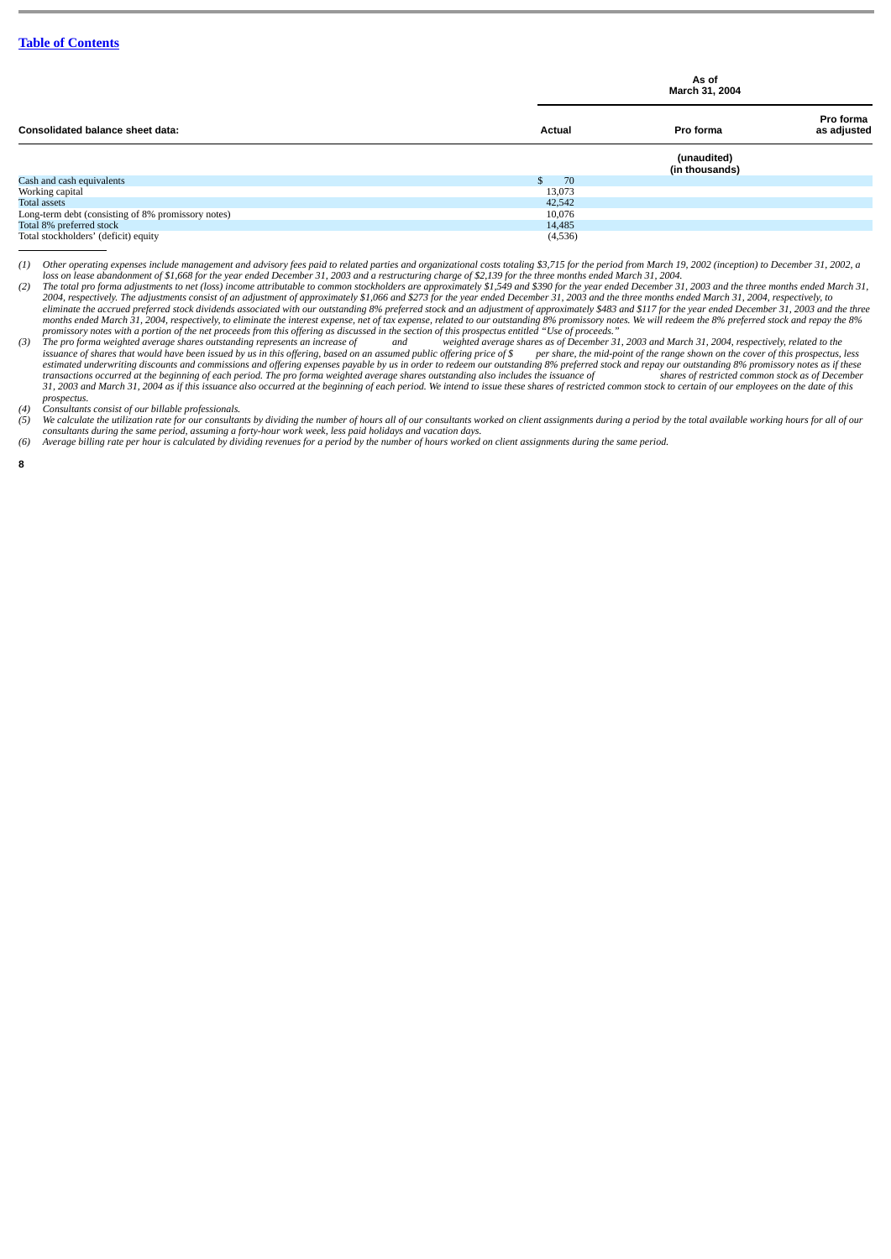|                                                    |         | As of<br>March 31, 2004       |                          |
|----------------------------------------------------|---------|-------------------------------|--------------------------|
| <b>Consolidated balance sheet data:</b>            | Actual  | Pro forma                     | Pro forma<br>as adjusted |
|                                                    |         | (unaudited)<br>(in thousands) |                          |
| Cash and cash equivalents                          | 70      |                               |                          |
| Working capital                                    | 13,073  |                               |                          |
| <b>Total assets</b>                                | 42,542  |                               |                          |
| Long-term debt (consisting of 8% promissory notes) | 10,076  |                               |                          |
| Total 8% preferred stock                           | 14,485  |                               |                          |
| Total stockholders' (deficit) equity               | (4,536) |                               |                          |

*(1) Other operating expenses include management and advisory fees paid to related parties and organizational costs totaling \$3,715 for the period from March 19, 2002 (inception) to December 31, 2002, a*

loss on lease abandonment of \$1,668 for the year ended December 31, 2003 and a restructuring charge of \$2,139 for the three months ended March 31, 2004.<br>(2) The total pro forma adjustments to net (loss) income attributable

eliminate the accrued preferred stock dividends associated with our outstanding 8% preferred stock and an adjustment of approximately \$483 and \$117 for the year ended December 31, 2003 and the three<br>months ended March 31, transactions occurred at the beginning of each period. The pro forma weighted average shares outstanding also includes the issuance of shares of restricted common stock as of December<br>31, 2003 and March 31, 2004 as if this *prospectus.*

(4) Consultants consist of our billable professionals.<br>(5) We calculate the utilization rate for our consultants by dividing the number of hours all of our consultants worked on client assignments during a period by the to *consultants during the same period, assuming a forty-hour work week, less paid holidays and vacation days.*

*(6) Average billing rate per hour is calculated by dividing revenues for a period by the number of hours worked on client assignments during the same period.*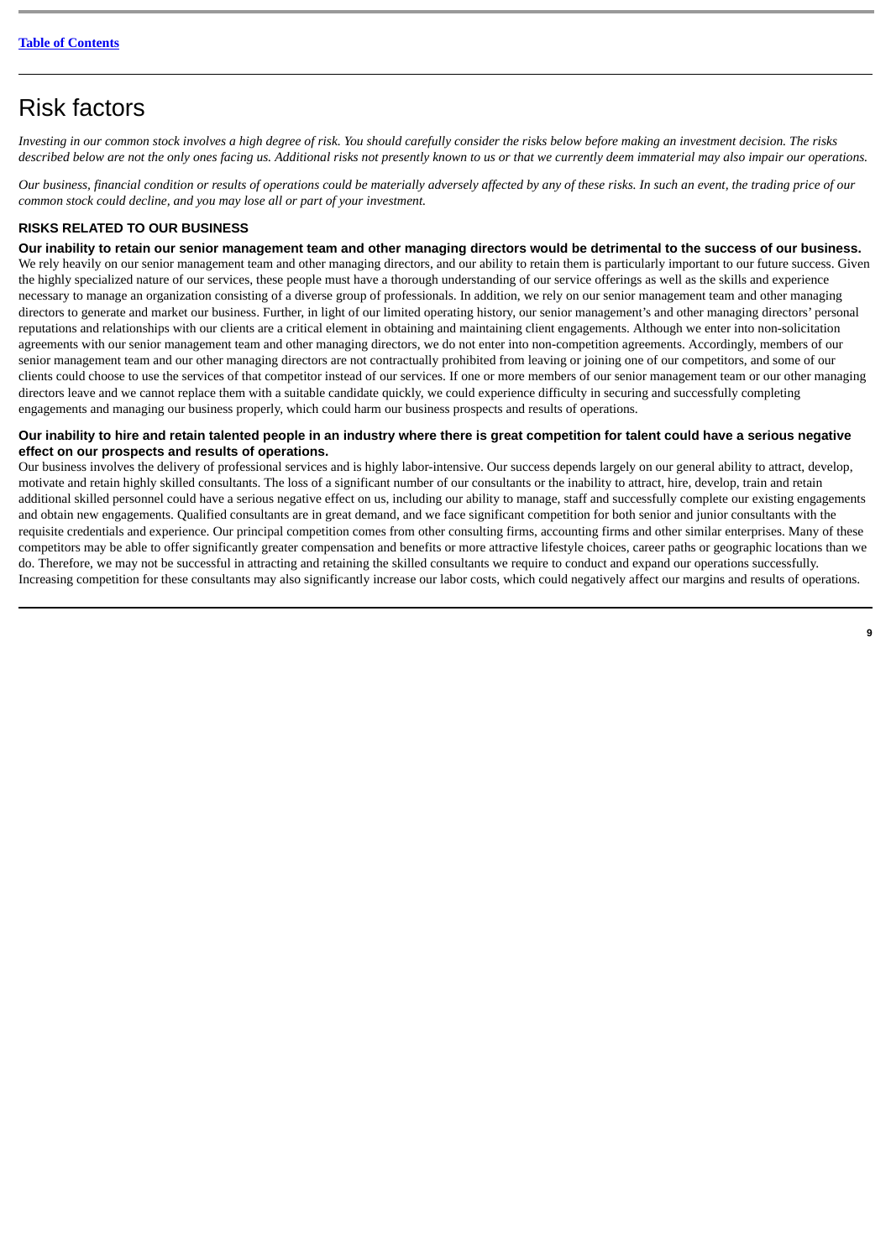# <span id="page-11-0"></span>Risk factors

*Investing in our common stock involves a high degree of risk. You should carefully consider the risks below before making an investment decision. The risks described below are not the only ones facing us. Additional risks not presently known to us or that we currently deem immaterial may also impair our operations.*

*Our business, financial condition or results of operations could be materially adversely affected by any of these risks. In such an event, the trading price of our common stock could decline, and you may lose all or part of your investment.*

#### **RISKS RELATED TO OUR BUSINESS**

**Our inability to retain our senior management team and other managing directors would be detrimental to the success of our business.** We rely heavily on our senior management team and other managing directors, and our ability to retain them is particularly important to our future success. Given the highly specialized nature of our services, these people must have a thorough understanding of our service offerings as well as the skills and experience necessary to manage an organization consisting of a diverse group of professionals. In addition, we rely on our senior management team and other managing directors to generate and market our business. Further, in light of our limited operating history, our senior management's and other managing directors' personal reputations and relationships with our clients are a critical element in obtaining and maintaining client engagements. Although we enter into non-solicitation agreements with our senior management team and other managing directors, we do not enter into non-competition agreements. Accordingly, members of our senior management team and our other managing directors are not contractually prohibited from leaving or joining one of our competitors, and some of our clients could choose to use the services of that competitor instead of our services. If one or more members of our senior management team or our other managing directors leave and we cannot replace them with a suitable candidate quickly, we could experience difficulty in securing and successfully completing engagements and managing our business properly, which could harm our business prospects and results of operations.

#### **Our inability to hire and retain talented people in an industry where there is great competition for talent could have a serious negative effect on our prospects and results of operations.**

Our business involves the delivery of professional services and is highly labor-intensive. Our success depends largely on our general ability to attract, develop, motivate and retain highly skilled consultants. The loss of a significant number of our consultants or the inability to attract, hire, develop, train and retain additional skilled personnel could have a serious negative effect on us, including our ability to manage, staff and successfully complete our existing engagements and obtain new engagements. Qualified consultants are in great demand, and we face significant competition for both senior and junior consultants with the requisite credentials and experience. Our principal competition comes from other consulting firms, accounting firms and other similar enterprises. Many of these competitors may be able to offer significantly greater compensation and benefits or more attractive lifestyle choices, career paths or geographic locations than we do. Therefore, we may not be successful in attracting and retaining the skilled consultants we require to conduct and expand our operations successfully. Increasing competition for these consultants may also significantly increase our labor costs, which could negatively affect our margins and results of operations.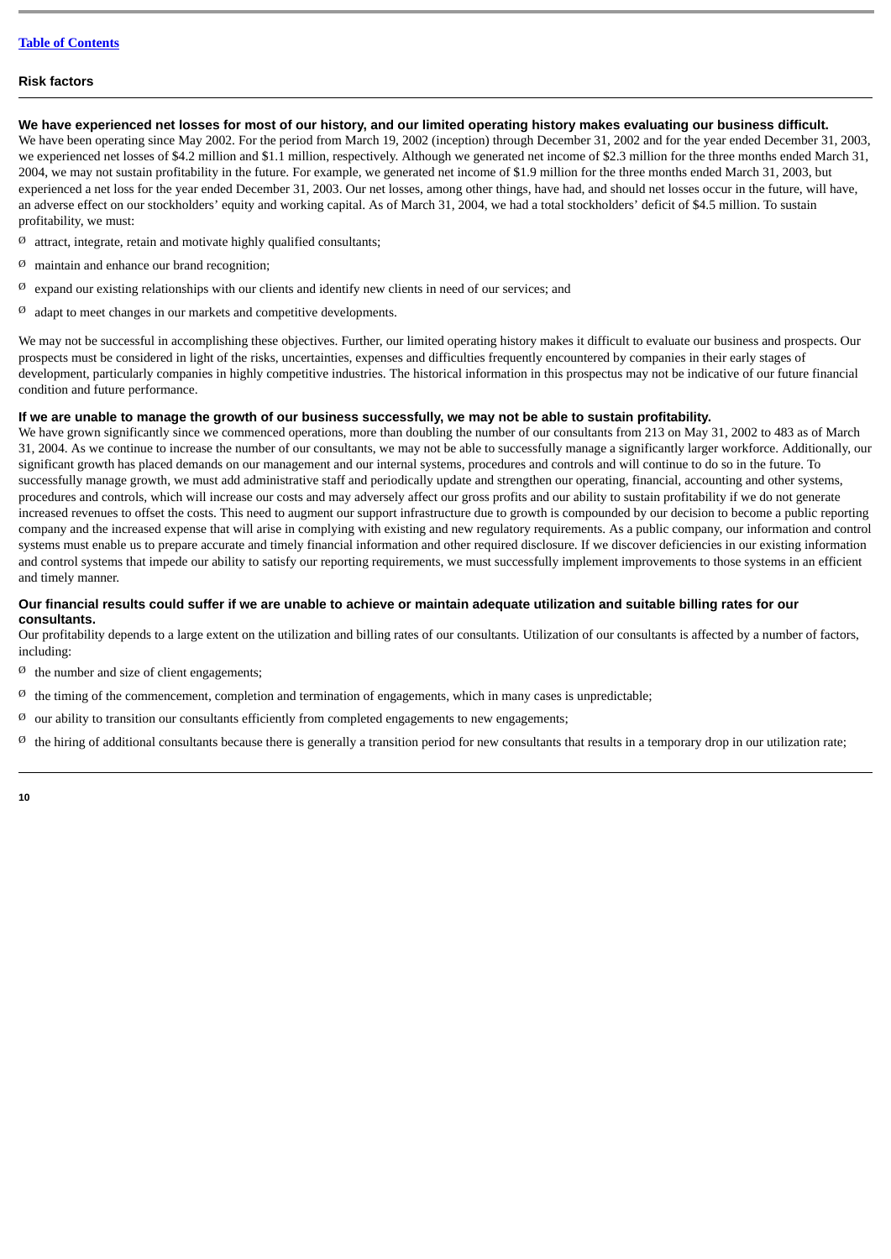#### **Risk factors**

#### **We have experienced net losses for most of our history, and our limited operating history makes evaluating our business difficult.**

We have been operating since May 2002. For the period from March 19, 2002 (inception) through December 31, 2002 and for the year ended December 31, 2003, we experienced net losses of \$4.2 million and \$1.1 million, respectively. Although we generated net income of \$2.3 million for the three months ended March 31, 2004, we may not sustain profitability in the future. For example, we generated net income of \$1.9 million for the three months ended March 31, 2003, but experienced a net loss for the year ended December 31, 2003. Our net losses, among other things, have had, and should net losses occur in the future, will have, an adverse effect on our stockholders' equity and working capital. As of March 31, 2004, we had a total stockholders' deficit of \$4.5 million. To sustain profitability, we must:

- $\emptyset$  attract, integrate, retain and motivate highly qualified consultants;
- $\emptyset$  maintain and enhance our brand recognition;
- $\emptyset$  expand our existing relationships with our clients and identify new clients in need of our services; and
- $\emptyset$  adapt to meet changes in our markets and competitive developments.

We may not be successful in accomplishing these objectives. Further, our limited operating history makes it difficult to evaluate our business and prospects. Our prospects must be considered in light of the risks, uncertainties, expenses and difficulties frequently encountered by companies in their early stages of development, particularly companies in highly competitive industries. The historical information in this prospectus may not be indicative of our future financial condition and future performance.

#### **If we are unable to manage the growth of our business successfully, we may not be able to sustain profitability.**

We have grown significantly since we commenced operations, more than doubling the number of our consultants from 213 on May 31, 2002 to 483 as of March 31, 2004. As we continue to increase the number of our consultants, we may not be able to successfully manage a significantly larger workforce. Additionally, our significant growth has placed demands on our management and our internal systems, procedures and controls and will continue to do so in the future. To successfully manage growth, we must add administrative staff and periodically update and strengthen our operating, financial, accounting and other systems, procedures and controls, which will increase our costs and may adversely affect our gross profits and our ability to sustain profitability if we do not generate increased revenues to offset the costs. This need to augment our support infrastructure due to growth is compounded by our decision to become a public reporting company and the increased expense that will arise in complying with existing and new regulatory requirements. As a public company, our information and control systems must enable us to prepare accurate and timely financial information and other required disclosure. If we discover deficiencies in our existing information and control systems that impede our ability to satisfy our reporting requirements, we must successfully implement improvements to those systems in an efficient and timely manner.

#### **Our financial results could suffer if we are unable to achieve or maintain adequate utilization and suitable billing rates for our consultants.**

Our profitability depends to a large extent on the utilization and billing rates of our consultants. Utilization of our consultants is affected by a number of factors, including:

- $\emptyset$  the number and size of client engagements;
- $\emptyset$  the timing of the commencement, completion and termination of engagements, which in many cases is unpredictable;
- $\emptyset$  our ability to transition our consultants efficiently from completed engagements to new engagements;

 $\emptyset$  the hiring of additional consultants because there is generally a transition period for new consultants that results in a temporary drop in our utilization rate;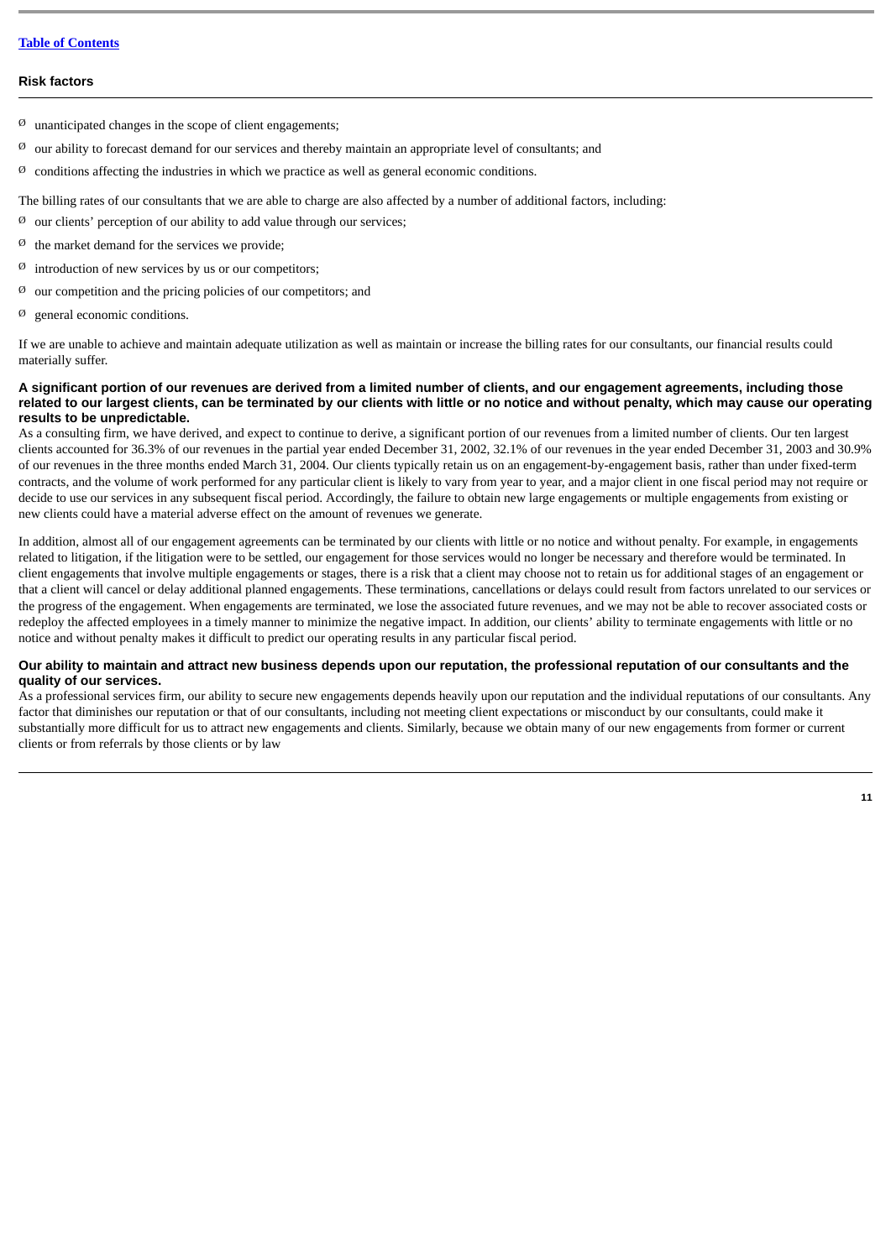#### **Risk factors**

 $\emptyset$  unanticipated changes in the scope of client engagements;

- $\emptyset$  our ability to forecast demand for our services and thereby maintain an appropriate level of consultants; and
- $\emptyset$  conditions affecting the industries in which we practice as well as general economic conditions.

The billing rates of our consultants that we are able to charge are also affected by a number of additional factors, including:

- $\emptyset$  our clients' perception of our ability to add value through our services;
- $\emptyset$  the market demand for the services we provide;
- $\emptyset$  introduction of new services by us or our competitors;
- $\emptyset$  our competition and the pricing policies of our competitors; and
- $\emptyset$  general economic conditions.

If we are unable to achieve and maintain adequate utilization as well as maintain or increase the billing rates for our consultants, our financial results could materially suffer.

#### **A significant portion of our revenues are derived from a limited number of clients, and our engagement agreements, including those related to our largest clients, can be terminated by our clients with little or no notice and without penalty, which may cause our operating results to be unpredictable.**

As a consulting firm, we have derived, and expect to continue to derive, a significant portion of our revenues from a limited number of clients. Our ten largest clients accounted for 36.3% of our revenues in the partial year ended December 31, 2002, 32.1% of our revenues in the year ended December 31, 2003 and 30.9% of our revenues in the three months ended March 31, 2004. Our clients typically retain us on an engagement-by-engagement basis, rather than under fixed-term contracts, and the volume of work performed for any particular client is likely to vary from year to year, and a major client in one fiscal period may not require or decide to use our services in any subsequent fiscal period. Accordingly, the failure to obtain new large engagements or multiple engagements from existing or new clients could have a material adverse effect on the amount of revenues we generate.

In addition, almost all of our engagement agreements can be terminated by our clients with little or no notice and without penalty. For example, in engagements related to litigation, if the litigation were to be settled, our engagement for those services would no longer be necessary and therefore would be terminated. In client engagements that involve multiple engagements or stages, there is a risk that a client may choose not to retain us for additional stages of an engagement or that a client will cancel or delay additional planned engagements. These terminations, cancellations or delays could result from factors unrelated to our services or the progress of the engagement. When engagements are terminated, we lose the associated future revenues, and we may not be able to recover associated costs or redeploy the affected employees in a timely manner to minimize the negative impact. In addition, our clients' ability to terminate engagements with little or no notice and without penalty makes it difficult to predict our operating results in any particular fiscal period.

#### **Our ability to maintain and attract new business depends upon our reputation, the professional reputation of our consultants and the quality of our services.**

As a professional services firm, our ability to secure new engagements depends heavily upon our reputation and the individual reputations of our consultants. Any factor that diminishes our reputation or that of our consultants, including not meeting client expectations or misconduct by our consultants, could make it substantially more difficult for us to attract new engagements and clients. Similarly, because we obtain many of our new engagements from former or current clients or from referrals by those clients or by law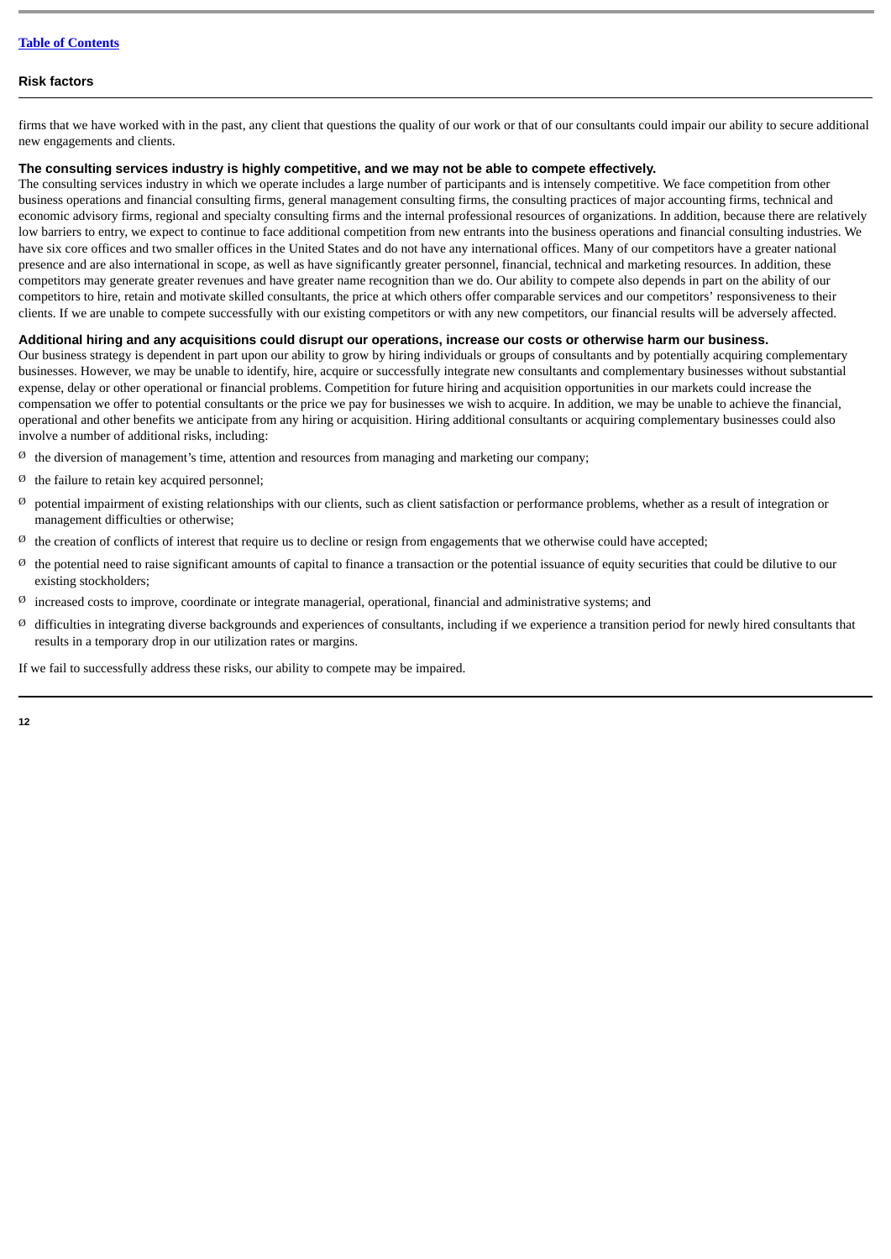#### **Risk factors**

firms that we have worked with in the past, any client that questions the quality of our work or that of our consultants could impair our ability to secure additional new engagements and clients.

#### **The consulting services industry is highly competitive, and we may not be able to compete effectively.**

The consulting services industry in which we operate includes a large number of participants and is intensely competitive. We face competition from other business operations and financial consulting firms, general management consulting firms, the consulting practices of major accounting firms, technical and economic advisory firms, regional and specialty consulting firms and the internal professional resources of organizations. In addition, because there are relatively low barriers to entry, we expect to continue to face additional competition from new entrants into the business operations and financial consulting industries. We have six core offices and two smaller offices in the United States and do not have any international offices. Many of our competitors have a greater national presence and are also international in scope, as well as have significantly greater personnel, financial, technical and marketing resources. In addition, these competitors may generate greater revenues and have greater name recognition than we do. Our ability to compete also depends in part on the ability of our competitors to hire, retain and motivate skilled consultants, the price at which others offer comparable services and our competitors' responsiveness to their clients. If we are unable to compete successfully with our existing competitors or with any new competitors, our financial results will be adversely affected.

#### **Additional hiring and any acquisitions could disrupt our operations, increase our costs or otherwise harm our business.**

Our business strategy is dependent in part upon our ability to grow by hiring individuals or groups of consultants and by potentially acquiring complementary businesses. However, we may be unable to identify, hire, acquire or successfully integrate new consultants and complementary businesses without substantial expense, delay or other operational or financial problems. Competition for future hiring and acquisition opportunities in our markets could increase the compensation we offer to potential consultants or the price we pay for businesses we wish to acquire. In addition, we may be unable to achieve the financial, operational and other benefits we anticipate from any hiring or acquisition. Hiring additional consultants or acquiring complementary businesses could also involve a number of additional risks, including:

- $\varnothing$  the diversion of management's time, attention and resources from managing and marketing our company;
- $\emptyset~$  the failure to retain key acquired personnel;
- $\emptyset$  potential impairment of existing relationships with our clients, such as client satisfaction or performance problems, whether as a result of integration or management difficulties or otherwise;
- $\emptyset$  the creation of conflicts of interest that require us to decline or resign from engagements that we otherwise could have accepted;
- $\emptyset$  the potential need to raise significant amounts of capital to finance a transaction or the potential issuance of equity securities that could be dilutive to our existing stockholders;
- $\emptyset$  increased costs to improve, coordinate or integrate managerial, operational, financial and administrative systems; and
- $\emptyset$  difficulties in integrating diverse backgrounds and experiences of consultants, including if we experience a transition period for newly hired consultants that results in a temporary drop in our utilization rates or margins.

If we fail to successfully address these risks, our ability to compete may be impaired.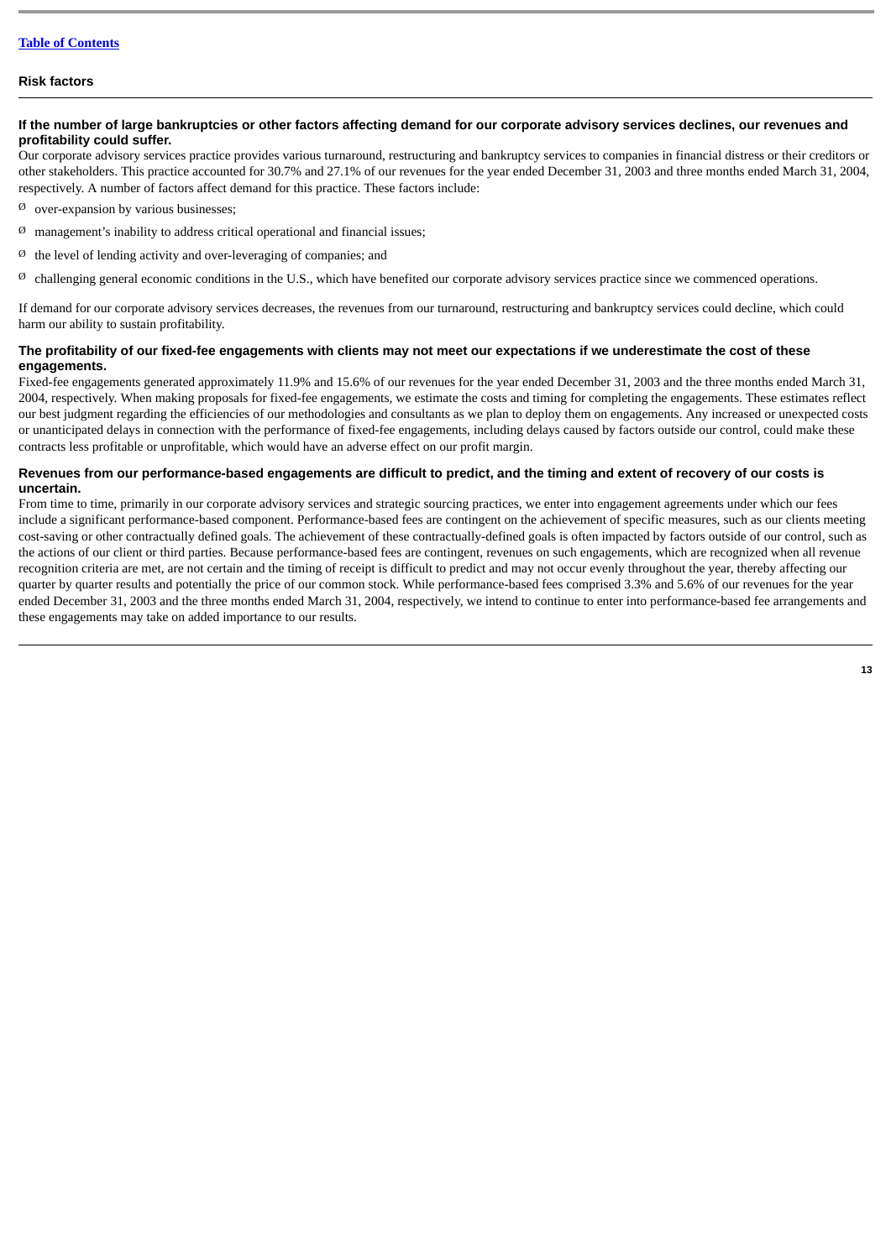#### **Risk factors**

#### **If the number of large bankruptcies or other factors affecting demand for our corporate advisory services declines, our revenues and profitability could suffer.**

Our corporate advisory services practice provides various turnaround, restructuring and bankruptcy services to companies in financial distress or their creditors or other stakeholders. This practice accounted for 30.7% and 27.1% of our revenues for the year ended December 31, 2003 and three months ended March 31, 2004, respectively. A number of factors affect demand for this practice. These factors include:

- $\emptyset$  over-expansion by various businesses;
- $\emptyset$  management's inability to address critical operational and financial issues;
- $\emptyset$  the level of lending activity and over-leveraging of companies; and
- $\emptyset$  challenging general economic conditions in the U.S., which have benefited our corporate advisory services practice since we commenced operations.

If demand for our corporate advisory services decreases, the revenues from our turnaround, restructuring and bankruptcy services could decline, which could harm our ability to sustain profitability.

#### **The profitability of our fixed-fee engagements with clients may not meet our expectations if we underestimate the cost of these engagements.**

Fixed-fee engagements generated approximately 11.9% and 15.6% of our revenues for the year ended December 31, 2003 and the three months ended March 31, 2004, respectively. When making proposals for fixed-fee engagements, we estimate the costs and timing for completing the engagements. These estimates reflect our best judgment regarding the efficiencies of our methodologies and consultants as we plan to deploy them on engagements. Any increased or unexpected costs or unanticipated delays in connection with the performance of fixed-fee engagements, including delays caused by factors outside our control, could make these contracts less profitable or unprofitable, which would have an adverse effect on our profit margin.

#### **Revenues from our performance-based engagements are difficult to predict, and the timing and extent of recovery of our costs is uncertain.**

From time to time, primarily in our corporate advisory services and strategic sourcing practices, we enter into engagement agreements under which our fees include a significant performance-based component. Performance-based fees are contingent on the achievement of specific measures, such as our clients meeting cost-saving or other contractually defined goals. The achievement of these contractually-defined goals is often impacted by factors outside of our control, such as the actions of our client or third parties. Because performance-based fees are contingent, revenues on such engagements, which are recognized when all revenue recognition criteria are met, are not certain and the timing of receipt is difficult to predict and may not occur evenly throughout the year, thereby affecting our quarter by quarter results and potentially the price of our common stock. While performance-based fees comprised 3.3% and 5.6% of our revenues for the year ended December 31, 2003 and the three months ended March 31, 2004, respectively, we intend to continue to enter into performance-based fee arrangements and these engagements may take on added importance to our results.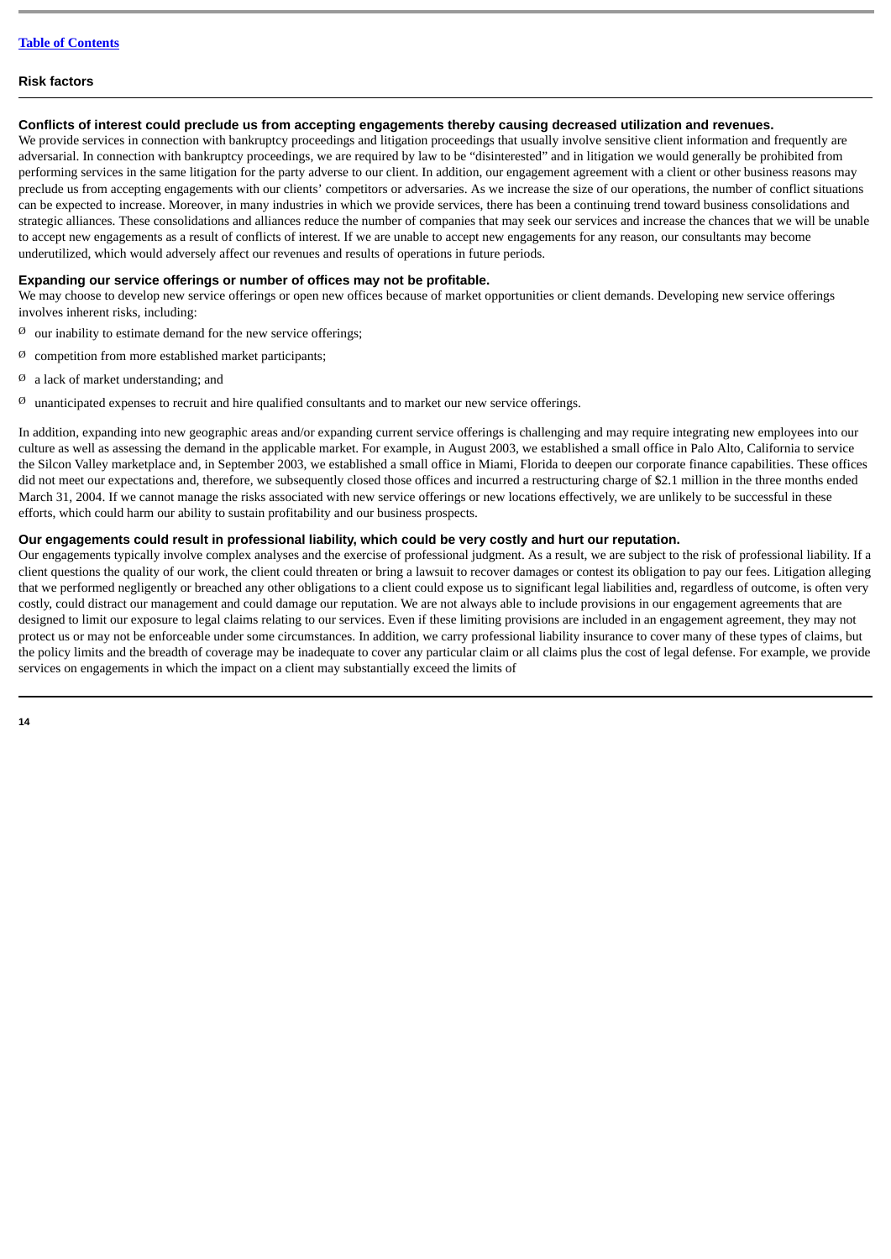#### **Risk factors**

#### **Conflicts of interest could preclude us from accepting engagements thereby causing decreased utilization and revenues.**

We provide services in connection with bankruptcy proceedings and litigation proceedings that usually involve sensitive client information and frequently are adversarial. In connection with bankruptcy proceedings, we are required by law to be "disinterested" and in litigation we would generally be prohibited from performing services in the same litigation for the party adverse to our client. In addition, our engagement agreement with a client or other business reasons may preclude us from accepting engagements with our clients' competitors or adversaries. As we increase the size of our operations, the number of conflict situations can be expected to increase. Moreover, in many industries in which we provide services, there has been a continuing trend toward business consolidations and strategic alliances. These consolidations and alliances reduce the number of companies that may seek our services and increase the chances that we will be unable to accept new engagements as a result of conflicts of interest. If we are unable to accept new engagements for any reason, our consultants may become underutilized, which would adversely affect our revenues and results of operations in future periods.

#### **Expanding our service offerings or number of offices may not be profitable.**

We may choose to develop new service offerings or open new offices because of market opportunities or client demands. Developing new service offerings involves inherent risks, including:

- $\emptyset$  our inability to estimate demand for the new service offerings;
- $\emptyset$  competition from more established market participants;
- $\emptyset$  a lack of market understanding; and
- $\emptyset$  unanticipated expenses to recruit and hire qualified consultants and to market our new service offerings.

In addition, expanding into new geographic areas and/or expanding current service offerings is challenging and may require integrating new employees into our culture as well as assessing the demand in the applicable market. For example, in August 2003, we established a small office in Palo Alto, California to service the Silcon Valley marketplace and, in September 2003, we established a small office in Miami, Florida to deepen our corporate finance capabilities. These offices did not meet our expectations and, therefore, we subsequently closed those offices and incurred a restructuring charge of \$2.1 million in the three months ended March 31, 2004. If we cannot manage the risks associated with new service offerings or new locations effectively, we are unlikely to be successful in these efforts, which could harm our ability to sustain profitability and our business prospects.

#### **Our engagements could result in professional liability, which could be very costly and hurt our reputation.**

Our engagements typically involve complex analyses and the exercise of professional judgment. As a result, we are subject to the risk of professional liability. If a client questions the quality of our work, the client could threaten or bring a lawsuit to recover damages or contest its obligation to pay our fees. Litigation alleging that we performed negligently or breached any other obligations to a client could expose us to significant legal liabilities and, regardless of outcome, is often very costly, could distract our management and could damage our reputation. We are not always able to include provisions in our engagement agreements that are designed to limit our exposure to legal claims relating to our services. Even if these limiting provisions are included in an engagement agreement, they may not protect us or may not be enforceable under some circumstances. In addition, we carry professional liability insurance to cover many of these types of claims, but the policy limits and the breadth of coverage may be inadequate to cover any particular claim or all claims plus the cost of legal defense. For example, we provide services on engagements in which the impact on a client may substantially exceed the limits of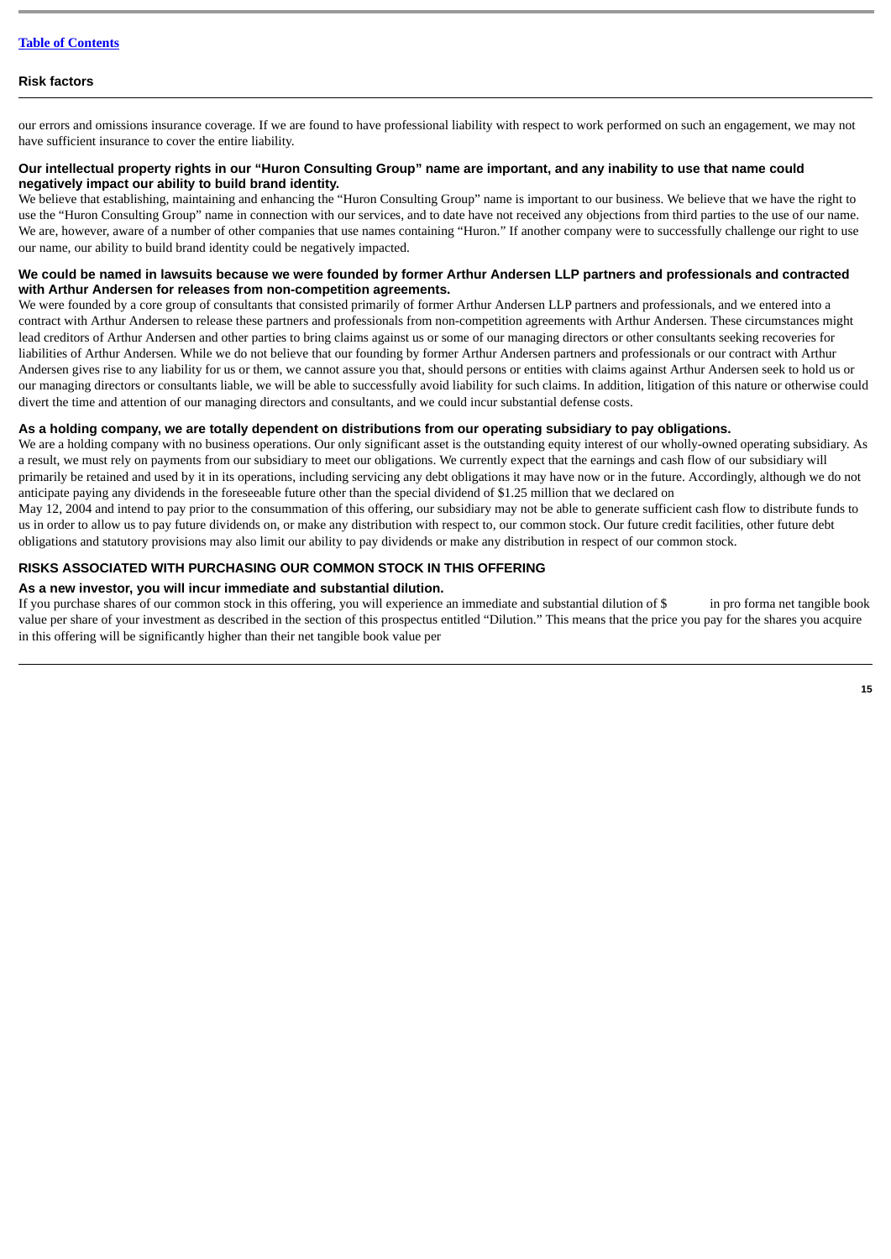#### **Risk factors**

our errors and omissions insurance coverage. If we are found to have professional liability with respect to work performed on such an engagement, we may not have sufficient insurance to cover the entire liability.

#### **Our intellectual property rights in our "Huron Consulting Group" name are important, and any inability to use that name could negatively impact our ability to build brand identity.**

We believe that establishing, maintaining and enhancing the "Huron Consulting Group" name is important to our business. We believe that we have the right to use the "Huron Consulting Group" name in connection with our services, and to date have not received any objections from third parties to the use of our name. We are, however, aware of a number of other companies that use names containing "Huron." If another company were to successfully challenge our right to use our name, our ability to build brand identity could be negatively impacted.

#### **We could be named in lawsuits because we were founded by former Arthur Andersen LLP partners and professionals and contracted with Arthur Andersen for releases from non-competition agreements.**

We were founded by a core group of consultants that consisted primarily of former Arthur Andersen LLP partners and professionals, and we entered into a contract with Arthur Andersen to release these partners and professionals from non-competition agreements with Arthur Andersen. These circumstances might lead creditors of Arthur Andersen and other parties to bring claims against us or some of our managing directors or other consultants seeking recoveries for liabilities of Arthur Andersen. While we do not believe that our founding by former Arthur Andersen partners and professionals or our contract with Arthur Andersen gives rise to any liability for us or them, we cannot assure you that, should persons or entities with claims against Arthur Andersen seek to hold us or our managing directors or consultants liable, we will be able to successfully avoid liability for such claims. In addition, litigation of this nature or otherwise could divert the time and attention of our managing directors and consultants, and we could incur substantial defense costs.

#### **As a holding company, we are totally dependent on distributions from our operating subsidiary to pay obligations.**

We are a holding company with no business operations. Our only significant asset is the outstanding equity interest of our wholly-owned operating subsidiary. As a result, we must rely on payments from our subsidiary to meet our obligations. We currently expect that the earnings and cash flow of our subsidiary will primarily be retained and used by it in its operations, including servicing any debt obligations it may have now or in the future. Accordingly, although we do not anticipate paying any dividends in the foreseeable future other than the special dividend of \$1.25 million that we declared on

May 12, 2004 and intend to pay prior to the consummation of this offering, our subsidiary may not be able to generate sufficient cash flow to distribute funds to us in order to allow us to pay future dividends on, or make any distribution with respect to, our common stock. Our future credit facilities, other future debt obligations and statutory provisions may also limit our ability to pay dividends or make any distribution in respect of our common stock.

#### **RISKS ASSOCIATED WITH PURCHASING OUR COMMON STOCK IN THIS OFFERING**

#### **As a new investor, you will incur immediate and substantial dilution.**

If you purchase shares of our common stock in this offering, you will experience an immediate and substantial dilution of \$ in pro forma net tangible book value per share of your investment as described in the section of this prospectus entitled "Dilution." This means that the price you pay for the shares you acquire in this offering will be significantly higher than their net tangible book value per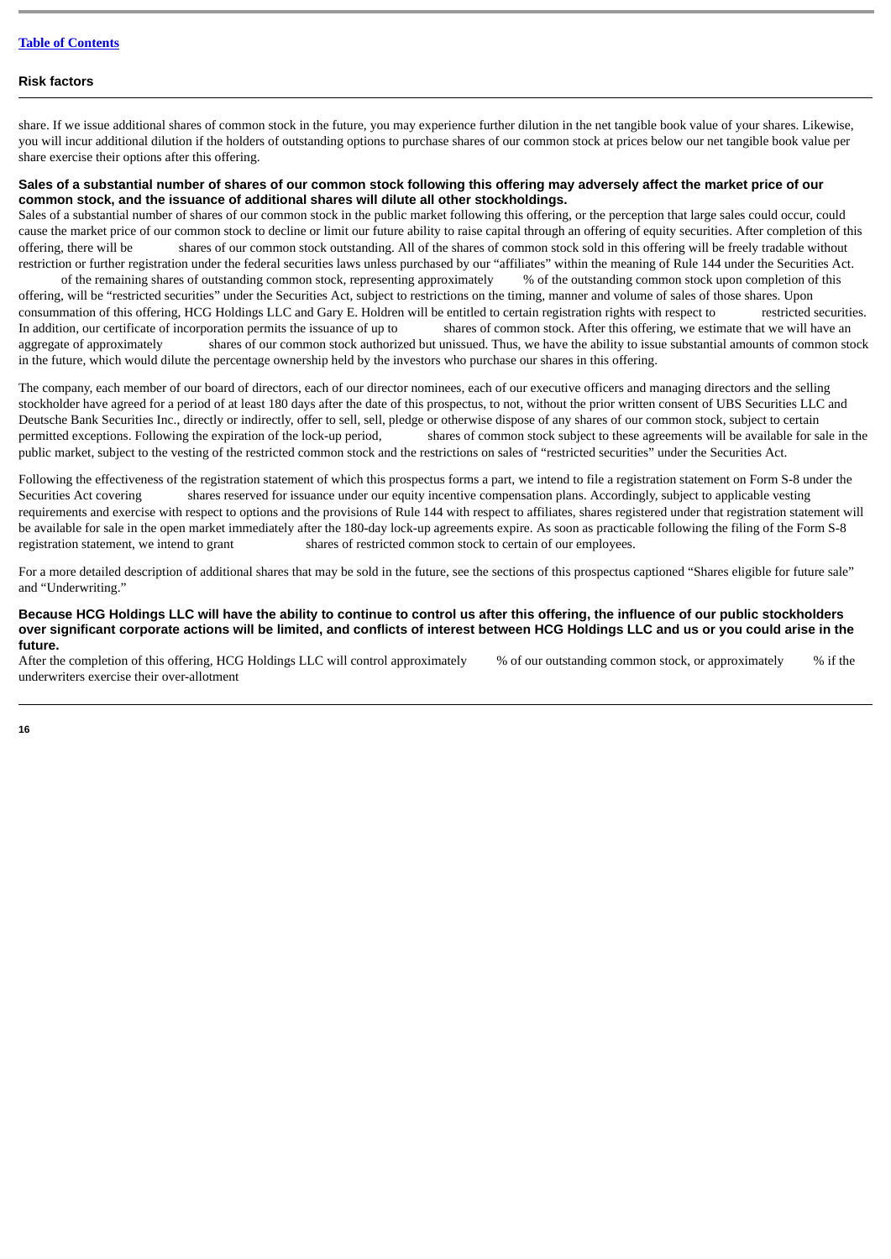#### **Risk factors**

share. If we issue additional shares of common stock in the future, you may experience further dilution in the net tangible book value of your shares. Likewise, you will incur additional dilution if the holders of outstanding options to purchase shares of our common stock at prices below our net tangible book value per share exercise their options after this offering.

#### **Sales of a substantial number of shares of our common stock following this offering may adversely affect the market price of our common stock, and the issuance of additional shares will dilute all other stockholdings.**

Sales of a substantial number of shares of our common stock in the public market following this offering, or the perception that large sales could occur, could cause the market price of our common stock to decline or limit our future ability to raise capital through an offering of equity securities. After completion of this offering, there will be shares of our common stock outstanding. All of the shares of common stock sold in this offering will be freely tradable without restriction or further registration under the federal securities laws unless purchased by our "affiliates" within the meaning of Rule 144 under the Securities Act. of the remaining shares of outstanding common stock, representing approximately % of the outstanding common stock upon completion of this

offering, will be "restricted securities" under the Securities Act, subject to restrictions on the timing, manner and volume of sales of those shares. Upon consummation of this offering, HCG Holdings LLC and Gary E. Holdren will be entitled to certain registration rights with respect to restricted securities. In addition, our certificate of incorporation permits the issuance of up to shares of common stock. After this offering, we estimate that we will have an aggregate of approximately shares of our common stock authorized but unissued. Thus, we have the ability to issue substantial amounts of common stock in the future, which would dilute the percentage ownership held by the investors who purchase our shares in this offering.

The company, each member of our board of directors, each of our director nominees, each of our executive officers and managing directors and the selling stockholder have agreed for a period of at least 180 days after the date of this prospectus, to not, without the prior written consent of UBS Securities LLC and Deutsche Bank Securities Inc., directly or indirectly, offer to sell, sell, pledge or otherwise dispose of any shares of our common stock, subject to certain permitted exceptions. Following the expiration of the lock-up period, shares of common stock subject to these agreements will be available for sale in the public market, subject to the vesting of the restricted common stock and the restrictions on sales of "restricted securities" under the Securities Act.

Following the effectiveness of the registration statement of which this prospectus forms a part, we intend to file a registration statement on Form S-8 under the Securities Act covering shares reserved for issuance under our equity incentive compensation plans. Accordingly, subject to applicable vesting requirements and exercise with respect to options and the provisions of Rule 144 with respect to affiliates, shares registered under that registration statement will be available for sale in the open market immediately after the 180-day lock-up agreements expire. As soon as practicable following the filing of the Form S-8 registration statement, we intend to grant shares of restricted common stock to certain of our employees.

For a more detailed description of additional shares that may be sold in the future, see the sections of this prospectus captioned "Shares eligible for future sale" and "Underwriting."

**Because HCG Holdings LLC will have the ability to continue to control us after this offering, the influence of our public stockholders over significant corporate actions will be limited, and conflicts of interest between HCG Holdings LLC and us or you could arise in the future.**

After the completion of this offering, HCG Holdings LLC will control approximately % of our outstanding common stock, or approximately % if the underwriters exercise their over-allotment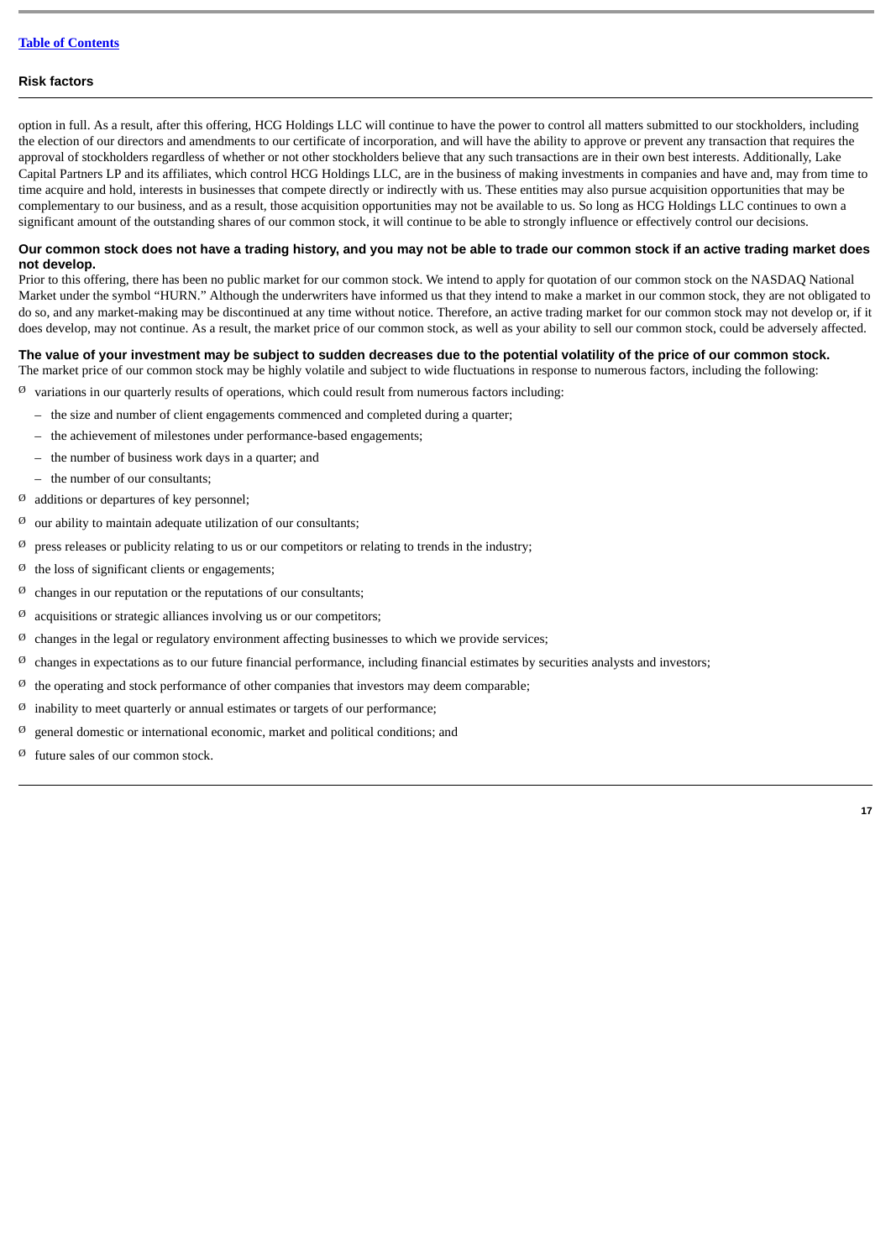#### **Risk factors**

option in full. As a result, after this offering, HCG Holdings LLC will continue to have the power to control all matters submitted to our stockholders, including the election of our directors and amendments to our certificate of incorporation, and will have the ability to approve or prevent any transaction that requires the approval of stockholders regardless of whether or not other stockholders believe that any such transactions are in their own best interests. Additionally, Lake Capital Partners LP and its affiliates, which control HCG Holdings LLC, are in the business of making investments in companies and have and, may from time to time acquire and hold, interests in businesses that compete directly or indirectly with us. These entities may also pursue acquisition opportunities that may be complementary to our business, and as a result, those acquisition opportunities may not be available to us. So long as HCG Holdings LLC continues to own a significant amount of the outstanding shares of our common stock, it will continue to be able to strongly influence or effectively control our decisions.

#### **Our common stock does not have a trading history, and you may not be able to trade our common stock if an active trading market does not develop.**

Prior to this offering, there has been no public market for our common stock. We intend to apply for quotation of our common stock on the NASDAQ National Market under the symbol "HURN." Although the underwriters have informed us that they intend to make a market in our common stock, they are not obligated to do so, and any market-making may be discontinued at any time without notice. Therefore, an active trading market for our common stock may not develop or, if it does develop, may not continue. As a result, the market price of our common stock, as well as your ability to sell our common stock, could be adversely affected.

#### **The value of your investment may be subject to sudden decreases due to the potential volatility of the price of our common stock.**

The market price of our common stock may be highly volatile and subject to wide fluctuations in response to numerous factors, including the following:

 $\emptyset$  variations in our quarterly results of operations, which could result from numerous factors including:

- the size and number of client engagements commenced and completed during a quarter;
- the achievement of milestones under performance-based engagements;
- the number of business work days in a quarter; and
- the number of our consultants;
- $\emptyset$  additions or departures of key personnel;
- $\emptyset$  our ability to maintain adequate utilization of our consultants;
- $\emptyset$  press releases or publicity relating to us or our competitors or relating to trends in the industry;
- $\emptyset$  the loss of significant clients or engagements;
- $\emptyset$  changes in our reputation or the reputations of our consultants;
- $\emptyset$  acquisitions or strategic alliances involving us or our competitors;
- $\emptyset$  changes in the legal or regulatory environment affecting businesses to which we provide services;
- $\emptyset$  changes in expectations as to our future financial performance, including financial estimates by securities analysts and investors;
- $\emptyset$  the operating and stock performance of other companies that investors may deem comparable;
- $\emptyset$  inability to meet quarterly or annual estimates or targets of our performance;
- $\emptyset$  general domestic or international economic, market and political conditions; and
- $\emptyset$  future sales of our common stock.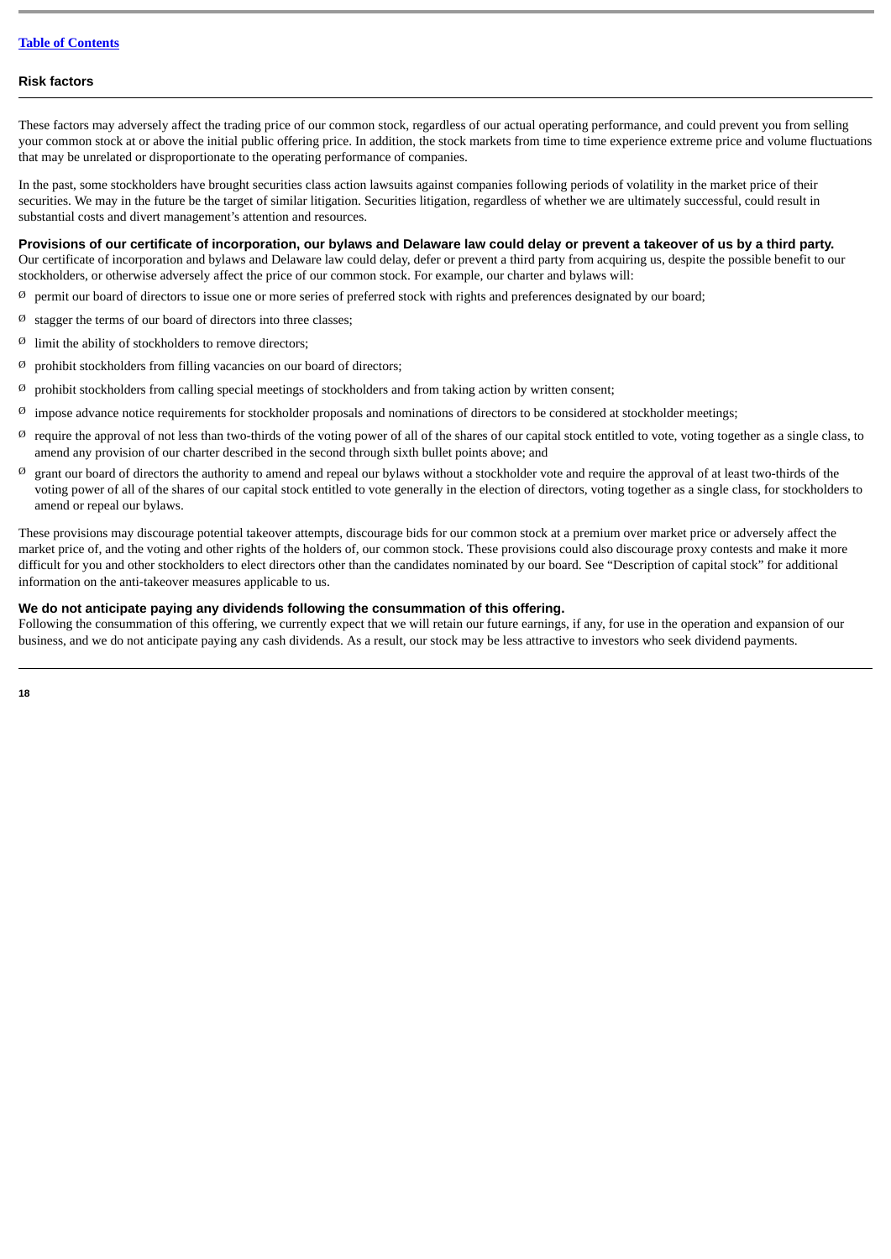#### **Risk factors**

These factors may adversely affect the trading price of our common stock, regardless of our actual operating performance, and could prevent you from selling your common stock at or above the initial public offering price. In addition, the stock markets from time to time experience extreme price and volume fluctuations that may be unrelated or disproportionate to the operating performance of companies.

In the past, some stockholders have brought securities class action lawsuits against companies following periods of volatility in the market price of their securities. We may in the future be the target of similar litigation. Securities litigation, regardless of whether we are ultimately successful, could result in substantial costs and divert management's attention and resources.

#### **Provisions of our certificate of incorporation, our bylaws and Delaware law could delay or prevent a takeover of us by a third party.**

Our certificate of incorporation and bylaws and Delaware law could delay, defer or prevent a third party from acquiring us, despite the possible benefit to our stockholders, or otherwise adversely affect the price of our common stock. For example, our charter and bylaws will:

- $\emptyset$  permit our board of directors to issue one or more series of preferred stock with rights and preferences designated by our board;
- $\emptyset$  stagger the terms of our board of directors into three classes;
- $\emptyset$  limit the ability of stockholders to remove directors;
- $\emptyset~$  prohibit stockholders from filling vacancies on our board of directors;
- $\emptyset$  prohibit stockholders from calling special meetings of stockholders and from taking action by written consent;
- $\emptyset$  impose advance notice requirements for stockholder proposals and nominations of directors to be considered at stockholder meetings;
- $\varnothing$  require the approval of not less than two-thirds of the voting power of all of the shares of our capital stock entitled to vote, voting together as a single class, to amend any provision of our charter described in the second through sixth bullet points above; and
- $\varnothing$  grant our board of directors the authority to amend and repeal our bylaws without a stockholder vote and require the approval of at least two-thirds of the voting power of all of the shares of our capital stock entitled to vote generally in the election of directors, voting together as a single class, for stockholders to amend or repeal our bylaws.

These provisions may discourage potential takeover attempts, discourage bids for our common stock at a premium over market price or adversely affect the market price of, and the voting and other rights of the holders of, our common stock. These provisions could also discourage proxy contests and make it more difficult for you and other stockholders to elect directors other than the candidates nominated by our board. See "Description of capital stock" for additional information on the anti-takeover measures applicable to us.

#### **We do not anticipate paying any dividends following the consummation of this offering.**

Following the consummation of this offering, we currently expect that we will retain our future earnings, if any, for use in the operation and expansion of our business, and we do not anticipate paying any cash dividends. As a result, our stock may be less attractive to investors who seek dividend payments.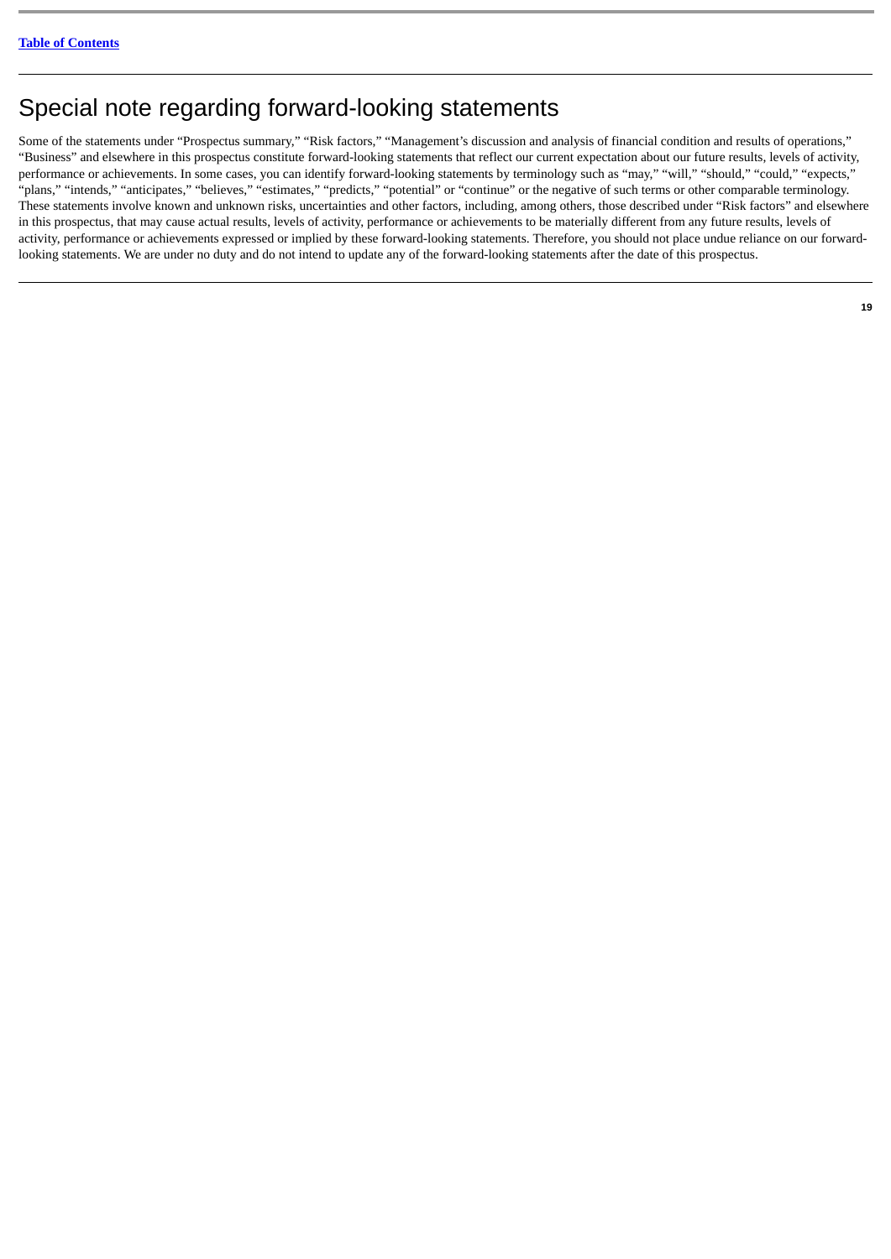### <span id="page-21-0"></span>Special note regarding forward-looking statements

Some of the statements under "Prospectus summary," "Risk factors," "Management's discussion and analysis of financial condition and results of operations," "Business" and elsewhere in this prospectus constitute forward-looking statements that reflect our current expectation about our future results, levels of activity, performance or achievements. In some cases, you can identify forward-looking statements by terminology such as "may," "will," "should," "could," "expects," "plans," "intends," "anticipates," "believes," "estimates," "predicts," "potential" or "continue" or the negative of such terms or other comparable terminology. These statements involve known and unknown risks, uncertainties and other factors, including, among others, those described under "Risk factors" and elsewhere in this prospectus, that may cause actual results, levels of activity, performance or achievements to be materially different from any future results, levels of activity, performance or achievements expressed or implied by these forward-looking statements. Therefore, you should not place undue reliance on our forwardlooking statements. We are under no duty and do not intend to update any of the forward-looking statements after the date of this prospectus.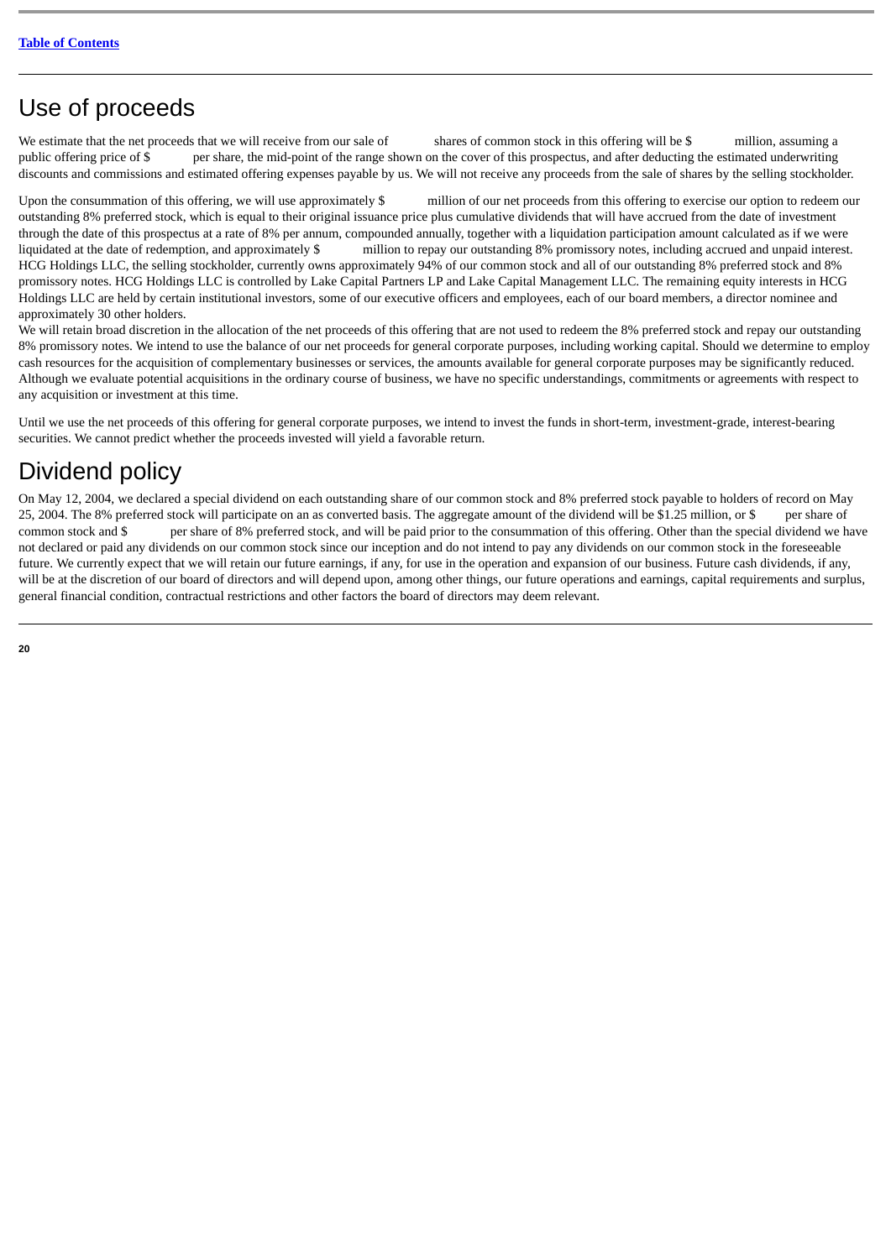# <span id="page-22-0"></span>Use of proceeds

We estimate that the net proceeds that we will receive from our sale of shares of common stock in this offering will be \$ million, assuming a public offering price of \$ per share, the mid-point of the range shown on the cover of this prospectus, and after deducting the estimated underwriting discounts and commissions and estimated offering expenses payable by us. We will not receive any proceeds from the sale of shares by the selling stockholder.

Upon the consummation of this offering, we will use approximately \$ million of our net proceeds from this offering to exercise our option to redeem our outstanding 8% preferred stock, which is equal to their original issuance price plus cumulative dividends that will have accrued from the date of investment through the date of this prospectus at a rate of 8% per annum, compounded annually, together with a liquidation participation amount calculated as if we were liquidated at the date of redemption, and approximately \$ million to repay our outstanding 8% promissory notes, including accrued and unpaid interest. HCG Holdings LLC, the selling stockholder, currently owns approximately 94% of our common stock and all of our outstanding 8% preferred stock and 8% promissory notes. HCG Holdings LLC is controlled by Lake Capital Partners LP and Lake Capital Management LLC. The remaining equity interests in HCG Holdings LLC are held by certain institutional investors, some of our executive officers and employees, each of our board members, a director nominee and approximately 30 other holders.

We will retain broad discretion in the allocation of the net proceeds of this offering that are not used to redeem the 8% preferred stock and repay our outstanding 8% promissory notes. We intend to use the balance of our net proceeds for general corporate purposes, including working capital. Should we determine to employ cash resources for the acquisition of complementary businesses or services, the amounts available for general corporate purposes may be significantly reduced. Although we evaluate potential acquisitions in the ordinary course of business, we have no specific understandings, commitments or agreements with respect to any acquisition or investment at this time.

Until we use the net proceeds of this offering for general corporate purposes, we intend to invest the funds in short-term, investment-grade, interest-bearing securities. We cannot predict whether the proceeds invested will yield a favorable return.

# <span id="page-22-1"></span>Dividend policy

On May 12, 2004, we declared a special dividend on each outstanding share of our common stock and 8% preferred stock payable to holders of record on May 25, 2004. The 8% preferred stock will participate on an as converted basis. The aggregate amount of the dividend will be \$1.25 million, or \$ per share of common stock and \$ per share of 8% preferred stock, and will be paid prior to the consummation of this offering. Other than the special dividend we have not declared or paid any dividends on our common stock since our inception and do not intend to pay any dividends on our common stock in the foreseeable future. We currently expect that we will retain our future earnings, if any, for use in the operation and expansion of our business. Future cash dividends, if any, will be at the discretion of our board of directors and will depend upon, among other things, our future operations and earnings, capital requirements and surplus, general financial condition, contractual restrictions and other factors the board of directors may deem relevant.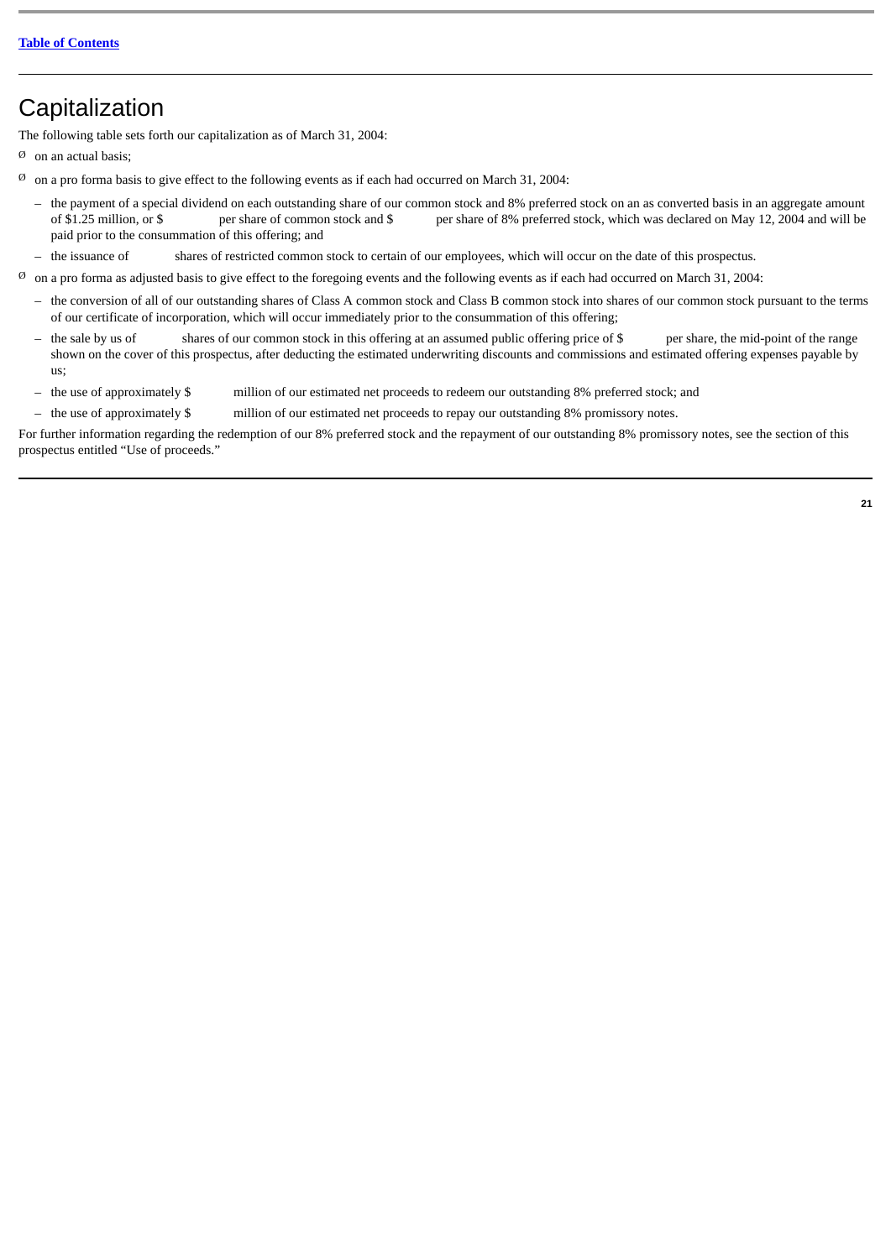# <span id="page-23-0"></span>Capitalization

The following table sets forth our capitalization as of March 31, 2004:

 $\emptyset$  on an actual basis;

- $\varnothing$  on a pro forma basis to give effect to the following events as if each had occurred on March 31, 2004:
	- the payment of a special dividend on each outstanding share of our common stock and 8% preferred stock on an as converted basis in an aggregate amount of \$1.25 million, or \$ per share of common stock and \$ per share of 8 of \$1.25 million, or \$ per share of common stock and \$ per share of 8% preferred stock, which was declared on May 12, 2004 and will be paid prior to the consummation of this offering; and

– the issuance of shares of restricted common stock to certain of our employees, which will occur on the date of this prospectus.

- $\emptyset$  on a pro forma as adjusted basis to give effect to the foregoing events and the following events as if each had occurred on March 31, 2004:
	- the conversion of all of our outstanding shares of Class A common stock and Class B common stock into shares of our common stock pursuant to the terms of our certificate of incorporation, which will occur immediately prior to the consummation of this offering;
	- the sale by us of shares of our common stock in this offering at an assumed public offering price of \$ per share, the mid-point of the range shown on the cover of this prospectus, after deducting the estimated underwriting discounts and commissions and estimated offering expenses payable by us;
	- the use of approximately \$ million of our estimated net proceeds to redeem our outstanding 8% preferred stock; and
	- the use of approximately \$ million of our estimated net proceeds to repay our outstanding 8% promissory notes.

For further information regarding the redemption of our 8% preferred stock and the repayment of our outstanding 8% promissory notes, see the section of this prospectus entitled "Use of proceeds."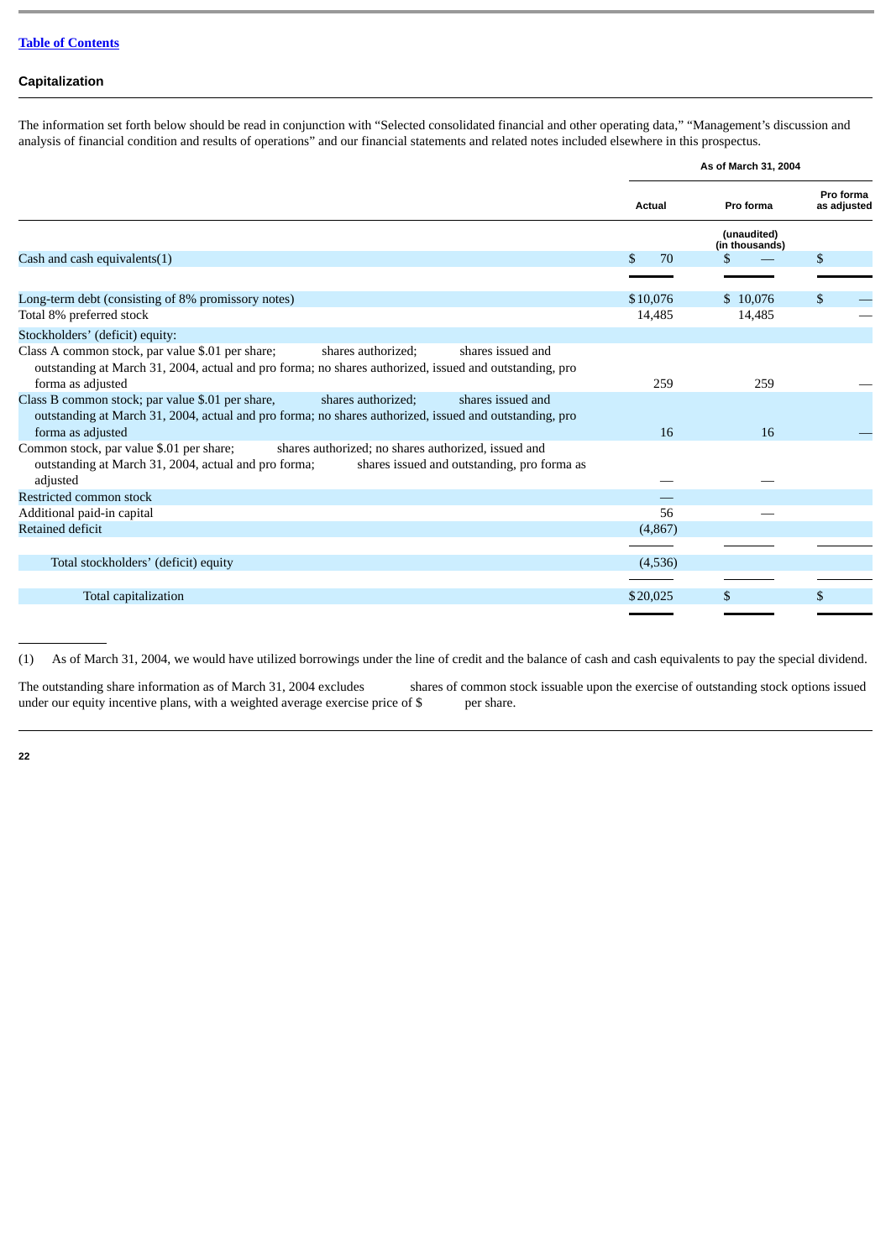#### **Capitalization**

The information set forth below should be read in conjunction with "Selected consolidated financial and other operating data," "Management's discussion and analysis of financial condition and results of operations" and our financial statements and related notes included elsewhere in this prospectus.

|                                                                                                                                                                                                                            | As of March 31, 2004 |                               |                          |
|----------------------------------------------------------------------------------------------------------------------------------------------------------------------------------------------------------------------------|----------------------|-------------------------------|--------------------------|
|                                                                                                                                                                                                                            | <b>Actual</b>        | Pro forma                     | Pro forma<br>as adjusted |
|                                                                                                                                                                                                                            |                      | (unaudited)<br>(in thousands) |                          |
| Cash and cash equivalents $(1)$                                                                                                                                                                                            | \$<br>70             |                               |                          |
|                                                                                                                                                                                                                            |                      |                               |                          |
| Long-term debt (consisting of 8% promissory notes)                                                                                                                                                                         | \$10,076             | \$10,076                      |                          |
| Total 8% preferred stock                                                                                                                                                                                                   | 14,485               | 14,485                        |                          |
| Stockholders' (deficit) equity:                                                                                                                                                                                            |                      |                               |                          |
| Class A common stock, par value \$.01 per share;<br>shares authorized:<br>shares issued and<br>outstanding at March 31, 2004, actual and pro forma; no shares authorized, issued and outstanding, pro                      |                      |                               |                          |
| forma as adjusted                                                                                                                                                                                                          | 259                  | 259                           |                          |
| Class B common stock; par value \$.01 per share,<br>shares authorized;<br>shares issued and<br>outstanding at March 31, 2004, actual and pro forma; no shares authorized, issued and outstanding, pro<br>forma as adjusted | 16                   | 16                            |                          |
| shares authorized; no shares authorized, issued and<br>Common stock, par value \$.01 per share;<br>outstanding at March 31, 2004, actual and pro forma;<br>shares issued and outstanding, pro forma as<br>adjusted         |                      |                               |                          |
| Restricted common stock                                                                                                                                                                                                    |                      |                               |                          |
| Additional paid-in capital                                                                                                                                                                                                 | 56                   |                               |                          |
| Retained deficit                                                                                                                                                                                                           | (4,867)              |                               |                          |
|                                                                                                                                                                                                                            |                      |                               |                          |
| Total stockholders' (deficit) equity                                                                                                                                                                                       | (4,536)              |                               |                          |
|                                                                                                                                                                                                                            |                      |                               |                          |
| Total capitalization                                                                                                                                                                                                       | \$20,025             |                               |                          |

(1) As of March 31, 2004, we would have utilized borrowings under the line of credit and the balance of cash and cash equivalents to pay the special dividend.

The outstanding share information as of March 31, 2004 excludes shares of common stock issuable upon the exercise of outstanding stock options issued under our equity incentive plans, with a weighted average exercise price of \$ per share.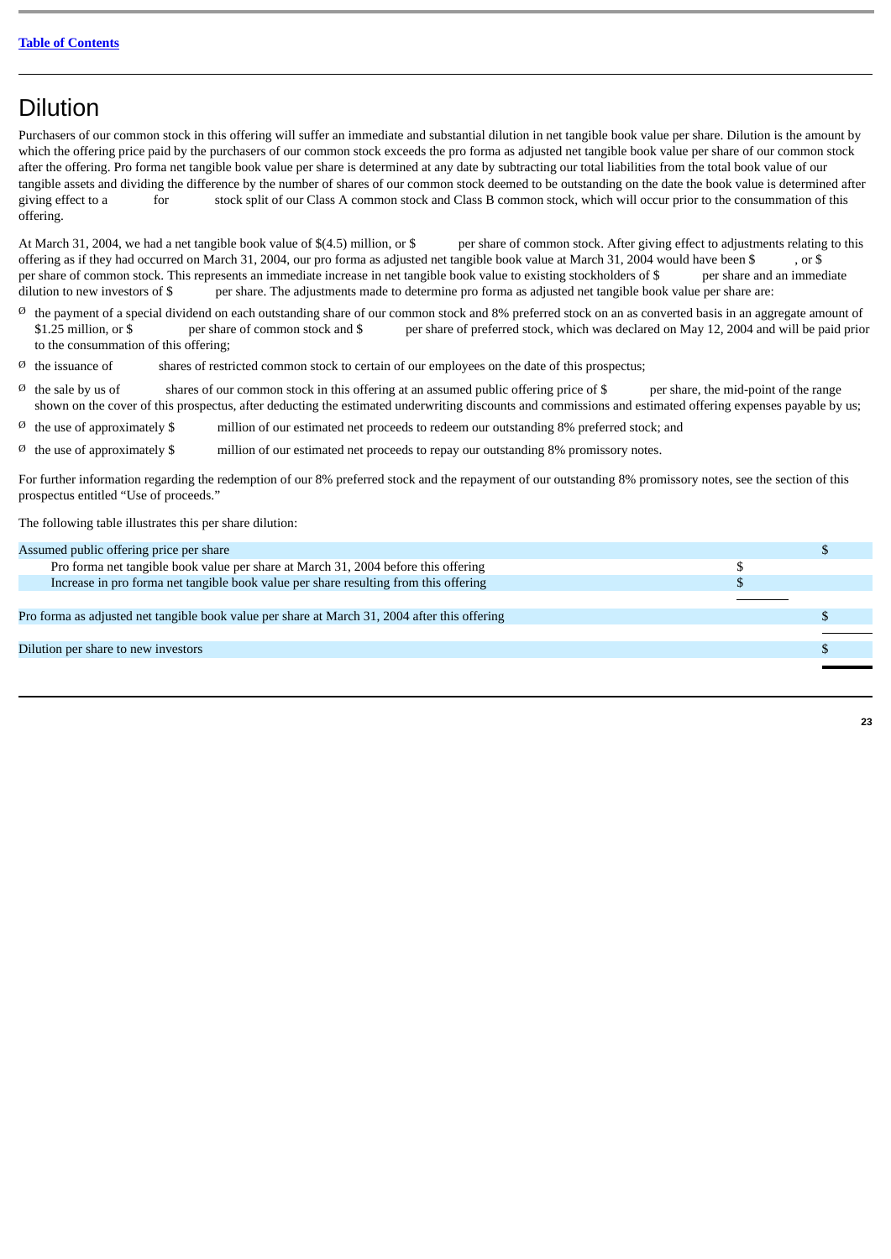# <span id="page-25-0"></span>Dilution

Purchasers of our common stock in this offering will suffer an immediate and substantial dilution in net tangible book value per share. Dilution is the amount by which the offering price paid by the purchasers of our common stock exceeds the pro forma as adjusted net tangible book value per share of our common stock after the offering. Pro forma net tangible book value per share is determined at any date by subtracting our total liabilities from the total book value of our tangible assets and dividing the difference by the number of shares of our common stock deemed to be outstanding on the date the book value is determined after giving effect to a for stock split of our Class A common stock and Class B common stock, which will occur prior to the consummation of this offering.

At March 31, 2004, we had a net tangible book value of \$(4.5) million, or \$ per share of common stock. After giving effect to adjustments relating to this offering as if they had occurred on March 31, 2004, our pro forma as adjusted net tangible book value at March 31, 2004 would have been \$ , or \$ per share of common stock. This represents an immediate increase in net tangible book value to existing stockholders of \$ per share and an immediate dilution to new investors of \$ per share. The adjustments made to determine pro forma as adjusted net tangible book value per share are:

- $\emptyset$  the payment of a special dividend on each outstanding share of our common stock and 8% preferred stock on an as converted basis in an aggregate amount of \$1.25 million, or \$ per share of common stock and \$ per share of preferred stock, which was declared on May 12, 2004 and will be paid prior to the consummation of this offering;
- $\emptyset$  the issuance of shares of restricted common stock to certain of our employees on the date of this prospectus;
- $\varnothing$  the sale by us of shares of our common stock in this offering at an assumed public offering price of \$ per share, the mid-point of the range shown on the cover of this prospectus, after deducting the estimated underwriting discounts and commissions and estimated offering expenses payable by us;
- $\emptyset$  the use of approximately \$ million of our estimated net proceeds to redeem our outstanding 8% preferred stock; and
- $\emptyset$  the use of approximately \$ million of our estimated net proceeds to repay our outstanding 8% promissory notes.

For further information regarding the redemption of our 8% preferred stock and the repayment of our outstanding 8% promissory notes, see the section of this prospectus entitled "Use of proceeds."

The following table illustrates this per share dilution:

| Assumed public offering price per share                                                       |  |
|-----------------------------------------------------------------------------------------------|--|
| Pro forma net tangible book value per share at March 31, 2004 before this offering            |  |
| Increase in pro forma net tangible book value per share resulting from this offering          |  |
|                                                                                               |  |
| Pro forma as adjusted net tangible book value per share at March 31, 2004 after this offering |  |
|                                                                                               |  |
| Dilution per share to new investors                                                           |  |
|                                                                                               |  |
|                                                                                               |  |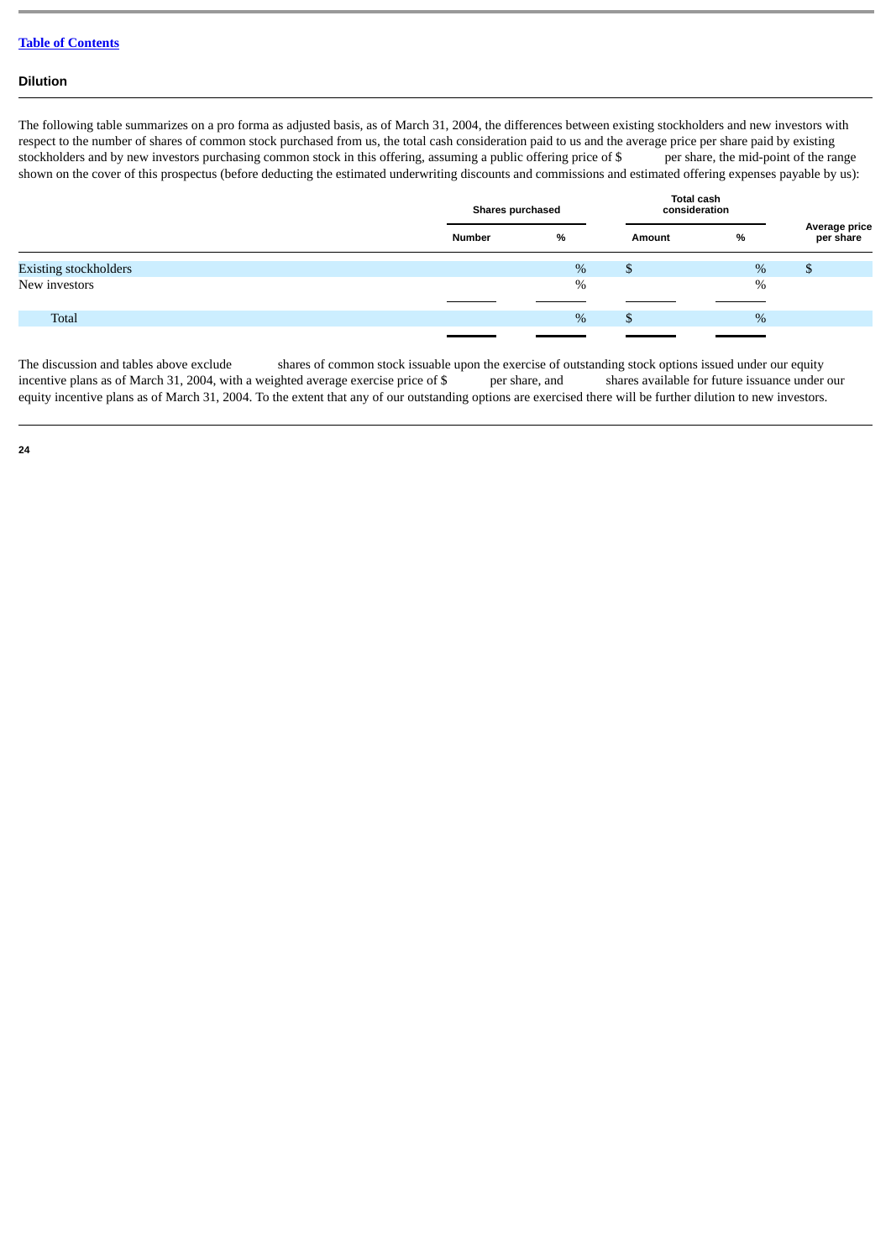#### **Dilution**

The following table summarizes on a pro forma as adjusted basis, as of March 31, 2004, the differences between existing stockholders and new investors with respect to the number of shares of common stock purchased from us, the total cash consideration paid to us and the average price per share paid by existing stockholders and by new investors purchasing common stock in this stockholders and by new investors purchasing common stock in this offering, assuming a public offering price of  $$$ shown on the cover of this prospectus (before deducting the estimated underwriting discounts and commissions and estimated offering expenses payable by us):

|                              | <b>Shares purchased</b> |      | <b>Total cash</b><br>consideration |      |                            |
|------------------------------|-------------------------|------|------------------------------------|------|----------------------------|
|                              | <b>Number</b>           | %    | Amount                             | %    | Average price<br>per share |
| <b>Existing stockholders</b> |                         | $\%$ | ъ                                  | $\%$ | ۵D                         |
| New investors                |                         | $\%$ |                                    | %    |                            |
| <b>Total</b>                 |                         | $\%$ | S                                  | %    |                            |
|                              |                         |      |                                    |      |                            |

The discussion and tables above exclude shares of common stock issuable upon the exercise of outstanding stock options issued under our equity incentive plans as of March 31, 2004, with a weighted average exercise price of \$ per share, and shares available for future issuance under our equity incentive plans as of March 31, 2004. To the extent that any of our outstanding options are exercised there will be further dilution to new investors.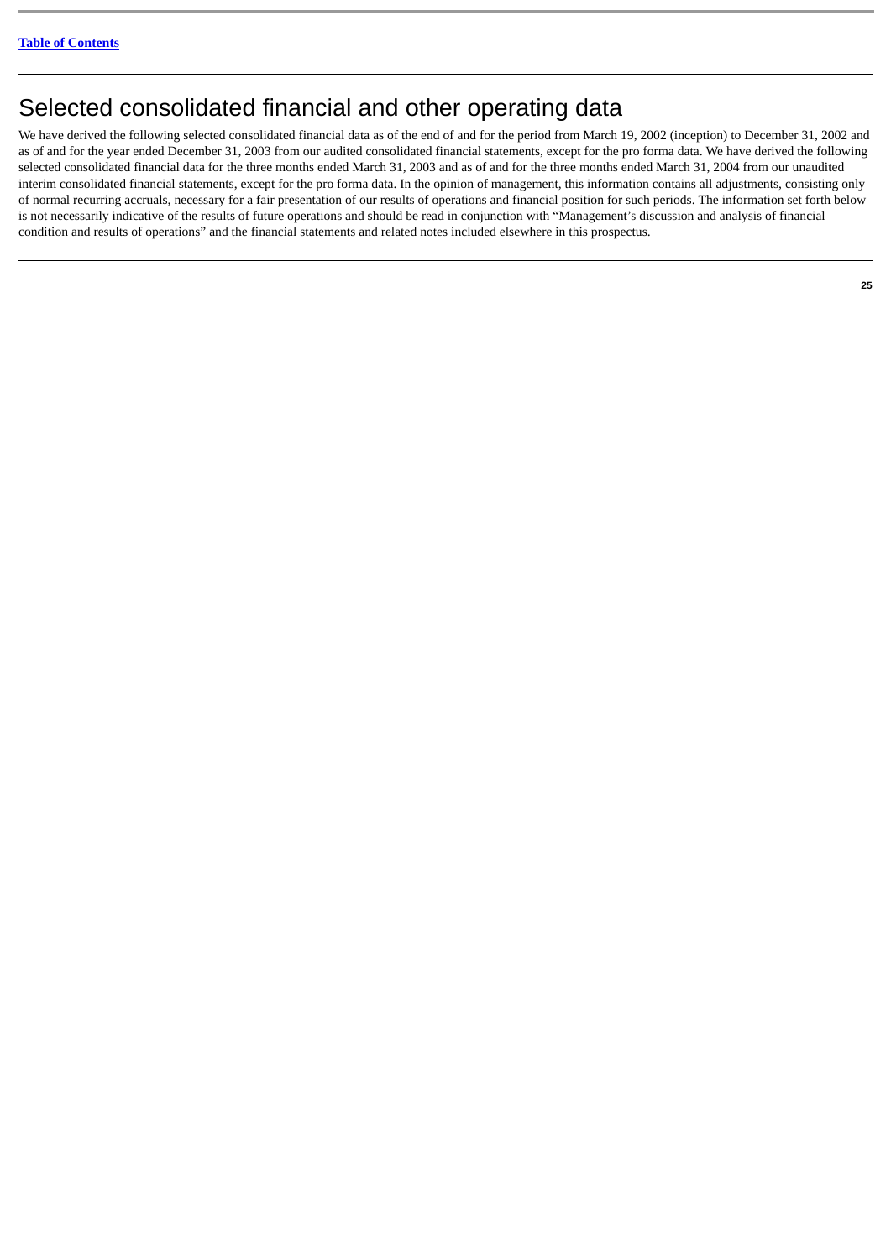### <span id="page-27-0"></span>Selected consolidated financial and other operating data

We have derived the following selected consolidated financial data as of the end of and for the period from March 19, 2002 (inception) to December 31, 2002 and as of and for the year ended December 31, 2003 from our audited consolidated financial statements, except for the pro forma data. We have derived the following selected consolidated financial data for the three months ended March 31, 2003 and as of and for the three months ended March 31, 2004 from our unaudited interim consolidated financial statements, except for the pro forma data. In the opinion of management, this information contains all adjustments, consisting only of normal recurring accruals, necessary for a fair presentation of our results of operations and financial position for such periods. The information set forth below is not necessarily indicative of the results of future operations and should be read in conjunction with "Management's discussion and analysis of financial condition and results of operations" and the financial statements and related notes included elsewhere in this prospectus.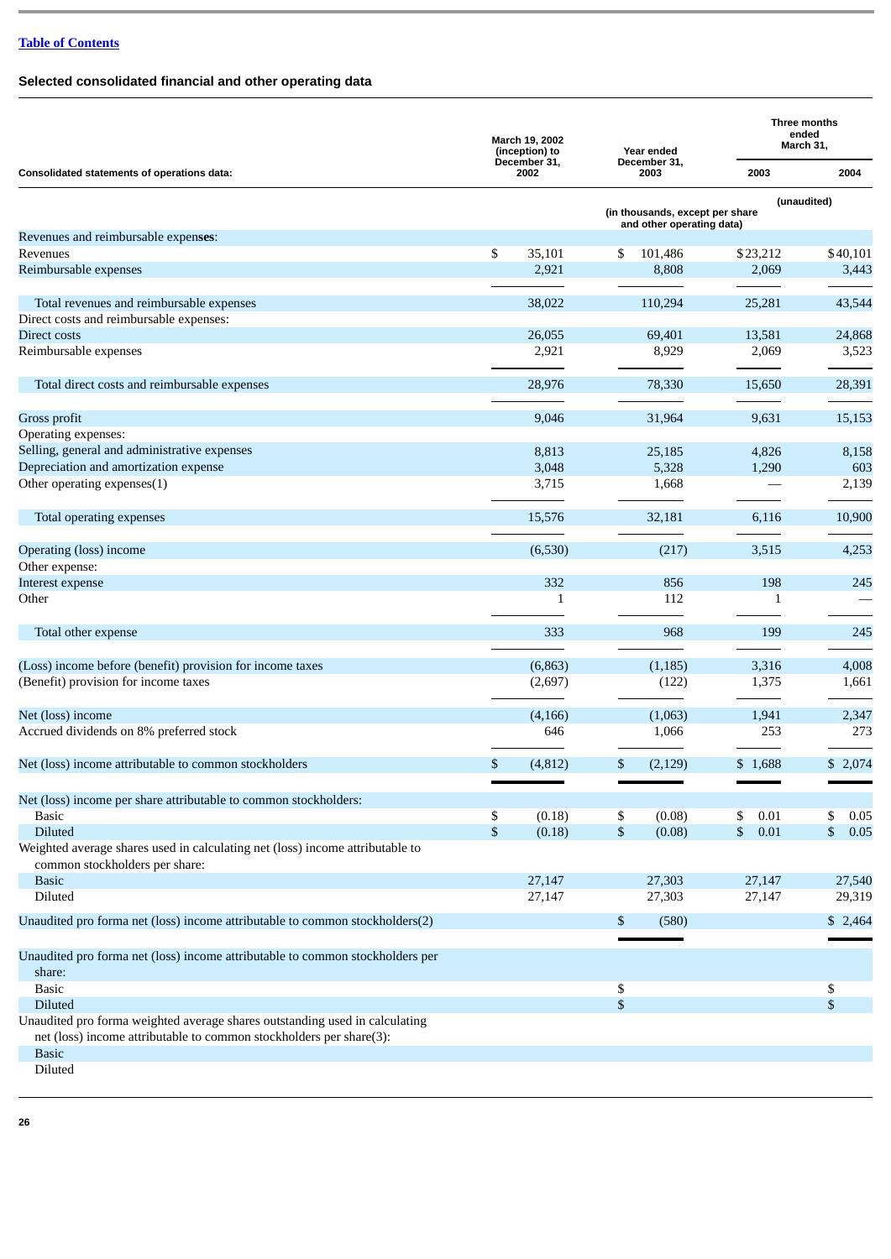### **Selected consolidated financial and other operating data**

|                                                                                                                                                    |      | March 19, 2002<br>(inception) to |                                                              | Year ended           | Three months<br>ended<br>March 31, |                |  |  |
|----------------------------------------------------------------------------------------------------------------------------------------------------|------|----------------------------------|--------------------------------------------------------------|----------------------|------------------------------------|----------------|--|--|
| Consolidated statements of operations data:                                                                                                        |      | December 31,<br>2002             |                                                              | December 31,<br>2003 | 2003                               | 2004           |  |  |
|                                                                                                                                                    |      |                                  | (in thousands, except per share<br>and other operating data) |                      | (unaudited)                        |                |  |  |
| Revenues and reimbursable expenses:                                                                                                                |      |                                  |                                                              |                      |                                    |                |  |  |
| Revenues                                                                                                                                           | \$   | 35,101                           | S                                                            | 101,486              | \$23,212                           | \$40,101       |  |  |
| Reimbursable expenses                                                                                                                              |      | 2,921                            |                                                              | 8,808                | 2,069                              | 3,443          |  |  |
| Total revenues and reimbursable expenses                                                                                                           |      | 38,022                           |                                                              | 110,294              | 25,281                             | 43,544         |  |  |
| Direct costs and reimbursable expenses:                                                                                                            |      |                                  |                                                              |                      |                                    |                |  |  |
| Direct costs                                                                                                                                       |      | 26,055                           |                                                              | 69,401               | 13,581                             | 24,868         |  |  |
| Reimbursable expenses                                                                                                                              |      | 2,921                            |                                                              | 8,929                | 2,069                              | 3,523          |  |  |
| Total direct costs and reimbursable expenses                                                                                                       |      | 28,976                           |                                                              | 78,330               | 15,650                             | 28,391         |  |  |
| Gross profit                                                                                                                                       |      | 9,046                            |                                                              | 31,964               | 9,631                              | 15,153         |  |  |
| Operating expenses:                                                                                                                                |      |                                  |                                                              |                      |                                    |                |  |  |
| Selling, general and administrative expenses                                                                                                       |      | 8,813                            |                                                              | 25,185               | 4,826                              | 8,158          |  |  |
| Depreciation and amortization expense                                                                                                              |      | 3,048                            |                                                              | 5,328                | 1,290                              | 603            |  |  |
| Other operating expenses(1)                                                                                                                        |      | 3,715                            |                                                              | 1,668                |                                    | 2,139          |  |  |
|                                                                                                                                                    |      |                                  |                                                              |                      |                                    |                |  |  |
| Total operating expenses                                                                                                                           |      | 15,576                           |                                                              | 32,181               | 6,116                              | 10,900         |  |  |
| Operating (loss) income                                                                                                                            |      | (6,530)                          |                                                              | (217)                | 3,515                              | 4,253          |  |  |
| Other expense:                                                                                                                                     |      |                                  |                                                              |                      |                                    |                |  |  |
| Interest expense                                                                                                                                   |      | 332                              |                                                              | 856                  | 198                                | 245            |  |  |
| Other                                                                                                                                              |      | $\mathbf{1}$                     |                                                              | 112                  | 1                                  |                |  |  |
| Total other expense                                                                                                                                |      | 333                              |                                                              | 968                  | 199                                | 245            |  |  |
| (Loss) income before (benefit) provision for income taxes                                                                                          |      | (6, 863)                         |                                                              | (1, 185)             | 3,316                              | 4,008          |  |  |
| (Benefit) provision for income taxes                                                                                                               |      | (2,697)                          |                                                              | (122)                | 1,375                              | 1,661          |  |  |
|                                                                                                                                                    |      |                                  |                                                              |                      |                                    |                |  |  |
| Net (loss) income                                                                                                                                  |      | (4, 166)                         |                                                              | (1,063)              | 1,941                              | 2,347          |  |  |
| Accrued dividends on 8% preferred stock                                                                                                            |      | 646                              |                                                              | 1,066                | 253                                | 273            |  |  |
| Net (loss) income attributable to common stockholders                                                                                              | \$   | (4, 812)                         | \$                                                           | (2, 129)             | \$1,688                            | \$2,074        |  |  |
| Net (loss) income per share attributable to common stockholders:                                                                                   |      |                                  |                                                              |                      |                                    |                |  |  |
| <b>Basic</b>                                                                                                                                       | \$   | (0.18)                           | \$                                                           | (0.08)               | 0.01<br>\$                         | $0.05\,$<br>\$ |  |  |
| Diluted                                                                                                                                            | $\$$ | (0.18)                           | \$                                                           | (0.08)               | $\mathsf{\$}$<br>0.01              | \$<br>0.05     |  |  |
| Weighted average shares used in calculating net (loss) income attributable to<br>common stockholders per share:                                    |      |                                  |                                                              |                      |                                    |                |  |  |
| <b>Basic</b>                                                                                                                                       |      | 27,147                           |                                                              | 27,303               | 27,147                             | 27,540         |  |  |
| Diluted                                                                                                                                            |      | 27,147                           |                                                              | 27,303               | 27,147                             | 29,319         |  |  |
| Unaudited pro forma net (loss) income attributable to common stockholders(2)                                                                       |      |                                  | \$                                                           | (580)                |                                    | \$2,464        |  |  |
|                                                                                                                                                    |      |                                  |                                                              |                      |                                    |                |  |  |
| Unaudited pro forma net (loss) income attributable to common stockholders per<br>share:                                                            |      |                                  |                                                              |                      |                                    |                |  |  |
| <b>Basic</b>                                                                                                                                       |      |                                  | \$                                                           |                      |                                    | \$             |  |  |
| Diluted                                                                                                                                            |      |                                  | \$                                                           |                      |                                    | \$             |  |  |
| Unaudited pro forma weighted average shares outstanding used in calculating<br>net (loss) income attributable to common stockholders per share(3): |      |                                  |                                                              |                      |                                    |                |  |  |
| <b>Basic</b><br>Diluted                                                                                                                            |      |                                  |                                                              |                      |                                    |                |  |  |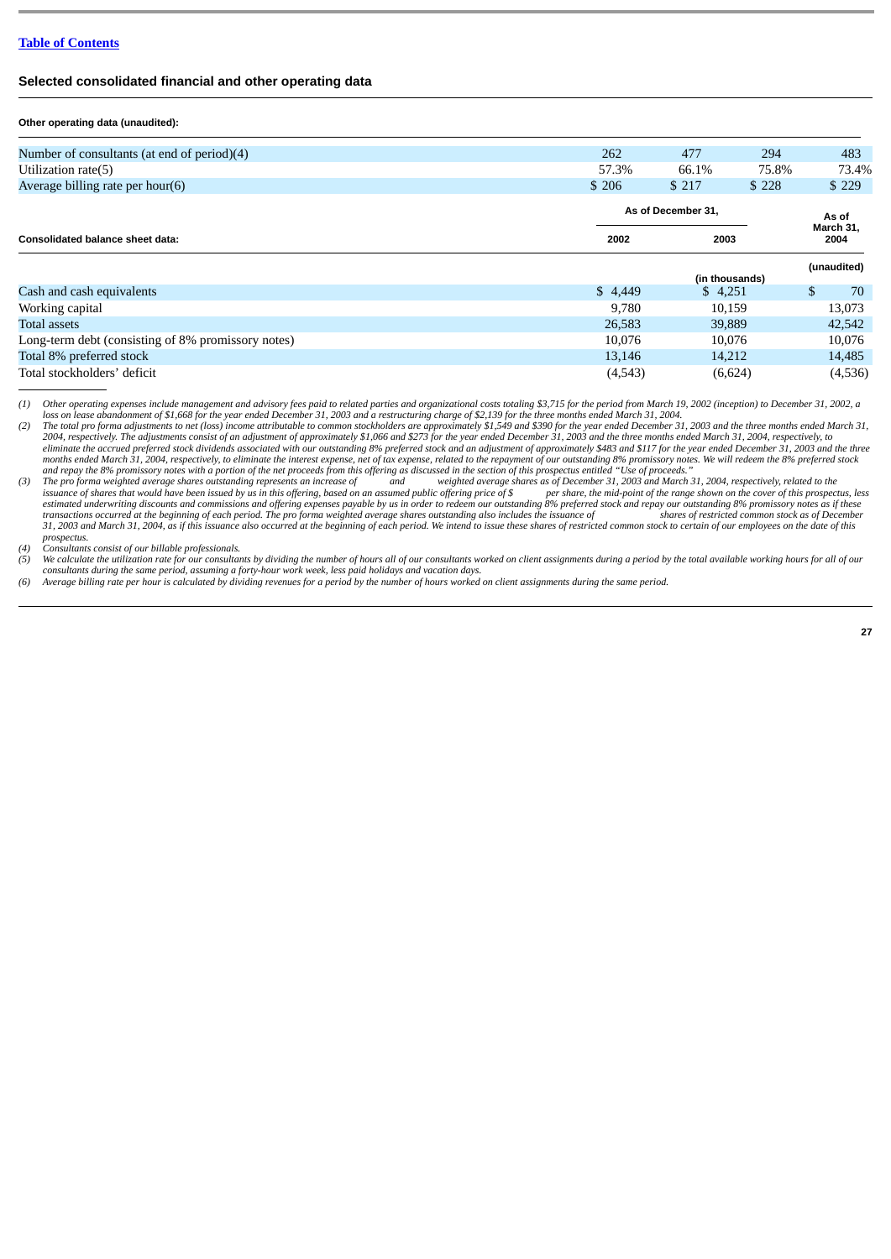#### **Selected consolidated financial and other operating data**

**Other operating data (unaudited):**

| Consolidated balance sheet data:            | 2002               | 2003  |       | March 31,<br>2004 |
|---------------------------------------------|--------------------|-------|-------|-------------------|
|                                             | As of December 31, |       | As of |                   |
| Average billing rate per hour $(6)$         | \$206              | \$217 | \$228 | \$229             |
| Utilization rate(5)                         | 57.3%              | 66.1% | 75.8% | 73.4%             |
| Number of consultants (at end of period)(4) | 262                | 477   | 294   | 483               |

|                                                    |         | (in thousands) |         |  |  |
|----------------------------------------------------|---------|----------------|---------|--|--|
| Cash and cash equivalents                          | \$4,449 | \$4,251        | 70      |  |  |
| Working capital                                    | 9.780   | 10.159         | 13.073  |  |  |
| Total assets                                       | 26,583  | 39,889         | 42,542  |  |  |
| Long-term debt (consisting of 8% promissory notes) | 10.076  | 10.076         | 10.076  |  |  |
| Total 8% preferred stock                           | 13,146  | 14,212         | 14,485  |  |  |
| Total stockholders' deficit                        | (4,543) | (6,624)        | (4,536) |  |  |

*(1) Other operating expenses include management and advisory fees paid to related parties and organizational costs totaling \$3,715 for the period from March 19, 2002 (inception) to December 31, 2002, a*

loss on lease abandonment of \$1,668 for the year ended December 31, 2003 and a restructuring charge of \$2,139 for the three months ended March 31, 2004.<br>(2) The total pro forma adjustments to net (loss) income attributable eliminate the accrued preferred stock dividends associated with our outstanding 8% preferred stock and an adjustment of approximately \$483 and \$117 for the year ended December 31, 2003 and the three<br>months ended March 31,

(3) The pro forma weighted average shares outstanding represents an increase of and weighted average shares as of December 31, 2003 and March 31, 2004, respectively, related to the<br>issuance of shares that would have been i *transactions occurred at the beginning of each period. The pro forma weighted average shares outstanding also includes the issuance of shares of restricted common stock as of December 31, 2003 and March 31, 2004, as if this issuance also occurred at the beginning of each period. We intend to issue these shares of restricted common stock to certain of our employees on the date of this issuance also occu prospectus.*

*(4) Consultants consist of our billable professionals.*

*(5) We calculate the utilization rate for our consultants by dividing the number of hours all of our consultants worked on client assignments during a period by the total available working hours for all of our consultants during the same period, assuming a forty-hour work week, less paid holidays and vacation days.*

*(6) Average billing rate per hour is calculated by dividing revenues for a period by the number of hours worked on client assignments during the same period.*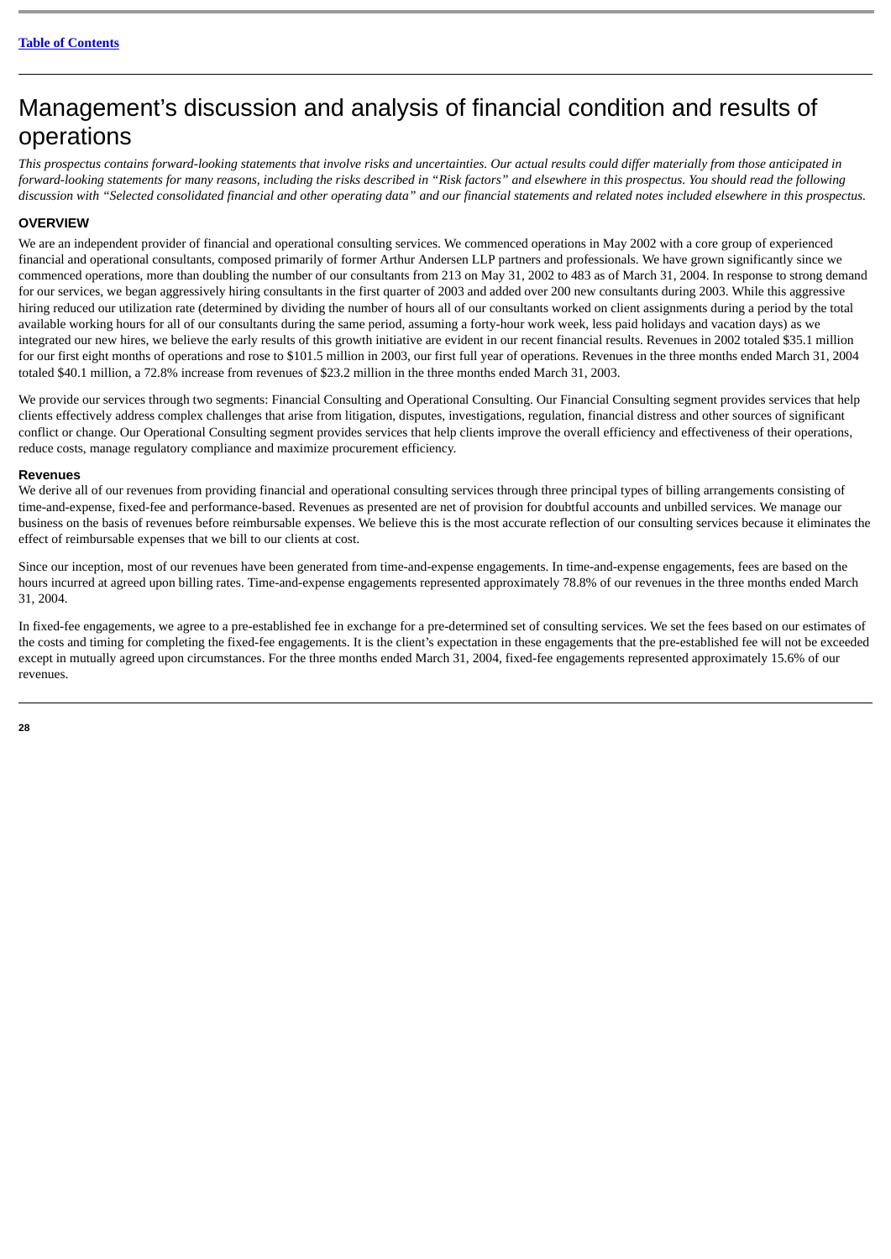<span id="page-30-0"></span>*This prospectus contains forward-looking statements that involve risks and uncertainties. Our actual results could differ materially from those anticipated in forward-looking statements for many reasons, including the risks described in "Risk factors" and elsewhere in this prospectus. You should read the following discussion with "Selected consolidated financial and other operating data" and our financial statements and related notes included elsewhere in this prospectus.*

#### **OVERVIEW**

We are an independent provider of financial and operational consulting services. We commenced operations in May 2002 with a core group of experienced financial and operational consultants, composed primarily of former Arthur Andersen LLP partners and professionals. We have grown significantly since we commenced operations, more than doubling the number of our consultants from 213 on May 31, 2002 to 483 as of March 31, 2004. In response to strong demand for our services, we began aggressively hiring consultants in the first quarter of 2003 and added over 200 new consultants during 2003. While this aggressive hiring reduced our utilization rate (determined by dividing the number of hours all of our consultants worked on client assignments during a period by the total available working hours for all of our consultants during the same period, assuming a forty-hour work week, less paid holidays and vacation days) as we integrated our new hires, we believe the early results of this growth initiative are evident in our recent financial results. Revenues in 2002 totaled \$35.1 million for our first eight months of operations and rose to \$101.5 million in 2003, our first full year of operations. Revenues in the three months ended March 31, 2004 totaled \$40.1 million, a 72.8% increase from revenues of \$23.2 million in the three months ended March 31, 2003.

We provide our services through two segments: Financial Consulting and Operational Consulting. Our Financial Consulting segment provides services that help clients effectively address complex challenges that arise from litigation, disputes, investigations, regulation, financial distress and other sources of significant conflict or change. Our Operational Consulting segment provides services that help clients improve the overall efficiency and effectiveness of their operations, reduce costs, manage regulatory compliance and maximize procurement efficiency.

#### **Revenues**

We derive all of our revenues from providing financial and operational consulting services through three principal types of billing arrangements consisting of time-and-expense, fixed-fee and performance-based. Revenues as presented are net of provision for doubtful accounts and unbilled services. We manage our business on the basis of revenues before reimbursable expenses. We believe this is the most accurate reflection of our consulting services because it eliminates the effect of reimbursable expenses that we bill to our clients at cost.

Since our inception, most of our revenues have been generated from time-and-expense engagements. In time-and-expense engagements, fees are based on the hours incurred at agreed upon billing rates. Time-and-expense engagements represented approximately 78.8% of our revenues in the three months ended March 31, 2004.

In fixed-fee engagements, we agree to a pre-established fee in exchange for a pre-determined set of consulting services. We set the fees based on our estimates of the costs and timing for completing the fixed-fee engagements. It is the client's expectation in these engagements that the pre-established fee will not be exceeded except in mutually agreed upon circumstances. For the three months ended March 31, 2004, fixed-fee engagements represented approximately 15.6% of our revenues.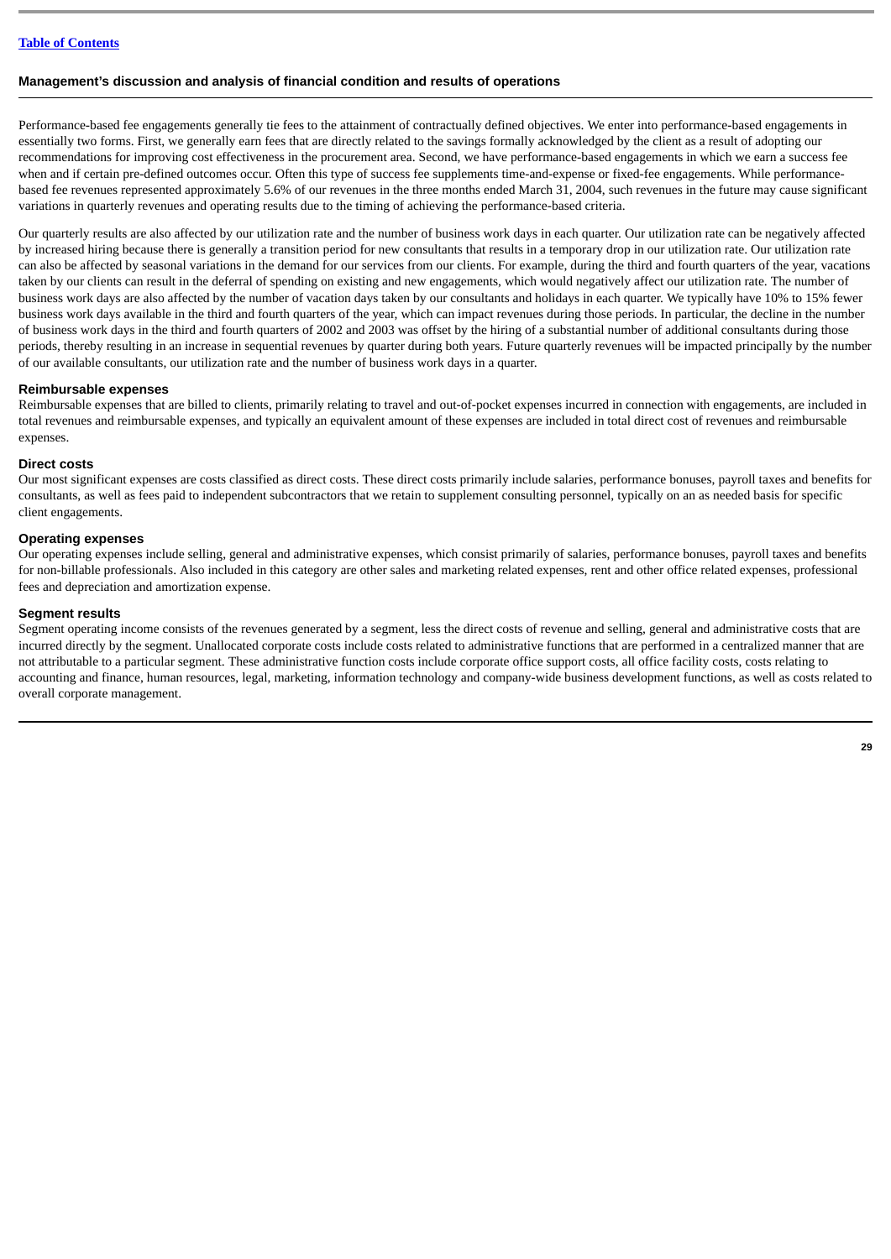Performance-based fee engagements generally tie fees to the attainment of contractually defined objectives. We enter into performance-based engagements in essentially two forms. First, we generally earn fees that are directly related to the savings formally acknowledged by the client as a result of adopting our recommendations for improving cost effectiveness in the procurement area. Second, we have performance-based engagements in which we earn a success fee when and if certain pre-defined outcomes occur. Often this type of success fee supplements time-and-expense or fixed-fee engagements. While performancebased fee revenues represented approximately 5.6% of our revenues in the three months ended March 31, 2004, such revenues in the future may cause significant variations in quarterly revenues and operating results due to the timing of achieving the performance-based criteria.

Our quarterly results are also affected by our utilization rate and the number of business work days in each quarter. Our utilization rate can be negatively affected by increased hiring because there is generally a transition period for new consultants that results in a temporary drop in our utilization rate. Our utilization rate can also be affected by seasonal variations in the demand for our services from our clients. For example, during the third and fourth quarters of the year, vacations taken by our clients can result in the deferral of spending on existing and new engagements, which would negatively affect our utilization rate. The number of business work days are also affected by the number of vacation days taken by our consultants and holidays in each quarter. We typically have 10% to 15% fewer business work days available in the third and fourth quarters of the year, which can impact revenues during those periods. In particular, the decline in the number of business work days in the third and fourth quarters of 2002 and 2003 was offset by the hiring of a substantial number of additional consultants during those periods, thereby resulting in an increase in sequential revenues by quarter during both years. Future quarterly revenues will be impacted principally by the number of our available consultants, our utilization rate and the number of business work days in a quarter.

#### **Reimbursable expenses**

Reimbursable expenses that are billed to clients, primarily relating to travel and out-of-pocket expenses incurred in connection with engagements, are included in total revenues and reimbursable expenses, and typically an equivalent amount of these expenses are included in total direct cost of revenues and reimbursable expenses.

#### **Direct costs**

Our most significant expenses are costs classified as direct costs. These direct costs primarily include salaries, performance bonuses, payroll taxes and benefits for consultants, as well as fees paid to independent subcontractors that we retain to supplement consulting personnel, typically on an as needed basis for specific client engagements.

#### **Operating expenses**

Our operating expenses include selling, general and administrative expenses, which consist primarily of salaries, performance bonuses, payroll taxes and benefits for non-billable professionals. Also included in this category are other sales and marketing related expenses, rent and other office related expenses, professional fees and depreciation and amortization expense.

#### **Segment results**

Segment operating income consists of the revenues generated by a segment, less the direct costs of revenue and selling, general and administrative costs that are incurred directly by the segment. Unallocated corporate costs include costs related to administrative functions that are performed in a centralized manner that are not attributable to a particular segment. These administrative function costs include corporate office support costs, all office facility costs, costs relating to accounting and finance, human resources, legal, marketing, information technology and company-wide business development functions, as well as costs related to overall corporate management.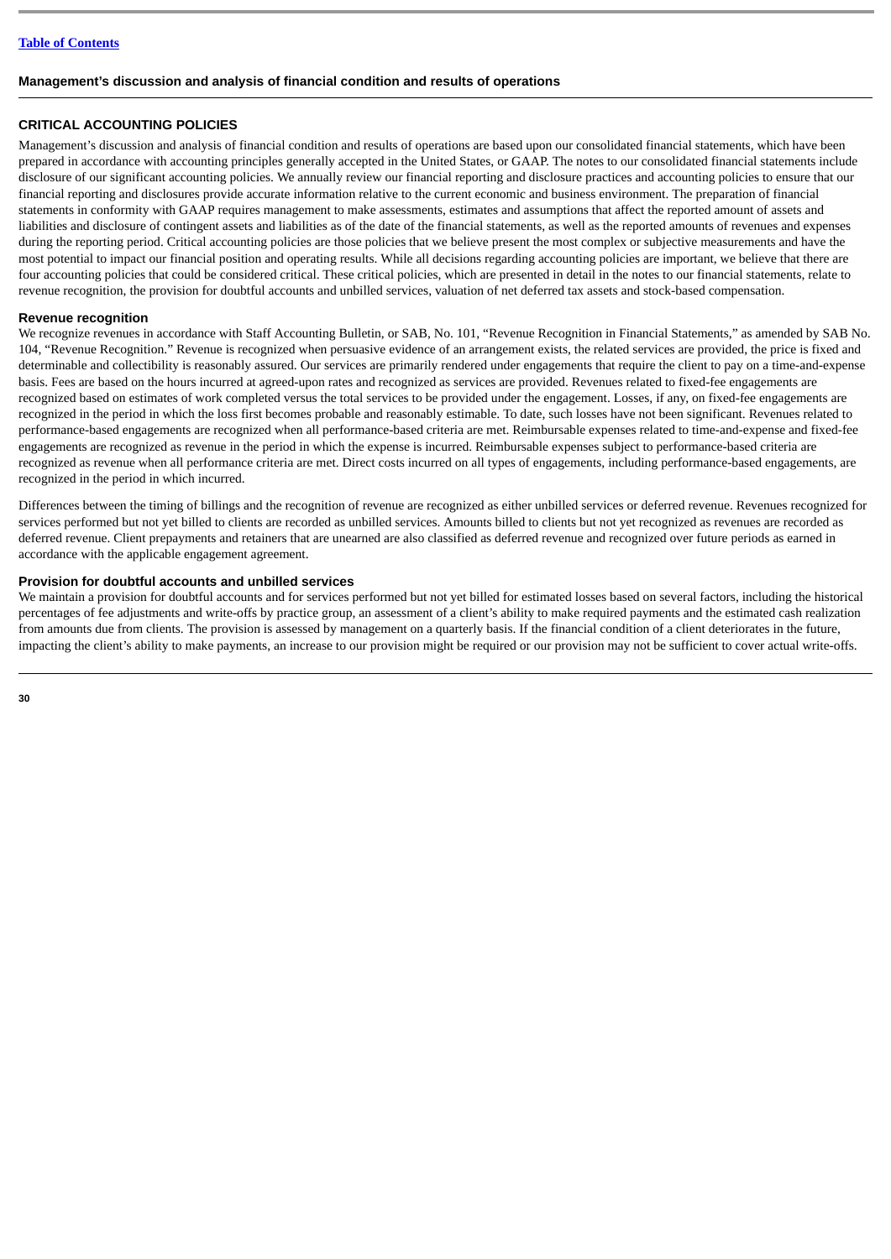#### **CRITICAL ACCOUNTING POLICIES**

Management's discussion and analysis of financial condition and results of operations are based upon our consolidated financial statements, which have been prepared in accordance with accounting principles generally accepted in the United States, or GAAP. The notes to our consolidated financial statements include disclosure of our significant accounting policies. We annually review our financial reporting and disclosure practices and accounting policies to ensure that our financial reporting and disclosures provide accurate information relative to the current economic and business environment. The preparation of financial statements in conformity with GAAP requires management to make assessments, estimates and assumptions that affect the reported amount of assets and liabilities and disclosure of contingent assets and liabilities as of the date of the financial statements, as well as the reported amounts of revenues and expenses during the reporting period. Critical accounting policies are those policies that we believe present the most complex or subjective measurements and have the most potential to impact our financial position and operating results. While all decisions regarding accounting policies are important, we believe that there are four accounting policies that could be considered critical. These critical policies, which are presented in detail in the notes to our financial statements, relate to revenue recognition, the provision for doubtful accounts and unbilled services, valuation of net deferred tax assets and stock-based compensation.

#### **Revenue recognition**

We recognize revenues in accordance with Staff Accounting Bulletin, or SAB, No. 101, "Revenue Recognition in Financial Statements," as amended by SAB No. 104, "Revenue Recognition." Revenue is recognized when persuasive evidence of an arrangement exists, the related services are provided, the price is fixed and determinable and collectibility is reasonably assured. Our services are primarily rendered under engagements that require the client to pay on a time-and-expense basis. Fees are based on the hours incurred at agreed-upon rates and recognized as services are provided. Revenues related to fixed-fee engagements are recognized based on estimates of work completed versus the total services to be provided under the engagement. Losses, if any, on fixed-fee engagements are recognized in the period in which the loss first becomes probable and reasonably estimable. To date, such losses have not been significant. Revenues related to performance-based engagements are recognized when all performance-based criteria are met. Reimbursable expenses related to time-and-expense and fixed-fee engagements are recognized as revenue in the period in which the expense is incurred. Reimbursable expenses subject to performance-based criteria are recognized as revenue when all performance criteria are met. Direct costs incurred on all types of engagements, including performance-based engagements, are recognized in the period in which incurred.

Differences between the timing of billings and the recognition of revenue are recognized as either unbilled services or deferred revenue. Revenues recognized for services performed but not yet billed to clients are recorded as unbilled services. Amounts billed to clients but not yet recognized as revenues are recorded as deferred revenue. Client prepayments and retainers that are unearned are also classified as deferred revenue and recognized over future periods as earned in accordance with the applicable engagement agreement.

#### **Provision for doubtful accounts and unbilled services**

We maintain a provision for doubtful accounts and for services performed but not yet billed for estimated losses based on several factors, including the historical percentages of fee adjustments and write-offs by practice group, an assessment of a client's ability to make required payments and the estimated cash realization from amounts due from clients. The provision is assessed by management on a quarterly basis. If the financial condition of a client deteriorates in the future, impacting the client's ability to make payments, an increase to our provision might be required or our provision may not be sufficient to cover actual write-offs.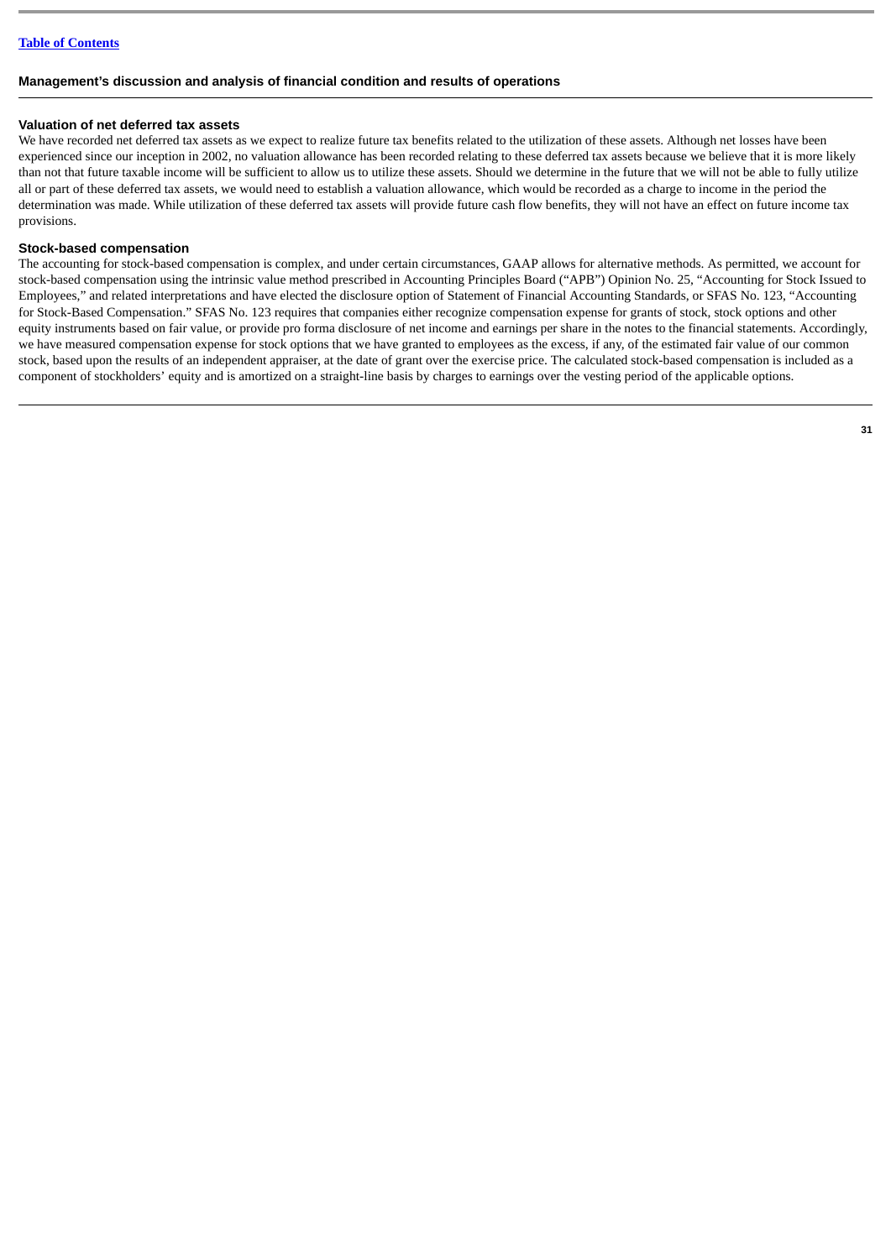#### **Valuation of net deferred tax assets**

We have recorded net deferred tax assets as we expect to realize future tax benefits related to the utilization of these assets. Although net losses have been experienced since our inception in 2002, no valuation allowance has been recorded relating to these deferred tax assets because we believe that it is more likely than not that future taxable income will be sufficient to allow us to utilize these assets. Should we determine in the future that we will not be able to fully utilize all or part of these deferred tax assets, we would need to establish a valuation allowance, which would be recorded as a charge to income in the period the determination was made. While utilization of these deferred tax assets will provide future cash flow benefits, they will not have an effect on future income tax provisions.

#### **Stock-based compensation**

The accounting for stock-based compensation is complex, and under certain circumstances, GAAP allows for alternative methods. As permitted, we account for stock-based compensation using the intrinsic value method prescribed in Accounting Principles Board ("APB") Opinion No. 25, "Accounting for Stock Issued to Employees," and related interpretations and have elected the disclosure option of Statement of Financial Accounting Standards, or SFAS No. 123, "Accounting for Stock-Based Compensation." SFAS No. 123 requires that companies either recognize compensation expense for grants of stock, stock options and other equity instruments based on fair value, or provide pro forma disclosure of net income and earnings per share in the notes to the financial statements. Accordingly, we have measured compensation expense for stock options that we have granted to employees as the excess, if any, of the estimated fair value of our common stock, based upon the results of an independent appraiser, at the date of grant over the exercise price. The calculated stock-based compensation is included as a component of stockholders' equity and is amortized on a straight-line basis by charges to earnings over the vesting period of the applicable options.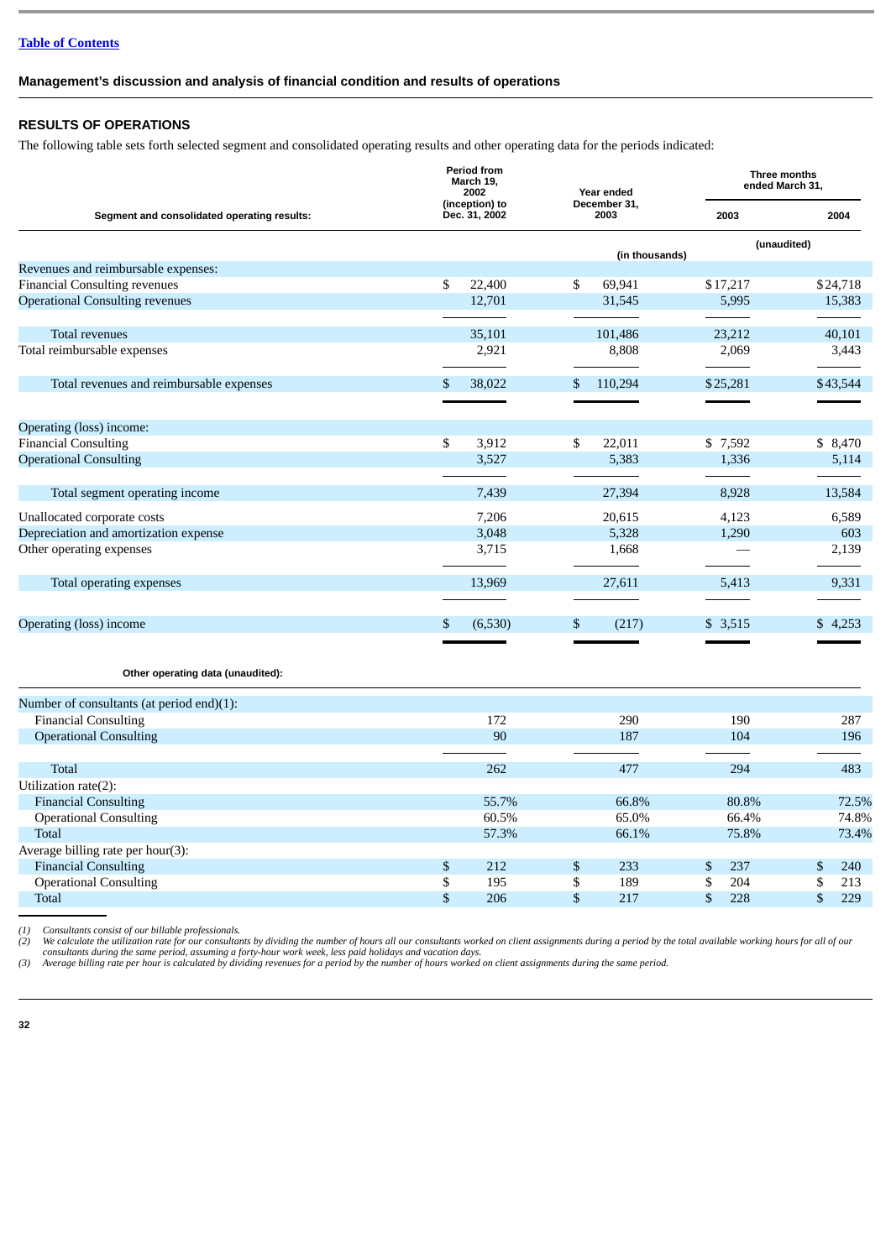#### **RESULTS OF OPERATIONS**

The following table sets forth selected segment and consolidated operating results and other operating data for the periods indicated:

| Segment and consolidated operating results: |                                 | <b>Period from</b><br>March 19,<br>2002 |    | Year ended<br>December 31,<br>2003 |                | Three months<br>ended March 31, |  |  |
|---------------------------------------------|---------------------------------|-----------------------------------------|----|------------------------------------|----------------|---------------------------------|--|--|
|                                             | (inception) to<br>Dec. 31, 2002 |                                         |    |                                    |                | 2004                            |  |  |
|                                             |                                 |                                         |    |                                    | (in thousands) | (unaudited)                     |  |  |
| Revenues and reimbursable expenses:         |                                 |                                         |    |                                    |                |                                 |  |  |
| <b>Financial Consulting revenues</b>        | \$                              | 22,400                                  | \$ | 69,941                             | \$17,217       | \$24,718                        |  |  |
| <b>Operational Consulting revenues</b>      |                                 | 12,701                                  |    | 31,545                             | 5,995          | 15,383                          |  |  |
|                                             |                                 |                                         |    |                                    |                |                                 |  |  |
| <b>Total revenues</b>                       |                                 | 35,101                                  |    | 101,486                            | 23,212         | 40,101                          |  |  |
| Total reimbursable expenses                 |                                 | 2,921                                   |    | 8,808                              | 2,069          | 3,443                           |  |  |
|                                             |                                 |                                         |    |                                    |                |                                 |  |  |
| Total revenues and reimbursable expenses    |                                 | 38,022                                  | \$ | 110,294                            | \$25,281       | \$43,544                        |  |  |
|                                             |                                 |                                         |    |                                    |                |                                 |  |  |
| Operating (loss) income:                    |                                 |                                         |    |                                    |                |                                 |  |  |
| <b>Financial Consulting</b>                 | \$                              | 3.912                                   | \$ | 22,011                             | \$7,592        | \$8,470                         |  |  |
| <b>Operational Consulting</b>               |                                 | 3,527                                   |    | 5,383                              | 1,336          | 5,114                           |  |  |
|                                             |                                 |                                         |    |                                    |                |                                 |  |  |
| Total segment operating income              |                                 | 7,439                                   |    | 27,394                             | 8,928          | 13,584                          |  |  |
| Unallocated corporate costs                 |                                 | 7,206                                   |    | 20,615                             | 4,123          | 6,589                           |  |  |
| Depreciation and amortization expense       |                                 | 3,048                                   |    | 5,328                              | 1,290          | 603                             |  |  |
| Other operating expenses                    |                                 | 3,715                                   |    | 1,668                              |                | 2,139                           |  |  |
|                                             |                                 |                                         |    |                                    |                |                                 |  |  |
| Total operating expenses                    |                                 | 13,969                                  |    | 27,611                             | 5,413          | 9,331                           |  |  |
|                                             |                                 |                                         |    |                                    |                |                                 |  |  |
| Operating (loss) income                     | \$                              | (6,530)                                 | \$ | (217)                              | \$3,515        | \$4,253                         |  |  |
|                                             |                                 |                                         |    |                                    |                |                                 |  |  |

**Other operating data (unaudited):**

| Number of consultants (at period end)(1): |         |       |           |     |       |           |
|-------------------------------------------|---------|-------|-----------|-----|-------|-----------|
| <b>Financial Consulting</b>               |         | 172   | 290       |     | 190   | 287       |
| <b>Operational Consulting</b>             |         | 90    | 187       |     | 104   | 196       |
|                                           |         |       |           |     |       |           |
| <b>Total</b>                              |         | 262   | 477       |     | 294   | 483       |
| Utilization rate(2):                      |         |       |           |     |       |           |
| <b>Financial Consulting</b>               |         | 55.7% | 66.8%     |     | 80.8% | 72.5%     |
| <b>Operational Consulting</b>             |         | 60.5% | 65.0%     |     | 66.4% | 74.8%     |
| <b>Total</b>                              |         | 57.3% | 66.1%     |     | 75.8% | 73.4%     |
| Average billing rate per hour(3):         |         |       |           |     |       |           |
| <b>Financial Consulting</b>               | \$      | 212   | \$<br>233 | \$. | 237   | \$<br>240 |
| <b>Operational Consulting</b>             | ሖ<br>J. | 195   | \$<br>189 | \$  | 204   | \$<br>213 |
| <b>Total</b>                              | .b      | 206   | \$<br>217 |     | 228   | 229       |
|                                           |         |       |           |     |       |           |

(1) Consultants consist of our billable professionals.<br>(2) We calculate the utilization rate for our consultants by dividing the number of hours all our consultants worked on client assignments during a period by the total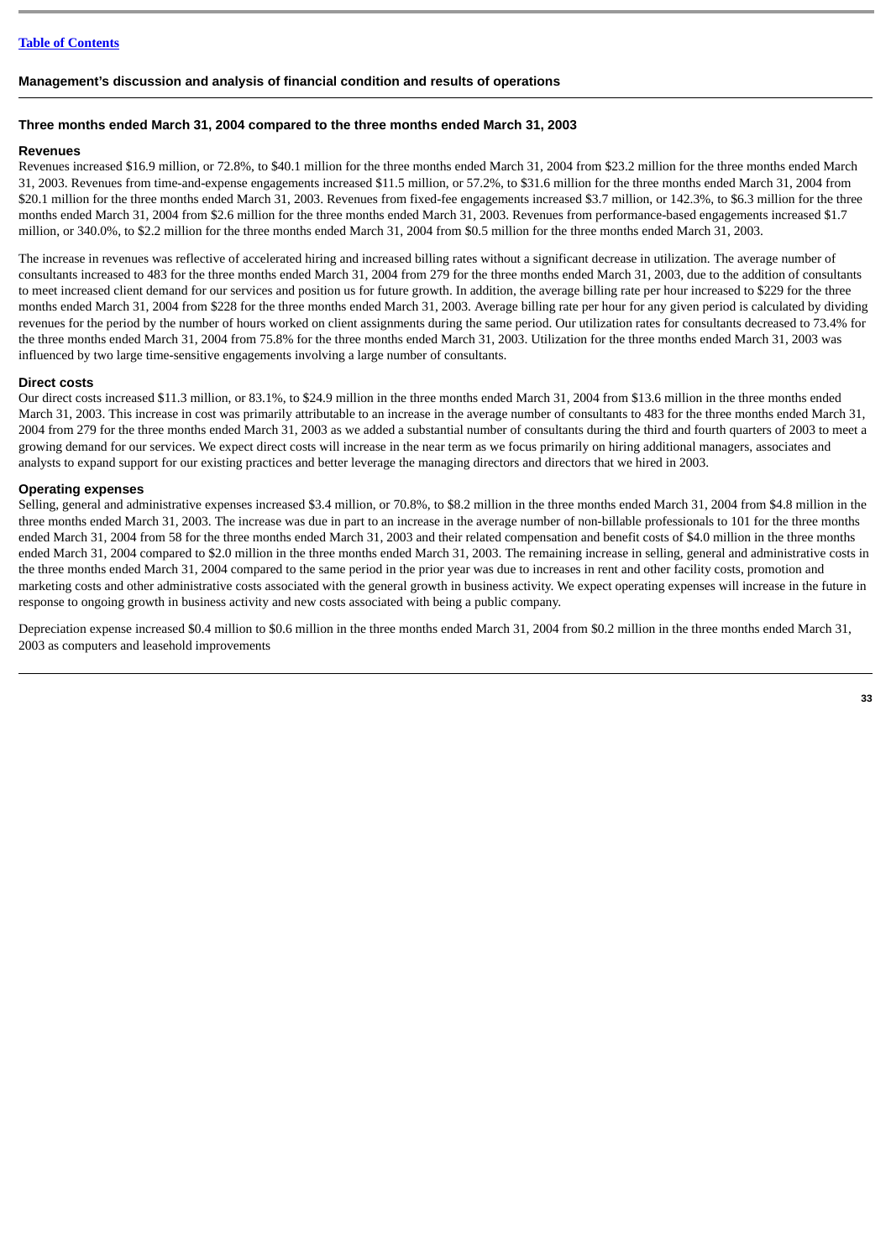#### **Management's discussion and analysis of financial condition and results of operations**

#### **Three months ended March 31, 2004 compared to the three months ended March 31, 2003**

#### **Revenues**

Revenues increased \$16.9 million, or 72.8%, to \$40.1 million for the three months ended March 31, 2004 from \$23.2 million for the three months ended March 31, 2003. Revenues from time-and-expense engagements increased \$11.5 million, or 57.2%, to \$31.6 million for the three months ended March 31, 2004 from \$20.1 million for the three months ended March 31, 2003. Revenues from fixed-fee engagements increased \$3.7 million, or 142.3%, to \$6.3 million for the three months ended March 31, 2004 from \$2.6 million for the three months ended March 31, 2003. Revenues from performance-based engagements increased \$1.7 million, or 340.0%, to \$2.2 million for the three months ended March 31, 2004 from \$0.5 million for the three months ended March 31, 2003.

The increase in revenues was reflective of accelerated hiring and increased billing rates without a significant decrease in utilization. The average number of consultants increased to 483 for the three months ended March 31, 2004 from 279 for the three months ended March 31, 2003, due to the addition of consultants to meet increased client demand for our services and position us for future growth. In addition, the average billing rate per hour increased to \$229 for the three months ended March 31, 2004 from \$228 for the three months ended March 31, 2003. Average billing rate per hour for any given period is calculated by dividing revenues for the period by the number of hours worked on client assignments during the same period. Our utilization rates for consultants decreased to 73.4% for the three months ended March 31, 2004 from 75.8% for the three months ended March 31, 2003. Utilization for the three months ended March 31, 2003 was influenced by two large time-sensitive engagements involving a large number of consultants.

#### **Direct costs**

Our direct costs increased \$11.3 million, or 83.1%, to \$24.9 million in the three months ended March 31, 2004 from \$13.6 million in the three months ended March 31, 2003. This increase in cost was primarily attributable to an increase in the average number of consultants to 483 for the three months ended March 31, 2004 from 279 for the three months ended March 31, 2003 as we added a substantial number of consultants during the third and fourth quarters of 2003 to meet a growing demand for our services. We expect direct costs will increase in the near term as we focus primarily on hiring additional managers, associates and analysts to expand support for our existing practices and better leverage the managing directors and directors that we hired in 2003.

#### **Operating expenses**

Selling, general and administrative expenses increased \$3.4 million, or 70.8%, to \$8.2 million in the three months ended March 31, 2004 from \$4.8 million in the three months ended March 31, 2003. The increase was due in part to an increase in the average number of non-billable professionals to 101 for the three months ended March 31, 2004 from 58 for the three months ended March 31, 2003 and their related compensation and benefit costs of \$4.0 million in the three months ended March 31, 2004 compared to \$2.0 million in the three months ended March 31, 2003. The remaining increase in selling, general and administrative costs in the three months ended March 31, 2004 compared to the same period in the prior year was due to increases in rent and other facility costs, promotion and marketing costs and other administrative costs associated with the general growth in business activity. We expect operating expenses will increase in the future in response to ongoing growth in business activity and new costs associated with being a public company.

Depreciation expense increased \$0.4 million to \$0.6 million in the three months ended March 31, 2004 from \$0.2 million in the three months ended March 31, 2003 as computers and leasehold improvements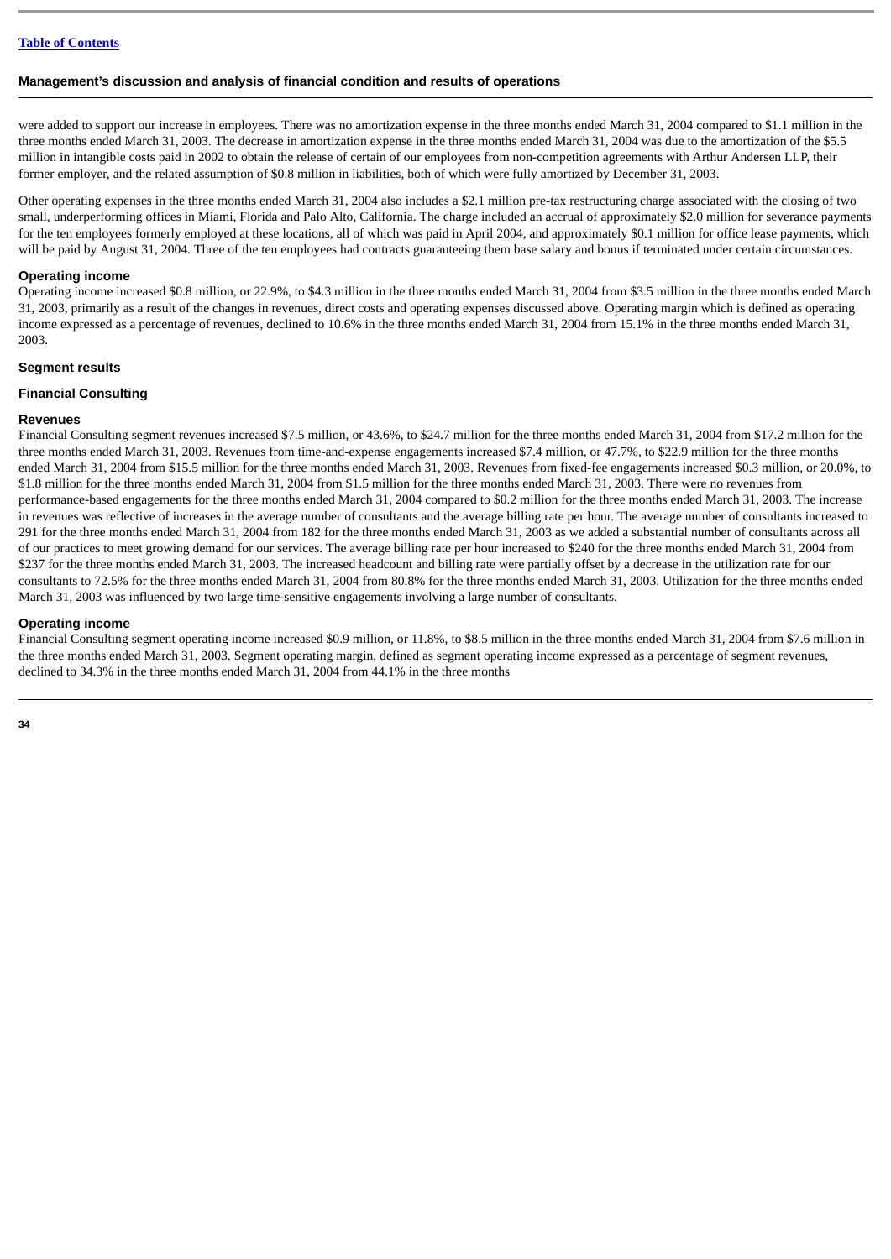were added to support our increase in employees. There was no amortization expense in the three months ended March 31, 2004 compared to \$1.1 million in the three months ended March 31, 2003. The decrease in amortization expense in the three months ended March 31, 2004 was due to the amortization of the \$5.5 million in intangible costs paid in 2002 to obtain the release of certain of our employees from non-competition agreements with Arthur Andersen LLP, their former employer, and the related assumption of \$0.8 million in liabilities, both of which were fully amortized by December 31, 2003.

Other operating expenses in the three months ended March 31, 2004 also includes a \$2.1 million pre-tax restructuring charge associated with the closing of two small, underperforming offices in Miami, Florida and Palo Alto, California. The charge included an accrual of approximately \$2.0 million for severance payments for the ten employees formerly employed at these locations, all of which was paid in April 2004, and approximately \$0.1 million for office lease payments, which will be paid by August 31, 2004. Three of the ten employees had contracts guaranteeing them base salary and bonus if terminated under certain circumstances.

#### **Operating income**

Operating income increased \$0.8 million, or 22.9%, to \$4.3 million in the three months ended March 31, 2004 from \$3.5 million in the three months ended March 31, 2003, primarily as a result of the changes in revenues, direct costs and operating expenses discussed above. Operating margin which is defined as operating income expressed as a percentage of revenues, declined to 10.6% in the three months ended March 31, 2004 from 15.1% in the three months ended March 31, 2003.

#### **Segment results**

#### **Financial Consulting**

# **Revenues**

Financial Consulting segment revenues increased \$7.5 million, or 43.6%, to \$24.7 million for the three months ended March 31, 2004 from \$17.2 million for the three months ended March 31, 2003. Revenues from time-and-expense engagements increased \$7.4 million, or 47.7%, to \$22.9 million for the three months ended March 31, 2004 from \$15.5 million for the three months ended March 31, 2003. Revenues from fixed-fee engagements increased \$0.3 million, or 20.0%, to \$1.8 million for the three months ended March 31, 2004 from \$1.5 million for the three months ended March 31, 2003. There were no revenues from performance-based engagements for the three months ended March 31, 2004 compared to \$0.2 million for the three months ended March 31, 2003. The increase in revenues was reflective of increases in the average number of consultants and the average billing rate per hour. The average number of consultants increased to 291 for the three months ended March 31, 2004 from 182 for the three months ended March 31, 2003 as we added a substantial number of consultants across all of our practices to meet growing demand for our services. The average billing rate per hour increased to \$240 for the three months ended March 31, 2004 from \$237 for the three months ended March 31, 2003. The increased headcount and billing rate were partially offset by a decrease in the utilization rate for our consultants to 72.5% for the three months ended March 31, 2004 from 80.8% for the three months ended March 31, 2003. Utilization for the three months ended March 31, 2003 was influenced by two large time-sensitive engagements involving a large number of consultants.

#### **Operating income**

Financial Consulting segment operating income increased \$0.9 million, or 11.8%, to \$8.5 million in the three months ended March 31, 2004 from \$7.6 million in the three months ended March 31, 2003. Segment operating margin, defined as segment operating income expressed as a percentage of segment revenues, declined to 34.3% in the three months ended March 31, 2004 from 44.1% in the three months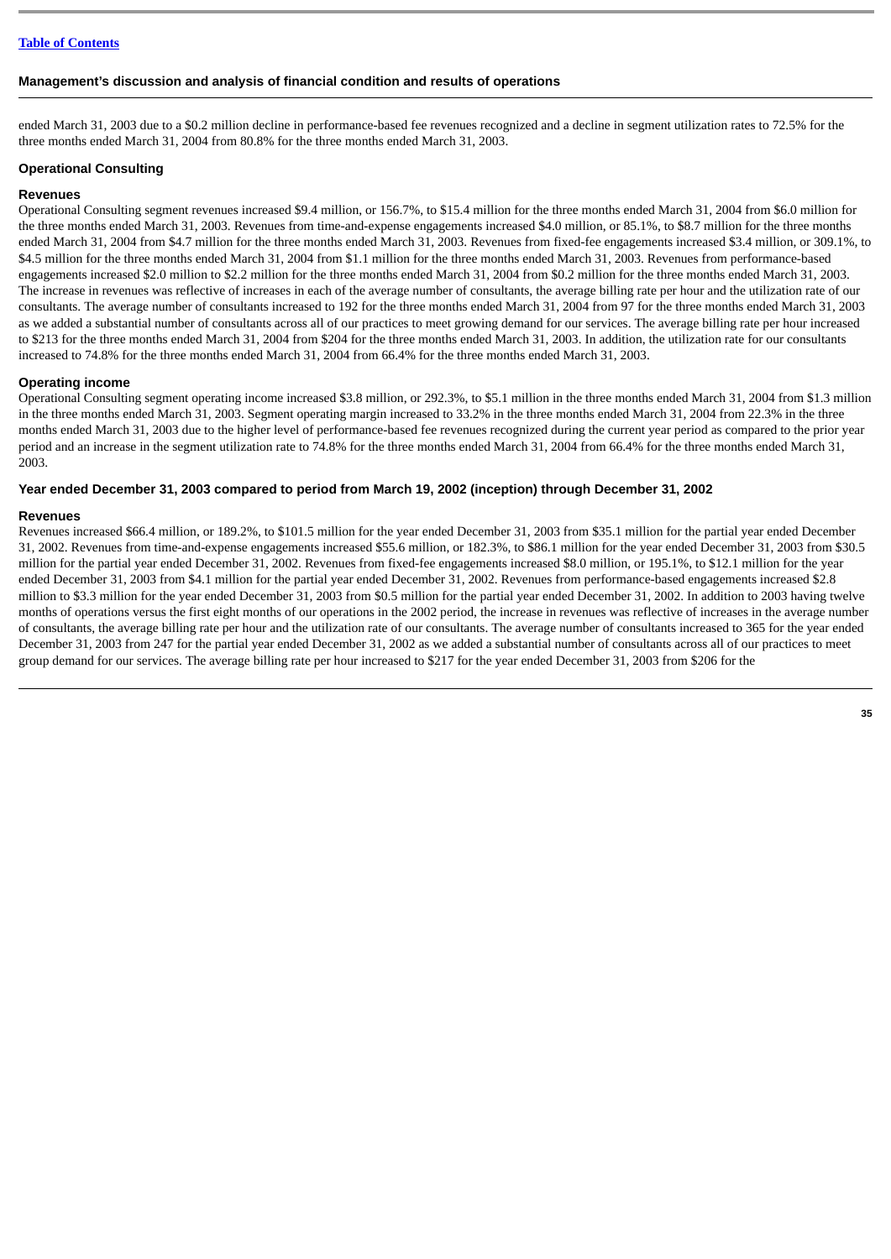#### **Management's discussion and analysis of financial condition and results of operations**

ended March 31, 2003 due to a \$0.2 million decline in performance-based fee revenues recognized and a decline in segment utilization rates to 72.5% for the three months ended March 31, 2004 from 80.8% for the three months ended March 31, 2003.

#### **Operational Consulting**

#### **Revenues**

Operational Consulting segment revenues increased \$9.4 million, or 156.7%, to \$15.4 million for the three months ended March 31, 2004 from \$6.0 million for the three months ended March 31, 2003. Revenues from time-and-expense engagements increased \$4.0 million, or 85.1%, to \$8.7 million for the three months ended March 31, 2004 from \$4.7 million for the three months ended March 31, 2003. Revenues from fixed-fee engagements increased \$3.4 million, or 309.1%, to \$4.5 million for the three months ended March 31, 2004 from \$1.1 million for the three months ended March 31, 2003. Revenues from performance-based engagements increased \$2.0 million to \$2.2 million for the three months ended March 31, 2004 from \$0.2 million for the three months ended March 31, 2003. The increase in revenues was reflective of increases in each of the average number of consultants, the average billing rate per hour and the utilization rate of our consultants. The average number of consultants increased to 192 for the three months ended March 31, 2004 from 97 for the three months ended March 31, 2003 as we added a substantial number of consultants across all of our practices to meet growing demand for our services. The average billing rate per hour increased to \$213 for the three months ended March 31, 2004 from \$204 for the three months ended March 31, 2003. In addition, the utilization rate for our consultants increased to 74.8% for the three months ended March 31, 2004 from 66.4% for the three months ended March 31, 2003.

# **Operating income**

Operational Consulting segment operating income increased \$3.8 million, or 292.3%, to \$5.1 million in the three months ended March 31, 2004 from \$1.3 million in the three months ended March 31, 2003. Segment operating margin increased to 33.2% in the three months ended March 31, 2004 from 22.3% in the three months ended March 31, 2003 due to the higher level of performance-based fee revenues recognized during the current year period as compared to the prior year period and an increase in the segment utilization rate to 74.8% for the three months ended March 31, 2004 from 66.4% for the three months ended March 31, 2003.

#### **Year ended December 31, 2003 compared to period from March 19, 2002 (inception) through December 31, 2002**

## **Revenues**

Revenues increased \$66.4 million, or 189.2%, to \$101.5 million for the year ended December 31, 2003 from \$35.1 million for the partial year ended December 31, 2002. Revenues from time-and-expense engagements increased \$55.6 million, or 182.3%, to \$86.1 million for the year ended December 31, 2003 from \$30.5 million for the partial year ended December 31, 2002. Revenues from fixed-fee engagements increased \$8.0 million, or 195.1%, to \$12.1 million for the year ended December 31, 2003 from \$4.1 million for the partial year ended December 31, 2002. Revenues from performance-based engagements increased \$2.8 million to \$3.3 million for the year ended December 31, 2003 from \$0.5 million for the partial year ended December 31, 2002. In addition to 2003 having twelve months of operations versus the first eight months of our operations in the 2002 period, the increase in revenues was reflective of increases in the average number of consultants, the average billing rate per hour and the utilization rate of our consultants. The average number of consultants increased to 365 for the year ended December 31, 2003 from 247 for the partial year ended December 31, 2002 as we added a substantial number of consultants across all of our practices to meet group demand for our services. The average billing rate per hour increased to \$217 for the year ended December 31, 2003 from \$206 for the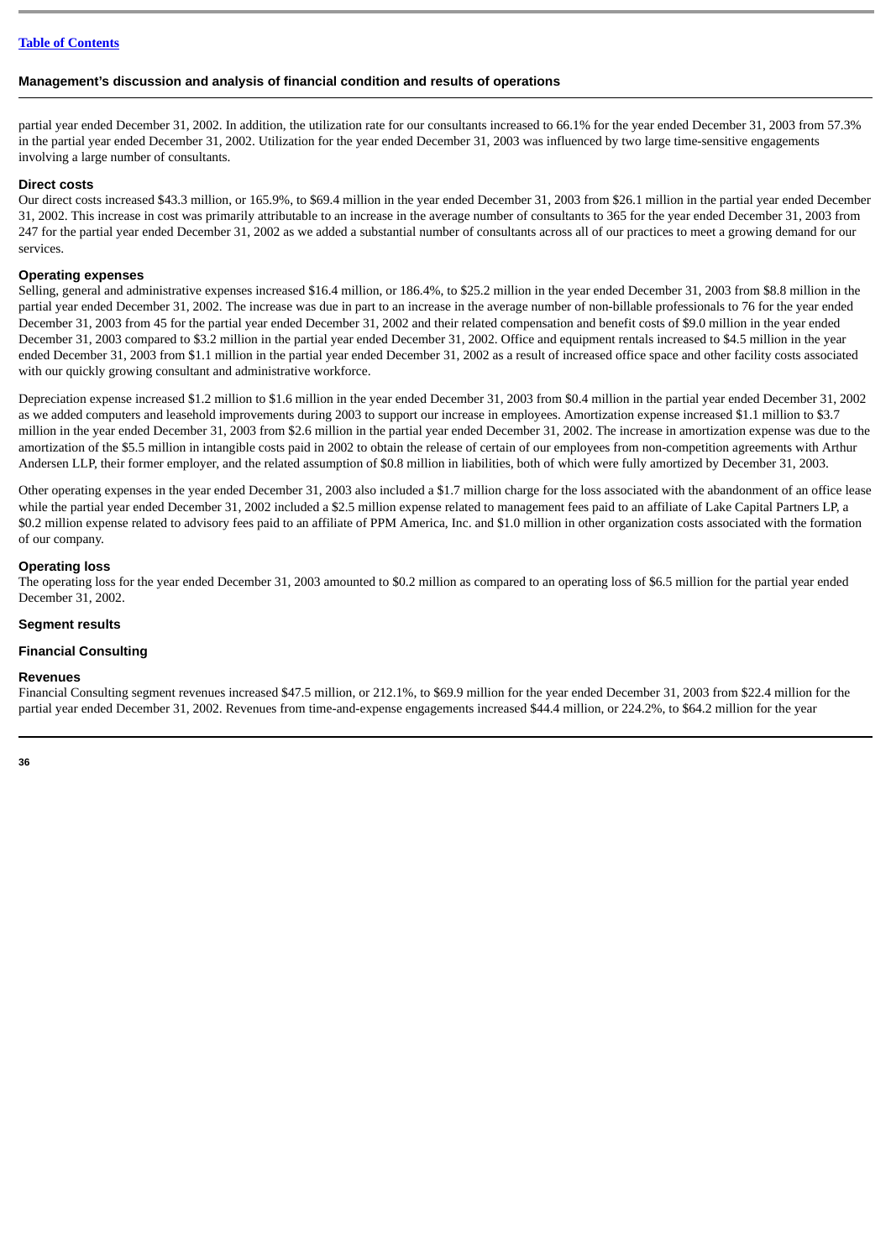# **Management's discussion and analysis of financial condition and results of operations**

partial year ended December 31, 2002. In addition, the utilization rate for our consultants increased to 66.1% for the year ended December 31, 2003 from 57.3% in the partial year ended December 31, 2002. Utilization for the year ended December 31, 2003 was influenced by two large time-sensitive engagements involving a large number of consultants.

# **Direct costs**

Our direct costs increased \$43.3 million, or 165.9%, to \$69.4 million in the year ended December 31, 2003 from \$26.1 million in the partial year ended December 31, 2002. This increase in cost was primarily attributable to an increase in the average number of consultants to 365 for the year ended December 31, 2003 from 247 for the partial year ended December 31, 2002 as we added a substantial number of consultants across all of our practices to meet a growing demand for our services.

#### **Operating expenses**

Selling, general and administrative expenses increased \$16.4 million, or 186.4%, to \$25.2 million in the year ended December 31, 2003 from \$8.8 million in the partial year ended December 31, 2002. The increase was due in part to an increase in the average number of non-billable professionals to 76 for the year ended December 31, 2003 from 45 for the partial year ended December 31, 2002 and their related compensation and benefit costs of \$9.0 million in the year ended December 31, 2003 compared to \$3.2 million in the partial year ended December 31, 2002. Office and equipment rentals increased to \$4.5 million in the year ended December 31, 2003 from \$1.1 million in the partial year ended December 31, 2002 as a result of increased office space and other facility costs associated with our quickly growing consultant and administrative workforce.

Depreciation expense increased \$1.2 million to \$1.6 million in the year ended December 31, 2003 from \$0.4 million in the partial year ended December 31, 2002 as we added computers and leasehold improvements during 2003 to support our increase in employees. Amortization expense increased \$1.1 million to \$3.7 million in the year ended December 31, 2003 from \$2.6 million in the partial year ended December 31, 2002. The increase in amortization expense was due to the amortization of the \$5.5 million in intangible costs paid in 2002 to obtain the release of certain of our employees from non-competition agreements with Arthur Andersen LLP, their former employer, and the related assumption of \$0.8 million in liabilities, both of which were fully amortized by December 31, 2003.

Other operating expenses in the year ended December 31, 2003 also included a \$1.7 million charge for the loss associated with the abandonment of an office lease while the partial year ended December 31, 2002 included a \$2.5 million expense related to management fees paid to an affiliate of Lake Capital Partners LP, a \$0.2 million expense related to advisory fees paid to an affiliate of PPM America, Inc. and \$1.0 million in other organization costs associated with the formation of our company.

# **Operating loss**

The operating loss for the year ended December 31, 2003 amounted to \$0.2 million as compared to an operating loss of \$6.5 million for the partial year ended December 31, 2002.

# **Segment results**

# **Financial Consulting**

# **Revenues**

Financial Consulting segment revenues increased \$47.5 million, or 212.1%, to \$69.9 million for the year ended December 31, 2003 from \$22.4 million for the partial year ended December 31, 2002. Revenues from time-and-expense engagements increased \$44.4 million, or 224.2%, to \$64.2 million for the year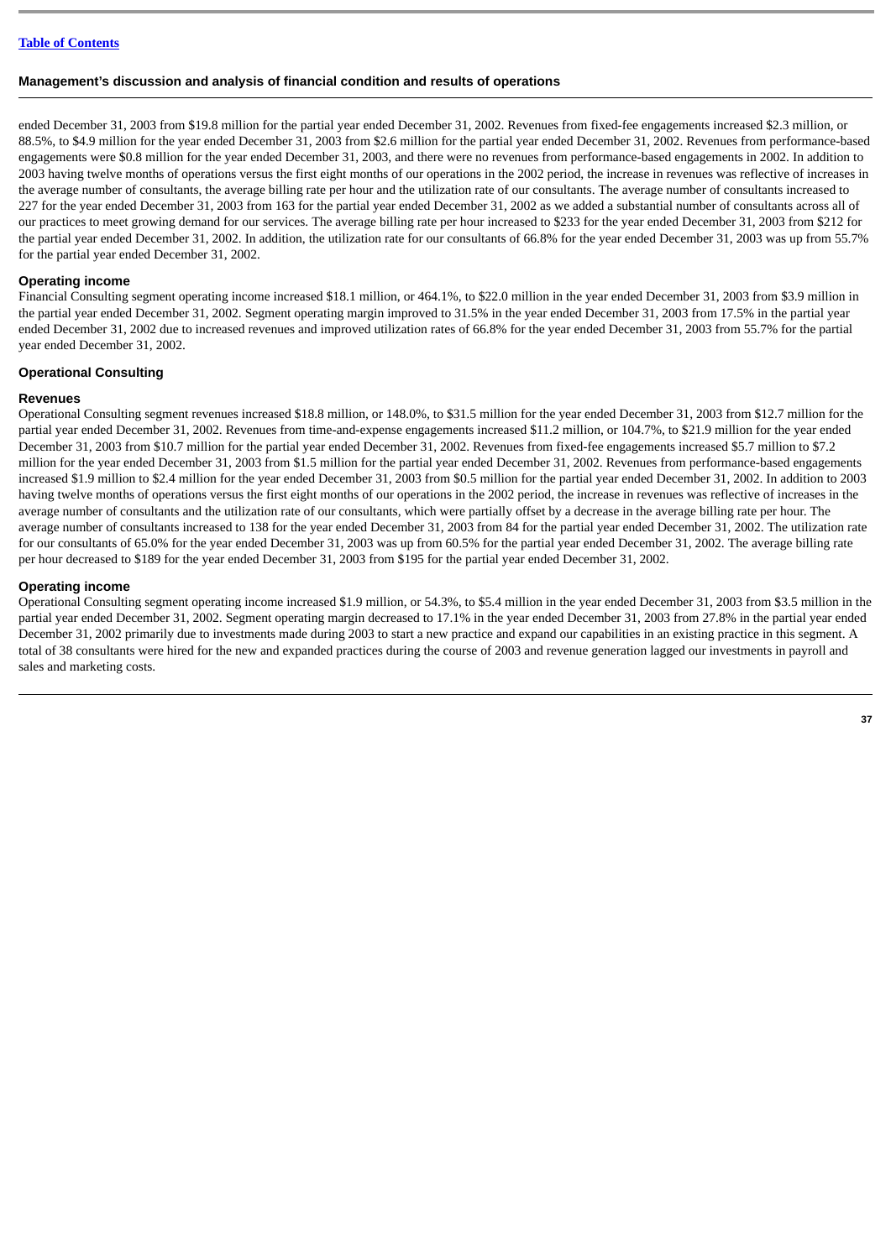ended December 31, 2003 from \$19.8 million for the partial year ended December 31, 2002. Revenues from fixed-fee engagements increased \$2.3 million, or 88.5%, to \$4.9 million for the year ended December 31, 2003 from \$2.6 million for the partial year ended December 31, 2002. Revenues from performance-based engagements were \$0.8 million for the year ended December 31, 2003, and there were no revenues from performance-based engagements in 2002. In addition to 2003 having twelve months of operations versus the first eight months of our operations in the 2002 period, the increase in revenues was reflective of increases in the average number of consultants, the average billing rate per hour and the utilization rate of our consultants. The average number of consultants increased to 227 for the year ended December 31, 2003 from 163 for the partial year ended December 31, 2002 as we added a substantial number of consultants across all of our practices to meet growing demand for our services. The average billing rate per hour increased to \$233 for the year ended December 31, 2003 from \$212 for the partial year ended December 31, 2002. In addition, the utilization rate for our consultants of 66.8% for the year ended December 31, 2003 was up from 55.7% for the partial year ended December 31, 2002.

#### **Operating income**

Financial Consulting segment operating income increased \$18.1 million, or 464.1%, to \$22.0 million in the year ended December 31, 2003 from \$3.9 million in the partial year ended December 31, 2002. Segment operating margin improved to 31.5% in the year ended December 31, 2003 from 17.5% in the partial year ended December 31, 2002 due to increased revenues and improved utilization rates of 66.8% for the year ended December 31, 2003 from 55.7% for the partial year ended December 31, 2002.

#### **Operational Consulting**

#### **Revenues**

Operational Consulting segment revenues increased \$18.8 million, or 148.0%, to \$31.5 million for the year ended December 31, 2003 from \$12.7 million for the partial year ended December 31, 2002. Revenues from time-and-expense engagements increased \$11.2 million, or 104.7%, to \$21.9 million for the year ended December 31, 2003 from \$10.7 million for the partial year ended December 31, 2002. Revenues from fixed-fee engagements increased \$5.7 million to \$7.2 million for the year ended December 31, 2003 from \$1.5 million for the partial year ended December 31, 2002. Revenues from performance-based engagements increased \$1.9 million to \$2.4 million for the year ended December 31, 2003 from \$0.5 million for the partial year ended December 31, 2002. In addition to 2003 having twelve months of operations versus the first eight months of our operations in the 2002 period, the increase in revenues was reflective of increases in the average number of consultants and the utilization rate of our consultants, which were partially offset by a decrease in the average billing rate per hour. The average number of consultants increased to 138 for the year ended December 31, 2003 from 84 for the partial year ended December 31, 2002. The utilization rate for our consultants of 65.0% for the year ended December 31, 2003 was up from 60.5% for the partial year ended December 31, 2002. The average billing rate per hour decreased to \$189 for the year ended December 31, 2003 from \$195 for the partial year ended December 31, 2002.

#### **Operating income**

Operational Consulting segment operating income increased \$1.9 million, or 54.3%, to \$5.4 million in the year ended December 31, 2003 from \$3.5 million in the partial year ended December 31, 2002. Segment operating margin decreased to 17.1% in the year ended December 31, 2003 from 27.8% in the partial year ended December 31, 2002 primarily due to investments made during 2003 to start a new practice and expand our capabilities in an existing practice in this segment. A total of 38 consultants were hired for the new and expanded practices during the course of 2003 and revenue generation lagged our investments in payroll and sales and marketing costs.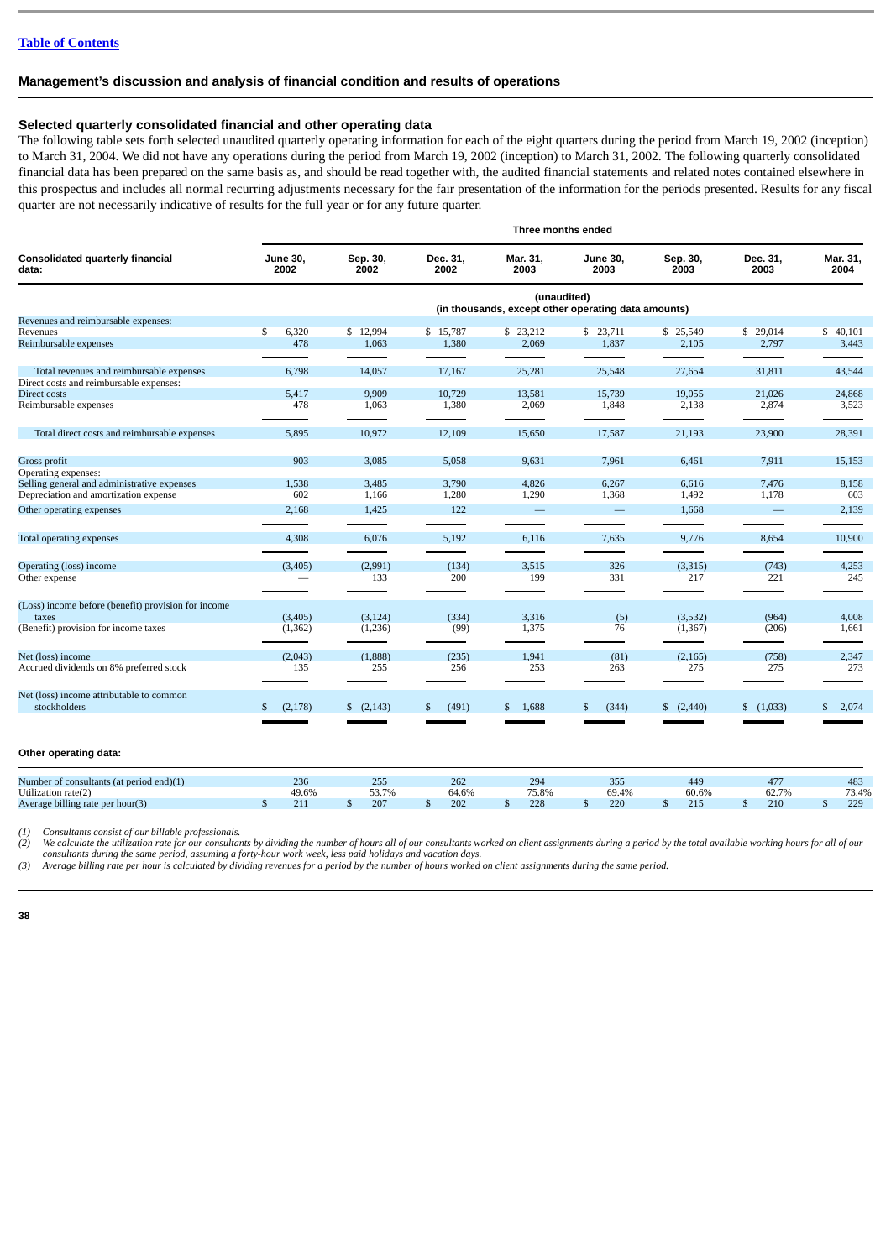# **Selected quarterly consolidated financial and other operating data**

The following table sets forth selected unaudited quarterly operating information for each of the eight quarters during the period from March 19, 2002 (inception) to March 31, 2004. We did not have any operations during the period from March 19, 2002 (inception) to March 31, 2002. The following quarterly consolidated financial data has been prepared on the same basis as, and should be read together with, the audited financial statements and related notes contained elsewhere in this prospectus and includes all normal recurring adjustments necessary for the fair presentation of the information for the periods presented. Results for any fiscal quarter are not necessarily indicative of results for the full year or for any future quarter.

|                                                                                     | Three months ended                                                 |                  |                  |                       |                         |                  |                          |                       |  |
|-------------------------------------------------------------------------------------|--------------------------------------------------------------------|------------------|------------------|-----------------------|-------------------------|------------------|--------------------------|-----------------------|--|
| <b>Consolidated quarterly financial</b><br>data:                                    | June 30,<br>2002                                                   | Sep. 30,<br>2002 | Dec. 31,<br>2002 | Mar. 31,<br>2003      | <b>June 30,</b><br>2003 | Sep. 30,<br>2003 | Dec. 31,<br>2003         | Mar. 31.<br>2004      |  |
|                                                                                     | (unaudited)<br>(in thousands, except other operating data amounts) |                  |                  |                       |                         |                  |                          |                       |  |
| Revenues and reimbursable expenses:                                                 |                                                                    |                  |                  |                       |                         |                  |                          |                       |  |
| Revenues                                                                            | 6,320<br>\$                                                        | \$12,994         | \$15,787         | \$ 23,212             | \$23,711                | \$25,549         | \$ 29,014                | \$40,101              |  |
| Reimbursable expenses                                                               | 478                                                                | 1,063            | 1,380            | 2,069                 | 1,837                   | 2,105            | 2,797                    | 3,443                 |  |
| Total revenues and reimbursable expenses<br>Direct costs and reimbursable expenses: | 6,798                                                              | 14,057           | 17,167           | 25,281                | 25,548                  | 27,654           | 31,811                   | 43,544                |  |
| <b>Direct costs</b>                                                                 | 5,417                                                              | 9,909            | 10,729           | 13,581                | 15,739                  | 19,055           | 21,026                   | 24,868                |  |
| Reimbursable expenses                                                               | 478                                                                | 1,063            | 1,380            | 2,069                 | 1,848                   | 2,138            | 2,874                    | 3,523                 |  |
| Total direct costs and reimbursable expenses                                        | 5,895                                                              | 10,972           | 12,109           | 15,650                | 17,587                  | 21,193           | 23,900                   | 28,391                |  |
| Gross profit                                                                        | 903                                                                | 3,085            | 5,058            | 9,631                 | 7,961                   | 6,461            | 7,911                    | 15,153                |  |
| Operating expenses:                                                                 |                                                                    |                  |                  |                       |                         |                  |                          |                       |  |
| Selling general and administrative expenses                                         | 1,538                                                              | 3,485            | 3,790            | 4,826                 | 6,267                   | 6,616            | 7,476                    | 8,158                 |  |
| Depreciation and amortization expense                                               | 602                                                                | 1,166            | 1,280            | 1,290                 | 1,368                   | 1,492            | 1,178                    | 603                   |  |
| Other operating expenses                                                            | 2,168                                                              | 1,425            | 122              | $\frac{1}{2}$         | $\equiv$                | 1,668            | $\overline{\phantom{m}}$ | 2,139                 |  |
|                                                                                     |                                                                    |                  |                  |                       |                         |                  |                          |                       |  |
| Total operating expenses                                                            | 4,308                                                              | 6,076            | 5,192            | 6,116                 | 7,635                   | 9,776            | 8,654                    | 10,900                |  |
| Operating (loss) income                                                             | (3, 405)                                                           | (2,991)          | (134)            | 3,515                 | 326                     | (3,315)          | (743)                    | 4,253                 |  |
| Other expense                                                                       |                                                                    | 133              | 200              | 199                   | 331                     | 217              | 221                      | 245                   |  |
|                                                                                     |                                                                    |                  |                  |                       |                         |                  |                          |                       |  |
| (Loss) income before (benefit) provision for income                                 |                                                                    |                  |                  |                       |                         |                  |                          |                       |  |
| taxes                                                                               | (3,405)                                                            | (3, 124)         | (334)            | 3,316                 | (5)                     | (3,532)          | (964)                    | 4,008                 |  |
| (Benefit) provision for income taxes                                                | (1, 362)                                                           | (1,236)          | (99)             | 1,375                 | 76                      | (1, 367)         | (206)                    | 1,661                 |  |
| Net (loss) income                                                                   | (2,043)                                                            | (1,888)          | (235)            | 1,941                 | (81)                    | (2, 165)         | (758)                    | 2,347                 |  |
| Accrued dividends on 8% preferred stock                                             | 135                                                                | 255              | 256              | 253                   | 263                     | 275              | 275                      | 273                   |  |
| Net (loss) income attributable to common<br>stockholders                            | (2,178)<br>\$                                                      | (2,143)          | (491)<br>\$.     | 1,688<br>$\mathbb{S}$ | (344)<br>\$             | \$(2,440)        | \$(1,033)                | 2,074<br>$\mathbb{S}$ |  |
|                                                                                     |                                                                    |                  |                  |                       |                         |                  |                          |                       |  |
| Other operating data:                                                               |                                                                    |                  |                  |                       |                         |                  |                          |                       |  |
| Number of consultants (at period end)(1)                                            | 236                                                                | 255              | 262              | 294                   | 355                     | 449              | 477                      | 483                   |  |

*(1) Consultants consist of our billable professionals. (2) We calculate the utilization rate for our consultants by dividing the number of hours all of our consultants worked on client assignments during a period by the total available working hours for all of our*

Utilization rate(2) 49.6% 53.7% 64.6% 75.8% 69.4% 60.6% 62.7% 73.4% Villization rate(2)<br>
Average billing rate per hour(3) <br>
Average billing rate per hour(3) 5 211 \$ 207 \$ 202 \$ 228 \$ 220 \$ 215 \$ 210 \$ 229

consultants during the same period, assuming a forty-hour work week, less paid holidays and vacation days.<br>(3) Average billing rate per hour is calculated by dividing revenues for a period by the number of hours worked on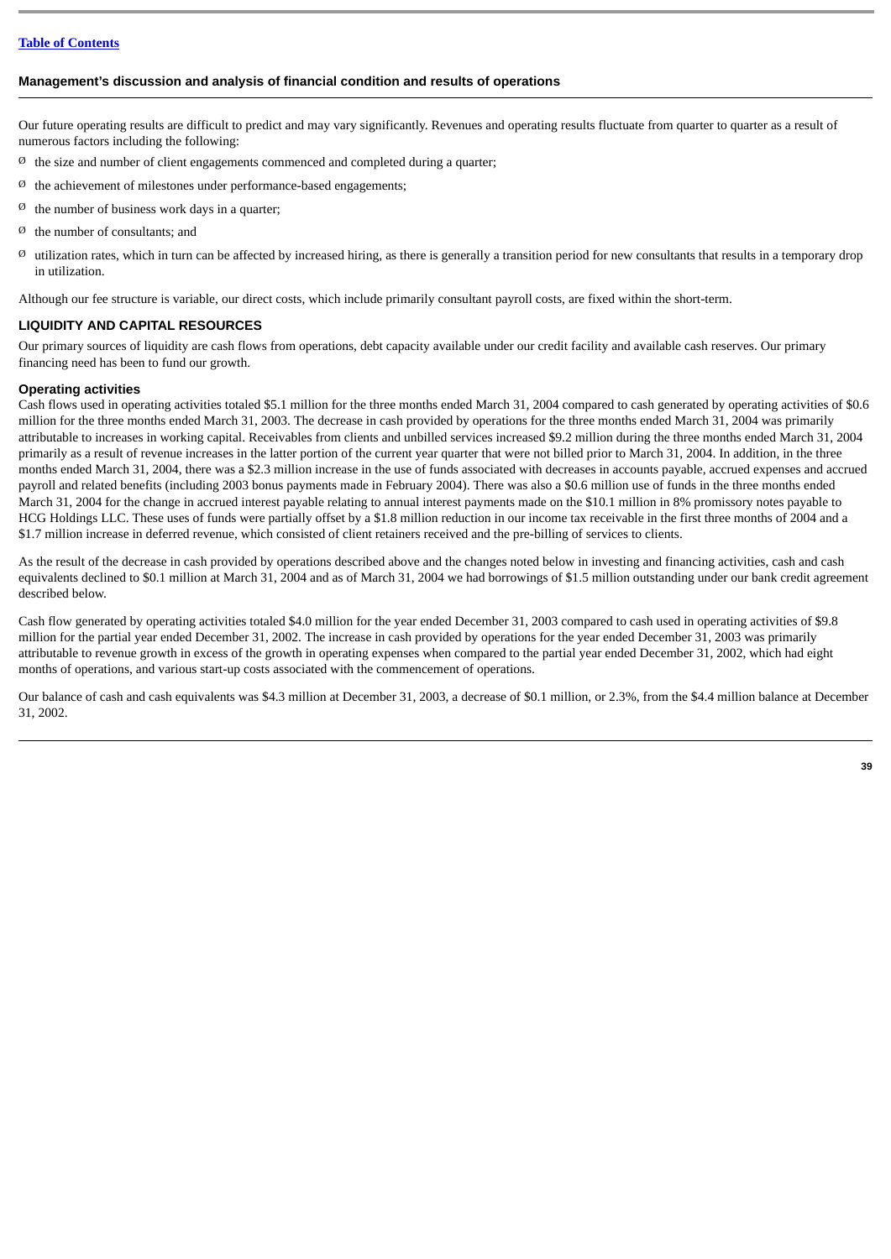## **Management's discussion and analysis of financial condition and results of operations**

Our future operating results are difficult to predict and may vary significantly. Revenues and operating results fluctuate from quarter to quarter as a result of numerous factors including the following:

- $\emptyset$  the size and number of client engagements commenced and completed during a quarter;
- $\emptyset$  the achievement of milestones under performance-based engagements;
- $\emptyset$  the number of business work days in a quarter:
- $\emptyset$  the number of consultants; and
- $\emptyset$  utilization rates, which in turn can be affected by increased hiring, as there is generally a transition period for new consultants that results in a temporary drop in utilization.

Although our fee structure is variable, our direct costs, which include primarily consultant payroll costs, are fixed within the short-term.

#### **LIQUIDITY AND CAPITAL RESOURCES**

Our primary sources of liquidity are cash flows from operations, debt capacity available under our credit facility and available cash reserves. Our primary financing need has been to fund our growth.

# **Operating activities**

Cash flows used in operating activities totaled \$5.1 million for the three months ended March 31, 2004 compared to cash generated by operating activities of \$0.6 million for the three months ended March 31, 2003. The decrease in cash provided by operations for the three months ended March 31, 2004 was primarily attributable to increases in working capital. Receivables from clients and unbilled services increased \$9.2 million during the three months ended March 31, 2004 primarily as a result of revenue increases in the latter portion of the current year quarter that were not billed prior to March 31, 2004. In addition, in the three months ended March 31, 2004, there was a \$2.3 million increase in the use of funds associated with decreases in accounts payable, accrued expenses and accrued payroll and related benefits (including 2003 bonus payments made in February 2004). There was also a \$0.6 million use of funds in the three months ended March 31, 2004 for the change in accrued interest payable relating to annual interest payments made on the \$10.1 million in 8% promissory notes payable to HCG Holdings LLC. These uses of funds were partially offset by a \$1.8 million reduction in our income tax receivable in the first three months of 2004 and a \$1.7 million increase in deferred revenue, which consisted of client retainers received and the pre-billing of services to clients.

As the result of the decrease in cash provided by operations described above and the changes noted below in investing and financing activities, cash and cash equivalents declined to \$0.1 million at March 31, 2004 and as of March 31, 2004 we had borrowings of \$1.5 million outstanding under our bank credit agreement described below.

Cash flow generated by operating activities totaled \$4.0 million for the year ended December 31, 2003 compared to cash used in operating activities of \$9.8 million for the partial year ended December 31, 2002. The increase in cash provided by operations for the year ended December 31, 2003 was primarily attributable to revenue growth in excess of the growth in operating expenses when compared to the partial year ended December 31, 2002, which had eight months of operations, and various start-up costs associated with the commencement of operations.

Our balance of cash and cash equivalents was \$4.3 million at December 31, 2003, a decrease of \$0.1 million, or 2.3%, from the \$4.4 million balance at December 31, 2002.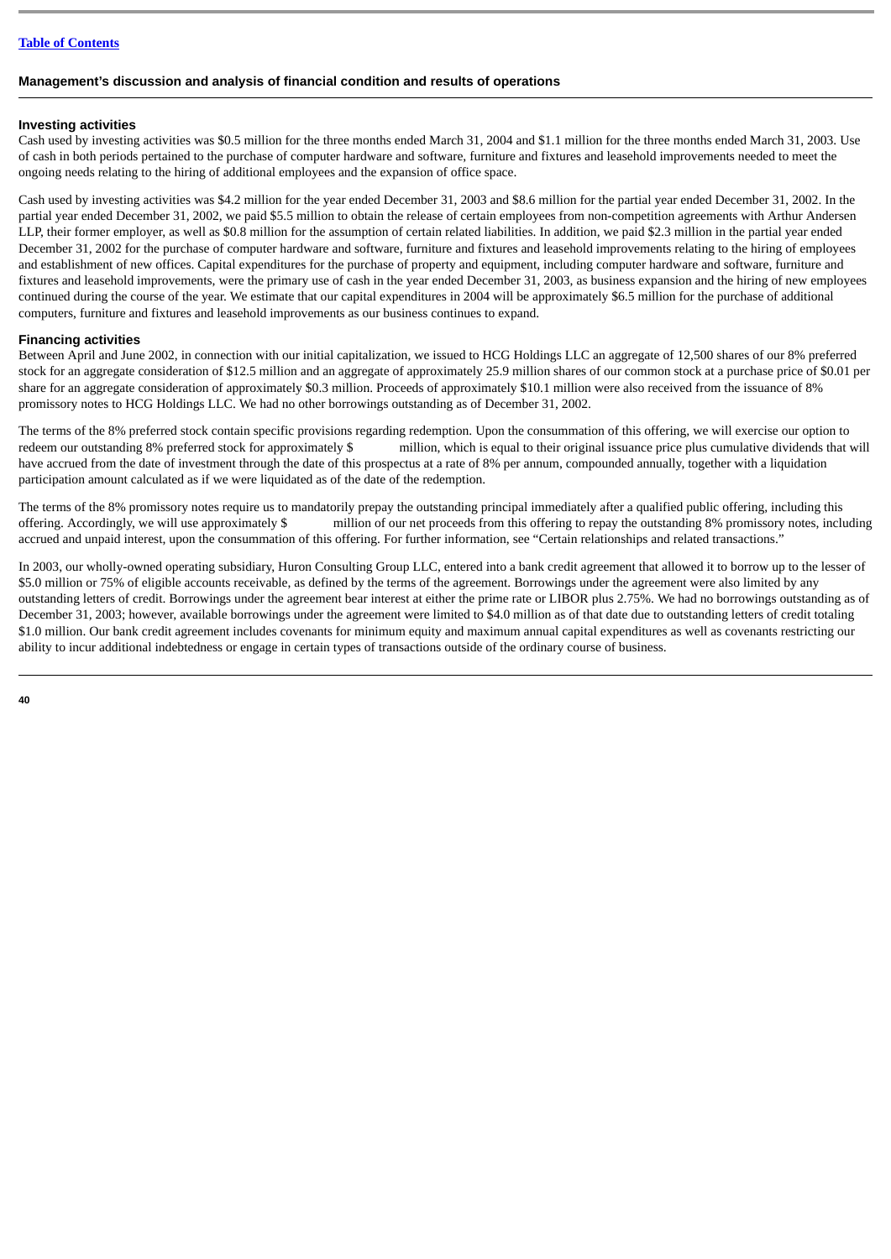#### **Investing activities**

Cash used by investing activities was \$0.5 million for the three months ended March 31, 2004 and \$1.1 million for the three months ended March 31, 2003. Use of cash in both periods pertained to the purchase of computer hardware and software, furniture and fixtures and leasehold improvements needed to meet the ongoing needs relating to the hiring of additional employees and the expansion of office space.

Cash used by investing activities was \$4.2 million for the year ended December 31, 2003 and \$8.6 million for the partial year ended December 31, 2002. In the partial year ended December 31, 2002, we paid \$5.5 million to obtain the release of certain employees from non-competition agreements with Arthur Andersen LLP, their former employer, as well as \$0.8 million for the assumption of certain related liabilities. In addition, we paid \$2.3 million in the partial year ended December 31, 2002 for the purchase of computer hardware and software, furniture and fixtures and leasehold improvements relating to the hiring of employees and establishment of new offices. Capital expenditures for the purchase of property and equipment, including computer hardware and software, furniture and fixtures and leasehold improvements, were the primary use of cash in the year ended December 31, 2003, as business expansion and the hiring of new employees continued during the course of the year. We estimate that our capital expenditures in 2004 will be approximately \$6.5 million for the purchase of additional computers, furniture and fixtures and leasehold improvements as our business continues to expand.

#### **Financing activities**

Between April and June 2002, in connection with our initial capitalization, we issued to HCG Holdings LLC an aggregate of 12,500 shares of our 8% preferred stock for an aggregate consideration of \$12.5 million and an aggregate of approximately 25.9 million shares of our common stock at a purchase price of \$0.01 per share for an aggregate consideration of approximately \$0.3 million. Proceeds of approximately \$10.1 million were also received from the issuance of 8% promissory notes to HCG Holdings LLC. We had no other borrowings outstanding as of December 31, 2002.

The terms of the 8% preferred stock contain specific provisions regarding redemption. Upon the consummation of this offering, we will exercise our option to redeem our outstanding 8% preferred stock for approximately \$ million, which is equal to their original issuance price plus cumulative dividends that will have accrued from the date of investment through the date of this prospectus at a rate of 8% per annum, compounded annually, together with a liquidation participation amount calculated as if we were liquidated as of the date of the redemption.

The terms of the 8% promissory notes require us to mandatorily prepay the outstanding principal immediately after a qualified public offering, including this offering. Accordingly, we will use approximately \$ million of our net proceeds from this offering to repay the outstanding 8% promissory notes, including accrued and unpaid interest, upon the consummation of this offering. For further information, see "Certain relationships and related transactions."

In 2003, our wholly-owned operating subsidiary, Huron Consulting Group LLC, entered into a bank credit agreement that allowed it to borrow up to the lesser of \$5.0 million or 75% of eligible accounts receivable, as defined by the terms of the agreement. Borrowings under the agreement were also limited by any outstanding letters of credit. Borrowings under the agreement bear interest at either the prime rate or LIBOR plus 2.75%. We had no borrowings outstanding as of December 31, 2003; however, available borrowings under the agreement were limited to \$4.0 million as of that date due to outstanding letters of credit totaling \$1.0 million. Our bank credit agreement includes covenants for minimum equity and maximum annual capital expenditures as well as covenants restricting our ability to incur additional indebtedness or engage in certain types of transactions outside of the ordinary course of business.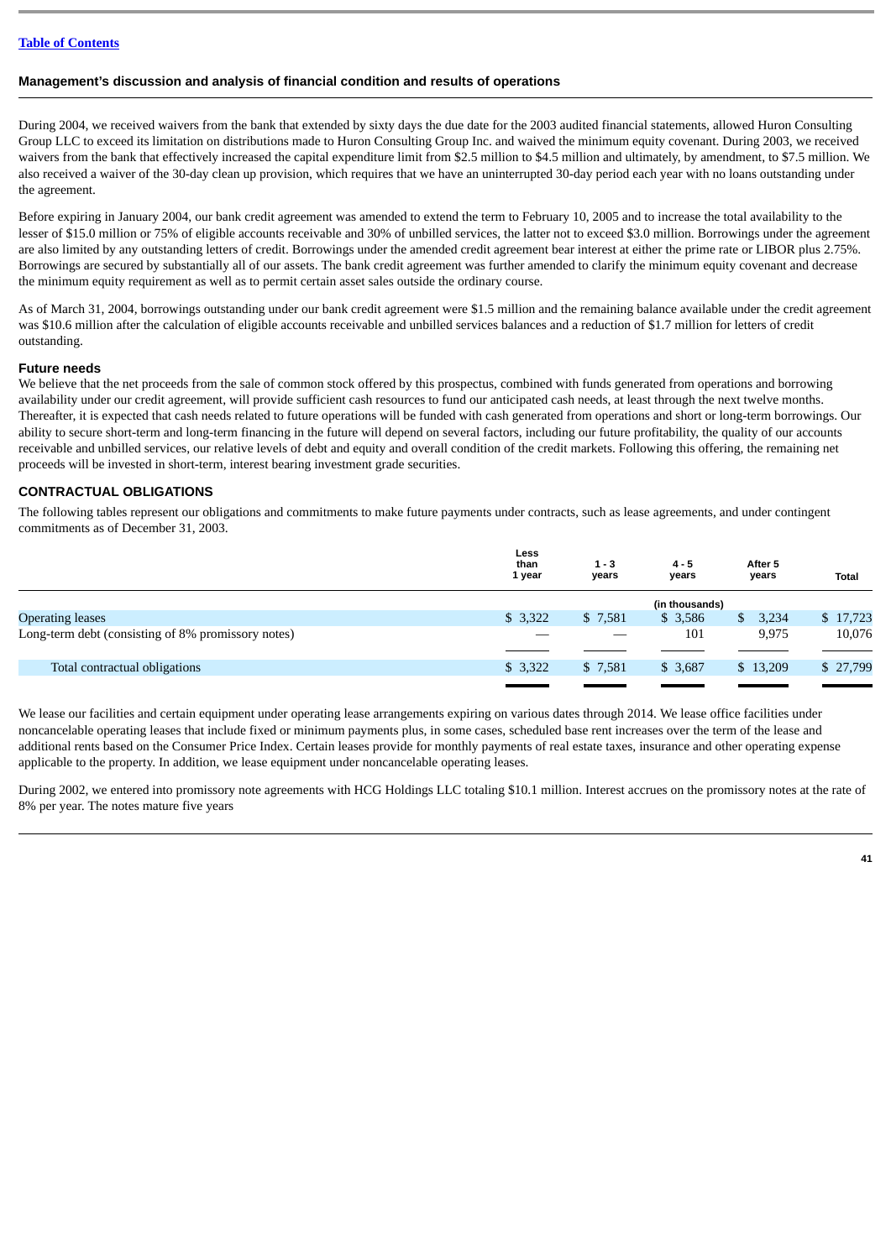During 2004, we received waivers from the bank that extended by sixty days the due date for the 2003 audited financial statements, allowed Huron Consulting Group LLC to exceed its limitation on distributions made to Huron Consulting Group Inc. and waived the minimum equity covenant. During 2003, we received waivers from the bank that effectively increased the capital expenditure limit from \$2.5 million to \$4.5 million and ultimately, by amendment, to \$7.5 million. We also received a waiver of the 30-day clean up provision, which requires that we have an uninterrupted 30-day period each year with no loans outstanding under the agreement.

Before expiring in January 2004, our bank credit agreement was amended to extend the term to February 10, 2005 and to increase the total availability to the lesser of \$15.0 million or 75% of eligible accounts receivable and 30% of unbilled services, the latter not to exceed \$3.0 million. Borrowings under the agreement are also limited by any outstanding letters of credit. Borrowings under the amended credit agreement bear interest at either the prime rate or LIBOR plus 2.75%. Borrowings are secured by substantially all of our assets. The bank credit agreement was further amended to clarify the minimum equity covenant and decrease the minimum equity requirement as well as to permit certain asset sales outside the ordinary course.

As of March 31, 2004, borrowings outstanding under our bank credit agreement were \$1.5 million and the remaining balance available under the credit agreement was \$10.6 million after the calculation of eligible accounts receivable and unbilled services balances and a reduction of \$1.7 million for letters of credit outstanding.

# **Future needs**

We believe that the net proceeds from the sale of common stock offered by this prospectus, combined with funds generated from operations and borrowing availability under our credit agreement, will provide sufficient cash resources to fund our anticipated cash needs, at least through the next twelve months. Thereafter, it is expected that cash needs related to future operations will be funded with cash generated from operations and short or long-term borrowings. Our ability to secure short-term and long-term financing in the future will depend on several factors, including our future profitability, the quality of our accounts receivable and unbilled services, our relative levels of debt and equity and overall condition of the credit markets. Following this offering, the remaining net proceeds will be invested in short-term, interest bearing investment grade securities.

# **CONTRACTUAL OBLIGATIONS**

The following tables represent our obligations and commitments to make future payments under contracts, such as lease agreements, and under contingent commitments as of December 31, 2003.

|                                                    | Less<br>than<br>1 year | $1 - 3$<br>years | $4 - 5$<br>years | After 5<br>years | <b>Total</b> |
|----------------------------------------------------|------------------------|------------------|------------------|------------------|--------------|
|                                                    |                        |                  | (in thousands)   |                  |              |
| <b>Operating leases</b>                            | \$3,322                | \$ 7,581         | \$3,586          | 3,234<br>S.      | \$17,723     |
| Long-term debt (consisting of 8% promissory notes) |                        |                  | 101              | 9,975            | 10,076       |
|                                                    |                        |                  |                  |                  |              |
| Total contractual obligations                      | \$3,322                | \$ 7,581         | \$ 3,687         | \$13,209         | \$27,799     |
|                                                    |                        |                  |                  |                  |              |

We lease our facilities and certain equipment under operating lease arrangements expiring on various dates through 2014. We lease office facilities under noncancelable operating leases that include fixed or minimum payments plus, in some cases, scheduled base rent increases over the term of the lease and additional rents based on the Consumer Price Index. Certain leases provide for monthly payments of real estate taxes, insurance and other operating expense applicable to the property. In addition, we lease equipment under noncancelable operating leases.

During 2002, we entered into promissory note agreements with HCG Holdings LLC totaling \$10.1 million. Interest accrues on the promissory notes at the rate of 8% per year. The notes mature five years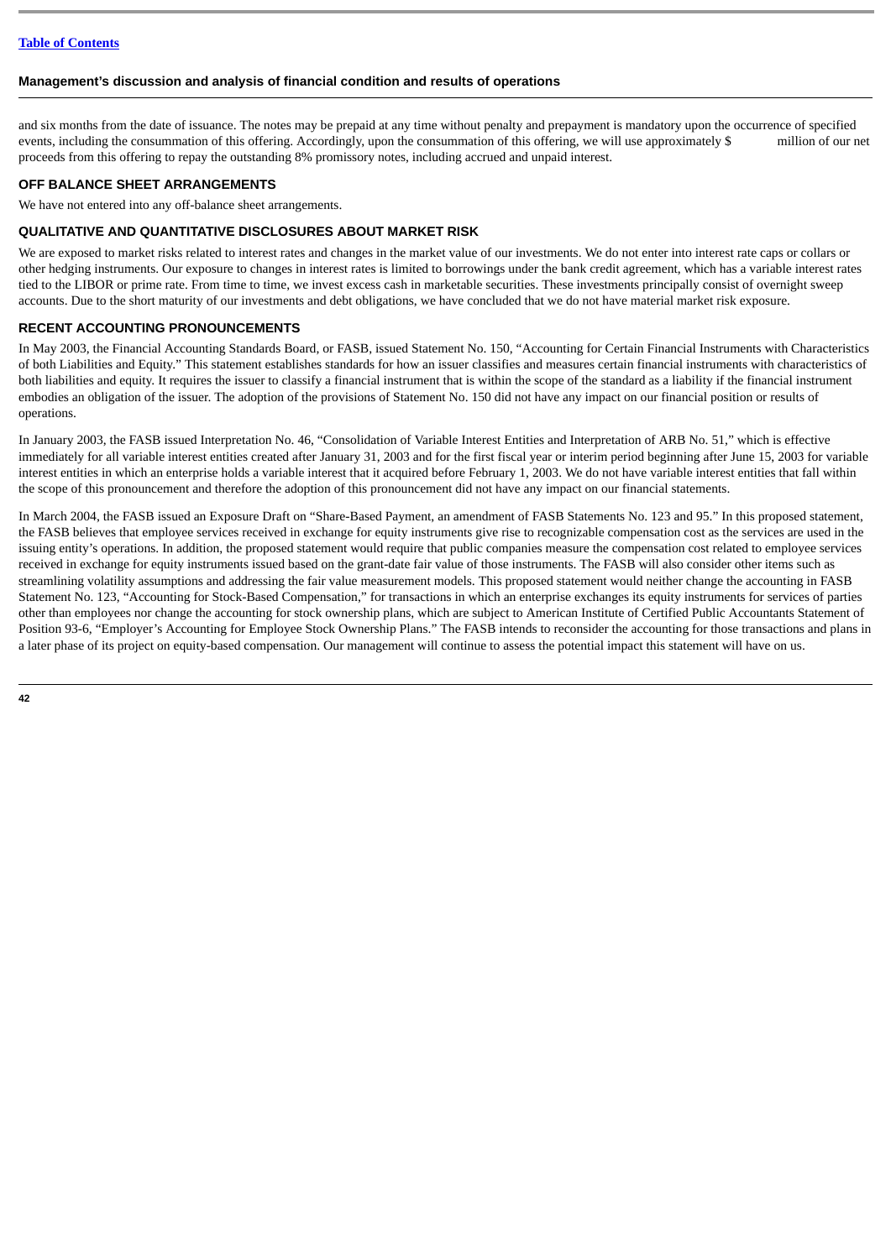and six months from the date of issuance. The notes may be prepaid at any time without penalty and prepayment is mandatory upon the occurrence of specified events, including the consummation of this offering. Accordingly, upon the consummation of this offering, we will use approximately \$ million of our net proceeds from this offering to repay the outstanding 8% promissory notes, including accrued and unpaid interest.

# **OFF BALANCE SHEET ARRANGEMENTS**

We have not entered into any off-balance sheet arrangements.

## **QUALITATIVE AND QUANTITATIVE DISCLOSURES ABOUT MARKET RISK**

We are exposed to market risks related to interest rates and changes in the market value of our investments. We do not enter into interest rate caps or collars or other hedging instruments. Our exposure to changes in interest rates is limited to borrowings under the bank credit agreement, which has a variable interest rates tied to the LIBOR or prime rate. From time to time, we invest excess cash in marketable securities. These investments principally consist of overnight sweep accounts. Due to the short maturity of our investments and debt obligations, we have concluded that we do not have material market risk exposure.

#### **RECENT ACCOUNTING PRONOUNCEMENTS**

In May 2003, the Financial Accounting Standards Board, or FASB, issued Statement No. 150, "Accounting for Certain Financial Instruments with Characteristics of both Liabilities and Equity." This statement establishes standards for how an issuer classifies and measures certain financial instruments with characteristics of both liabilities and equity. It requires the issuer to classify a financial instrument that is within the scope of the standard as a liability if the financial instrument embodies an obligation of the issuer. The adoption of the provisions of Statement No. 150 did not have any impact on our financial position or results of operations.

In January 2003, the FASB issued Interpretation No. 46, "Consolidation of Variable Interest Entities and Interpretation of ARB No. 51," which is effective immediately for all variable interest entities created after January 31, 2003 and for the first fiscal year or interim period beginning after June 15, 2003 for variable interest entities in which an enterprise holds a variable interest that it acquired before February 1, 2003. We do not have variable interest entities that fall within the scope of this pronouncement and therefore the adoption of this pronouncement did not have any impact on our financial statements.

In March 2004, the FASB issued an Exposure Draft on "Share-Based Payment, an amendment of FASB Statements No. 123 and 95." In this proposed statement, the FASB believes that employee services received in exchange for equity instruments give rise to recognizable compensation cost as the services are used in the issuing entity's operations. In addition, the proposed statement would require that public companies measure the compensation cost related to employee services received in exchange for equity instruments issued based on the grant-date fair value of those instruments. The FASB will also consider other items such as streamlining volatility assumptions and addressing the fair value measurement models. This proposed statement would neither change the accounting in FASB Statement No. 123, "Accounting for Stock-Based Compensation," for transactions in which an enterprise exchanges its equity instruments for services of parties other than employees nor change the accounting for stock ownership plans, which are subject to American Institute of Certified Public Accountants Statement of Position 93-6, "Employer's Accounting for Employee Stock Ownership Plans." The FASB intends to reconsider the accounting for those transactions and plans in a later phase of its project on equity-based compensation. Our management will continue to assess the potential impact this statement will have on us.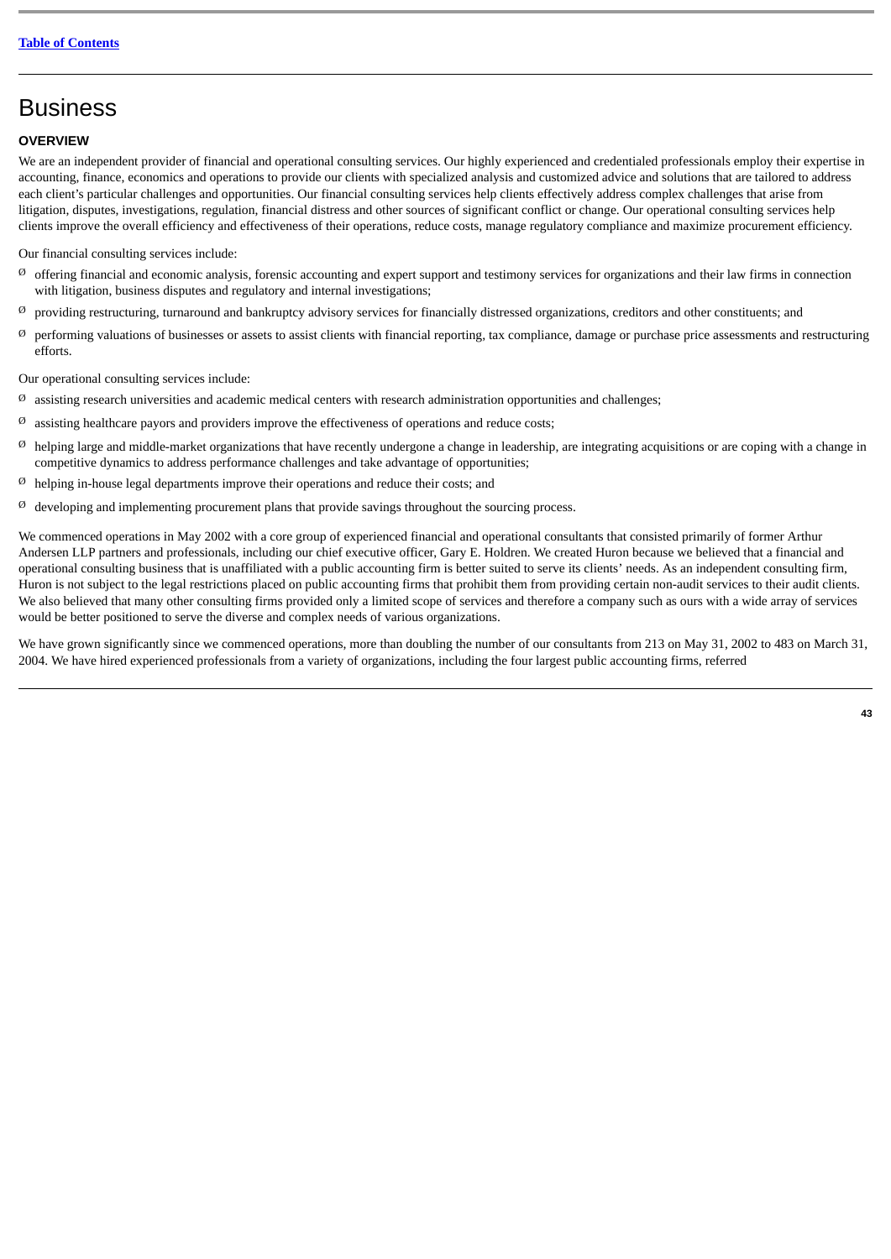# **Business**

# **OVERVIEW**

We are an independent provider of financial and operational consulting services. Our highly experienced and credentialed professionals employ their expertise in accounting, finance, economics and operations to provide our clients with specialized analysis and customized advice and solutions that are tailored to address each client's particular challenges and opportunities. Our financial consulting services help clients effectively address complex challenges that arise from litigation, disputes, investigations, regulation, financial distress and other sources of significant conflict or change. Our operational consulting services help clients improve the overall efficiency and effectiveness of their operations, reduce costs, manage regulatory compliance and maximize procurement efficiency.

Our financial consulting services include:

- Ø offering financial and economic analysis, forensic accounting and expert support and testimony services for organizations and their law firms in connection with litigation, business disputes and regulatory and internal investigations;
- $\emptyset$  providing restructuring, turnaround and bankruptcy advisory services for financially distressed organizations, creditors and other constituents; and
- $\emptyset$  performing valuations of businesses or assets to assist clients with financial reporting, tax compliance, damage or purchase price assessments and restructuring efforts.

Our operational consulting services include:

- $\emptyset$  assisting research universities and academic medical centers with research administration opportunities and challenges;
- $\emptyset$  assisting healthcare payors and providers improve the effectiveness of operations and reduce costs;
- $\emptyset$  helping large and middle-market organizations that have recently undergone a change in leadership, are integrating acquisitions or are coping with a change in competitive dynamics to address performance challenges and take advantage of opportunities;
- $\emptyset$  helping in-house legal departments improve their operations and reduce their costs; and
- $\varnothing$  developing and implementing procurement plans that provide savings throughout the sourcing process.

We commenced operations in May 2002 with a core group of experienced financial and operational consultants that consisted primarily of former Arthur Andersen LLP partners and professionals, including our chief executive officer, Gary E. Holdren. We created Huron because we believed that a financial and operational consulting business that is unaffiliated with a public accounting firm is better suited to serve its clients' needs. As an independent consulting firm, Huron is not subject to the legal restrictions placed on public accounting firms that prohibit them from providing certain non-audit services to their audit clients. We also believed that many other consulting firms provided only a limited scope of services and therefore a company such as ours with a wide array of services would be better positioned to serve the diverse and complex needs of various organizations.

We have grown significantly since we commenced operations, more than doubling the number of our consultants from 213 on May 31, 2002 to 483 on March 31, 2004. We have hired experienced professionals from a variety of organizations, including the four largest public accounting firms, referred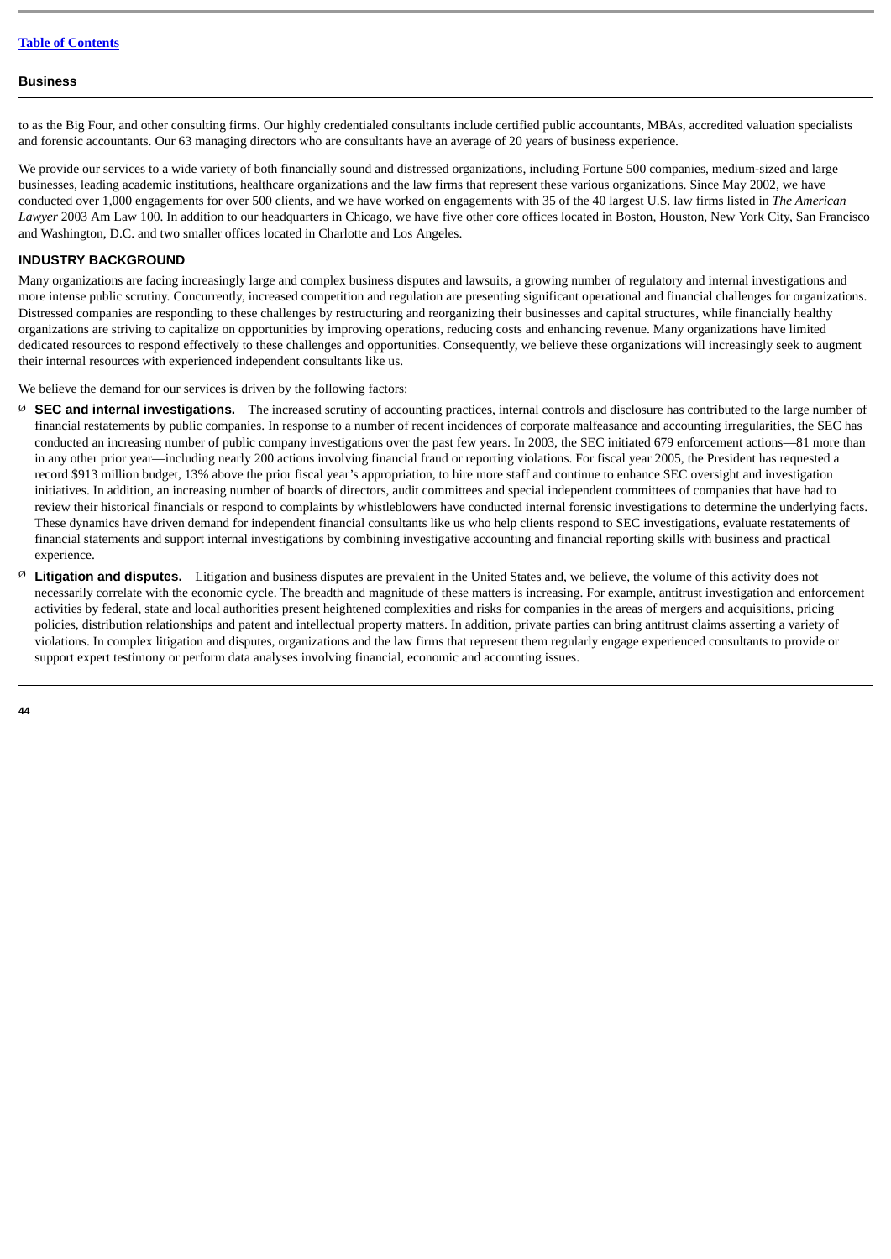# **Business**

to as the Big Four, and other consulting firms. Our highly credentialed consultants include certified public accountants, MBAs, accredited valuation specialists and forensic accountants. Our 63 managing directors who are consultants have an average of 20 years of business experience.

We provide our services to a wide variety of both financially sound and distressed organizations, including Fortune 500 companies, medium-sized and large businesses, leading academic institutions, healthcare organizations and the law firms that represent these various organizations. Since May 2002, we have conducted over 1,000 engagements for over 500 clients, and we have worked on engagements with 35 of the 40 largest U.S. law firms listed in *The American Lawyer* 2003 Am Law 100. In addition to our headquarters in Chicago, we have five other core offices located in Boston, Houston, New York City, San Francisco and Washington, D.C. and two smaller offices located in Charlotte and Los Angeles.

### **INDUSTRY BACKGROUND**

Many organizations are facing increasingly large and complex business disputes and lawsuits, a growing number of regulatory and internal investigations and more intense public scrutiny. Concurrently, increased competition and regulation are presenting significant operational and financial challenges for organizations. Distressed companies are responding to these challenges by restructuring and reorganizing their businesses and capital structures, while financially healthy organizations are striving to capitalize on opportunities by improving operations, reducing costs and enhancing revenue. Many organizations have limited dedicated resources to respond effectively to these challenges and opportunities. Consequently, we believe these organizations will increasingly seek to augment their internal resources with experienced independent consultants like us.

We believe the demand for our services is driven by the following factors:

- Ø **SEC and internal investigations.** The increased scrutiny of accounting practices, internal controls and disclosure has contributed to the large number of financial restatements by public companies. In response to a number of recent incidences of corporate malfeasance and accounting irregularities, the SEC has conducted an increasing number of public company investigations over the past few years. In 2003, the SEC initiated 679 enforcement actions—81 more than in any other prior year—including nearly 200 actions involving financial fraud or reporting violations. For fiscal year 2005, the President has requested a record \$913 million budget, 13% above the prior fiscal year's appropriation, to hire more staff and continue to enhance SEC oversight and investigation initiatives. In addition, an increasing number of boards of directors, audit committees and special independent committees of companies that have had to review their historical financials or respond to complaints by whistleblowers have conducted internal forensic investigations to determine the underlying facts. These dynamics have driven demand for independent financial consultants like us who help clients respond to SEC investigations, evaluate restatements of financial statements and support internal investigations by combining investigative accounting and financial reporting skills with business and practical experience.
- $\emptyset$  **Litigation and disputes.** Litigation and business disputes are prevalent in the United States and, we believe, the volume of this activity does not necessarily correlate with the economic cycle. The breadth and magnitude of these matters is increasing. For example, antitrust investigation and enforcement activities by federal, state and local authorities present heightened complexities and risks for companies in the areas of mergers and acquisitions, pricing policies, distribution relationships and patent and intellectual property matters. In addition, private parties can bring antitrust claims asserting a variety of violations. In complex litigation and disputes, organizations and the law firms that represent them regularly engage experienced consultants to provide or support expert testimony or perform data analyses involving financial, economic and accounting issues.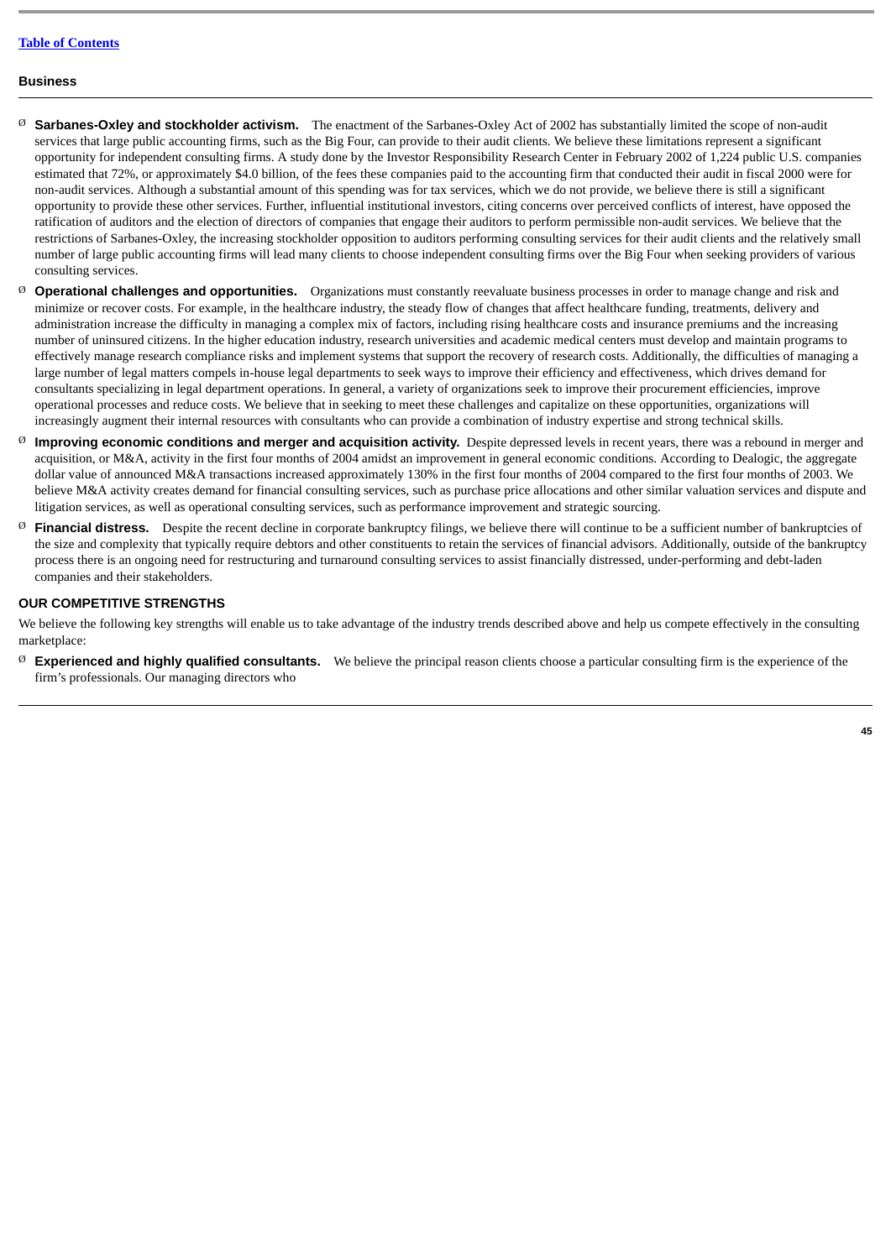#### **Business**

- $\varnothing$  **Sarbanes-Oxley and stockholder activism.** The enactment of the Sarbanes-Oxley Act of 2002 has substantially limited the scope of non-audit services that large public accounting firms, such as the Big Four, can provide to their audit clients. We believe these limitations represent a significant opportunity for independent consulting firms. A study done by the Investor Responsibility Research Center in February 2002 of 1,224 public U.S. companies estimated that 72%, or approximately \$4.0 billion, of the fees these companies paid to the accounting firm that conducted their audit in fiscal 2000 were for non-audit services. Although a substantial amount of this spending was for tax services, which we do not provide, we believe there is still a significant opportunity to provide these other services. Further, influential institutional investors, citing concerns over perceived conflicts of interest, have opposed the ratification of auditors and the election of directors of companies that engage their auditors to perform permissible non-audit services. We believe that the restrictions of Sarbanes-Oxley, the increasing stockholder opposition to auditors performing consulting services for their audit clients and the relatively small number of large public accounting firms will lead many clients to choose independent consulting firms over the Big Four when seeking providers of various consulting services.
- Ø **Operational challenges and opportunities.** Organizations must constantly reevaluate business processes in order to manage change and risk and minimize or recover costs. For example, in the healthcare industry, the steady flow of changes that affect healthcare funding, treatments, delivery and administration increase the difficulty in managing a complex mix of factors, including rising healthcare costs and insurance premiums and the increasing number of uninsured citizens. In the higher education industry, research universities and academic medical centers must develop and maintain programs to effectively manage research compliance risks and implement systems that support the recovery of research costs. Additionally, the difficulties of managing a large number of legal matters compels in-house legal departments to seek ways to improve their efficiency and effectiveness, which drives demand for consultants specializing in legal department operations. In general, a variety of organizations seek to improve their procurement efficiencies, improve operational processes and reduce costs. We believe that in seeking to meet these challenges and capitalize on these opportunities, organizations will increasingly augment their internal resources with consultants who can provide a combination of industry expertise and strong technical skills.
- Improving economic conditions and merger and acquisition activity. Despite depressed levels in recent years, there was a rebound in merger and acquisition, or M&A, activity in the first four months of 2004 amidst an improvement in general economic conditions. According to Dealogic, the aggregate dollar value of announced M&A transactions increased approximately 130% in the first four months of 2004 compared to the first four months of 2003. We believe M&A activity creates demand for financial consulting services, such as purchase price allocations and other similar valuation services and dispute and litigation services, as well as operational consulting services, such as performance improvement and strategic sourcing.
- Financial distress. Despite the recent decline in corporate bankruptcy filings, we believe there will continue to be a sufficient number of bankruptcies of the size and complexity that typically require debtors and other constituents to retain the services of financial advisors. Additionally, outside of the bankruptcy process there is an ongoing need for restructuring and turnaround consulting services to assist financially distressed, under-performing and debt-laden companies and their stakeholders.

#### **OUR COMPETITIVE STRENGTHS**

We believe the following key strengths will enable us to take advantage of the industry trends described above and help us compete effectively in the consulting marketplace:

 $\emptyset$  **Experienced and highly qualified consultants.** We believe the principal reason clients choose a particular consulting firm is the experience of the firm's professionals. Our managing directors who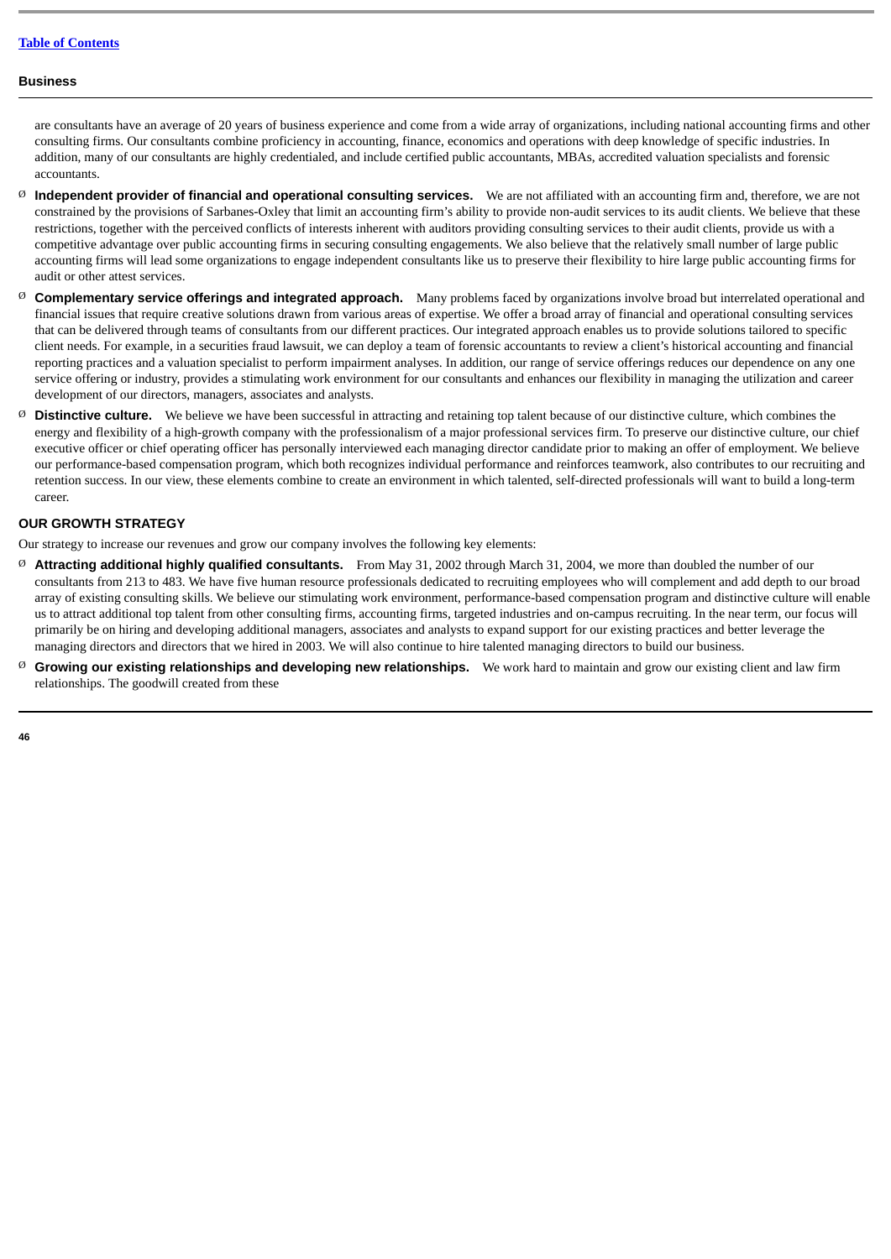#### **Business**

are consultants have an average of 20 years of business experience and come from a wide array of organizations, including national accounting firms and other consulting firms. Our consultants combine proficiency in accounting, finance, economics and operations with deep knowledge of specific industries. In addition, many of our consultants are highly credentialed, and include certified public accountants, MBAs, accredited valuation specialists and forensic accountants.

- $\emptyset$  **Independent provider of financial and operational consulting services.** We are not affiliated with an accounting firm and, therefore, we are not constrained by the provisions of Sarbanes-Oxley that limit an accounting firm's ability to provide non-audit services to its audit clients. We believe that these restrictions, together with the perceived conflicts of interests inherent with auditors providing consulting services to their audit clients, provide us with a competitive advantage over public accounting firms in securing consulting engagements. We also believe that the relatively small number of large public accounting firms will lead some organizations to engage independent consultants like us to preserve their flexibility to hire large public accounting firms for audit or other attest services.
- Ø **Complementary service offerings and integrated approach.** Many problems faced by organizations involve broad but interrelated operational and financial issues that require creative solutions drawn from various areas of expertise. We offer a broad array of financial and operational consulting services that can be delivered through teams of consultants from our different practices. Our integrated approach enables us to provide solutions tailored to specific client needs. For example, in a securities fraud lawsuit, we can deploy a team of forensic accountants to review a client's historical accounting and financial reporting practices and a valuation specialist to perform impairment analyses. In addition, our range of service offerings reduces our dependence on any one service offering or industry, provides a stimulating work environment for our consultants and enhances our flexibility in managing the utilization and career development of our directors, managers, associates and analysts.
- Ø **Distinctive culture.** We believe we have been successful in attracting and retaining top talent because of our distinctive culture, which combines the energy and flexibility of a high-growth company with the professionalism of a major professional services firm. To preserve our distinctive culture, our chief executive officer or chief operating officer has personally interviewed each managing director candidate prior to making an offer of employment. We believe our performance-based compensation program, which both recognizes individual performance and reinforces teamwork, also contributes to our recruiting and retention success. In our view, these elements combine to create an environment in which talented, self-directed professionals will want to build a long-term career.

# **OUR GROWTH STRATEGY**

Our strategy to increase our revenues and grow our company involves the following key elements:

- $\varnothing$  **Attracting additional highly qualified consultants.** From May 31, 2002 through March 31, 2004, we more than doubled the number of our consultants from 213 to 483. We have five human resource professionals dedicated to recruiting employees who will complement and add depth to our broad array of existing consulting skills. We believe our stimulating work environment, performance-based compensation program and distinctive culture will enable us to attract additional top talent from other consulting firms, accounting firms, targeted industries and on-campus recruiting. In the near term, our focus will primarily be on hiring and developing additional managers, associates and analysts to expand support for our existing practices and better leverage the managing directors and directors that we hired in 2003. We will also continue to hire talented managing directors to build our business.
- $\emptyset$  **Growing our existing relationships and developing new relationships.** We work hard to maintain and grow our existing client and law firm relationships. The goodwill created from these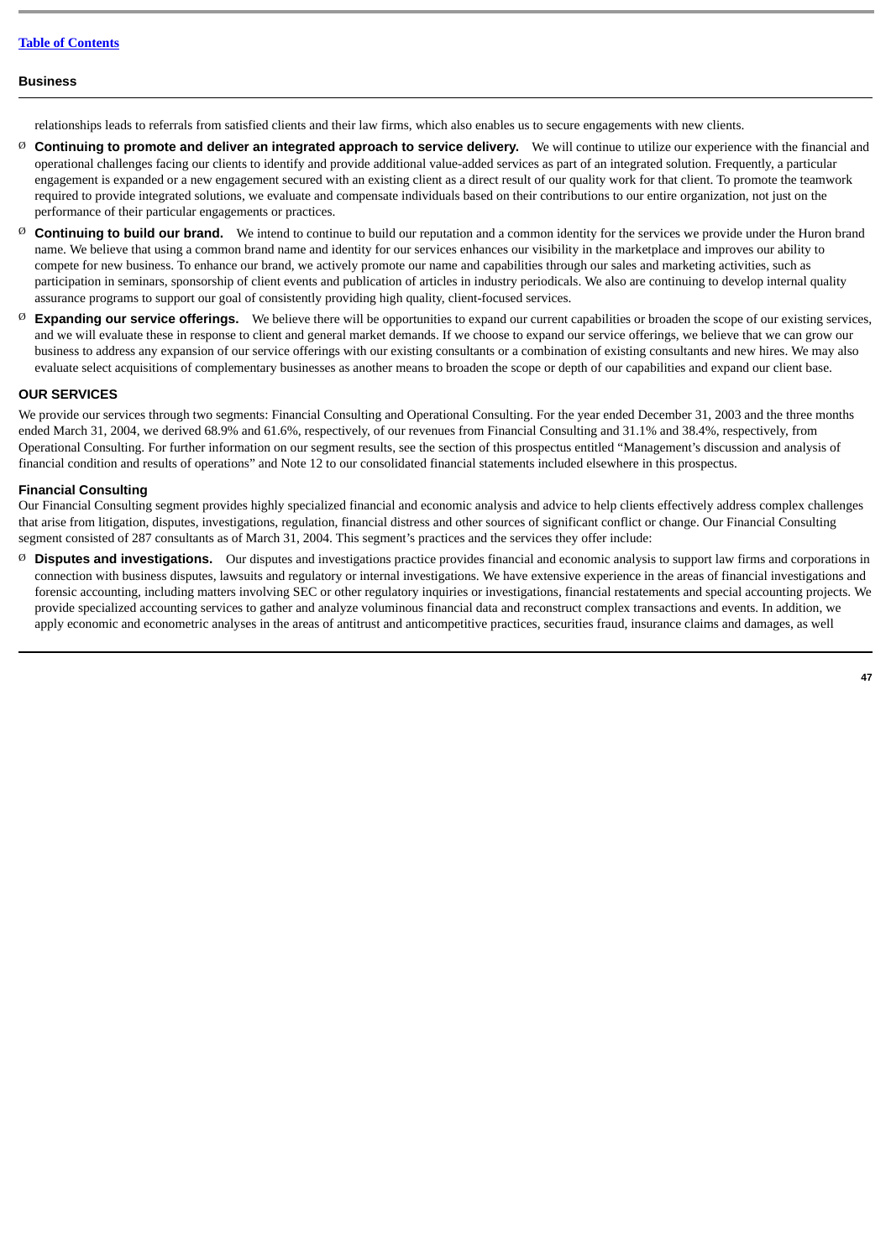# **Business**

relationships leads to referrals from satisfied clients and their law firms, which also enables us to secure engagements with new clients.

- $\emptyset$  **Continuing to promote and deliver an integrated approach to service delivery.** We will continue to utilize our experience with the financial and operational challenges facing our clients to identify and provide additional value-added services as part of an integrated solution. Frequently, a particular engagement is expanded or a new engagement secured with an existing client as a direct result of our quality work for that client. To promote the teamwork required to provide integrated solutions, we evaluate and compensate individuals based on their contributions to our entire organization, not just on the performance of their particular engagements or practices.
- Continuing to build our brand. We intend to continue to build our reputation and a common identity for the services we provide under the Huron brand name. We believe that using a common brand name and identity for our services enhances our visibility in the marketplace and improves our ability to compete for new business. To enhance our brand, we actively promote our name and capabilities through our sales and marketing activities, such as participation in seminars, sponsorship of client events and publication of articles in industry periodicals. We also are continuing to develop internal quality assurance programs to support our goal of consistently providing high quality, client-focused services.
- $\emptyset$  **Expanding our service offerings.** We believe there will be opportunities to expand our current capabilities or broaden the scope of our existing services, and we will evaluate these in response to client and general market demands. If we choose to expand our service offerings, we believe that we can grow our business to address any expansion of our service offerings with our existing consultants or a combination of existing consultants and new hires. We may also evaluate select acquisitions of complementary businesses as another means to broaden the scope or depth of our capabilities and expand our client base.

# **OUR SERVICES**

We provide our services through two segments: Financial Consulting and Operational Consulting. For the year ended December 31, 2003 and the three months ended March 31, 2004, we derived 68.9% and 61.6%, respectively, of our revenues from Financial Consulting and 31.1% and 38.4%, respectively, from Operational Consulting. For further information on our segment results, see the section of this prospectus entitled "Management's discussion and analysis of financial condition and results of operations" and Note 12 to our consolidated financial statements included elsewhere in this prospectus.

#### **Financial Consulting**

Our Financial Consulting segment provides highly specialized financial and economic analysis and advice to help clients effectively address complex challenges that arise from litigation, disputes, investigations, regulation, financial distress and other sources of significant conflict or change. Our Financial Consulting segment consisted of 287 consultants as of March 31, 2004. This segment's practices and the services they offer include:

 $\emptyset$  **Disputes and investigations.** Our disputes and investigations practice provides financial and economic analysis to support law firms and corporations in connection with business disputes, lawsuits and regulatory or internal investigations. We have extensive experience in the areas of financial investigations and forensic accounting, including matters involving SEC or other regulatory inquiries or investigations, financial restatements and special accounting projects. We provide specialized accounting services to gather and analyze voluminous financial data and reconstruct complex transactions and events. In addition, we apply economic and econometric analyses in the areas of antitrust and anticompetitive practices, securities fraud, insurance claims and damages, as well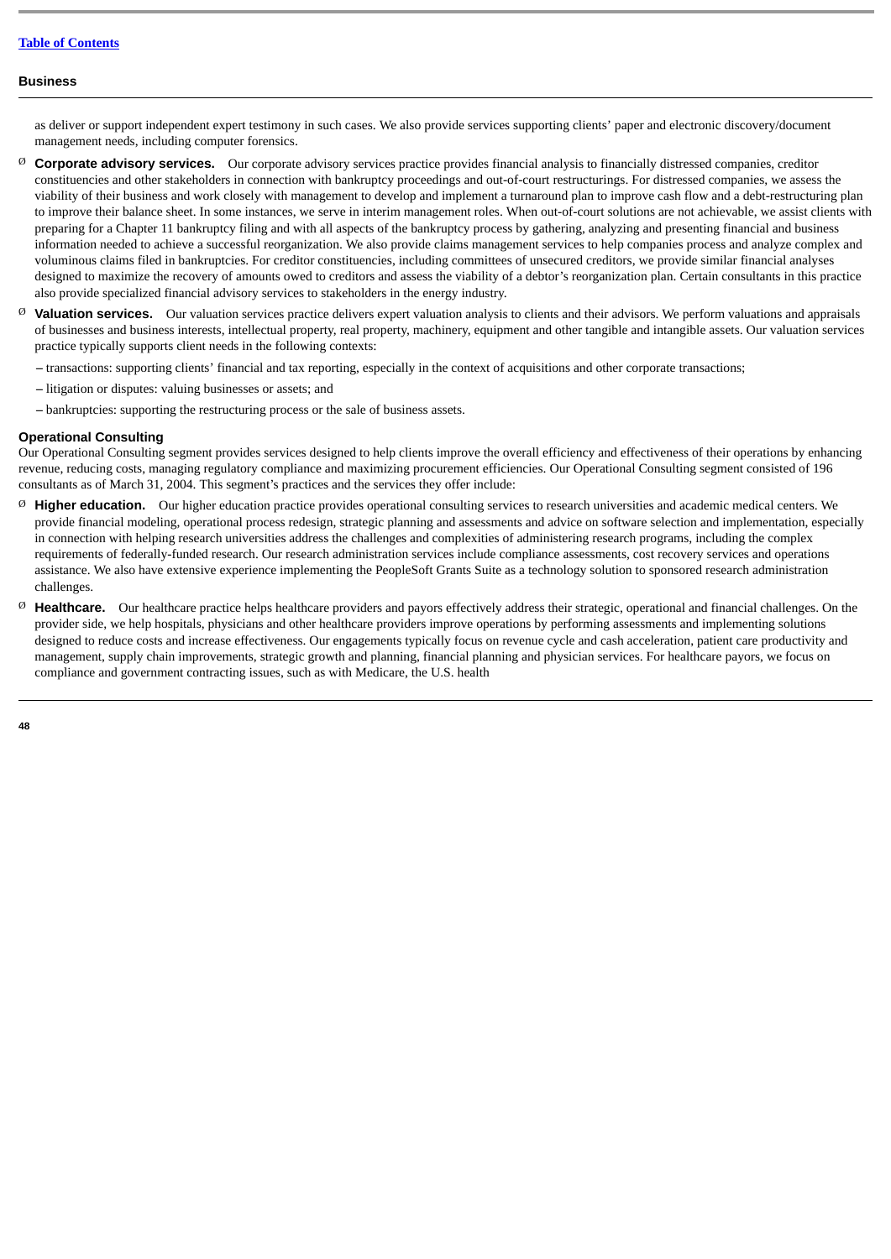#### **Business**

as deliver or support independent expert testimony in such cases. We also provide services supporting clients' paper and electronic discovery/document management needs, including computer forensics.

- $\emptyset$  **Corporate advisory services.** Our corporate advisory services practice provides financial analysis to financially distressed companies, creditor constituencies and other stakeholders in connection with bankruptcy proceedings and out-of-court restructurings. For distressed companies, we assess the viability of their business and work closely with management to develop and implement a turnaround plan to improve cash flow and a debt-restructuring plan to improve their balance sheet. In some instances, we serve in interim management roles. When out-of-court solutions are not achievable, we assist clients with preparing for a Chapter 11 bankruptcy filing and with all aspects of the bankruptcy process by gathering, analyzing and presenting financial and business information needed to achieve a successful reorganization. We also provide claims management services to help companies process and analyze complex and voluminous claims filed in bankruptcies. For creditor constituencies, including committees of unsecured creditors, we provide similar financial analyses designed to maximize the recovery of amounts owed to creditors and assess the viability of a debtor's reorganization plan. Certain consultants in this practice also provide specialized financial advisory services to stakeholders in the energy industry.
- $\emptyset$  Valuation services. Our valuation services practice delivers expert valuation analysis to clients and their advisors. We perform valuations and appraisals of businesses and business interests, intellectual property, real property, machinery, equipment and other tangible and intangible assets. Our valuation services practice typically supports client needs in the following contexts:
	- **–** transactions: supporting clients' financial and tax reporting, especially in the context of acquisitions and other corporate transactions;
	- **–** litigation or disputes: valuing businesses or assets; and
	- **–** bankruptcies: supporting the restructuring process or the sale of business assets.

# **Operational Consulting**

Our Operational Consulting segment provides services designed to help clients improve the overall efficiency and effectiveness of their operations by enhancing revenue, reducing costs, managing regulatory compliance and maximizing procurement efficiencies. Our Operational Consulting segment consisted of 196 consultants as of March 31, 2004. This segment's practices and the services they offer include:

- Higher education. Our higher education practice provides operational consulting services to research universities and academic medical centers. We provide financial modeling, operational process redesign, strategic planning and assessments and advice on software selection and implementation, especially in connection with helping research universities address the challenges and complexities of administering research programs, including the complex requirements of federally-funded research. Our research administration services include compliance assessments, cost recovery services and operations assistance. We also have extensive experience implementing the PeopleSoft Grants Suite as a technology solution to sponsored research administration challenges.
- $\varnothing$  **Healthcare.** Our healthcare practice helps healthcare providers and payors effectively address their strategic, operational and financial challenges. On the provider side, we help hospitals, physicians and other healthcare providers improve operations by performing assessments and implementing solutions designed to reduce costs and increase effectiveness. Our engagements typically focus on revenue cycle and cash acceleration, patient care productivity and management, supply chain improvements, strategic growth and planning, financial planning and physician services. For healthcare payors, we focus on compliance and government contracting issues, such as with Medicare, the U.S. health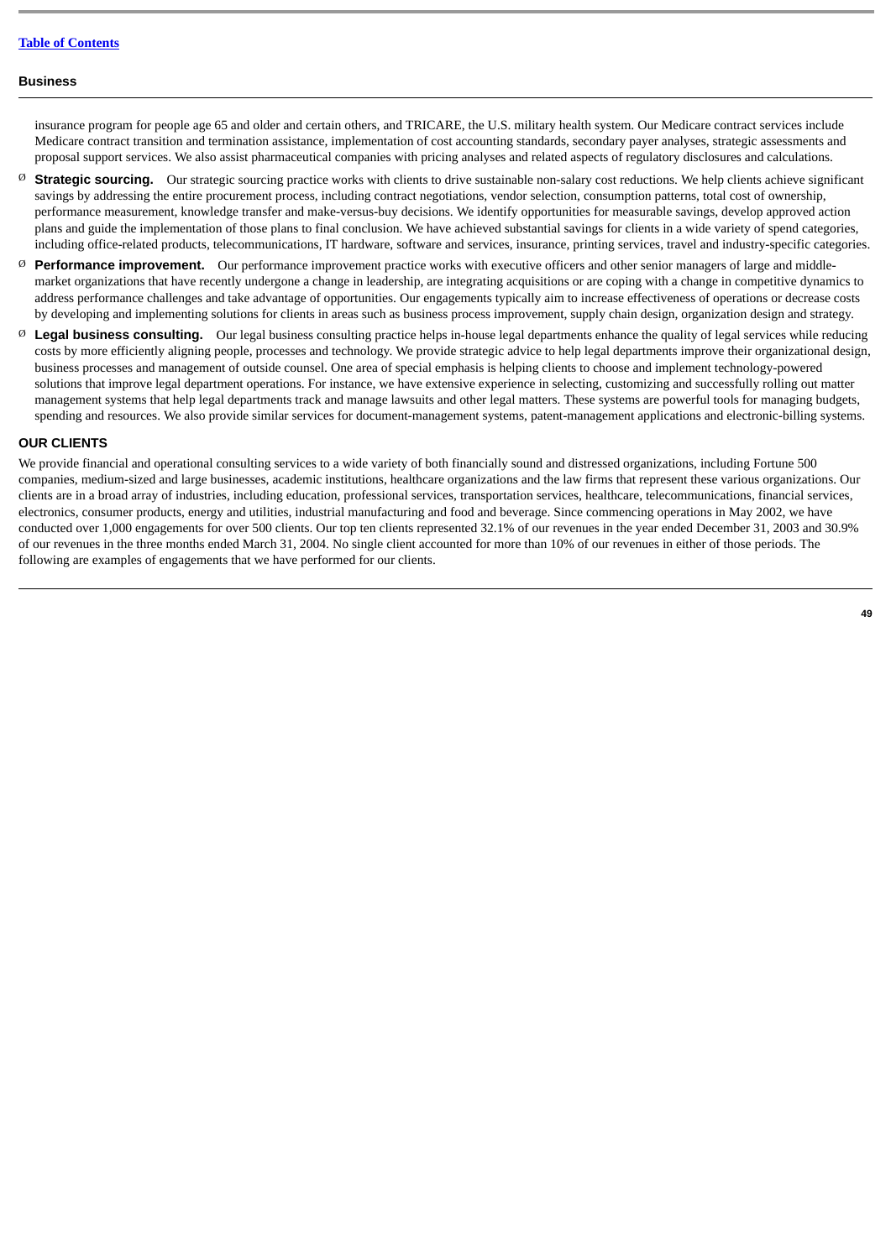#### **Business**

insurance program for people age 65 and older and certain others, and TRICARE, the U.S. military health system. Our Medicare contract services include Medicare contract transition and termination assistance, implementation of cost accounting standards, secondary payer analyses, strategic assessments and proposal support services. We also assist pharmaceutical companies with pricing analyses and related aspects of regulatory disclosures and calculations.

- $\emptyset$  **Strategic sourcing.** Our strategic sourcing practice works with clients to drive sustainable non-salary cost reductions. We help clients achieve significant savings by addressing the entire procurement process, including contract negotiations, vendor selection, consumption patterns, total cost of ownership, performance measurement, knowledge transfer and make-versus-buy decisions. We identify opportunities for measurable savings, develop approved action plans and guide the implementation of those plans to final conclusion. We have achieved substantial savings for clients in a wide variety of spend categories, including office-related products, telecommunications, IT hardware, software and services, insurance, printing services, travel and industry-specific categories.
- Performance improvement. Our performance improvement practice works with executive officers and other senior managers of large and middlemarket organizations that have recently undergone a change in leadership, are integrating acquisitions or are coping with a change in competitive dynamics to address performance challenges and take advantage of opportunities. Our engagements typically aim to increase effectiveness of operations or decrease costs by developing and implementing solutions for clients in areas such as business process improvement, supply chain design, organization design and strategy.
- Legal business consulting. Our legal business consulting practice helps in-house legal departments enhance the quality of legal services while reducing costs by more efficiently aligning people, processes and technology. We provide strategic advice to help legal departments improve their organizational design, business processes and management of outside counsel. One area of special emphasis is helping clients to choose and implement technology-powered solutions that improve legal department operations. For instance, we have extensive experience in selecting, customizing and successfully rolling out matter management systems that help legal departments track and manage lawsuits and other legal matters. These systems are powerful tools for managing budgets, spending and resources. We also provide similar services for document-management systems, patent-management applications and electronic-billing systems.

# **OUR CLIENTS**

We provide financial and operational consulting services to a wide variety of both financially sound and distressed organizations, including Fortune 500 companies, medium-sized and large businesses, academic institutions, healthcare organizations and the law firms that represent these various organizations. Our clients are in a broad array of industries, including education, professional services, transportation services, healthcare, telecommunications, financial services, electronics, consumer products, energy and utilities, industrial manufacturing and food and beverage. Since commencing operations in May 2002, we have conducted over 1,000 engagements for over 500 clients. Our top ten clients represented 32.1% of our revenues in the year ended December 31, 2003 and 30.9% of our revenues in the three months ended March 31, 2004. No single client accounted for more than 10% of our revenues in either of those periods. The following are examples of engagements that we have performed for our clients.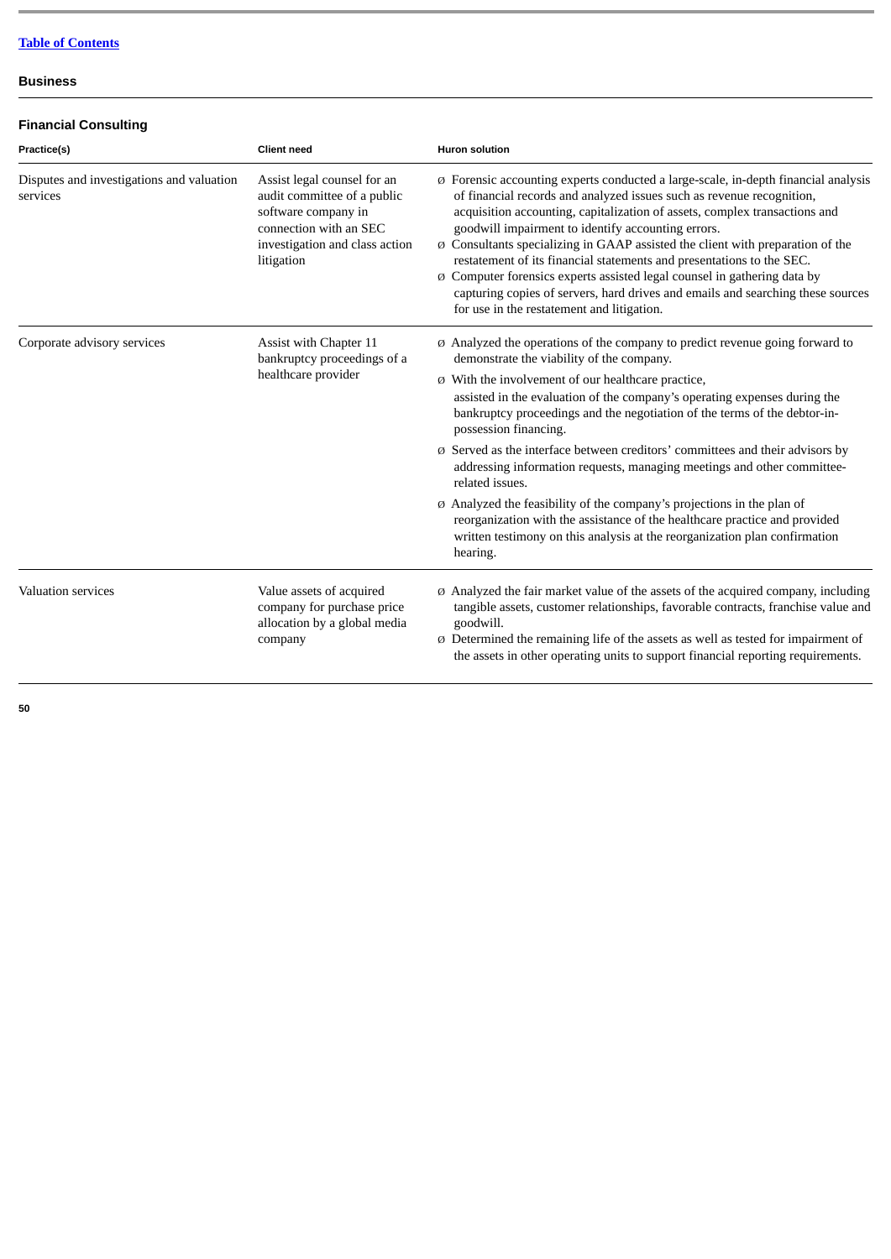# **Business**

| <b>Financial Consulting</b>                           |                                                                                                                                                             |                                                                                                                                                                                                                                                                                                                                                                                                                                                                                                                                                                                                                                                                                                         |
|-------------------------------------------------------|-------------------------------------------------------------------------------------------------------------------------------------------------------------|---------------------------------------------------------------------------------------------------------------------------------------------------------------------------------------------------------------------------------------------------------------------------------------------------------------------------------------------------------------------------------------------------------------------------------------------------------------------------------------------------------------------------------------------------------------------------------------------------------------------------------------------------------------------------------------------------------|
| Practice(s)                                           | <b>Client need</b>                                                                                                                                          | <b>Huron solution</b>                                                                                                                                                                                                                                                                                                                                                                                                                                                                                                                                                                                                                                                                                   |
| Disputes and investigations and valuation<br>services | Assist legal counsel for an<br>audit committee of a public<br>software company in<br>connection with an SEC<br>investigation and class action<br>litigation | $\emptyset$ Forensic accounting experts conducted a large-scale, in-depth financial analysis<br>of financial records and analyzed issues such as revenue recognition,<br>acquisition accounting, capitalization of assets, complex transactions and<br>goodwill impairment to identify accounting errors.<br>$\emptyset$ Consultants specializing in GAAP assisted the client with preparation of the<br>restatement of its financial statements and presentations to the SEC.<br>$\varnothing$ Computer forensics experts assisted legal counsel in gathering data by<br>capturing copies of servers, hard drives and emails and searching these sources<br>for use in the restatement and litigation. |
| Corporate advisory services                           | Assist with Chapter 11<br>bankruptcy proceedings of a<br>healthcare provider                                                                                | Ø Analyzed the operations of the company to predict revenue going forward to<br>demonstrate the viability of the company.<br>Ø With the involvement of our healthcare practice,<br>assisted in the evaluation of the company's operating expenses during the<br>bankruptcy proceedings and the negotiation of the terms of the debtor-in-<br>possession financing.<br>$\varnothing$ Served as the interface between creditors' committees and their advisors by<br>addressing information requests, managing meetings and other committee-<br>related issues.                                                                                                                                           |
|                                                       |                                                                                                                                                             | $\varnothing$ Analyzed the feasibility of the company's projections in the plan of<br>reorganization with the assistance of the healthcare practice and provided<br>written testimony on this analysis at the reorganization plan confirmation<br>hearing.                                                                                                                                                                                                                                                                                                                                                                                                                                              |
| <b>Valuation services</b>                             | Value assets of acquired<br>company for purchase price<br>allocation by a global media<br>company                                                           | $\emptyset$ Analyzed the fair market value of the assets of the acquired company, including<br>tangible assets, customer relationships, favorable contracts, franchise value and<br>goodwill.<br>$\emptyset$ Determined the remaining life of the assets as well as tested for impairment of<br>the assets in other operating units to support financial reporting requirements.                                                                                                                                                                                                                                                                                                                        |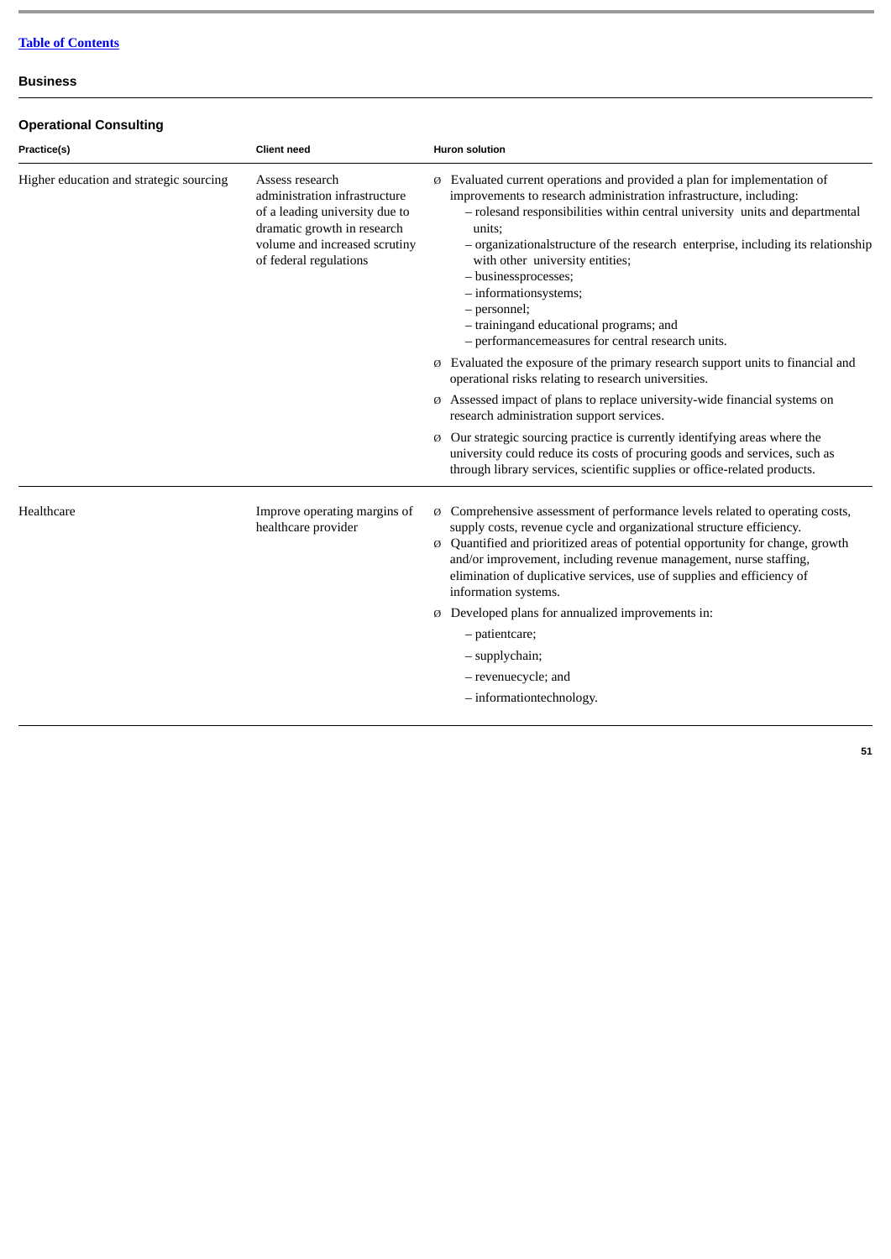# **Business**

# **Operational Consulting**

| Operational Consulting                  |                                                                                                                                                                              |                                                                                                                                                                                                                                                                                                                                                                                                                                                                                                                                             |
|-----------------------------------------|------------------------------------------------------------------------------------------------------------------------------------------------------------------------------|---------------------------------------------------------------------------------------------------------------------------------------------------------------------------------------------------------------------------------------------------------------------------------------------------------------------------------------------------------------------------------------------------------------------------------------------------------------------------------------------------------------------------------------------|
| Practice(s)                             | <b>Client need</b>                                                                                                                                                           | <b>Huron solution</b>                                                                                                                                                                                                                                                                                                                                                                                                                                                                                                                       |
| Higher education and strategic sourcing | Assess research<br>administration infrastructure<br>of a leading university due to<br>dramatic growth in research<br>volume and increased scrutiny<br>of federal regulations | $\emptyset$ Evaluated current operations and provided a plan for implementation of<br>improvements to research administration infrastructure, including:<br>- rolesand responsibilities within central university units and departmental<br>units;<br>- organizational structure of the research enterprise, including its relationship<br>with other university entities;<br>- businessprocesses;<br>- informationsystems;<br>- personnel;<br>- trainingand educational programs; and<br>- performancemeasures for central research units. |
|                                         |                                                                                                                                                                              | $\emptyset$ Evaluated the exposure of the primary research support units to financial and<br>operational risks relating to research universities.                                                                                                                                                                                                                                                                                                                                                                                           |
|                                         |                                                                                                                                                                              | $\varnothing$ Assessed impact of plans to replace university-wide financial systems on<br>research administration support services.                                                                                                                                                                                                                                                                                                                                                                                                         |
|                                         |                                                                                                                                                                              | Our strategic sourcing practice is currently identifying areas where the<br>Ø<br>university could reduce its costs of procuring goods and services, such as<br>through library services, scientific supplies or office-related products.                                                                                                                                                                                                                                                                                                    |
| Healthcare                              | Improve operating margins of<br>healthcare provider                                                                                                                          | $\emptyset$ Comprehensive assessment of performance levels related to operating costs,<br>supply costs, revenue cycle and organizational structure efficiency.<br>$\emptyset$ Quantified and prioritized areas of potential opportunity for change, growth<br>and/or improvement, including revenue management, nurse staffing,<br>elimination of duplicative services, use of supplies and efficiency of<br>information systems.                                                                                                           |
|                                         |                                                                                                                                                                              | $\emptyset$ Developed plans for annualized improvements in:                                                                                                                                                                                                                                                                                                                                                                                                                                                                                 |
|                                         |                                                                                                                                                                              | - patientcare;                                                                                                                                                                                                                                                                                                                                                                                                                                                                                                                              |
|                                         |                                                                                                                                                                              | - supplychain;<br>– revenuecycle; and                                                                                                                                                                                                                                                                                                                                                                                                                                                                                                       |
|                                         |                                                                                                                                                                              | - informationtechnology.                                                                                                                                                                                                                                                                                                                                                                                                                                                                                                                    |
|                                         |                                                                                                                                                                              |                                                                                                                                                                                                                                                                                                                                                                                                                                                                                                                                             |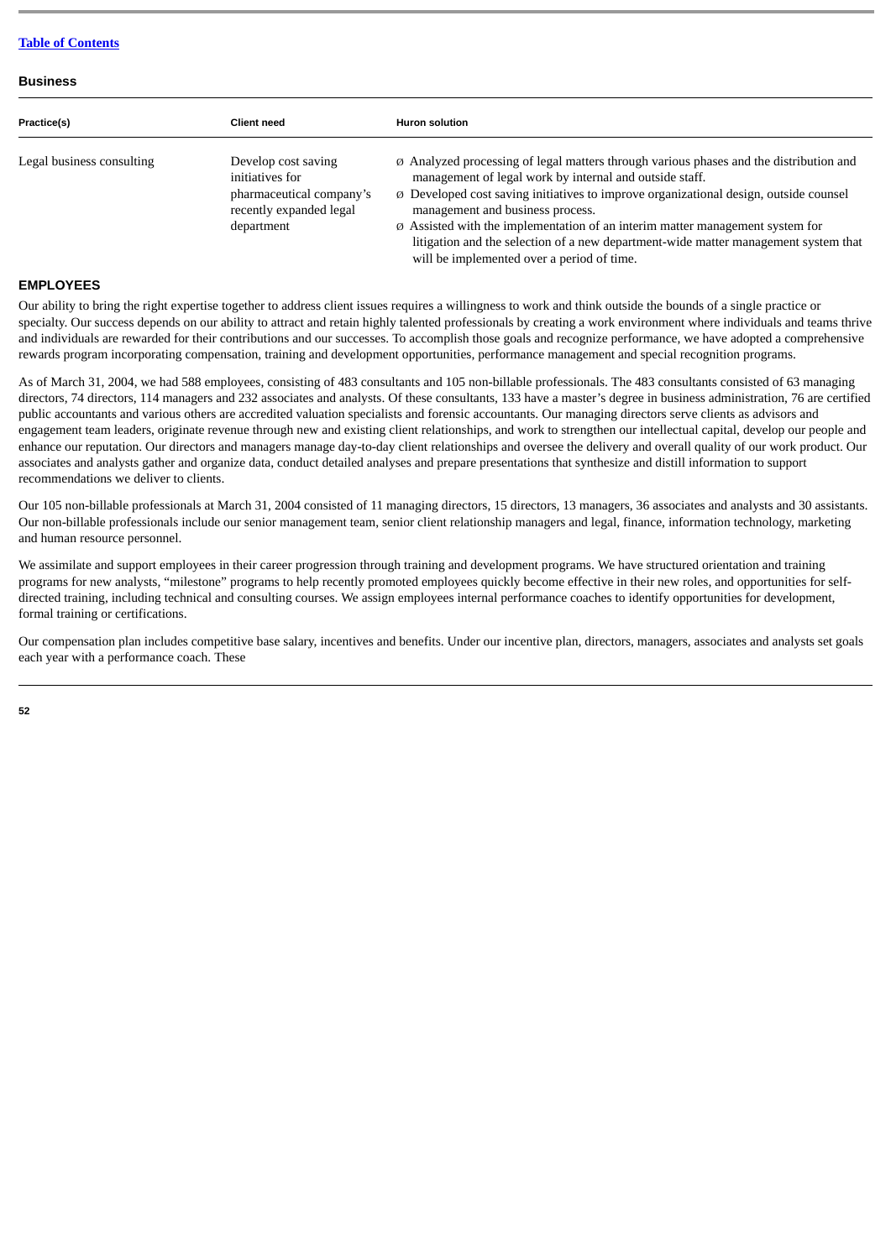#### **Business**

| Practice(s)               | Client need                                         | <b>Huron solution</b>                                                                                                                                                                                                          |
|---------------------------|-----------------------------------------------------|--------------------------------------------------------------------------------------------------------------------------------------------------------------------------------------------------------------------------------|
| Legal business consulting | Develop cost saving<br>initiatives for              | $\varnothing$ Analyzed processing of legal matters through various phases and the distribution and<br>management of legal work by internal and outside staff.                                                                  |
|                           | pharmaceutical company's<br>recently expanded legal | $\varnothing$ Developed cost saving initiatives to improve organizational design, outside counsel<br>management and business process.                                                                                          |
|                           | department                                          | $\varnothing$ Assisted with the implementation of an interim matter management system for<br>litigation and the selection of a new department-wide matter management system that<br>will be implemented over a period of time. |

## **EMPLOYEES**

Our ability to bring the right expertise together to address client issues requires a willingness to work and think outside the bounds of a single practice or specialty. Our success depends on our ability to attract and retain highly talented professionals by creating a work environment where individuals and teams thrive and individuals are rewarded for their contributions and our successes. To accomplish those goals and recognize performance, we have adopted a comprehensive rewards program incorporating compensation, training and development opportunities, performance management and special recognition programs.

As of March 31, 2004, we had 588 employees, consisting of 483 consultants and 105 non-billable professionals. The 483 consultants consisted of 63 managing directors, 74 directors, 114 managers and 232 associates and analysts. Of these consultants, 133 have a master's degree in business administration, 76 are certified public accountants and various others are accredited valuation specialists and forensic accountants. Our managing directors serve clients as advisors and engagement team leaders, originate revenue through new and existing client relationships, and work to strengthen our intellectual capital, develop our people and enhance our reputation. Our directors and managers manage day-to-day client relationships and oversee the delivery and overall quality of our work product. Our associates and analysts gather and organize data, conduct detailed analyses and prepare presentations that synthesize and distill information to support recommendations we deliver to clients.

Our 105 non-billable professionals at March 31, 2004 consisted of 11 managing directors, 15 directors, 13 managers, 36 associates and analysts and 30 assistants. Our non-billable professionals include our senior management team, senior client relationship managers and legal, finance, information technology, marketing and human resource personnel.

We assimilate and support employees in their career progression through training and development programs. We have structured orientation and training programs for new analysts, "milestone" programs to help recently promoted employees quickly become effective in their new roles, and opportunities for selfdirected training, including technical and consulting courses. We assign employees internal performance coaches to identify opportunities for development, formal training or certifications.

Our compensation plan includes competitive base salary, incentives and benefits. Under our incentive plan, directors, managers, associates and analysts set goals each year with a performance coach. These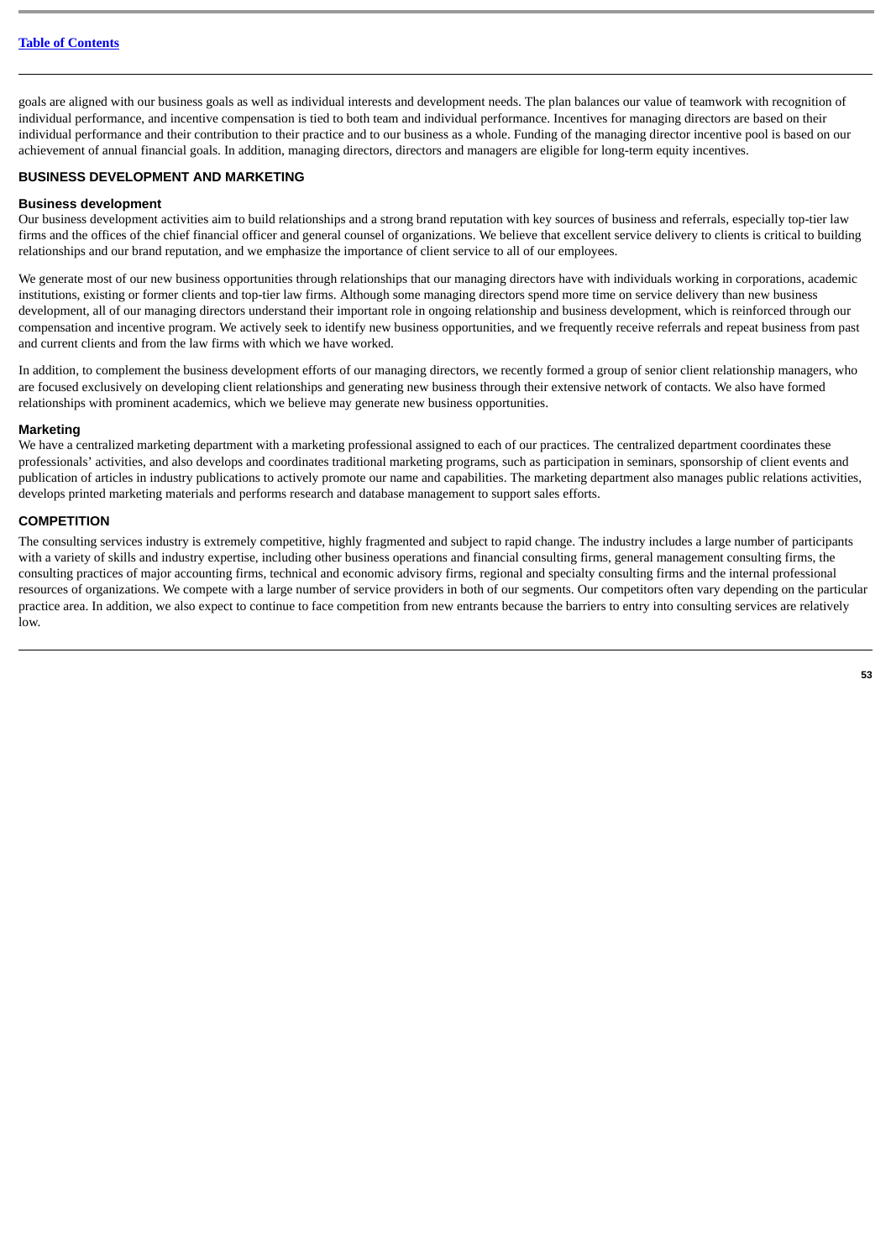goals are aligned with our business goals as well as individual interests and development needs. The plan balances our value of teamwork with recognition of individual performance, and incentive compensation is tied to both team and individual performance. Incentives for managing directors are based on their individual performance and their contribution to their practice and to our business as a whole. Funding of the managing director incentive pool is based on our achievement of annual financial goals. In addition, managing directors, directors and managers are eligible for long-term equity incentives.

# **BUSINESS DEVELOPMENT AND MARKETING**

#### **Business development**

Our business development activities aim to build relationships and a strong brand reputation with key sources of business and referrals, especially top-tier law firms and the offices of the chief financial officer and general counsel of organizations. We believe that excellent service delivery to clients is critical to building relationships and our brand reputation, and we emphasize the importance of client service to all of our employees.

We generate most of our new business opportunities through relationships that our managing directors have with individuals working in corporations, academic institutions, existing or former clients and top-tier law firms. Although some managing directors spend more time on service delivery than new business development, all of our managing directors understand their important role in ongoing relationship and business development, which is reinforced through our compensation and incentive program. We actively seek to identify new business opportunities, and we frequently receive referrals and repeat business from past and current clients and from the law firms with which we have worked.

In addition, to complement the business development efforts of our managing directors, we recently formed a group of senior client relationship managers, who are focused exclusively on developing client relationships and generating new business through their extensive network of contacts. We also have formed relationships with prominent academics, which we believe may generate new business opportunities.

# **Marketing**

We have a centralized marketing department with a marketing professional assigned to each of our practices. The centralized department coordinates these professionals' activities, and also develops and coordinates traditional marketing programs, such as participation in seminars, sponsorship of client events and publication of articles in industry publications to actively promote our name and capabilities. The marketing department also manages public relations activities, develops printed marketing materials and performs research and database management to support sales efforts.

# **COMPETITION**

The consulting services industry is extremely competitive, highly fragmented and subject to rapid change. The industry includes a large number of participants with a variety of skills and industry expertise, including other business operations and financial consulting firms, general management consulting firms, the consulting practices of major accounting firms, technical and economic advisory firms, regional and specialty consulting firms and the internal professional resources of organizations. We compete with a large number of service providers in both of our segments. Our competitors often vary depending on the particular practice area. In addition, we also expect to continue to face competition from new entrants because the barriers to entry into consulting services are relatively low.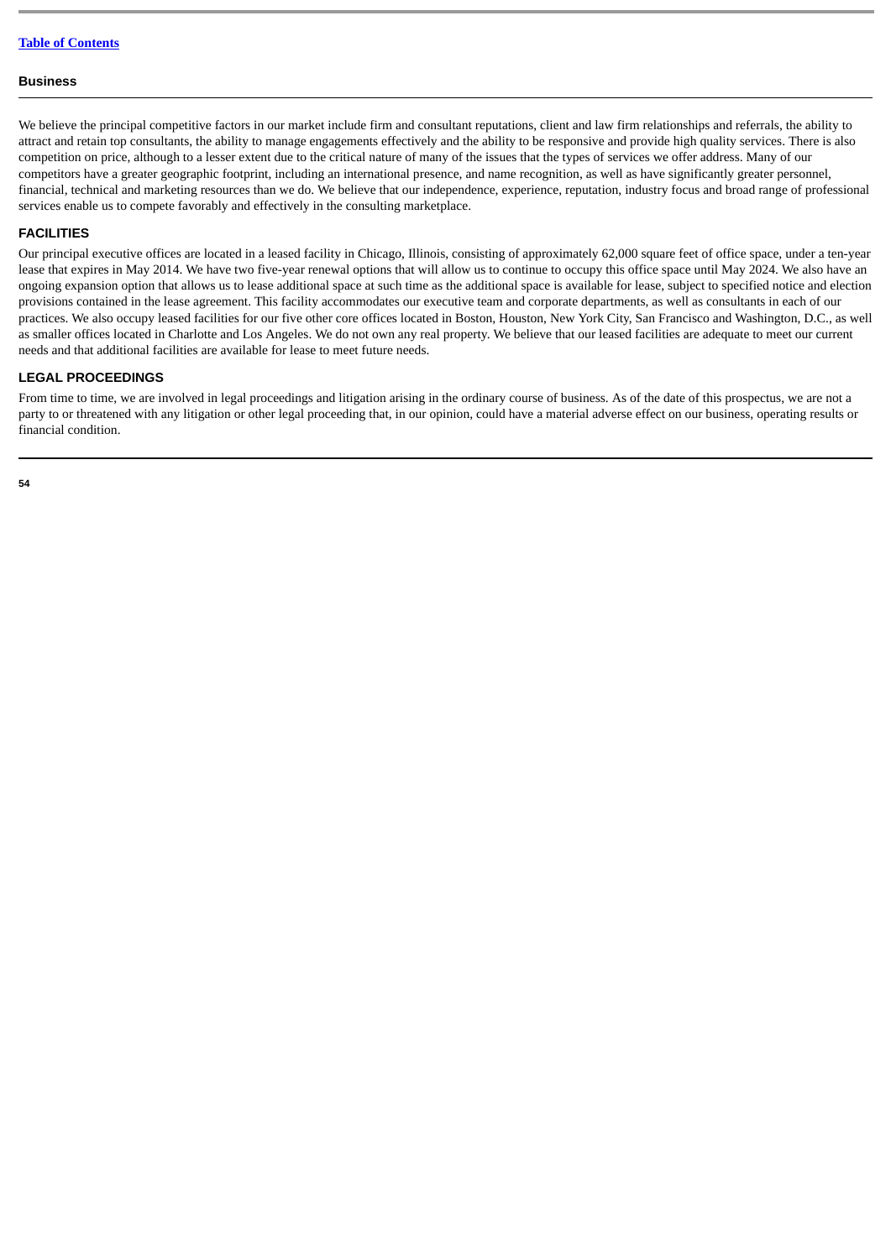#### **Business**

We believe the principal competitive factors in our market include firm and consultant reputations, client and law firm relationships and referrals, the ability to attract and retain top consultants, the ability to manage engagements effectively and the ability to be responsive and provide high quality services. There is also competition on price, although to a lesser extent due to the critical nature of many of the issues that the types of services we offer address. Many of our competitors have a greater geographic footprint, including an international presence, and name recognition, as well as have significantly greater personnel, financial, technical and marketing resources than we do. We believe that our independence, experience, reputation, industry focus and broad range of professional services enable us to compete favorably and effectively in the consulting marketplace.

#### **FACILITIES**

Our principal executive offices are located in a leased facility in Chicago, Illinois, consisting of approximately 62,000 square feet of office space, under a ten-year lease that expires in May 2014. We have two five-year renewal options that will allow us to continue to occupy this office space until May 2024. We also have an ongoing expansion option that allows us to lease additional space at such time as the additional space is available for lease, subject to specified notice and election provisions contained in the lease agreement. This facility accommodates our executive team and corporate departments, as well as consultants in each of our practices. We also occupy leased facilities for our five other core offices located in Boston, Houston, New York City, San Francisco and Washington, D.C., as well as smaller offices located in Charlotte and Los Angeles. We do not own any real property. We believe that our leased facilities are adequate to meet our current needs and that additional facilities are available for lease to meet future needs.

#### **LEGAL PROCEEDINGS**

From time to time, we are involved in legal proceedings and litigation arising in the ordinary course of business. As of the date of this prospectus, we are not a party to or threatened with any litigation or other legal proceeding that, in our opinion, could have a material adverse effect on our business, operating results or financial condition.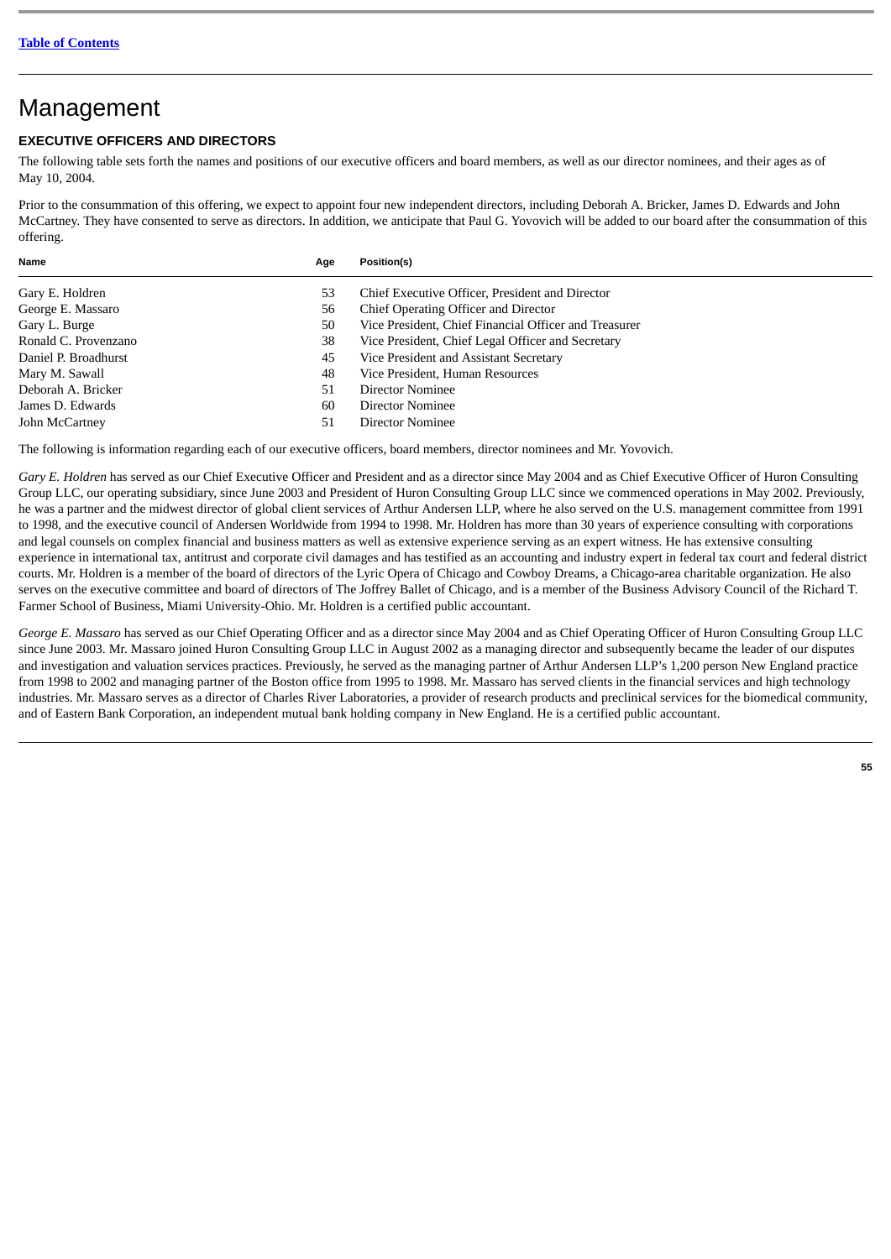# **EXECUTIVE OFFICERS AND DIRECTORS**

The following table sets forth the names and positions of our executive officers and board members, as well as our director nominees, and their ages as of May 10, 2004.

Prior to the consummation of this offering, we expect to appoint four new independent directors, including Deborah A. Bricker, James D. Edwards and John McCartney. They have consented to serve as directors. In addition, we anticipate that Paul G. Yovovich will be added to our board after the consummation of this offering.

| Age | Position(s)                                           |
|-----|-------------------------------------------------------|
| 53  | Chief Executive Officer, President and Director       |
| 56  | Chief Operating Officer and Director                  |
| 50  | Vice President, Chief Financial Officer and Treasurer |
| 38  | Vice President, Chief Legal Officer and Secretary     |
| 45  | Vice President and Assistant Secretary                |
| 48  | Vice President, Human Resources                       |
| 51  | Director Nominee                                      |
| 60  | Director Nominee                                      |
| 51  | Director Nominee                                      |
|     |                                                       |

The following is information regarding each of our executive officers, board members, director nominees and Mr. Yovovich.

*Gary E. Holdren* has served as our Chief Executive Officer and President and as a director since May 2004 and as Chief Executive Officer of Huron Consulting Group LLC, our operating subsidiary, since June 2003 and President of Huron Consulting Group LLC since we commenced operations in May 2002. Previously, he was a partner and the midwest director of global client services of Arthur Andersen LLP, where he also served on the U.S. management committee from 1991 to 1998, and the executive council of Andersen Worldwide from 1994 to 1998. Mr. Holdren has more than 30 years of experience consulting with corporations and legal counsels on complex financial and business matters as well as extensive experience serving as an expert witness. He has extensive consulting experience in international tax, antitrust and corporate civil damages and has testified as an accounting and industry expert in federal tax court and federal district courts. Mr. Holdren is a member of the board of directors of the Lyric Opera of Chicago and Cowboy Dreams, a Chicago-area charitable organization. He also serves on the executive committee and board of directors of The Joffrey Ballet of Chicago, and is a member of the Business Advisory Council of the Richard T. Farmer School of Business, Miami University-Ohio. Mr. Holdren is a certified public accountant.

*George E. Massaro* has served as our Chief Operating Officer and as a director since May 2004 and as Chief Operating Officer of Huron Consulting Group LLC since June 2003. Mr. Massaro joined Huron Consulting Group LLC in August 2002 as a managing director and subsequently became the leader of our disputes and investigation and valuation services practices. Previously, he served as the managing partner of Arthur Andersen LLP's 1,200 person New England practice from 1998 to 2002 and managing partner of the Boston office from 1995 to 1998. Mr. Massaro has served clients in the financial services and high technology industries. Mr. Massaro serves as a director of Charles River Laboratories, a provider of research products and preclinical services for the biomedical community, and of Eastern Bank Corporation, an independent mutual bank holding company in New England. He is a certified public accountant.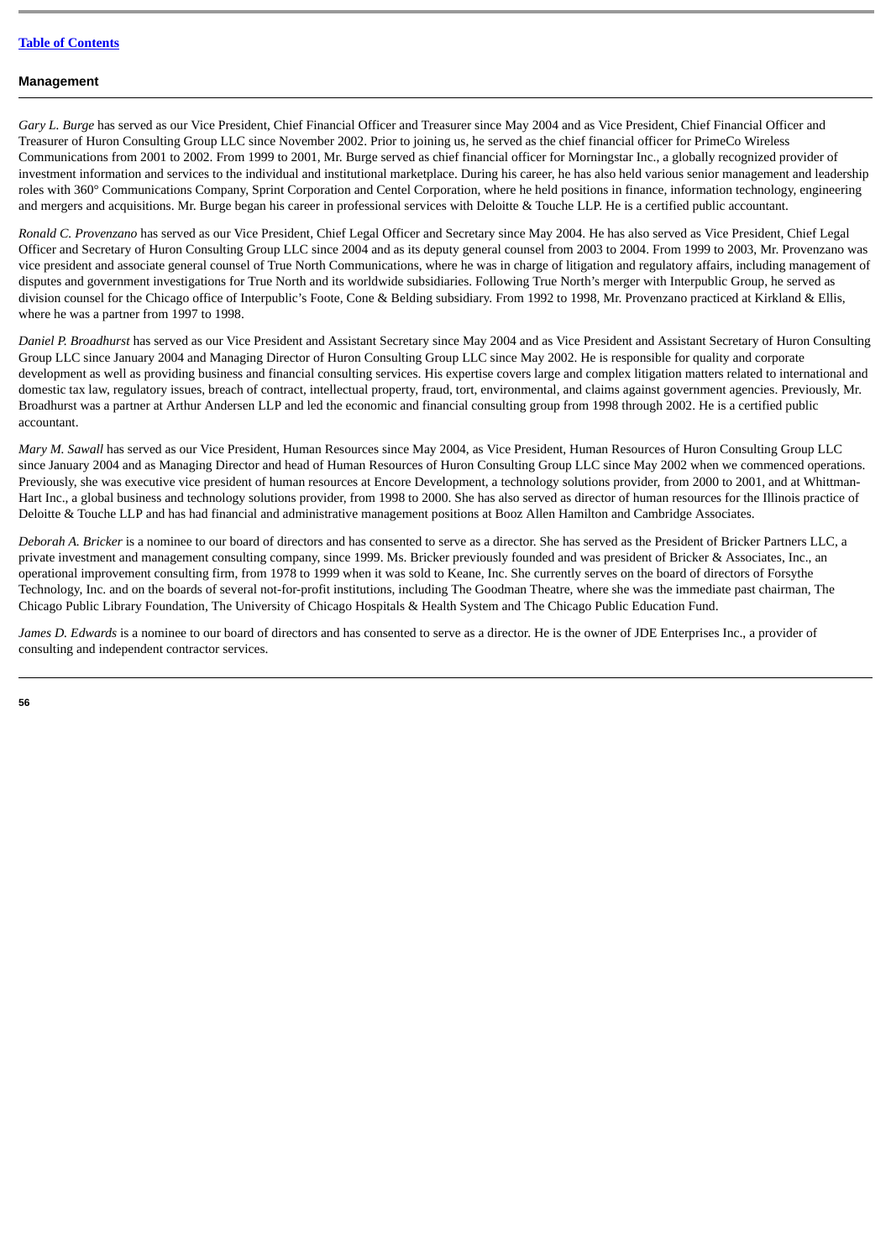*Gary L. Burge* has served as our Vice President, Chief Financial Officer and Treasurer since May 2004 and as Vice President, Chief Financial Officer and Treasurer of Huron Consulting Group LLC since November 2002. Prior to joining us, he served as the chief financial officer for PrimeCo Wireless Communications from 2001 to 2002. From 1999 to 2001, Mr. Burge served as chief financial officer for Morningstar Inc., a globally recognized provider of investment information and services to the individual and institutional marketplace. During his career, he has also held various senior management and leadership roles with 360° Communications Company, Sprint Corporation and Centel Corporation, where he held positions in finance, information technology, engineering and mergers and acquisitions. Mr. Burge began his career in professional services with Deloitte & Touche LLP. He is a certified public accountant.

*Ronald C. Provenzano* has served as our Vice President, Chief Legal Officer and Secretary since May 2004. He has also served as Vice President, Chief Legal Officer and Secretary of Huron Consulting Group LLC since 2004 and as its deputy general counsel from 2003 to 2004. From 1999 to 2003, Mr. Provenzano was vice president and associate general counsel of True North Communications, where he was in charge of litigation and regulatory affairs, including management of disputes and government investigations for True North and its worldwide subsidiaries. Following True North's merger with Interpublic Group, he served as division counsel for the Chicago office of Interpublic's Foote, Cone & Belding subsidiary. From 1992 to 1998, Mr. Provenzano practiced at Kirkland & Ellis, where he was a partner from 1997 to 1998.

*Daniel P. Broadhurst* has served as our Vice President and Assistant Secretary since May 2004 and as Vice President and Assistant Secretary of Huron Consulting Group LLC since January 2004 and Managing Director of Huron Consulting Group LLC since May 2002. He is responsible for quality and corporate development as well as providing business and financial consulting services. His expertise covers large and complex litigation matters related to international and domestic tax law, regulatory issues, breach of contract, intellectual property, fraud, tort, environmental, and claims against government agencies. Previously, Mr. Broadhurst was a partner at Arthur Andersen LLP and led the economic and financial consulting group from 1998 through 2002. He is a certified public accountant.

*Mary M. Sawall* has served as our Vice President, Human Resources since May 2004, as Vice President, Human Resources of Huron Consulting Group LLC since January 2004 and as Managing Director and head of Human Resources of Huron Consulting Group LLC since May 2002 when we commenced operations. Previously, she was executive vice president of human resources at Encore Development, a technology solutions provider, from 2000 to 2001, and at Whittman-Hart Inc., a global business and technology solutions provider, from 1998 to 2000. She has also served as director of human resources for the Illinois practice of Deloitte & Touche LLP and has had financial and administrative management positions at Booz Allen Hamilton and Cambridge Associates.

*Deborah A. Bricker* is a nominee to our board of directors and has consented to serve as a director. She has served as the President of Bricker Partners LLC, a private investment and management consulting company, since 1999. Ms. Bricker previously founded and was president of Bricker & Associates, Inc., an operational improvement consulting firm, from 1978 to 1999 when it was sold to Keane, Inc. She currently serves on the board of directors of Forsythe Technology, Inc. and on the boards of several not-for-profit institutions, including The Goodman Theatre, where she was the immediate past chairman, The Chicago Public Library Foundation, The University of Chicago Hospitals & Health System and The Chicago Public Education Fund.

James D. Edwards is a nominee to our board of directors and has consented to serve as a director. He is the owner of JDE Enterprises Inc., a provider of consulting and independent contractor services.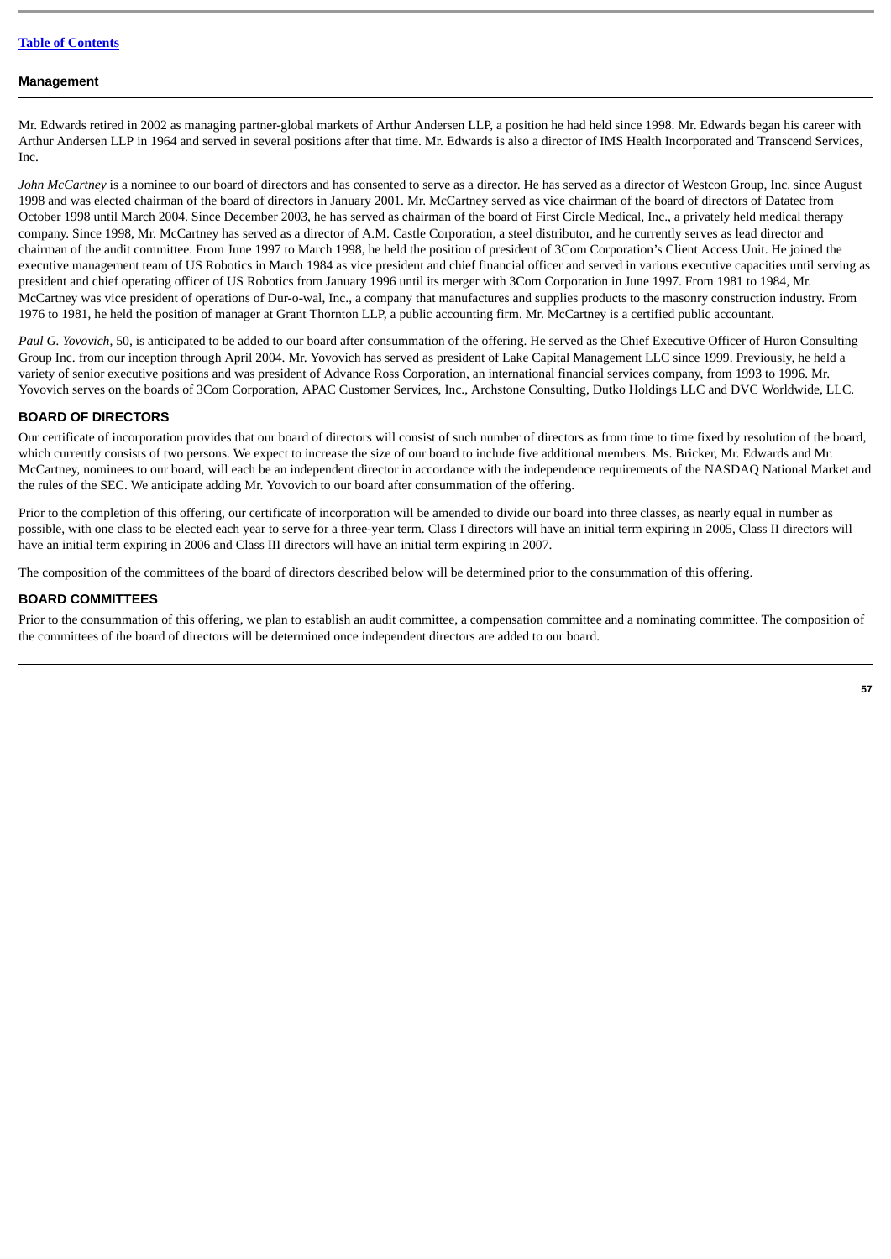#### **Management**

Mr. Edwards retired in 2002 as managing partner-global markets of Arthur Andersen LLP, a position he had held since 1998. Mr. Edwards began his career with Arthur Andersen LLP in 1964 and served in several positions after that time. Mr. Edwards is also a director of IMS Health Incorporated and Transcend Services, Inc.

*John McCartney* is a nominee to our board of directors and has consented to serve as a director. He has served as a director of Westcon Group, Inc. since August 1998 and was elected chairman of the board of directors in January 2001. Mr. McCartney served as vice chairman of the board of directors of Datatec from October 1998 until March 2004. Since December 2003, he has served as chairman of the board of First Circle Medical, Inc., a privately held medical therapy company. Since 1998, Mr. McCartney has served as a director of A.M. Castle Corporation, a steel distributor, and he currently serves as lead director and chairman of the audit committee. From June 1997 to March 1998, he held the position of president of 3Com Corporation's Client Access Unit. He joined the executive management team of US Robotics in March 1984 as vice president and chief financial officer and served in various executive capacities until serving as president and chief operating officer of US Robotics from January 1996 until its merger with 3Com Corporation in June 1997. From 1981 to 1984, Mr. McCartney was vice president of operations of Dur-o-wal, Inc., a company that manufactures and supplies products to the masonry construction industry. From 1976 to 1981, he held the position of manager at Grant Thornton LLP, a public accounting firm. Mr. McCartney is a certified public accountant.

*Paul G. Yovovich*, 50, is anticipated to be added to our board after consummation of the offering. He served as the Chief Executive Officer of Huron Consulting Group Inc. from our inception through April 2004. Mr. Yovovich has served as president of Lake Capital Management LLC since 1999. Previously, he held a variety of senior executive positions and was president of Advance Ross Corporation, an international financial services company, from 1993 to 1996. Mr. Yovovich serves on the boards of 3Com Corporation, APAC Customer Services, Inc., Archstone Consulting, Dutko Holdings LLC and DVC Worldwide, LLC.

# **BOARD OF DIRECTORS**

Our certificate of incorporation provides that our board of directors will consist of such number of directors as from time to time fixed by resolution of the board, which currently consists of two persons. We expect to increase the size of our board to include five additional members. Ms. Bricker, Mr. Edwards and Mr. McCartney, nominees to our board, will each be an independent director in accordance with the independence requirements of the NASDAQ National Market and the rules of the SEC. We anticipate adding Mr. Yovovich to our board after consummation of the offering.

Prior to the completion of this offering, our certificate of incorporation will be amended to divide our board into three classes, as nearly equal in number as possible, with one class to be elected each year to serve for a three-year term. Class I directors will have an initial term expiring in 2005, Class II directors will have an initial term expiring in 2006 and Class III directors will have an initial term expiring in 2007.

The composition of the committees of the board of directors described below will be determined prior to the consummation of this offering.

# **BOARD COMMITTEES**

Prior to the consummation of this offering, we plan to establish an audit committee, a compensation committee and a nominating committee. The composition of the committees of the board of directors will be determined once independent directors are added to our board.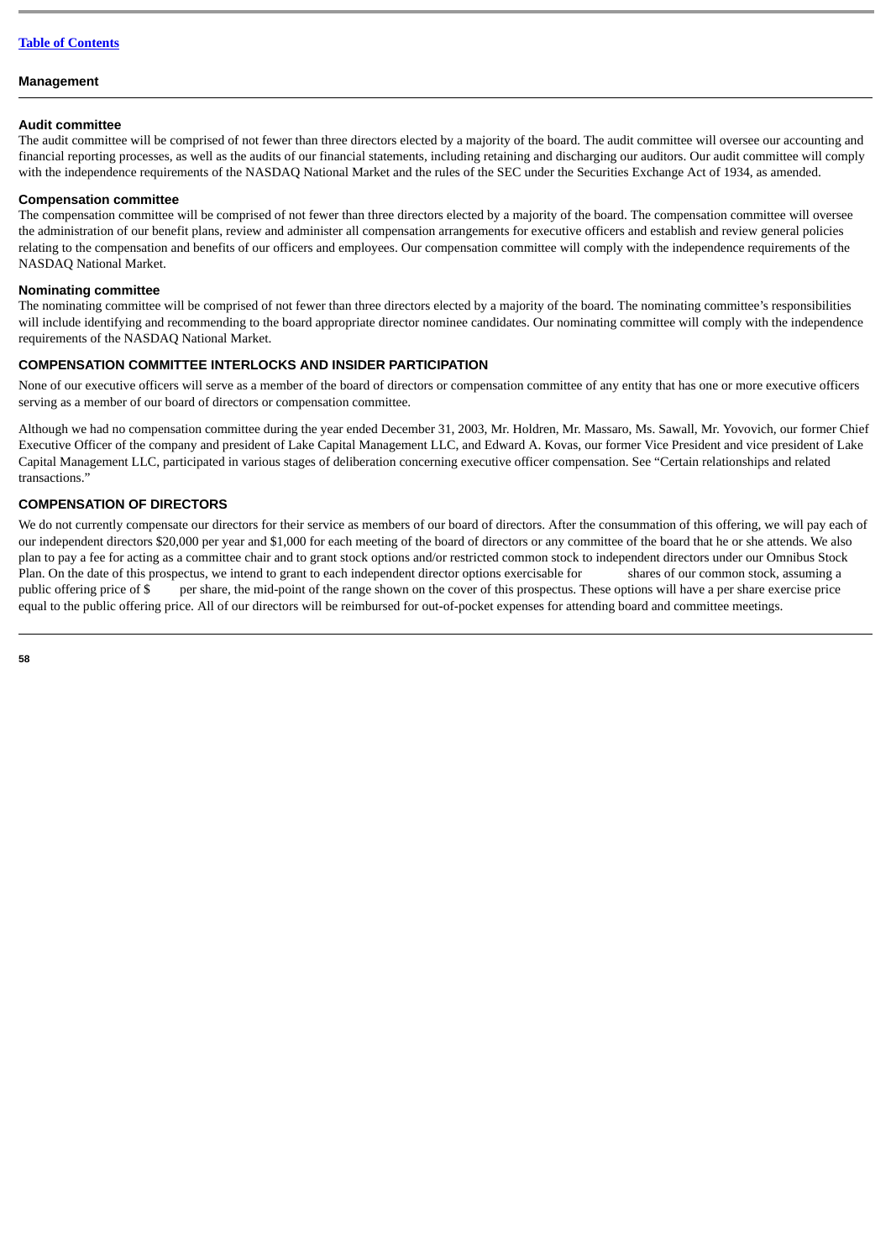#### **Audit committee**

The audit committee will be comprised of not fewer than three directors elected by a majority of the board. The audit committee will oversee our accounting and financial reporting processes, as well as the audits of our financial statements, including retaining and discharging our auditors. Our audit committee will comply with the independence requirements of the NASDAQ National Market and the rules of the SEC under the Securities Exchange Act of 1934, as amended.

#### **Compensation committee**

The compensation committee will be comprised of not fewer than three directors elected by a majority of the board. The compensation committee will oversee the administration of our benefit plans, review and administer all compensation arrangements for executive officers and establish and review general policies relating to the compensation and benefits of our officers and employees. Our compensation committee will comply with the independence requirements of the NASDAQ National Market.

# **Nominating committee**

The nominating committee will be comprised of not fewer than three directors elected by a majority of the board. The nominating committee's responsibilities will include identifying and recommending to the board appropriate director nominee candidates. Our nominating committee will comply with the independence requirements of the NASDAQ National Market.

# **COMPENSATION COMMITTEE INTERLOCKS AND INSIDER PARTICIPATION**

None of our executive officers will serve as a member of the board of directors or compensation committee of any entity that has one or more executive officers serving as a member of our board of directors or compensation committee.

Although we had no compensation committee during the year ended December 31, 2003, Mr. Holdren, Mr. Massaro, Ms. Sawall, Mr. Yovovich, our former Chief Executive Officer of the company and president of Lake Capital Management LLC, and Edward A. Kovas, our former Vice President and vice president of Lake Capital Management LLC, participated in various stages of deliberation concerning executive officer compensation. See "Certain relationships and related transactions."

#### **COMPENSATION OF DIRECTORS**

We do not currently compensate our directors for their service as members of our board of directors. After the consummation of this offering, we will pay each of our independent directors \$20,000 per year and \$1,000 for each meeting of the board of directors or any committee of the board that he or she attends. We also plan to pay a fee for acting as a committee chair and to grant stock options and/or restricted common stock to independent directors under our Omnibus Stock Plan. On the date of this prospectus, we intend to grant to each independent director options exercisable for shares of our common stock, assuming a public offering price of \$ per share, the mid-point of the range shown on the cover of this prospectus. These options will have a per share exercise price equal to the public offering price. All of our directors will be reimbursed for out-of-pocket expenses for attending board and committee meetings.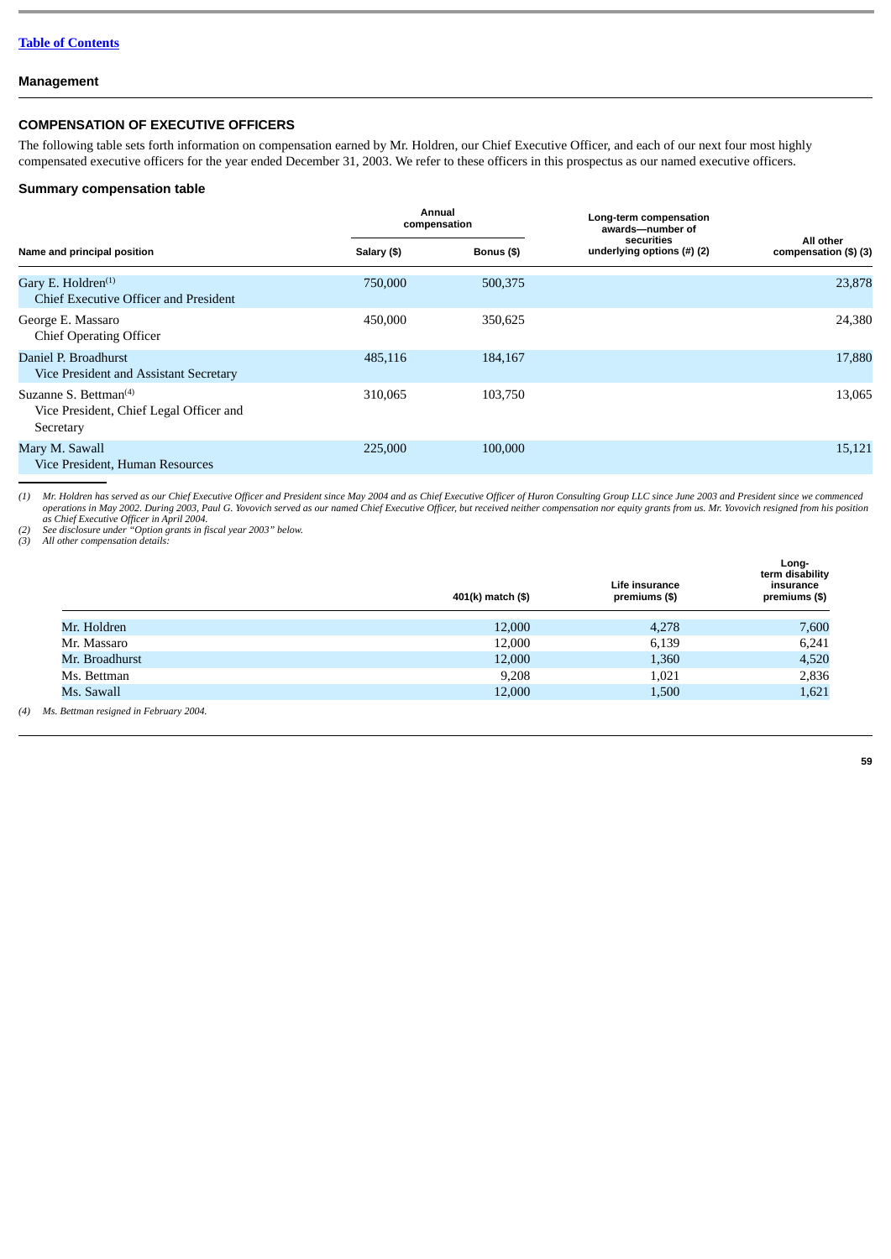#### **COMPENSATION OF EXECUTIVE OFFICERS**

The following table sets forth information on compensation earned by Mr. Holdren, our Chief Executive Officer, and each of our next four most highly compensated executive officers for the year ended December 31, 2003. We refer to these officers in this prospectus as our named executive officers.

# **Summary compensation table**

|                                                                                  | Annual<br>compensation |            | Long-term compensation<br>awards-number of  |                                    |  |
|----------------------------------------------------------------------------------|------------------------|------------|---------------------------------------------|------------------------------------|--|
| Name and principal position                                                      | Salary (\$)            | Bonus (\$) | securities<br>underlying options $(\#)$ (2) | All other<br>compensation (\$) (3) |  |
| Gary E. Holdren <sup>(1)</sup><br>Chief Executive Officer and President          | 750,000                | 500,375    |                                             | 23,878                             |  |
| George E. Massaro<br><b>Chief Operating Officer</b>                              | 450,000                | 350,625    |                                             | 24,380                             |  |
| Daniel P. Broadhurst<br>Vice President and Assistant Secretary                   | 485,116                | 184,167    |                                             | 17,880                             |  |
| Suzanne S. Bettman $(4)$<br>Vice President, Chief Legal Officer and<br>Secretary | 310,065                | 103,750    |                                             | 13.065                             |  |
| Mary M. Sawall<br>Vice President, Human Resources                                | 225,000                | 100,000    |                                             | 15,121                             |  |

(1) Mr. Holdren has served as our Chief Executive Officer and President since May 2004 and as Chief Executive Officer of Huron Consulting Group LLC since June 2003 and President since we commenced<br>operations in May 2002. D

*as Chief Executive Officer in April 2004. (2) See disclosure under "Option grants in fiscal year 2003" below. (3) All other compensation details:*

|                | 401(k) match (\$) | Life insurance<br>premiums (\$) | Long-<br>term disability<br>insurance<br>premiums (\$) |
|----------------|-------------------|---------------------------------|--------------------------------------------------------|
| Mr. Holdren    | 12,000            | 4,278                           | 7,600                                                  |
| Mr. Massaro    | 12,000            | 6,139                           | 6,241                                                  |
| Mr. Broadhurst | 12,000            | 1,360                           | 4,520                                                  |
| Ms. Bettman    | 9.208             | 1,021                           | 2,836                                                  |
| Ms. Sawall     | 12,000            | 1,500                           | 1,621                                                  |

*(4) Ms. Bettman resigned in February 2004.*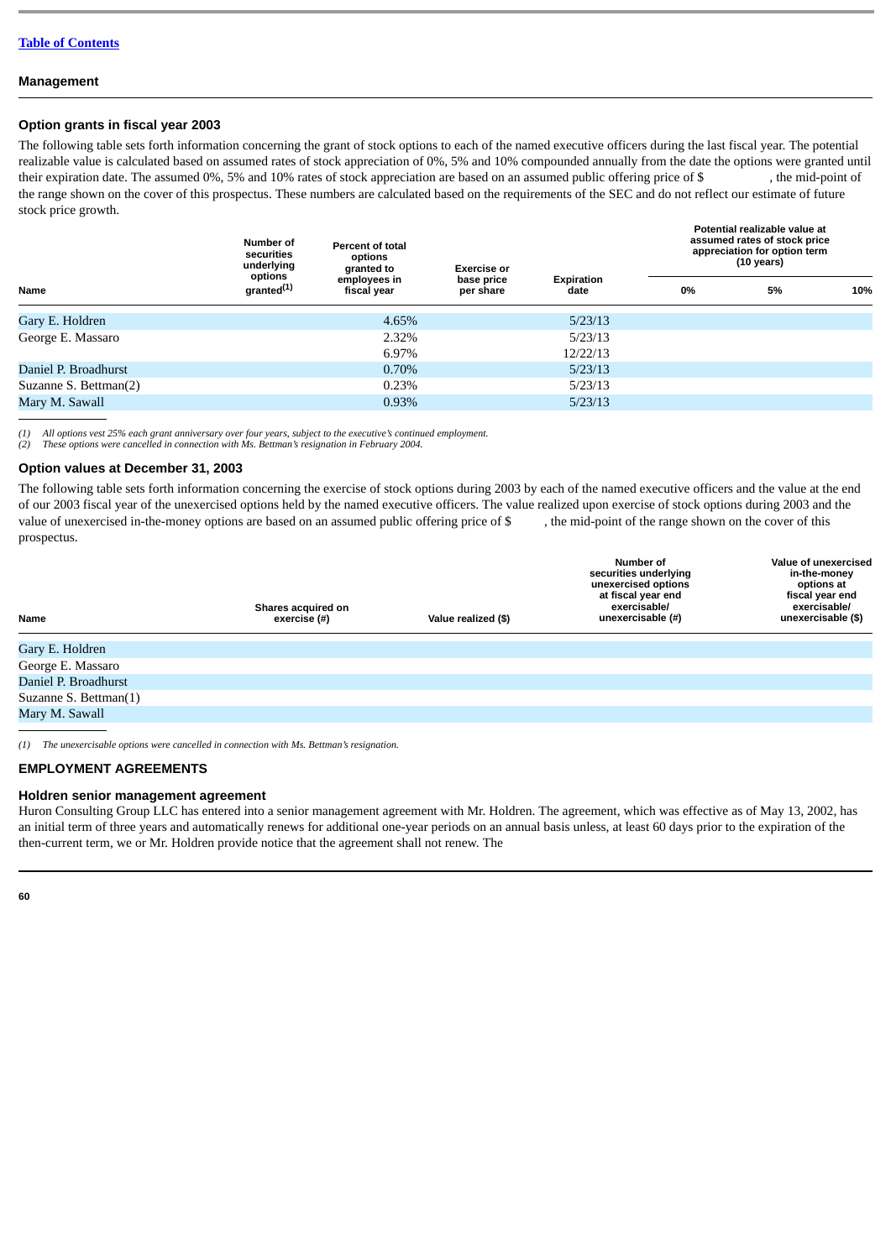## **Option grants in fiscal year 2003**

The following table sets forth information concerning the grant of stock options to each of the named executive officers during the last fiscal year. The potential realizable value is calculated based on assumed rates of stock appreciation of 0%, 5% and 10% compounded annually from the date the options were granted until their expiration date. The assumed 0%, 5% and 10% rates of stock appreciation are based on an assumed public offering price of \$, the mid-point of the range shown on the cover of this prospectus. These numbers are calculated based on the requirements of the SEC and do not reflect our estimate of future stock price growth.

|                       | Number of<br>securities<br>underlying<br>options | <b>Percent of total</b><br>options<br>granted to | <b>Exercise or</b>      |                    | Potential realizable value at<br>assumed rates of stock price<br>appreciation for option term<br>$(10 \text{ years})$ |    |     |  |
|-----------------------|--------------------------------------------------|--------------------------------------------------|-------------------------|--------------------|-----------------------------------------------------------------------------------------------------------------------|----|-----|--|
| Name                  | granted <sup>(1)</sup>                           | employees in<br>fiscal year                      | base price<br>per share | Expiration<br>date | 0%                                                                                                                    | 5% | 10% |  |
| Gary E. Holdren       |                                                  | 4.65%                                            |                         | 5/23/13            |                                                                                                                       |    |     |  |
| George E. Massaro     |                                                  | 2.32%                                            |                         | 5/23/13            |                                                                                                                       |    |     |  |
|                       |                                                  | 6.97%                                            |                         | 12/22/13           |                                                                                                                       |    |     |  |
| Daniel P. Broadhurst  |                                                  | 0.70%                                            |                         | 5/23/13            |                                                                                                                       |    |     |  |
| Suzanne S. Bettman(2) |                                                  | 0.23%                                            |                         | 5/23/13            |                                                                                                                       |    |     |  |
| Mary M. Sawall        |                                                  | 0.93%                                            |                         | 5/23/13            |                                                                                                                       |    |     |  |

*(1) All options vest 25% each grant anniversary over four years, subject to the executive's continued employment.*

*(2) These options were cancelled in connection with Ms. Bettman's resignation in February 2004.*

### **Option values at December 31, 2003**

The following table sets forth information concerning the exercise of stock options during 2003 by each of the named executive officers and the value at the end of our 2003 fiscal year of the unexercised options held by the named executive officers. The value realized upon exercise of stock options during 2003 and the value of unexercised in-the-money options are based on an assumed public offering price of \$ , the mid-point of the range shown on the cover of this prospectus.

| <b>Name</b>           | Shares acquired on<br>exercise (#) | Value realized (\$) | Number of<br>securities underlying<br>unexercised options<br>at fiscal year end<br>exercisable/<br>unexercisable (#) | Value of unexercised<br>in-the-money<br>options at<br>fiscal year end<br>exercisable/<br>unexercisable (\$) |
|-----------------------|------------------------------------|---------------------|----------------------------------------------------------------------------------------------------------------------|-------------------------------------------------------------------------------------------------------------|
|                       |                                    |                     |                                                                                                                      |                                                                                                             |
| Gary E. Holdren       |                                    |                     |                                                                                                                      |                                                                                                             |
| George E. Massaro     |                                    |                     |                                                                                                                      |                                                                                                             |
| Daniel P. Broadhurst  |                                    |                     |                                                                                                                      |                                                                                                             |
| Suzanne S. Bettman(1) |                                    |                     |                                                                                                                      |                                                                                                             |
| Mary M. Sawall        |                                    |                     |                                                                                                                      |                                                                                                             |

*(1) The unexercisable options were cancelled in connection with Ms. Bettman's resignation.*

### **EMPLOYMENT AGREEMENTS**

#### **Holdren senior management agreement**

Huron Consulting Group LLC has entered into a senior management agreement with Mr. Holdren. The agreement, which was effective as of May 13, 2002, has an initial term of three years and automatically renews for additional one-year periods on an annual basis unless, at least 60 days prior to the expiration of the then-current term, we or Mr. Holdren provide notice that the agreement shall not renew. The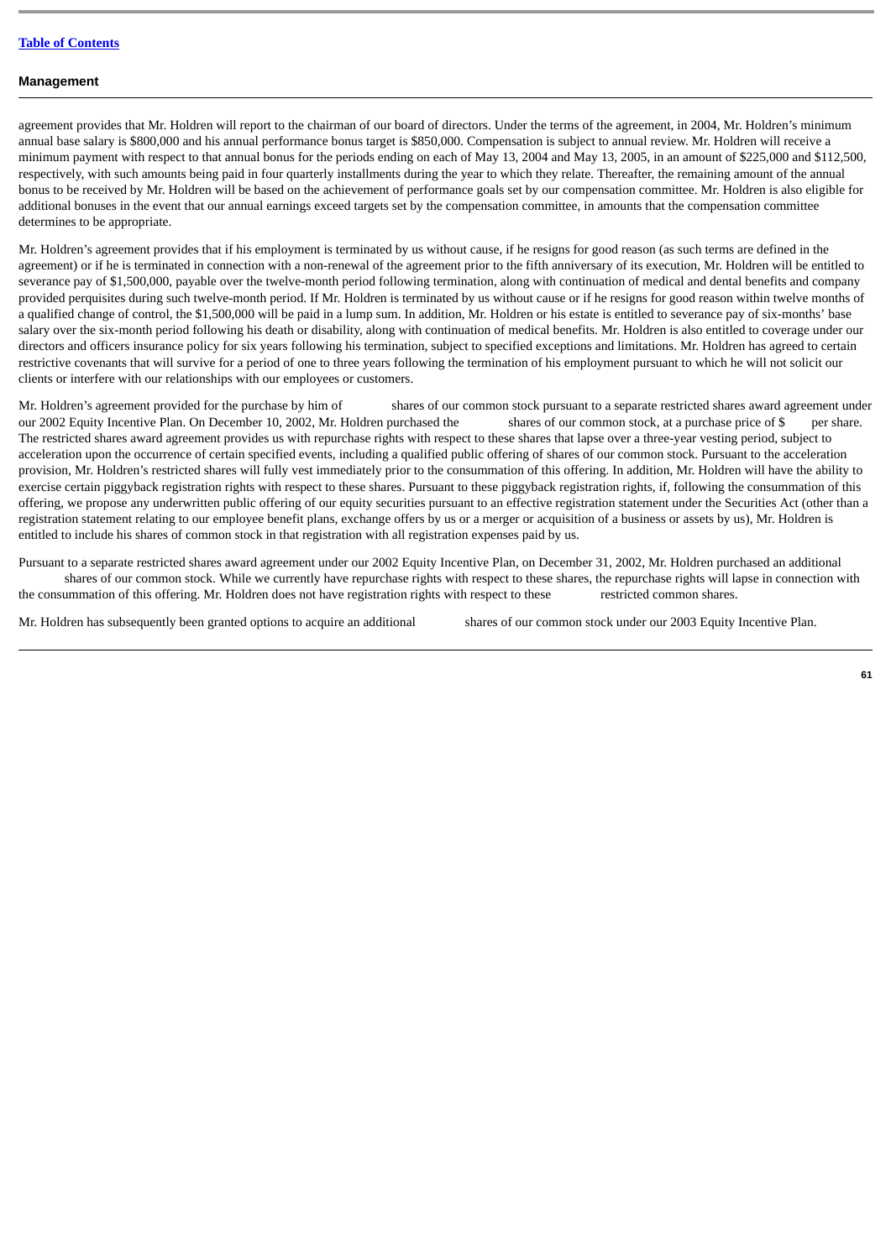agreement provides that Mr. Holdren will report to the chairman of our board of directors. Under the terms of the agreement, in 2004, Mr. Holdren's minimum annual base salary is \$800,000 and his annual performance bonus target is \$850,000. Compensation is subject to annual review. Mr. Holdren will receive a minimum payment with respect to that annual bonus for the periods ending on each of May 13, 2004 and May 13, 2005, in an amount of \$225,000 and \$112,500, respectively, with such amounts being paid in four quarterly installments during the year to which they relate. Thereafter, the remaining amount of the annual bonus to be received by Mr. Holdren will be based on the achievement of performance goals set by our compensation committee. Mr. Holdren is also eligible for additional bonuses in the event that our annual earnings exceed targets set by the compensation committee, in amounts that the compensation committee determines to be appropriate.

Mr. Holdren's agreement provides that if his employment is terminated by us without cause, if he resigns for good reason (as such terms are defined in the agreement) or if he is terminated in connection with a non-renewal of the agreement prior to the fifth anniversary of its execution, Mr. Holdren will be entitled to severance pay of \$1,500,000, payable over the twelve-month period following termination, along with continuation of medical and dental benefits and company provided perquisites during such twelve-month period. If Mr. Holdren is terminated by us without cause or if he resigns for good reason within twelve months of a qualified change of control, the \$1,500,000 will be paid in a lump sum. In addition, Mr. Holdren or his estate is entitled to severance pay of six-months' base salary over the six-month period following his death or disability, along with continuation of medical benefits. Mr. Holdren is also entitled to coverage under our directors and officers insurance policy for six years following his termination, subject to specified exceptions and limitations. Mr. Holdren has agreed to certain restrictive covenants that will survive for a period of one to three years following the termination of his employment pursuant to which he will not solicit our clients or interfere with our relationships with our employees or customers.

Mr. Holdren's agreement provided for the purchase by him of shares of our common stock pursuant to a separate restricted shares award agreement under our 2002 Equity Incentive Plan. On December 10, 2002, Mr. Holdren purchased the shares of our common stock, at a purchase price of \$ per share. The restricted shares award agreement provides us with repurchase rights with respect to these shares that lapse over a three-year vesting period, subject to acceleration upon the occurrence of certain specified events, including a qualified public offering of shares of our common stock. Pursuant to the acceleration provision, Mr. Holdren's restricted shares will fully vest immediately prior to the consummation of this offering. In addition, Mr. Holdren will have the ability to exercise certain piggyback registration rights with respect to these shares. Pursuant to these piggyback registration rights, if, following the consummation of this offering, we propose any underwritten public offering of our equity securities pursuant to an effective registration statement under the Securities Act (other than a registration statement relating to our employee benefit plans, exchange offers by us or a merger or acquisition of a business or assets by us), Mr. Holdren is entitled to include his shares of common stock in that registration with all registration expenses paid by us.

Pursuant to a separate restricted shares award agreement under our 2002 Equity Incentive Plan, on December 31, 2002, Mr. Holdren purchased an additional shares of our common stock. While we currently have repurchase rights with respect to these shares, the repurchase rights will lapse in connection with the consummation of this offering. Mr. Holdren does not have registration rights with respect to these restricted common shares.

Mr. Holdren has subsequently been granted options to acquire an additional shares of our common stock under our 2003 Equity Incentive Plan.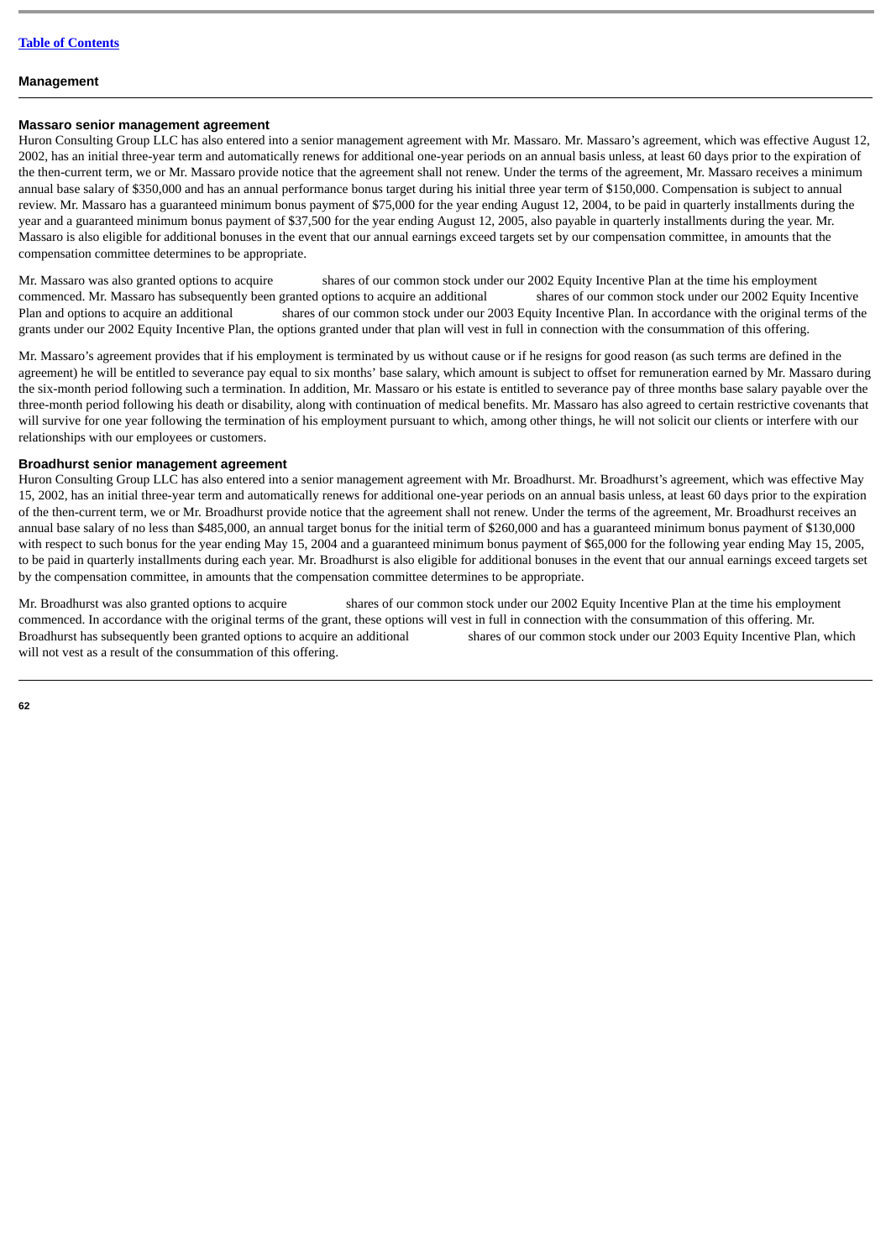## **Massaro senior management agreement**

Huron Consulting Group LLC has also entered into a senior management agreement with Mr. Massaro. Mr. Massaro's agreement, which was effective August 12, 2002, has an initial three-year term and automatically renews for additional one-year periods on an annual basis unless, at least 60 days prior to the expiration of the then-current term, we or Mr. Massaro provide notice that the agreement shall not renew. Under the terms of the agreement, Mr. Massaro receives a minimum annual base salary of \$350,000 and has an annual performance bonus target during his initial three year term of \$150,000. Compensation is subject to annual review. Mr. Massaro has a guaranteed minimum bonus payment of \$75,000 for the year ending August 12, 2004, to be paid in quarterly installments during the year and a guaranteed minimum bonus payment of \$37,500 for the year ending August 12, 2005, also payable in quarterly installments during the year. Mr. Massaro is also eligible for additional bonuses in the event that our annual earnings exceed targets set by our compensation committee, in amounts that the compensation committee determines to be appropriate.

Mr. Massaro was also granted options to acquire shares of our common stock under our 2002 Equity Incentive Plan at the time his employment commenced. Mr. Massaro has subsequently been granted options to acquire an additional shares of our common stock under our 2002 Equity Incentive Plan and options to acquire an additional shares of our common stock under our 2003 Equity Incentive Plan. In accordance with the original terms of the grants under our 2002 Equity Incentive Plan, the options granted under that plan will vest in full in connection with the consummation of this offering.

Mr. Massaro's agreement provides that if his employment is terminated by us without cause or if he resigns for good reason (as such terms are defined in the agreement) he will be entitled to severance pay equal to six months' base salary, which amount is subject to offset for remuneration earned by Mr. Massaro during the six-month period following such a termination. In addition, Mr. Massaro or his estate is entitled to severance pay of three months base salary payable over the three-month period following his death or disability, along with continuation of medical benefits. Mr. Massaro has also agreed to certain restrictive covenants that will survive for one year following the termination of his employment pursuant to which, among other things, he will not solicit our clients or interfere with our relationships with our employees or customers.

# **Broadhurst senior management agreement**

Huron Consulting Group LLC has also entered into a senior management agreement with Mr. Broadhurst. Mr. Broadhurst's agreement, which was effective May 15, 2002, has an initial three-year term and automatically renews for additional one-year periods on an annual basis unless, at least 60 days prior to the expiration of the then-current term, we or Mr. Broadhurst provide notice that the agreement shall not renew. Under the terms of the agreement, Mr. Broadhurst receives an annual base salary of no less than \$485,000, an annual target bonus for the initial term of \$260,000 and has a guaranteed minimum bonus payment of \$130,000 with respect to such bonus for the year ending May 15, 2004 and a guaranteed minimum bonus payment of \$65,000 for the following year ending May 15, 2005, to be paid in quarterly installments during each year. Mr. Broadhurst is also eligible for additional bonuses in the event that our annual earnings exceed targets set by the compensation committee, in amounts that the compensation committee determines to be appropriate.

Mr. Broadhurst was also granted options to acquire shares of our common stock under our 2002 Equity Incentive Plan at the time his employment commenced. In accordance with the original terms of the grant, these options will vest in full in connection with the consummation of this offering. Mr. Broadhurst has subsequently been granted options to acquire an additional shares of our common stock under our 2003 Equity Incentive Plan, which will not vest as a result of the consummation of this offering.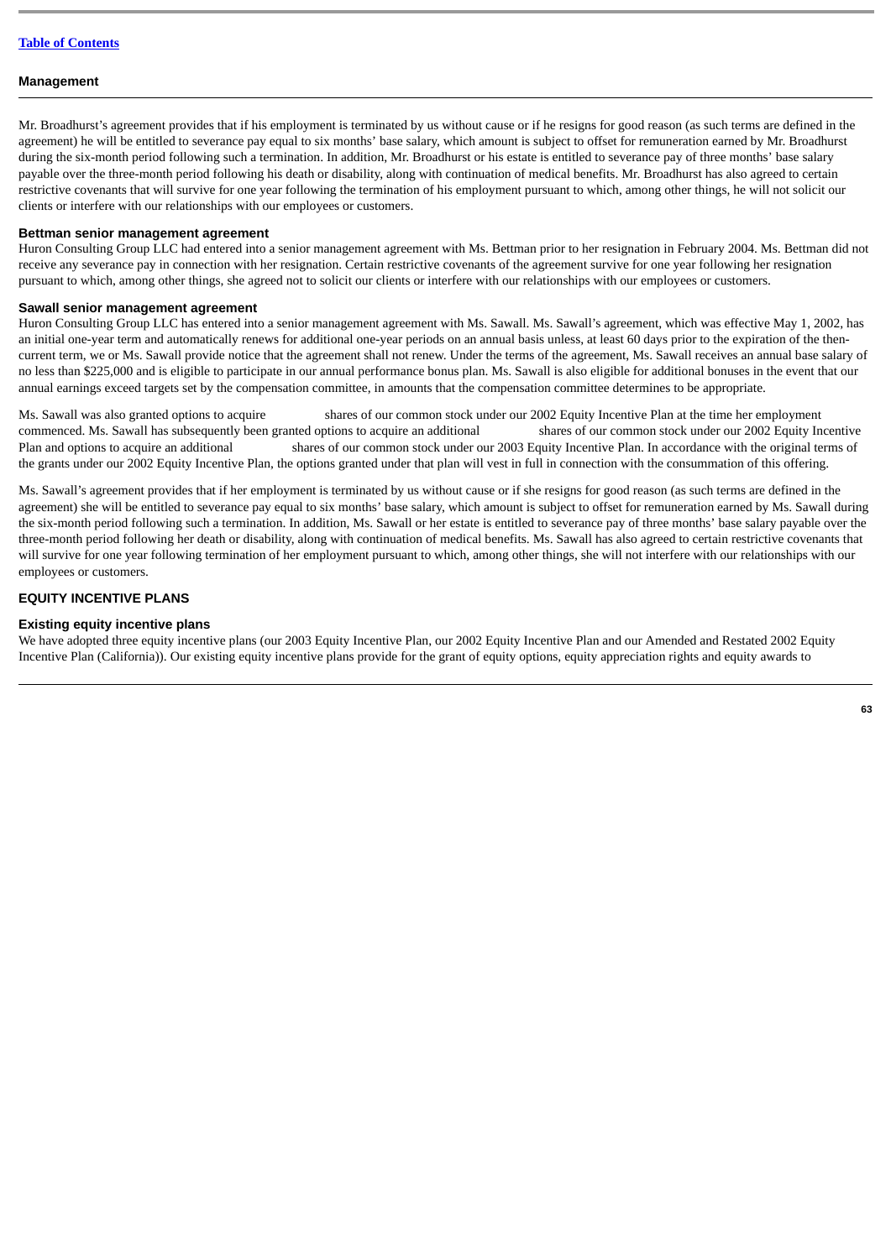Mr. Broadhurst's agreement provides that if his employment is terminated by us without cause or if he resigns for good reason (as such terms are defined in the agreement) he will be entitled to severance pay equal to six months' base salary, which amount is subject to offset for remuneration earned by Mr. Broadhurst during the six-month period following such a termination. In addition, Mr. Broadhurst or his estate is entitled to severance pay of three months' base salary payable over the three-month period following his death or disability, along with continuation of medical benefits. Mr. Broadhurst has also agreed to certain restrictive covenants that will survive for one year following the termination of his employment pursuant to which, among other things, he will not solicit our clients or interfere with our relationships with our employees or customers.

#### **Bettman senior management agreement**

Huron Consulting Group LLC had entered into a senior management agreement with Ms. Bettman prior to her resignation in February 2004. Ms. Bettman did not receive any severance pay in connection with her resignation. Certain restrictive covenants of the agreement survive for one year following her resignation pursuant to which, among other things, she agreed not to solicit our clients or interfere with our relationships with our employees or customers.

# **Sawall senior management agreement**

Huron Consulting Group LLC has entered into a senior management agreement with Ms. Sawall. Ms. Sawall's agreement, which was effective May 1, 2002, has an initial one-year term and automatically renews for additional one-year periods on an annual basis unless, at least 60 days prior to the expiration of the thencurrent term, we or Ms. Sawall provide notice that the agreement shall not renew. Under the terms of the agreement, Ms. Sawall receives an annual base salary of no less than \$225,000 and is eligible to participate in our annual performance bonus plan. Ms. Sawall is also eligible for additional bonuses in the event that our annual earnings exceed targets set by the compensation committee, in amounts that the compensation committee determines to be appropriate.

Ms. Sawall was also granted options to acquire shares of our common stock under our 2002 Equity Incentive Plan at the time her employment commenced. Ms. Sawall has subsequently been granted options to acquire an additional shares of our common stock under our 2002 Equity Incentive Plan and options to acquire an additional shares of our common stock under our 2003 Equity Incentive Plan. In accordance with the original terms of the grants under our 2002 Equity Incentive Plan, the options granted under that plan will vest in full in connection with the consummation of this offering.

Ms. Sawall's agreement provides that if her employment is terminated by us without cause or if she resigns for good reason (as such terms are defined in the agreement) she will be entitled to severance pay equal to six months' base salary, which amount is subject to offset for remuneration earned by Ms. Sawall during the six-month period following such a termination. In addition, Ms. Sawall or her estate is entitled to severance pay of three months' base salary payable over the three-month period following her death or disability, along with continuation of medical benefits. Ms. Sawall has also agreed to certain restrictive covenants that will survive for one year following termination of her employment pursuant to which, among other things, she will not interfere with our relationships with our employees or customers.

# **EQUITY INCENTIVE PLANS**

# **Existing equity incentive plans**

We have adopted three equity incentive plans (our 2003 Equity Incentive Plan, our 2002 Equity Incentive Plan and our Amended and Restated 2002 Equity Incentive Plan (California)). Our existing equity incentive plans provide for the grant of equity options, equity appreciation rights and equity awards to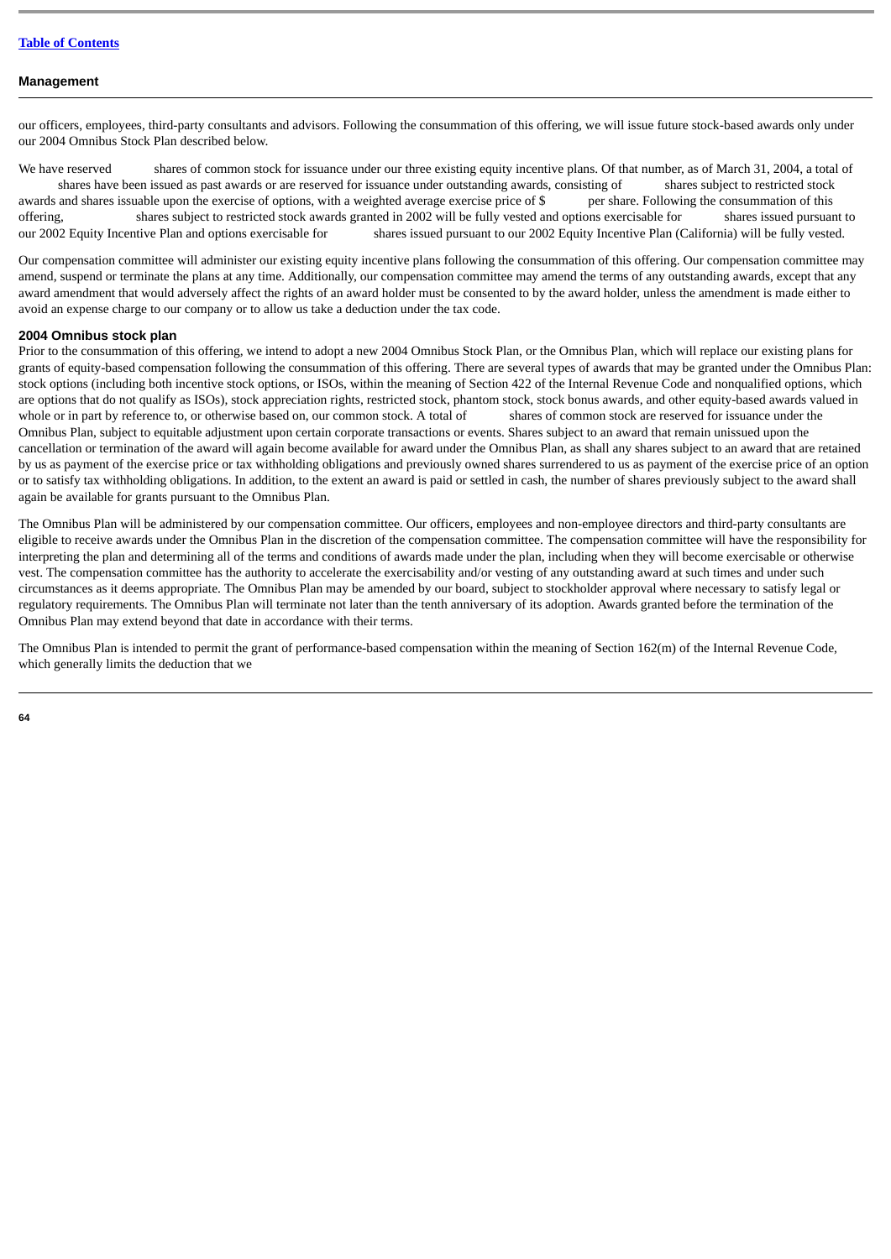#### **Management**

our officers, employees, third-party consultants and advisors. Following the consummation of this offering, we will issue future stock-based awards only under our 2004 Omnibus Stock Plan described below.

We have reserved shares of common stock for issuance under our three existing equity incentive plans. Of that number, as of March 31, 2004, a total of shares have been issued as past awards or are reserved for issuance under outstanding awards, consisting of shares subject to restricted stock awards and shares issuable upon the exercise of options, with a weighted average exercise price of \$ per share. Following the consummation of this offering, shares subject to restricted stock awards granted in 2002 will be fully vested and options exercisable for shares issued pursuant to our 2002 Equity Incentive Plan and options exercisable for shares issued pursuant to our 2002 Equity Incentive Plan (California) will be fully vested.

Our compensation committee will administer our existing equity incentive plans following the consummation of this offering. Our compensation committee may amend, suspend or terminate the plans at any time. Additionally, our compensation committee may amend the terms of any outstanding awards, except that any award amendment that would adversely affect the rights of an award holder must be consented to by the award holder, unless the amendment is made either to avoid an expense charge to our company or to allow us take a deduction under the tax code.

# **2004 Omnibus stock plan**

Prior to the consummation of this offering, we intend to adopt a new 2004 Omnibus Stock Plan, or the Omnibus Plan, which will replace our existing plans for grants of equity-based compensation following the consummation of this offering. There are several types of awards that may be granted under the Omnibus Plan: stock options (including both incentive stock options, or ISOs, within the meaning of Section 422 of the Internal Revenue Code and nonqualified options, which are options that do not qualify as ISOs), stock appreciation rights, restricted stock, phantom stock, stock bonus awards, and other equity-based awards valued in whole or in part by reference to, or otherwise based on, our common stock. A total of shares of common stock are reserved for issuance under the Omnibus Plan, subject to equitable adjustment upon certain corporate transactions or events. Shares subject to an award that remain unissued upon the cancellation or termination of the award will again become available for award under the Omnibus Plan, as shall any shares subject to an award that are retained by us as payment of the exercise price or tax withholding obligations and previously owned shares surrendered to us as payment of the exercise price of an option or to satisfy tax withholding obligations. In addition, to the extent an award is paid or settled in cash, the number of shares previously subject to the award shall again be available for grants pursuant to the Omnibus Plan.

The Omnibus Plan will be administered by our compensation committee. Our officers, employees and non-employee directors and third-party consultants are eligible to receive awards under the Omnibus Plan in the discretion of the compensation committee. The compensation committee will have the responsibility for interpreting the plan and determining all of the terms and conditions of awards made under the plan, including when they will become exercisable or otherwise vest. The compensation committee has the authority to accelerate the exercisability and/or vesting of any outstanding award at such times and under such circumstances as it deems appropriate. The Omnibus Plan may be amended by our board, subject to stockholder approval where necessary to satisfy legal or regulatory requirements. The Omnibus Plan will terminate not later than the tenth anniversary of its adoption. Awards granted before the termination of the Omnibus Plan may extend beyond that date in accordance with their terms.

The Omnibus Plan is intended to permit the grant of performance-based compensation within the meaning of Section 162(m) of the Internal Revenue Code, which generally limits the deduction that we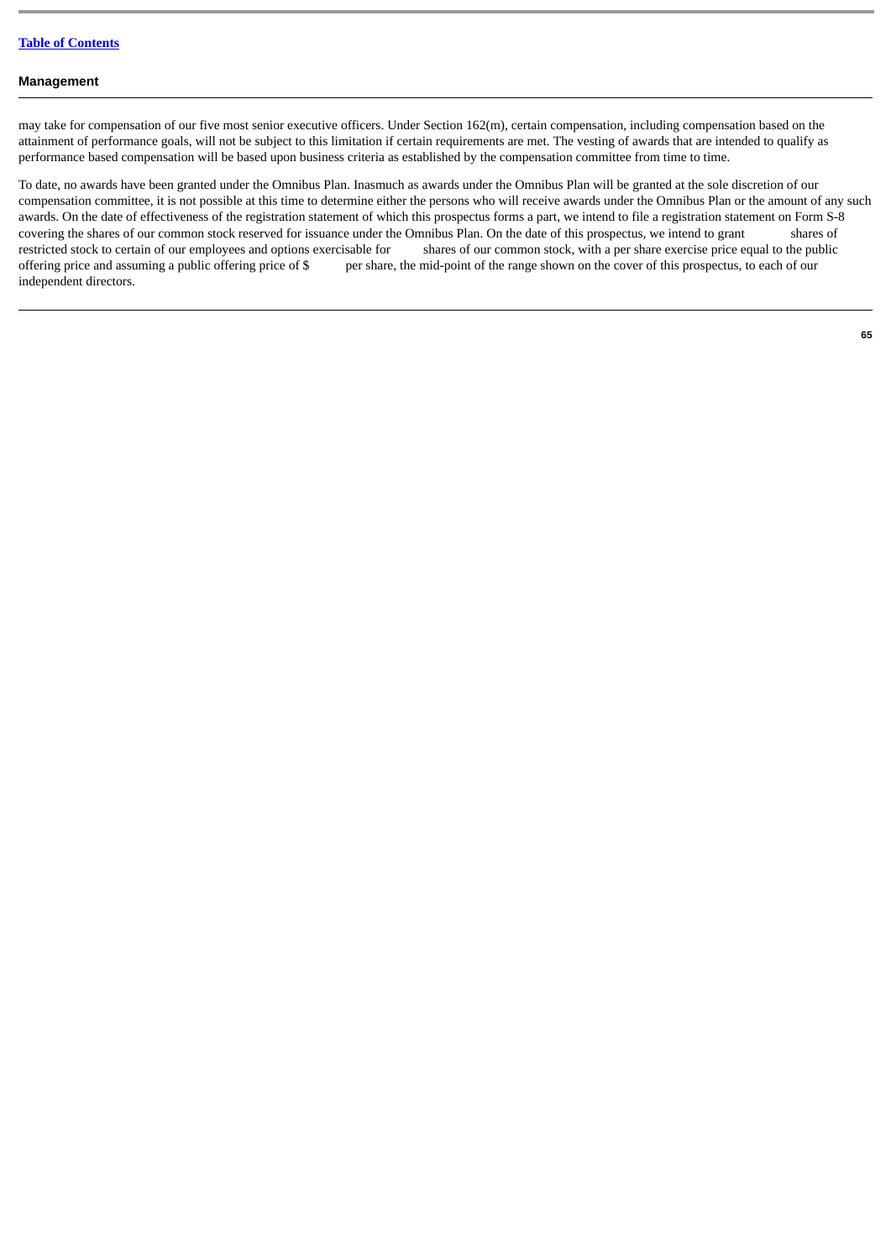#### **Management**

may take for compensation of our five most senior executive officers. Under Section 162(m), certain compensation, including compensation based on the attainment of performance goals, will not be subject to this limitation if certain requirements are met. The vesting of awards that are intended to qualify as performance based compensation will be based upon business criteria as established by the compensation committee from time to time.

To date, no awards have been granted under the Omnibus Plan. Inasmuch as awards under the Omnibus Plan will be granted at the sole discretion of our compensation committee, it is not possible at this time to determine either the persons who will receive awards under the Omnibus Plan or the amount of any such awards. On the date of effectiveness of the registration statement of which this prospectus forms a part, we intend to file a registration statement on Form S-8 covering the shares of our common stock reserved for issuance under the Omnibus Plan. On the date of this prospectus, we intend to grant shares of restricted stock to certain of our employees and options exercisable for shares of our common stock, with a per share exercise price equal to the public offering price and assuming a public offering price of \$ per share, the mid-point of the range shown on the cover of this prospectus, to each of our independent directors.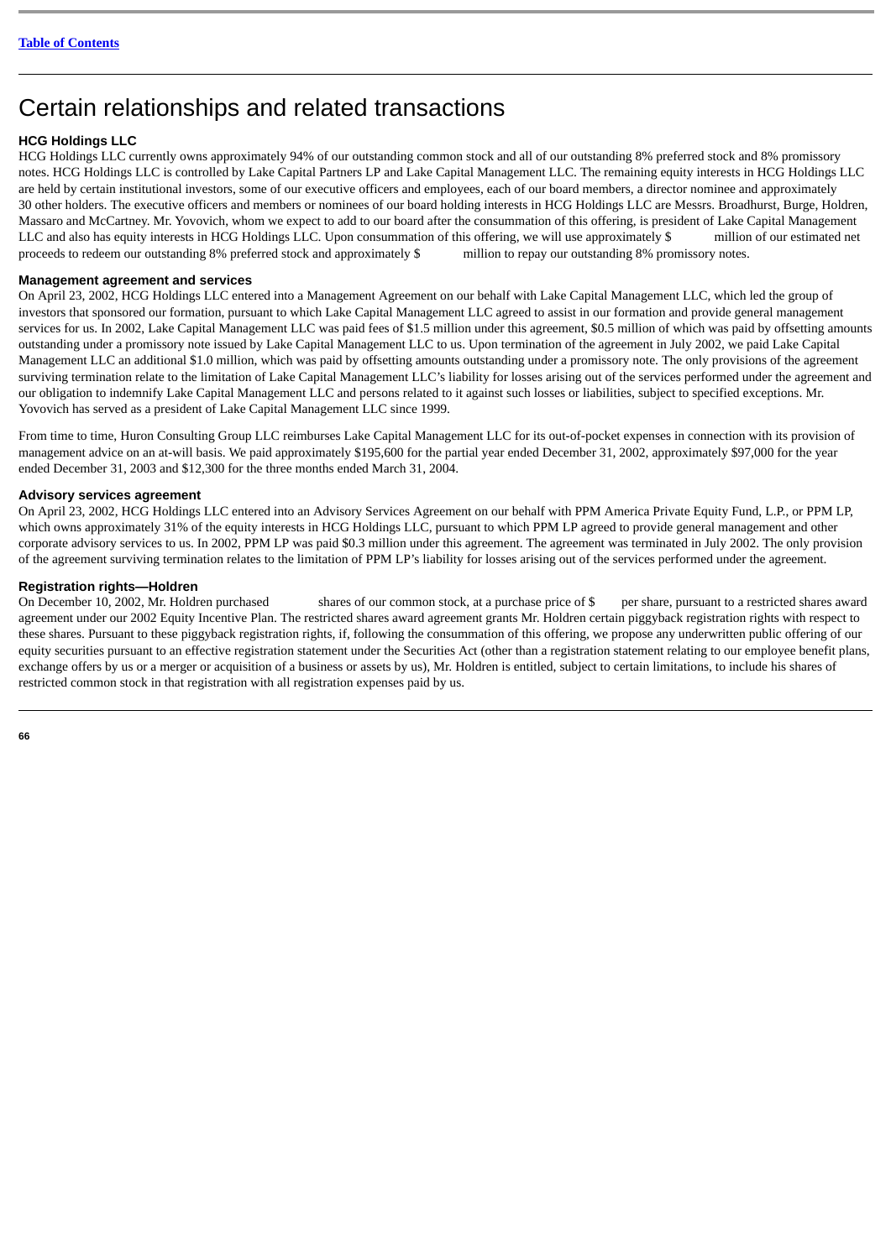# Certain relationships and related transactions

# **HCG Holdings LLC**

HCG Holdings LLC currently owns approximately 94% of our outstanding common stock and all of our outstanding 8% preferred stock and 8% promissory notes. HCG Holdings LLC is controlled by Lake Capital Partners LP and Lake Capital Management LLC. The remaining equity interests in HCG Holdings LLC are held by certain institutional investors, some of our executive officers and employees, each of our board members, a director nominee and approximately 30 other holders. The executive officers and members or nominees of our board holding interests in HCG Holdings LLC are Messrs. Broadhurst, Burge, Holdren, Massaro and McCartney. Mr. Yovovich, whom we expect to add to our board after the consummation of this offering, is president of Lake Capital Management LLC and also has equity interests in HCG Holdings LLC. Upon consummation of this offering, we will use approximately \$ million of our estimated net proceeds to redeem our outstanding 8% preferred stock and approximately \$ million to repay our outstanding 8% promissory notes.

# **Management agreement and services**

On April 23, 2002, HCG Holdings LLC entered into a Management Agreement on our behalf with Lake Capital Management LLC, which led the group of investors that sponsored our formation, pursuant to which Lake Capital Management LLC agreed to assist in our formation and provide general management services for us. In 2002, Lake Capital Management LLC was paid fees of \$1.5 million under this agreement, \$0.5 million of which was paid by offsetting amounts outstanding under a promissory note issued by Lake Capital Management LLC to us. Upon termination of the agreement in July 2002, we paid Lake Capital Management LLC an additional \$1.0 million, which was paid by offsetting amounts outstanding under a promissory note. The only provisions of the agreement surviving termination relate to the limitation of Lake Capital Management LLC's liability for losses arising out of the services performed under the agreement and our obligation to indemnify Lake Capital Management LLC and persons related to it against such losses or liabilities, subject to specified exceptions. Mr. Yovovich has served as a president of Lake Capital Management LLC since 1999.

From time to time, Huron Consulting Group LLC reimburses Lake Capital Management LLC for its out-of-pocket expenses in connection with its provision of management advice on an at-will basis. We paid approximately \$195,600 for the partial year ended December 31, 2002, approximately \$97,000 for the year ended December 31, 2003 and \$12,300 for the three months ended March 31, 2004.

# **Advisory services agreement**

On April 23, 2002, HCG Holdings LLC entered into an Advisory Services Agreement on our behalf with PPM America Private Equity Fund, L.P., or PPM LP, which owns approximately 31% of the equity interests in HCG Holdings LLC, pursuant to which PPM LP agreed to provide general management and other corporate advisory services to us. In 2002, PPM LP was paid \$0.3 million under this agreement. The agreement was terminated in July 2002. The only provision of the agreement surviving termination relates to the limitation of PPM LP's liability for losses arising out of the services performed under the agreement.

# **Registration rights—Holdren**

On December 10, 2002, Mr. Holdren purchased shares of our common stock, at a purchase price of \$ per share, pursuant to a restricted shares award agreement under our 2002 Equity Incentive Plan. The restricted shares award agreement grants Mr. Holdren certain piggyback registration rights with respect to these shares. Pursuant to these piggyback registration rights, if, following the consummation of this offering, we propose any underwritten public offering of our equity securities pursuant to an effective registration statement under the Securities Act (other than a registration statement relating to our employee benefit plans, exchange offers by us or a merger or acquisition of a business or assets by us), Mr. Holdren is entitled, subject to certain limitations, to include his shares of restricted common stock in that registration with all registration expenses paid by us.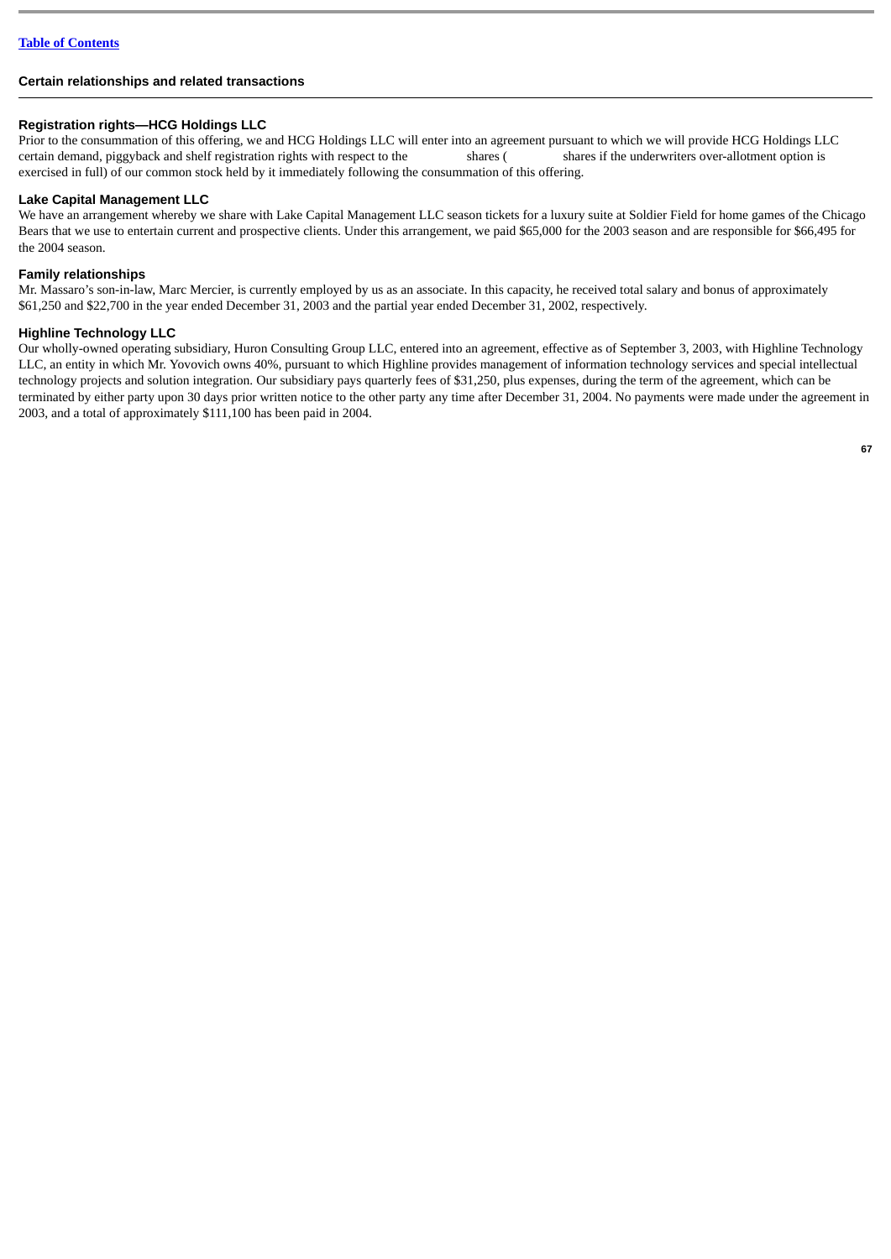# **Certain relationships and related transactions**

#### **Registration rights—HCG Holdings LLC**

Prior to the consummation of this offering, we and HCG Holdings LLC will enter into an agreement pursuant to which we will provide HCG Holdings LLC certain demand, piggyback and shelf registration rights with respect to the shares (shares if the underwriters over-allotment option is exercised in full) of our common stock held by it immediately following the consummation of this offering.

#### **Lake Capital Management LLC**

We have an arrangement whereby we share with Lake Capital Management LLC season tickets for a luxury suite at Soldier Field for home games of the Chicago Bears that we use to entertain current and prospective clients. Under this arrangement, we paid \$65,000 for the 2003 season and are responsible for \$66,495 for the 2004 season.

#### **Family relationships**

Mr. Massaro's son-in-law, Marc Mercier, is currently employed by us as an associate. In this capacity, he received total salary and bonus of approximately \$61,250 and \$22,700 in the year ended December 31, 2003 and the partial year ended December 31, 2002, respectively.

# **Highline Technology LLC**

Our wholly-owned operating subsidiary, Huron Consulting Group LLC, entered into an agreement, effective as of September 3, 2003, with Highline Technology LLC, an entity in which Mr. Yovovich owns 40%, pursuant to which Highline provides management of information technology services and special intellectual technology projects and solution integration. Our subsidiary pays quarterly fees of \$31,250, plus expenses, during the term of the agreement, which can be terminated by either party upon 30 days prior written notice to the other party any time after December 31, 2004. No payments were made under the agreement in 2003, and a total of approximately \$111,100 has been paid in 2004.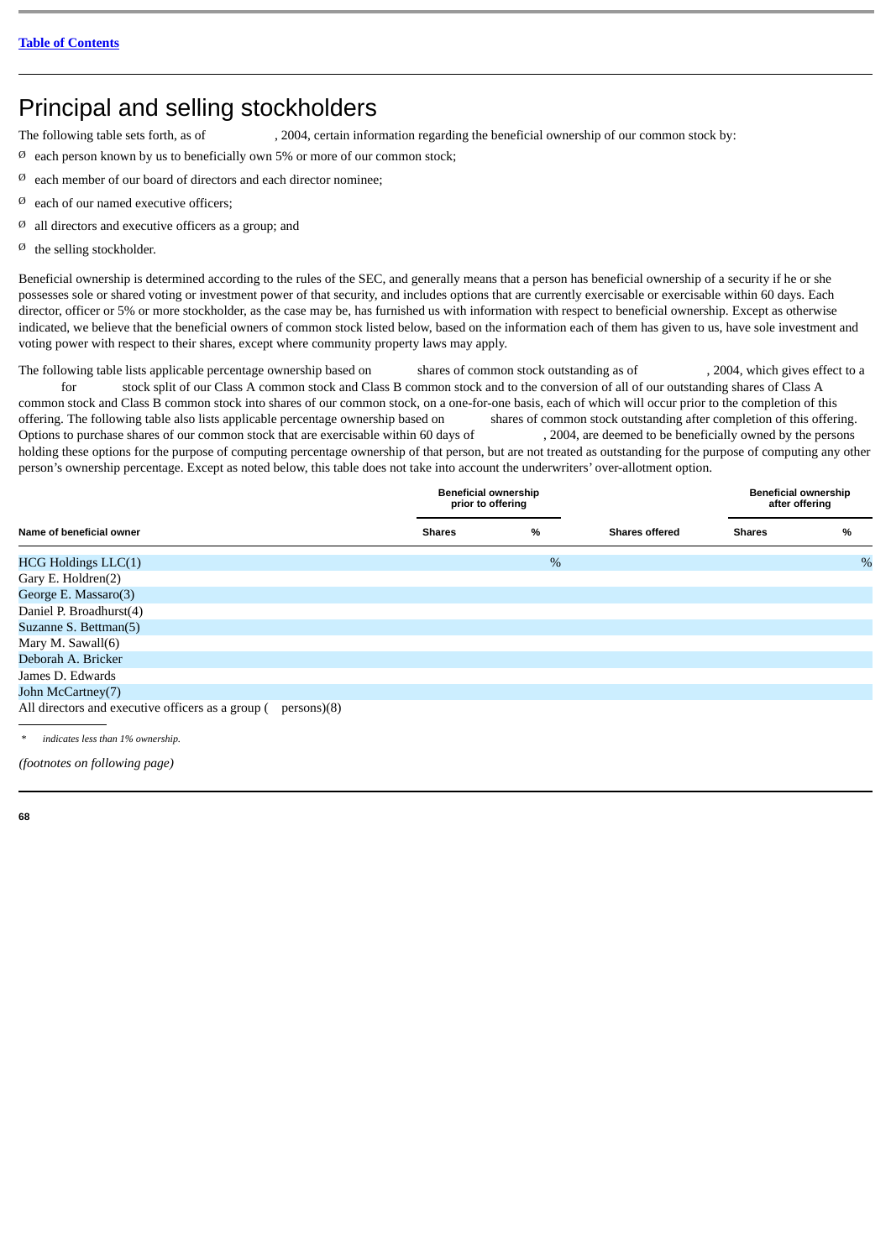# Principal and selling stockholders

The following table sets forth, as of , 2004, certain information regarding the beneficial ownership of our common stock by:

- $\emptyset$  each person known by us to beneficially own 5% or more of our common stock;
- $\emptyset$  each member of our board of directors and each director nominee;
- $\emptyset$  each of our named executive officers;
- $\emptyset$  all directors and executive officers as a group; and
- $\emptyset$  the selling stockholder.

Beneficial ownership is determined according to the rules of the SEC, and generally means that a person has beneficial ownership of a security if he or she possesses sole or shared voting or investment power of that security, and includes options that are currently exercisable or exercisable within 60 days. Each director, officer or 5% or more stockholder, as the case may be, has furnished us with information with respect to beneficial ownership. Except as otherwise indicated, we believe that the beneficial owners of common stock listed below, based on the information each of them has given to us, have sole investment and voting power with respect to their shares, except where community property laws may apply.

The following table lists applicable percentage ownership based on shares of common stock outstanding as of , 2004, which gives effect to a

 for stock split of our Class A common stock and Class B common stock and to the conversion of all of our outstanding shares of Class A common stock and Class B common stock into shares of our common stock, on a one-for-one basis, each of which will occur prior to the completion of this offering. The following table also lists applicable percentage ownership based on shares of common stock outstanding after completion of this offering. Options to purchase shares of our common stock that are exercisable within 60 days of , 2004, are deemed to be beneficially owned by the persons holding these options for the purpose of computing percentage ownership of that person, but are not treated as outstanding for the purpose of computing any other person's ownership percentage. Except as noted below, this table does not take into account the underwriters' over-allotment option.

|                                                                                                      | <b>Beneficial ownership</b><br>prior to offering |      |                       | <b>Beneficial ownership</b><br>after offering |   |
|------------------------------------------------------------------------------------------------------|--------------------------------------------------|------|-----------------------|-----------------------------------------------|---|
| Name of beneficial owner                                                                             | <b>Shares</b>                                    | %    | <b>Shares offered</b> | <b>Shares</b>                                 | % |
| HCG Holdings LLC(1)                                                                                  |                                                  | $\%$ |                       |                                               | % |
| Gary E. Holdren(2)                                                                                   |                                                  |      |                       |                                               |   |
| George E. Massaro(3)                                                                                 |                                                  |      |                       |                                               |   |
| Daniel P. Broadhurst(4)                                                                              |                                                  |      |                       |                                               |   |
| Suzanne S. Bettman(5)                                                                                |                                                  |      |                       |                                               |   |
| Mary M. Sawall(6)                                                                                    |                                                  |      |                       |                                               |   |
| Deborah A. Bricker                                                                                   |                                                  |      |                       |                                               |   |
| James D. Edwards                                                                                     |                                                  |      |                       |                                               |   |
| John McCartney(7)                                                                                    |                                                  |      |                       |                                               |   |
| All directors and executive officers as a group (<br>persons(8)<br>indicates less than 1% ownership. |                                                  |      |                       |                                               |   |

*(footnotes on following page)*

**68**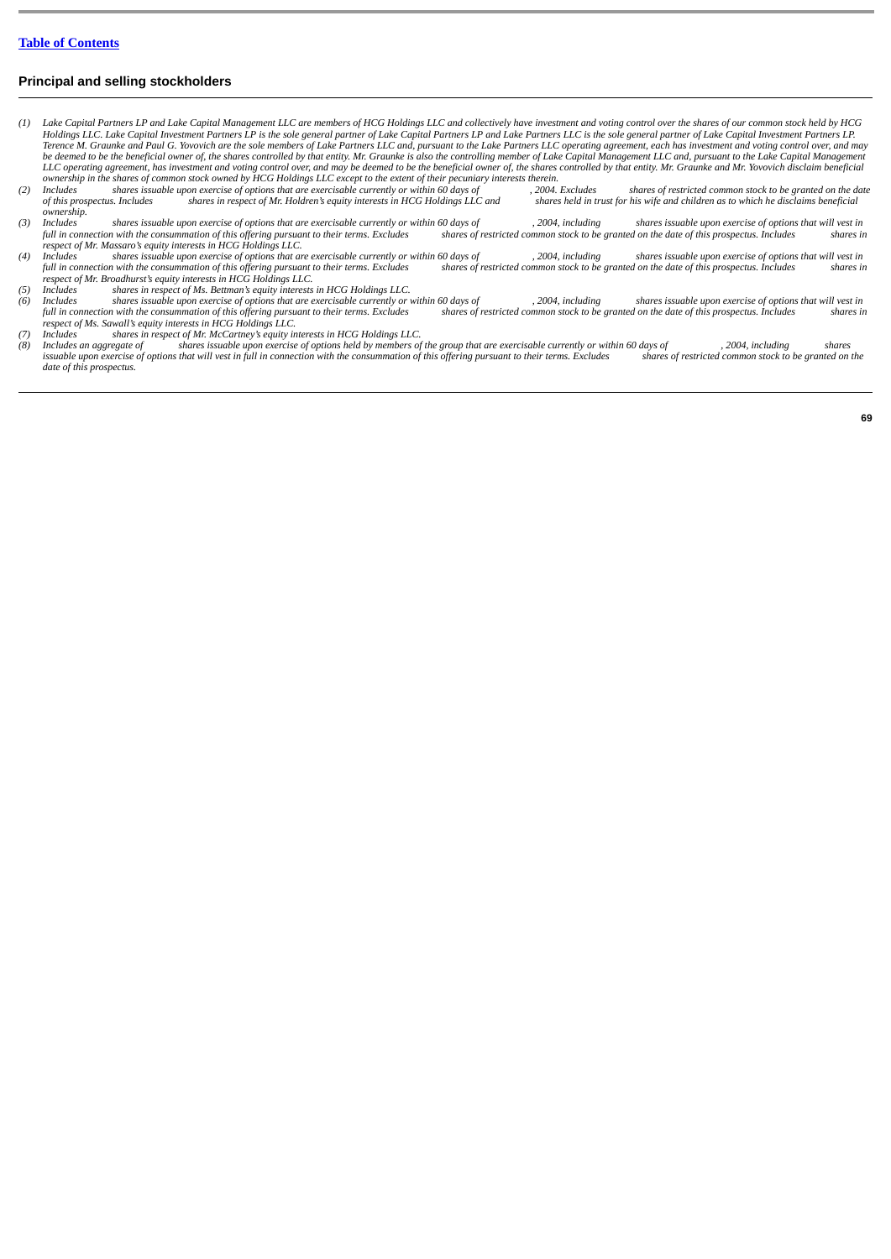# **Principal and selling stockholders**

(1) Lake Capital Partners LP and Lake Capital Management LLC are members of HCG Holdings LLC and collectively have investment and voting control over the shares of our common stock held by HCG<br>Holdings LLC. Lake Capital In *Terence M. Graunke and Paul G. Yovovich are the sole members of Lake Partners LLC and, pursuant to the Lake Partners LLC operating agreement, each has investment and voting control over, and may* be deemed to be the beneficial owner of, the shares controlled by that entity. Mr. Graunke is also the controlling member of Lake Capital Management LLC and, pursuant to the Lake Capital Management LLC operating agreement, has investment and voting control over, and may be deemed to be the beneficial owner of, the shares controlled by that entity. Mr. Graunke and Mr. Yovovich disclaim beneficial<br>ownership in the shar

*of this prospectus. Includes shares in respect of Mr. Holdren's equity interests in HCG Holdings LLC and shares held in trust for his wife and children as to which he disclaims beneficial ownership. (3)* Includes shares issuable upon exercise of options that are exercisable currently or within 60 days of , 2004, including shares issuable upon exercise of options that will vest in full in connection with the consummat full in connection with the consummation of this offering pursuant to their terms. Excludes

respect of Mr. Massaro's equity interests in HCG Holdings LLC.<br>(4) Includes shares issuable upon exercise of options that are exercisable currently or within 60 days of , 2004, including shares issuable upon exercise of op

- *full in connection with the consummation of this offering pursuant to their terms. Excludes* shares of restricted common stock to be granted on the date of this prospectus. Includes shares in *respect of Mr. Broadhurst's equity interests in HCG Holdings LLC. (5) Includes shares in respect of Ms. Bettman's equity interests in HCG Holdings LLC.*
- 
- (6) Includes shares issuable upon exercise of options that are exercisable currently or within 60 days of , 2004, including shares issuable upon exercise of options that will vest in<br>full in connection with the consummatio *respect of Ms. Sawall's equity interests in HCG Holdings LLC.*<br>*Includes shares in respect of Mr. McCartney's equity in*
- 
- (7) Includes shares in respect of Mr. McCartney's equity interests in HCG Holdings LLC.<br>(8) Includes an aggregate of shares issuable upon exercise of options held by members of the group that are exercisable currently or w issuable upon exercise of options that will vest in full in connection with the consummation of this offering pursuant to their terms. Excludes shares of restricted common stock to be granted on the *date of this prospectus.*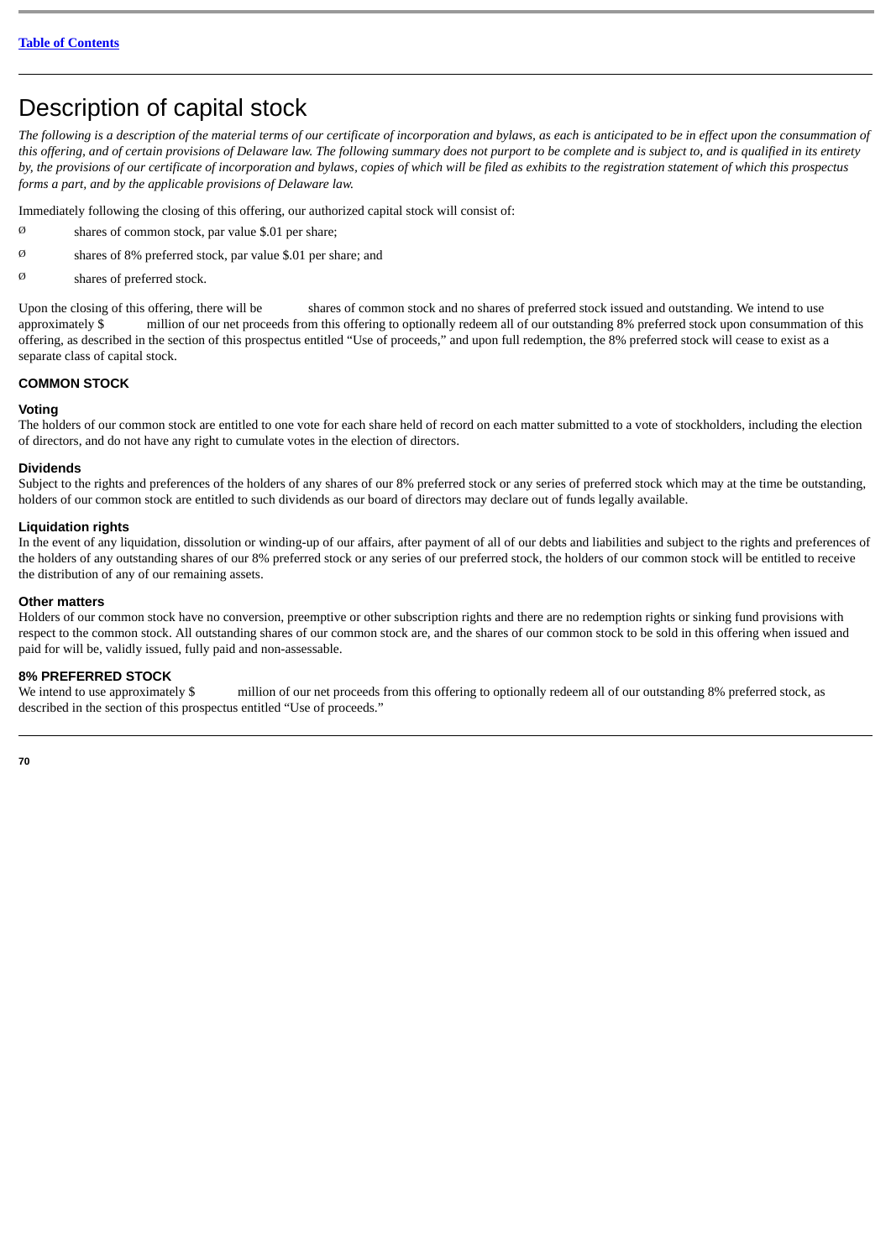*The following is a description of the material terms of our certificate of incorporation and bylaws, as each is anticipated to be in effect upon the consummation of this offering, and of certain provisions of Delaware law. The following summary does not purport to be complete and is subject to, and is qualified in its entirety by, the provisions of our certificate of incorporation and bylaws, copies of which will be filed as exhibits to the registration statement of which this prospectus forms a part, and by the applicable provisions of Delaware law.*

Immediately following the closing of this offering, our authorized capital stock will consist of:

- $\emptyset$  shares of common stock, par value \$.01 per share;
- $\varnothing$  shares of 8% preferred stock, par value \$.01 per share; and
- Ø shares of preferred stock.

Upon the closing of this offering, there will be shares of common stock and no shares of preferred stock issued and outstanding. We intend to use approximately \$ million of our net proceeds from this offering to optionally redeem all of our outstanding 8% preferred stock upon consummation of this offering, as described in the section of this prospectus entitled "Use of proceeds," and upon full redemption, the 8% preferred stock will cease to exist as a separate class of capital stock.

# **COMMON STOCK**

## **Voting**

The holders of our common stock are entitled to one vote for each share held of record on each matter submitted to a vote of stockholders, including the election of directors, and do not have any right to cumulate votes in the election of directors.

## **Dividends**

Subject to the rights and preferences of the holders of any shares of our 8% preferred stock or any series of preferred stock which may at the time be outstanding, holders of our common stock are entitled to such dividends as our board of directors may declare out of funds legally available.

## **Liquidation rights**

In the event of any liquidation, dissolution or winding-up of our affairs, after payment of all of our debts and liabilities and subject to the rights and preferences of the holders of any outstanding shares of our 8% preferred stock or any series of our preferred stock, the holders of our common stock will be entitled to receive the distribution of any of our remaining assets.

## **Other matters**

Holders of our common stock have no conversion, preemptive or other subscription rights and there are no redemption rights or sinking fund provisions with respect to the common stock. All outstanding shares of our common stock are, and the shares of our common stock to be sold in this offering when issued and paid for will be, validly issued, fully paid and non-assessable.

## **8% PREFERRED STOCK**

We intend to use approximately \$ million of our net proceeds from this offering to optionally redeem all of our outstanding 8% preferred stock, as described in the section of this prospectus entitled "Use of proceeds."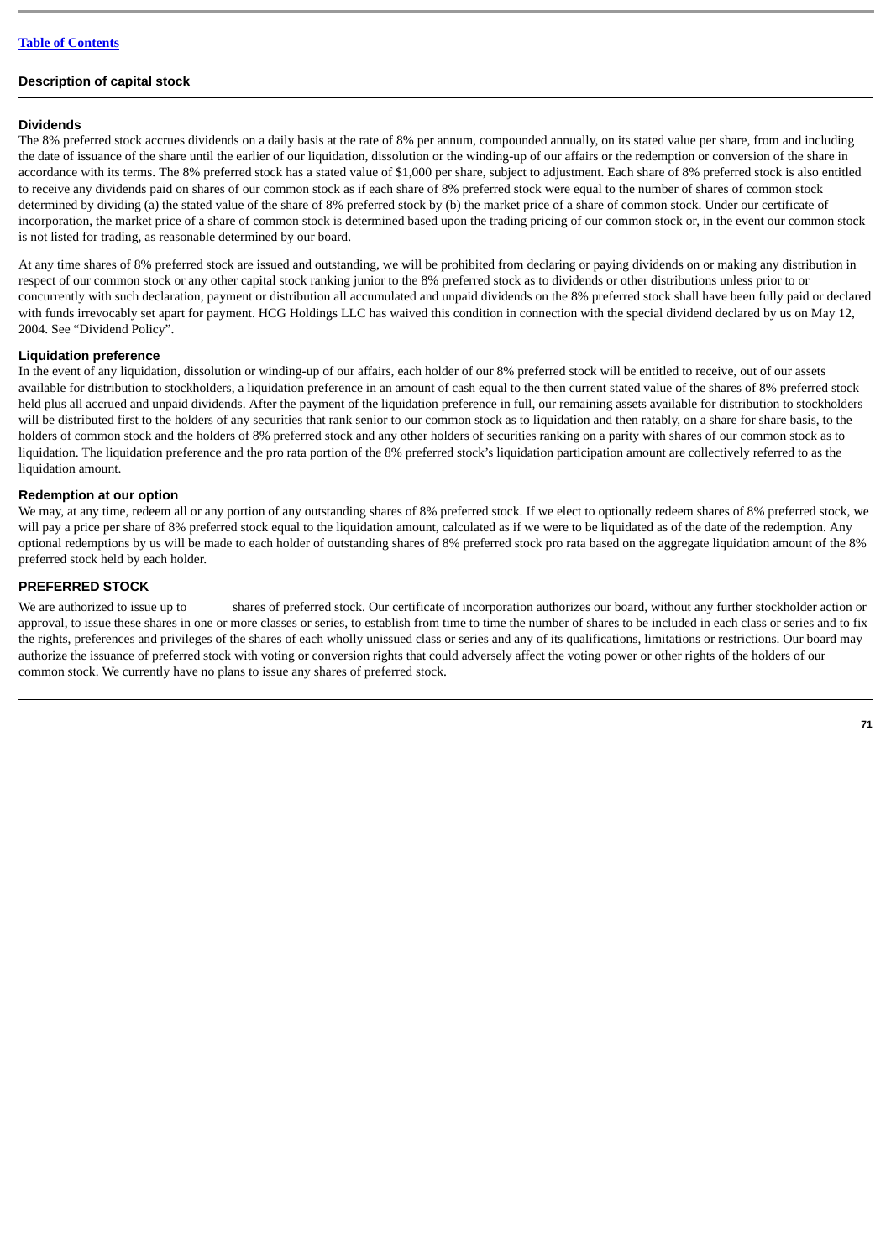#### **Dividends**

The 8% preferred stock accrues dividends on a daily basis at the rate of 8% per annum, compounded annually, on its stated value per share, from and including the date of issuance of the share until the earlier of our liquidation, dissolution or the winding-up of our affairs or the redemption or conversion of the share in accordance with its terms. The 8% preferred stock has a stated value of \$1,000 per share, subject to adjustment. Each share of 8% preferred stock is also entitled to receive any dividends paid on shares of our common stock as if each share of 8% preferred stock were equal to the number of shares of common stock determined by dividing (a) the stated value of the share of 8% preferred stock by (b) the market price of a share of common stock. Under our certificate of incorporation, the market price of a share of common stock is determined based upon the trading pricing of our common stock or, in the event our common stock is not listed for trading, as reasonable determined by our board.

At any time shares of 8% preferred stock are issued and outstanding, we will be prohibited from declaring or paying dividends on or making any distribution in respect of our common stock or any other capital stock ranking junior to the 8% preferred stock as to dividends or other distributions unless prior to or concurrently with such declaration, payment or distribution all accumulated and unpaid dividends on the 8% preferred stock shall have been fully paid or declared with funds irrevocably set apart for payment. HCG Holdings LLC has waived this condition in connection with the special dividend declared by us on May 12, 2004. See "Dividend Policy".

## **Liquidation preference**

In the event of any liquidation, dissolution or winding-up of our affairs, each holder of our 8% preferred stock will be entitled to receive, out of our assets available for distribution to stockholders, a liquidation preference in an amount of cash equal to the then current stated value of the shares of 8% preferred stock held plus all accrued and unpaid dividends. After the payment of the liquidation preference in full, our remaining assets available for distribution to stockholders will be distributed first to the holders of any securities that rank senior to our common stock as to liquidation and then ratably, on a share for share basis, to the holders of common stock and the holders of 8% preferred stock and any other holders of securities ranking on a parity with shares of our common stock as to liquidation. The liquidation preference and the pro rata portion of the 8% preferred stock's liquidation participation amount are collectively referred to as the liquidation amount.

#### **Redemption at our option**

We may, at any time, redeem all or any portion of any outstanding shares of 8% preferred stock. If we elect to optionally redeem shares of 8% preferred stock, we will pay a price per share of 8% preferred stock equal to the liquidation amount, calculated as if we were to be liquidated as of the date of the redemption. Any optional redemptions by us will be made to each holder of outstanding shares of 8% preferred stock pro rata based on the aggregate liquidation amount of the 8% preferred stock held by each holder.

# **PREFERRED STOCK**

We are authorized to issue up to shares of preferred stock. Our certificate of incorporation authorizes our board, without any further stockholder action or approval, to issue these shares in one or more classes or series, to establish from time to time the number of shares to be included in each class or series and to fix the rights, preferences and privileges of the shares of each wholly unissued class or series and any of its qualifications, limitations or restrictions. Our board may authorize the issuance of preferred stock with voting or conversion rights that could adversely affect the voting power or other rights of the holders of our common stock. We currently have no plans to issue any shares of preferred stock.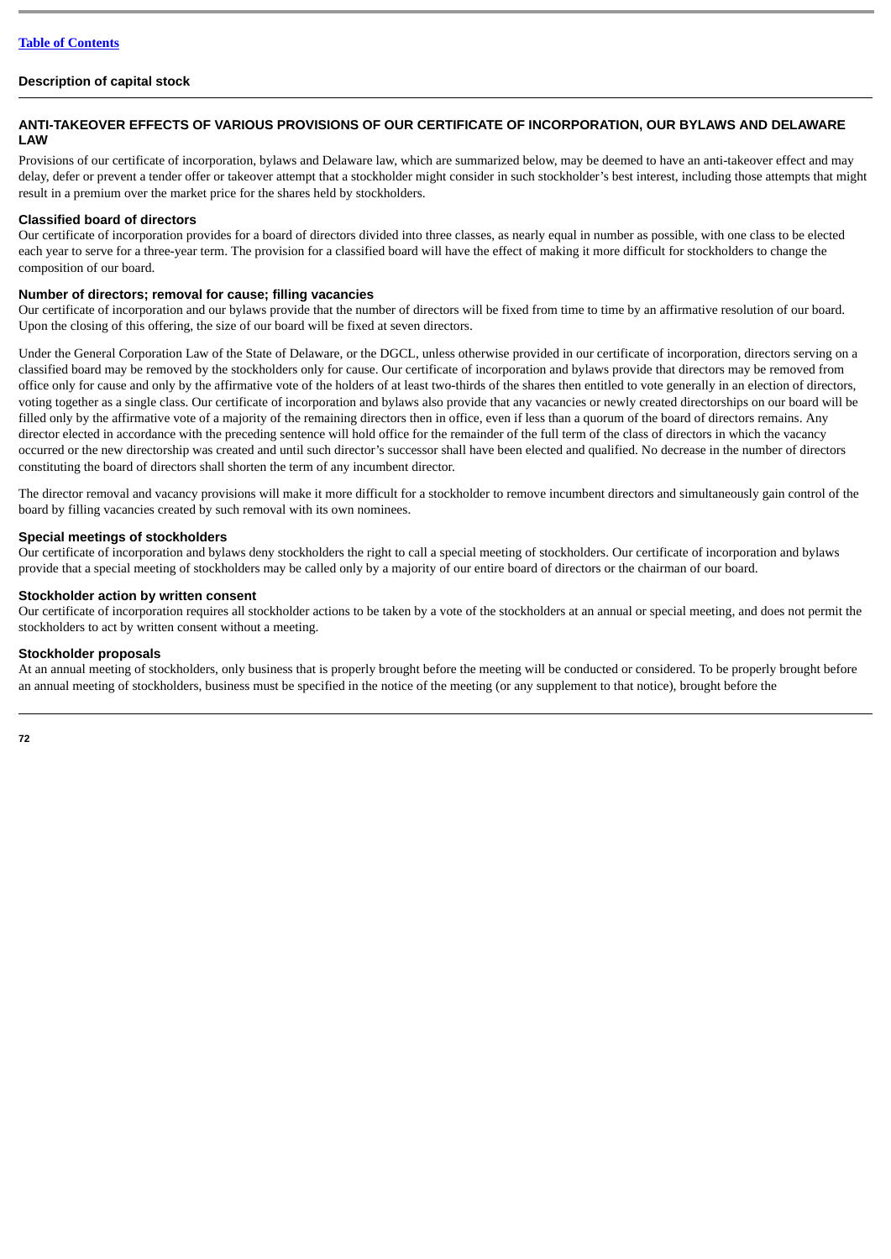## **ANTI-TAKEOVER EFFECTS OF VARIOUS PROVISIONS OF OUR CERTIFICATE OF INCORPORATION, OUR BYLAWS AND DELAWARE LAW**

Provisions of our certificate of incorporation, bylaws and Delaware law, which are summarized below, may be deemed to have an anti-takeover effect and may delay, defer or prevent a tender offer or takeover attempt that a stockholder might consider in such stockholder's best interest, including those attempts that might result in a premium over the market price for the shares held by stockholders.

# **Classified board of directors**

Our certificate of incorporation provides for a board of directors divided into three classes, as nearly equal in number as possible, with one class to be elected each year to serve for a three-year term. The provision for a classified board will have the effect of making it more difficult for stockholders to change the composition of our board.

#### **Number of directors; removal for cause; filling vacancies**

Our certificate of incorporation and our bylaws provide that the number of directors will be fixed from time to time by an affirmative resolution of our board. Upon the closing of this offering, the size of our board will be fixed at seven directors.

Under the General Corporation Law of the State of Delaware, or the DGCL, unless otherwise provided in our certificate of incorporation, directors serving on a classified board may be removed by the stockholders only for cause. Our certificate of incorporation and bylaws provide that directors may be removed from office only for cause and only by the affirmative vote of the holders of at least two-thirds of the shares then entitled to vote generally in an election of directors, voting together as a single class. Our certificate of incorporation and bylaws also provide that any vacancies or newly created directorships on our board will be filled only by the affirmative vote of a majority of the remaining directors then in office, even if less than a quorum of the board of directors remains. Any director elected in accordance with the preceding sentence will hold office for the remainder of the full term of the class of directors in which the vacancy occurred or the new directorship was created and until such director's successor shall have been elected and qualified. No decrease in the number of directors constituting the board of directors shall shorten the term of any incumbent director.

The director removal and vacancy provisions will make it more difficult for a stockholder to remove incumbent directors and simultaneously gain control of the board by filling vacancies created by such removal with its own nominees.

#### **Special meetings of stockholders**

Our certificate of incorporation and bylaws deny stockholders the right to call a special meeting of stockholders. Our certificate of incorporation and bylaws provide that a special meeting of stockholders may be called only by a majority of our entire board of directors or the chairman of our board.

## **Stockholder action by written consent**

Our certificate of incorporation requires all stockholder actions to be taken by a vote of the stockholders at an annual or special meeting, and does not permit the stockholders to act by written consent without a meeting.

#### **Stockholder proposals**

At an annual meeting of stockholders, only business that is properly brought before the meeting will be conducted or considered. To be properly brought before an annual meeting of stockholders, business must be specified in the notice of the meeting (or any supplement to that notice), brought before the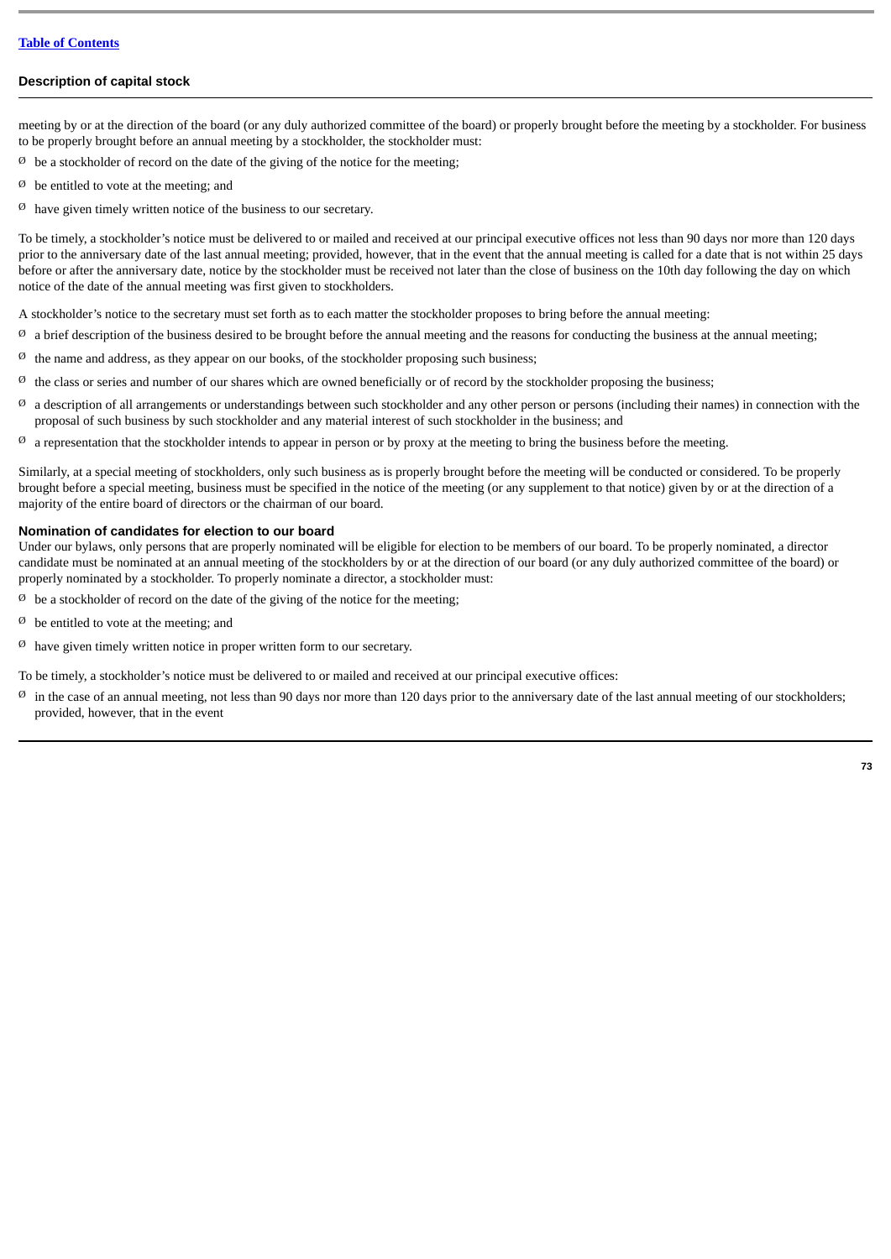meeting by or at the direction of the board (or any duly authorized committee of the board) or properly brought before the meeting by a stockholder. For business to be properly brought before an annual meeting by a stockholder, the stockholder must:

- $\emptyset$  be a stockholder of record on the date of the giving of the notice for the meeting;
- $\emptyset$  be entitled to vote at the meeting; and
- $\emptyset$  have given timely written notice of the business to our secretary.

To be timely, a stockholder's notice must be delivered to or mailed and received at our principal executive offices not less than 90 days nor more than 120 days prior to the anniversary date of the last annual meeting; provided, however, that in the event that the annual meeting is called for a date that is not within 25 days before or after the anniversary date, notice by the stockholder must be received not later than the close of business on the 10th day following the day on which notice of the date of the annual meeting was first given to stockholders.

A stockholder's notice to the secretary must set forth as to each matter the stockholder proposes to bring before the annual meeting:

- $\emptyset$  a brief description of the business desired to be brought before the annual meeting and the reasons for conducting the business at the annual meeting;
- $\emptyset$  the name and address, as they appear on our books, of the stockholder proposing such business;
- $\emptyset$  the class or series and number of our shares which are owned beneficially or of record by the stockholder proposing the business;
- $\emptyset$  a description of all arrangements or understandings between such stockholder and any other person or persons (including their names) in connection with the proposal of such business by such stockholder and any material interest of such stockholder in the business; and
- $\emptyset$  a representation that the stockholder intends to appear in person or by proxy at the meeting to bring the business before the meeting.

Similarly, at a special meeting of stockholders, only such business as is properly brought before the meeting will be conducted or considered. To be properly brought before a special meeting, business must be specified in the notice of the meeting (or any supplement to that notice) given by or at the direction of a majority of the entire board of directors or the chairman of our board.

## **Nomination of candidates for election to our board**

Under our bylaws, only persons that are properly nominated will be eligible for election to be members of our board. To be properly nominated, a director candidate must be nominated at an annual meeting of the stockholders by or at the direction of our board (or any duly authorized committee of the board) or properly nominated by a stockholder. To properly nominate a director, a stockholder must:

- $\emptyset$  be a stockholder of record on the date of the giving of the notice for the meeting;
- $\emptyset$  be entitled to vote at the meeting; and
- $\emptyset$  have given timely written notice in proper written form to our secretary.

To be timely, a stockholder's notice must be delivered to or mailed and received at our principal executive offices:

 $\emptyset$  in the case of an annual meeting, not less than 90 days nor more than 120 days prior to the anniversary date of the last annual meeting of our stockholders; provided, however, that in the event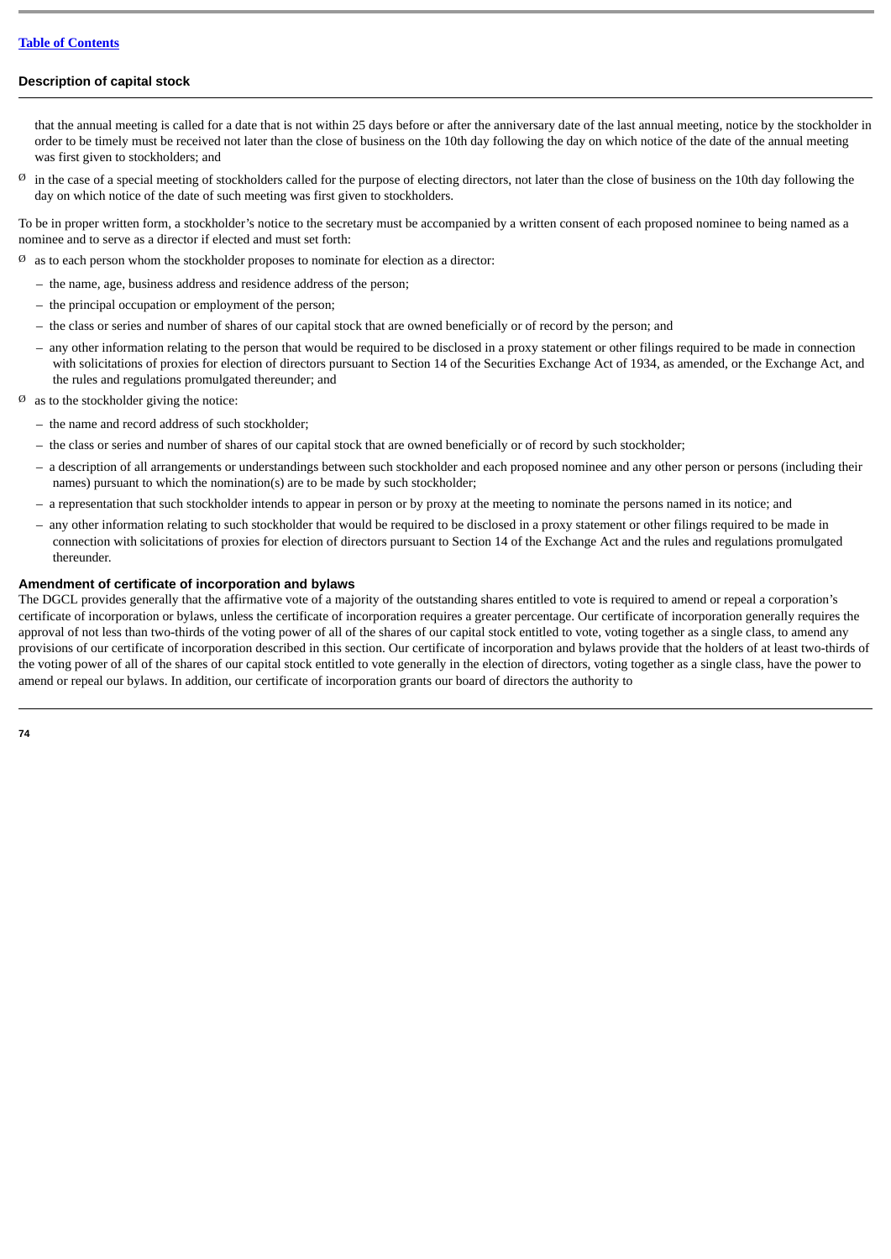#### **Table of [Contents](#page-2-0)**

## **Description of capital stock**

that the annual meeting is called for a date that is not within 25 days before or after the anniversary date of the last annual meeting, notice by the stockholder in order to be timely must be received not later than the close of business on the 10th day following the day on which notice of the date of the annual meeting was first given to stockholders; and

 $\emptyset$  in the case of a special meeting of stockholders called for the purpose of electing directors, not later than the close of business on the 10th day following the day on which notice of the date of such meeting was first given to stockholders.

To be in proper written form, a stockholder's notice to the secretary must be accompanied by a written consent of each proposed nominee to being named as a nominee and to serve as a director if elected and must set forth:

- $\emptyset$  as to each person whom the stockholder proposes to nominate for election as a director:
	- the name, age, business address and residence address of the person;
	- the principal occupation or employment of the person;
	- the class or series and number of shares of our capital stock that are owned beneficially or of record by the person; and
	- any other information relating to the person that would be required to be disclosed in a proxy statement or other filings required to be made in connection with solicitations of proxies for election of directors pursuant to Section 14 of the Securities Exchange Act of 1934, as amended, or the Exchange Act, and the rules and regulations promulgated thereunder; and
- $\emptyset$  as to the stockholder giving the notice:
	- the name and record address of such stockholder;
	- the class or series and number of shares of our capital stock that are owned beneficially or of record by such stockholder;
	- a description of all arrangements or understandings between such stockholder and each proposed nominee and any other person or persons (including their names) pursuant to which the nomination(s) are to be made by such stockholder;
	- a representation that such stockholder intends to appear in person or by proxy at the meeting to nominate the persons named in its notice; and
	- any other information relating to such stockholder that would be required to be disclosed in a proxy statement or other filings required to be made in connection with solicitations of proxies for election of directors pursuant to Section 14 of the Exchange Act and the rules and regulations promulgated thereunder.

## **Amendment of certificate of incorporation and bylaws**

The DGCL provides generally that the affirmative vote of a majority of the outstanding shares entitled to vote is required to amend or repeal a corporation's certificate of incorporation or bylaws, unless the certificate of incorporation requires a greater percentage. Our certificate of incorporation generally requires the approval of not less than two-thirds of the voting power of all of the shares of our capital stock entitled to vote, voting together as a single class, to amend any provisions of our certificate of incorporation described in this section. Our certificate of incorporation and bylaws provide that the holders of at least two-thirds of the voting power of all of the shares of our capital stock entitled to vote generally in the election of directors, voting together as a single class, have the power to amend or repeal our bylaws. In addition, our certificate of incorporation grants our board of directors the authority to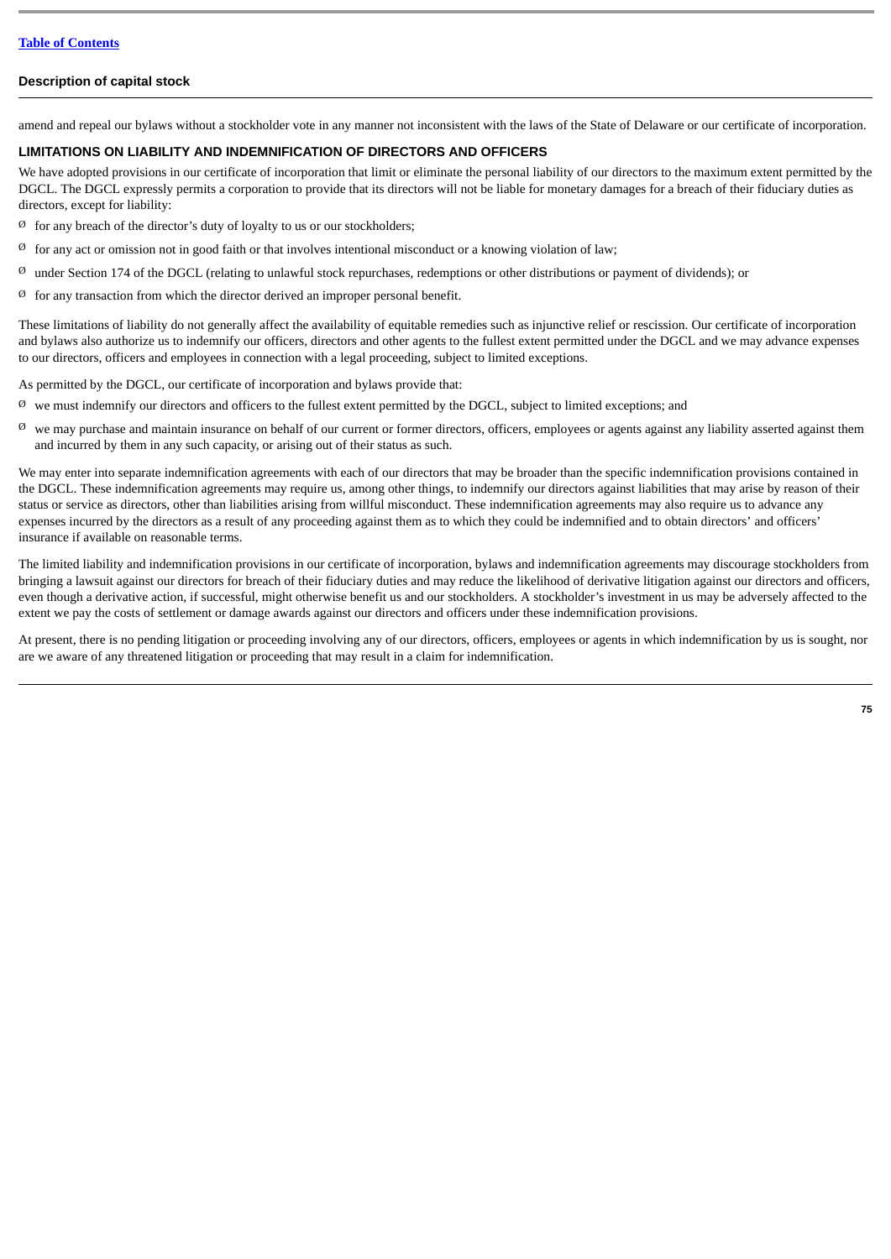amend and repeal our bylaws without a stockholder vote in any manner not inconsistent with the laws of the State of Delaware or our certificate of incorporation.

#### **LIMITATIONS ON LIABILITY AND INDEMNIFICATION OF DIRECTORS AND OFFICERS**

We have adopted provisions in our certificate of incorporation that limit or eliminate the personal liability of our directors to the maximum extent permitted by the DGCL. The DGCL expressly permits a corporation to provide that its directors will not be liable for monetary damages for a breach of their fiduciary duties as directors, except for liability:

- $\emptyset$  for any breach of the director's duty of loyalty to us or our stockholders;
- $\varnothing$  for any act or omission not in good faith or that involves intentional misconduct or a knowing violation of law;
- $\emptyset$  under Section 174 of the DGCL (relating to unlawful stock repurchases, redemptions or other distributions or payment of dividends); or
- $\emptyset$  for any transaction from which the director derived an improper personal benefit.

These limitations of liability do not generally affect the availability of equitable remedies such as injunctive relief or rescission. Our certificate of incorporation and bylaws also authorize us to indemnify our officers, directors and other agents to the fullest extent permitted under the DGCL and we may advance expenses to our directors, officers and employees in connection with a legal proceeding, subject to limited exceptions.

As permitted by the DGCL, our certificate of incorporation and bylaws provide that:

- $\emptyset$  we must indemnify our directors and officers to the fullest extent permitted by the DGCL, subject to limited exceptions; and
- $\emptyset$  we may purchase and maintain insurance on behalf of our current or former directors, officers, employees or agents against any liability asserted against them and incurred by them in any such capacity, or arising out of their status as such.

We may enter into separate indemnification agreements with each of our directors that may be broader than the specific indemnification provisions contained in the DGCL. These indemnification agreements may require us, among other things, to indemnify our directors against liabilities that may arise by reason of their status or service as directors, other than liabilities arising from willful misconduct. These indemnification agreements may also require us to advance any expenses incurred by the directors as a result of any proceeding against them as to which they could be indemnified and to obtain directors' and officers' insurance if available on reasonable terms.

The limited liability and indemnification provisions in our certificate of incorporation, bylaws and indemnification agreements may discourage stockholders from bringing a lawsuit against our directors for breach of their fiduciary duties and may reduce the likelihood of derivative litigation against our directors and officers, even though a derivative action, if successful, might otherwise benefit us and our stockholders. A stockholder's investment in us may be adversely affected to the extent we pay the costs of settlement or damage awards against our directors and officers under these indemnification provisions.

At present, there is no pending litigation or proceeding involving any of our directors, officers, employees or agents in which indemnification by us is sought, nor are we aware of any threatened litigation or proceeding that may result in a claim for indemnification.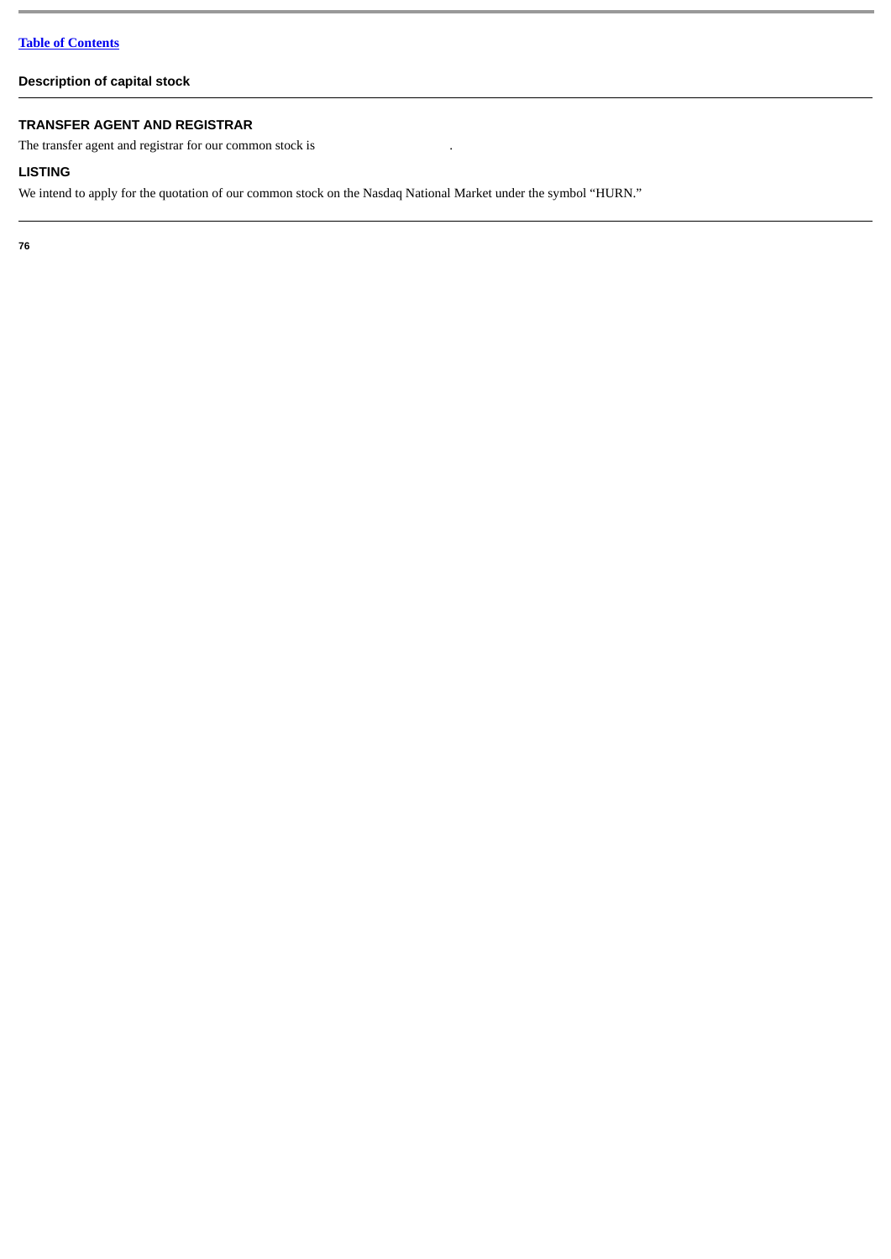# **TRANSFER AGENT AND REGISTRAR**

The transfer agent and registrar for our common stock is

# **LISTING**

We intend to apply for the quotation of our common stock on the Nasdaq National Market under the symbol "HURN."

**76**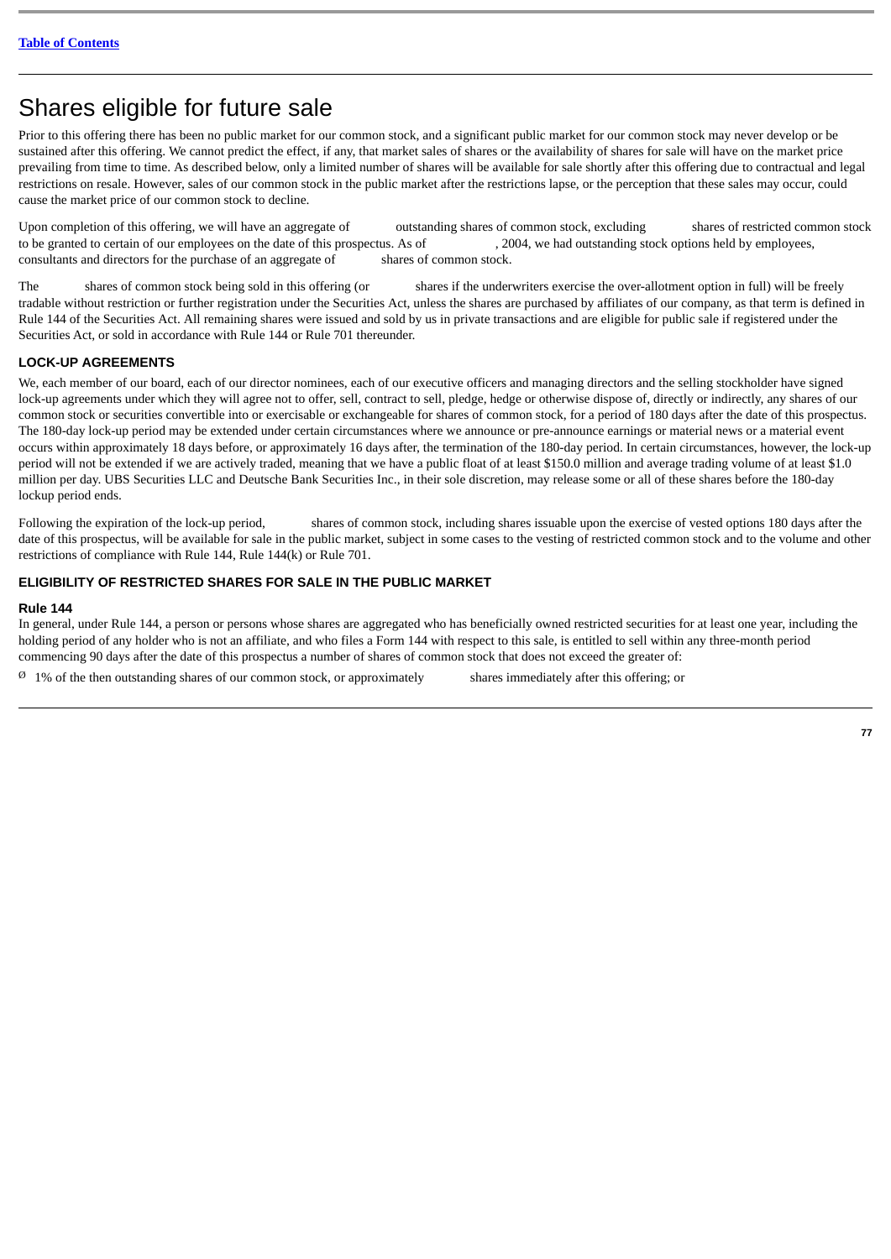# Shares eligible for future sale

Prior to this offering there has been no public market for our common stock, and a significant public market for our common stock may never develop or be sustained after this offering. We cannot predict the effect, if any, that market sales of shares or the availability of shares for sale will have on the market price prevailing from time to time. As described below, only a limited number of shares will be available for sale shortly after this offering due to contractual and legal restrictions on resale. However, sales of our common stock in the public market after the restrictions lapse, or the perception that these sales may occur, could cause the market price of our common stock to decline.

Upon completion of this offering, we will have an aggregate of outstanding shares of common stock, excluding shares of restricted common stock to be granted to certain of our employees on the date of this prospectus. As of , 2004, we had outstanding stock options held by employees, consultants and directors for the purchase of an aggregate of shares of common stock.

The shares of common stock being sold in this offering (or shares if the underwriters exercise the over-allotment option in full) will be freely tradable without restriction or further registration under the Securities Act, unless the shares are purchased by affiliates of our company, as that term is defined in Rule 144 of the Securities Act. All remaining shares were issued and sold by us in private transactions and are eligible for public sale if registered under the Securities Act, or sold in accordance with Rule 144 or Rule 701 thereunder.

## **LOCK-UP AGREEMENTS**

We, each member of our board, each of our director nominees, each of our executive officers and managing directors and the selling stockholder have signed lock-up agreements under which they will agree not to offer, sell, contract to sell, pledge, hedge or otherwise dispose of, directly or indirectly, any shares of our common stock or securities convertible into or exercisable or exchangeable for shares of common stock, for a period of 180 days after the date of this prospectus. The 180-day lock-up period may be extended under certain circumstances where we announce or pre-announce earnings or material news or a material event occurs within approximately 18 days before, or approximately 16 days after, the termination of the 180-day period. In certain circumstances, however, the lock-up period will not be extended if we are actively traded, meaning that we have a public float of at least \$150.0 million and average trading volume of at least \$1.0 million per day. UBS Securities LLC and Deutsche Bank Securities Inc., in their sole discretion, may release some or all of these shares before the 180-day lockup period ends.

Following the expiration of the lock-up period, shares of common stock, including shares issuable upon the exercise of vested options 180 days after the date of this prospectus, will be available for sale in the public market, subject in some cases to the vesting of restricted common stock and to the volume and other restrictions of compliance with Rule 144, Rule 144(k) or Rule 701.

## **ELIGIBILITY OF RESTRICTED SHARES FOR SALE IN THE PUBLIC MARKET**

#### **Rule 144**

In general, under Rule 144, a person or persons whose shares are aggregated who has beneficially owned restricted securities for at least one year, including the holding period of any holder who is not an affiliate, and who files a Form 144 with respect to this sale, is entitled to sell within any three-month period commencing 90 days after the date of this prospectus a number of shares of common stock that does not exceed the greater of:

 $\emptyset$  1% of the then outstanding shares of our common stock, or approximately shares immediately after this offering; or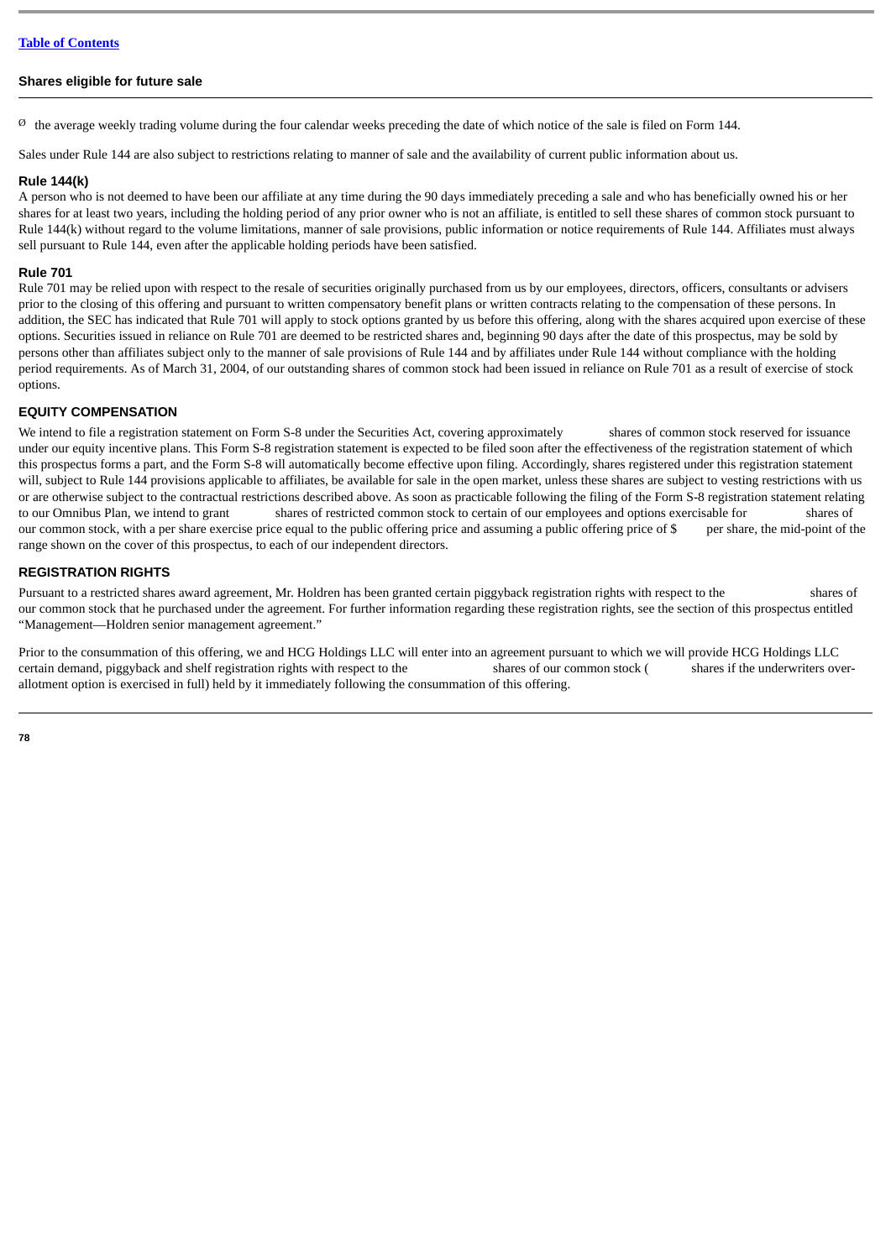## **Shares eligible for future sale**

 $\varnothing$  the average weekly trading volume during the four calendar weeks preceding the date of which notice of the sale is filed on Form 144.

Sales under Rule 144 are also subject to restrictions relating to manner of sale and the availability of current public information about us.

## **Rule 144(k)**

A person who is not deemed to have been our affiliate at any time during the 90 days immediately preceding a sale and who has beneficially owned his or her shares for at least two years, including the holding period of any prior owner who is not an affiliate, is entitled to sell these shares of common stock pursuant to Rule 144(k) without regard to the volume limitations, manner of sale provisions, public information or notice requirements of Rule 144. Affiliates must always sell pursuant to Rule 144, even after the applicable holding periods have been satisfied.

## **Rule 701**

Rule 701 may be relied upon with respect to the resale of securities originally purchased from us by our employees, directors, officers, consultants or advisers prior to the closing of this offering and pursuant to written compensatory benefit plans or written contracts relating to the compensation of these persons. In addition, the SEC has indicated that Rule 701 will apply to stock options granted by us before this offering, along with the shares acquired upon exercise of these options. Securities issued in reliance on Rule 701 are deemed to be restricted shares and, beginning 90 days after the date of this prospectus, may be sold by persons other than affiliates subject only to the manner of sale provisions of Rule 144 and by affiliates under Rule 144 without compliance with the holding period requirements. As of March 31, 2004, of our outstanding shares of common stock had been issued in reliance on Rule 701 as a result of exercise of stock options.

## **EQUITY COMPENSATION**

We intend to file a registration statement on Form S-8 under the Securities Act, covering approximately shares of common stock reserved for issuance under our equity incentive plans. This Form S-8 registration statement is expected to be filed soon after the effectiveness of the registration statement of which this prospectus forms a part, and the Form S-8 will automatically become effective upon filing. Accordingly, shares registered under this registration statement will, subject to Rule 144 provisions applicable to affiliates, be available for sale in the open market, unless these shares are subject to vesting restrictions with us or are otherwise subject to the contractual restrictions described above. As soon as practicable following the filing of the Form S-8 registration statement relating to our Omnibus Plan, we intend to grant shares of restricted common stock to certain of our employees and options exercisable for shares of our common stock, with a per share exercise price equal to the public offering price and assuming a public offering price of \$ per share, the mid-point of the range shown on the cover of this prospectus, to each of our independent directors.

## **REGISTRATION RIGHTS**

Pursuant to a restricted shares award agreement, Mr. Holdren has been granted certain piggyback registration rights with respect to the shares of our common stock that he purchased under the agreement. For further information regarding these registration rights, see the section of this prospectus entitled "Management—Holdren senior management agreement."

Prior to the consummation of this offering, we and HCG Holdings LLC will enter into an agreement pursuant to which we will provide HCG Holdings LLC certain demand, piggyback and shelf registration rights with respect to the shares of our common stock (shares if the underwriters overallotment option is exercised in full) held by it immediately following the consummation of this offering.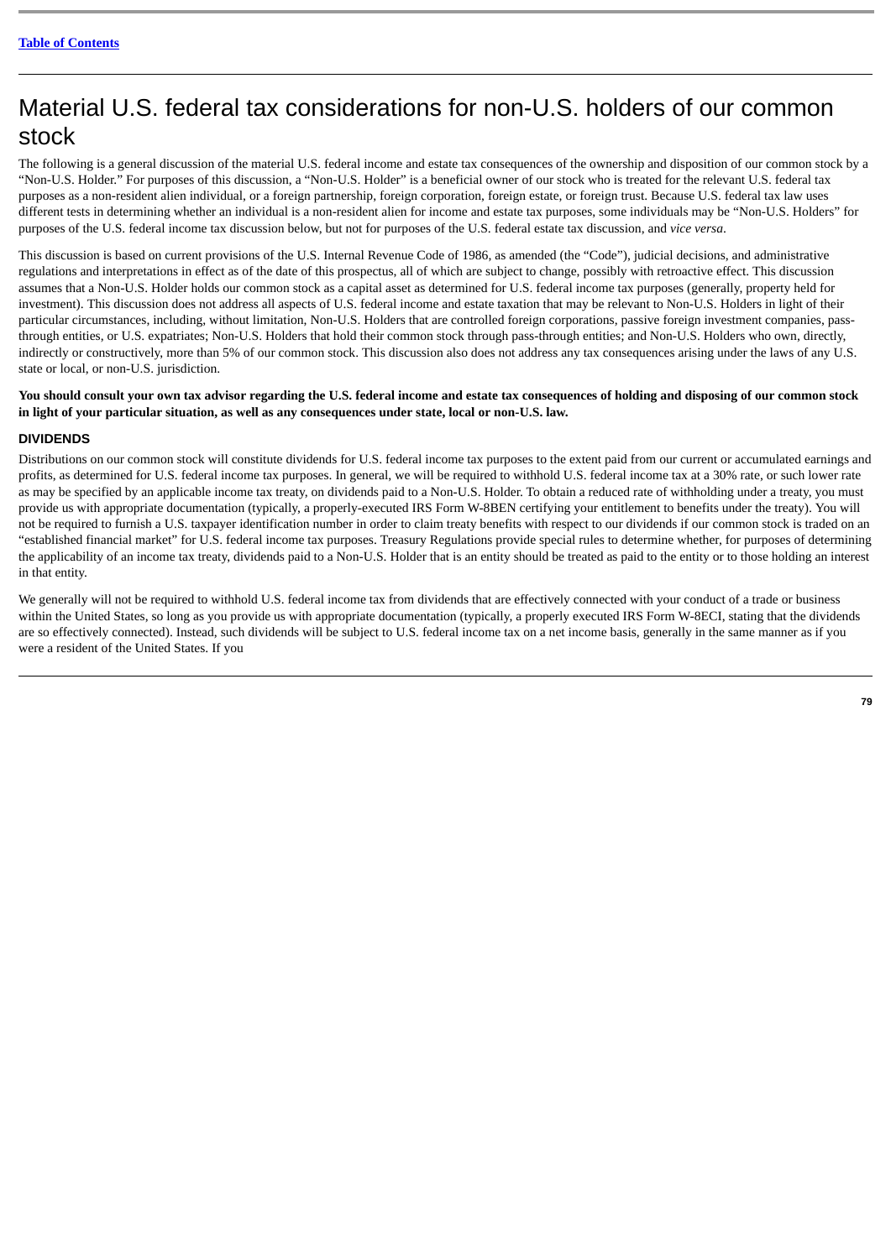# Material U.S. federal tax considerations for non-U.S. holders of our common stock

The following is a general discussion of the material U.S. federal income and estate tax consequences of the ownership and disposition of our common stock by a "Non-U.S. Holder." For purposes of this discussion, a "Non-U.S. Holder" is a beneficial owner of our stock who is treated for the relevant U.S. federal tax purposes as a non-resident alien individual, or a foreign partnership, foreign corporation, foreign estate, or foreign trust. Because U.S. federal tax law uses different tests in determining whether an individual is a non-resident alien for income and estate tax purposes, some individuals may be "Non-U.S. Holders" for purposes of the U.S. federal income tax discussion below, but not for purposes of the U.S. federal estate tax discussion, and *vice versa*.

This discussion is based on current provisions of the U.S. Internal Revenue Code of 1986, as amended (the "Code"), judicial decisions, and administrative regulations and interpretations in effect as of the date of this prospectus, all of which are subject to change, possibly with retroactive effect. This discussion assumes that a Non-U.S. Holder holds our common stock as a capital asset as determined for U.S. federal income tax purposes (generally, property held for investment). This discussion does not address all aspects of U.S. federal income and estate taxation that may be relevant to Non-U.S. Holders in light of their particular circumstances, including, without limitation, Non-U.S. Holders that are controlled foreign corporations, passive foreign investment companies, passthrough entities, or U.S. expatriates; Non-U.S. Holders that hold their common stock through pass-through entities; and Non-U.S. Holders who own, directly, indirectly or constructively, more than 5% of our common stock. This discussion also does not address any tax consequences arising under the laws of any U.S. state or local, or non-U.S. jurisdiction.

**You should consult your own tax advisor regarding the U.S. federal income and estate tax consequences of holding and disposing of our common stock in light of your particular situation, as well as any consequences under state, local or non-U.S. law.**

# **DIVIDENDS**

Distributions on our common stock will constitute dividends for U.S. federal income tax purposes to the extent paid from our current or accumulated earnings and profits, as determined for U.S. federal income tax purposes. In general, we will be required to withhold U.S. federal income tax at a 30% rate, or such lower rate as may be specified by an applicable income tax treaty, on dividends paid to a Non-U.S. Holder. To obtain a reduced rate of withholding under a treaty, you must provide us with appropriate documentation (typically, a properly-executed IRS Form W-8BEN certifying your entitlement to benefits under the treaty). You will not be required to furnish a U.S. taxpayer identification number in order to claim treaty benefits with respect to our dividends if our common stock is traded on an "established financial market" for U.S. federal income tax purposes. Treasury Regulations provide special rules to determine whether, for purposes of determining the applicability of an income tax treaty, dividends paid to a Non-U.S. Holder that is an entity should be treated as paid to the entity or to those holding an interest in that entity.

We generally will not be required to withhold U.S. federal income tax from dividends that are effectively connected with your conduct of a trade or business within the United States, so long as you provide us with appropriate documentation (typically, a properly executed IRS Form W-8ECI, stating that the dividends are so effectively connected). Instead, such dividends will be subject to U.S. federal income tax on a net income basis, generally in the same manner as if you were a resident of the United States. If you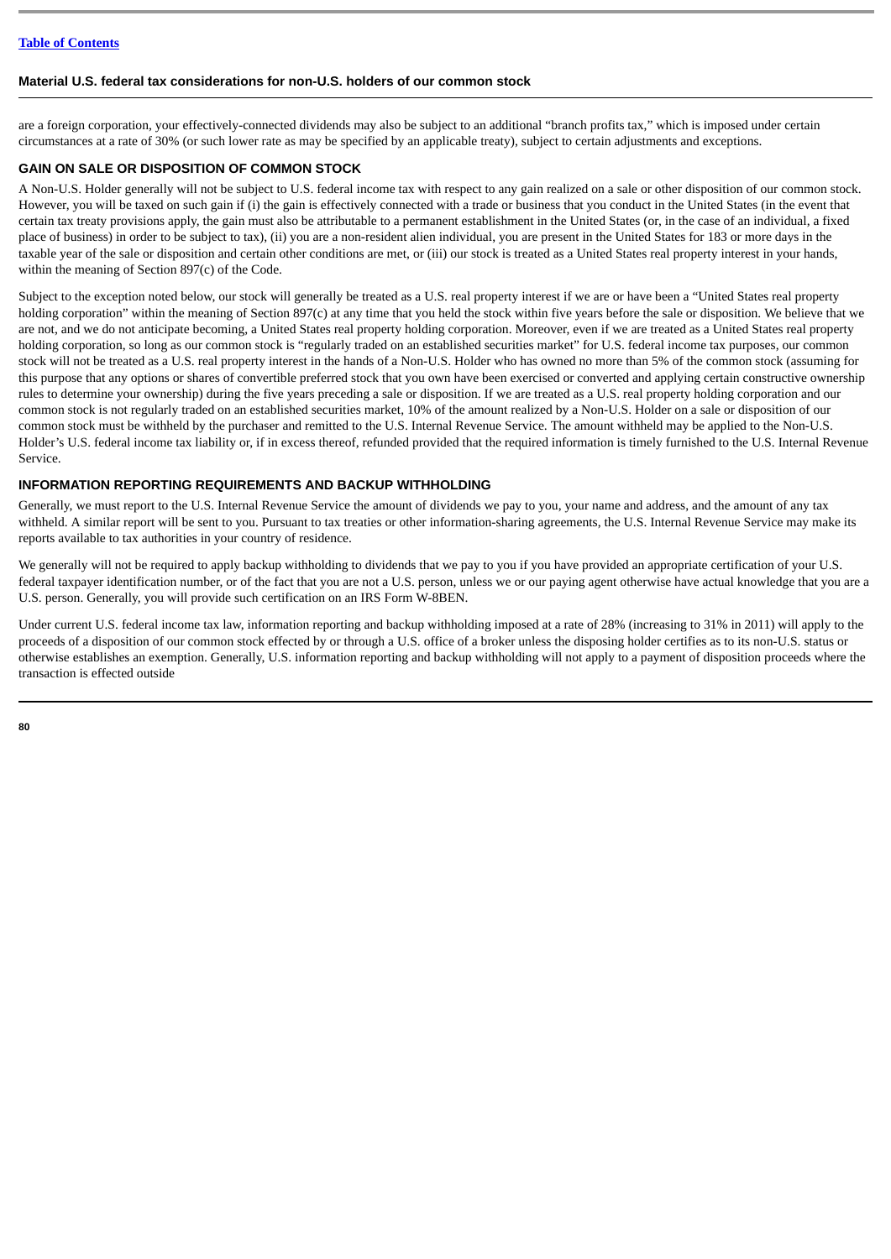#### **Table of [Contents](#page-2-0)**

## **Material U.S. federal tax considerations for non-U.S. holders of our common stock**

are a foreign corporation, your effectively-connected dividends may also be subject to an additional "branch profits tax," which is imposed under certain circumstances at a rate of 30% (or such lower rate as may be specified by an applicable treaty), subject to certain adjustments and exceptions.

## **GAIN ON SALE OR DISPOSITION OF COMMON STOCK**

A Non-U.S. Holder generally will not be subject to U.S. federal income tax with respect to any gain realized on a sale or other disposition of our common stock. However, you will be taxed on such gain if (i) the gain is effectively connected with a trade or business that you conduct in the United States (in the event that certain tax treaty provisions apply, the gain must also be attributable to a permanent establishment in the United States (or, in the case of an individual, a fixed place of business) in order to be subject to tax), (ii) you are a non-resident alien individual, you are present in the United States for 183 or more days in the taxable year of the sale or disposition and certain other conditions are met, or (iii) our stock is treated as a United States real property interest in your hands, within the meaning of Section 897(c) of the Code.

Subject to the exception noted below, our stock will generally be treated as a U.S. real property interest if we are or have been a "United States real property holding corporation" within the meaning of Section 897(c) at any time that you held the stock within five years before the sale or disposition. We believe that we are not, and we do not anticipate becoming, a United States real property holding corporation. Moreover, even if we are treated as a United States real property holding corporation, so long as our common stock is "regularly traded on an established securities market" for U.S. federal income tax purposes, our common stock will not be treated as a U.S. real property interest in the hands of a Non-U.S. Holder who has owned no more than 5% of the common stock (assuming for this purpose that any options or shares of convertible preferred stock that you own have been exercised or converted and applying certain constructive ownership rules to determine your ownership) during the five years preceding a sale or disposition. If we are treated as a U.S. real property holding corporation and our common stock is not regularly traded on an established securities market, 10% of the amount realized by a Non-U.S. Holder on a sale or disposition of our common stock must be withheld by the purchaser and remitted to the U.S. Internal Revenue Service. The amount withheld may be applied to the Non-U.S. Holder's U.S. federal income tax liability or, if in excess thereof, refunded provided that the required information is timely furnished to the U.S. Internal Revenue Service.

## **INFORMATION REPORTING REQUIREMENTS AND BACKUP WITHHOLDING**

Generally, we must report to the U.S. Internal Revenue Service the amount of dividends we pay to you, your name and address, and the amount of any tax withheld. A similar report will be sent to you. Pursuant to tax treaties or other information-sharing agreements, the U.S. Internal Revenue Service may make its reports available to tax authorities in your country of residence.

We generally will not be required to apply backup withholding to dividends that we pay to you if you have provided an appropriate certification of your U.S. federal taxpayer identification number, or of the fact that you are not a U.S. person, unless we or our paying agent otherwise have actual knowledge that you are a U.S. person. Generally, you will provide such certification on an IRS Form W-8BEN.

Under current U.S. federal income tax law, information reporting and backup withholding imposed at a rate of 28% (increasing to 31% in 2011) will apply to the proceeds of a disposition of our common stock effected by or through a U.S. office of a broker unless the disposing holder certifies as to its non-U.S. status or otherwise establishes an exemption. Generally, U.S. information reporting and backup withholding will not apply to a payment of disposition proceeds where the transaction is effected outside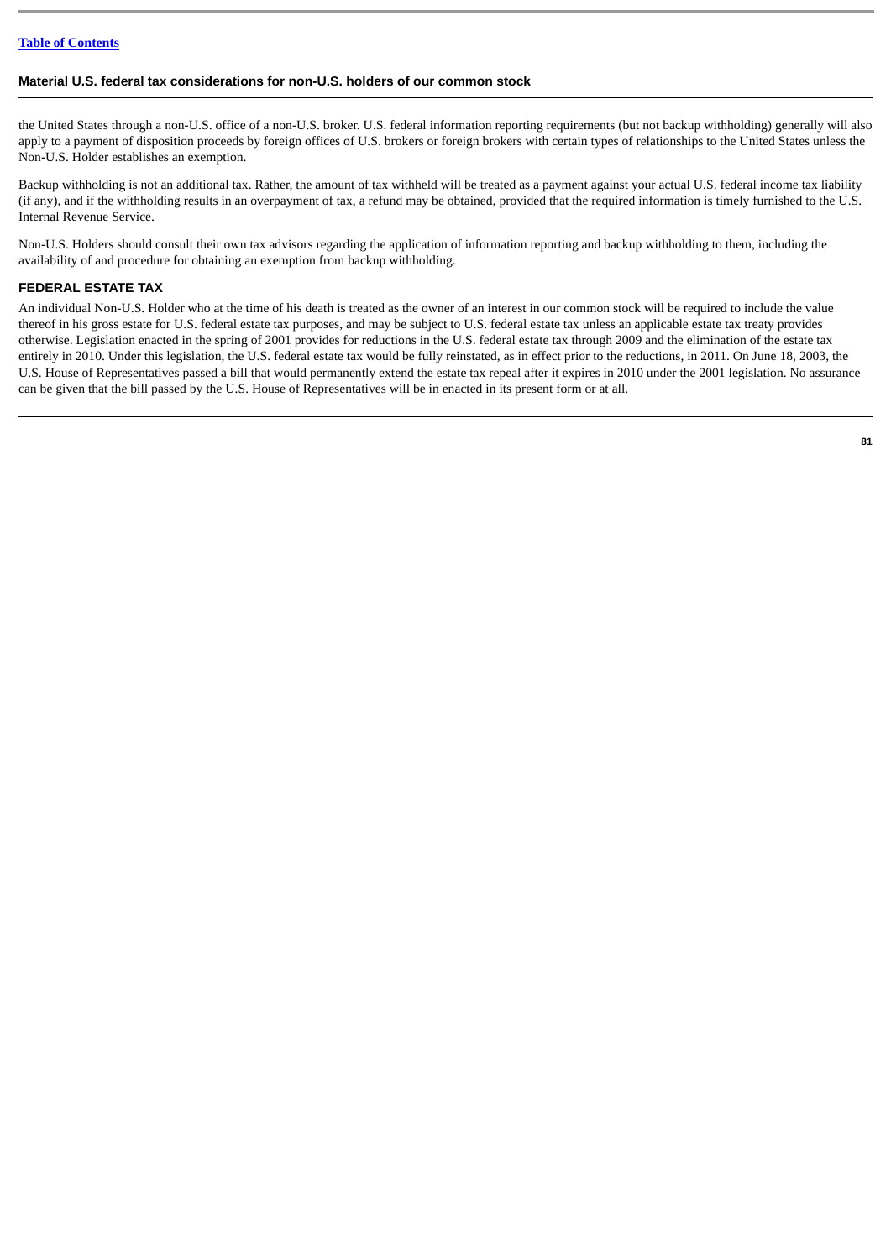# **Material U.S. federal tax considerations for non-U.S. holders of our common stock**

the United States through a non-U.S. office of a non-U.S. broker. U.S. federal information reporting requirements (but not backup withholding) generally will also apply to a payment of disposition proceeds by foreign offices of U.S. brokers or foreign brokers with certain types of relationships to the United States unless the Non-U.S. Holder establishes an exemption.

Backup withholding is not an additional tax. Rather, the amount of tax withheld will be treated as a payment against your actual U.S. federal income tax liability (if any), and if the withholding results in an overpayment of tax, a refund may be obtained, provided that the required information is timely furnished to the U.S. Internal Revenue Service.

Non-U.S. Holders should consult their own tax advisors regarding the application of information reporting and backup withholding to them, including the availability of and procedure for obtaining an exemption from backup withholding.

## **FEDERAL ESTATE TAX**

An individual Non-U.S. Holder who at the time of his death is treated as the owner of an interest in our common stock will be required to include the value thereof in his gross estate for U.S. federal estate tax purposes, and may be subject to U.S. federal estate tax unless an applicable estate tax treaty provides otherwise. Legislation enacted in the spring of 2001 provides for reductions in the U.S. federal estate tax through 2009 and the elimination of the estate tax entirely in 2010. Under this legislation, the U.S. federal estate tax would be fully reinstated, as in effect prior to the reductions, in 2011. On June 18, 2003, the U.S. House of Representatives passed a bill that would permanently extend the estate tax repeal after it expires in 2010 under the 2001 legislation. No assurance can be given that the bill passed by the U.S. House of Representatives will be in enacted in its present form or at all.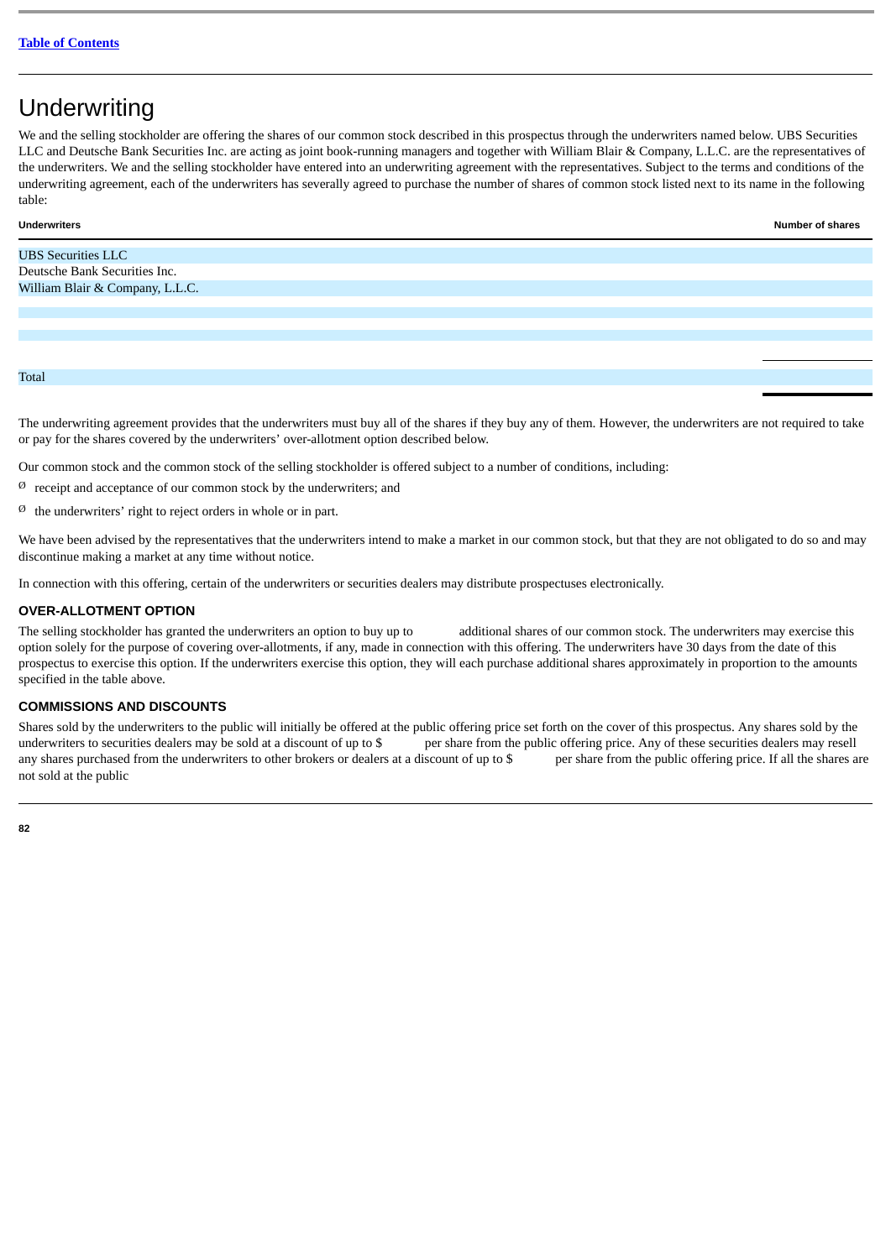We and the selling stockholder are offering the shares of our common stock described in this prospectus through the underwriters named below. UBS Securities LLC and Deutsche Bank Securities Inc. are acting as joint book-running managers and together with William Blair & Company, L.L.C. are the representatives of the underwriters. We and the selling stockholder have entered into an underwriting agreement with the representatives. Subject to the terms and conditions of the underwriting agreement, each of the underwriters has severally agreed to purchase the number of shares of common stock listed next to its name in the following table:

| Underwriters                    | <b>Number of shares</b> |
|---------------------------------|-------------------------|
|                                 |                         |
| UBS Securities LLC              |                         |
| Deutsche Bank Securities Inc.   |                         |
| William Blair & Company, L.L.C. |                         |
|                                 |                         |

# Total and the contract of the contract of the contract of the contract of the contract of the contract of the contract of the contract of the contract of the contract of the contract of the contract of the contract of the

The underwriting agreement provides that the underwriters must buy all of the shares if they buy any of them. However, the underwriters are not required to take or pay for the shares covered by the underwriters' over-allotment option described below.

Our common stock and the common stock of the selling stockholder is offered subject to a number of conditions, including:

- $\emptyset$  receipt and acceptance of our common stock by the underwriters; and
- $\emptyset$  the underwriters' right to reject orders in whole or in part.

We have been advised by the representatives that the underwriters intend to make a market in our common stock, but that they are not obligated to do so and may discontinue making a market at any time without notice.

In connection with this offering, certain of the underwriters or securities dealers may distribute prospectuses electronically.

## **OVER-ALLOTMENT OPTION**

The selling stockholder has granted the underwriters an option to buy up to additional shares of our common stock. The underwriters may exercise this option solely for the purpose of covering over-allotments, if any, made in connection with this offering. The underwriters have 30 days from the date of this prospectus to exercise this option. If the underwriters exercise this option, they will each purchase additional shares approximately in proportion to the amounts specified in the table above.

## **COMMISSIONS AND DISCOUNTS**

Shares sold by the underwriters to the public will initially be offered at the public offering price set forth on the cover of this prospectus. Any shares sold by the underwriters to securities dealers may be sold at a discount of up to \$ per share from the public offering price. Any of these securities dealers may resell any shares purchased from the underwriters to other brokers or dealers at a discount of up to \$ per share from the public offering price. If all the shares are not sold at the public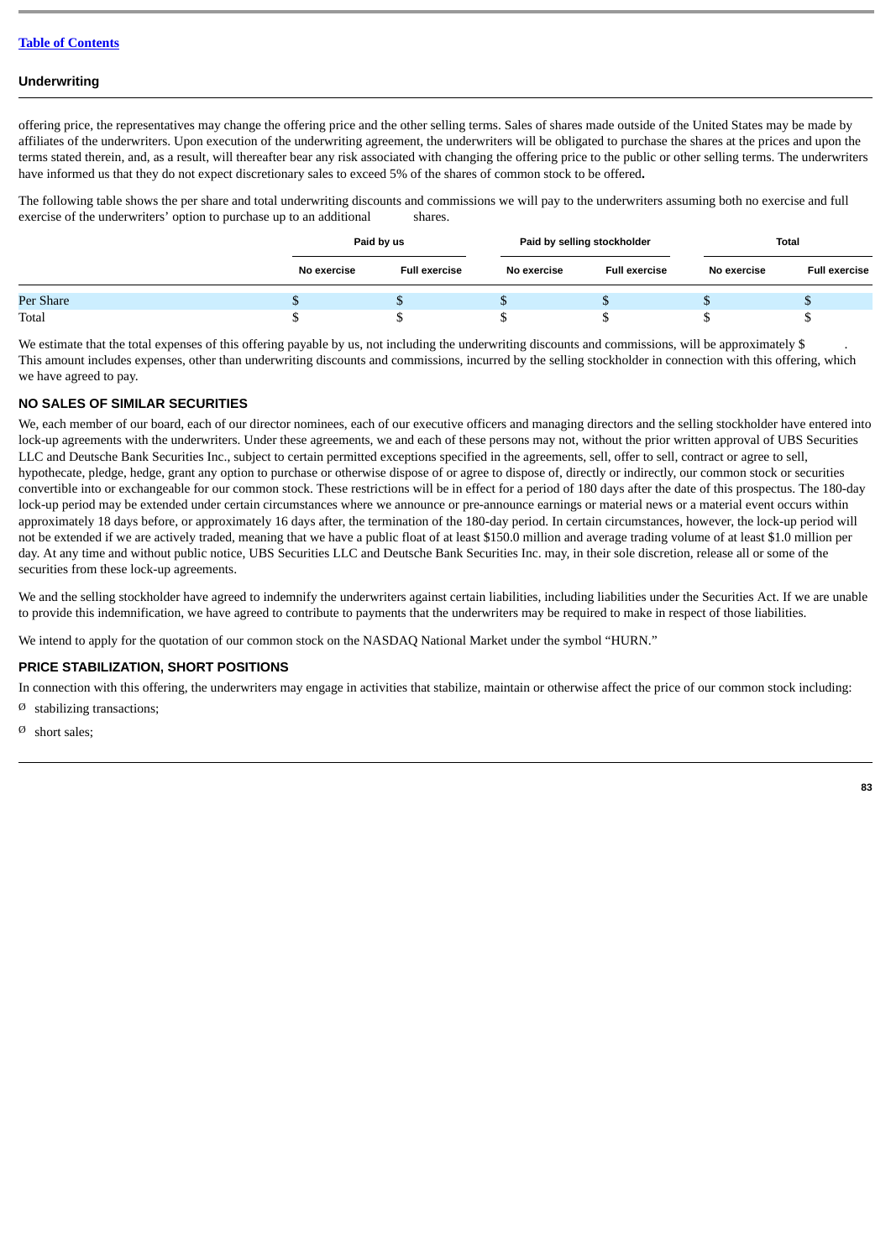offering price, the representatives may change the offering price and the other selling terms. Sales of shares made outside of the United States may be made by affiliates of the underwriters. Upon execution of the underwriting agreement, the underwriters will be obligated to purchase the shares at the prices and upon the terms stated therein, and, as a result, will thereafter bear any risk associated with changing the offering price to the public or other selling terms. The underwriters have informed us that they do not expect discretionary sales to exceed 5% of the shares of common stock to be offered**.**

The following table shows the per share and total underwriting discounts and commissions we will pay to the underwriters assuming both no exercise and full exercise of the underwriters' option to purchase up to an additional shares.

|           | Paid by us  |                      | Paid by selling stockholder |                      | <b>Total</b> |                      |  |
|-----------|-------------|----------------------|-----------------------------|----------------------|--------------|----------------------|--|
|           | No exercise | <b>Full exercise</b> | No exercise                 | <b>Full exercise</b> | No exercise  | <b>Full exercise</b> |  |
| Per Share |             |                      | ω                           |                      |              |                      |  |
| Total     |             |                      |                             |                      |              |                      |  |

We estimate that the total expenses of this offering payable by us, not including the underwriting discounts and commissions, will be approximately \$ This amount includes expenses, other than underwriting discounts and commissions, incurred by the selling stockholder in connection with this offering, which we have agreed to pay.

## **NO SALES OF SIMILAR SECURITIES**

We, each member of our board, each of our director nominees, each of our executive officers and managing directors and the selling stockholder have entered into lock-up agreements with the underwriters. Under these agreements, we and each of these persons may not, without the prior written approval of UBS Securities LLC and Deutsche Bank Securities Inc., subject to certain permitted exceptions specified in the agreements, sell, offer to sell, contract or agree to sell, hypothecate, pledge, hedge, grant any option to purchase or otherwise dispose of or agree to dispose of, directly or indirectly, our common stock or securities convertible into or exchangeable for our common stock. These restrictions will be in effect for a period of 180 days after the date of this prospectus. The 180-day lock-up period may be extended under certain circumstances where we announce or pre-announce earnings or material news or a material event occurs within approximately 18 days before, or approximately 16 days after, the termination of the 180-day period. In certain circumstances, however, the lock-up period will not be extended if we are actively traded, meaning that we have a public float of at least \$150.0 million and average trading volume of at least \$1.0 million per day. At any time and without public notice, UBS Securities LLC and Deutsche Bank Securities Inc. may, in their sole discretion, release all or some of the securities from these lock-up agreements.

We and the selling stockholder have agreed to indemnify the underwriters against certain liabilities, including liabilities under the Securities Act. If we are unable to provide this indemnification, we have agreed to contribute to payments that the underwriters may be required to make in respect of those liabilities.

We intend to apply for the quotation of our common stock on the NASDAQ National Market under the symbol "HURN."

### **PRICE STABILIZATION, SHORT POSITIONS**

In connection with this offering, the underwriters may engage in activities that stabilize, maintain or otherwise affect the price of our common stock including:

- $\emptyset$  stabilizing transactions;
- $\emptyset$  short sales: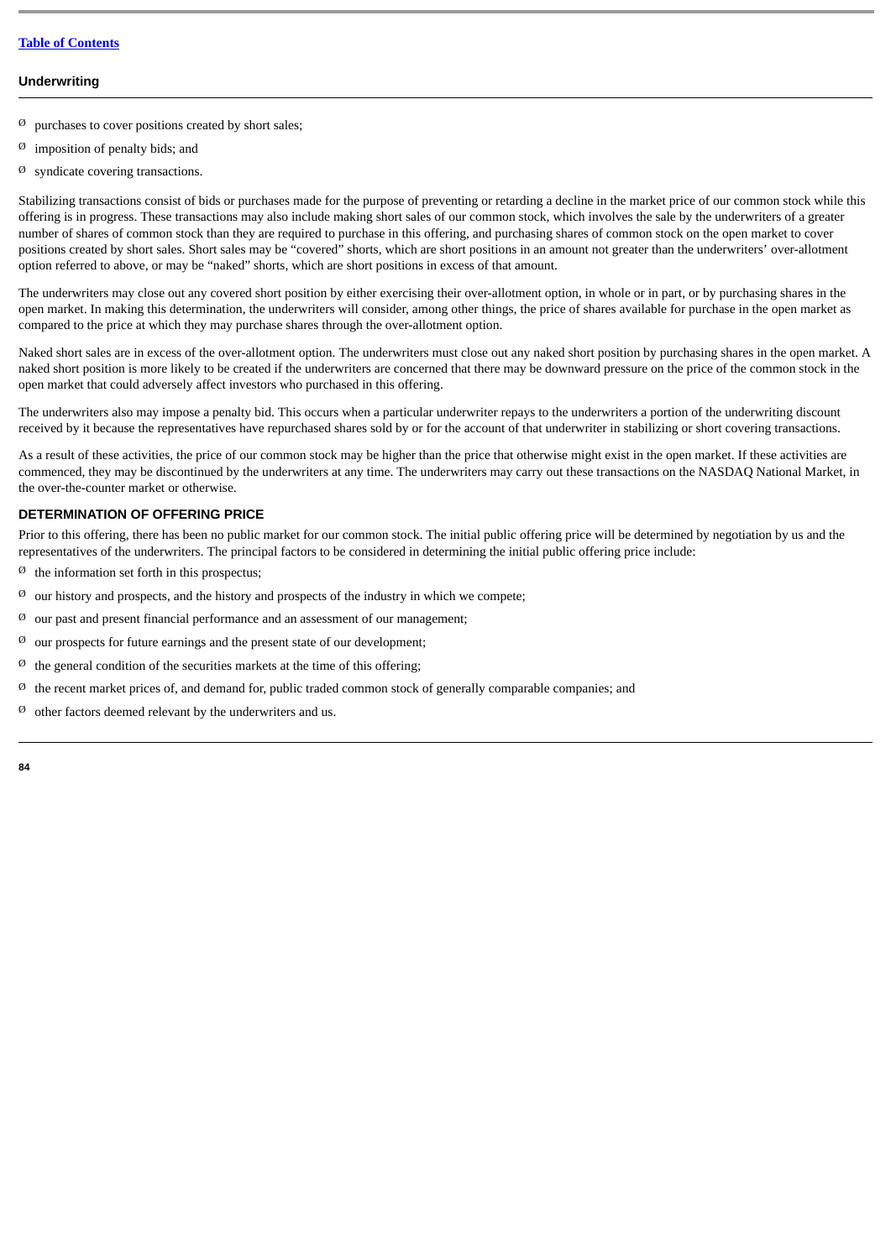- $\emptyset$  purchases to cover positions created by short sales;
- $\emptyset$  imposition of penalty bids; and
- $\emptyset$  syndicate covering transactions.

Stabilizing transactions consist of bids or purchases made for the purpose of preventing or retarding a decline in the market price of our common stock while this offering is in progress. These transactions may also include making short sales of our common stock, which involves the sale by the underwriters of a greater number of shares of common stock than they are required to purchase in this offering, and purchasing shares of common stock on the open market to cover positions created by short sales. Short sales may be "covered" shorts, which are short positions in an amount not greater than the underwriters' over-allotment option referred to above, or may be "naked" shorts, which are short positions in excess of that amount.

The underwriters may close out any covered short position by either exercising their over-allotment option, in whole or in part, or by purchasing shares in the open market. In making this determination, the underwriters will consider, among other things, the price of shares available for purchase in the open market as compared to the price at which they may purchase shares through the over-allotment option.

Naked short sales are in excess of the over-allotment option. The underwriters must close out any naked short position by purchasing shares in the open market. A naked short position is more likely to be created if the underwriters are concerned that there may be downward pressure on the price of the common stock in the open market that could adversely affect investors who purchased in this offering.

The underwriters also may impose a penalty bid. This occurs when a particular underwriter repays to the underwriters a portion of the underwriting discount received by it because the representatives have repurchased shares sold by or for the account of that underwriter in stabilizing or short covering transactions.

As a result of these activities, the price of our common stock may be higher than the price that otherwise might exist in the open market. If these activities are commenced, they may be discontinued by the underwriters at any time. The underwriters may carry out these transactions on the NASDAQ National Market, in the over-the-counter market or otherwise.

# **DETERMINATION OF OFFERING PRICE**

Prior to this offering, there has been no public market for our common stock. The initial public offering price will be determined by negotiation by us and the representatives of the underwriters. The principal factors to be considered in determining the initial public offering price include:

- $\emptyset$  the information set forth in this prospectus;
- $\emptyset$  our history and prospects, and the history and prospects of the industry in which we compete;
- $\emptyset$  our past and present financial performance and an assessment of our management;
- $\emptyset$  our prospects for future earnings and the present state of our development;
- $\emptyset$  the general condition of the securities markets at the time of this offering;
- $\emptyset$  the recent market prices of, and demand for, public traded common stock of generally comparable companies; and
- $\emptyset$  other factors deemed relevant by the underwriters and us.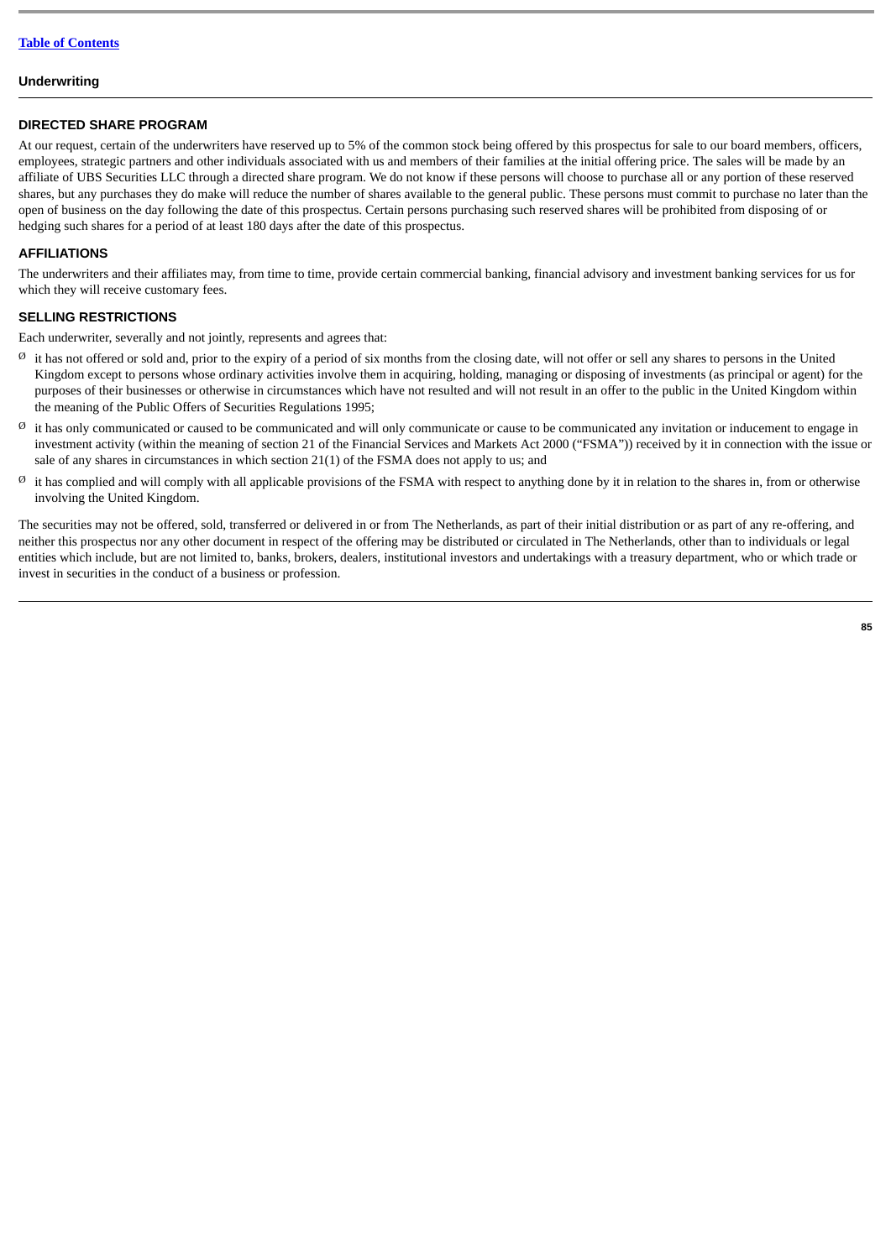#### **DIRECTED SHARE PROGRAM**

At our request, certain of the underwriters have reserved up to 5% of the common stock being offered by this prospectus for sale to our board members, officers, employees, strategic partners and other individuals associated with us and members of their families at the initial offering price. The sales will be made by an affiliate of UBS Securities LLC through a directed share program. We do not know if these persons will choose to purchase all or any portion of these reserved shares, but any purchases they do make will reduce the number of shares available to the general public. These persons must commit to purchase no later than the open of business on the day following the date of this prospectus. Certain persons purchasing such reserved shares will be prohibited from disposing of or hedging such shares for a period of at least 180 days after the date of this prospectus.

## **AFFILIATIONS**

The underwriters and their affiliates may, from time to time, provide certain commercial banking, financial advisory and investment banking services for us for which they will receive customary fees.

### **SELLING RESTRICTIONS**

Each underwriter, severally and not jointly, represents and agrees that:

- $\emptyset$  it has not offered or sold and, prior to the expiry of a period of six months from the closing date, will not offer or sell any shares to persons in the United Kingdom except to persons whose ordinary activities involve them in acquiring, holding, managing or disposing of investments (as principal or agent) for the purposes of their businesses or otherwise in circumstances which have not resulted and will not result in an offer to the public in the United Kingdom within the meaning of the Public Offers of Securities Regulations 1995;
- $\emptyset$  it has only communicated or caused to be communicated and will only communicate or cause to be communicated any invitation or inducement to engage in investment activity (within the meaning of section 21 of the Financial Services and Markets Act 2000 ("FSMA")) received by it in connection with the issue or sale of any shares in circumstances in which section 21(1) of the FSMA does not apply to us; and
- $\emptyset$  it has complied and will comply with all applicable provisions of the FSMA with respect to anything done by it in relation to the shares in, from or otherwise involving the United Kingdom.

The securities may not be offered, sold, transferred or delivered in or from The Netherlands, as part of their initial distribution or as part of any re-offering, and neither this prospectus nor any other document in respect of the offering may be distributed or circulated in The Netherlands, other than to individuals or legal entities which include, but are not limited to, banks, brokers, dealers, institutional investors and undertakings with a treasury department, who or which trade or invest in securities in the conduct of a business or profession.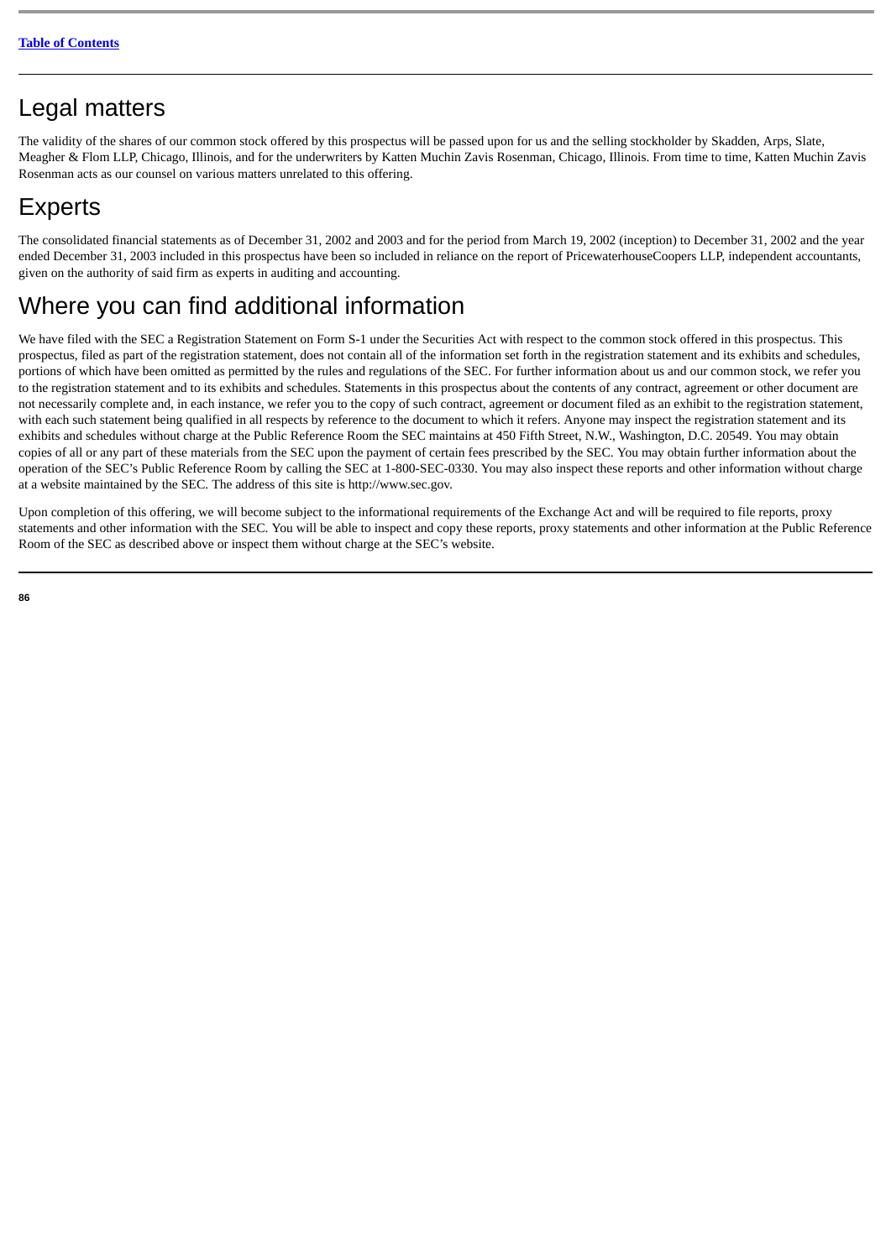# Legal matters

The validity of the shares of our common stock offered by this prospectus will be passed upon for us and the selling stockholder by Skadden, Arps, Slate, Meagher & Flom LLP, Chicago, Illinois, and for the underwriters by Katten Muchin Zavis Rosenman, Chicago, Illinois. From time to time, Katten Muchin Zavis Rosenman acts as our counsel on various matters unrelated to this offering.

# Experts

The consolidated financial statements as of December 31, 2002 and 2003 and for the period from March 19, 2002 (inception) to December 31, 2002 and the year ended December 31, 2003 included in this prospectus have been so included in reliance on the report of PricewaterhouseCoopers LLP, independent accountants, given on the authority of said firm as experts in auditing and accounting.

# Where you can find additional information

We have filed with the SEC a Registration Statement on Form S-1 under the Securities Act with respect to the common stock offered in this prospectus. This prospectus, filed as part of the registration statement, does not contain all of the information set forth in the registration statement and its exhibits and schedules, portions of which have been omitted as permitted by the rules and regulations of the SEC. For further information about us and our common stock, we refer you to the registration statement and to its exhibits and schedules. Statements in this prospectus about the contents of any contract, agreement or other document are not necessarily complete and, in each instance, we refer you to the copy of such contract, agreement or document filed as an exhibit to the registration statement, with each such statement being qualified in all respects by reference to the document to which it refers. Anyone may inspect the registration statement and its exhibits and schedules without charge at the Public Reference Room the SEC maintains at 450 Fifth Street, N.W., Washington, D.C. 20549. You may obtain copies of all or any part of these materials from the SEC upon the payment of certain fees prescribed by the SEC. You may obtain further information about the operation of the SEC's Public Reference Room by calling the SEC at 1-800-SEC-0330. You may also inspect these reports and other information without charge at a website maintained by the SEC. The address of this site is http://www.sec.gov.

Upon completion of this offering, we will become subject to the informational requirements of the Exchange Act and will be required to file reports, proxy statements and other information with the SEC. You will be able to inspect and copy these reports, proxy statements and other information at the Public Reference Room of the SEC as described above or inspect them without charge at the SEC's website.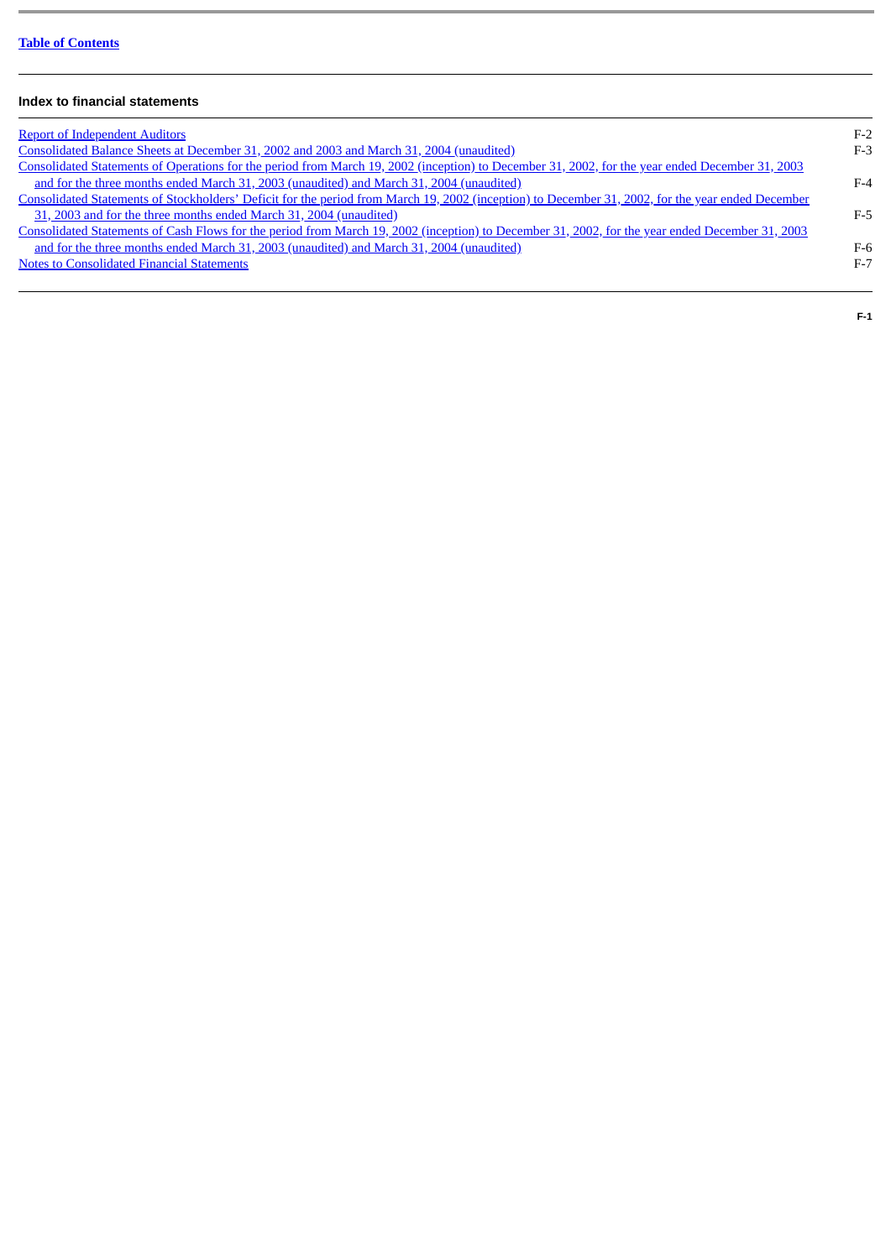# **Index to financial statements**

| <b>Report of Independent Auditors</b>                                                                                                             | $F-2$ |
|---------------------------------------------------------------------------------------------------------------------------------------------------|-------|
| Consolidated Balance Sheets at December 31, 2002 and 2003 and March 31, 2004 (unaudited)                                                          | $F-3$ |
| Consolidated Statements of Operations for the period from March 19, 2002 (inception) to December 31, 2002, for the year ended December 31, 2003   |       |
| and for the three months ended March 31, 2003 (unaudited) and March 31, 2004 (unaudited)                                                          | $F-4$ |
| Consolidated Statements of Stockholders' Deficit for the period from March 19, 2002 (inception) to December 31, 2002, for the year ended December |       |
| 31, 2003 and for the three months ended March 31, 2004 (unaudited)                                                                                | $F-5$ |
| Consolidated Statements of Cash Flows for the period from March 19, 2002 (inception) to December 31, 2002, for the year ended December 31, 2003   |       |
| and for the three months ended March 31, 2003 (unaudited) and March 31, 2004 (unaudited)                                                          | $F-6$ |
| <b>Notes to Consolidated Financial Statements</b>                                                                                                 | $F-7$ |
|                                                                                                                                                   |       |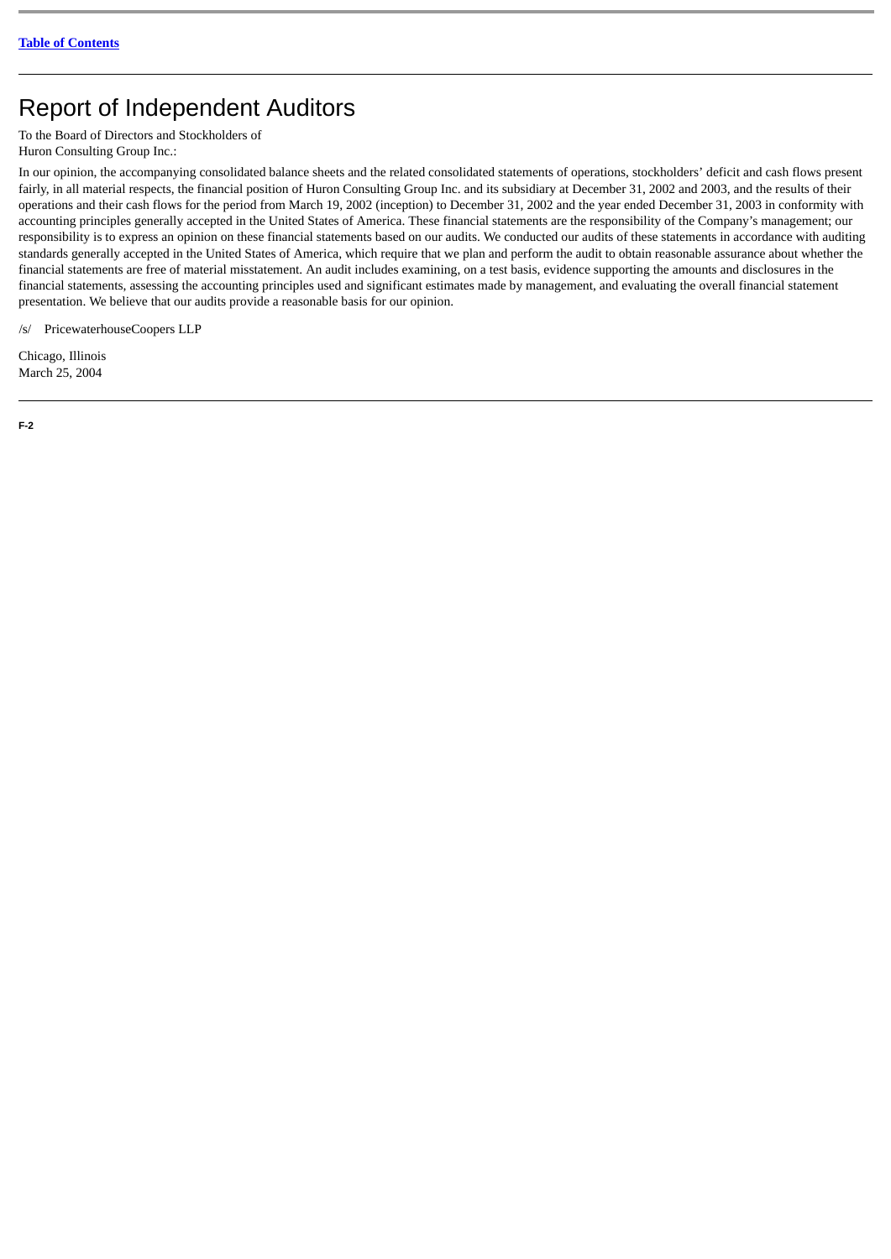# <span id="page-90-0"></span>Report of Independent Auditors

To the Board of Directors and Stockholders of Huron Consulting Group Inc.:

In our opinion, the accompanying consolidated balance sheets and the related consolidated statements of operations, stockholders' deficit and cash flows present fairly, in all material respects, the financial position of Huron Consulting Group Inc. and its subsidiary at December 31, 2002 and 2003, and the results of their operations and their cash flows for the period from March 19, 2002 (inception) to December 31, 2002 and the year ended December 31, 2003 in conformity with accounting principles generally accepted in the United States of America. These financial statements are the responsibility of the Company's management; our responsibility is to express an opinion on these financial statements based on our audits. We conducted our audits of these statements in accordance with auditing standards generally accepted in the United States of America, which require that we plan and perform the audit to obtain reasonable assurance about whether the financial statements are free of material misstatement. An audit includes examining, on a test basis, evidence supporting the amounts and disclosures in the financial statements, assessing the accounting principles used and significant estimates made by management, and evaluating the overall financial statement presentation. We believe that our audits provide a reasonable basis for our opinion.

/s/ PricewaterhouseCoopers LLP

Chicago, Illinois March 25, 2004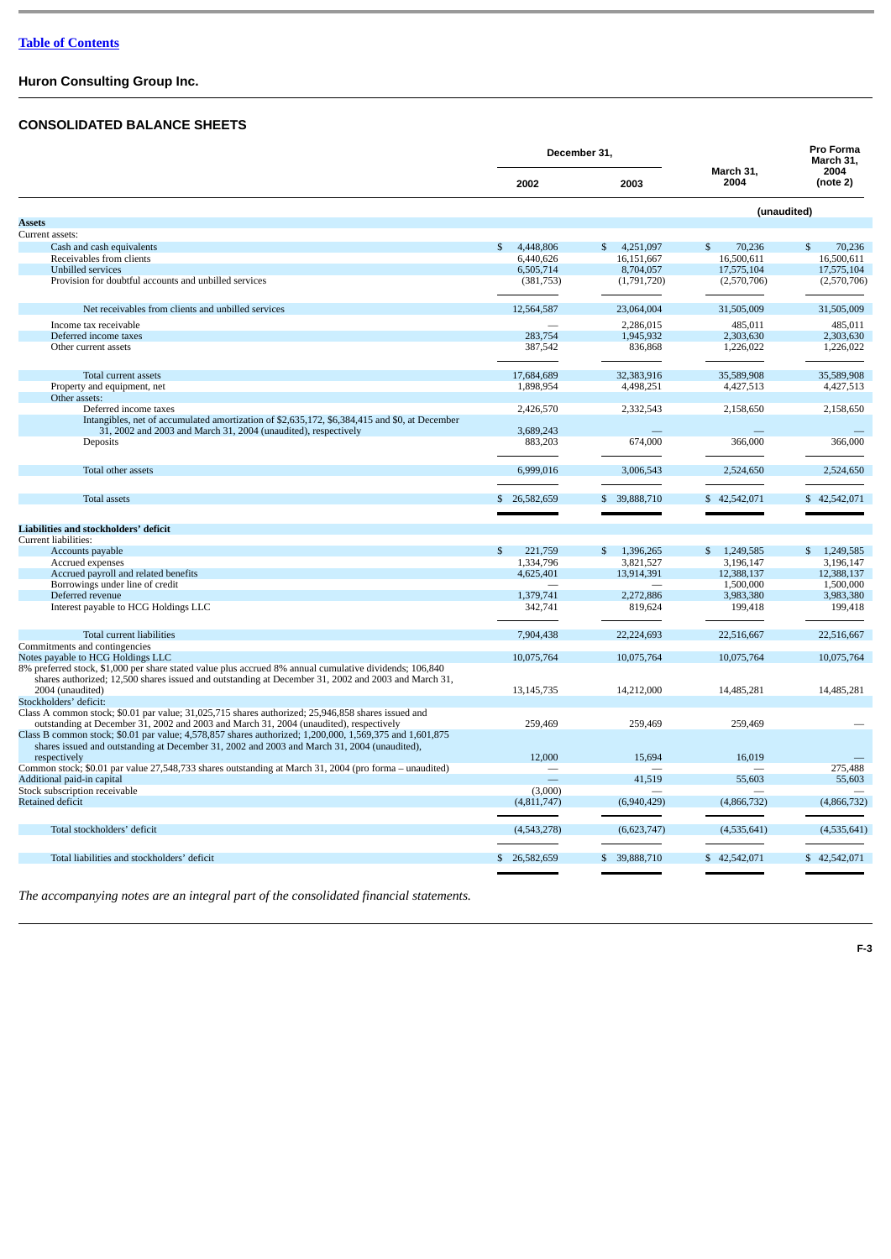# <span id="page-91-0"></span>**CONSOLIDATED BALANCE SHEETS**

|                                                                                                                                                                                                                | December 31,             |                           |                            | <b>Pro Forma</b><br>March 31. |  |
|----------------------------------------------------------------------------------------------------------------------------------------------------------------------------------------------------------------|--------------------------|---------------------------|----------------------------|-------------------------------|--|
|                                                                                                                                                                                                                | 2002                     | 2003                      | March 31,<br>2004          | 2004<br>(note 2)              |  |
|                                                                                                                                                                                                                |                          |                           | (unaudited)                |                               |  |
| Assets                                                                                                                                                                                                         |                          |                           |                            |                               |  |
| Current assets:                                                                                                                                                                                                |                          |                           |                            |                               |  |
| Cash and cash equivalents                                                                                                                                                                                      | 4,448,806<br>\$          | 4,251,097<br>$\mathbb{S}$ | 70,236<br>\$               | 70,236<br>$\mathbf{s}$        |  |
| Receivables from clients                                                                                                                                                                                       | 6.440.626                | 16.151.667                | 16,500,611                 | 16.500.611                    |  |
| <b>Unbilled services</b>                                                                                                                                                                                       | 6,505,714                | 8,704,057                 | 17,575,104                 | 17,575,104                    |  |
| Provision for doubtful accounts and unbilled services                                                                                                                                                          | (381,753)                | (1,791,720)               | (2,570,706)                | (2,570,706)                   |  |
| Net receivables from clients and unbilled services                                                                                                                                                             | 12,564,587               | 23,064,004                | 31,505,009                 | 31,505,009                    |  |
| Income tax receivable                                                                                                                                                                                          |                          | 2.286.015                 | 485.011                    | 485.011                       |  |
| Deferred income taxes                                                                                                                                                                                          | 283,754                  | 1,945,932                 | 2,303,630                  | 2,303,630                     |  |
|                                                                                                                                                                                                                |                          |                           |                            |                               |  |
| Other current assets                                                                                                                                                                                           | 387,542                  | 836,868                   | 1,226,022                  | 1,226,022                     |  |
| Total current assets                                                                                                                                                                                           | 17,684,689               | 32,383,916                | 35,589,908                 | 35,589,908                    |  |
| Property and equipment, net                                                                                                                                                                                    | 1,898,954                | 4,498,251                 | 4,427,513                  | 4,427,513                     |  |
| Other assets:                                                                                                                                                                                                  |                          |                           |                            |                               |  |
| Deferred income taxes                                                                                                                                                                                          | 2,426,570                | 2,332,543                 | 2,158,650                  | 2,158,650                     |  |
| Intangibles, net of accumulated amortization of \$2,635,172, \$6,384,415 and \$0, at December<br>31, 2002 and 2003 and March 31, 2004 (unaudited), respectively                                                | 3,689,243                |                           |                            |                               |  |
| Deposits                                                                                                                                                                                                       | 883,203                  | 674,000                   | 366,000                    | 366,000                       |  |
|                                                                                                                                                                                                                |                          |                           |                            |                               |  |
| Total other assets                                                                                                                                                                                             | 6,999,016                | 3,006,543                 | 2,524,650                  | 2,524,650                     |  |
| <b>Total assets</b>                                                                                                                                                                                            | \$ 26,582,659            | \$ 39,888,710             | \$42,542,071               | \$42,542,071                  |  |
| Liabilities and stockholders' deficit                                                                                                                                                                          |                          |                           |                            |                               |  |
| Current liabilities:                                                                                                                                                                                           |                          |                           |                            |                               |  |
| Accounts payable                                                                                                                                                                                               | $\mathbb{S}$<br>221,759  | 1,396,265<br>\$           | 1,249,585<br>$\mathcal{S}$ | 1,249,585<br>\$               |  |
| Accrued expenses                                                                                                                                                                                               | 1,334,796                | 3,821,527                 | 3,196,147                  | 3,196,147                     |  |
| Accrued payroll and related benefits                                                                                                                                                                           | 4,625,401                | 13,914,391                | 12,388,137                 | 12,388,137                    |  |
| Borrowings under line of credit                                                                                                                                                                                |                          |                           | 1,500,000                  | 1,500,000                     |  |
| Deferred revenue                                                                                                                                                                                               | 1,379,741                | 2,272,886                 | 3,983,380                  | 3,983,380                     |  |
| Interest payable to HCG Holdings LLC                                                                                                                                                                           | 342,741                  | 819,624                   | 199,418                    | 199,418                       |  |
|                                                                                                                                                                                                                |                          |                           |                            |                               |  |
| Total current liabilities                                                                                                                                                                                      | 7.904.438                | 22,224,693                | 22.516.667                 | 22.516.667                    |  |
| Commitments and contingencies                                                                                                                                                                                  |                          |                           |                            |                               |  |
| Notes payable to HCG Holdings LLC                                                                                                                                                                              | 10,075,764               | 10,075,764                | 10,075,764                 | 10,075,764                    |  |
| 8% preferred stock, \$1,000 per share stated value plus accrued 8% annual cumulative dividends; 106,840<br>shares authorized; 12,500 shares issued and outstanding at December 31, 2002 and 2003 and March 31, |                          |                           |                            |                               |  |
| 2004 (unaudited)                                                                                                                                                                                               | 13,145,735               | 14,212,000                | 14,485,281                 | 14,485,281                    |  |
| Stockholders' deficit:                                                                                                                                                                                         |                          |                           |                            |                               |  |
| Class A common stock; \$0.01 par value; 31,025,715 shares authorized; 25,946,858 shares issued and<br>outstanding at December 31, 2002 and 2003 and March 31, 2004 (unaudited), respectively                   | 259,469                  | 259,469                   | 259,469                    |                               |  |
| Class B common stock; \$0.01 par value; 4,578,857 shares authorized; 1,200,000, 1,569,375 and 1,601,875<br>shares issued and outstanding at December 31, 2002 and 2003 and March 31, 2004 (unaudited),         |                          |                           |                            |                               |  |
| respectively                                                                                                                                                                                                   | 12,000                   | 15,694                    | 16,019                     |                               |  |
| Common stock; \$0.01 par value 27,548,733 shares outstanding at March 31, 2004 (pro forma - unaudited)                                                                                                         | $\overline{\phantom{a}}$ |                           |                            | 275,488                       |  |
| Additional paid-in capital                                                                                                                                                                                     |                          | 41,519                    | 55,603                     | 55,603                        |  |
| Stock subscription receivable                                                                                                                                                                                  | (3,000)                  |                           |                            |                               |  |
| <b>Retained deficit</b>                                                                                                                                                                                        | (4,811,747)              | (6,940,429)               | (4,866,732)                | (4,866,732)                   |  |
|                                                                                                                                                                                                                |                          |                           |                            |                               |  |
| Total stockholders' deficit                                                                                                                                                                                    | (4,543,278)              | (6,623,747)               | (4,535,641)                | (4,535,641)                   |  |
| Total liabilities and stockholders' deficit                                                                                                                                                                    | \$26,582,659             | \$ 39,888,710             | \$42,542,071               | \$42,542,071                  |  |
|                                                                                                                                                                                                                |                          |                           |                            |                               |  |

*The accompanying notes are an integral part of the consolidated financial statements.*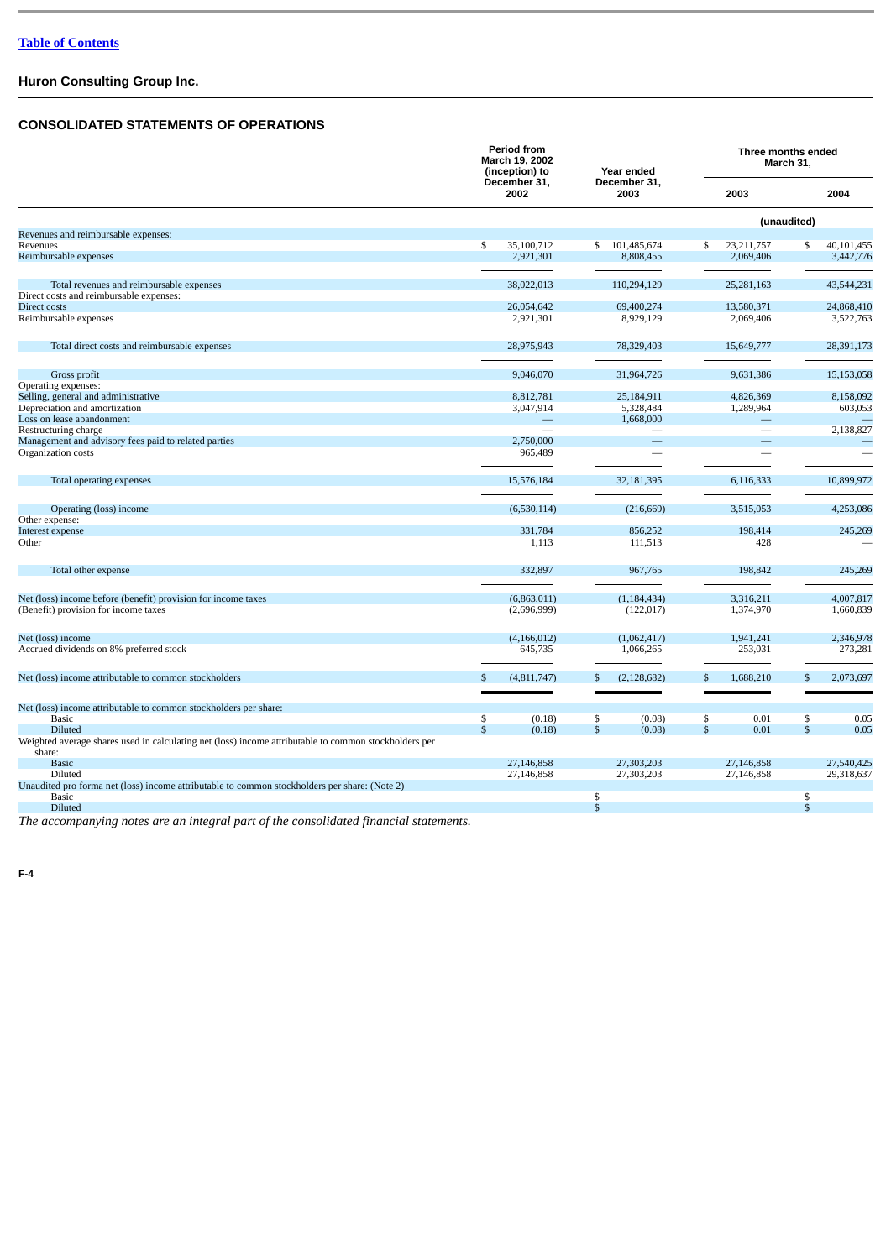# <span id="page-92-0"></span>**CONSOLIDATED STATEMENTS OF OPERATIONS**

|                                                                                                                 | <b>Period from</b><br>March 19, 2002<br>(inception) to |                      |                | Year ended               |              | Three months ended       | March 31,    |            |  |
|-----------------------------------------------------------------------------------------------------------------|--------------------------------------------------------|----------------------|----------------|--------------------------|--------------|--------------------------|--------------|------------|--|
|                                                                                                                 |                                                        | December 31,<br>2002 |                | December 31,<br>2003     |              | 2003                     |              | 2004       |  |
|                                                                                                                 |                                                        |                      |                |                          |              |                          | (unaudited)  |            |  |
| Revenues and reimbursable expenses:                                                                             |                                                        |                      |                |                          |              |                          |              |            |  |
| Revenues                                                                                                        | \$                                                     | 35,100,712           |                | \$ 101,485,674           | \$           | 23,211,757               | \$           | 40,101,455 |  |
| Reimbursable expenses                                                                                           |                                                        | 2,921,301            |                | 8,808,455                |              | 2,069,406                |              | 3,442,776  |  |
|                                                                                                                 |                                                        |                      |                |                          |              |                          |              |            |  |
| Total revenues and reimbursable expenses                                                                        |                                                        | 38,022,013           |                | 110,294,129              |              | 25,281,163               |              | 43,544,231 |  |
| Direct costs and reimbursable expenses:                                                                         |                                                        |                      |                |                          |              |                          |              |            |  |
| Direct costs                                                                                                    |                                                        | 26,054,642           |                | 69,400,274               |              | 13,580,371               |              | 24,868,410 |  |
| Reimbursable expenses                                                                                           |                                                        | 2,921,301            |                | 8,929,129                |              | 2,069,406                |              | 3,522,763  |  |
| Total direct costs and reimbursable expenses                                                                    |                                                        | 28,975,943           |                | 78,329,403               |              | 15,649,777               |              | 28,391,173 |  |
|                                                                                                                 |                                                        |                      |                |                          |              |                          |              |            |  |
| Gross profit                                                                                                    |                                                        | 9,046,070            |                | 31,964,726               |              | 9,631,386                |              | 15,153,058 |  |
| Operating expenses:                                                                                             |                                                        |                      |                |                          |              |                          |              |            |  |
| Selling, general and administrative                                                                             |                                                        | 8,812,781            |                | 25,184,911               |              | 4,826,369                |              | 8,158,092  |  |
| Depreciation and amortization                                                                                   |                                                        | 3,047,914            |                | 5,328,484                |              | 1.289.964                |              | 603,053    |  |
| Loss on lease abandonment                                                                                       |                                                        |                      |                | 1,668,000                |              |                          |              |            |  |
| Restructuring charge                                                                                            |                                                        |                      |                | $\overline{\phantom{a}}$ |              | $\overline{\phantom{0}}$ |              | 2,138,827  |  |
| Management and advisory fees paid to related parties                                                            |                                                        | 2,750,000            |                | $\equiv$                 |              | L.                       |              |            |  |
| Organization costs                                                                                              |                                                        | 965,489              |                |                          |              |                          |              |            |  |
| Total operating expenses                                                                                        |                                                        | 15,576,184           |                | 32,181,395               |              | 6,116,333                |              | 10,899,972 |  |
|                                                                                                                 |                                                        |                      |                |                          |              |                          |              |            |  |
| Operating (loss) income                                                                                         |                                                        | (6,530,114)          |                | (216, 669)               |              | 3,515,053                |              | 4,253,086  |  |
| Other expense:                                                                                                  |                                                        |                      |                |                          |              |                          |              |            |  |
| Interest expense                                                                                                |                                                        | 331,784              |                | 856,252                  |              | 198,414                  |              | 245,269    |  |
| Other                                                                                                           |                                                        | 1,113                |                | 111,513                  |              | 428                      |              |            |  |
| Total other expense                                                                                             |                                                        | 332,897              |                | 967,765                  |              | 198,842                  |              | 245,269    |  |
|                                                                                                                 |                                                        |                      |                |                          |              |                          |              |            |  |
| Net (loss) income before (benefit) provision for income taxes                                                   |                                                        | (6,863,011)          |                | (1, 184, 434)            |              | 3,316,211                |              | 4,007,817  |  |
| (Benefit) provision for income taxes                                                                            |                                                        | (2,696,999)          |                | (122, 017)               |              | 1,374,970                |              | 1,660,839  |  |
|                                                                                                                 |                                                        |                      |                |                          |              |                          |              |            |  |
| Net (loss) income                                                                                               |                                                        | (4,166,012)          |                | (1,062,417)              |              | 1,941,241                |              | 2,346,978  |  |
| Accrued dividends on 8% preferred stock                                                                         |                                                        | 645,735              |                | 1,066,265                |              | 253,031                  |              | 273,281    |  |
| Net (loss) income attributable to common stockholders                                                           | \$                                                     | (4,811,747)          | \$             | (2, 128, 682)            | \$.          | 1,688,210                | \$           | 2,073,697  |  |
| Net (loss) income attributable to common stockholders per share:                                                |                                                        |                      |                |                          |              |                          |              |            |  |
| <b>Basic</b>                                                                                                    | \$                                                     | (0.18)               | \$             | (0.08)                   | \$           | 0.01                     | \$           | 0.05       |  |
| Diluted                                                                                                         | $\sqrt{5}$                                             | (0.18)               | $\mathfrak{s}$ | (0.08)                   | $\mathbb{S}$ | 0.01                     | $\mathbb{S}$ | 0.05       |  |
| Weighted average shares used in calculating net (loss) income attributable to common stockholders per<br>share: |                                                        |                      |                |                          |              |                          |              |            |  |
| <b>Basic</b>                                                                                                    |                                                        | 27,146,858           |                | 27,303,203               |              | 27,146,858               |              | 27,540,425 |  |
| Diluted                                                                                                         |                                                        | 27,146,858           |                | 27,303,203               |              | 27,146,858               |              | 29,318,637 |  |
| Unaudited pro forma net (loss) income attributable to common stockholders per share: (Note 2)                   |                                                        |                      |                |                          |              |                          |              |            |  |
| <b>Basic</b>                                                                                                    |                                                        |                      | \$             |                          |              |                          | \$           |            |  |
| <b>Diluted</b>                                                                                                  |                                                        |                      | $\mathsf{\$}$  |                          |              |                          | $\mathbf{s}$ |            |  |
| The accompanying notes are an integral part of the consolidated financial statements.                           |                                                        |                      |                |                          |              |                          |              |            |  |

**F-4**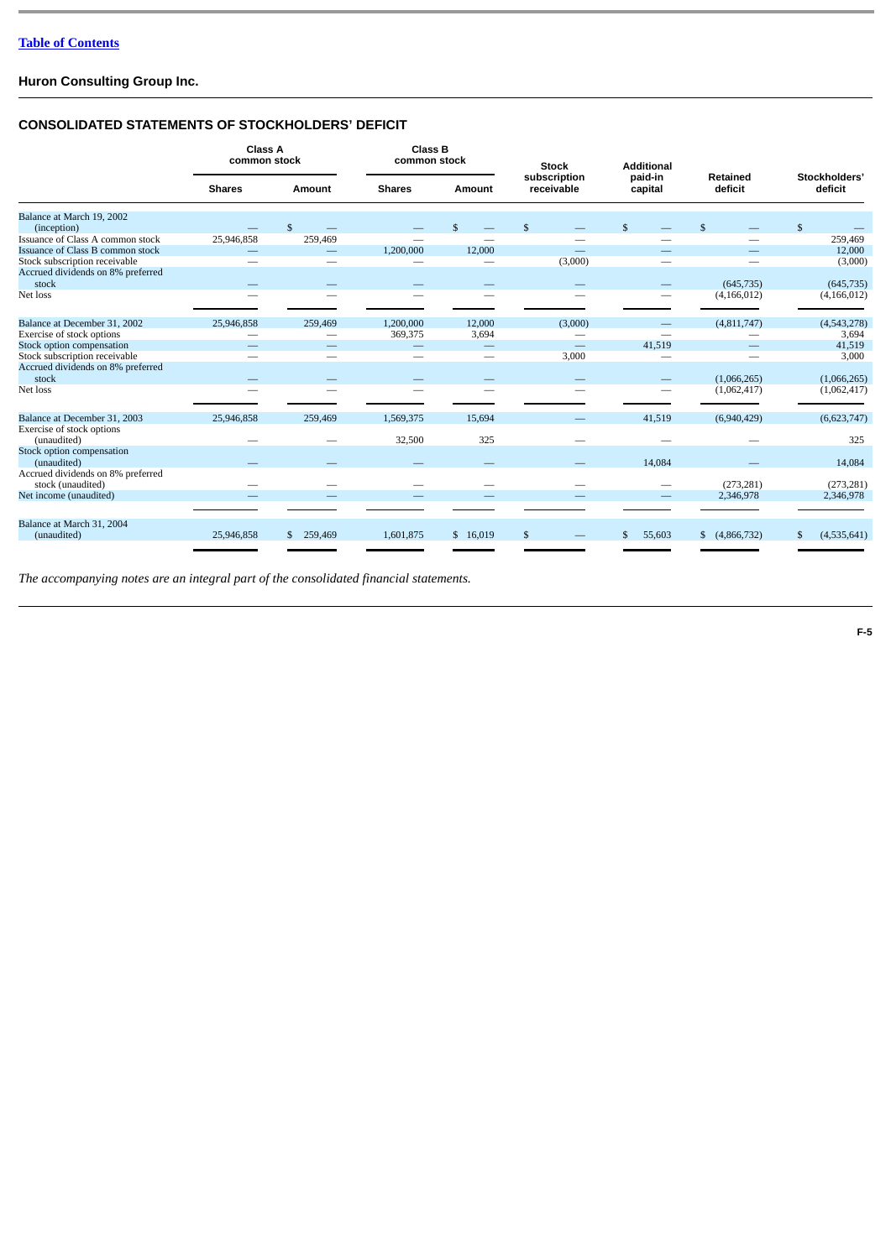# <span id="page-93-0"></span>**CONSOLIDATED STATEMENTS OF STOCKHOLDERS' DEFICIT**

|                                                        | <b>Class A</b><br>common stock |                                           |               | <b>Class B</b><br>common stock |     | <b>Stock</b>             |               | <b>Additional</b>          |               |                    |                     |  |                          |
|--------------------------------------------------------|--------------------------------|-------------------------------------------|---------------|--------------------------------|-----|--------------------------|---------------|----------------------------|---------------|--------------------|---------------------|--|--------------------------|
|                                                        | <b>Shares</b>                  | <b>Amount</b>                             | <b>Shares</b> | Amount                         |     |                          |               | subscription<br>receivable |               | paid-in<br>capital | Retained<br>deficit |  | Stockholders'<br>deficit |
| Balance at March 19, 2002                              |                                |                                           |               |                                |     |                          |               |                            |               |                    |                     |  |                          |
| (inception)                                            |                                | $\mathbf{s}$                              |               | $\mathbf{s}$                   | -\$ |                          | $\mathcal{S}$ |                            | \$            | $\mathbf{s}$       |                     |  |                          |
| Issuance of Class A common stock                       | 25,946,858                     | 259,469                                   |               |                                |     |                          |               |                            |               |                    | 259,469             |  |                          |
| Issuance of Class B common stock                       |                                | $\qquad \qquad \overline{\qquad \qquad }$ | 1,200,000     | 12,000                         |     | $\sim$                   |               |                            |               |                    | 12,000              |  |                          |
| Stock subscription receivable                          |                                |                                           |               |                                |     | (3,000)                  |               |                            |               |                    | (3,000)             |  |                          |
| Accrued dividends on 8% preferred<br>stock             |                                |                                           |               |                                |     |                          |               |                            | (645, 735)    |                    | (645, 735)          |  |                          |
| Net loss                                               |                                |                                           |               |                                |     |                          |               |                            | (4, 166, 012) |                    | (4, 166, 012)       |  |                          |
|                                                        |                                |                                           |               |                                |     |                          |               |                            |               |                    |                     |  |                          |
| Balance at December 31, 2002                           | 25,946,858                     | 259,469                                   | 1,200,000     | 12,000                         |     | (3,000)                  |               |                            | (4,811,747)   |                    | (4,543,278)         |  |                          |
| Exercise of stock options                              |                                | $\overline{\phantom{m}}$                  | 369,375       | 3,694                          |     | $\qquad \qquad$          |               |                            |               |                    | 3,694               |  |                          |
| Stock option compensation                              |                                |                                           |               | $\qquad \qquad -$              |     | $\qquad \qquad -$        |               | 41.519                     |               |                    | 41,519              |  |                          |
| Stock subscription receivable                          |                                |                                           |               |                                |     | 3,000                    |               |                            |               |                    | 3,000               |  |                          |
| Accrued dividends on 8% preferred<br>stock             |                                |                                           |               |                                |     |                          |               |                            | (1,066,265)   |                    | (1,066,265)         |  |                          |
| Net loss                                               |                                |                                           |               |                                |     |                          |               |                            | (1,062,417)   |                    | (1,062,417)         |  |                          |
|                                                        |                                |                                           |               |                                |     |                          |               |                            |               |                    |                     |  |                          |
| Balance at December 31, 2003                           | 25,946,858                     | 259,469                                   | 1,569,375     | 15,694                         |     | $\overline{\phantom{0}}$ |               | 41,519                     | (6,940,429)   |                    | (6,623,747)         |  |                          |
| Exercise of stock options<br>(unaudited)               |                                |                                           | 32,500        | 325                            |     |                          |               |                            |               |                    | 325                 |  |                          |
| Stock option compensation                              |                                |                                           |               |                                |     |                          |               |                            |               |                    |                     |  |                          |
| (unaudited)                                            |                                |                                           |               |                                |     |                          |               | 14,084                     |               |                    | 14,084              |  |                          |
| Accrued dividends on 8% preferred<br>stock (unaudited) |                                |                                           |               |                                |     |                          |               |                            | (273, 281)    |                    | (273, 281)          |  |                          |
| Net income (unaudited)                                 |                                |                                           |               |                                |     |                          |               |                            | 2,346,978     |                    | 2,346,978           |  |                          |
|                                                        |                                |                                           |               |                                |     |                          |               |                            |               |                    |                     |  |                          |
| Balance at March 31, 2004                              |                                |                                           |               |                                |     |                          |               |                            |               |                    |                     |  |                          |
| (unaudited)                                            | 25,946,858                     | \$ 259,469                                | 1,601,875     | \$ 16,019                      | \$. |                          |               | 55,603                     | \$(4,866,732) | \$.                | (4,535,641)         |  |                          |
|                                                        |                                |                                           |               |                                |     |                          |               |                            |               |                    |                     |  |                          |

*The accompanying notes are an integral part of the consolidated financial statements.*

**F-5**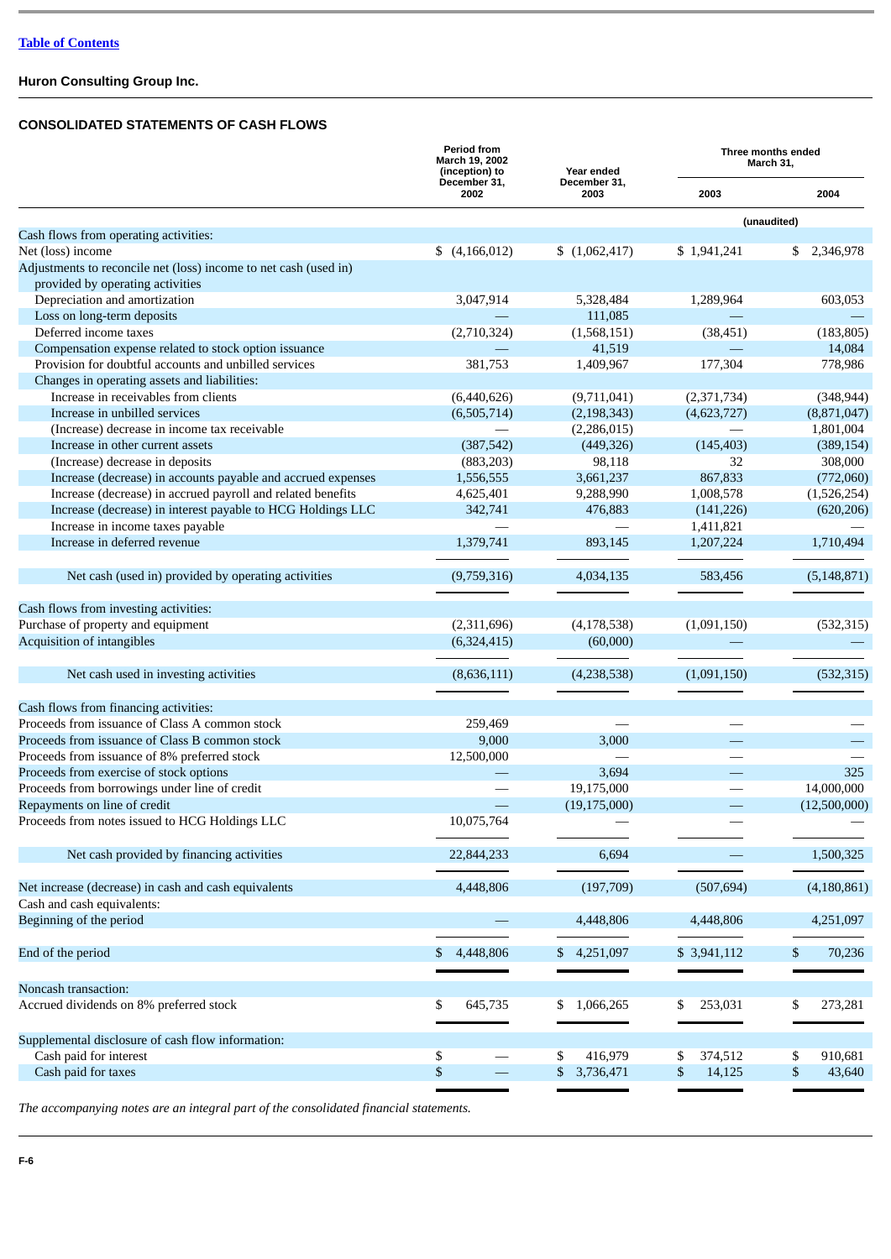# <span id="page-94-0"></span>**CONSOLIDATED STATEMENTS OF CASH FLOWS**

|                                                                  | <b>Period from</b><br>March 19, 2002<br>(inception) to | Year ended           |               | Three months ended<br>March 31, |
|------------------------------------------------------------------|--------------------------------------------------------|----------------------|---------------|---------------------------------|
|                                                                  | December 31,<br>2002                                   | December 31,<br>2003 | 2003          | 2004                            |
|                                                                  |                                                        |                      |               | (unaudited)                     |
| Cash flows from operating activities:<br>Net (loss) income       | \$(4,166,012)                                          | \$(1,062,417)        | \$1,941,241   | \$2,346,978                     |
| Adjustments to reconcile net (loss) income to net cash (used in) |                                                        |                      |               |                                 |
| provided by operating activities                                 |                                                        |                      |               |                                 |
| Depreciation and amortization                                    | 3,047,914                                              | 5,328,484            | 1,289,964     | 603,053                         |
| Loss on long-term deposits                                       |                                                        | 111,085              |               |                                 |
| Deferred income taxes                                            | (2,710,324)                                            | (1,568,151)          | (38, 451)     | (183, 805)                      |
| Compensation expense related to stock option issuance            |                                                        | 41,519               |               | 14,084                          |
| Provision for doubtful accounts and unbilled services            | 381,753                                                | 1,409,967            | 177,304       | 778,986                         |
| Changes in operating assets and liabilities:                     |                                                        |                      |               |                                 |
| Increase in receivables from clients                             | (6,440,626)                                            | (9,711,041)          | (2,371,734)   | (348, 944)                      |
| Increase in unbilled services                                    | (6,505,714)                                            | (2, 198, 343)        | (4,623,727)   | (8,871,047)                     |
| (Increase) decrease in income tax receivable                     |                                                        | (2,286,015)          |               | 1,801,004                       |
| Increase in other current assets                                 | (387, 542)                                             | (449, 326)           | (145, 403)    | (389, 154)                      |
| (Increase) decrease in deposits                                  | (883, 203)                                             | 98,118               | 32            | 308,000                         |
| Increase (decrease) in accounts payable and accrued expenses     | 1,556,555                                              | 3,661,237            | 867,833       | (772,060)                       |
| Increase (decrease) in accrued payroll and related benefits      | 4,625,401                                              | 9,288,990            | 1,008,578     | (1,526,254)                     |
| Increase (decrease) in interest payable to HCG Holdings LLC      | 342,741                                                | 476,883              | (141, 226)    | (620, 206)                      |
| Increase in income taxes payable                                 |                                                        |                      | 1,411,821     |                                 |
| Increase in deferred revenue                                     | 1,379,741                                              | 893,145              | 1,207,224     | 1,710,494                       |
| Net cash (used in) provided by operating activities              | (9,759,316)                                            | 4,034,135            | 583,456       | (5, 148, 871)                   |
| Cash flows from investing activities:                            |                                                        |                      |               |                                 |
| Purchase of property and equipment                               | (2,311,696)                                            | (4, 178, 538)        | (1,091,150)   | (532, 315)                      |
| Acquisition of intangibles                                       | (6,324,415)                                            | (60,000)             |               |                                 |
|                                                                  |                                                        |                      |               |                                 |
| Net cash used in investing activities                            | (8,636,111)                                            | (4,238,538)          | (1,091,150)   | (532, 315)                      |
| Cash flows from financing activities:                            |                                                        |                      |               |                                 |
| Proceeds from issuance of Class A common stock                   | 259,469                                                |                      |               |                                 |
| Proceeds from issuance of Class B common stock                   | 9,000                                                  | 3,000                |               |                                 |
| Proceeds from issuance of 8% preferred stock                     | 12,500,000                                             |                      |               |                                 |
| Proceeds from exercise of stock options                          |                                                        | 3,694                |               | 325                             |
| Proceeds from borrowings under line of credit                    |                                                        | 19,175,000           |               | 14,000,000                      |
| Repayments on line of credit                                     |                                                        | (19, 175, 000)       |               | (12,500,000)                    |
| Proceeds from notes issued to HCG Holdings LLC                   | 10,075,764                                             |                      |               |                                 |
|                                                                  |                                                        |                      |               |                                 |
| Net cash provided by financing activities                        | 22,844,233                                             | 6,694                |               | 1,500,325                       |
| Net increase (decrease) in cash and cash equivalents             | 4,448,806                                              | (197,709)            | (507, 694)    | (4, 180, 861)                   |
| Cash and cash equivalents:                                       |                                                        |                      |               |                                 |
| Beginning of the period                                          |                                                        | 4,448,806            | 4,448,806     | 4,251,097                       |
|                                                                  |                                                        |                      |               |                                 |
| End of the period                                                | 4,448,806<br>\$                                        | 4,251,097            | \$ 3,941,112  | \$<br>70,236                    |
| Noncash transaction:                                             |                                                        |                      |               |                                 |
| Accrued dividends on 8% preferred stock                          | \$<br>645,735                                          | 1,066,265<br>\$      | 253,031<br>S  | \$<br>273,281                   |
|                                                                  |                                                        |                      |               |                                 |
| Supplemental disclosure of cash flow information:                |                                                        |                      |               |                                 |
| Cash paid for interest                                           | \$                                                     | 416,979<br>\$        | 374,512<br>\$ | \$<br>910,681                   |
| Cash paid for taxes                                              | \$                                                     | \$<br>3,736,471      | \$<br>14,125  | \$<br>43,640                    |
|                                                                  |                                                        |                      |               |                                 |

*The accompanying notes are an integral part of the consolidated financial statements.*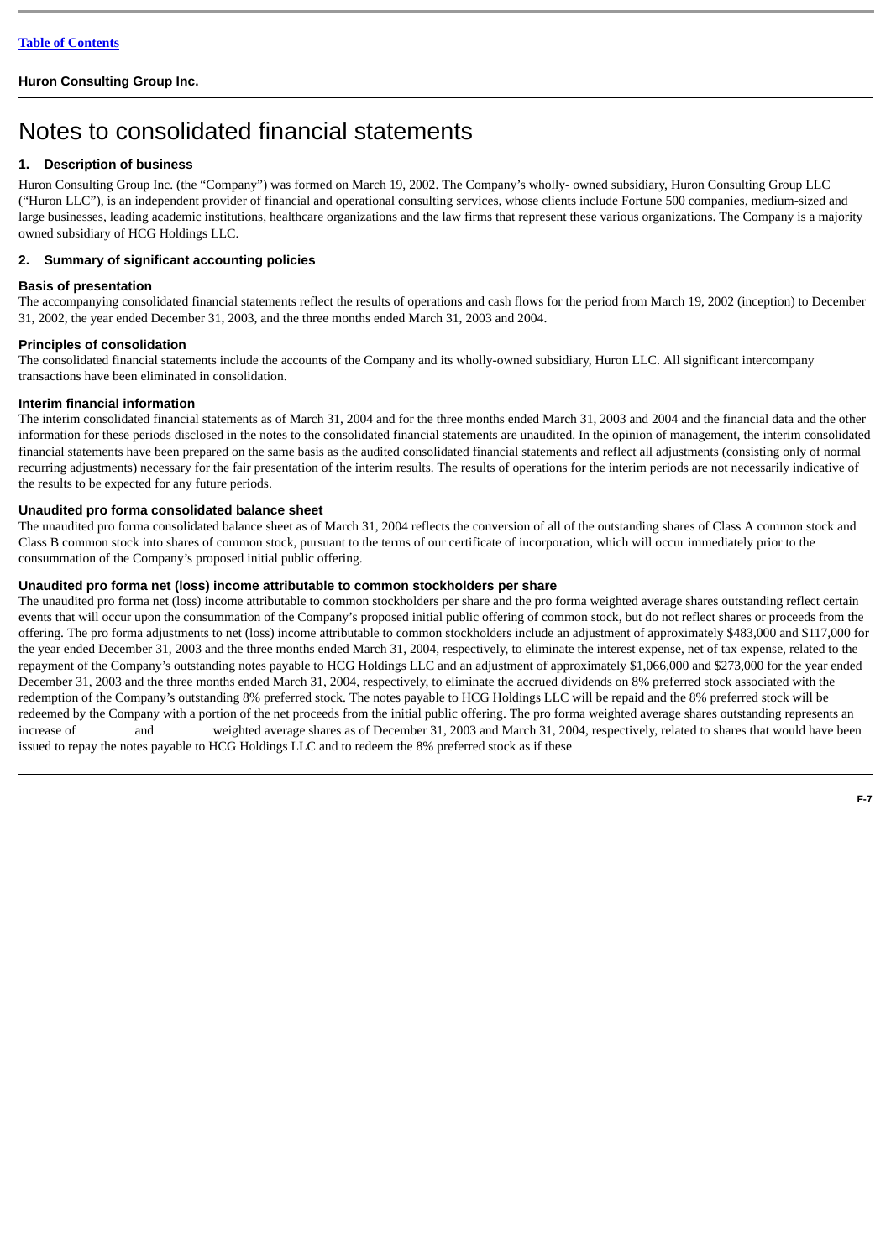## <span id="page-95-0"></span>**1. Description of business**

Huron Consulting Group Inc. (the "Company") was formed on March 19, 2002. The Company's wholly- owned subsidiary, Huron Consulting Group LLC ("Huron LLC"), is an independent provider of financial and operational consulting services, whose clients include Fortune 500 companies, medium-sized and large businesses, leading academic institutions, healthcare organizations and the law firms that represent these various organizations. The Company is a majority owned subsidiary of HCG Holdings LLC.

## **2. Summary of significant accounting policies**

## **Basis of presentation**

The accompanying consolidated financial statements reflect the results of operations and cash flows for the period from March 19, 2002 (inception) to December 31, 2002, the year ended December 31, 2003, and the three months ended March 31, 2003 and 2004.

## **Principles of consolidation**

The consolidated financial statements include the accounts of the Company and its wholly-owned subsidiary, Huron LLC. All significant intercompany transactions have been eliminated in consolidation.

## **Interim financial information**

The interim consolidated financial statements as of March 31, 2004 and for the three months ended March 31, 2003 and 2004 and the financial data and the other information for these periods disclosed in the notes to the consolidated financial statements are unaudited. In the opinion of management, the interim consolidated financial statements have been prepared on the same basis as the audited consolidated financial statements and reflect all adjustments (consisting only of normal recurring adjustments) necessary for the fair presentation of the interim results. The results of operations for the interim periods are not necessarily indicative of the results to be expected for any future periods.

## **Unaudited pro forma consolidated balance sheet**

The unaudited pro forma consolidated balance sheet as of March 31, 2004 reflects the conversion of all of the outstanding shares of Class A common stock and Class B common stock into shares of common stock, pursuant to the terms of our certificate of incorporation, which will occur immediately prior to the consummation of the Company's proposed initial public offering.

# **Unaudited pro forma net (loss) income attributable to common stockholders per share**

The unaudited pro forma net (loss) income attributable to common stockholders per share and the pro forma weighted average shares outstanding reflect certain events that will occur upon the consummation of the Company's proposed initial public offering of common stock, but do not reflect shares or proceeds from the offering. The pro forma adjustments to net (loss) income attributable to common stockholders include an adjustment of approximately \$483,000 and \$117,000 for the year ended December 31, 2003 and the three months ended March 31, 2004, respectively, to eliminate the interest expense, net of tax expense, related to the repayment of the Company's outstanding notes payable to HCG Holdings LLC and an adjustment of approximately \$1,066,000 and \$273,000 for the year ended December 31, 2003 and the three months ended March 31, 2004, respectively, to eliminate the accrued dividends on 8% preferred stock associated with the redemption of the Company's outstanding 8% preferred stock. The notes payable to HCG Holdings LLC will be repaid and the 8% preferred stock will be redeemed by the Company with a portion of the net proceeds from the initial public offering. The pro forma weighted average shares outstanding represents an increase of and weighted average shares as of December 31, 2003 and March 31, 2004, respectively, related to shares that would have been issued to repay the notes payable to HCG Holdings LLC and to redeem the 8% preferred stock as if these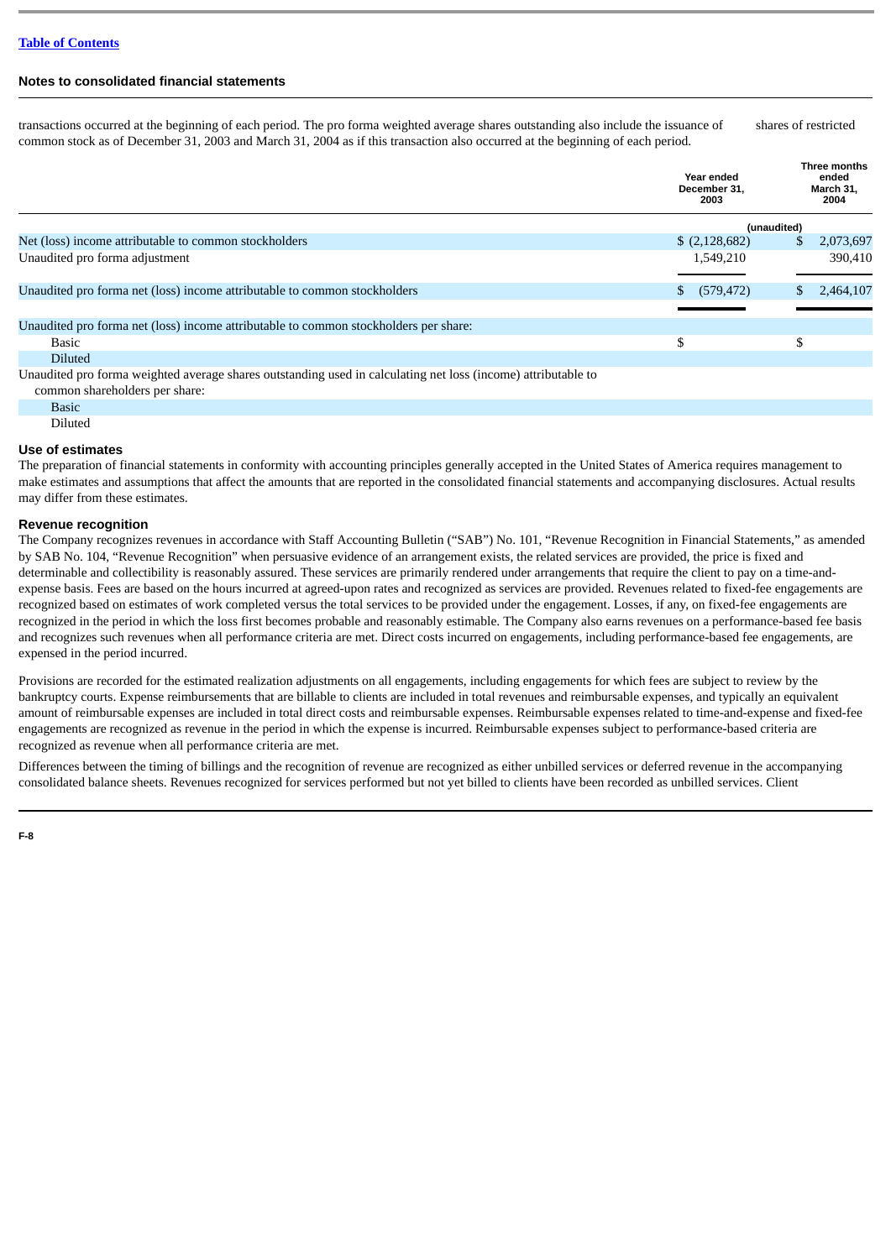transactions occurred at the beginning of each period. The pro forma weighted average shares outstanding also include the issuance of shares of restricted common stock as of December 31, 2003 and March 31, 2004 as if this transaction also occurred at the beginning of each period.

**Year ended December 31, 2003 Three months ended March 31, 2004** (**unaudited**)<br>\$ (2,128,682) Net (loss) income attributable to common stockholders  $\sim$  8 (2,128,682)  $\sim$  5 2,073,697 Unaudited pro forma adjustment 390,410 390,410 390,410 390,410 390,410 390,410 390,410 390,410 390,410 390,410 Unaudited pro forma net (loss) income attributable to common stockholders  $\qquad \qquad$  \$ (579,472) \$ 2,464,107 Unaudited pro forma net (loss) income attributable to common stockholders per share: Basic  $\qquad \qquad \text{S}$ Diluted Unaudited pro forma weighted average shares outstanding used in calculating net loss (income) attributable to common shareholders per share:

**Basic Community of the Community of Community of the Community of Community** of the Community of the Community of

Diluted

## **Use of estimates**

The preparation of financial statements in conformity with accounting principles generally accepted in the United States of America requires management to make estimates and assumptions that affect the amounts that are reported in the consolidated financial statements and accompanying disclosures. Actual results may differ from these estimates.

#### **Revenue recognition**

The Company recognizes revenues in accordance with Staff Accounting Bulletin ("SAB") No. 101, "Revenue Recognition in Financial Statements," as amended by SAB No. 104, "Revenue Recognition" when persuasive evidence of an arrangement exists, the related services are provided, the price is fixed and determinable and collectibility is reasonably assured. These services are primarily rendered under arrangements that require the client to pay on a time-andexpense basis. Fees are based on the hours incurred at agreed-upon rates and recognized as services are provided. Revenues related to fixed-fee engagements are recognized based on estimates of work completed versus the total services to be provided under the engagement. Losses, if any, on fixed-fee engagements are recognized in the period in which the loss first becomes probable and reasonably estimable. The Company also earns revenues on a performance-based fee basis and recognizes such revenues when all performance criteria are met. Direct costs incurred on engagements, including performance-based fee engagements, are expensed in the period incurred.

Provisions are recorded for the estimated realization adjustments on all engagements, including engagements for which fees are subject to review by the bankruptcy courts. Expense reimbursements that are billable to clients are included in total revenues and reimbursable expenses, and typically an equivalent amount of reimbursable expenses are included in total direct costs and reimbursable expenses. Reimbursable expenses related to time-and-expense and fixed-fee engagements are recognized as revenue in the period in which the expense is incurred. Reimbursable expenses subject to performance-based criteria are recognized as revenue when all performance criteria are met.

Differences between the timing of billings and the recognition of revenue are recognized as either unbilled services or deferred revenue in the accompanying consolidated balance sheets. Revenues recognized for services performed but not yet billed to clients have been recorded as unbilled services. Client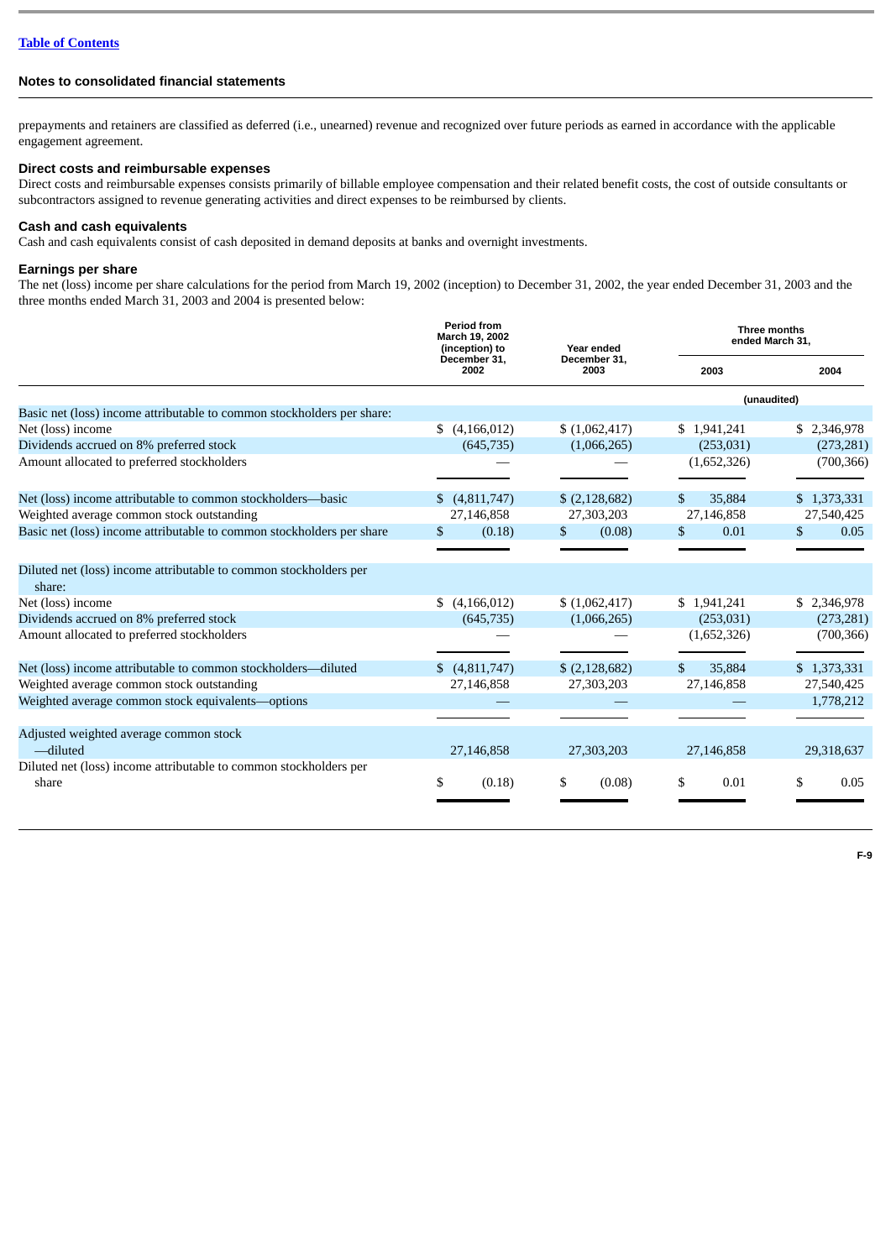prepayments and retainers are classified as deferred (i.e., unearned) revenue and recognized over future periods as earned in accordance with the applicable engagement agreement.

## **Direct costs and reimbursable expenses**

Direct costs and reimbursable expenses consists primarily of billable employee compensation and their related benefit costs, the cost of outside consultants or subcontractors assigned to revenue generating activities and direct expenses to be reimbursed by clients.

# **Cash and cash equivalents**

Cash and cash equivalents consist of cash deposited in demand deposits at banks and overnight investments.

## **Earnings per share**

The net (loss) income per share calculations for the period from March 19, 2002 (inception) to December 31, 2002, the year ended December 31, 2003 and the three months ended March 31, 2003 and 2004 is presented below:

|                                                                             | <b>Period from</b><br>March 19, 2002<br>(inception) to | Year ended           |               | <b>Three months</b><br>ended March 31, |  |
|-----------------------------------------------------------------------------|--------------------------------------------------------|----------------------|---------------|----------------------------------------|--|
|                                                                             | December 31,<br>2002                                   | December 31,<br>2003 | 2003          | 2004                                   |  |
|                                                                             |                                                        |                      | (unaudited)   |                                        |  |
| Basic net (loss) income attributable to common stockholders per share:      |                                                        |                      |               |                                        |  |
| Net (loss) income                                                           | \$(4,166,012)                                          | \$(1,062,417)        | \$1,941,241   | \$2,346,978                            |  |
| Dividends accrued on 8% preferred stock                                     | (645, 735)                                             | (1,066,265)          | (253, 031)    | (273, 281)                             |  |
| Amount allocated to preferred stockholders                                  |                                                        |                      | (1,652,326)   | (700, 366)                             |  |
| Net (loss) income attributable to common stockholders—basic                 | \$(4,811,747)                                          | (2,128,682)          | 35,884<br>\$. | \$1,373,331                            |  |
| Weighted average common stock outstanding                                   | 27,146,858                                             | 27,303,203           | 27,146,858    | 27,540,425                             |  |
| Basic net (loss) income attributable to common stockholders per share       | \$<br>(0.18)                                           | \$<br>(0.08)         | \$<br>0.01    | 0.05<br>\$                             |  |
|                                                                             |                                                        |                      |               |                                        |  |
| Diluted net (loss) income attributable to common stockholders per<br>share: |                                                        |                      |               |                                        |  |
| Net (loss) income                                                           | \$(4,166,012)                                          | \$(1,062,417)        | \$1,941,241   | \$2,346,978                            |  |
| Dividends accrued on 8% preferred stock                                     | (645, 735)                                             | (1,066,265)          | (253,031)     | (273, 281)                             |  |
| Amount allocated to preferred stockholders                                  |                                                        |                      | (1,652,326)   | (700, 366)                             |  |
|                                                                             |                                                        |                      |               |                                        |  |
| Net (loss) income attributable to common stockholders-diluted               | \$(4,811,747)                                          | (2,128,682)          | \$<br>35,884  | \$1,373,331                            |  |
| Weighted average common stock outstanding                                   | 27,146,858                                             | 27,303,203           | 27,146,858    | 27,540,425                             |  |
| Weighted average common stock equivalents—options                           |                                                        |                      |               | 1,778,212                              |  |
|                                                                             |                                                        |                      |               |                                        |  |
| Adjusted weighted average common stock<br>-diluted                          | 27,146,858                                             | 27,303,203           | 27,146,858    | 29,318,637                             |  |
| Diluted net (loss) income attributable to common stockholders per           |                                                        |                      |               |                                        |  |
| share                                                                       | \$<br>(0.18)                                           | (0.08)<br>S.         | 0.01<br>S     | \$<br>0.05                             |  |
|                                                                             |                                                        |                      |               |                                        |  |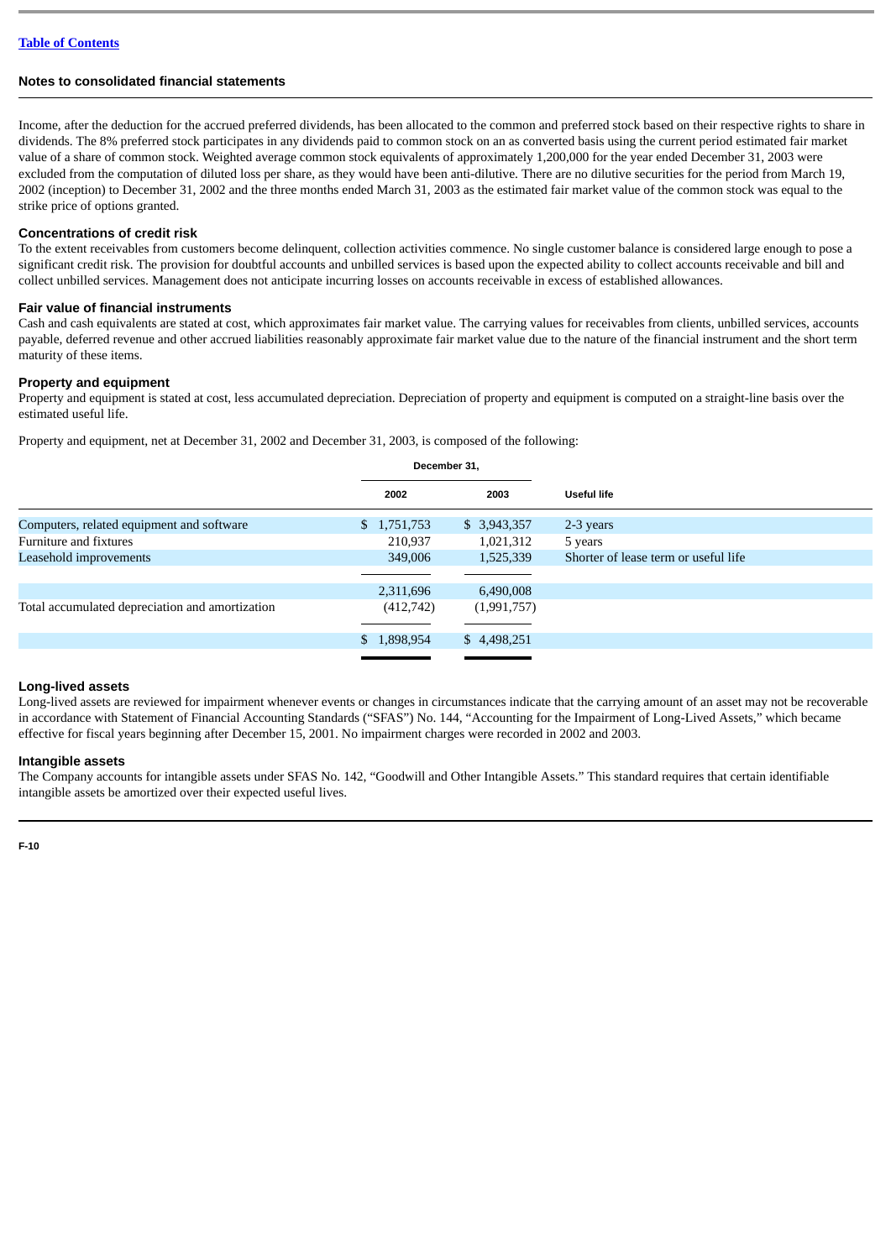Income, after the deduction for the accrued preferred dividends, has been allocated to the common and preferred stock based on their respective rights to share in dividends. The 8% preferred stock participates in any dividends paid to common stock on an as converted basis using the current period estimated fair market value of a share of common stock. Weighted average common stock equivalents of approximately 1,200,000 for the year ended December 31, 2003 were excluded from the computation of diluted loss per share, as they would have been anti-dilutive. There are no dilutive securities for the period from March 19, 2002 (inception) to December 31, 2002 and the three months ended March 31, 2003 as the estimated fair market value of the common stock was equal to the strike price of options granted.

#### **Concentrations of credit risk**

To the extent receivables from customers become delinquent, collection activities commence. No single customer balance is considered large enough to pose a significant credit risk. The provision for doubtful accounts and unbilled services is based upon the expected ability to collect accounts receivable and bill and collect unbilled services. Management does not anticipate incurring losses on accounts receivable in excess of established allowances.

## **Fair value of financial instruments**

Cash and cash equivalents are stated at cost, which approximates fair market value. The carrying values for receivables from clients, unbilled services, accounts payable, deferred revenue and other accrued liabilities reasonably approximate fair market value due to the nature of the financial instrument and the short term maturity of these items.

## **Property and equipment**

Property and equipment is stated at cost, less accumulated depreciation. Depreciation of property and equipment is computed on a straight-line basis over the estimated useful life.

Property and equipment, net at December 31, 2002 and December 31, 2003, is composed of the following:

|                                                 | December 31. |             |                                      |
|-------------------------------------------------|--------------|-------------|--------------------------------------|
|                                                 | 2002         | 2003        | Useful life                          |
| Computers, related equipment and software       | \$1,751,753  | \$3,943,357 | 2-3 years                            |
| Furniture and fixtures                          | 210,937      | 1,021,312   | 5 years                              |
| Leasehold improvements                          | 349,006      | 1,525,339   | Shorter of lease term or useful life |
|                                                 |              |             |                                      |
|                                                 | 2,311,696    | 6,490,008   |                                      |
| Total accumulated depreciation and amortization | (412,742)    | (1,991,757) |                                      |
|                                                 | \$1,898,954  | \$4,498,251 |                                      |
|                                                 |              |             |                                      |

#### **Long-lived assets**

Long-lived assets are reviewed for impairment whenever events or changes in circumstances indicate that the carrying amount of an asset may not be recoverable in accordance with Statement of Financial Accounting Standards ("SFAS") No. 144, "Accounting for the Impairment of Long-Lived Assets," which became effective for fiscal years beginning after December 15, 2001. No impairment charges were recorded in 2002 and 2003.

#### **Intangible assets**

The Company accounts for intangible assets under SFAS No. 142, "Goodwill and Other Intangible Assets." This standard requires that certain identifiable intangible assets be amortized over their expected useful lives.

**F-10**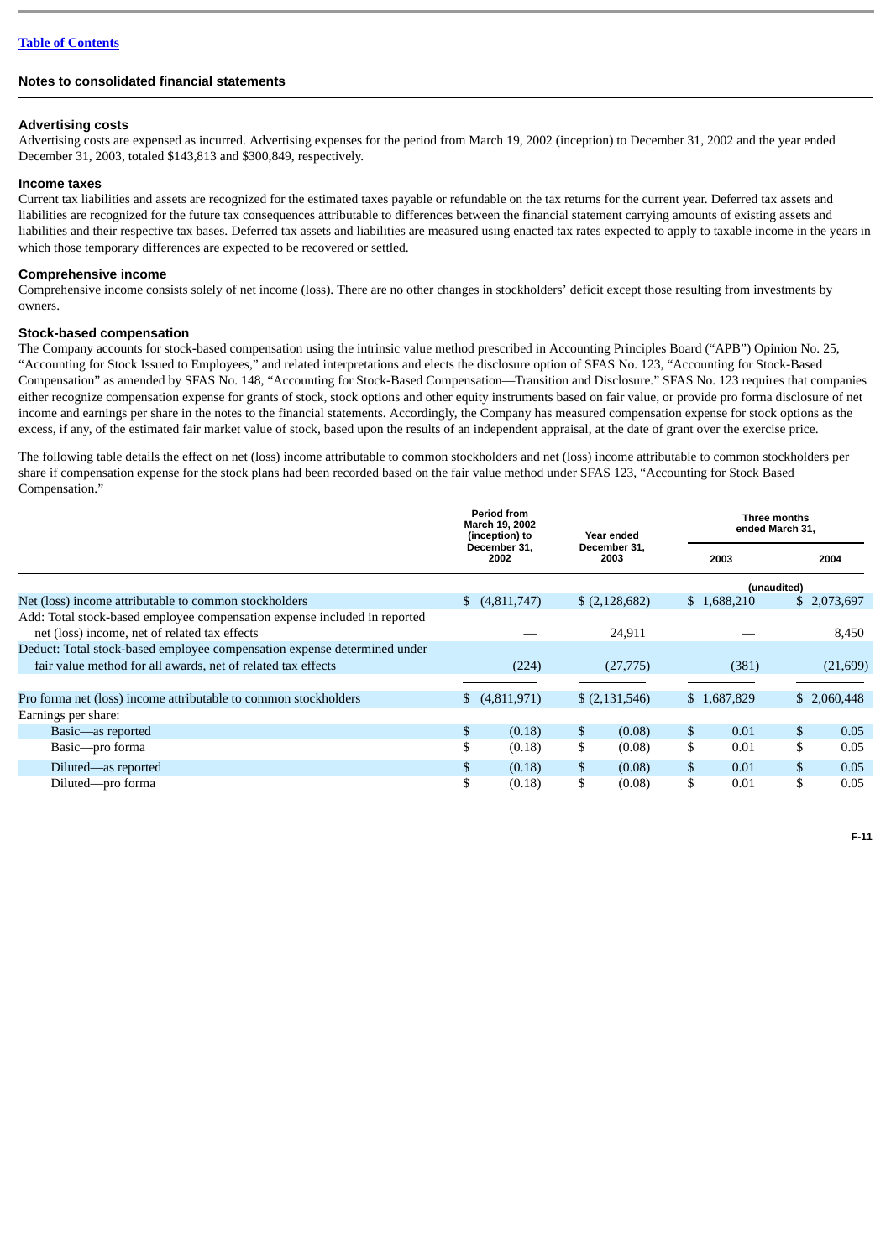## **Advertising costs**

Advertising costs are expensed as incurred. Advertising expenses for the period from March 19, 2002 (inception) to December 31, 2002 and the year ended December 31, 2003, totaled \$143,813 and \$300,849, respectively.

#### **Income taxes**

Current tax liabilities and assets are recognized for the estimated taxes payable or refundable on the tax returns for the current year. Deferred tax assets and liabilities are recognized for the future tax consequences attributable to differences between the financial statement carrying amounts of existing assets and liabilities and their respective tax bases. Deferred tax assets and liabilities are measured using enacted tax rates expected to apply to taxable income in the years in which those temporary differences are expected to be recovered or settled.

#### **Comprehensive income**

Comprehensive income consists solely of net income (loss). There are no other changes in stockholders' deficit except those resulting from investments by owners.

## **Stock-based compensation**

The Company accounts for stock-based compensation using the intrinsic value method prescribed in Accounting Principles Board ("APB") Opinion No. 25, "Accounting for Stock Issued to Employees," and related interpretations and elects the disclosure option of SFAS No. 123, "Accounting for Stock-Based Compensation" as amended by SFAS No. 148, "Accounting for Stock-Based Compensation—Transition and Disclosure." SFAS No. 123 requires that companies either recognize compensation expense for grants of stock, stock options and other equity instruments based on fair value, or provide pro forma disclosure of net income and earnings per share in the notes to the financial statements. Accordingly, the Company has measured compensation expense for stock options as the excess, if any, of the estimated fair market value of stock, based upon the results of an independent appraisal, at the date of grant over the exercise price.

The following table details the effect on net (loss) income attributable to common stockholders and net (loss) income attributable to common stockholders per share if compensation expense for the stock plans had been recorded based on the fair value method under SFAS 123, "Accounting for Stock Based Compensation."

|                                                                                                                                          |                      | <b>Period from</b><br>Year ended<br>(inception) to |                      | March 19, 2002 |      |             | Three months<br>ended March 31, |             |
|------------------------------------------------------------------------------------------------------------------------------------------|----------------------|----------------------------------------------------|----------------------|----------------|------|-------------|---------------------------------|-------------|
|                                                                                                                                          | December 31,<br>2002 |                                                    | December 31.<br>2003 |                | 2003 |             |                                 | 2004        |
|                                                                                                                                          |                      |                                                    |                      |                |      |             | (unaudited)                     |             |
| Net (loss) income attributable to common stockholders                                                                                    | \$                   | (4,811,747)                                        |                      | (2,128,682)    |      | \$1.688,210 |                                 | \$2,073,697 |
| Add: Total stock-based employee compensation expense included in reported<br>net (loss) income, net of related tax effects               |                      |                                                    |                      | 24,911         |      |             |                                 | 8,450       |
| Deduct: Total stock-based employee compensation expense determined under<br>fair value method for all awards, net of related tax effects |                      | (224)                                              |                      | (27, 775)      |      | (381)       |                                 | (21,699)    |
|                                                                                                                                          |                      |                                                    |                      |                |      |             |                                 |             |
| Pro forma net (loss) income attributable to common stockholders                                                                          |                      | (4,811,971)                                        |                      | (2,131,546)    |      | \$1,687,829 |                                 | \$2,060,448 |
| Earnings per share:                                                                                                                      |                      |                                                    |                      |                |      |             |                                 |             |
| Basic-as reported                                                                                                                        | \$                   | (0.18)                                             | \$                   | (0.08)         | \$   | 0.01        | \$                              | 0.05        |
| Basic-pro forma                                                                                                                          | \$                   | (0.18)                                             | \$                   | (0.08)         | \$   | 0.01        | \$                              | 0.05        |
| Diluted—as reported                                                                                                                      | \$                   | (0.18)                                             | \$                   | (0.08)         | \$   | 0.01        | \$                              | 0.05        |
| Diluted-pro forma                                                                                                                        | \$                   | (0.18)                                             | \$                   | (0.08)         | \$   | 0.01        | \$                              | 0.05        |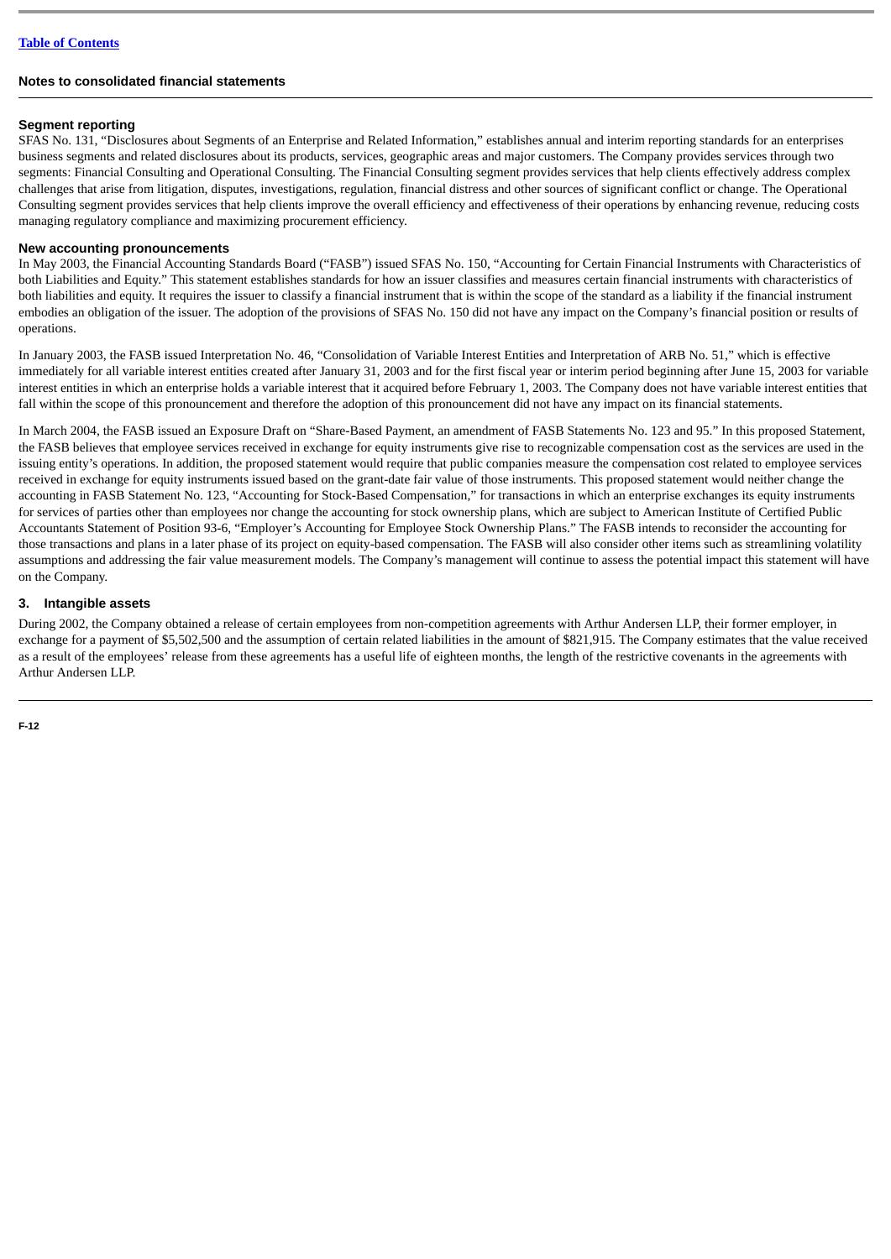## **Segment reporting**

SFAS No. 131, "Disclosures about Segments of an Enterprise and Related Information," establishes annual and interim reporting standards for an enterprises business segments and related disclosures about its products, services, geographic areas and major customers. The Company provides services through two segments: Financial Consulting and Operational Consulting. The Financial Consulting segment provides services that help clients effectively address complex challenges that arise from litigation, disputes, investigations, regulation, financial distress and other sources of significant conflict or change. The Operational Consulting segment provides services that help clients improve the overall efficiency and effectiveness of their operations by enhancing revenue, reducing costs managing regulatory compliance and maximizing procurement efficiency.

## **New accounting pronouncements**

In May 2003, the Financial Accounting Standards Board ("FASB") issued SFAS No. 150, "Accounting for Certain Financial Instruments with Characteristics of both Liabilities and Equity." This statement establishes standards for how an issuer classifies and measures certain financial instruments with characteristics of both liabilities and equity. It requires the issuer to classify a financial instrument that is within the scope of the standard as a liability if the financial instrument embodies an obligation of the issuer. The adoption of the provisions of SFAS No. 150 did not have any impact on the Company's financial position or results of operations.

In January 2003, the FASB issued Interpretation No. 46, "Consolidation of Variable Interest Entities and Interpretation of ARB No. 51," which is effective immediately for all variable interest entities created after January 31, 2003 and for the first fiscal year or interim period beginning after June 15, 2003 for variable interest entities in which an enterprise holds a variable interest that it acquired before February 1, 2003. The Company does not have variable interest entities that fall within the scope of this pronouncement and therefore the adoption of this pronouncement did not have any impact on its financial statements.

In March 2004, the FASB issued an Exposure Draft on "Share-Based Payment, an amendment of FASB Statements No. 123 and 95." In this proposed Statement, the FASB believes that employee services received in exchange for equity instruments give rise to recognizable compensation cost as the services are used in the issuing entity's operations. In addition, the proposed statement would require that public companies measure the compensation cost related to employee services received in exchange for equity instruments issued based on the grant-date fair value of those instruments. This proposed statement would neither change the accounting in FASB Statement No. 123, "Accounting for Stock-Based Compensation," for transactions in which an enterprise exchanges its equity instruments for services of parties other than employees nor change the accounting for stock ownership plans, which are subject to American Institute of Certified Public Accountants Statement of Position 93-6, "Employer's Accounting for Employee Stock Ownership Plans." The FASB intends to reconsider the accounting for those transactions and plans in a later phase of its project on equity-based compensation. The FASB will also consider other items such as streamlining volatility assumptions and addressing the fair value measurement models. The Company's management will continue to assess the potential impact this statement will have on the Company.

## **3. Intangible assets**

During 2002, the Company obtained a release of certain employees from non-competition agreements with Arthur Andersen LLP, their former employer, in exchange for a payment of \$5,502,500 and the assumption of certain related liabilities in the amount of \$821,915. The Company estimates that the value received as a result of the employees' release from these agreements has a useful life of eighteen months, the length of the restrictive covenants in the agreements with Arthur Andersen LLP.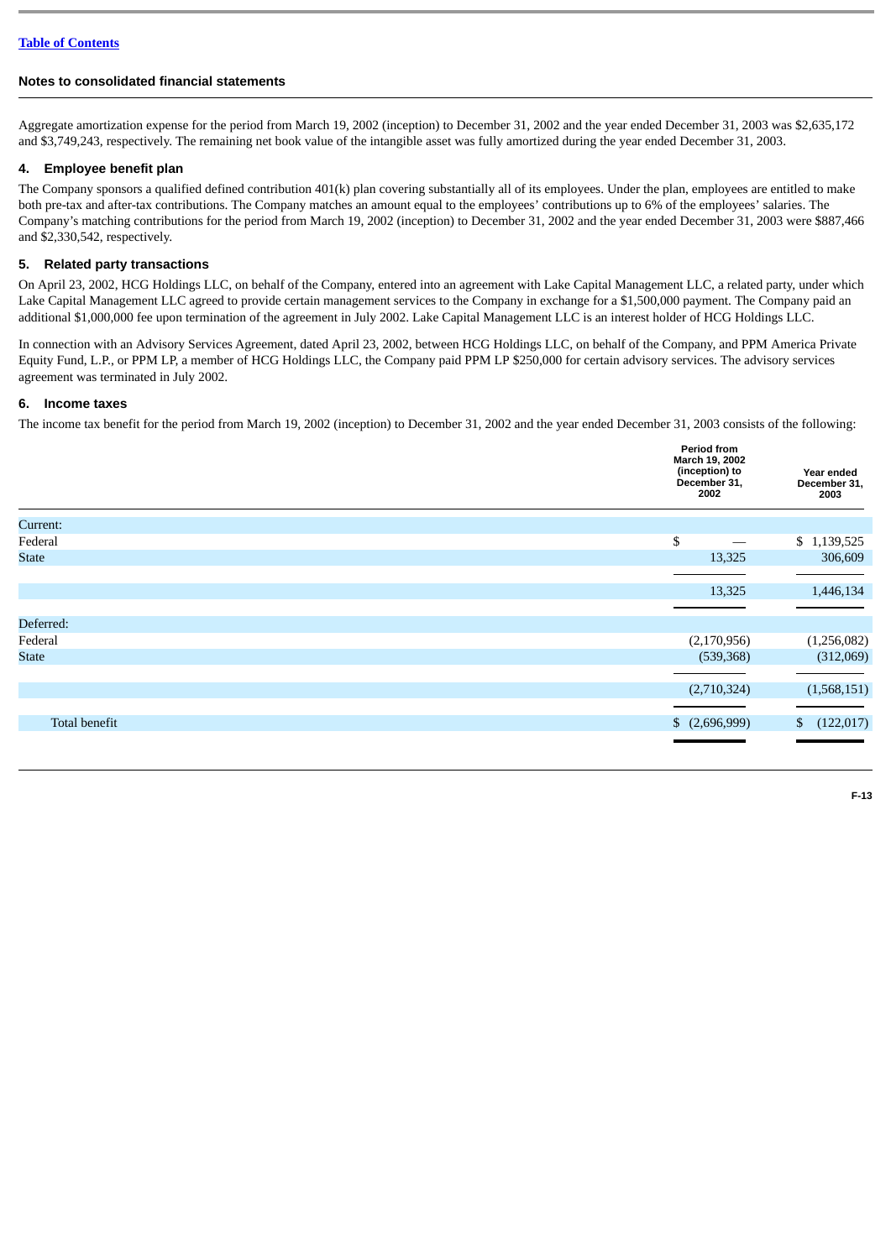Aggregate amortization expense for the period from March 19, 2002 (inception) to December 31, 2002 and the year ended December 31, 2003 was \$2,635,172 and \$3,749,243, respectively. The remaining net book value of the intangible asset was fully amortized during the year ended December 31, 2003.

## **4. Employee benefit plan**

The Company sponsors a qualified defined contribution 401(k) plan covering substantially all of its employees. Under the plan, employees are entitled to make both pre-tax and after-tax contributions. The Company matches an amount equal to the employees' contributions up to 6% of the employees' salaries. The Company's matching contributions for the period from March 19, 2002 (inception) to December 31, 2002 and the year ended December 31, 2003 were \$887,466 and \$2,330,542, respectively.

# **5. Related party transactions**

On April 23, 2002, HCG Holdings LLC, on behalf of the Company, entered into an agreement with Lake Capital Management LLC, a related party, under which Lake Capital Management LLC agreed to provide certain management services to the Company in exchange for a \$1,500,000 payment. The Company paid an additional \$1,000,000 fee upon termination of the agreement in July 2002. Lake Capital Management LLC is an interest holder of HCG Holdings LLC.

In connection with an Advisory Services Agreement, dated April 23, 2002, between HCG Holdings LLC, on behalf of the Company, and PPM America Private Equity Fund, L.P., or PPM LP, a member of HCG Holdings LLC, the Company paid PPM LP \$250,000 for certain advisory services. The advisory services agreement was terminated in July 2002.

## **6. Income taxes**

The income tax benefit for the period from March 19, 2002 (inception) to December 31, 2002 and the year ended December 31, 2003 consists of the following:

|                      | Period from<br>March 19, 2002<br>(inception) to<br>December 31,<br>2002 | Year ended<br>December 31,<br>2003 |  |
|----------------------|-------------------------------------------------------------------------|------------------------------------|--|
| Current:             |                                                                         |                                    |  |
| Federal              | \$                                                                      | \$1,139,525                        |  |
| <b>State</b>         | 13,325                                                                  | 306,609                            |  |
|                      |                                                                         |                                    |  |
|                      | 13,325                                                                  | 1,446,134                          |  |
|                      |                                                                         |                                    |  |
| Deferred:            |                                                                         |                                    |  |
| Federal              | (2,170,956)                                                             | (1,256,082)                        |  |
| <b>State</b>         | (539, 368)                                                              | (312,069)                          |  |
|                      |                                                                         |                                    |  |
|                      | (2,710,324)                                                             | (1,568,151)                        |  |
|                      |                                                                         |                                    |  |
| <b>Total benefit</b> | (2,696,999)                                                             | (122, 017)<br>\$                   |  |
|                      |                                                                         |                                    |  |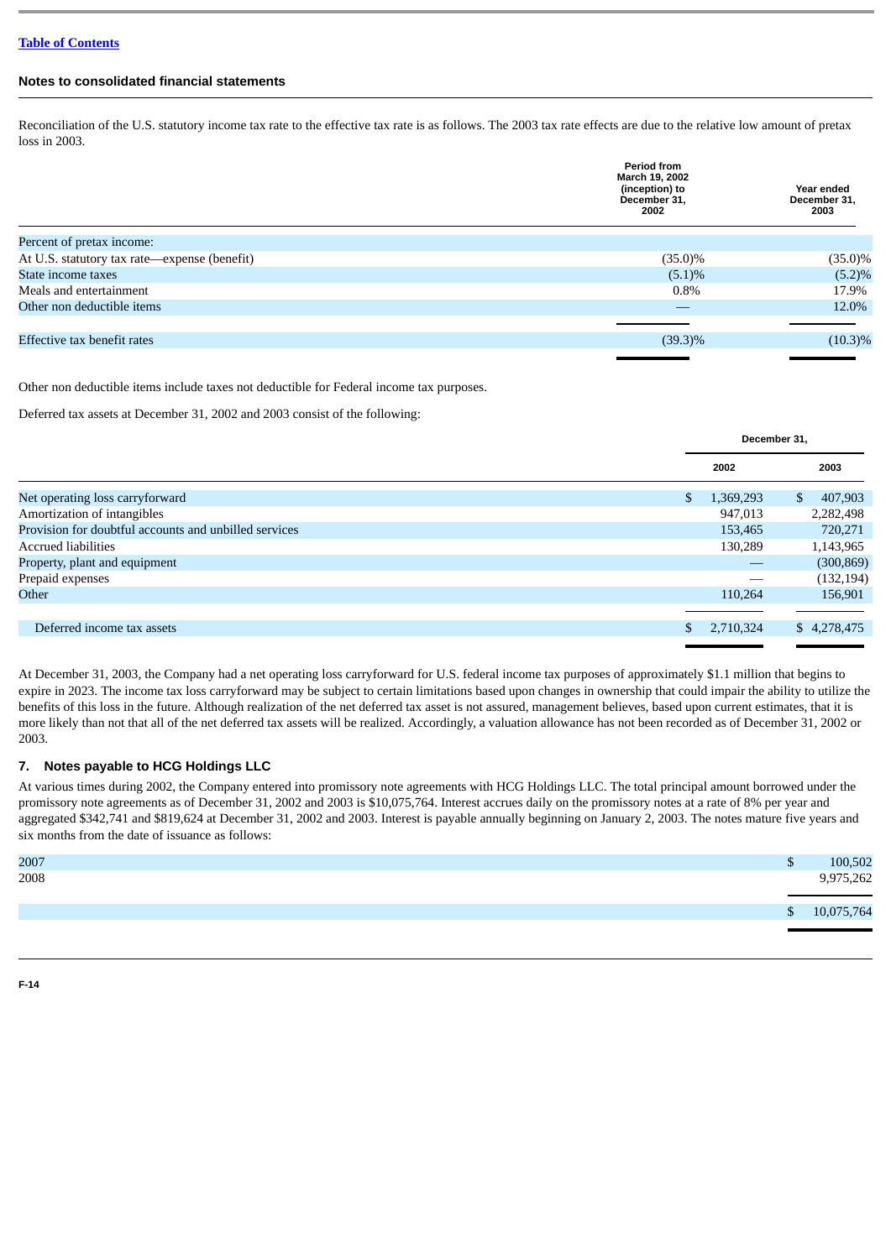#### **Table of [Contents](#page-2-0)**

# **Notes to consolidated financial statements**

Reconciliation of the U.S. statutory income tax rate to the effective tax rate is as follows. The 2003 tax rate effects are due to the relative low amount of pretax loss in 2003.

|                                              | <b>Period from</b><br>March 19, 2002<br>(inception) to<br>December 31,<br>2002 | Year ended<br>December 31,<br>2003 |
|----------------------------------------------|--------------------------------------------------------------------------------|------------------------------------|
| Percent of pretax income:                    |                                                                                |                                    |
| At U.S. statutory tax rate—expense (benefit) | $(35.0)\%$                                                                     | $(35.0)\%$                         |
| State income taxes                           | (5.1)%                                                                         | (5.2)%                             |
| Meals and entertainment                      | 0.8%                                                                           | 17.9%                              |
| Other non deductible items                   |                                                                                | 12.0%                              |
|                                              |                                                                                |                                    |
| Effective tax benefit rates                  | $(39.3)\%$                                                                     | $(10.3)\%$                         |
|                                              |                                                                                |                                    |

Other non deductible items include taxes not deductible for Federal income tax purposes.

Deferred tax assets at December 31, 2002 and 2003 consist of the following:

|                                                       |              | December 31, |     |             |
|-------------------------------------------------------|--------------|--------------|-----|-------------|
|                                                       |              | 2002         |     | 2003        |
| Net operating loss carryforward                       | $\mathbb{S}$ | 1,369,293    | \$. | 407,903     |
| Amortization of intangibles                           |              | 947,013      |     | 2,282,498   |
| Provision for doubtful accounts and unbilled services |              | 153,465      |     | 720,271     |
| Accrued liabilities                                   |              | 130,289      |     | 1,143,965   |
| Property, plant and equipment                         |              |              |     | (300, 869)  |
| Prepaid expenses                                      |              |              |     | (132, 194)  |
| Other                                                 |              | 110,264      |     | 156,901     |
|                                                       |              |              |     |             |
| Deferred income tax assets                            |              | 2,710,324    |     | \$4,278,475 |

At December 31, 2003, the Company had a net operating loss carryforward for U.S. federal income tax purposes of approximately \$1.1 million that begins to expire in 2023. The income tax loss carryforward may be subject to certain limitations based upon changes in ownership that could impair the ability to utilize the benefits of this loss in the future. Although realization of the net deferred tax asset is not assured, management believes, based upon current estimates, that it is more likely than not that all of the net deferred tax assets will be realized. Accordingly, a valuation allowance has not been recorded as of December 31, 2002 or 2003.

## **7. Notes payable to HCG Holdings LLC**

At various times during 2002, the Company entered into promissory note agreements with HCG Holdings LLC. The total principal amount borrowed under the promissory note agreements as of December 31, 2002 and 2003 is \$10,075,764. Interest accrues daily on the promissory notes at a rate of 8% per year and aggregated \$342,741 and \$819,624 at December 31, 2002 and 2003. Interest is payable annually beginning on January 2, 2003. The notes mature five years and six months from the date of issuance as follows:

| 2007 | D.           | 100,502    |
|------|--------------|------------|
| 2008 |              | 9,975,262  |
|      | <sup>S</sup> | 10,075,764 |
|      |              |            |

**F-14**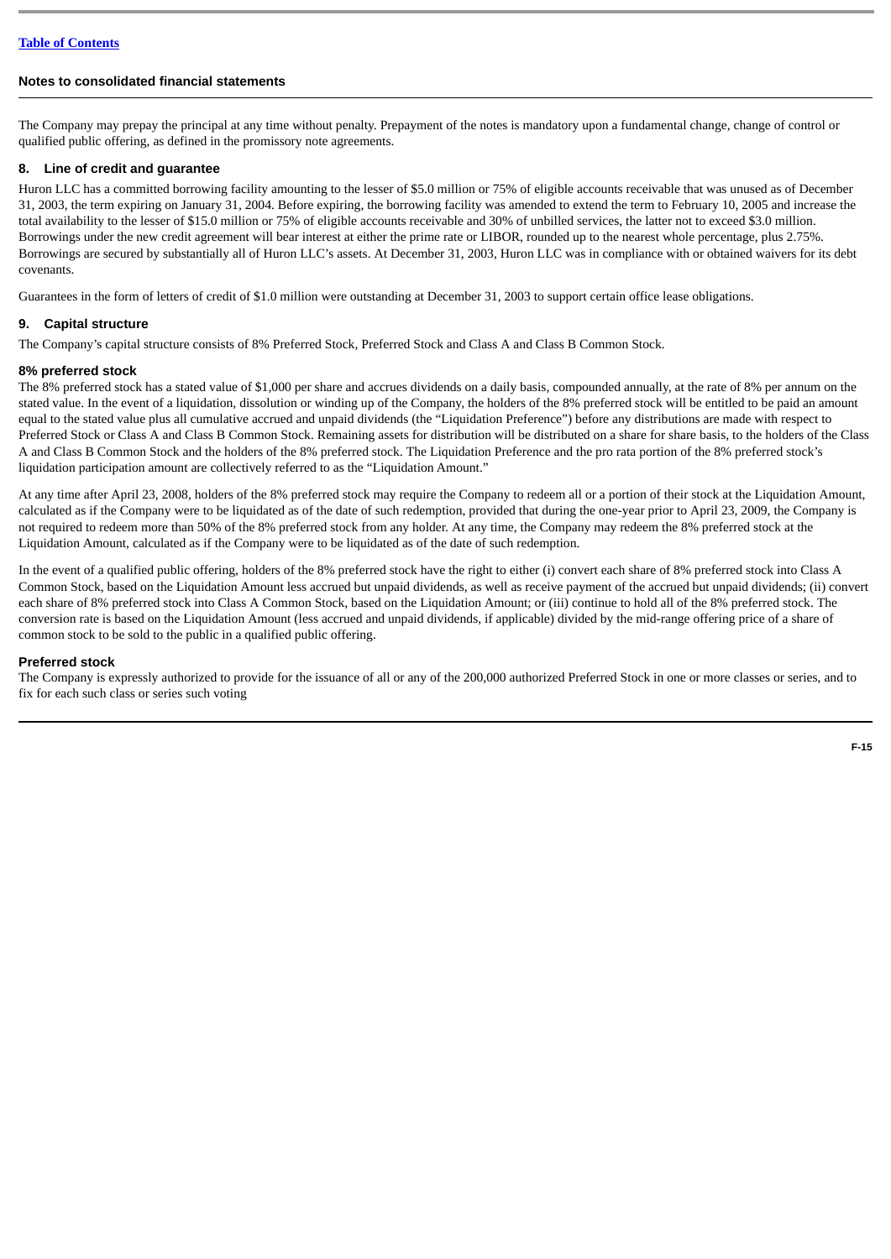The Company may prepay the principal at any time without penalty. Prepayment of the notes is mandatory upon a fundamental change, change of control or qualified public offering, as defined in the promissory note agreements.

## **8. Line of credit and guarantee**

Huron LLC has a committed borrowing facility amounting to the lesser of \$5.0 million or 75% of eligible accounts receivable that was unused as of December 31, 2003, the term expiring on January 31, 2004. Before expiring, the borrowing facility was amended to extend the term to February 10, 2005 and increase the total availability to the lesser of \$15.0 million or 75% of eligible accounts receivable and 30% of unbilled services, the latter not to exceed \$3.0 million. Borrowings under the new credit agreement will bear interest at either the prime rate or LIBOR, rounded up to the nearest whole percentage, plus 2.75%. Borrowings are secured by substantially all of Huron LLC's assets. At December 31, 2003, Huron LLC was in compliance with or obtained waivers for its debt covenants.

Guarantees in the form of letters of credit of \$1.0 million were outstanding at December 31, 2003 to support certain office lease obligations.

# **9. Capital structure**

The Company's capital structure consists of 8% Preferred Stock, Preferred Stock and Class A and Class B Common Stock.

## **8% preferred stock**

The 8% preferred stock has a stated value of \$1,000 per share and accrues dividends on a daily basis, compounded annually, at the rate of 8% per annum on the stated value. In the event of a liquidation, dissolution or winding up of the Company, the holders of the 8% preferred stock will be entitled to be paid an amount equal to the stated value plus all cumulative accrued and unpaid dividends (the "Liquidation Preference") before any distributions are made with respect to Preferred Stock or Class A and Class B Common Stock. Remaining assets for distribution will be distributed on a share for share basis, to the holders of the Class A and Class B Common Stock and the holders of the 8% preferred stock. The Liquidation Preference and the pro rata portion of the 8% preferred stock's liquidation participation amount are collectively referred to as the "Liquidation Amount."

At any time after April 23, 2008, holders of the 8% preferred stock may require the Company to redeem all or a portion of their stock at the Liquidation Amount, calculated as if the Company were to be liquidated as of the date of such redemption, provided that during the one-year prior to April 23, 2009, the Company is not required to redeem more than 50% of the 8% preferred stock from any holder. At any time, the Company may redeem the 8% preferred stock at the Liquidation Amount, calculated as if the Company were to be liquidated as of the date of such redemption.

In the event of a qualified public offering, holders of the 8% preferred stock have the right to either (i) convert each share of 8% preferred stock into Class A Common Stock, based on the Liquidation Amount less accrued but unpaid dividends, as well as receive payment of the accrued but unpaid dividends; (ii) convert each share of 8% preferred stock into Class A Common Stock, based on the Liquidation Amount; or (iii) continue to hold all of the 8% preferred stock. The conversion rate is based on the Liquidation Amount (less accrued and unpaid dividends, if applicable) divided by the mid-range offering price of a share of common stock to be sold to the public in a qualified public offering.

## **Preferred stock**

The Company is expressly authorized to provide for the issuance of all or any of the 200,000 authorized Preferred Stock in one or more classes or series, and to fix for each such class or series such voting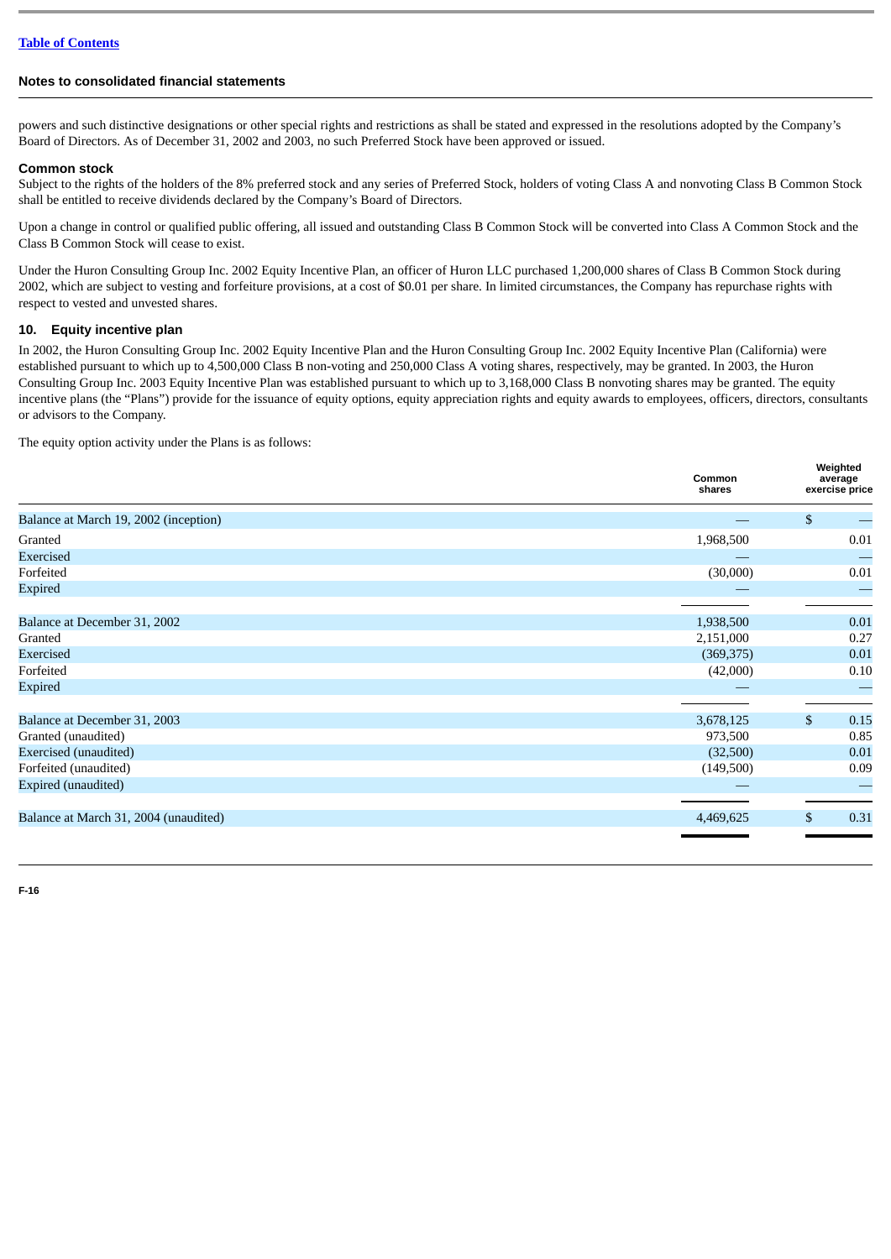powers and such distinctive designations or other special rights and restrictions as shall be stated and expressed in the resolutions adopted by the Company's Board of Directors. As of December 31, 2002 and 2003, no such Preferred Stock have been approved or issued.

#### **Common stock**

Subject to the rights of the holders of the 8% preferred stock and any series of Preferred Stock, holders of voting Class A and nonvoting Class B Common Stock shall be entitled to receive dividends declared by the Company's Board of Directors.

Upon a change in control or qualified public offering, all issued and outstanding Class B Common Stock will be converted into Class A Common Stock and the Class B Common Stock will cease to exist.

Under the Huron Consulting Group Inc. 2002 Equity Incentive Plan, an officer of Huron LLC purchased 1,200,000 shares of Class B Common Stock during 2002, which are subject to vesting and forfeiture provisions, at a cost of \$0.01 per share. In limited circumstances, the Company has repurchase rights with respect to vested and unvested shares.

#### **10. Equity incentive plan**

In 2002, the Huron Consulting Group Inc. 2002 Equity Incentive Plan and the Huron Consulting Group Inc. 2002 Equity Incentive Plan (California) were established pursuant to which up to 4,500,000 Class B non-voting and 250,000 Class A voting shares, respectively, may be granted. In 2003, the Huron Consulting Group Inc. 2003 Equity Incentive Plan was established pursuant to which up to 3,168,000 Class B nonvoting shares may be granted. The equity incentive plans (the "Plans") provide for the issuance of equity options, equity appreciation rights and equity awards to employees, officers, directors, consultants or advisors to the Company.

The equity option activity under the Plans is as follows:

|                                       | Common<br>shares |              | Weighted<br>average<br>exercise price |
|---------------------------------------|------------------|--------------|---------------------------------------|
| Balance at March 19, 2002 (inception) |                  | $\mathbb{S}$ |                                       |
| Granted                               | 1,968,500        |              | 0.01                                  |
| Exercised                             |                  |              |                                       |
| Forfeited                             | (30,000)         |              | 0.01                                  |
| <b>Expired</b>                        |                  |              | $\overline{\phantom{0}}$              |
|                                       |                  |              |                                       |
| Balance at December 31, 2002          | 1,938,500        |              | 0.01                                  |
| Granted                               | 2,151,000        |              | 0.27                                  |
| Exercised                             | (369, 375)       |              | 0.01                                  |
| Forfeited                             | (42,000)         |              | 0.10                                  |
| <b>Expired</b>                        |                  |              | $\qquad \qquad \longleftarrow$        |
|                                       |                  |              |                                       |
| Balance at December 31, 2003          | 3,678,125        | \$           | 0.15                                  |
| Granted (unaudited)                   | 973,500          |              | 0.85                                  |
| Exercised (unaudited)                 | (32,500)         |              | 0.01                                  |
| Forfeited (unaudited)                 | (149,500)        |              | 0.09                                  |
| Expired (unaudited)                   |                  |              | $\overline{\phantom{m}}$              |
|                                       |                  |              |                                       |
| Balance at March 31, 2004 (unaudited) | 4,469,625        | $\mathbf{s}$ | 0.31                                  |
|                                       |                  |              |                                       |

**F-16**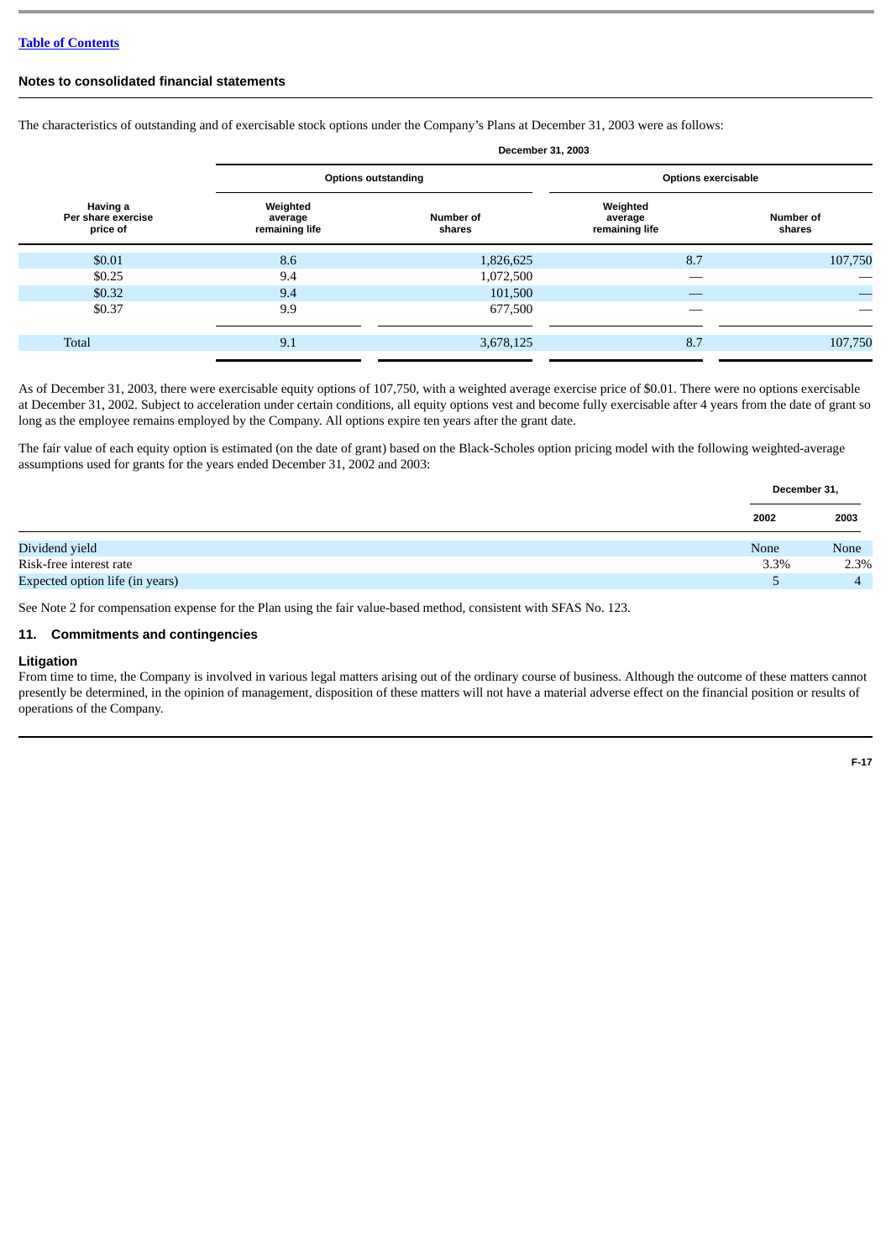The characteristics of outstanding and of exercisable stock options under the Company's Plans at December 31, 2003 were as follows:

| December 31, 2003                          |                                       |                     |                                       |                                |
|--------------------------------------------|---------------------------------------|---------------------|---------------------------------------|--------------------------------|
|                                            | <b>Options outstanding</b>            |                     | <b>Options exercisable</b>            |                                |
| Having a<br>Per share exercise<br>price of | Weighted<br>average<br>remaining life | Number of<br>shares | Weighted<br>average<br>remaining life | Number of<br>shares            |
| \$0.01                                     | 8.6                                   | 1,826,625           | 8.7                                   | 107,750                        |
| \$0.25                                     | 9.4                                   | 1,072,500           |                                       |                                |
| \$0.32                                     | 9.4                                   | 101,500             |                                       | $\qquad \qquad \longleftarrow$ |
| \$0.37                                     | 9.9                                   | 677,500             |                                       |                                |
|                                            |                                       |                     |                                       |                                |
| Total                                      | 9.1                                   | 3,678,125           | 8.7                                   | 107,750                        |
|                                            |                                       |                     |                                       |                                |

As of December 31, 2003, there were exercisable equity options of 107,750, with a weighted average exercise price of \$0.01. There were no options exercisable at December 31, 2002. Subject to acceleration under certain conditions, all equity options vest and become fully exercisable after 4 years from the date of grant so long as the employee remains employed by the Company. All options expire ten years after the grant date.

The fair value of each equity option is estimated (on the date of grant) based on the Black-Scholes option pricing model with the following weighted-average assumptions used for grants for the years ended December 31, 2002 and 2003:

|                                 | December 31, |      |
|---------------------------------|--------------|------|
|                                 | 2002         | 2003 |
| Dividend yield                  | None         | None |
| Risk-free interest rate         | 3.3%         | 2.3% |
| Expected option life (in years) | ∽            |      |

See Note 2 for compensation expense for the Plan using the fair value-based method, consistent with SFAS No. 123.

# **11. Commitments and contingencies**

#### **Litigation**

From time to time, the Company is involved in various legal matters arising out of the ordinary course of business. Although the outcome of these matters cannot presently be determined, in the opinion of management, disposition of these matters will not have a material adverse effect on the financial position or results of operations of the Company.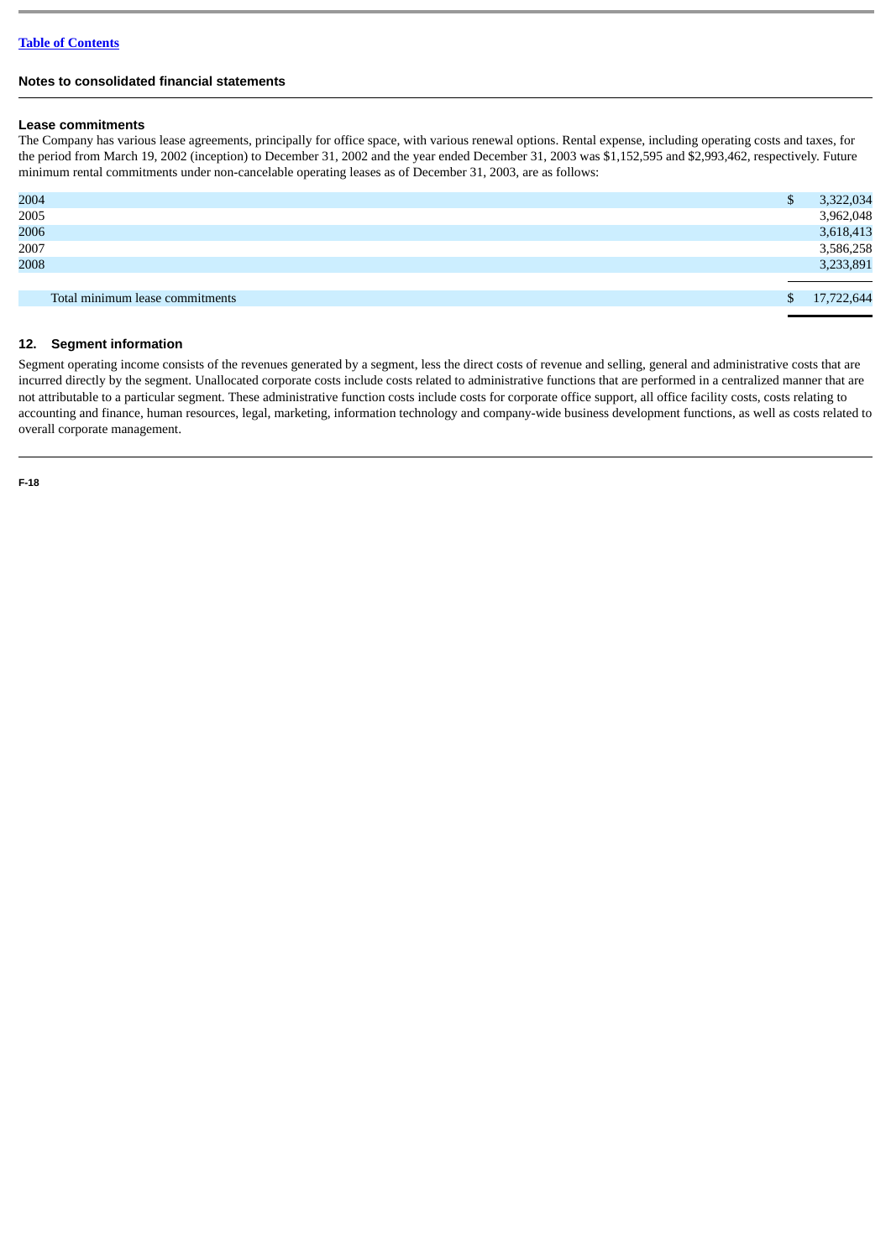#### **Lease commitments**

The Company has various lease agreements, principally for office space, with various renewal options. Rental expense, including operating costs and taxes, for the period from March 19, 2002 (inception) to December 31, 2002 and the year ended December 31, 2003 was \$1,152,595 and \$2,993,462, respectively. Future minimum rental commitments under non-cancelable operating leases as of December 31, 2003, are as follows:

| 2004 |                                 | 3,322,034  |
|------|---------------------------------|------------|
| 2005 |                                 | 3,962,048  |
| 2006 |                                 | 3,618,413  |
| 2007 |                                 | 3,586,258  |
| 2008 |                                 | 3,233,891  |
|      |                                 |            |
|      | Total minimum lease commitments | 17,722,644 |
|      |                                 |            |

## **12. Segment information**

Segment operating income consists of the revenues generated by a segment, less the direct costs of revenue and selling, general and administrative costs that are incurred directly by the segment. Unallocated corporate costs include costs related to administrative functions that are performed in a centralized manner that are not attributable to a particular segment. These administrative function costs include costs for corporate office support, all office facility costs, costs relating to accounting and finance, human resources, legal, marketing, information technology and company-wide business development functions, as well as costs related to overall corporate management.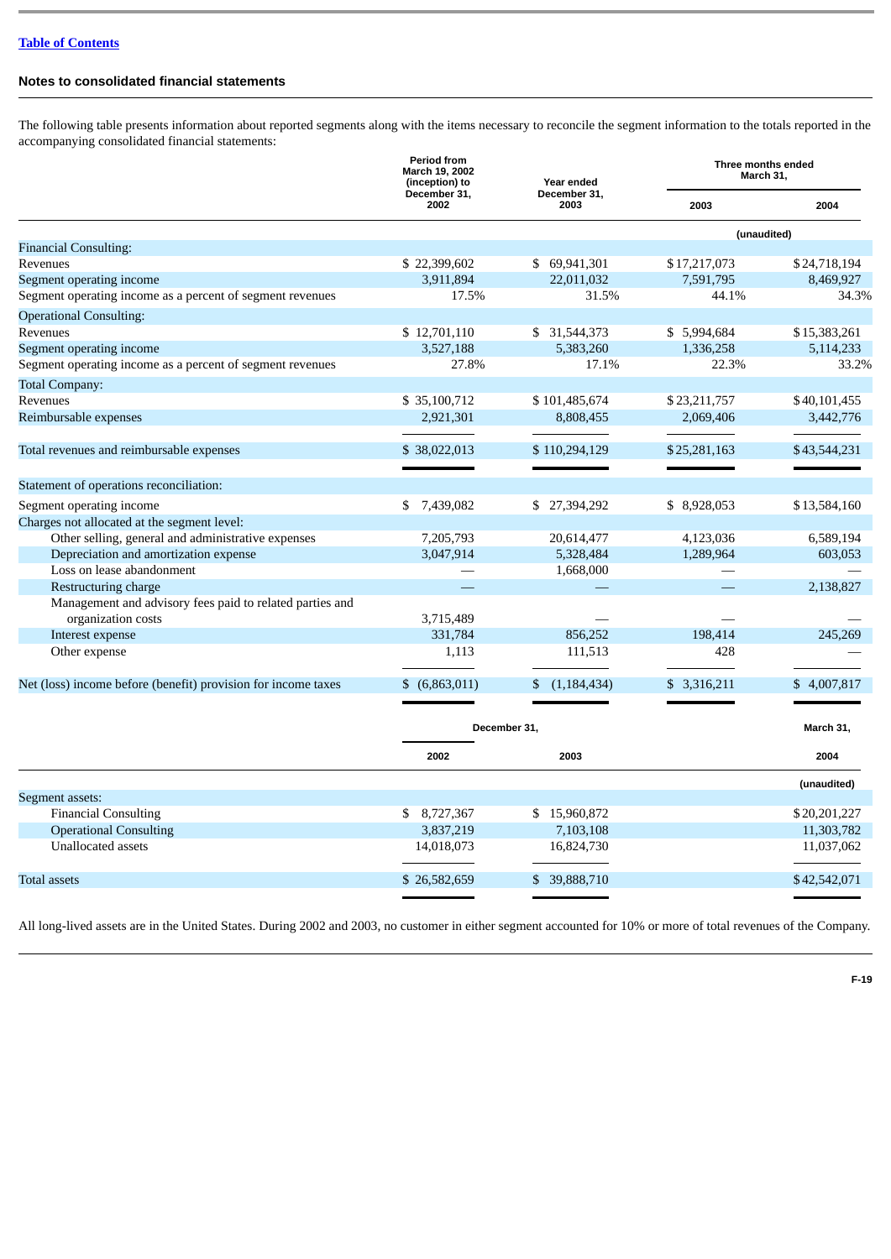The following table presents information about reported segments along with the items necessary to reconcile the segment information to the totals reported in the accompanying consolidated financial statements:

|                                                               | <b>Period from</b><br>March 19, 2002<br>(inception) to<br>December 31,<br>2002 | Year ended           | Three months ended<br>March 31, |              |  |
|---------------------------------------------------------------|--------------------------------------------------------------------------------|----------------------|---------------------------------|--------------|--|
|                                                               |                                                                                | December 31,<br>2003 | 2003                            | 2004         |  |
|                                                               |                                                                                |                      | (unaudited)                     |              |  |
| <b>Financial Consulting:</b>                                  |                                                                                |                      |                                 |              |  |
| Revenues                                                      | \$22,399,602                                                                   | \$ 69,941,301        | \$17,217,073                    | \$24,718,194 |  |
| Segment operating income                                      | 3,911,894                                                                      | 22,011,032           | 7,591,795                       | 8,469,927    |  |
| Segment operating income as a percent of segment revenues     | 17.5%                                                                          | 31.5%                | 44.1%                           | 34.3%        |  |
| <b>Operational Consulting:</b>                                |                                                                                |                      |                                 |              |  |
| Revenues                                                      | \$12,701,110                                                                   | \$ 31,544,373        | \$5,994,684                     | \$15,383,261 |  |
| Segment operating income                                      | 3,527,188                                                                      | 5,383,260            | 1,336,258                       | 5, 114, 233  |  |
| Segment operating income as a percent of segment revenues     | 27.8%                                                                          | 17.1%                | 22.3%                           | 33.2%        |  |
| <b>Total Company:</b>                                         |                                                                                |                      |                                 |              |  |
| Revenues                                                      | \$35,100,712                                                                   | \$101,485,674        | \$23,211,757                    | \$40,101,455 |  |
| Reimbursable expenses                                         | 2,921,301                                                                      | 8,808,455            | 2,069,406                       | 3,442,776    |  |
|                                                               |                                                                                |                      |                                 |              |  |
| Total revenues and reimbursable expenses                      | \$38,022,013                                                                   | \$110,294,129        | \$25,281,163                    | \$43,544,231 |  |
| Statement of operations reconciliation:                       |                                                                                |                      |                                 |              |  |
| Segment operating income                                      | 7,439,082<br>\$                                                                | \$27,394,292         | \$ 8,928,053                    | \$13,584,160 |  |
| Charges not allocated at the segment level:                   |                                                                                |                      |                                 |              |  |
| Other selling, general and administrative expenses            | 7,205,793                                                                      | 20,614,477           | 4,123,036                       | 6,589,194    |  |
| Depreciation and amortization expense                         | 3,047,914                                                                      | 5,328,484            | 1,289,964                       | 603,053      |  |
| Loss on lease abandonment                                     |                                                                                | 1,668,000            |                                 |              |  |
| Restructuring charge                                          |                                                                                |                      |                                 | 2.138.827    |  |
| Management and advisory fees paid to related parties and      |                                                                                |                      |                                 |              |  |
| organization costs                                            | 3,715,489                                                                      |                      |                                 |              |  |
| Interest expense                                              | 331,784                                                                        | 856,252              | 198,414                         | 245,269      |  |
| Other expense                                                 | 1,113                                                                          | 111,513              | 428                             |              |  |
| Net (loss) income before (benefit) provision for income taxes | $$$ (6,863,011)                                                                | (1, 184, 434)<br>S.  | \$ 3,316,211                    | \$4,007,817  |  |
|                                                               |                                                                                | December 31,         |                                 | March 31,    |  |
|                                                               | 2002                                                                           | 2003                 |                                 | 2004         |  |
|                                                               |                                                                                |                      |                                 | (unaudited)  |  |
| Segment assets:                                               |                                                                                |                      |                                 |              |  |
| <b>Financial Consulting</b>                                   | \$8,727,367                                                                    | \$15,960,872         |                                 | \$20,201,227 |  |
| <b>Operational Consulting</b>                                 | 3,837,219                                                                      | 7,103,108            |                                 | 11,303,782   |  |
| <b>Unallocated assets</b>                                     | 14,018,073                                                                     | 16,824,730           |                                 | 11,037,062   |  |
| Total assets                                                  | \$26,582,659                                                                   | \$ 39,888,710        |                                 | \$42,542,071 |  |
|                                                               |                                                                                |                      |                                 |              |  |

All long-lived assets are in the United States. During 2002 and 2003, no customer in either segment accounted for 10% or more of total revenues of the Company.

**F-19**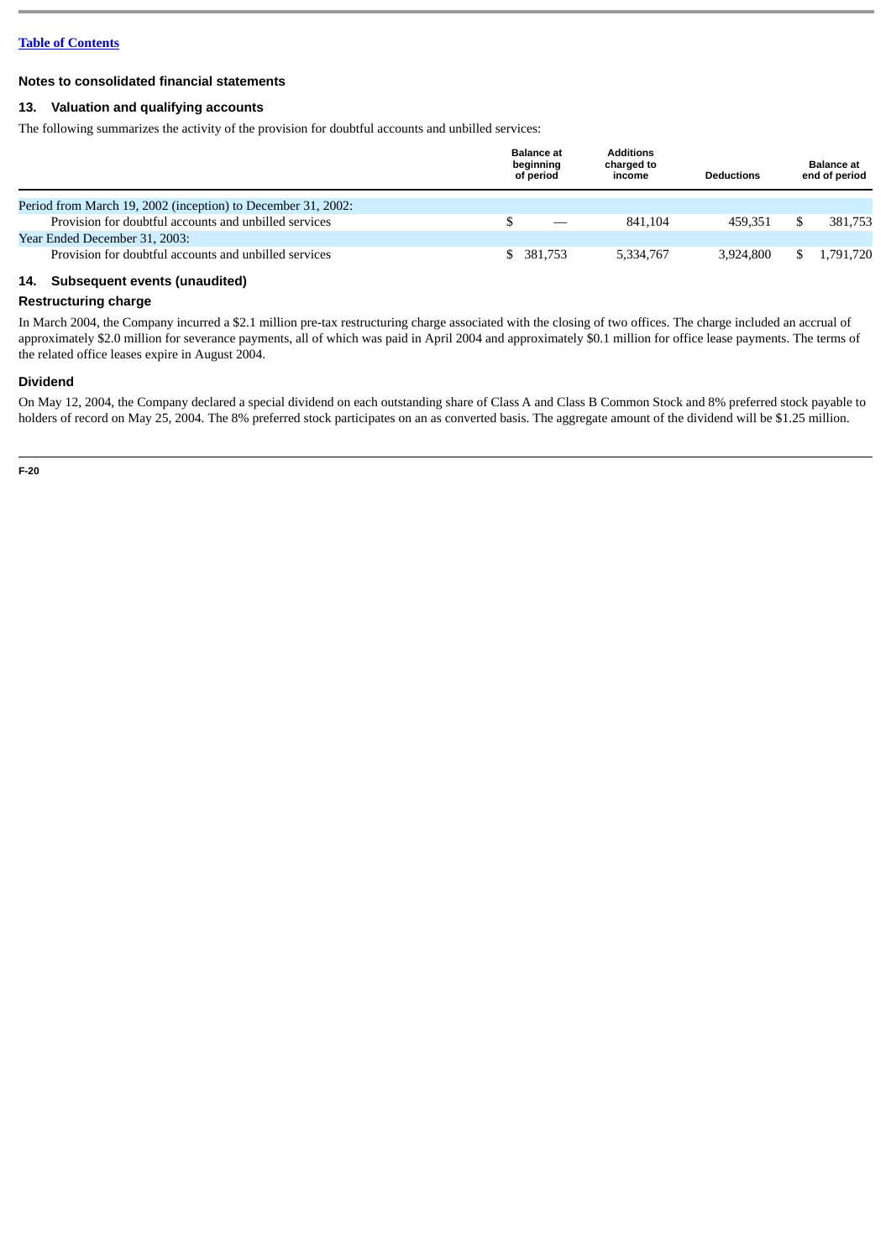## **Notes to consolidated financial statements**

## **13. Valuation and qualifying accounts**

The following summarizes the activity of the provision for doubtful accounts and unbilled services:

|                                                              | <b>Balance at</b><br>beginning<br>of period | <b>Additions</b><br>charged to<br>income | <b>Deductions</b> | <b>Balance at</b><br>end of period |
|--------------------------------------------------------------|---------------------------------------------|------------------------------------------|-------------------|------------------------------------|
| Period from March 19, 2002 (inception) to December 31, 2002: |                                             |                                          |                   |                                    |
| Provision for doubtful accounts and unbilled services        | $\equiv$                                    | 841.104                                  | 459.351           | 381.753<br>S                       |
| Year Ended December 31, 2003:                                |                                             |                                          |                   |                                    |
| Provision for doubtful accounts and unbilled services        | \$ 381,753                                  | 5.334.767                                | 3.924.800         | 1.791.720<br>\$                    |

## **14. Subsequent events (unaudited)**

## **Restructuring charge**

In March 2004, the Company incurred a \$2.1 million pre-tax restructuring charge associated with the closing of two offices. The charge included an accrual of approximately \$2.0 million for severance payments, all of which was paid in April 2004 and approximately \$0.1 million for office lease payments. The terms of the related office leases expire in August 2004.

## **Dividend**

On May 12, 2004, the Company declared a special dividend on each outstanding share of Class A and Class B Common Stock and 8% preferred stock payable to holders of record on May 25, 2004. The 8% preferred stock participates on an as converted basis. The aggregate amount of the dividend will be \$1.25 million.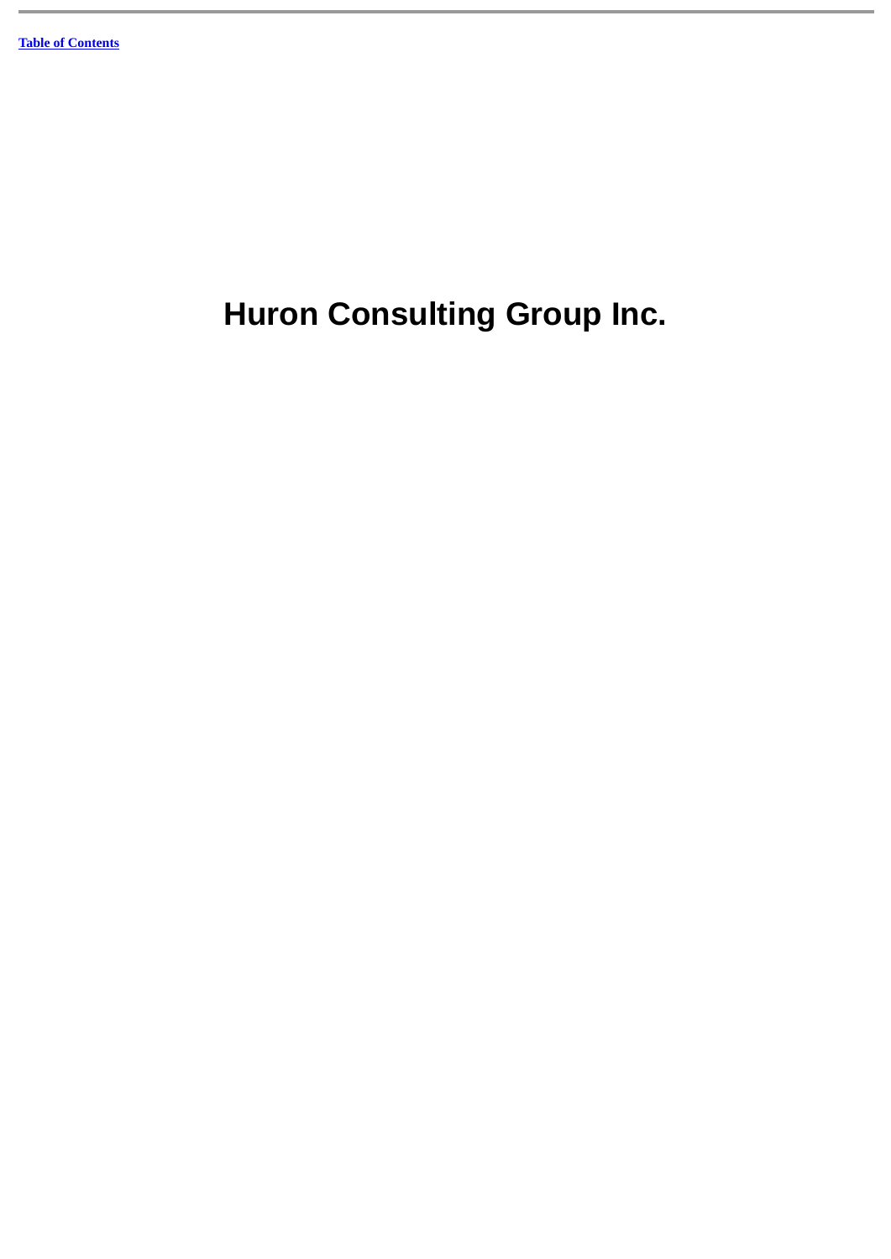**Huron Consulting Group Inc.**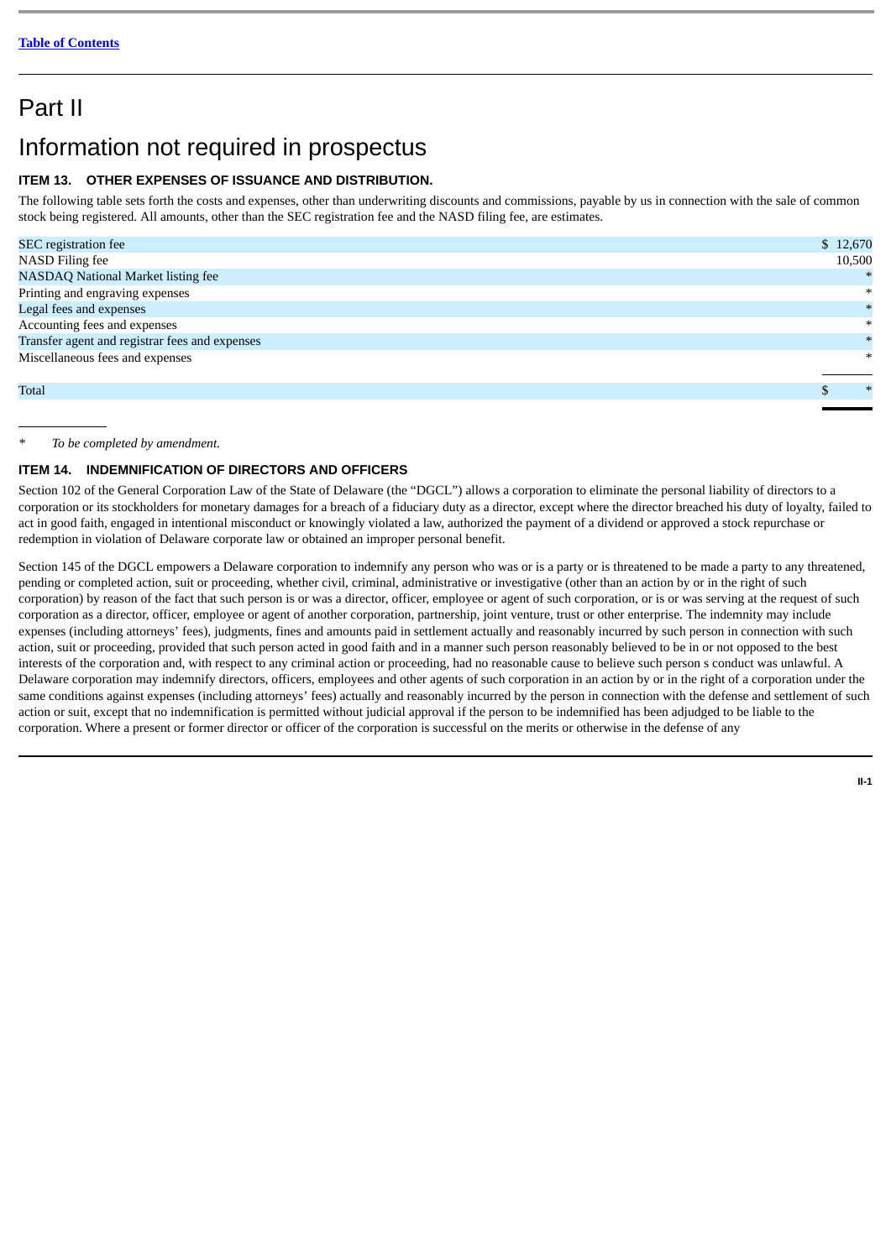# Part II

## Information not required in prospectus

## **ITEM 13. OTHER EXPENSES OF ISSUANCE AND DISTRIBUTION.**

The following table sets forth the costs and expenses, other than underwriting discounts and commissions, payable by us in connection with the sale of common stock being registered. All amounts, other than the SEC registration fee and the NASD filing fee, are estimates.

| <b>SEC</b> registration fee                    | \$12,670 |
|------------------------------------------------|----------|
| NASD Filing fee                                | 10,500   |
| NASDAQ National Market listing fee             | $*$      |
| Printing and engraving expenses                | $\ast$   |
| Legal fees and expenses                        | $*$      |
| Accounting fees and expenses                   | $\ast$   |
| Transfer agent and registrar fees and expenses |          |
| Miscellaneous fees and expenses                | $\ast$   |
|                                                |          |
| <b>Total</b>                                   | $*$      |
|                                                |          |

*\* To be completed by amendment.*

## **ITEM 14. INDEMNIFICATION OF DIRECTORS AND OFFICERS**

Section 102 of the General Corporation Law of the State of Delaware (the "DGCL") allows a corporation to eliminate the personal liability of directors to a corporation or its stockholders for monetary damages for a breach of a fiduciary duty as a director, except where the director breached his duty of loyalty, failed to act in good faith, engaged in intentional misconduct or knowingly violated a law, authorized the payment of a dividend or approved a stock repurchase or redemption in violation of Delaware corporate law or obtained an improper personal benefit.

Section 145 of the DGCL empowers a Delaware corporation to indemnify any person who was or is a party or is threatened to be made a party to any threatened, pending or completed action, suit or proceeding, whether civil, criminal, administrative or investigative (other than an action by or in the right of such corporation) by reason of the fact that such person is or was a director, officer, employee or agent of such corporation, or is or was serving at the request of such corporation as a director, officer, employee or agent of another corporation, partnership, joint venture, trust or other enterprise. The indemnity may include expenses (including attorneys' fees), judgments, fines and amounts paid in settlement actually and reasonably incurred by such person in connection with such action, suit or proceeding, provided that such person acted in good faith and in a manner such person reasonably believed to be in or not opposed to the best interests of the corporation and, with respect to any criminal action or proceeding, had no reasonable cause to believe such person s conduct was unlawful. A Delaware corporation may indemnify directors, officers, employees and other agents of such corporation in an action by or in the right of a corporation under the same conditions against expenses (including attorneys' fees) actually and reasonably incurred by the person in connection with the defense and settlement of such action or suit, except that no indemnification is permitted without judicial approval if the person to be indemnified has been adjudged to be liable to the corporation. Where a present or former director or officer of the corporation is successful on the merits or otherwise in the defense of any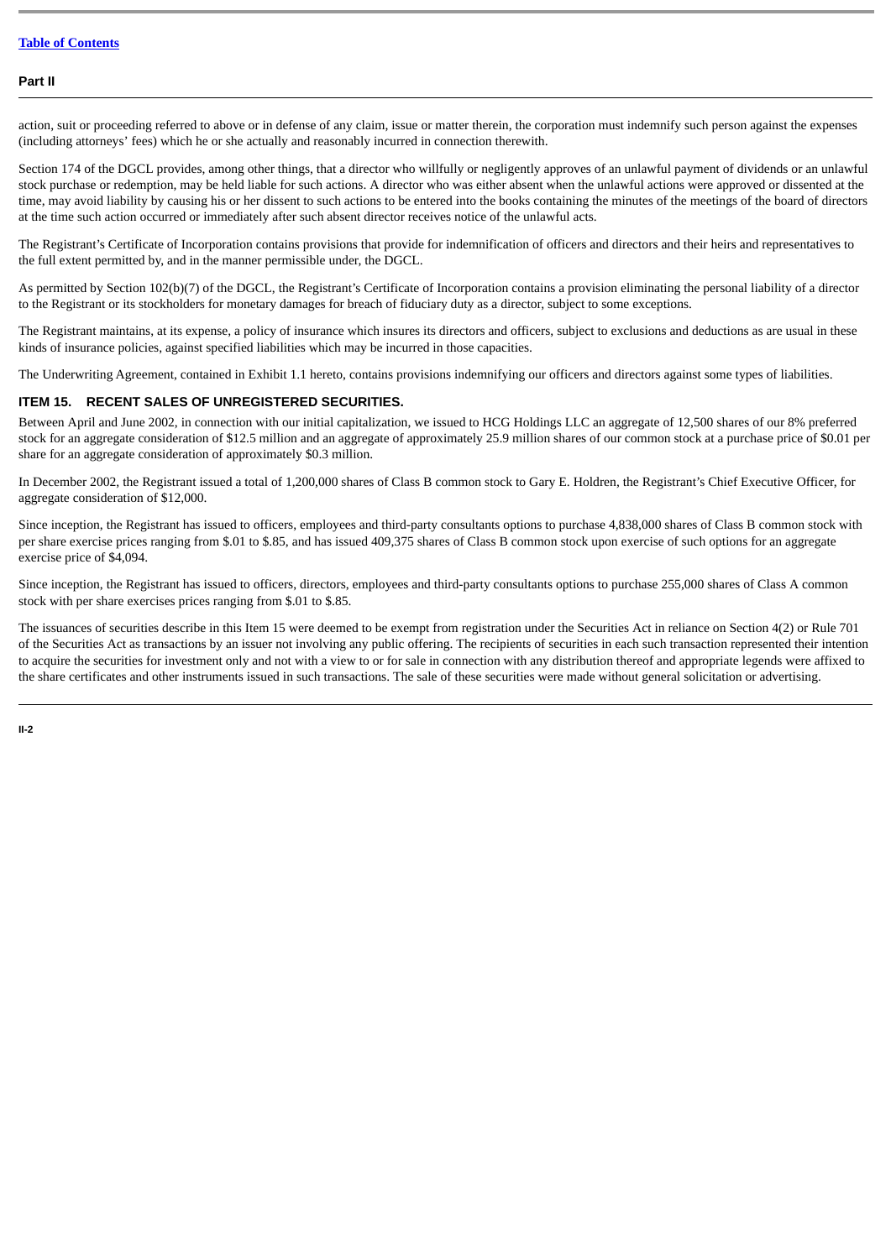## **Part II**

action, suit or proceeding referred to above or in defense of any claim, issue or matter therein, the corporation must indemnify such person against the expenses (including attorneys' fees) which he or she actually and reasonably incurred in connection therewith.

Section 174 of the DGCL provides, among other things, that a director who willfully or negligently approves of an unlawful payment of dividends or an unlawful stock purchase or redemption, may be held liable for such actions. A director who was either absent when the unlawful actions were approved or dissented at the time, may avoid liability by causing his or her dissent to such actions to be entered into the books containing the minutes of the meetings of the board of directors at the time such action occurred or immediately after such absent director receives notice of the unlawful acts.

The Registrant's Certificate of Incorporation contains provisions that provide for indemnification of officers and directors and their heirs and representatives to the full extent permitted by, and in the manner permissible under, the DGCL.

As permitted by Section 102(b)(7) of the DGCL, the Registrant's Certificate of Incorporation contains a provision eliminating the personal liability of a director to the Registrant or its stockholders for monetary damages for breach of fiduciary duty as a director, subject to some exceptions.

The Registrant maintains, at its expense, a policy of insurance which insures its directors and officers, subject to exclusions and deductions as are usual in these kinds of insurance policies, against specified liabilities which may be incurred in those capacities.

The Underwriting Agreement, contained in Exhibit 1.1 hereto, contains provisions indemnifying our officers and directors against some types of liabilities.

## **ITEM 15. RECENT SALES OF UNREGISTERED SECURITIES.**

Between April and June 2002, in connection with our initial capitalization, we issued to HCG Holdings LLC an aggregate of 12,500 shares of our 8% preferred stock for an aggregate consideration of \$12.5 million and an aggregate of approximately 25.9 million shares of our common stock at a purchase price of \$0.01 per share for an aggregate consideration of approximately \$0.3 million.

In December 2002, the Registrant issued a total of 1,200,000 shares of Class B common stock to Gary E. Holdren, the Registrant's Chief Executive Officer, for aggregate consideration of \$12,000.

Since inception, the Registrant has issued to officers, employees and third-party consultants options to purchase 4,838,000 shares of Class B common stock with per share exercise prices ranging from \$.01 to \$.85, and has issued 409,375 shares of Class B common stock upon exercise of such options for an aggregate exercise price of \$4,094.

Since inception, the Registrant has issued to officers, directors, employees and third-party consultants options to purchase 255,000 shares of Class A common stock with per share exercises prices ranging from \$.01 to \$.85.

The issuances of securities describe in this Item 15 were deemed to be exempt from registration under the Securities Act in reliance on Section 4(2) or Rule 701 of the Securities Act as transactions by an issuer not involving any public offering. The recipients of securities in each such transaction represented their intention to acquire the securities for investment only and not with a view to or for sale in connection with any distribution thereof and appropriate legends were affixed to the share certificates and other instruments issued in such transactions. The sale of these securities were made without general solicitation or advertising.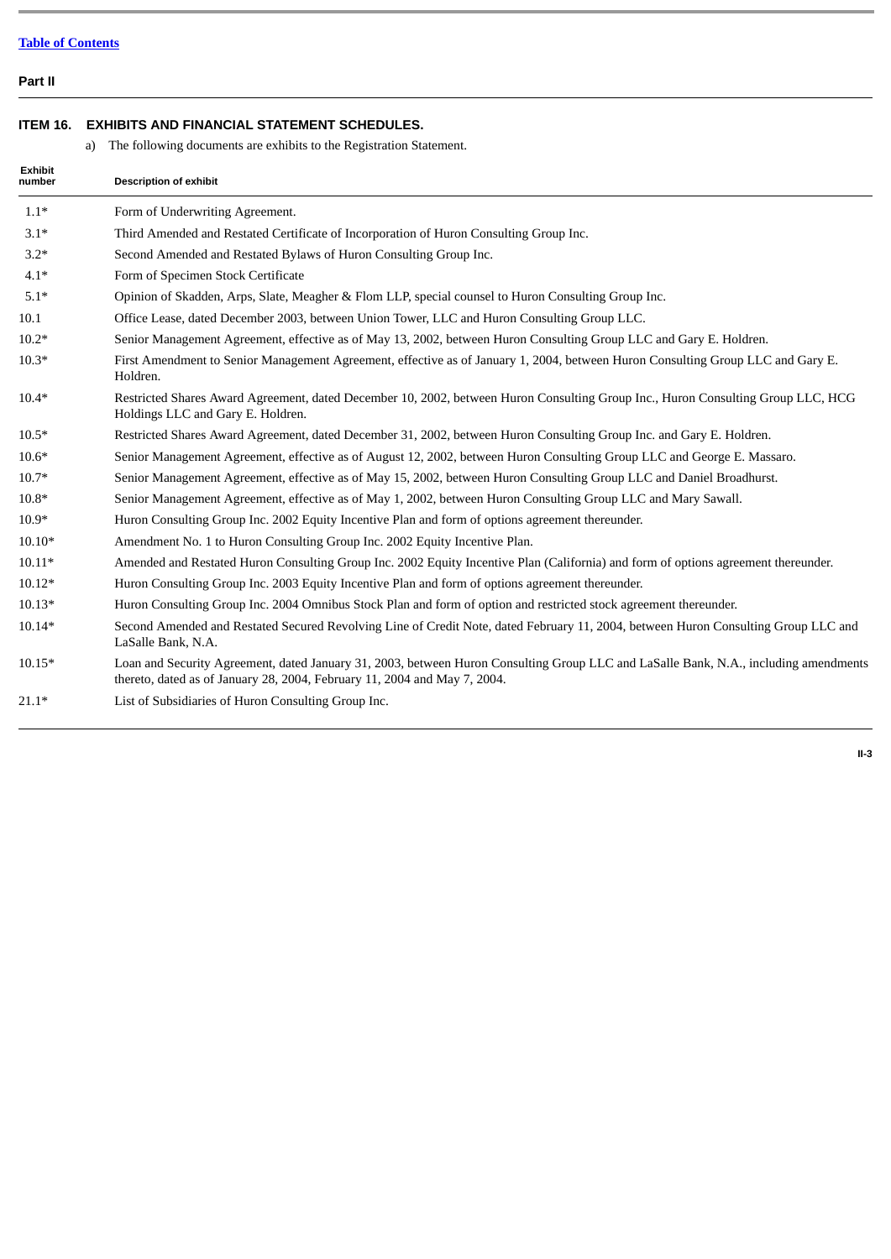## **Part II**

| <b>ITEM 16.</b>          | <b>EXHIBITS AND FINANCIAL STATEMENT SCHEDULES.</b>                                                                                                                                                                |  |  |
|--------------------------|-------------------------------------------------------------------------------------------------------------------------------------------------------------------------------------------------------------------|--|--|
|                          | The following documents are exhibits to the Registration Statement.<br>a)                                                                                                                                         |  |  |
| <b>Exhibit</b><br>number | <b>Description of exhibit</b>                                                                                                                                                                                     |  |  |
| $1.1*$                   | Form of Underwriting Agreement.                                                                                                                                                                                   |  |  |
| $3.1*$                   | Third Amended and Restated Certificate of Incorporation of Huron Consulting Group Inc.                                                                                                                            |  |  |
| $3.2*$                   | Second Amended and Restated Bylaws of Huron Consulting Group Inc.                                                                                                                                                 |  |  |
| $4.1*$                   | Form of Specimen Stock Certificate                                                                                                                                                                                |  |  |
| $5.1*$                   | Opinion of Skadden, Arps, Slate, Meagher & Flom LLP, special counsel to Huron Consulting Group Inc.                                                                                                               |  |  |
| 10.1                     | Office Lease, dated December 2003, between Union Tower, LLC and Huron Consulting Group LLC.                                                                                                                       |  |  |
| $10.2*$                  | Senior Management Agreement, effective as of May 13, 2002, between Huron Consulting Group LLC and Gary E. Holdren.                                                                                                |  |  |
| $10.3*$                  | First Amendment to Senior Management Agreement, effective as of January 1, 2004, between Huron Consulting Group LLC and Gary E.<br>Holdren.                                                                       |  |  |
| $10.4*$                  | Restricted Shares Award Agreement, dated December 10, 2002, between Huron Consulting Group Inc., Huron Consulting Group LLC, HCG<br>Holdings LLC and Gary E. Holdren.                                             |  |  |
| $10.5*$                  | Restricted Shares Award Agreement, dated December 31, 2002, between Huron Consulting Group Inc. and Gary E. Holdren.                                                                                              |  |  |
| $10.6*$                  | Senior Management Agreement, effective as of August 12, 2002, between Huron Consulting Group LLC and George E. Massaro.                                                                                           |  |  |
| $10.7*$                  | Senior Management Agreement, effective as of May 15, 2002, between Huron Consulting Group LLC and Daniel Broadhurst.                                                                                              |  |  |
| $10.8*$                  | Senior Management Agreement, effective as of May 1, 2002, between Huron Consulting Group LLC and Mary Sawall.                                                                                                     |  |  |
| $10.9*$                  | Huron Consulting Group Inc. 2002 Equity Incentive Plan and form of options agreement thereunder.                                                                                                                  |  |  |
| $10.10*$                 | Amendment No. 1 to Huron Consulting Group Inc. 2002 Equity Incentive Plan.                                                                                                                                        |  |  |
| $10.11*$                 | Amended and Restated Huron Consulting Group Inc. 2002 Equity Incentive Plan (California) and form of options agreement thereunder.                                                                                |  |  |
| $10.12*$                 | Huron Consulting Group Inc. 2003 Equity Incentive Plan and form of options agreement thereunder.                                                                                                                  |  |  |
| $10.13*$                 | Huron Consulting Group Inc. 2004 Omnibus Stock Plan and form of option and restricted stock agreement thereunder.                                                                                                 |  |  |
| $10.14*$                 | Second Amended and Restated Secured Revolving Line of Credit Note, dated February 11, 2004, between Huron Consulting Group LLC and<br>LaSalle Bank, N.A.                                                          |  |  |
| $10.15*$                 | Loan and Security Agreement, dated January 31, 2003, between Huron Consulting Group LLC and LaSalle Bank, N.A., including amendments<br>thereto, dated as of January 28, 2004, February 11, 2004 and May 7, 2004. |  |  |
| $21.1*$                  | List of Subsidiaries of Huron Consulting Group Inc.                                                                                                                                                               |  |  |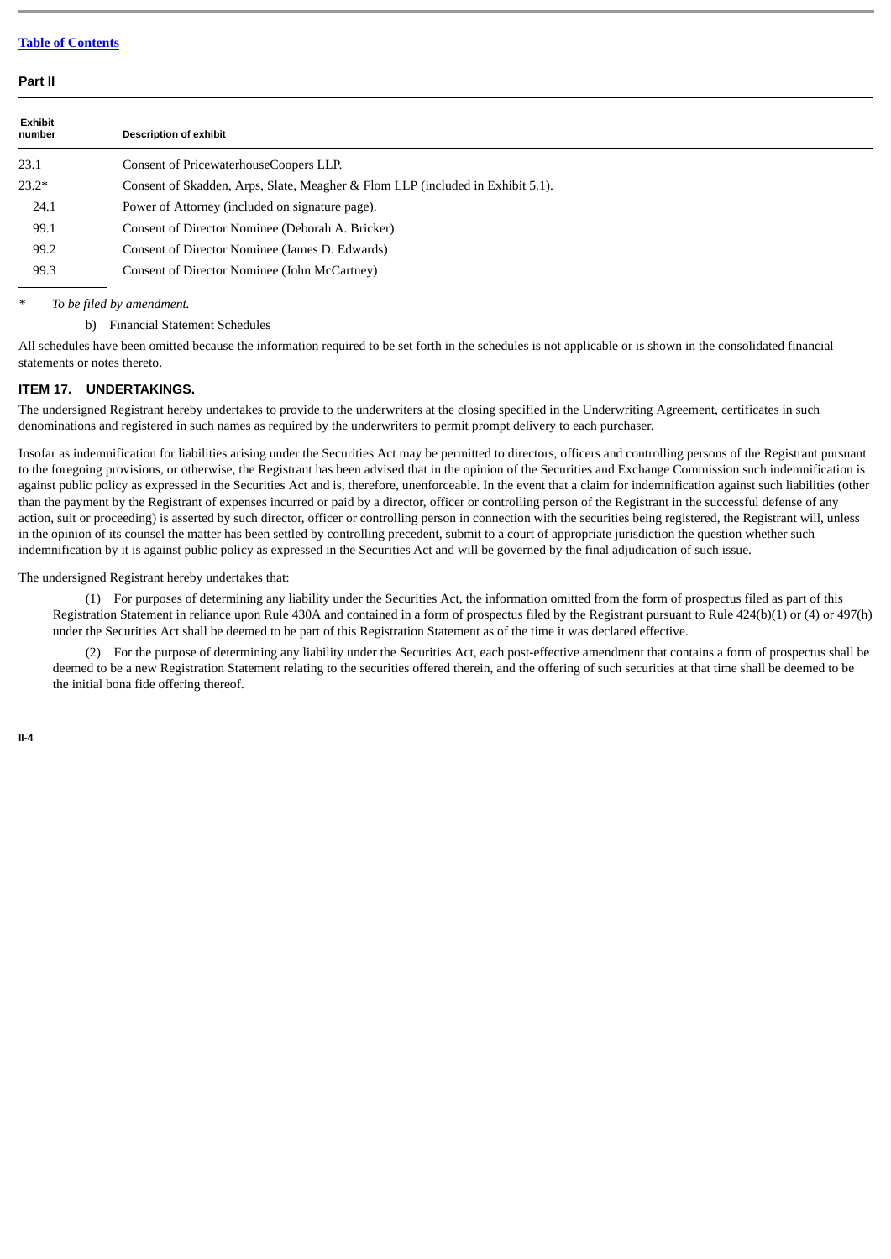#### **Part II**

| Exhibit<br>number | <b>Description of exhibit</b>                                                  |
|-------------------|--------------------------------------------------------------------------------|
| 23.1              | Consent of PricewaterhouseCoopers LLP.                                         |
| $23.2*$           | Consent of Skadden, Arps, Slate, Meagher & Flom LLP (included in Exhibit 5.1). |
| 24.1              | Power of Attorney (included on signature page).                                |
| 99.1              | Consent of Director Nominee (Deborah A. Bricker)                               |
| 99.2              | Consent of Director Nominee (James D. Edwards)                                 |
| 99.3              | Consent of Director Nominee (John McCartney)                                   |

*\* To be filed by amendment.*

b) Financial Statement Schedules

All schedules have been omitted because the information required to be set forth in the schedules is not applicable or is shown in the consolidated financial statements or notes thereto.

## **ITEM 17. UNDERTAKINGS.**

The undersigned Registrant hereby undertakes to provide to the underwriters at the closing specified in the Underwriting Agreement, certificates in such denominations and registered in such names as required by the underwriters to permit prompt delivery to each purchaser.

Insofar as indemnification for liabilities arising under the Securities Act may be permitted to directors, officers and controlling persons of the Registrant pursuant to the foregoing provisions, or otherwise, the Registrant has been advised that in the opinion of the Securities and Exchange Commission such indemnification is against public policy as expressed in the Securities Act and is, therefore, unenforceable. In the event that a claim for indemnification against such liabilities (other than the payment by the Registrant of expenses incurred or paid by a director, officer or controlling person of the Registrant in the successful defense of any action, suit or proceeding) is asserted by such director, officer or controlling person in connection with the securities being registered, the Registrant will, unless in the opinion of its counsel the matter has been settled by controlling precedent, submit to a court of appropriate jurisdiction the question whether such indemnification by it is against public policy as expressed in the Securities Act and will be governed by the final adjudication of such issue.

The undersigned Registrant hereby undertakes that:

(1) For purposes of determining any liability under the Securities Act, the information omitted from the form of prospectus filed as part of this Registration Statement in reliance upon Rule 430A and contained in a form of prospectus filed by the Registrant pursuant to Rule 424(b)(1) or (4) or 497(h) under the Securities Act shall be deemed to be part of this Registration Statement as of the time it was declared effective.

(2) For the purpose of determining any liability under the Securities Act, each post-effective amendment that contains a form of prospectus shall be deemed to be a new Registration Statement relating to the securities offered therein, and the offering of such securities at that time shall be deemed to be the initial bona fide offering thereof.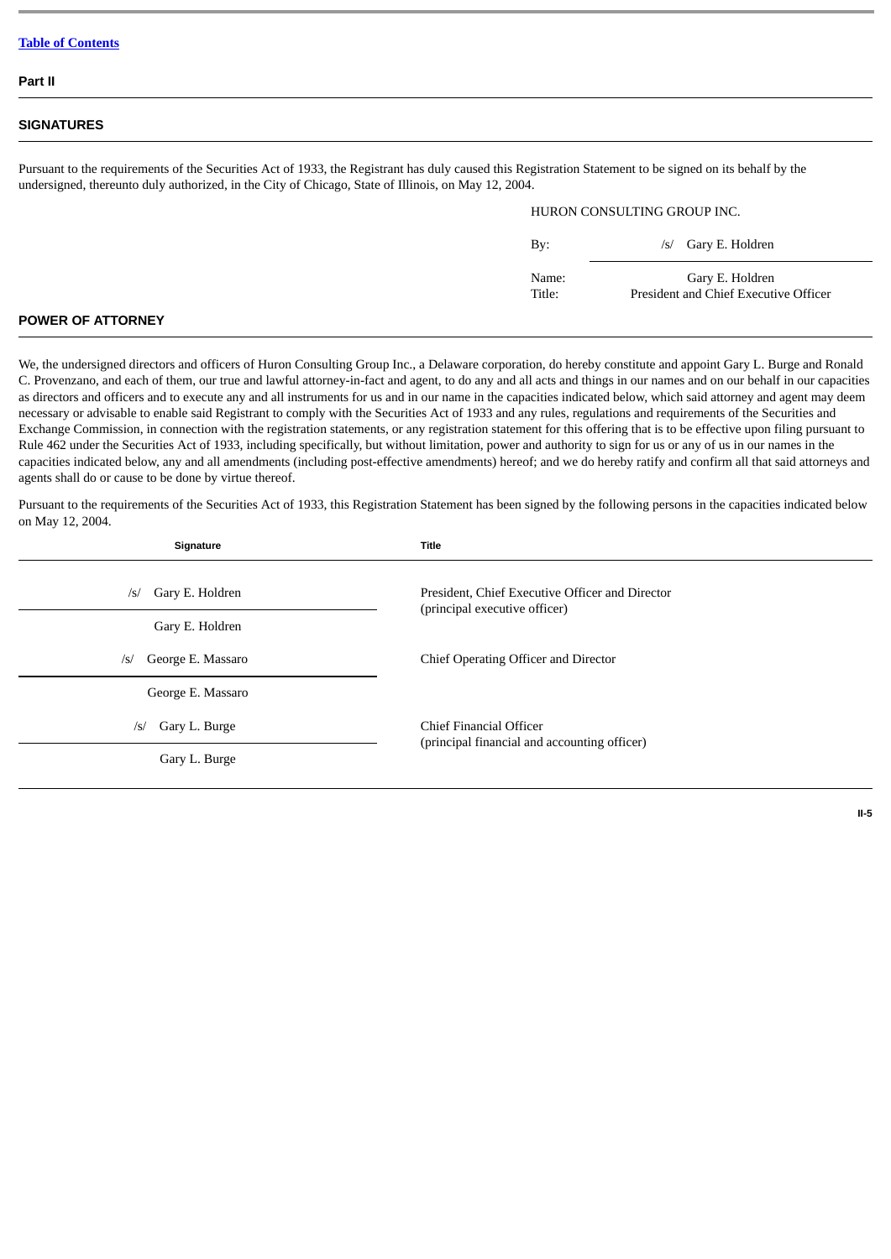## **Part II**

|  | <b>SIGNATURES</b> |
|--|-------------------|

Pursuant to the requirements of the Securities Act of 1933, the Registrant has duly caused this Registration Statement to be signed on its behalf by the undersigned, thereunto duly authorized, in the City of Chicago, State of Illinois, on May 12, 2004.

| HURON CONSULTING GROUP INC. |                                                          |  |
|-----------------------------|----------------------------------------------------------|--|
| By:                         | /s/ Gary E. Holdren                                      |  |
| Name:<br>Title:             | Gary E. Holdren<br>President and Chief Executive Officer |  |

## **POWER OF ATTORNEY**

We, the undersigned directors and officers of Huron Consulting Group Inc., a Delaware corporation, do hereby constitute and appoint Gary L. Burge and Ronald C. Provenzano, and each of them, our true and lawful attorney-in-fact and agent, to do any and all acts and things in our names and on our behalf in our capacities as directors and officers and to execute any and all instruments for us and in our name in the capacities indicated below, which said attorney and agent may deem necessary or advisable to enable said Registrant to comply with the Securities Act of 1933 and any rules, regulations and requirements of the Securities and Exchange Commission, in connection with the registration statements, or any registration statement for this offering that is to be effective upon filing pursuant to Rule 462 under the Securities Act of 1933, including specifically, but without limitation, power and authority to sign for us or any of us in our names in the capacities indicated below, any and all amendments (including post-effective amendments) hereof; and we do hereby ratify and confirm all that said attorneys and agents shall do or cause to be done by virtue thereof.

Pursuant to the requirements of the Securities Act of 1933, this Registration Statement has been signed by the following persons in the capacities indicated below on May 12, 2004.

| Signature                       | Title                                                                            |
|---------------------------------|----------------------------------------------------------------------------------|
| Gary E. Holdren<br>$\sqrt{s}$   | President, Chief Executive Officer and Director<br>(principal executive officer) |
| Gary E. Holdren                 |                                                                                  |
| George E. Massaro<br>$\sqrt{s}$ | Chief Operating Officer and Director                                             |
| George E. Massaro               |                                                                                  |
| Gary L. Burge<br>$\sqrt{s}$     | Chief Financial Officer<br>(principal financial and accounting officer)          |
| Gary L. Burge                   |                                                                                  |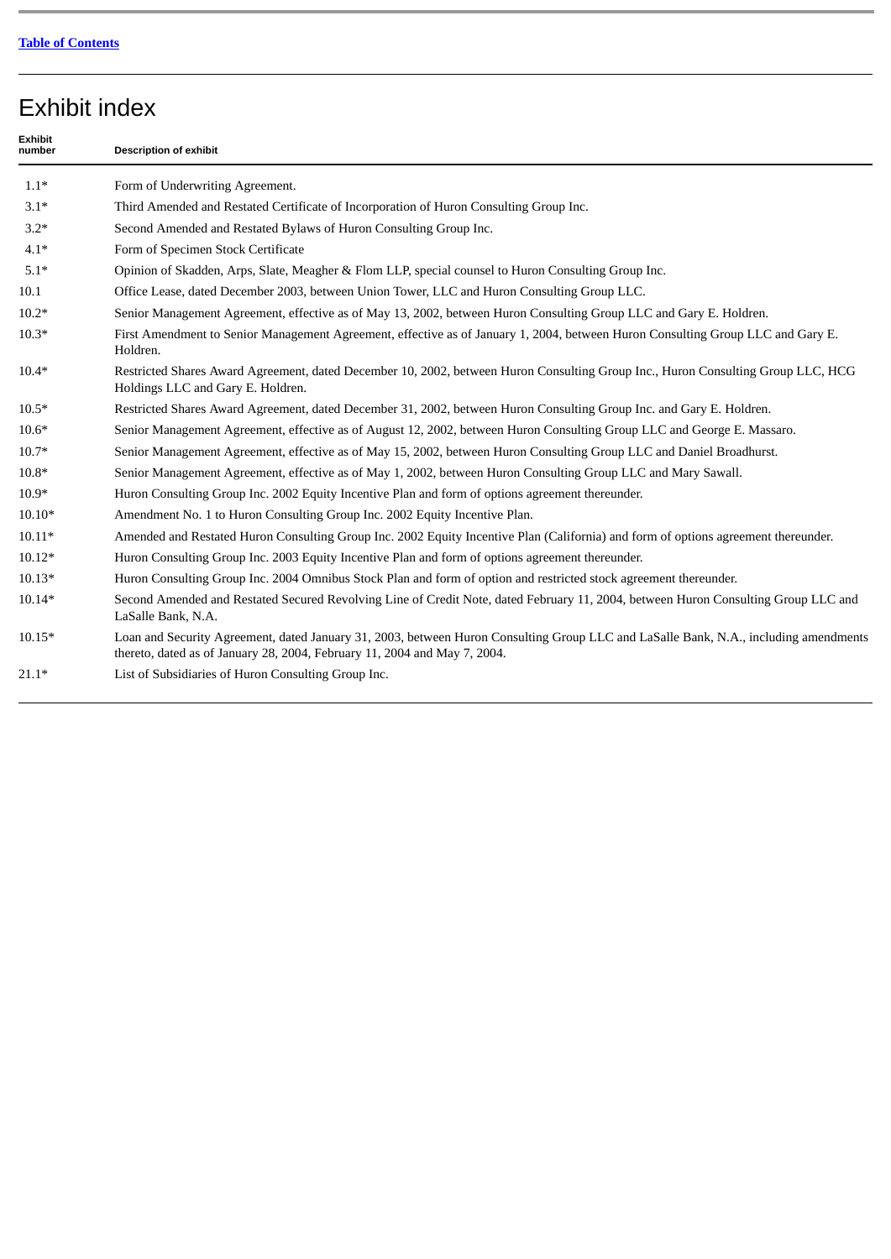## Exhibit index

| <b>Exhibit</b><br>number | <b>Description of exhibit</b>                                                                                                                                                                                     |
|--------------------------|-------------------------------------------------------------------------------------------------------------------------------------------------------------------------------------------------------------------|
| $1.1*$                   | Form of Underwriting Agreement.                                                                                                                                                                                   |
| $3.1*$                   | Third Amended and Restated Certificate of Incorporation of Huron Consulting Group Inc.                                                                                                                            |
| $3.2*$                   | Second Amended and Restated Bylaws of Huron Consulting Group Inc.                                                                                                                                                 |
| $4.1*$                   | Form of Specimen Stock Certificate                                                                                                                                                                                |
| $5.1*$                   | Opinion of Skadden, Arps, Slate, Meagher & Flom LLP, special counsel to Huron Consulting Group Inc.                                                                                                               |
| 10.1                     | Office Lease, dated December 2003, between Union Tower, LLC and Huron Consulting Group LLC.                                                                                                                       |
| $10.2*$                  | Senior Management Agreement, effective as of May 13, 2002, between Huron Consulting Group LLC and Gary E. Holdren.                                                                                                |
| $10.3*$                  | First Amendment to Senior Management Agreement, effective as of January 1, 2004, between Huron Consulting Group LLC and Gary E.<br>Holdren.                                                                       |
| $10.4*$                  | Restricted Shares Award Agreement, dated December 10, 2002, between Huron Consulting Group Inc., Huron Consulting Group LLC, HCG<br>Holdings LLC and Gary E. Holdren.                                             |
| $10.5*$                  | Restricted Shares Award Agreement, dated December 31, 2002, between Huron Consulting Group Inc. and Gary E. Holdren.                                                                                              |
| $10.6*$                  | Senior Management Agreement, effective as of August 12, 2002, between Huron Consulting Group LLC and George E. Massaro.                                                                                           |
| $10.7*$                  | Senior Management Agreement, effective as of May 15, 2002, between Huron Consulting Group LLC and Daniel Broadhurst.                                                                                              |
| $10.8*$                  | Senior Management Agreement, effective as of May 1, 2002, between Huron Consulting Group LLC and Mary Sawall.                                                                                                     |
| $10.9*$                  | Huron Consulting Group Inc. 2002 Equity Incentive Plan and form of options agreement thereunder.                                                                                                                  |
| $10.10*$                 | Amendment No. 1 to Huron Consulting Group Inc. 2002 Equity Incentive Plan.                                                                                                                                        |
| $10.11*$                 | Amended and Restated Huron Consulting Group Inc. 2002 Equity Incentive Plan (California) and form of options agreement thereunder.                                                                                |
| $10.12*$                 | Huron Consulting Group Inc. 2003 Equity Incentive Plan and form of options agreement thereunder.                                                                                                                  |
| $10.13*$                 | Huron Consulting Group Inc. 2004 Omnibus Stock Plan and form of option and restricted stock agreement thereunder.                                                                                                 |
| 10.14*                   | Second Amended and Restated Secured Revolving Line of Credit Note, dated February 11, 2004, between Huron Consulting Group LLC and<br>LaSalle Bank, N.A.                                                          |
| $10.15*$                 | Loan and Security Agreement, dated January 31, 2003, between Huron Consulting Group LLC and LaSalle Bank, N.A., including amendments<br>thereto, dated as of January 28, 2004, February 11, 2004 and May 7, 2004. |
| $21.1*$                  | List of Subsidiaries of Huron Consulting Group Inc.                                                                                                                                                               |
|                          |                                                                                                                                                                                                                   |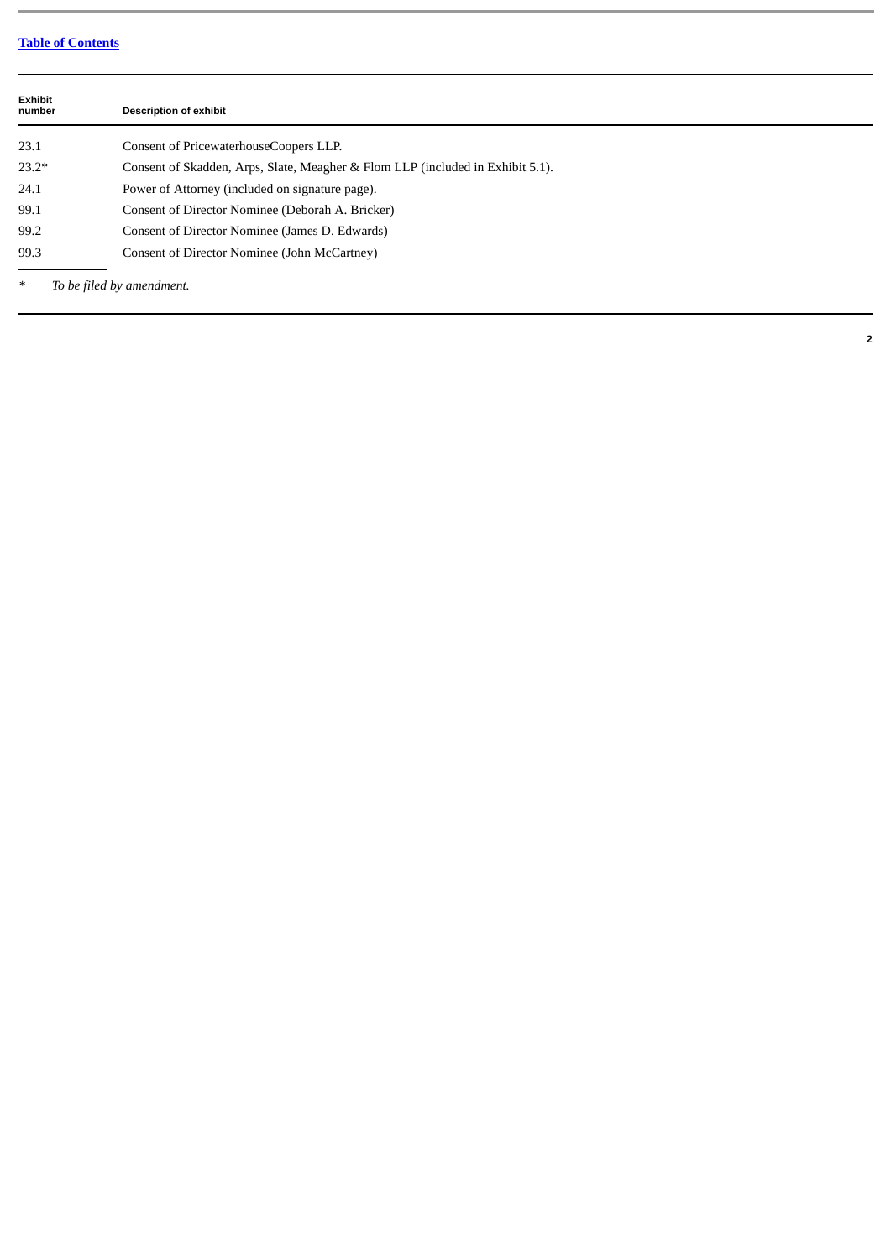| Exhibit<br>number | <b>Description of exhibit</b>                                                  |
|-------------------|--------------------------------------------------------------------------------|
| 23.1              | Consent of PricewaterhouseCoopers LLP.                                         |
| $23.2*$           | Consent of Skadden, Arps, Slate, Meagher & Flom LLP (included in Exhibit 5.1). |
| 24.1              | Power of Attorney (included on signature page).                                |
| 99.1              | Consent of Director Nominee (Deborah A. Bricker)                               |
| 99.2              | Consent of Director Nominee (James D. Edwards)                                 |
| 99.3              | Consent of Director Nominee (John McCartney)                                   |
| *                 | To be filed by amendment.                                                      |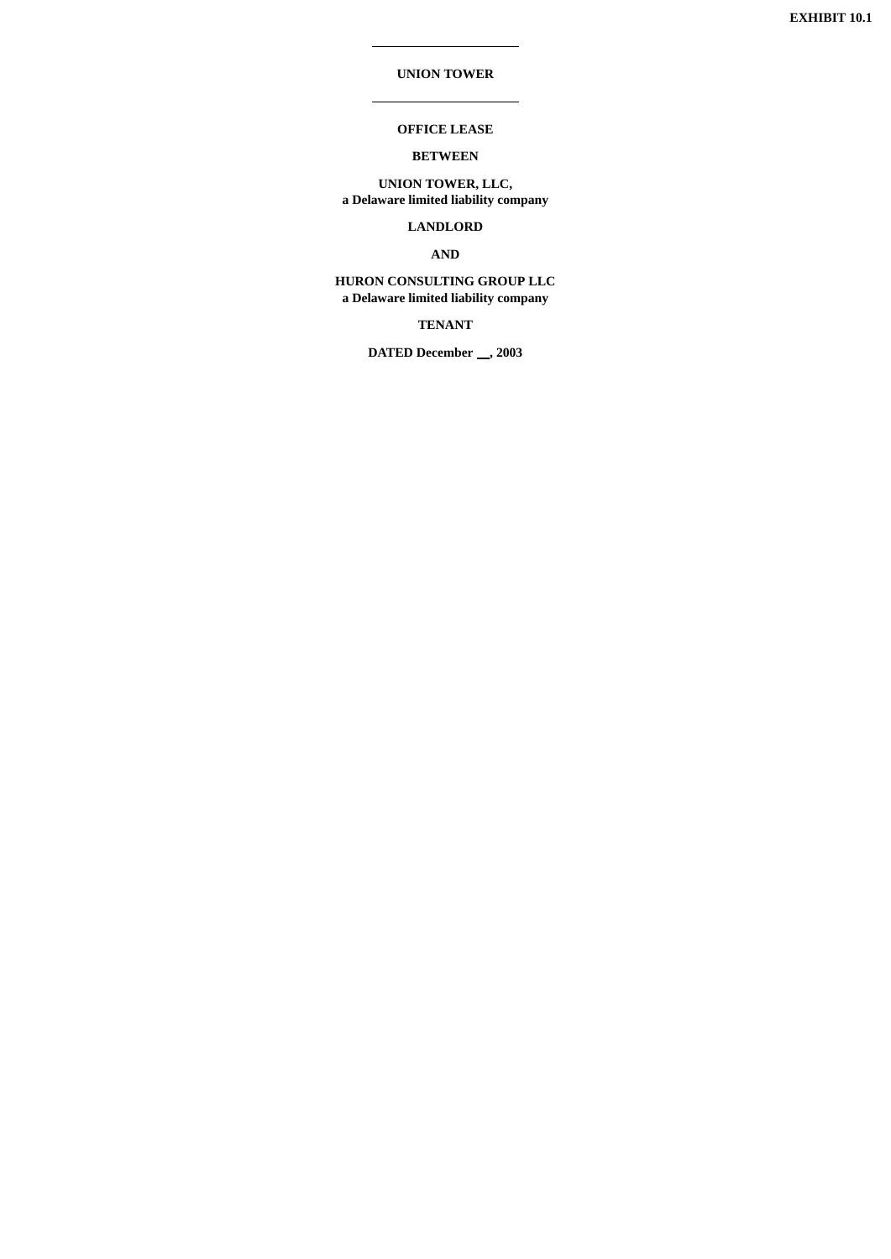## **UNION TOWER**

## **OFFICE LEASE**

## **BETWEEN**

**UNION TOWER, LLC, a Delaware limited liability company**

**LANDLORD**

## **AND**

**HURON CONSULTING GROUP LLC a Delaware limited liability company**

## **TENANT**

**DATED December \_\_ , 2003**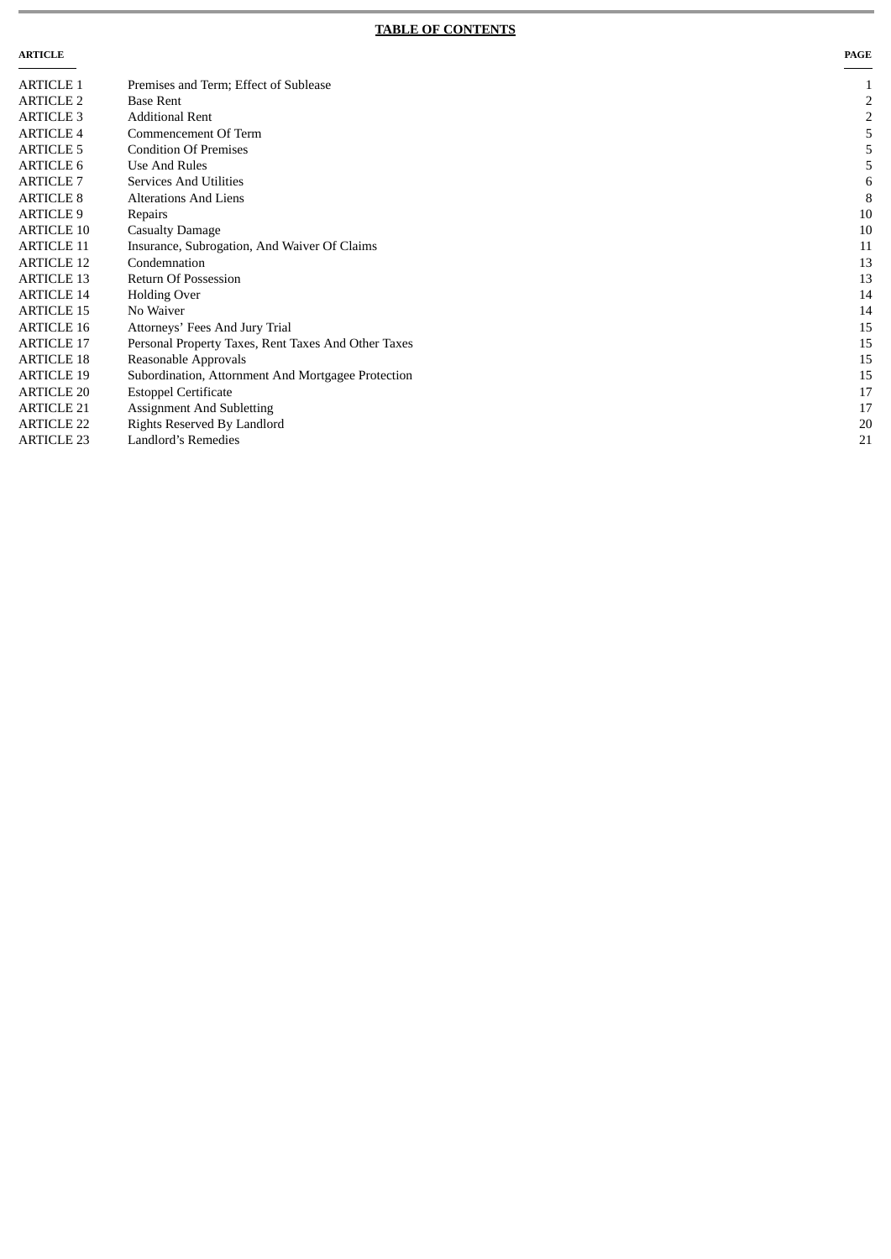## **TABLE OF CONTENTS**

| <b>ARTICLE</b>    |                                                     | PAGE |
|-------------------|-----------------------------------------------------|------|
| <b>ARTICLE 1</b>  | Premises and Term; Effect of Sublease               |      |
| <b>ARTICLE 2</b>  | <b>Base Rent</b>                                    | 2    |
| <b>ARTICLE 3</b>  | <b>Additional Rent</b>                              |      |
| <b>ARTICLE 4</b>  | Commencement Of Term                                | 5    |
| <b>ARTICLE 5</b>  | <b>Condition Of Premises</b>                        |      |
| <b>ARTICLE 6</b>  | <b>Use And Rules</b>                                | 5    |
| <b>ARTICLE 7</b>  | Services And Utilities                              | 6    |
| <b>ARTICLE 8</b>  | <b>Alterations And Liens</b>                        | 8    |
| <b>ARTICLE 9</b>  | Repairs                                             | 10   |
| <b>ARTICLE 10</b> | Casualty Damage                                     | 10   |
| <b>ARTICLE 11</b> | Insurance, Subrogation, And Waiver Of Claims        | 11   |
| <b>ARTICLE 12</b> | Condemnation                                        | 13   |
| <b>ARTICLE 13</b> | <b>Return Of Possession</b>                         | 13   |
| <b>ARTICLE 14</b> | <b>Holding Over</b>                                 | 14   |
| <b>ARTICLE 15</b> | No Waiver                                           | 14   |
| <b>ARTICLE 16</b> | Attorneys' Fees And Jury Trial                      | 15   |
| <b>ARTICLE 17</b> | Personal Property Taxes, Rent Taxes And Other Taxes | 15   |
| <b>ARTICLE 18</b> | Reasonable Approvals                                | 15   |
| <b>ARTICLE 19</b> | Subordination, Attornment And Mortgagee Protection  | 15   |
| <b>ARTICLE 20</b> | <b>Estoppel Certificate</b>                         | 17   |
| <b>ARTICLE 21</b> | <b>Assignment And Subletting</b>                    | 17   |
| <b>ARTICLE 22</b> | Rights Reserved By Landlord                         | 20   |
| <b>ARTICLE 23</b> | Landlord's Remedies                                 | 21   |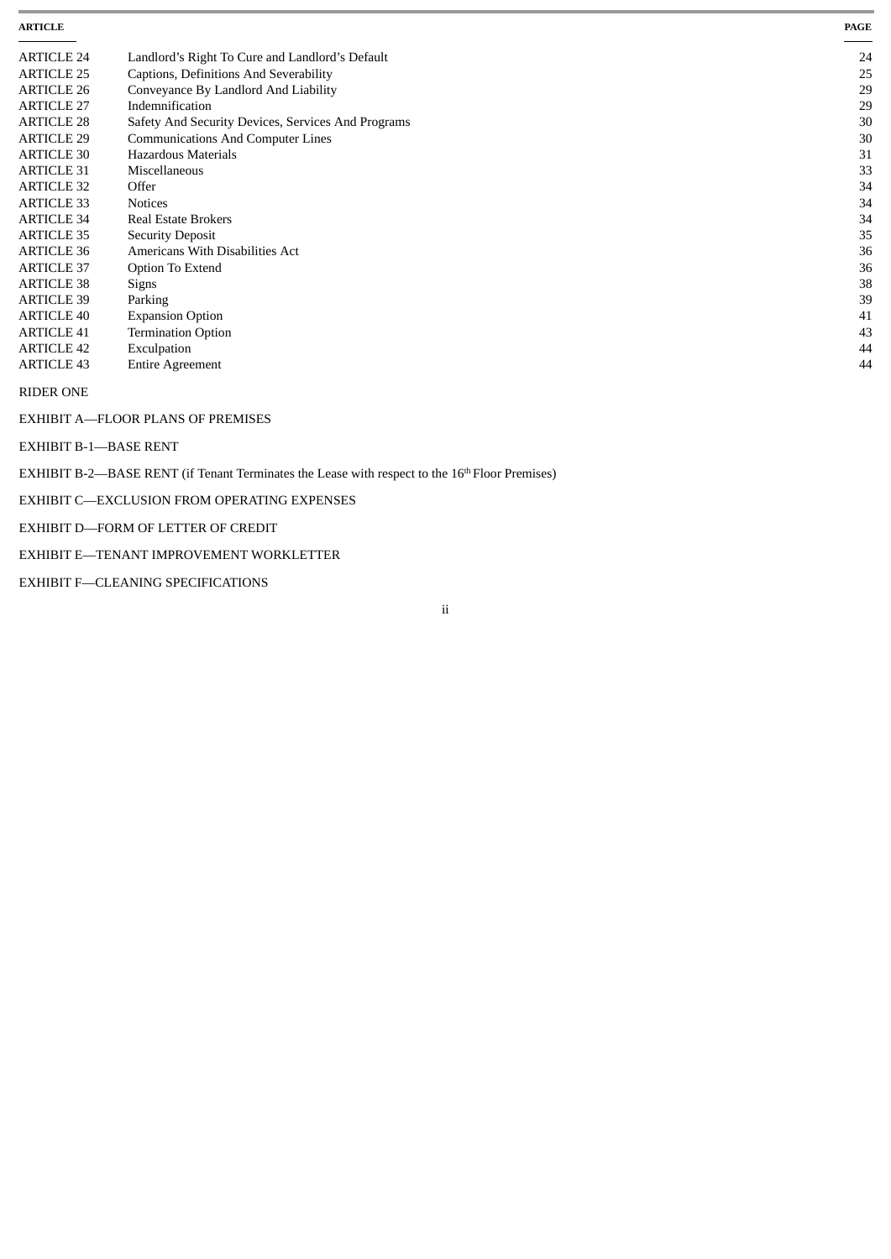| <b>ARTICLE</b>    |                                                    | PAGE |
|-------------------|----------------------------------------------------|------|
| ARTICLE 24        | Landlord's Right To Cure and Landlord's Default    | 24   |
| ARTICLE 25        | Captions, Definitions And Severability             | 25   |
| ARTICLE 26        | Conveyance By Landlord And Liability               | 29   |
| ARTICLE 27        | Indemnification                                    | 29   |
| ARTICLE 28        | Safety And Security Devices, Services And Programs | 30   |
| ARTICLE 29        | <b>Communications And Computer Lines</b>           | 30   |
| <b>ARTICLE 30</b> | Hazardous Materials                                | 31   |
| ARTICLE 31        | Miscellaneous                                      | 33   |
| ARTICLE 32        | Offer                                              | 34   |
| ARTICLE 33        | <b>Notices</b>                                     | 34   |
| <b>ARTICLE 34</b> | <b>Real Estate Brokers</b>                         | 34   |
| ARTICLE 35        | <b>Security Deposit</b>                            | 35   |
| ARTICLE 36        | Americans With Disabilities Act                    | 36   |
| ARTICLE 37        | Option To Extend                                   | 36   |
| ARTICLE 38        | Signs                                              | 38   |
| ARTICLE 39        | Parking                                            | 39   |
| <b>ARTICLE 40</b> | <b>Expansion Option</b>                            | 41   |
| <b>ARTICLE 41</b> | <b>Termination Option</b>                          | 43   |
| ARTICLE 42        | Exculpation                                        | 44   |
| ARTICLE 43        | <b>Entire Agreement</b>                            | 44   |
| RIDER ONE         |                                                    |      |

EXHIBIT A—FLOOR PLANS OF PREMISES

EXHIBIT B-1—BASE RENT

EXHIBIT B-2—BASE RENT (if Tenant Terminates the Lease with respect to the 16<sup>th</sup> Floor Premises)

## EXHIBIT C—EXCLUSION FROM OPERATING EXPENSES

## EXHIBIT D—FORM OF LETTER OF CREDIT

## EXHIBIT E—TENANT IMPROVEMENT WORKLETTER

EXHIBIT F—CLEANING SPECIFICATIONS

ii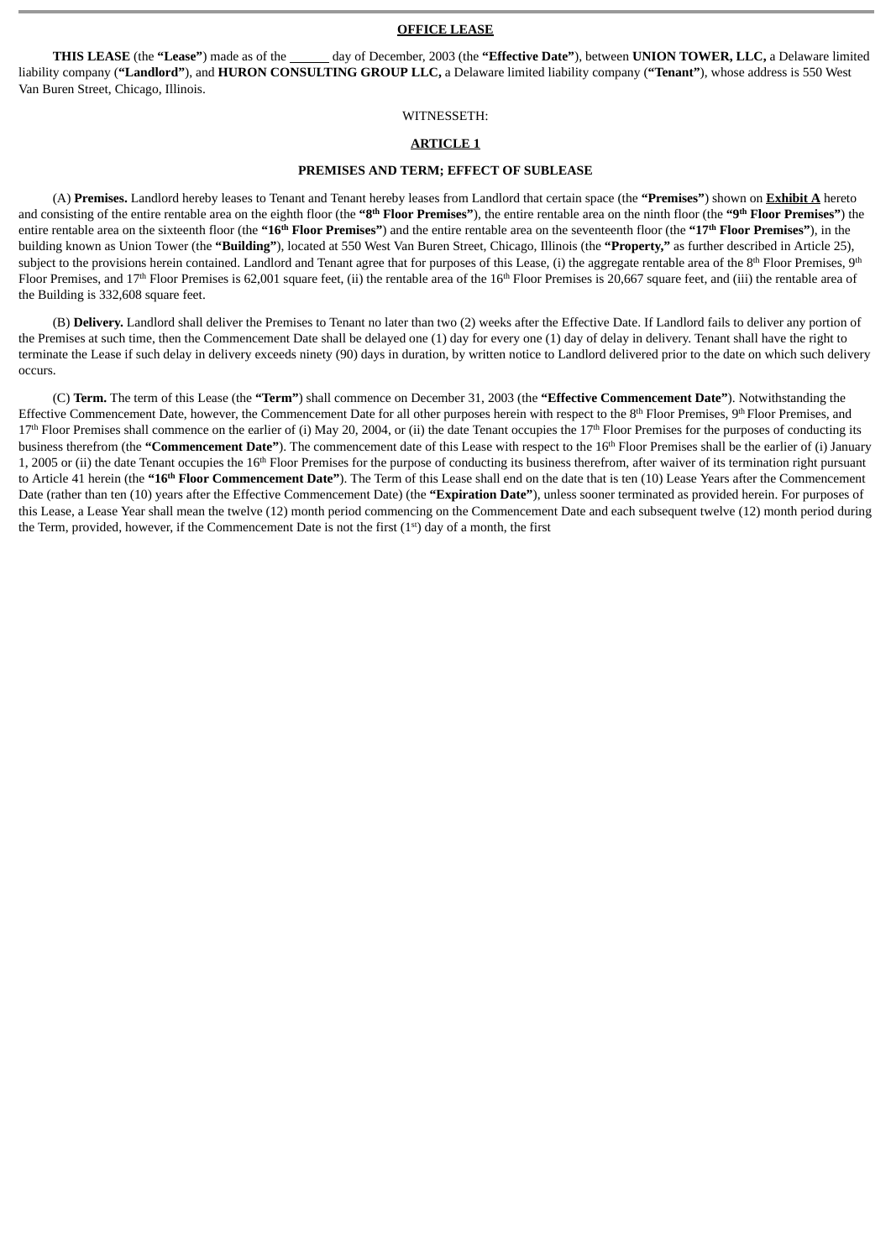#### **OFFICE LEASE**

**THIS LEASE** (the **"Lease"**) made as of the day of December, 2003 (the **"Effective Date"**), between **UNION TOWER, LLC,** a Delaware limited liability company (**"Landlord"**), and **HURON CONSULTING GROUP LLC,** a Delaware limited liability company (**"Tenant"**), whose address is 550 West Van Buren Street, Chicago, Illinois.

#### WITNESSETH:

## **ARTICLE 1**

## **PREMISES AND TERM; EFFECT OF SUBLEASE**

(A) **Premises.** Landlord hereby leases to Tenant and Tenant hereby leases from Landlord that certain space (the **"Premises"**) shown on **Exhibit A** hereto and consisting of the entire rentable area on the eighth floor (the **"8th Floor Premises"**), the entire rentable area on the ninth floor (the **"9th Floor Premises"**) the entire rentable area on the sixteenth floor (the **"16th Floor Premises"**) and the entire rentable area on the seventeenth floor (the **"17th Floor Premises"**), in the building known as Union Tower (the **"Building"**), located at 550 West Van Buren Street, Chicago, Illinois (the **"Property,"** as further described in Article 25), subject to the provisions herein contained. Landlord and Tenant agree that for purposes of this Lease, (i) the aggregate rentable area of the 8<sup>th</sup> Floor Premises, 9<sup>th</sup> Floor Premises, and 17<sup>th</sup> Floor Premises is 62,001 square feet, (ii) the rentable area of the 16<sup>th</sup> Floor Premises is 20,667 square feet, and (iii) the rentable area of the Building is 332,608 square feet.

(B) **Delivery.** Landlord shall deliver the Premises to Tenant no later than two (2) weeks after the Effective Date. If Landlord fails to deliver any portion of the Premises at such time, then the Commencement Date shall be delayed one (1) day for every one (1) day of delay in delivery. Tenant shall have the right to terminate the Lease if such delay in delivery exceeds ninety (90) days in duration, by written notice to Landlord delivered prior to the date on which such delivery occurs.

(C) **Term.** The term of this Lease (the **"Term"**) shall commence on December 31, 2003 (the **"Effective Commencement Date"**). Notwithstanding the Effective Commencement Date, however, the Commencement Date for all other purposes herein with respect to the 8<sup>th</sup> Floor Premises, 9<sup>th</sup> Floor Premises, and  $17<sup>th</sup>$  Floor Premises shall commence on the earlier of (i) May 20, 2004, or (ii) the date Tenant occupies the  $17<sup>th</sup>$  Floor Premises for the purposes of conducting its business therefrom (the "Commencement Date"). The commencement date of this Lease with respect to the 16<sup>th</sup> Floor Premises shall be the earlier of (i) January 1, 2005 or (ii) the date Tenant occupies the 16<sup>th</sup> Floor Premises for the purpose of conducting its business therefrom, after waiver of its termination right pursuant to Article 41 herein (the **"16th Floor Commencement Date"**). The Term of this Lease shall end on the date that is ten (10) Lease Years after the Commencement Date (rather than ten (10) years after the Effective Commencement Date) (the **"Expiration Date"**), unless sooner terminated as provided herein. For purposes of this Lease, a Lease Year shall mean the twelve (12) month period commencing on the Commencement Date and each subsequent twelve (12) month period during the Term, provided, however, if the Commencement Date is not the first  $(1<sup>st</sup>)$  day of a month, the first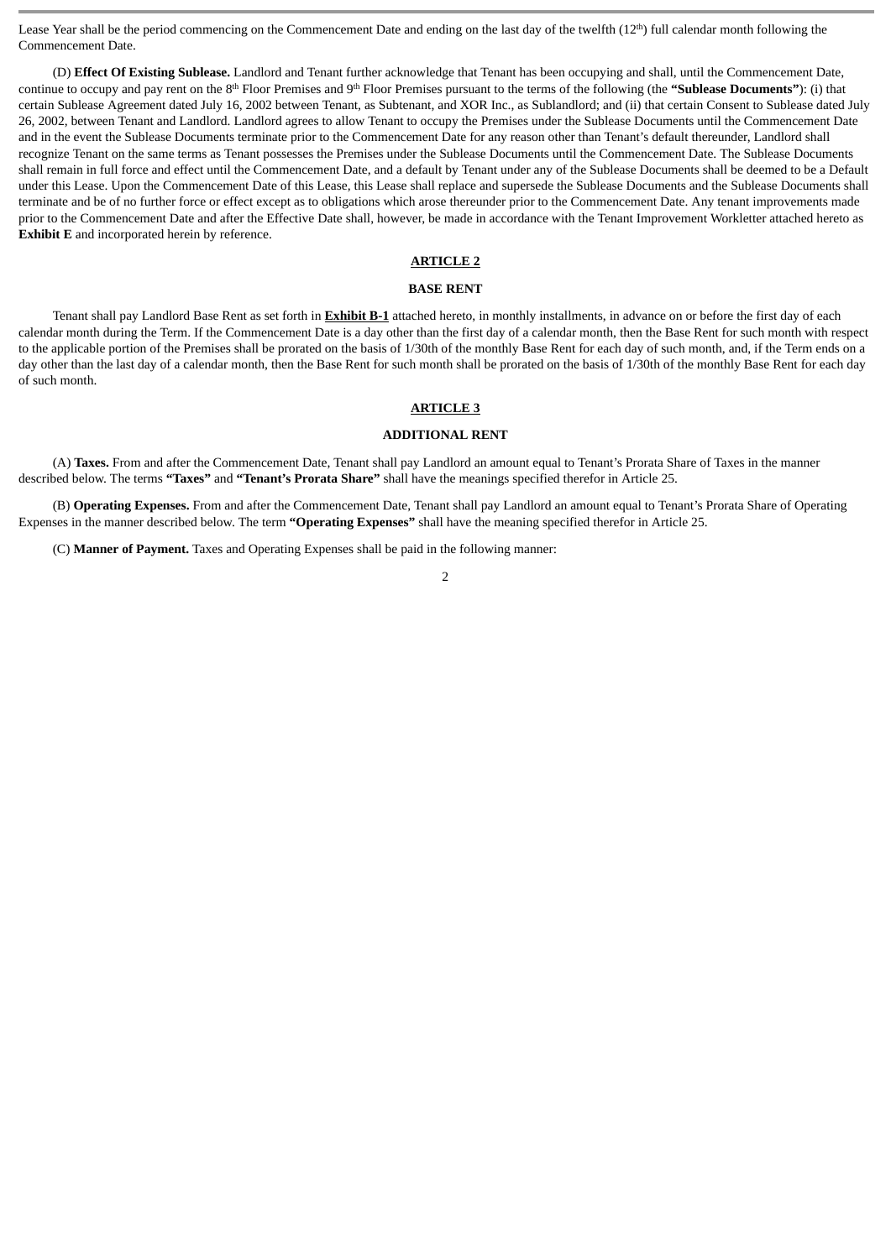Lease Year shall be the period commencing on the Commencement Date and ending on the last day of the twelfth  $(12<sup>th</sup>)$  full calendar month following the Commencement Date.

(D) **Effect Of Existing Sublease.** Landlord and Tenant further acknowledge that Tenant has been occupying and shall, until the Commencement Date, continue to occupy and pay rent on the 8<sup>th</sup> Floor Premises and 9<sup>th</sup> Floor Premises pursuant to the terms of the following (the **"Sublease Documents"**): (i) that certain Sublease Agreement dated July 16, 2002 between Tenant, as Subtenant, and XOR Inc., as Sublandlord; and (ii) that certain Consent to Sublease dated July 26, 2002, between Tenant and Landlord. Landlord agrees to allow Tenant to occupy the Premises under the Sublease Documents until the Commencement Date and in the event the Sublease Documents terminate prior to the Commencement Date for any reason other than Tenant's default thereunder, Landlord shall recognize Tenant on the same terms as Tenant possesses the Premises under the Sublease Documents until the Commencement Date. The Sublease Documents shall remain in full force and effect until the Commencement Date, and a default by Tenant under any of the Sublease Documents shall be deemed to be a Default under this Lease. Upon the Commencement Date of this Lease, this Lease shall replace and supersede the Sublease Documents and the Sublease Documents shall terminate and be of no further force or effect except as to obligations which arose thereunder prior to the Commencement Date. Any tenant improvements made prior to the Commencement Date and after the Effective Date shall, however, be made in accordance with the Tenant Improvement Workletter attached hereto as **Exhibit E** and incorporated herein by reference.

## **ARTICLE 2**

## **BASE RENT**

Tenant shall pay Landlord Base Rent as set forth in **Exhibit B-1** attached hereto, in monthly installments, in advance on or before the first day of each calendar month during the Term. If the Commencement Date is a day other than the first day of a calendar month, then the Base Rent for such month with respect to the applicable portion of the Premises shall be prorated on the basis of 1/30th of the monthly Base Rent for each day of such month, and, if the Term ends on a day other than the last day of a calendar month, then the Base Rent for such month shall be prorated on the basis of 1/30th of the monthly Base Rent for each day of such month.

## **ARTICLE 3**

#### **ADDITIONAL RENT**

(A) **Taxes.** From and after the Commencement Date, Tenant shall pay Landlord an amount equal to Tenant's Prorata Share of Taxes in the manner described below. The terms **"Taxes"** and **"Tenant's Prorata Share"** shall have the meanings specified therefor in Article 25.

(B) **Operating Expenses.** From and after the Commencement Date, Tenant shall pay Landlord an amount equal to Tenant's Prorata Share of Operating Expenses in the manner described below. The term **"Operating Expenses"** shall have the meaning specified therefor in Article 25.

(C) **Manner of Payment.** Taxes and Operating Expenses shall be paid in the following manner:

 $\overline{2}$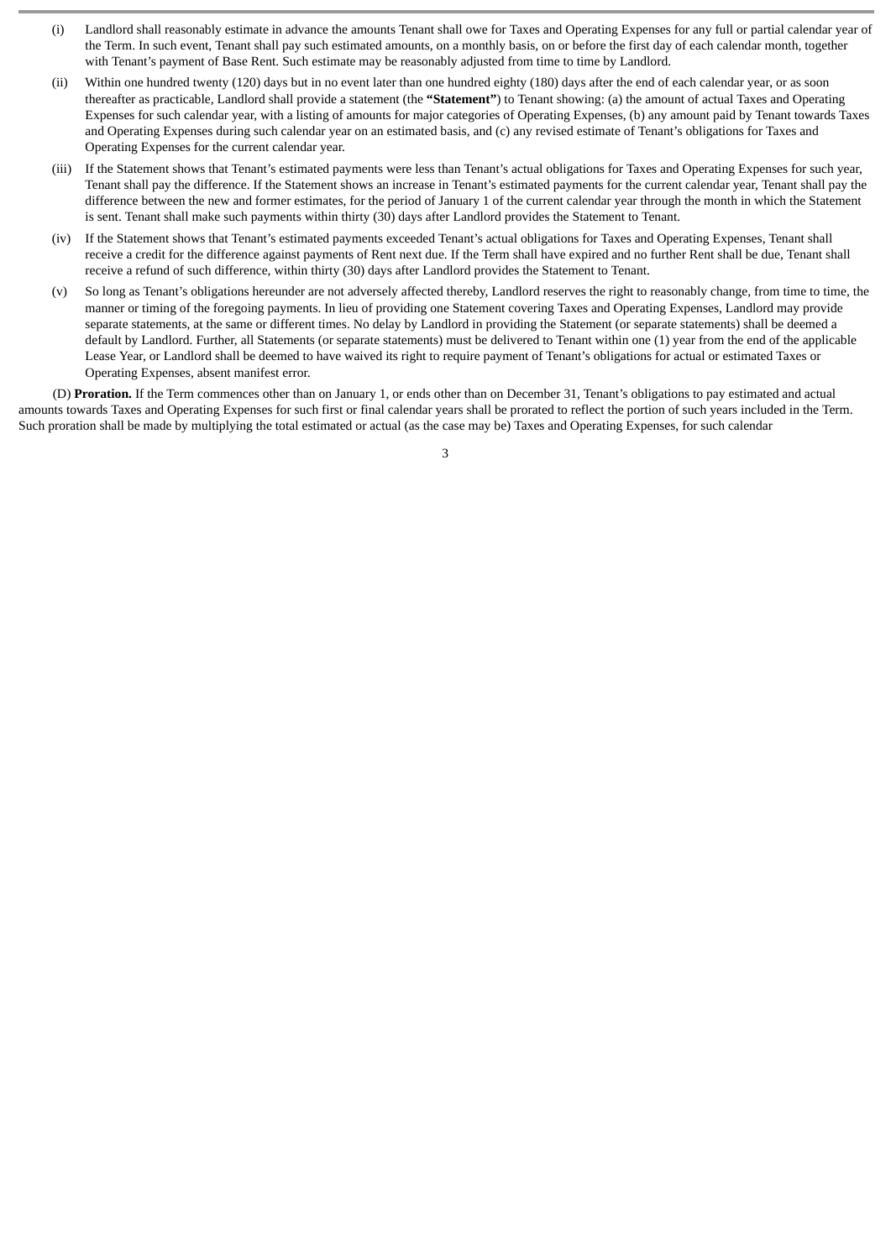- (i) Landlord shall reasonably estimate in advance the amounts Tenant shall owe for Taxes and Operating Expenses for any full or partial calendar year of the Term. In such event, Tenant shall pay such estimated amounts, on a monthly basis, on or before the first day of each calendar month, together with Tenant's payment of Base Rent. Such estimate may be reasonably adjusted from time to time by Landlord.
- (ii) Within one hundred twenty (120) days but in no event later than one hundred eighty (180) days after the end of each calendar year, or as soon thereafter as practicable, Landlord shall provide a statement (the **"Statement"**) to Tenant showing: (a) the amount of actual Taxes and Operating Expenses for such calendar year, with a listing of amounts for major categories of Operating Expenses, (b) any amount paid by Tenant towards Taxes and Operating Expenses during such calendar year on an estimated basis, and (c) any revised estimate of Tenant's obligations for Taxes and Operating Expenses for the current calendar year.
- (iii) If the Statement shows that Tenant's estimated payments were less than Tenant's actual obligations for Taxes and Operating Expenses for such year, Tenant shall pay the difference. If the Statement shows an increase in Tenant's estimated payments for the current calendar year, Tenant shall pay the difference between the new and former estimates, for the period of January 1 of the current calendar year through the month in which the Statement is sent. Tenant shall make such payments within thirty (30) days after Landlord provides the Statement to Tenant.
- (iv) If the Statement shows that Tenant's estimated payments exceeded Tenant's actual obligations for Taxes and Operating Expenses, Tenant shall receive a credit for the difference against payments of Rent next due. If the Term shall have expired and no further Rent shall be due, Tenant shall receive a refund of such difference, within thirty (30) days after Landlord provides the Statement to Tenant.
- (v) So long as Tenant's obligations hereunder are not adversely affected thereby, Landlord reserves the right to reasonably change, from time to time, the manner or timing of the foregoing payments. In lieu of providing one Statement covering Taxes and Operating Expenses, Landlord may provide separate statements, at the same or different times. No delay by Landlord in providing the Statement (or separate statements) shall be deemed a default by Landlord. Further, all Statements (or separate statements) must be delivered to Tenant within one (1) year from the end of the applicable Lease Year, or Landlord shall be deemed to have waived its right to require payment of Tenant's obligations for actual or estimated Taxes or Operating Expenses, absent manifest error.

(D) **Proration.** If the Term commences other than on January 1, or ends other than on December 31, Tenant's obligations to pay estimated and actual amounts towards Taxes and Operating Expenses for such first or final calendar years shall be prorated to reflect the portion of such years included in the Term. Such proration shall be made by multiplying the total estimated or actual (as the case may be) Taxes and Operating Expenses, for such calendar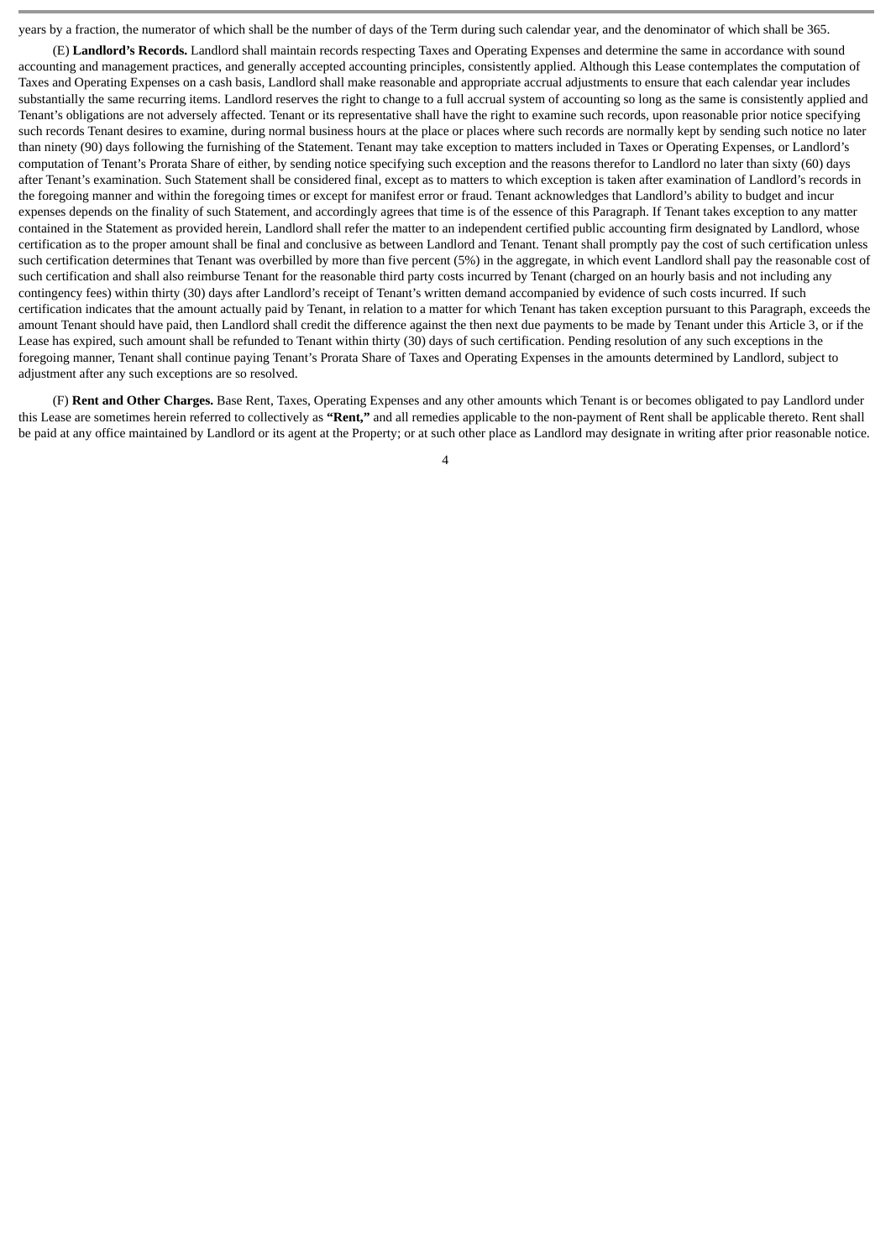years by a fraction, the numerator of which shall be the number of days of the Term during such calendar year, and the denominator of which shall be 365.

(E) **Landlord's Records.** Landlord shall maintain records respecting Taxes and Operating Expenses and determine the same in accordance with sound accounting and management practices, and generally accepted accounting principles, consistently applied. Although this Lease contemplates the computation of Taxes and Operating Expenses on a cash basis, Landlord shall make reasonable and appropriate accrual adjustments to ensure that each calendar year includes substantially the same recurring items. Landlord reserves the right to change to a full accrual system of accounting so long as the same is consistently applied and Tenant's obligations are not adversely affected. Tenant or its representative shall have the right to examine such records, upon reasonable prior notice specifying such records Tenant desires to examine, during normal business hours at the place or places where such records are normally kept by sending such notice no later than ninety (90) days following the furnishing of the Statement. Tenant may take exception to matters included in Taxes or Operating Expenses, or Landlord's computation of Tenant's Prorata Share of either, by sending notice specifying such exception and the reasons therefor to Landlord no later than sixty (60) days after Tenant's examination. Such Statement shall be considered final, except as to matters to which exception is taken after examination of Landlord's records in the foregoing manner and within the foregoing times or except for manifest error or fraud. Tenant acknowledges that Landlord's ability to budget and incur expenses depends on the finality of such Statement, and accordingly agrees that time is of the essence of this Paragraph. If Tenant takes exception to any matter contained in the Statement as provided herein, Landlord shall refer the matter to an independent certified public accounting firm designated by Landlord, whose certification as to the proper amount shall be final and conclusive as between Landlord and Tenant. Tenant shall promptly pay the cost of such certification unless such certification determines that Tenant was overbilled by more than five percent (5%) in the aggregate, in which event Landlord shall pay the reasonable cost of such certification and shall also reimburse Tenant for the reasonable third party costs incurred by Tenant (charged on an hourly basis and not including any contingency fees) within thirty (30) days after Landlord's receipt of Tenant's written demand accompanied by evidence of such costs incurred. If such certification indicates that the amount actually paid by Tenant, in relation to a matter for which Tenant has taken exception pursuant to this Paragraph, exceeds the amount Tenant should have paid, then Landlord shall credit the difference against the then next due payments to be made by Tenant under this Article 3, or if the Lease has expired, such amount shall be refunded to Tenant within thirty (30) days of such certification. Pending resolution of any such exceptions in the foregoing manner, Tenant shall continue paying Tenant's Prorata Share of Taxes and Operating Expenses in the amounts determined by Landlord, subject to adjustment after any such exceptions are so resolved.

(F) **Rent and Other Charges.** Base Rent, Taxes, Operating Expenses and any other amounts which Tenant is or becomes obligated to pay Landlord under this Lease are sometimes herein referred to collectively as **"Rent,"** and all remedies applicable to the non-payment of Rent shall be applicable thereto. Rent shall be paid at any office maintained by Landlord or its agent at the Property; or at such other place as Landlord may designate in writing after prior reasonable notice.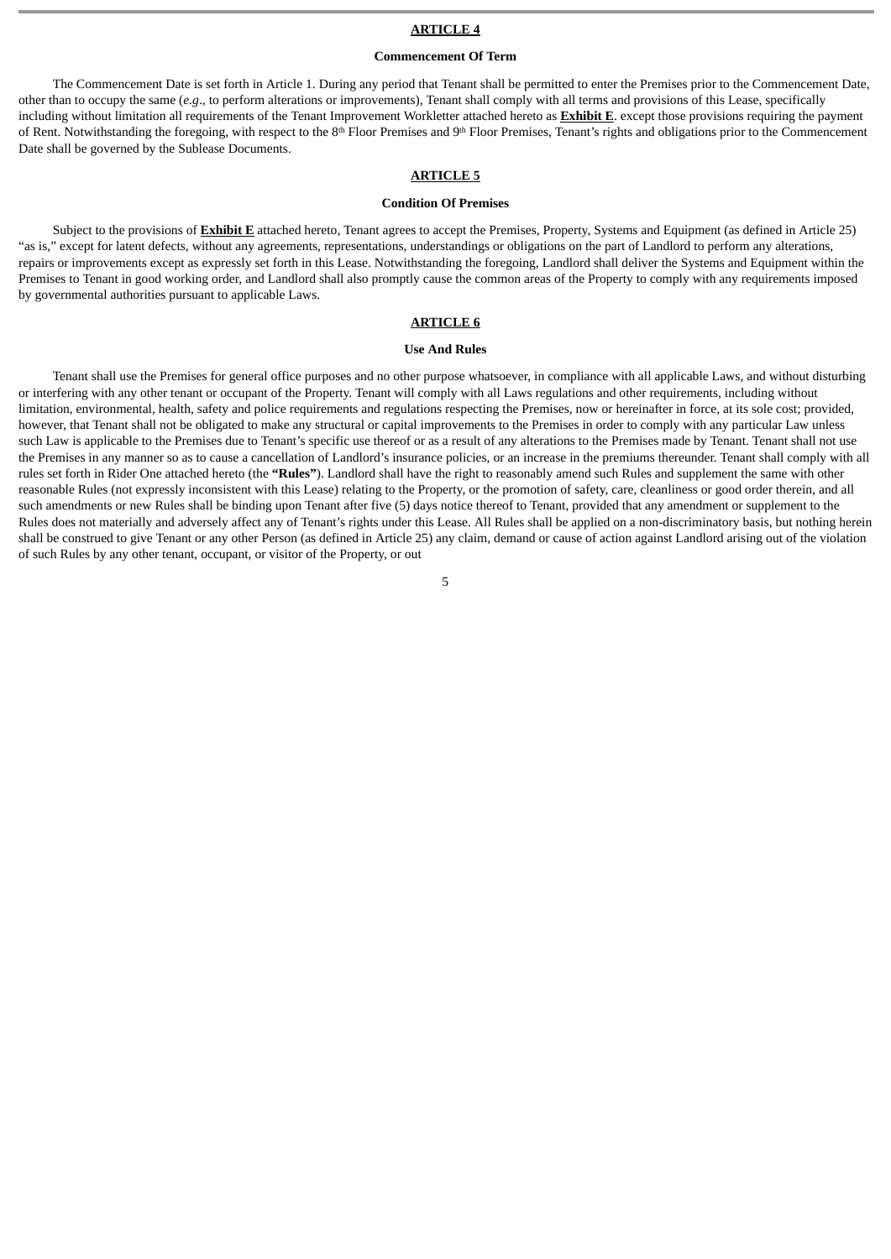## **ARTICLE 4**

#### **Commencement Of Term**

The Commencement Date is set forth in Article 1. During any period that Tenant shall be permitted to enter the Premises prior to the Commencement Date, other than to occupy the same (*e.g*., to perform alterations or improvements), Tenant shall comply with all terms and provisions of this Lease, specifically including without limitation all requirements of the Tenant Improvement Workletter attached hereto as **Exhibit E**. except those provisions requiring the payment of Rent. Notwithstanding the foregoing, with respect to the 8<sup>th</sup> Floor Premises and 9<sup>th</sup> Floor Premises, Tenant's rights and obligations prior to the Commencement Date shall be governed by the Sublease Documents.

#### **ARTICLE 5**

## **Condition Of Premises**

Subject to the provisions of **Exhibit E** attached hereto, Tenant agrees to accept the Premises, Property, Systems and Equipment (as defined in Article 25) "as is," except for latent defects, without any agreements, representations, understandings or obligations on the part of Landlord to perform any alterations, repairs or improvements except as expressly set forth in this Lease. Notwithstanding the foregoing, Landlord shall deliver the Systems and Equipment within the Premises to Tenant in good working order, and Landlord shall also promptly cause the common areas of the Property to comply with any requirements imposed by governmental authorities pursuant to applicable Laws.

#### **ARTICLE 6**

### **Use And Rules**

Tenant shall use the Premises for general office purposes and no other purpose whatsoever, in compliance with all applicable Laws, and without disturbing or interfering with any other tenant or occupant of the Property. Tenant will comply with all Laws regulations and other requirements, including without limitation, environmental, health, safety and police requirements and regulations respecting the Premises, now or hereinafter in force, at its sole cost; provided, however, that Tenant shall not be obligated to make any structural or capital improvements to the Premises in order to comply with any particular Law unless such Law is applicable to the Premises due to Tenant's specific use thereof or as a result of any alterations to the Premises made by Tenant. Tenant shall not use the Premises in any manner so as to cause a cancellation of Landlord's insurance policies, or an increase in the premiums thereunder. Tenant shall comply with all rules set forth in Rider One attached hereto (the **"Rules"**). Landlord shall have the right to reasonably amend such Rules and supplement the same with other reasonable Rules (not expressly inconsistent with this Lease) relating to the Property, or the promotion of safety, care, cleanliness or good order therein, and all such amendments or new Rules shall be binding upon Tenant after five (5) days notice thereof to Tenant, provided that any amendment or supplement to the Rules does not materially and adversely affect any of Tenant's rights under this Lease. All Rules shall be applied on a non-discriminatory basis, but nothing herein shall be construed to give Tenant or any other Person (as defined in Article 25) any claim, demand or cause of action against Landlord arising out of the violation of such Rules by any other tenant, occupant, or visitor of the Property, or out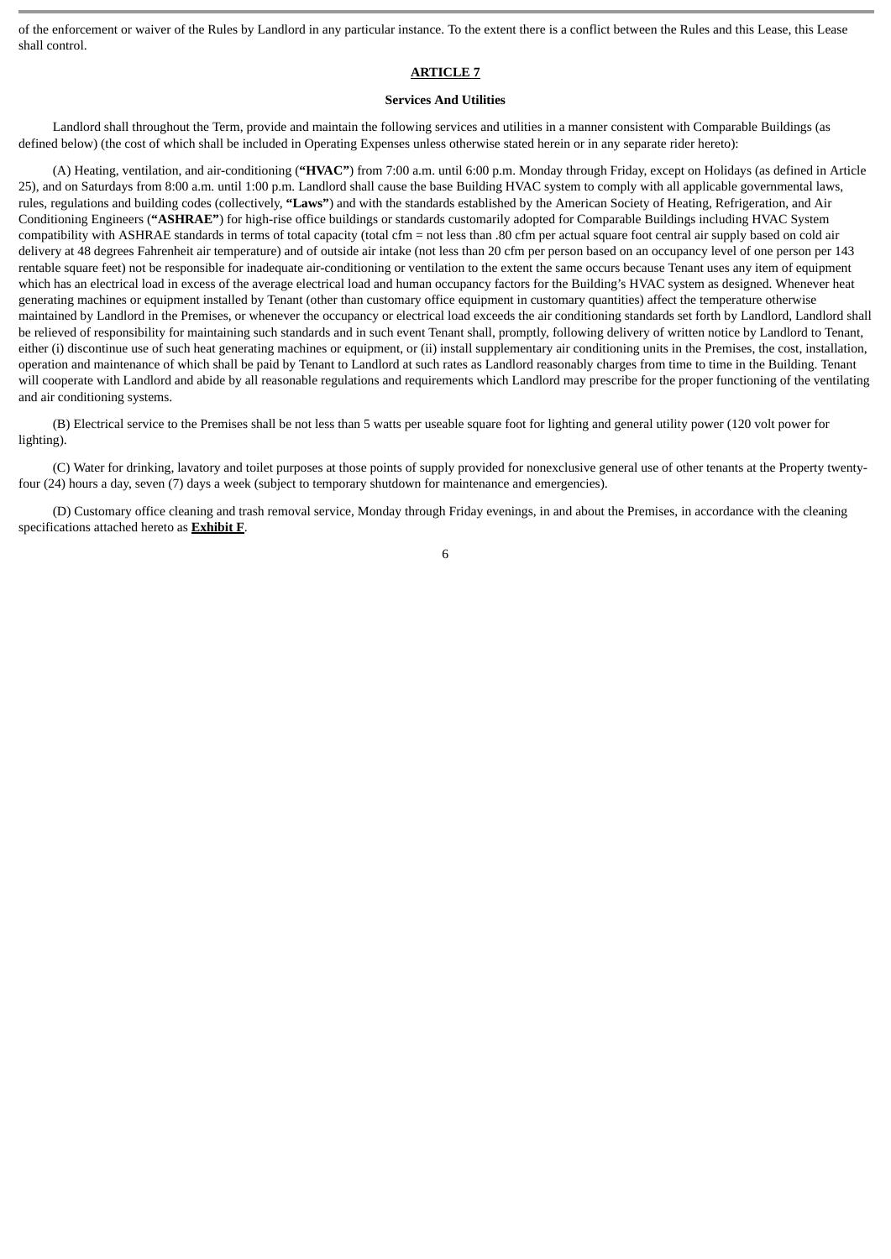of the enforcement or waiver of the Rules by Landlord in any particular instance. To the extent there is a conflict between the Rules and this Lease, this Lease shall control.

## **ARTICLE 7**

#### **Services And Utilities**

Landlord shall throughout the Term, provide and maintain the following services and utilities in a manner consistent with Comparable Buildings (as defined below) (the cost of which shall be included in Operating Expenses unless otherwise stated herein or in any separate rider hereto):

(A) Heating, ventilation, and air-conditioning (**"HVAC"**) from 7:00 a.m. until 6:00 p.m. Monday through Friday, except on Holidays (as defined in Article 25), and on Saturdays from 8:00 a.m. until 1:00 p.m. Landlord shall cause the base Building HVAC system to comply with all applicable governmental laws, rules, regulations and building codes (collectively, **"Laws"**) and with the standards established by the American Society of Heating, Refrigeration, and Air Conditioning Engineers (**"ASHRAE"**) for high-rise office buildings or standards customarily adopted for Comparable Buildings including HVAC System compatibility with ASHRAE standards in terms of total capacity (total cfm = not less than .80 cfm per actual square foot central air supply based on cold air delivery at 48 degrees Fahrenheit air temperature) and of outside air intake (not less than 20 cfm per person based on an occupancy level of one person per 143 rentable square feet) not be responsible for inadequate air-conditioning or ventilation to the extent the same occurs because Tenant uses any item of equipment which has an electrical load in excess of the average electrical load and human occupancy factors for the Building's HVAC system as designed. Whenever heat generating machines or equipment installed by Tenant (other than customary office equipment in customary quantities) affect the temperature otherwise maintained by Landlord in the Premises, or whenever the occupancy or electrical load exceeds the air conditioning standards set forth by Landlord, Landlord shall be relieved of responsibility for maintaining such standards and in such event Tenant shall, promptly, following delivery of written notice by Landlord to Tenant, either (i) discontinue use of such heat generating machines or equipment, or (ii) install supplementary air conditioning units in the Premises, the cost, installation, operation and maintenance of which shall be paid by Tenant to Landlord at such rates as Landlord reasonably charges from time to time in the Building. Tenant will cooperate with Landlord and abide by all reasonable regulations and requirements which Landlord may prescribe for the proper functioning of the ventilating and air conditioning systems.

(B) Electrical service to the Premises shall be not less than 5 watts per useable square foot for lighting and general utility power (120 volt power for lighting).

(C) Water for drinking, lavatory and toilet purposes at those points of supply provided for nonexclusive general use of other tenants at the Property twentyfour (24) hours a day, seven (7) days a week (subject to temporary shutdown for maintenance and emergencies).

(D) Customary office cleaning and trash removal service, Monday through Friday evenings, in and about the Premises, in accordance with the cleaning specifications attached hereto as **Exhibit F**.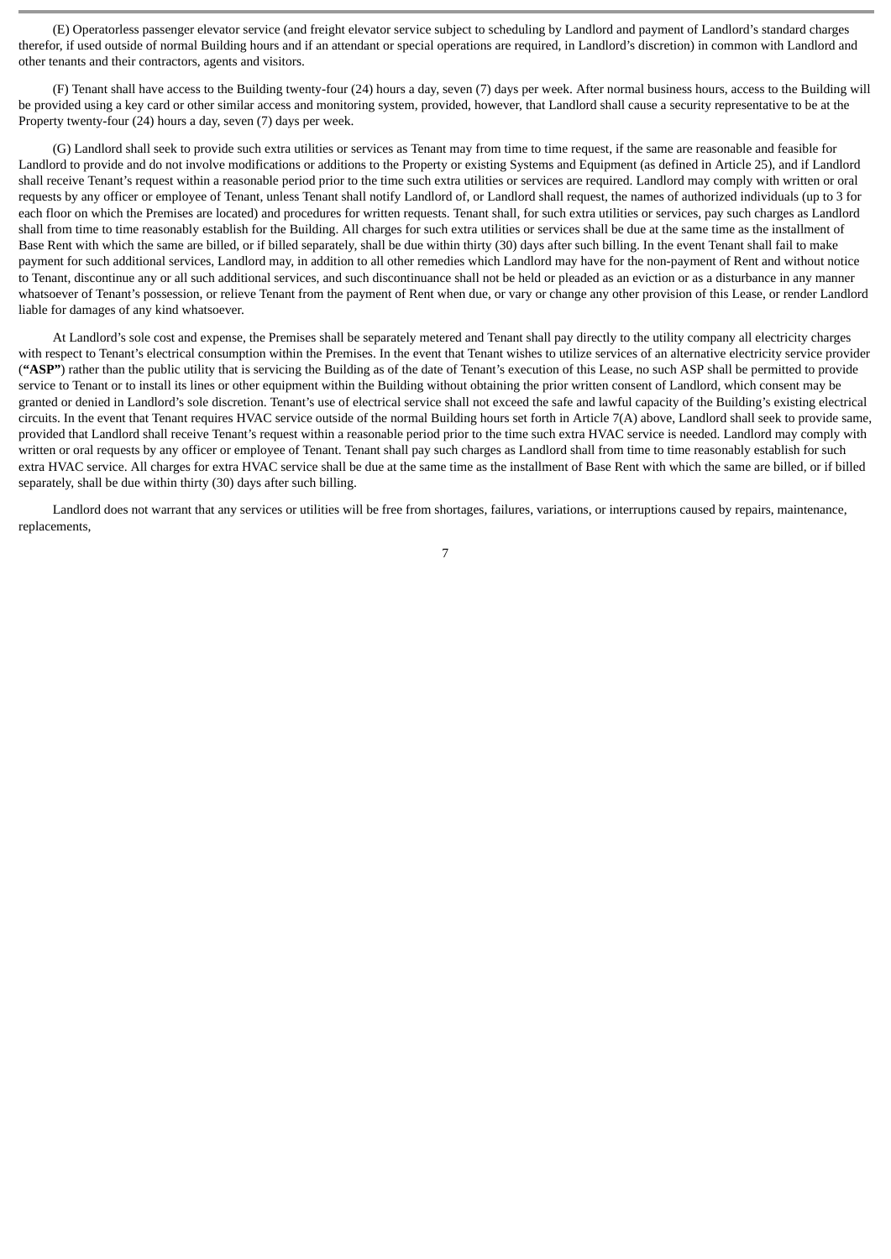(E) Operatorless passenger elevator service (and freight elevator service subject to scheduling by Landlord and payment of Landlord's standard charges therefor, if used outside of normal Building hours and if an attendant or special operations are required, in Landlord's discretion) in common with Landlord and other tenants and their contractors, agents and visitors.

(F) Tenant shall have access to the Building twenty-four (24) hours a day, seven (7) days per week. After normal business hours, access to the Building will be provided using a key card or other similar access and monitoring system, provided, however, that Landlord shall cause a security representative to be at the Property twenty-four (24) hours a day, seven (7) days per week.

(G) Landlord shall seek to provide such extra utilities or services as Tenant may from time to time request, if the same are reasonable and feasible for Landlord to provide and do not involve modifications or additions to the Property or existing Systems and Equipment (as defined in Article 25), and if Landlord shall receive Tenant's request within a reasonable period prior to the time such extra utilities or services are required. Landlord may comply with written or oral requests by any officer or employee of Tenant, unless Tenant shall notify Landlord of, or Landlord shall request, the names of authorized individuals (up to 3 for each floor on which the Premises are located) and procedures for written requests. Tenant shall, for such extra utilities or services, pay such charges as Landlord shall from time to time reasonably establish for the Building. All charges for such extra utilities or services shall be due at the same time as the installment of Base Rent with which the same are billed, or if billed separately, shall be due within thirty (30) days after such billing. In the event Tenant shall fail to make payment for such additional services, Landlord may, in addition to all other remedies which Landlord may have for the non-payment of Rent and without notice to Tenant, discontinue any or all such additional services, and such discontinuance shall not be held or pleaded as an eviction or as a disturbance in any manner whatsoever of Tenant's possession, or relieve Tenant from the payment of Rent when due, or vary or change any other provision of this Lease, or render Landlord liable for damages of any kind whatsoever.

At Landlord's sole cost and expense, the Premises shall be separately metered and Tenant shall pay directly to the utility company all electricity charges with respect to Tenant's electrical consumption within the Premises. In the event that Tenant wishes to utilize services of an alternative electricity service provider (**"ASP"**) rather than the public utility that is servicing the Building as of the date of Tenant's execution of this Lease, no such ASP shall be permitted to provide service to Tenant or to install its lines or other equipment within the Building without obtaining the prior written consent of Landlord, which consent may be granted or denied in Landlord's sole discretion. Tenant's use of electrical service shall not exceed the safe and lawful capacity of the Building's existing electrical circuits. In the event that Tenant requires HVAC service outside of the normal Building hours set forth in Article 7(A) above, Landlord shall seek to provide same, provided that Landlord shall receive Tenant's request within a reasonable period prior to the time such extra HVAC service is needed. Landlord may comply with written or oral requests by any officer or employee of Tenant. Tenant shall pay such charges as Landlord shall from time to time reasonably establish for such extra HVAC service. All charges for extra HVAC service shall be due at the same time as the installment of Base Rent with which the same are billed, or if billed separately, shall be due within thirty (30) days after such billing.

Landlord does not warrant that any services or utilities will be free from shortages, failures, variations, or interruptions caused by repairs, maintenance, replacements,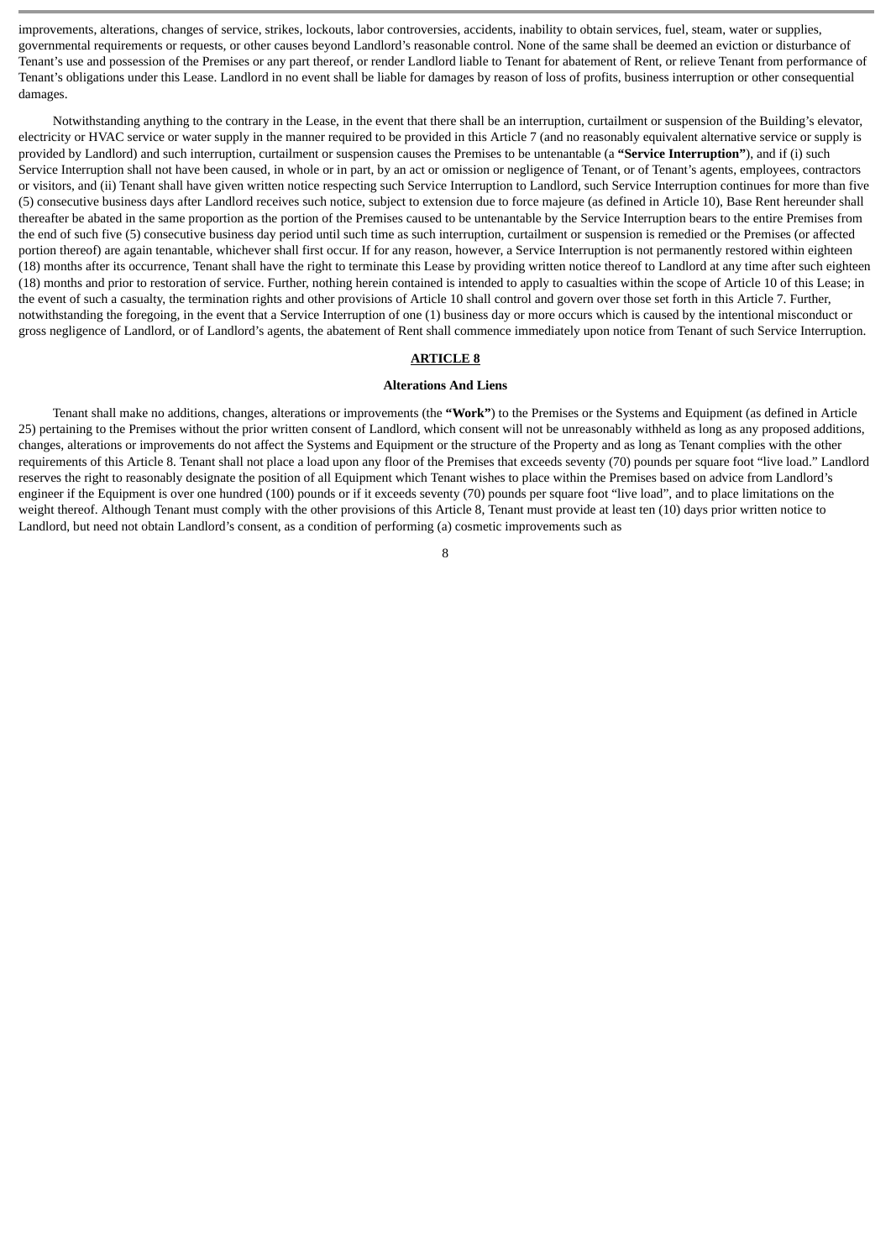improvements, alterations, changes of service, strikes, lockouts, labor controversies, accidents, inability to obtain services, fuel, steam, water or supplies, governmental requirements or requests, or other causes beyond Landlord's reasonable control. None of the same shall be deemed an eviction or disturbance of Tenant's use and possession of the Premises or any part thereof, or render Landlord liable to Tenant for abatement of Rent, or relieve Tenant from performance of Tenant's obligations under this Lease. Landlord in no event shall be liable for damages by reason of loss of profits, business interruption or other consequential damages.

Notwithstanding anything to the contrary in the Lease, in the event that there shall be an interruption, curtailment or suspension of the Building's elevator, electricity or HVAC service or water supply in the manner required to be provided in this Article 7 (and no reasonably equivalent alternative service or supply is provided by Landlord) and such interruption, curtailment or suspension causes the Premises to be untenantable (a **"Service Interruption"**), and if (i) such Service Interruption shall not have been caused, in whole or in part, by an act or omission or negligence of Tenant, or of Tenant's agents, employees, contractors or visitors, and (ii) Tenant shall have given written notice respecting such Service Interruption to Landlord, such Service Interruption continues for more than five (5) consecutive business days after Landlord receives such notice, subject to extension due to force majeure (as defined in Article 10), Base Rent hereunder shall thereafter be abated in the same proportion as the portion of the Premises caused to be untenantable by the Service Interruption bears to the entire Premises from the end of such five (5) consecutive business day period until such time as such interruption, curtailment or suspension is remedied or the Premises (or affected portion thereof) are again tenantable, whichever shall first occur. If for any reason, however, a Service Interruption is not permanently restored within eighteen (18) months after its occurrence, Tenant shall have the right to terminate this Lease by providing written notice thereof to Landlord at any time after such eighteen (18) months and prior to restoration of service. Further, nothing herein contained is intended to apply to casualties within the scope of Article 10 of this Lease; in the event of such a casualty, the termination rights and other provisions of Article 10 shall control and govern over those set forth in this Article 7. Further, notwithstanding the foregoing, in the event that a Service Interruption of one (1) business day or more occurs which is caused by the intentional misconduct or gross negligence of Landlord, or of Landlord's agents, the abatement of Rent shall commence immediately upon notice from Tenant of such Service Interruption.

## **ARTICLE 8**

## **Alterations And Liens**

Tenant shall make no additions, changes, alterations or improvements (the **"Work"**) to the Premises or the Systems and Equipment (as defined in Article 25) pertaining to the Premises without the prior written consent of Landlord, which consent will not be unreasonably withheld as long as any proposed additions, changes, alterations or improvements do not affect the Systems and Equipment or the structure of the Property and as long as Tenant complies with the other requirements of this Article 8. Tenant shall not place a load upon any floor of the Premises that exceeds seventy (70) pounds per square foot "live load." Landlord reserves the right to reasonably designate the position of all Equipment which Tenant wishes to place within the Premises based on advice from Landlord's engineer if the Equipment is over one hundred (100) pounds or if it exceeds seventy (70) pounds per square foot "live load", and to place limitations on the weight thereof. Although Tenant must comply with the other provisions of this Article 8, Tenant must provide at least ten (10) days prior written notice to Landlord, but need not obtain Landlord's consent, as a condition of performing (a) cosmetic improvements such as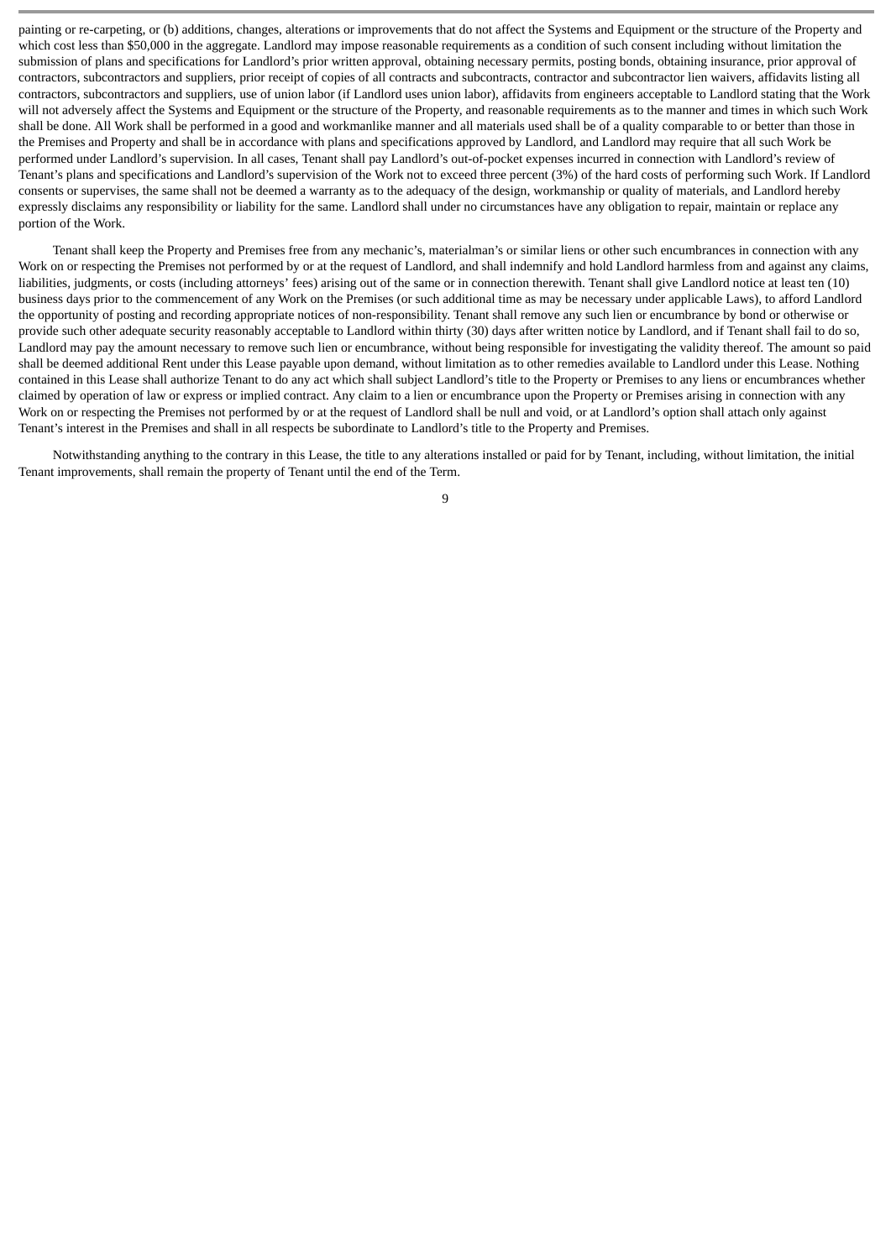painting or re-carpeting, or (b) additions, changes, alterations or improvements that do not affect the Systems and Equipment or the structure of the Property and which cost less than \$50,000 in the aggregate. Landlord may impose reasonable requirements as a condition of such consent including without limitation the submission of plans and specifications for Landlord's prior written approval, obtaining necessary permits, posting bonds, obtaining insurance, prior approval of contractors, subcontractors and suppliers, prior receipt of copies of all contracts and subcontracts, contractor and subcontractor lien waivers, affidavits listing all contractors, subcontractors and suppliers, use of union labor (if Landlord uses union labor), affidavits from engineers acceptable to Landlord stating that the Work will not adversely affect the Systems and Equipment or the structure of the Property, and reasonable requirements as to the manner and times in which such Work shall be done. All Work shall be performed in a good and workmanlike manner and all materials used shall be of a quality comparable to or better than those in the Premises and Property and shall be in accordance with plans and specifications approved by Landlord, and Landlord may require that all such Work be performed under Landlord's supervision. In all cases, Tenant shall pay Landlord's out-of-pocket expenses incurred in connection with Landlord's review of Tenant's plans and specifications and Landlord's supervision of the Work not to exceed three percent (3%) of the hard costs of performing such Work. If Landlord consents or supervises, the same shall not be deemed a warranty as to the adequacy of the design, workmanship or quality of materials, and Landlord hereby expressly disclaims any responsibility or liability for the same. Landlord shall under no circumstances have any obligation to repair, maintain or replace any portion of the Work.

Tenant shall keep the Property and Premises free from any mechanic's, materialman's or similar liens or other such encumbrances in connection with any Work on or respecting the Premises not performed by or at the request of Landlord, and shall indemnify and hold Landlord harmless from and against any claims, liabilities, judgments, or costs (including attorneys' fees) arising out of the same or in connection therewith. Tenant shall give Landlord notice at least ten (10) business days prior to the commencement of any Work on the Premises (or such additional time as may be necessary under applicable Laws), to afford Landlord the opportunity of posting and recording appropriate notices of non-responsibility. Tenant shall remove any such lien or encumbrance by bond or otherwise or provide such other adequate security reasonably acceptable to Landlord within thirty (30) days after written notice by Landlord, and if Tenant shall fail to do so, Landlord may pay the amount necessary to remove such lien or encumbrance, without being responsible for investigating the validity thereof. The amount so paid shall be deemed additional Rent under this Lease payable upon demand, without limitation as to other remedies available to Landlord under this Lease. Nothing contained in this Lease shall authorize Tenant to do any act which shall subject Landlord's title to the Property or Premises to any liens or encumbrances whether claimed by operation of law or express or implied contract. Any claim to a lien or encumbrance upon the Property or Premises arising in connection with any Work on or respecting the Premises not performed by or at the request of Landlord shall be null and void, or at Landlord's option shall attach only against Tenant's interest in the Premises and shall in all respects be subordinate to Landlord's title to the Property and Premises.

Notwithstanding anything to the contrary in this Lease, the title to any alterations installed or paid for by Tenant, including, without limitation, the initial Tenant improvements, shall remain the property of Tenant until the end of the Term.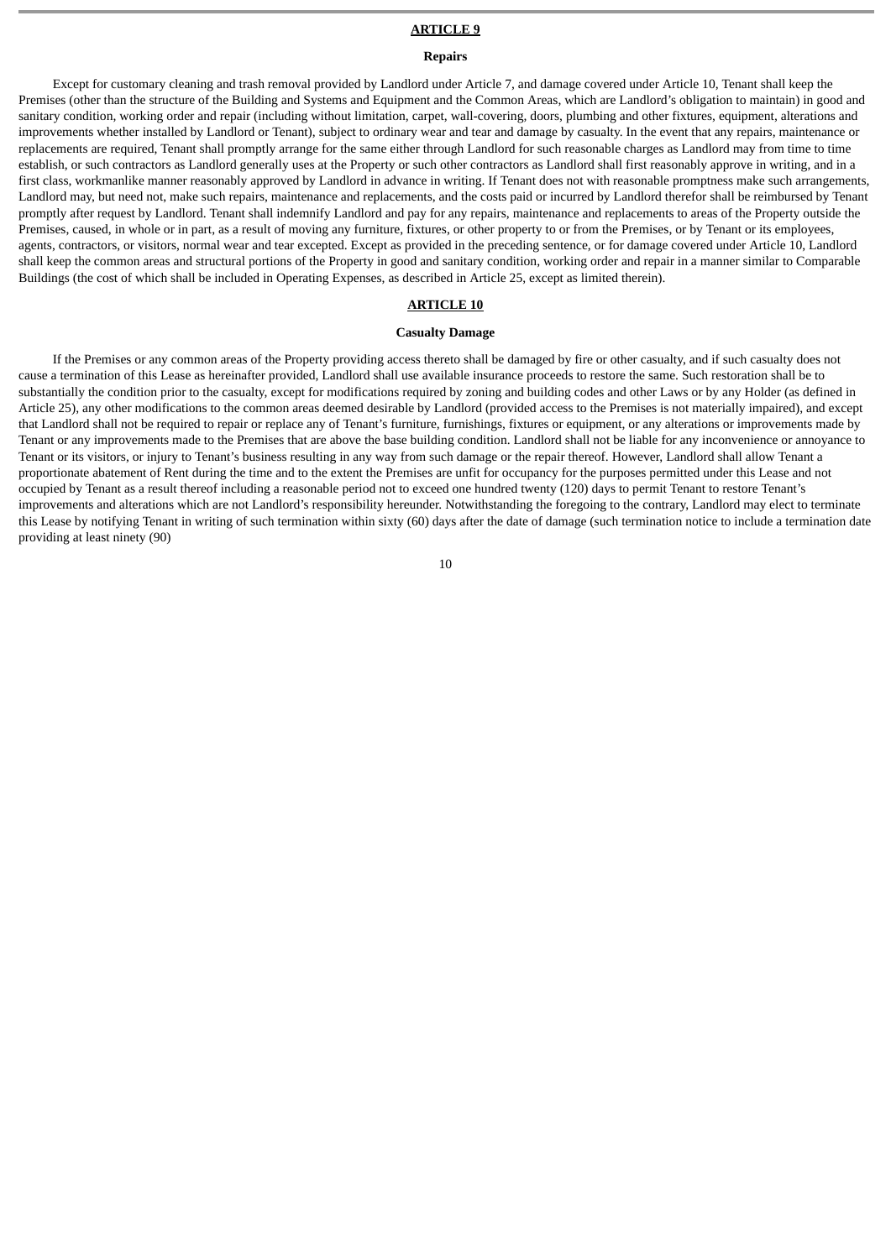## **ARTICLE 9**

## **Repairs**

Except for customary cleaning and trash removal provided by Landlord under Article 7, and damage covered under Article 10, Tenant shall keep the Premises (other than the structure of the Building and Systems and Equipment and the Common Areas, which are Landlord's obligation to maintain) in good and sanitary condition, working order and repair (including without limitation, carpet, wall-covering, doors, plumbing and other fixtures, equipment, alterations and improvements whether installed by Landlord or Tenant), subject to ordinary wear and tear and damage by casualty. In the event that any repairs, maintenance or replacements are required, Tenant shall promptly arrange for the same either through Landlord for such reasonable charges as Landlord may from time to time establish, or such contractors as Landlord generally uses at the Property or such other contractors as Landlord shall first reasonably approve in writing, and in a first class, workmanlike manner reasonably approved by Landlord in advance in writing. If Tenant does not with reasonable promptness make such arrangements, Landlord may, but need not, make such repairs, maintenance and replacements, and the costs paid or incurred by Landlord therefor shall be reimbursed by Tenant promptly after request by Landlord. Tenant shall indemnify Landlord and pay for any repairs, maintenance and replacements to areas of the Property outside the Premises, caused, in whole or in part, as a result of moving any furniture, fixtures, or other property to or from the Premises, or by Tenant or its employees, agents, contractors, or visitors, normal wear and tear excepted. Except as provided in the preceding sentence, or for damage covered under Article 10, Landlord shall keep the common areas and structural portions of the Property in good and sanitary condition, working order and repair in a manner similar to Comparable Buildings (the cost of which shall be included in Operating Expenses, as described in Article 25, except as limited therein).

## **ARTICLE 10**

#### **Casualty Damage**

If the Premises or any common areas of the Property providing access thereto shall be damaged by fire or other casualty, and if such casualty does not cause a termination of this Lease as hereinafter provided, Landlord shall use available insurance proceeds to restore the same. Such restoration shall be to substantially the condition prior to the casualty, except for modifications required by zoning and building codes and other Laws or by any Holder (as defined in Article 25), any other modifications to the common areas deemed desirable by Landlord (provided access to the Premises is not materially impaired), and except that Landlord shall not be required to repair or replace any of Tenant's furniture, furnishings, fixtures or equipment, or any alterations or improvements made by Tenant or any improvements made to the Premises that are above the base building condition. Landlord shall not be liable for any inconvenience or annoyance to Tenant or its visitors, or injury to Tenant's business resulting in any way from such damage or the repair thereof. However, Landlord shall allow Tenant a proportionate abatement of Rent during the time and to the extent the Premises are unfit for occupancy for the purposes permitted under this Lease and not occupied by Tenant as a result thereof including a reasonable period not to exceed one hundred twenty (120) days to permit Tenant to restore Tenant's improvements and alterations which are not Landlord's responsibility hereunder. Notwithstanding the foregoing to the contrary, Landlord may elect to terminate this Lease by notifying Tenant in writing of such termination within sixty (60) days after the date of damage (such termination notice to include a termination date providing at least ninety (90)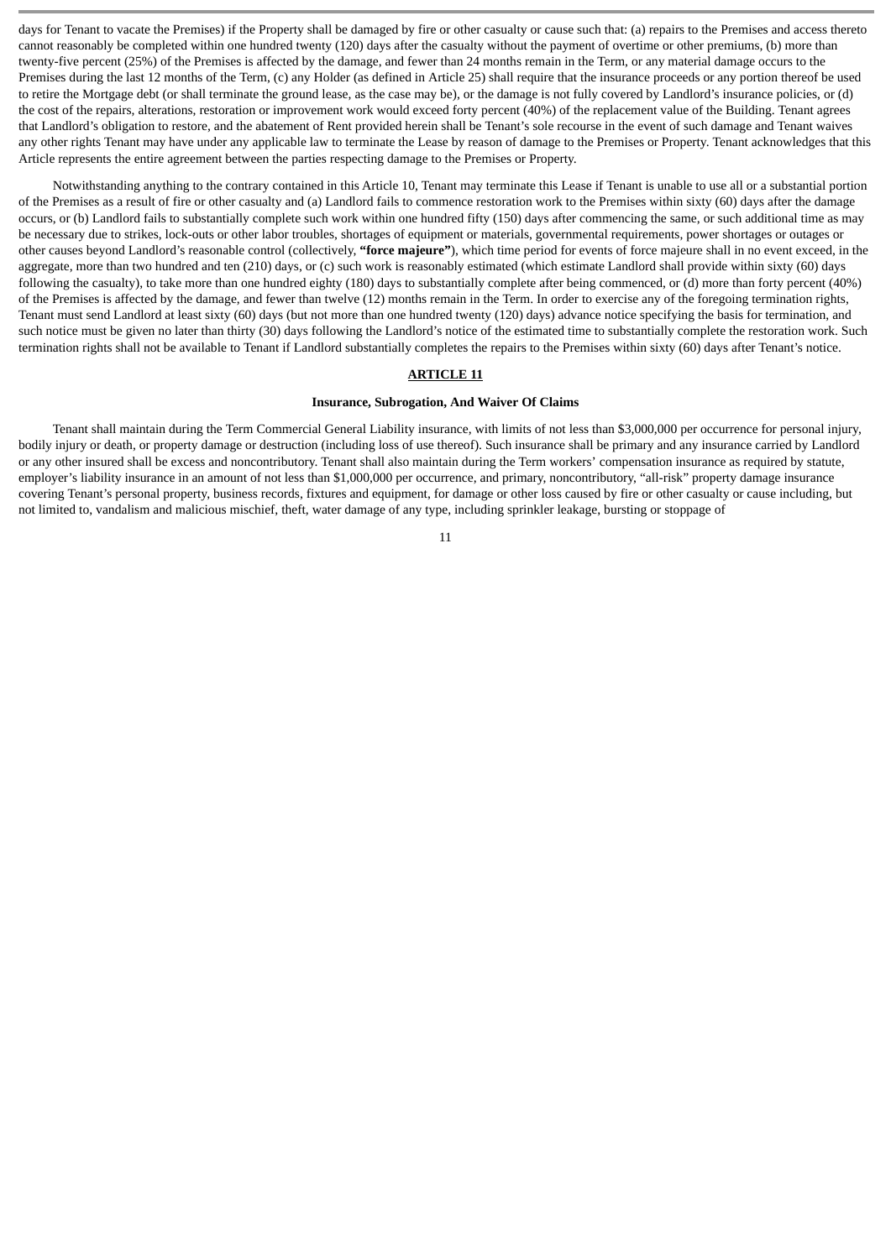days for Tenant to vacate the Premises) if the Property shall be damaged by fire or other casualty or cause such that: (a) repairs to the Premises and access thereto cannot reasonably be completed within one hundred twenty (120) days after the casualty without the payment of overtime or other premiums, (b) more than twenty-five percent (25%) of the Premises is affected by the damage, and fewer than 24 months remain in the Term, or any material damage occurs to the Premises during the last 12 months of the Term, (c) any Holder (as defined in Article 25) shall require that the insurance proceeds or any portion thereof be used to retire the Mortgage debt (or shall terminate the ground lease, as the case may be), or the damage is not fully covered by Landlord's insurance policies, or (d) the cost of the repairs, alterations, restoration or improvement work would exceed forty percent (40%) of the replacement value of the Building. Tenant agrees that Landlord's obligation to restore, and the abatement of Rent provided herein shall be Tenant's sole recourse in the event of such damage and Tenant waives any other rights Tenant may have under any applicable law to terminate the Lease by reason of damage to the Premises or Property. Tenant acknowledges that this Article represents the entire agreement between the parties respecting damage to the Premises or Property.

Notwithstanding anything to the contrary contained in this Article 10, Tenant may terminate this Lease if Tenant is unable to use all or a substantial portion of the Premises as a result of fire or other casualty and (a) Landlord fails to commence restoration work to the Premises within sixty (60) days after the damage occurs, or (b) Landlord fails to substantially complete such work within one hundred fifty (150) days after commencing the same, or such additional time as may be necessary due to strikes, lock-outs or other labor troubles, shortages of equipment or materials, governmental requirements, power shortages or outages or other causes beyond Landlord's reasonable control (collectively, **"force majeure"**), which time period for events of force majeure shall in no event exceed, in the aggregate, more than two hundred and ten (210) days, or (c) such work is reasonably estimated (which estimate Landlord shall provide within sixty (60) days following the casualty), to take more than one hundred eighty (180) days to substantially complete after being commenced, or (d) more than forty percent (40%) of the Premises is affected by the damage, and fewer than twelve (12) months remain in the Term. In order to exercise any of the foregoing termination rights, Tenant must send Landlord at least sixty (60) days (but not more than one hundred twenty (120) days) advance notice specifying the basis for termination, and such notice must be given no later than thirty (30) days following the Landlord's notice of the estimated time to substantially complete the restoration work. Such termination rights shall not be available to Tenant if Landlord substantially completes the repairs to the Premises within sixty (60) days after Tenant's notice.

## **ARTICLE 11**

## **Insurance, Subrogation, And Waiver Of Claims**

Tenant shall maintain during the Term Commercial General Liability insurance, with limits of not less than \$3,000,000 per occurrence for personal injury, bodily injury or death, or property damage or destruction (including loss of use thereof). Such insurance shall be primary and any insurance carried by Landlord or any other insured shall be excess and noncontributory. Tenant shall also maintain during the Term workers' compensation insurance as required by statute, employer's liability insurance in an amount of not less than \$1,000,000 per occurrence, and primary, noncontributory, "all-risk" property damage insurance covering Tenant's personal property, business records, fixtures and equipment, for damage or other loss caused by fire or other casualty or cause including, but not limited to, vandalism and malicious mischief, theft, water damage of any type, including sprinkler leakage, bursting or stoppage of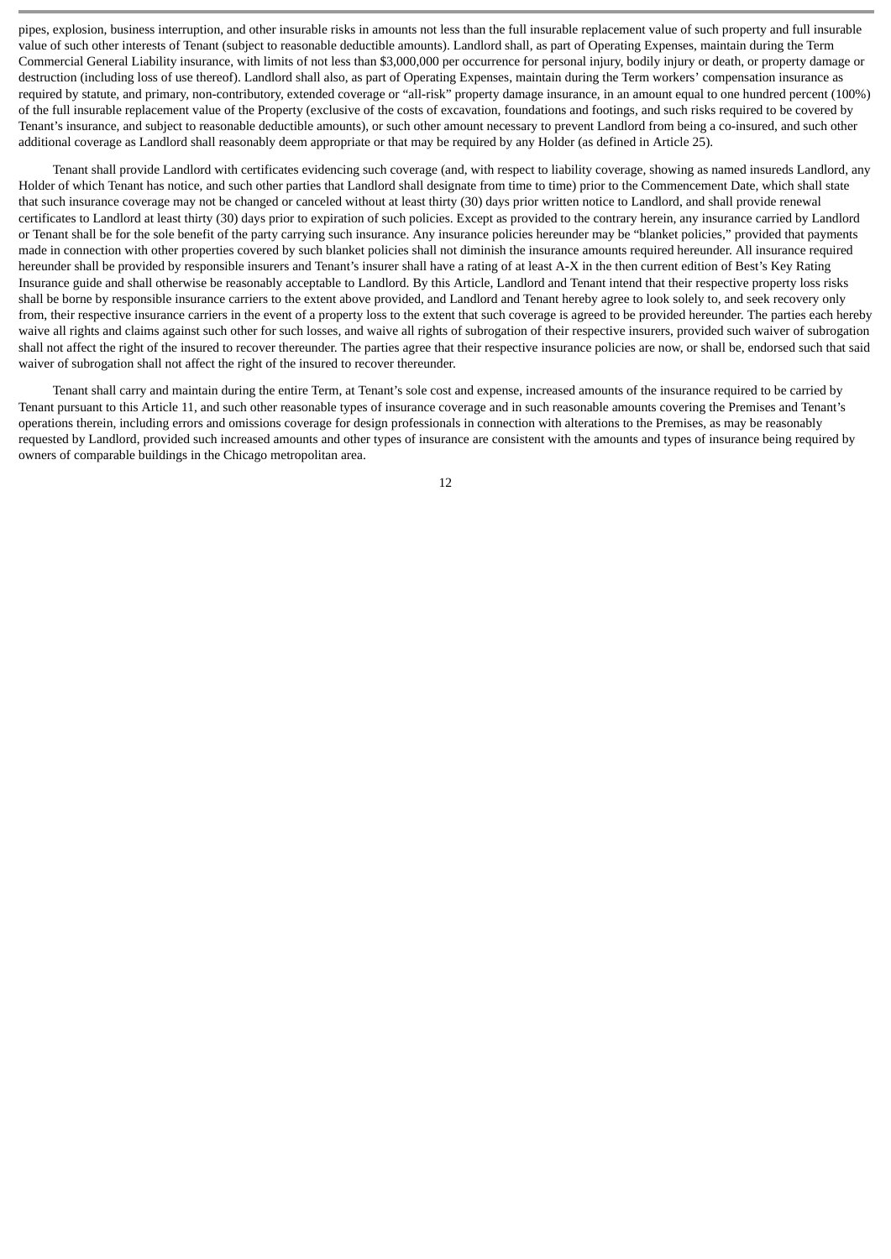pipes, explosion, business interruption, and other insurable risks in amounts not less than the full insurable replacement value of such property and full insurable value of such other interests of Tenant (subject to reasonable deductible amounts). Landlord shall, as part of Operating Expenses, maintain during the Term Commercial General Liability insurance, with limits of not less than \$3,000,000 per occurrence for personal injury, bodily injury or death, or property damage or destruction (including loss of use thereof). Landlord shall also, as part of Operating Expenses, maintain during the Term workers' compensation insurance as required by statute, and primary, non-contributory, extended coverage or "all-risk" property damage insurance, in an amount equal to one hundred percent (100%) of the full insurable replacement value of the Property (exclusive of the costs of excavation, foundations and footings, and such risks required to be covered by Tenant's insurance, and subject to reasonable deductible amounts), or such other amount necessary to prevent Landlord from being a co-insured, and such other additional coverage as Landlord shall reasonably deem appropriate or that may be required by any Holder (as defined in Article 25).

Tenant shall provide Landlord with certificates evidencing such coverage (and, with respect to liability coverage, showing as named insureds Landlord, any Holder of which Tenant has notice, and such other parties that Landlord shall designate from time to time) prior to the Commencement Date, which shall state that such insurance coverage may not be changed or canceled without at least thirty (30) days prior written notice to Landlord, and shall provide renewal certificates to Landlord at least thirty (30) days prior to expiration of such policies. Except as provided to the contrary herein, any insurance carried by Landlord or Tenant shall be for the sole benefit of the party carrying such insurance. Any insurance policies hereunder may be "blanket policies," provided that payments made in connection with other properties covered by such blanket policies shall not diminish the insurance amounts required hereunder. All insurance required hereunder shall be provided by responsible insurers and Tenant's insurer shall have a rating of at least A-X in the then current edition of Best's Key Rating Insurance guide and shall otherwise be reasonably acceptable to Landlord. By this Article, Landlord and Tenant intend that their respective property loss risks shall be borne by responsible insurance carriers to the extent above provided, and Landlord and Tenant hereby agree to look solely to, and seek recovery only from, their respective insurance carriers in the event of a property loss to the extent that such coverage is agreed to be provided hereunder. The parties each hereby waive all rights and claims against such other for such losses, and waive all rights of subrogation of their respective insurers, provided such waiver of subrogation shall not affect the right of the insured to recover thereunder. The parties agree that their respective insurance policies are now, or shall be, endorsed such that said waiver of subrogation shall not affect the right of the insured to recover thereunder.

Tenant shall carry and maintain during the entire Term, at Tenant's sole cost and expense, increased amounts of the insurance required to be carried by Tenant pursuant to this Article 11, and such other reasonable types of insurance coverage and in such reasonable amounts covering the Premises and Tenant's operations therein, including errors and omissions coverage for design professionals in connection with alterations to the Premises, as may be reasonably requested by Landlord, provided such increased amounts and other types of insurance are consistent with the amounts and types of insurance being required by owners of comparable buildings in the Chicago metropolitan area.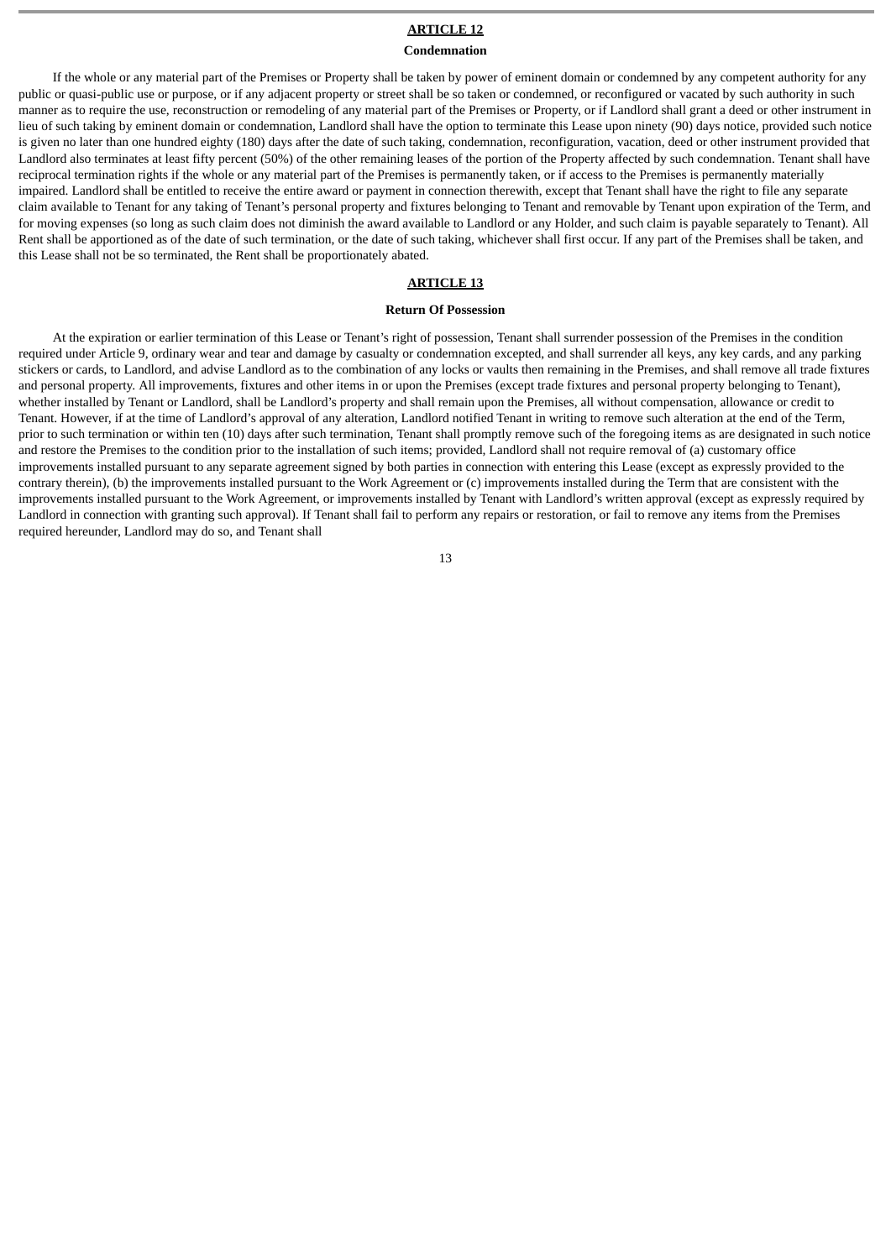### **ARTICLE 12**

#### **Condemnation**

If the whole or any material part of the Premises or Property shall be taken by power of eminent domain or condemned by any competent authority for any public or quasi-public use or purpose, or if any adjacent property or street shall be so taken or condemned, or reconfigured or vacated by such authority in such manner as to require the use, reconstruction or remodeling of any material part of the Premises or Property, or if Landlord shall grant a deed or other instrument in lieu of such taking by eminent domain or condemnation, Landlord shall have the option to terminate this Lease upon ninety (90) days notice, provided such notice is given no later than one hundred eighty (180) days after the date of such taking, condemnation, reconfiguration, vacation, deed or other instrument provided that Landlord also terminates at least fifty percent (50%) of the other remaining leases of the portion of the Property affected by such condemnation. Tenant shall have reciprocal termination rights if the whole or any material part of the Premises is permanently taken, or if access to the Premises is permanently materially impaired. Landlord shall be entitled to receive the entire award or payment in connection therewith, except that Tenant shall have the right to file any separate claim available to Tenant for any taking of Tenant's personal property and fixtures belonging to Tenant and removable by Tenant upon expiration of the Term, and for moving expenses (so long as such claim does not diminish the award available to Landlord or any Holder, and such claim is payable separately to Tenant). All Rent shall be apportioned as of the date of such termination, or the date of such taking, whichever shall first occur. If any part of the Premises shall be taken, and this Lease shall not be so terminated, the Rent shall be proportionately abated.

## **ARTICLE 13**

#### **Return Of Possession**

At the expiration or earlier termination of this Lease or Tenant's right of possession, Tenant shall surrender possession of the Premises in the condition required under Article 9, ordinary wear and tear and damage by casualty or condemnation excepted, and shall surrender all keys, any key cards, and any parking stickers or cards, to Landlord, and advise Landlord as to the combination of any locks or vaults then remaining in the Premises, and shall remove all trade fixtures and personal property. All improvements, fixtures and other items in or upon the Premises (except trade fixtures and personal property belonging to Tenant), whether installed by Tenant or Landlord, shall be Landlord's property and shall remain upon the Premises, all without compensation, allowance or credit to Tenant. However, if at the time of Landlord's approval of any alteration, Landlord notified Tenant in writing to remove such alteration at the end of the Term, prior to such termination or within ten (10) days after such termination, Tenant shall promptly remove such of the foregoing items as are designated in such notice and restore the Premises to the condition prior to the installation of such items; provided, Landlord shall not require removal of (a) customary office improvements installed pursuant to any separate agreement signed by both parties in connection with entering this Lease (except as expressly provided to the contrary therein), (b) the improvements installed pursuant to the Work Agreement or (c) improvements installed during the Term that are consistent with the improvements installed pursuant to the Work Agreement, or improvements installed by Tenant with Landlord's written approval (except as expressly required by Landlord in connection with granting such approval). If Tenant shall fail to perform any repairs or restoration, or fail to remove any items from the Premises required hereunder, Landlord may do so, and Tenant shall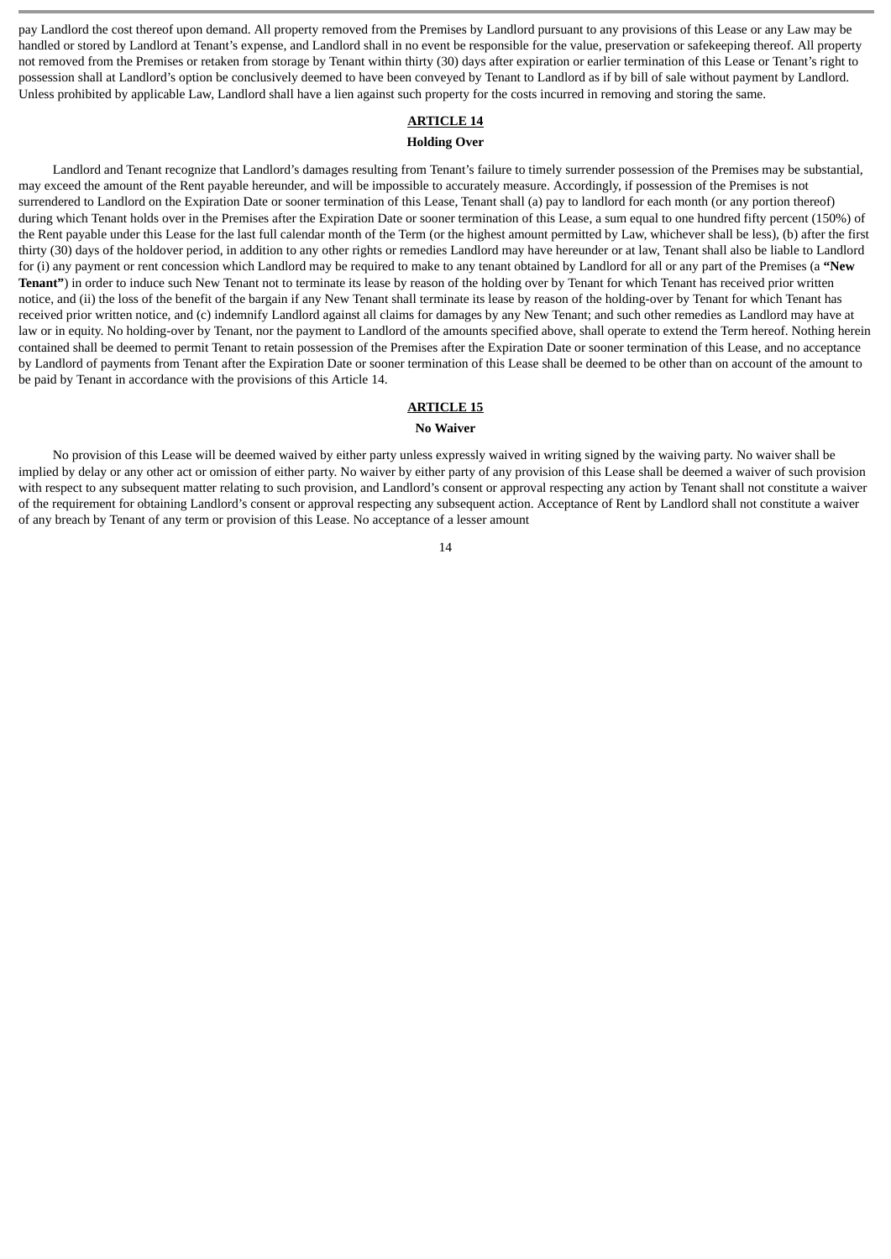pay Landlord the cost thereof upon demand. All property removed from the Premises by Landlord pursuant to any provisions of this Lease or any Law may be handled or stored by Landlord at Tenant's expense, and Landlord shall in no event be responsible for the value, preservation or safekeeping thereof. All property not removed from the Premises or retaken from storage by Tenant within thirty (30) days after expiration or earlier termination of this Lease or Tenant's right to possession shall at Landlord's option be conclusively deemed to have been conveyed by Tenant to Landlord as if by bill of sale without payment by Landlord. Unless prohibited by applicable Law, Landlord shall have a lien against such property for the costs incurred in removing and storing the same.

## **ARTICLE 14**

## **Holding Over**

Landlord and Tenant recognize that Landlord's damages resulting from Tenant's failure to timely surrender possession of the Premises may be substantial, may exceed the amount of the Rent payable hereunder, and will be impossible to accurately measure. Accordingly, if possession of the Premises is not surrendered to Landlord on the Expiration Date or sooner termination of this Lease, Tenant shall (a) pay to landlord for each month (or any portion thereof) during which Tenant holds over in the Premises after the Expiration Date or sooner termination of this Lease, a sum equal to one hundred fifty percent (150%) of the Rent payable under this Lease for the last full calendar month of the Term (or the highest amount permitted by Law, whichever shall be less), (b) after the first thirty (30) days of the holdover period, in addition to any other rights or remedies Landlord may have hereunder or at law, Tenant shall also be liable to Landlord for (i) any payment or rent concession which Landlord may be required to make to any tenant obtained by Landlord for all or any part of the Premises (a **"New** Tenant") in order to induce such New Tenant not to terminate its lease by reason of the holding over by Tenant for which Tenant has received prior written notice, and (ii) the loss of the benefit of the bargain if any New Tenant shall terminate its lease by reason of the holding-over by Tenant for which Tenant has received prior written notice, and (c) indemnify Landlord against all claims for damages by any New Tenant; and such other remedies as Landlord may have at law or in equity. No holding-over by Tenant, nor the payment to Landlord of the amounts specified above, shall operate to extend the Term hereof. Nothing herein contained shall be deemed to permit Tenant to retain possession of the Premises after the Expiration Date or sooner termination of this Lease, and no acceptance by Landlord of payments from Tenant after the Expiration Date or sooner termination of this Lease shall be deemed to be other than on account of the amount to be paid by Tenant in accordance with the provisions of this Article 14.

## **ARTICLE 15**

#### **No Waiver**

No provision of this Lease will be deemed waived by either party unless expressly waived in writing signed by the waiving party. No waiver shall be implied by delay or any other act or omission of either party. No waiver by either party of any provision of this Lease shall be deemed a waiver of such provision with respect to any subsequent matter relating to such provision, and Landlord's consent or approval respecting any action by Tenant shall not constitute a waiver of the requirement for obtaining Landlord's consent or approval respecting any subsequent action. Acceptance of Rent by Landlord shall not constitute a waiver of any breach by Tenant of any term or provision of this Lease. No acceptance of a lesser amount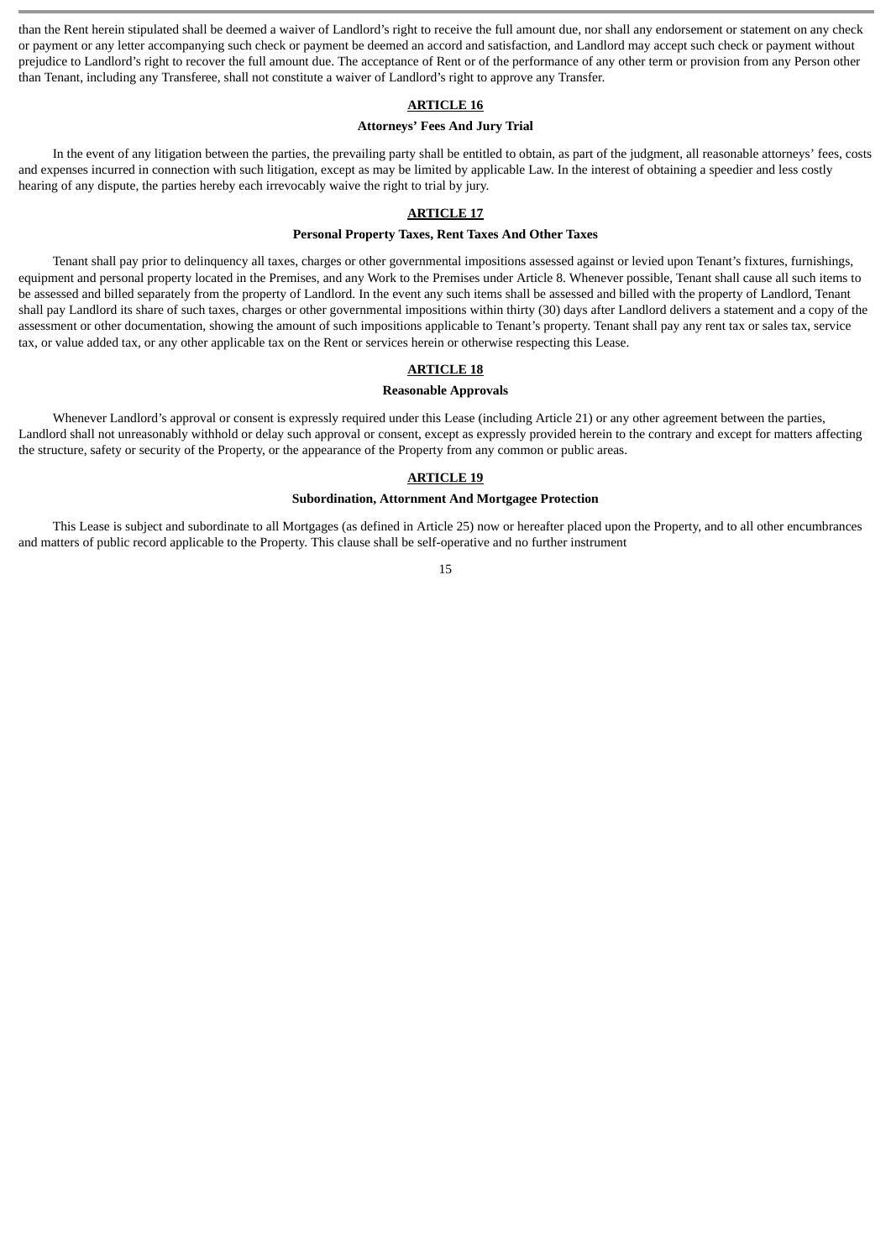than the Rent herein stipulated shall be deemed a waiver of Landlord's right to receive the full amount due, nor shall any endorsement or statement on any check or payment or any letter accompanying such check or payment be deemed an accord and satisfaction, and Landlord may accept such check or payment without prejudice to Landlord's right to recover the full amount due. The acceptance of Rent or of the performance of any other term or provision from any Person other than Tenant, including any Transferee, shall not constitute a waiver of Landlord's right to approve any Transfer.

## **ARTICLE 16**

## **Attorneys' Fees And Jury Trial**

In the event of any litigation between the parties, the prevailing party shall be entitled to obtain, as part of the judgment, all reasonable attorneys' fees, costs and expenses incurred in connection with such litigation, except as may be limited by applicable Law. In the interest of obtaining a speedier and less costly hearing of any dispute, the parties hereby each irrevocably waive the right to trial by jury.

## **ARTICLE 17**

### **Personal Property Taxes, Rent Taxes And Other Taxes**

Tenant shall pay prior to delinquency all taxes, charges or other governmental impositions assessed against or levied upon Tenant's fixtures, furnishings, equipment and personal property located in the Premises, and any Work to the Premises under Article 8. Whenever possible, Tenant shall cause all such items to be assessed and billed separately from the property of Landlord. In the event any such items shall be assessed and billed with the property of Landlord, Tenant shall pay Landlord its share of such taxes, charges or other governmental impositions within thirty (30) days after Landlord delivers a statement and a copy of the assessment or other documentation, showing the amount of such impositions applicable to Tenant's property. Tenant shall pay any rent tax or sales tax, service tax, or value added tax, or any other applicable tax on the Rent or services herein or otherwise respecting this Lease.

## **ARTICLE 18**

## **Reasonable Approvals**

Whenever Landlord's approval or consent is expressly required under this Lease (including Article 21) or any other agreement between the parties, Landlord shall not unreasonably withhold or delay such approval or consent, except as expressly provided herein to the contrary and except for matters affecting the structure, safety or security of the Property, or the appearance of the Property from any common or public areas.

## **ARTICLE 19**

## **Subordination, Attornment And Mortgagee Protection**

This Lease is subject and subordinate to all Mortgages (as defined in Article 25) now or hereafter placed upon the Property, and to all other encumbrances and matters of public record applicable to the Property. This clause shall be self-operative and no further instrument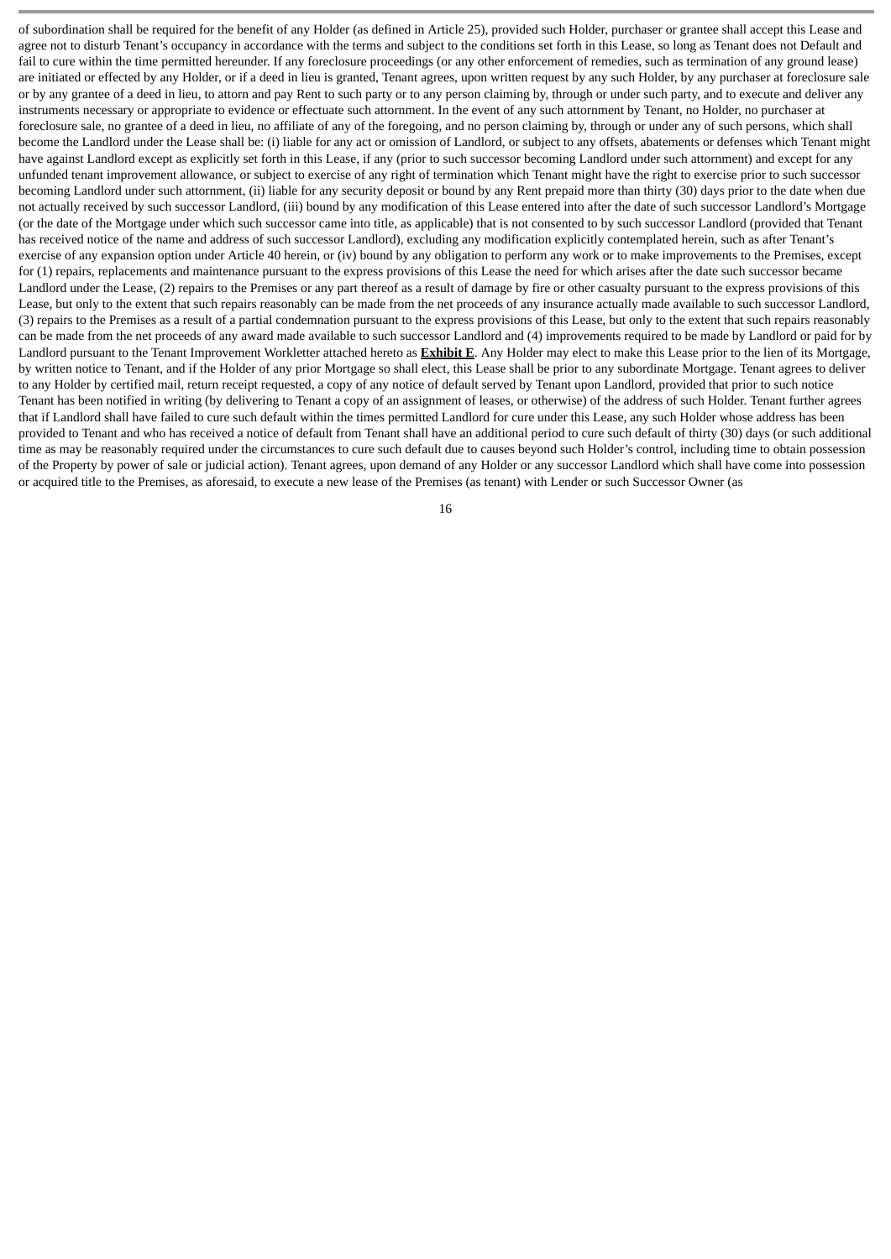of subordination shall be required for the benefit of any Holder (as defined in Article 25), provided such Holder, purchaser or grantee shall accept this Lease and agree not to disturb Tenant's occupancy in accordance with the terms and subject to the conditions set forth in this Lease, so long as Tenant does not Default and fail to cure within the time permitted hereunder. If any foreclosure proceedings (or any other enforcement of remedies, such as termination of any ground lease) are initiated or effected by any Holder, or if a deed in lieu is granted, Tenant agrees, upon written request by any such Holder, by any purchaser at foreclosure sale or by any grantee of a deed in lieu, to attorn and pay Rent to such party or to any person claiming by, through or under such party, and to execute and deliver any instruments necessary or appropriate to evidence or effectuate such attornment. In the event of any such attornment by Tenant, no Holder, no purchaser at foreclosure sale, no grantee of a deed in lieu, no affiliate of any of the foregoing, and no person claiming by, through or under any of such persons, which shall become the Landlord under the Lease shall be: (i) liable for any act or omission of Landlord, or subject to any offsets, abatements or defenses which Tenant might have against Landlord except as explicitly set forth in this Lease, if any (prior to such successor becoming Landlord under such attornment) and except for any unfunded tenant improvement allowance, or subject to exercise of any right of termination which Tenant might have the right to exercise prior to such successor becoming Landlord under such attornment, (ii) liable for any security deposit or bound by any Rent prepaid more than thirty (30) days prior to the date when due not actually received by such successor Landlord, (iii) bound by any modification of this Lease entered into after the date of such successor Landlord's Mortgage (or the date of the Mortgage under which such successor came into title, as applicable) that is not consented to by such successor Landlord (provided that Tenant has received notice of the name and address of such successor Landlord), excluding any modification explicitly contemplated herein, such as after Tenant's exercise of any expansion option under Article 40 herein, or (iv) bound by any obligation to perform any work or to make improvements to the Premises, except for (1) repairs, replacements and maintenance pursuant to the express provisions of this Lease the need for which arises after the date such successor became Landlord under the Lease, (2) repairs to the Premises or any part thereof as a result of damage by fire or other casualty pursuant to the express provisions of this Lease, but only to the extent that such repairs reasonably can be made from the net proceeds of any insurance actually made available to such successor Landlord, (3) repairs to the Premises as a result of a partial condemnation pursuant to the express provisions of this Lease, but only to the extent that such repairs reasonably can be made from the net proceeds of any award made available to such successor Landlord and (4) improvements required to be made by Landlord or paid for by Landlord pursuant to the Tenant Improvement Workletter attached hereto as **Exhibit E**. Any Holder may elect to make this Lease prior to the lien of its Mortgage, by written notice to Tenant, and if the Holder of any prior Mortgage so shall elect, this Lease shall be prior to any subordinate Mortgage. Tenant agrees to deliver to any Holder by certified mail, return receipt requested, a copy of any notice of default served by Tenant upon Landlord, provided that prior to such notice Tenant has been notified in writing (by delivering to Tenant a copy of an assignment of leases, or otherwise) of the address of such Holder. Tenant further agrees that if Landlord shall have failed to cure such default within the times permitted Landlord for cure under this Lease, any such Holder whose address has been provided to Tenant and who has received a notice of default from Tenant shall have an additional period to cure such default of thirty (30) days (or such additional time as may be reasonably required under the circumstances to cure such default due to causes beyond such Holder's control, including time to obtain possession of the Property by power of sale or judicial action). Tenant agrees, upon demand of any Holder or any successor Landlord which shall have come into possession or acquired title to the Premises, as aforesaid, to execute a new lease of the Premises (as tenant) with Lender or such Successor Owner (as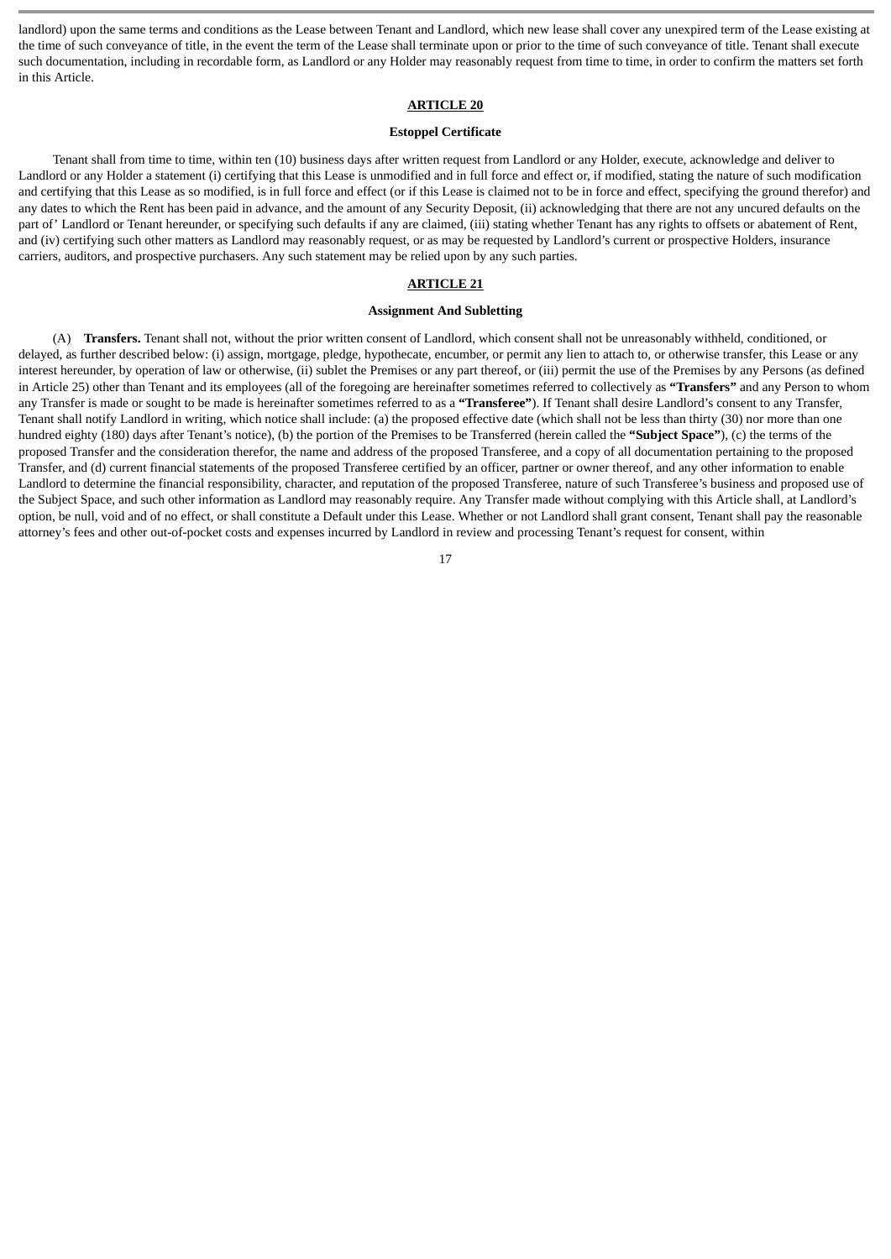landlord) upon the same terms and conditions as the Lease between Tenant and Landlord, which new lease shall cover any unexpired term of the Lease existing at the time of such conveyance of title, in the event the term of the Lease shall terminate upon or prior to the time of such conveyance of title. Tenant shall execute such documentation, including in recordable form, as Landlord or any Holder may reasonably request from time to time, in order to confirm the matters set forth in this Article.

## **ARTICLE 20**

#### **Estoppel Certificate**

Tenant shall from time to time, within ten (10) business days after written request from Landlord or any Holder, execute, acknowledge and deliver to Landlord or any Holder a statement (i) certifying that this Lease is unmodified and in full force and effect or, if modified, stating the nature of such modification and certifying that this Lease as so modified, is in full force and effect (or if this Lease is claimed not to be in force and effect, specifying the ground therefor) and any dates to which the Rent has been paid in advance, and the amount of any Security Deposit, (ii) acknowledging that there are not any uncured defaults on the part of' Landlord or Tenant hereunder, or specifying such defaults if any are claimed, (iii) stating whether Tenant has any rights to offsets or abatement of Rent, and (iv) certifying such other matters as Landlord may reasonably request, or as may be requested by Landlord's current or prospective Holders, insurance carriers, auditors, and prospective purchasers. Any such statement may be relied upon by any such parties.

## **ARTICLE 21**

## **Assignment And Subletting**

(A) **Transfers.** Tenant shall not, without the prior written consent of Landlord, which consent shall not be unreasonably withheld, conditioned, or delayed, as further described below: (i) assign, mortgage, pledge, hypothecate, encumber, or permit any lien to attach to, or otherwise transfer, this Lease or any interest hereunder, by operation of law or otherwise, (ii) sublet the Premises or any part thereof, or (iii) permit the use of the Premises by any Persons (as defined in Article 25) other than Tenant and its employees (all of the foregoing are hereinafter sometimes referred to collectively as **"Transfers"** and any Person to whom any Transfer is made or sought to be made is hereinafter sometimes referred to as a **"Transferee"**). If Tenant shall desire Landlord's consent to any Transfer, Tenant shall notify Landlord in writing, which notice shall include: (a) the proposed effective date (which shall not be less than thirty (30) nor more than one hundred eighty (180) days after Tenant's notice), (b) the portion of the Premises to be Transferred (herein called the **"Subject Space"**), (c) the terms of the proposed Transfer and the consideration therefor, the name and address of the proposed Transferee, and a copy of all documentation pertaining to the proposed Transfer, and (d) current financial statements of the proposed Transferee certified by an officer, partner or owner thereof, and any other information to enable Landlord to determine the financial responsibility, character, and reputation of the proposed Transferee, nature of such Transferee's business and proposed use of the Subject Space, and such other information as Landlord may reasonably require. Any Transfer made without complying with this Article shall, at Landlord's option, be null, void and of no effect, or shall constitute a Default under this Lease. Whether or not Landlord shall grant consent, Tenant shall pay the reasonable attorney's fees and other out-of-pocket costs and expenses incurred by Landlord in review and processing Tenant's request for consent, within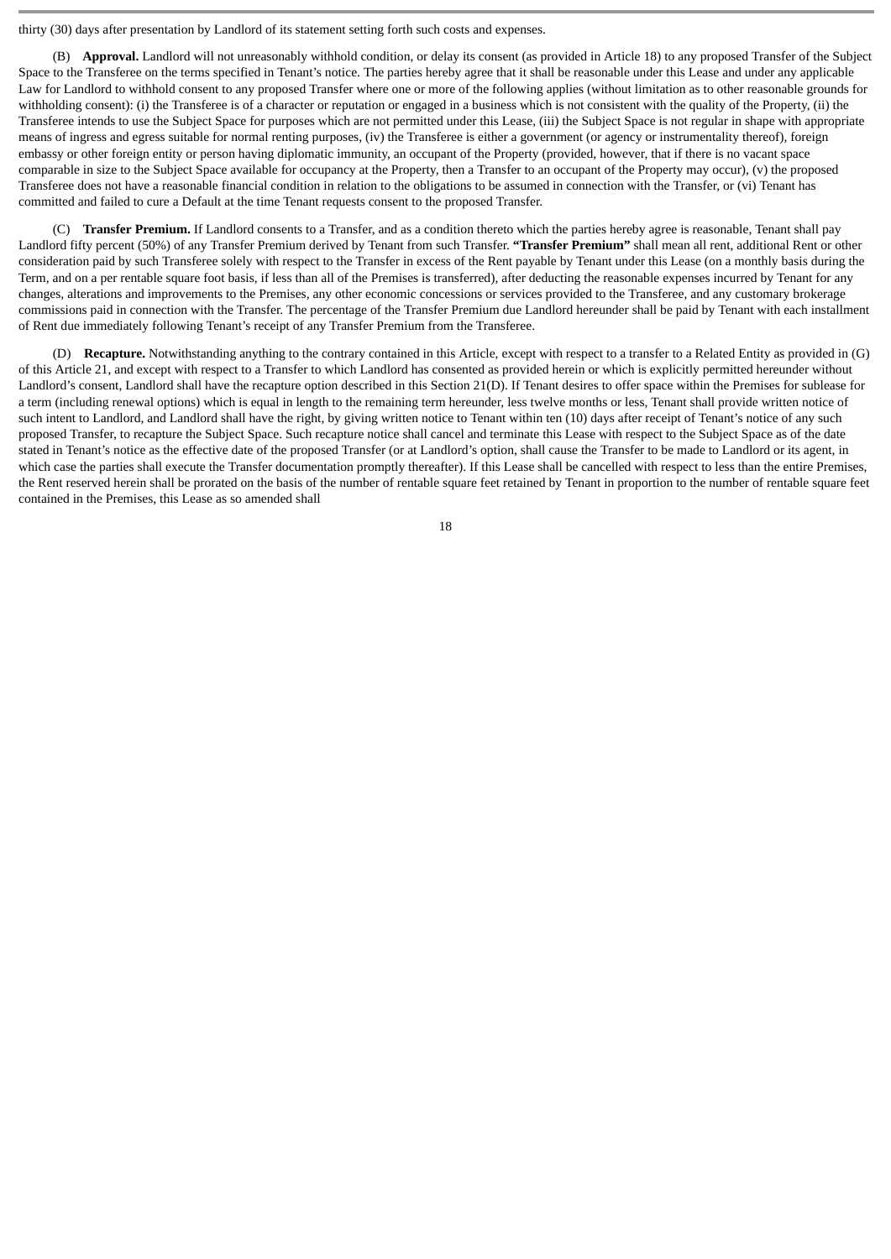thirty (30) days after presentation by Landlord of its statement setting forth such costs and expenses.

(B) **Approval.** Landlord will not unreasonably withhold condition, or delay its consent (as provided in Article 18) to any proposed Transfer of the Subject Space to the Transferee on the terms specified in Tenant's notice. The parties hereby agree that it shall be reasonable under this Lease and under any applicable Law for Landlord to withhold consent to any proposed Transfer where one or more of the following applies (without limitation as to other reasonable grounds for withholding consent): (i) the Transferee is of a character or reputation or engaged in a business which is not consistent with the quality of the Property, (ii) the Transferee intends to use the Subject Space for purposes which are not permitted under this Lease, (iii) the Subject Space is not regular in shape with appropriate means of ingress and egress suitable for normal renting purposes, (iv) the Transferee is either a government (or agency or instrumentality thereof), foreign embassy or other foreign entity or person having diplomatic immunity, an occupant of the Property (provided, however, that if there is no vacant space comparable in size to the Subject Space available for occupancy at the Property, then a Transfer to an occupant of the Property may occur), (v) the proposed Transferee does not have a reasonable financial condition in relation to the obligations to be assumed in connection with the Transfer, or (vi) Tenant has committed and failed to cure a Default at the time Tenant requests consent to the proposed Transfer.

(C) **Transfer Premium.** If Landlord consents to a Transfer, and as a condition thereto which the parties hereby agree is reasonable, Tenant shall pay Landlord fifty percent (50%) of any Transfer Premium derived by Tenant from such Transfer. **"Transfer Premium"** shall mean all rent, additional Rent or other consideration paid by such Transferee solely with respect to the Transfer in excess of the Rent payable by Tenant under this Lease (on a monthly basis during the Term, and on a per rentable square foot basis, if less than all of the Premises is transferred), after deducting the reasonable expenses incurred by Tenant for any changes, alterations and improvements to the Premises, any other economic concessions or services provided to the Transferee, and any customary brokerage commissions paid in connection with the Transfer. The percentage of the Transfer Premium due Landlord hereunder shall be paid by Tenant with each installment of Rent due immediately following Tenant's receipt of any Transfer Premium from the Transferee.

(D) **Recapture.** Notwithstanding anything to the contrary contained in this Article, except with respect to a transfer to a Related Entity as provided in (G) of this Article 21, and except with respect to a Transfer to which Landlord has consented as provided herein or which is explicitly permitted hereunder without Landlord's consent, Landlord shall have the recapture option described in this Section 21(D). If Tenant desires to offer space within the Premises for sublease for a term (including renewal options) which is equal in length to the remaining term hereunder, less twelve months or less, Tenant shall provide written notice of such intent to Landlord, and Landlord shall have the right, by giving written notice to Tenant within ten (10) days after receipt of Tenant's notice of any such proposed Transfer, to recapture the Subject Space. Such recapture notice shall cancel and terminate this Lease with respect to the Subject Space as of the date stated in Tenant's notice as the effective date of the proposed Transfer (or at Landlord's option, shall cause the Transfer to be made to Landlord or its agent, in which case the parties shall execute the Transfer documentation promptly thereafter). If this Lease shall be cancelled with respect to less than the entire Premises, the Rent reserved herein shall be prorated on the basis of the number of rentable square feet retained by Tenant in proportion to the number of rentable square feet contained in the Premises, this Lease as so amended shall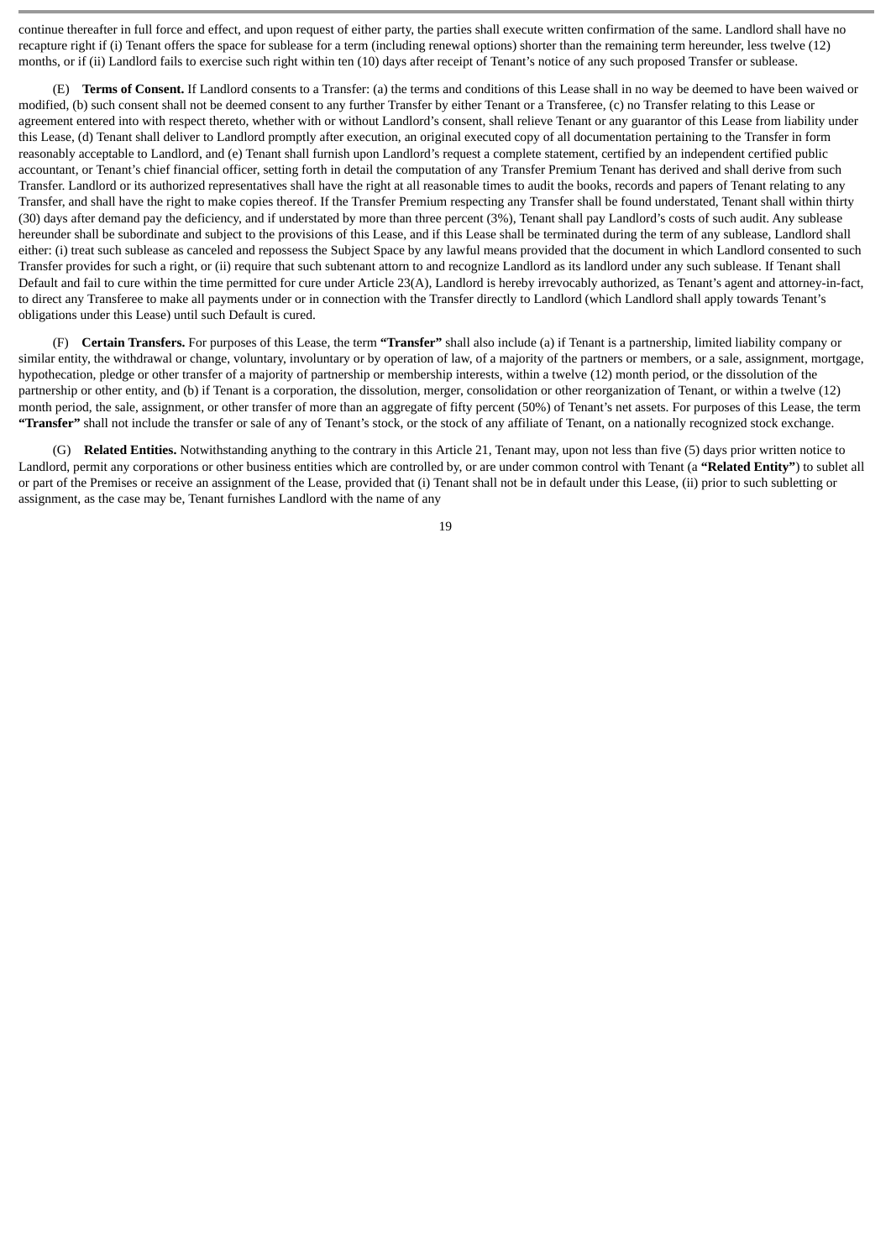continue thereafter in full force and effect, and upon request of either party, the parties shall execute written confirmation of the same. Landlord shall have no recapture right if (i) Tenant offers the space for sublease for a term (including renewal options) shorter than the remaining term hereunder, less twelve (12) months, or if (ii) Landlord fails to exercise such right within ten (10) days after receipt of Tenant's notice of any such proposed Transfer or sublease.

(E) **Terms of Consent.** If Landlord consents to a Transfer: (a) the terms and conditions of this Lease shall in no way be deemed to have been waived or modified, (b) such consent shall not be deemed consent to any further Transfer by either Tenant or a Transferee, (c) no Transfer relating to this Lease or agreement entered into with respect thereto, whether with or without Landlord's consent, shall relieve Tenant or any guarantor of this Lease from liability under this Lease, (d) Tenant shall deliver to Landlord promptly after execution, an original executed copy of all documentation pertaining to the Transfer in form reasonably acceptable to Landlord, and (e) Tenant shall furnish upon Landlord's request a complete statement, certified by an independent certified public accountant, or Tenant's chief financial officer, setting forth in detail the computation of any Transfer Premium Tenant has derived and shall derive from such Transfer. Landlord or its authorized representatives shall have the right at all reasonable times to audit the books, records and papers of Tenant relating to any Transfer, and shall have the right to make copies thereof. If the Transfer Premium respecting any Transfer shall be found understated, Tenant shall within thirty (30) days after demand pay the deficiency, and if understated by more than three percent (3%), Tenant shall pay Landlord's costs of such audit. Any sublease hereunder shall be subordinate and subject to the provisions of this Lease, and if this Lease shall be terminated during the term of any sublease, Landlord shall either: (i) treat such sublease as canceled and repossess the Subject Space by any lawful means provided that the document in which Landlord consented to such Transfer provides for such a right, or (ii) require that such subtenant attorn to and recognize Landlord as its landlord under any such sublease. If Tenant shall Default and fail to cure within the time permitted for cure under Article 23(A), Landlord is hereby irrevocably authorized, as Tenant's agent and attorney-in-fact, to direct any Transferee to make all payments under or in connection with the Transfer directly to Landlord (which Landlord shall apply towards Tenant's obligations under this Lease) until such Default is cured.

(F) **Certain Transfers.** For purposes of this Lease, the term **"Transfer"** shall also include (a) if Tenant is a partnership, limited liability company or similar entity, the withdrawal or change, voluntary, involuntary or by operation of law, of a majority of the partners or members, or a sale, assignment, mortgage, hypothecation, pledge or other transfer of a majority of partnership or membership interests, within a twelve (12) month period, or the dissolution of the partnership or other entity, and (b) if Tenant is a corporation, the dissolution, merger, consolidation or other reorganization of Tenant, or within a twelve (12) month period, the sale, assignment, or other transfer of more than an aggregate of fifty percent (50%) of Tenant's net assets. For purposes of this Lease, the term **"Transfer"** shall not include the transfer or sale of any of Tenant's stock, or the stock of any affiliate of Tenant, on a nationally recognized stock exchange.

(G) **Related Entities.** Notwithstanding anything to the contrary in this Article 21, Tenant may, upon not less than five (5) days prior written notice to Landlord, permit any corporations or other business entities which are controlled by, or are under common control with Tenant (a **"Related Entity"**) to sublet all or part of the Premises or receive an assignment of the Lease, provided that (i) Tenant shall not be in default under this Lease, (ii) prior to such subletting or assignment, as the case may be, Tenant furnishes Landlord with the name of any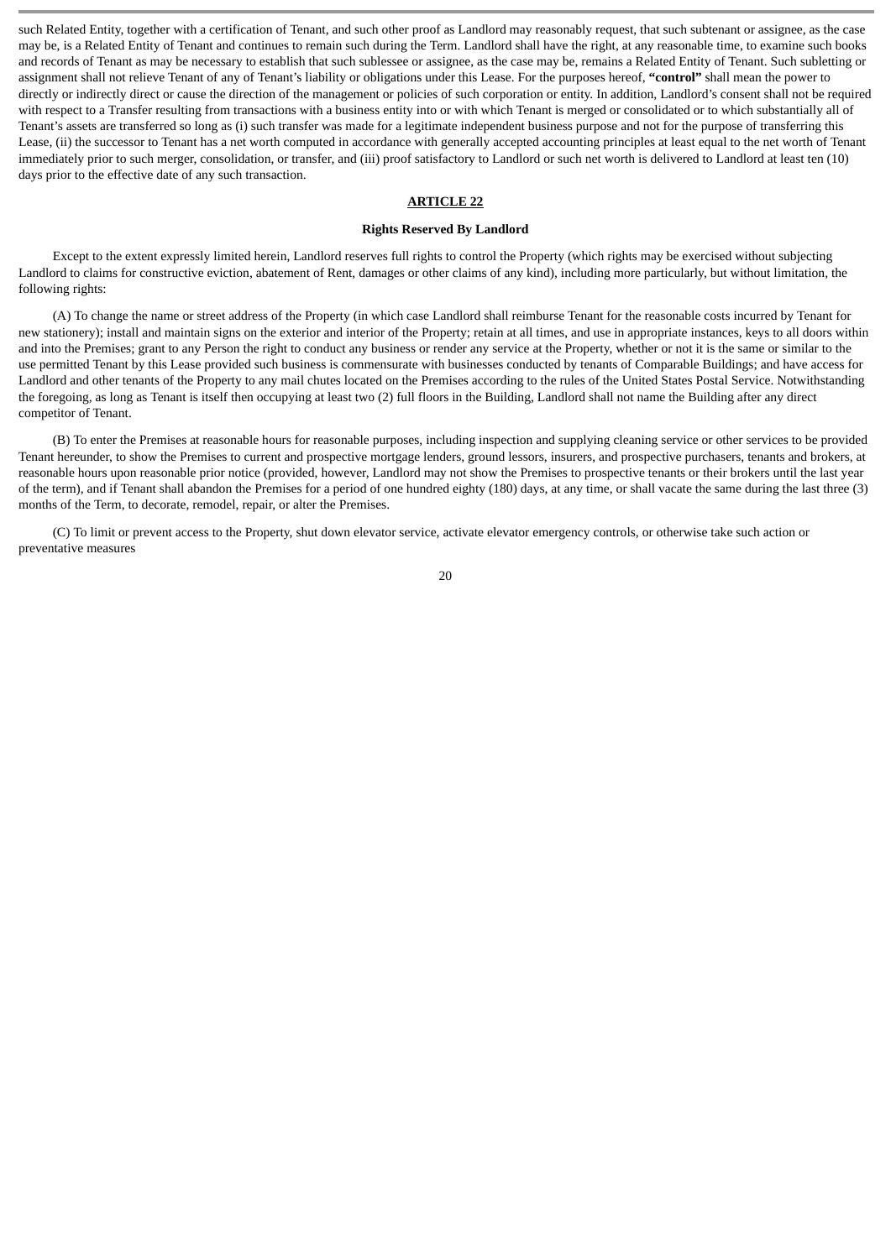such Related Entity, together with a certification of Tenant, and such other proof as Landlord may reasonably request, that such subtenant or assignee, as the case may be, is a Related Entity of Tenant and continues to remain such during the Term. Landlord shall have the right, at any reasonable time, to examine such books and records of Tenant as may be necessary to establish that such sublessee or assignee, as the case may be, remains a Related Entity of Tenant. Such subletting or assignment shall not relieve Tenant of any of Tenant's liability or obligations under this Lease. For the purposes hereof, **"control"** shall mean the power to directly or indirectly direct or cause the direction of the management or policies of such corporation or entity. In addition, Landlord's consent shall not be required with respect to a Transfer resulting from transactions with a business entity into or with which Tenant is merged or consolidated or to which substantially all of Tenant's assets are transferred so long as (i) such transfer was made for a legitimate independent business purpose and not for the purpose of transferring this Lease, (ii) the successor to Tenant has a net worth computed in accordance with generally accepted accounting principles at least equal to the net worth of Tenant immediately prior to such merger, consolidation, or transfer, and (iii) proof satisfactory to Landlord or such net worth is delivered to Landlord at least ten (10) days prior to the effective date of any such transaction.

## **ARTICLE 22**

#### **Rights Reserved By Landlord**

Except to the extent expressly limited herein, Landlord reserves full rights to control the Property (which rights may be exercised without subjecting Landlord to claims for constructive eviction, abatement of Rent, damages or other claims of any kind), including more particularly, but without limitation, the following rights:

(A) To change the name or street address of the Property (in which case Landlord shall reimburse Tenant for the reasonable costs incurred by Tenant for new stationery); install and maintain signs on the exterior and interior of the Property; retain at all times, and use in appropriate instances, keys to all doors within and into the Premises; grant to any Person the right to conduct any business or render any service at the Property, whether or not it is the same or similar to the use permitted Tenant by this Lease provided such business is commensurate with businesses conducted by tenants of Comparable Buildings; and have access for Landlord and other tenants of the Property to any mail chutes located on the Premises according to the rules of the United States Postal Service. Notwithstanding the foregoing, as long as Tenant is itself then occupying at least two (2) full floors in the Building, Landlord shall not name the Building after any direct competitor of Tenant.

(B) To enter the Premises at reasonable hours for reasonable purposes, including inspection and supplying cleaning service or other services to be provided Tenant hereunder, to show the Premises to current and prospective mortgage lenders, ground lessors, insurers, and prospective purchasers, tenants and brokers, at reasonable hours upon reasonable prior notice (provided, however, Landlord may not show the Premises to prospective tenants or their brokers until the last year of the term), and if Tenant shall abandon the Premises for a period of one hundred eighty (180) days, at any time, or shall vacate the same during the last three (3) months of the Term, to decorate, remodel, repair, or alter the Premises.

(C) To limit or prevent access to the Property, shut down elevator service, activate elevator emergency controls, or otherwise take such action or preventative measures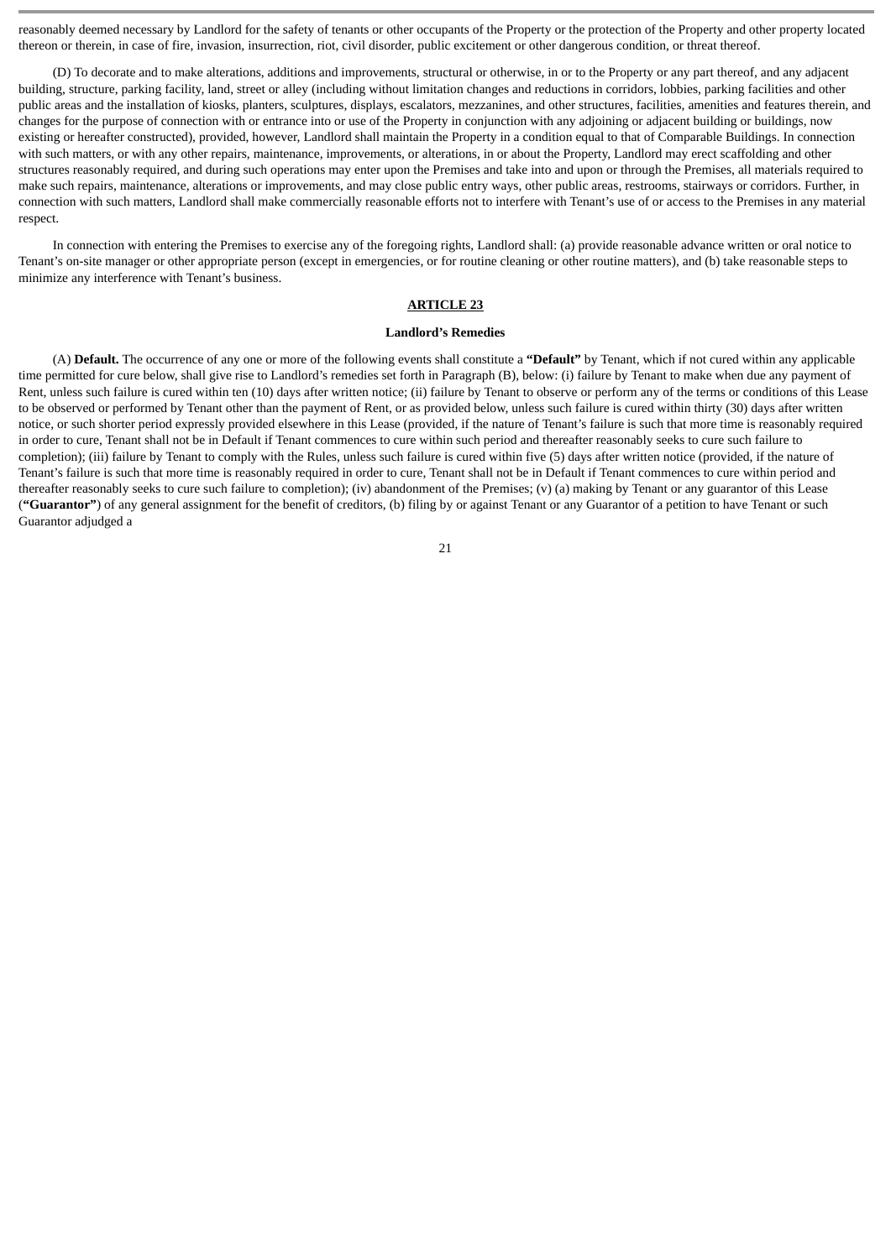reasonably deemed necessary by Landlord for the safety of tenants or other occupants of the Property or the protection of the Property and other property located thereon or therein, in case of fire, invasion, insurrection, riot, civil disorder, public excitement or other dangerous condition, or threat thereof.

(D) To decorate and to make alterations, additions and improvements, structural or otherwise, in or to the Property or any part thereof, and any adjacent building, structure, parking facility, land, street or alley (including without limitation changes and reductions in corridors, lobbies, parking facilities and other public areas and the installation of kiosks, planters, sculptures, displays, escalators, mezzanines, and other structures, facilities, amenities and features therein, and changes for the purpose of connection with or entrance into or use of the Property in conjunction with any adjoining or adjacent building or buildings, now existing or hereafter constructed), provided, however, Landlord shall maintain the Property in a condition equal to that of Comparable Buildings. In connection with such matters, or with any other repairs, maintenance, improvements, or alterations, in or about the Property, Landlord may erect scaffolding and other structures reasonably required, and during such operations may enter upon the Premises and take into and upon or through the Premises, all materials required to make such repairs, maintenance, alterations or improvements, and may close public entry ways, other public areas, restrooms, stairways or corridors. Further, in connection with such matters, Landlord shall make commercially reasonable efforts not to interfere with Tenant's use of or access to the Premises in any material respect.

In connection with entering the Premises to exercise any of the foregoing rights, Landlord shall: (a) provide reasonable advance written or oral notice to Tenant's on-site manager or other appropriate person (except in emergencies, or for routine cleaning or other routine matters), and (b) take reasonable steps to minimize any interference with Tenant's business.

## **ARTICLE 23**

#### **Landlord's Remedies**

(A) **Default.** The occurrence of any one or more of the following events shall constitute a **"Default"** by Tenant, which if not cured within any applicable time permitted for cure below, shall give rise to Landlord's remedies set forth in Paragraph (B), below: (i) failure by Tenant to make when due any payment of Rent, unless such failure is cured within ten (10) days after written notice; (ii) failure by Tenant to observe or perform any of the terms or conditions of this Lease to be observed or performed by Tenant other than the payment of Rent, or as provided below, unless such failure is cured within thirty (30) days after written notice, or such shorter period expressly provided elsewhere in this Lease (provided, if the nature of Tenant's failure is such that more time is reasonably required in order to cure, Tenant shall not be in Default if Tenant commences to cure within such period and thereafter reasonably seeks to cure such failure to completion); (iii) failure by Tenant to comply with the Rules, unless such failure is cured within five (5) days after written notice (provided, if the nature of Tenant's failure is such that more time is reasonably required in order to cure, Tenant shall not be in Default if Tenant commences to cure within period and thereafter reasonably seeks to cure such failure to completion); (iv) abandonment of the Premises; (v) (a) making by Tenant or any guarantor of this Lease (**"Guarantor"**) of any general assignment for the benefit of creditors, (b) filing by or against Tenant or any Guarantor of a petition to have Tenant or such Guarantor adjudged a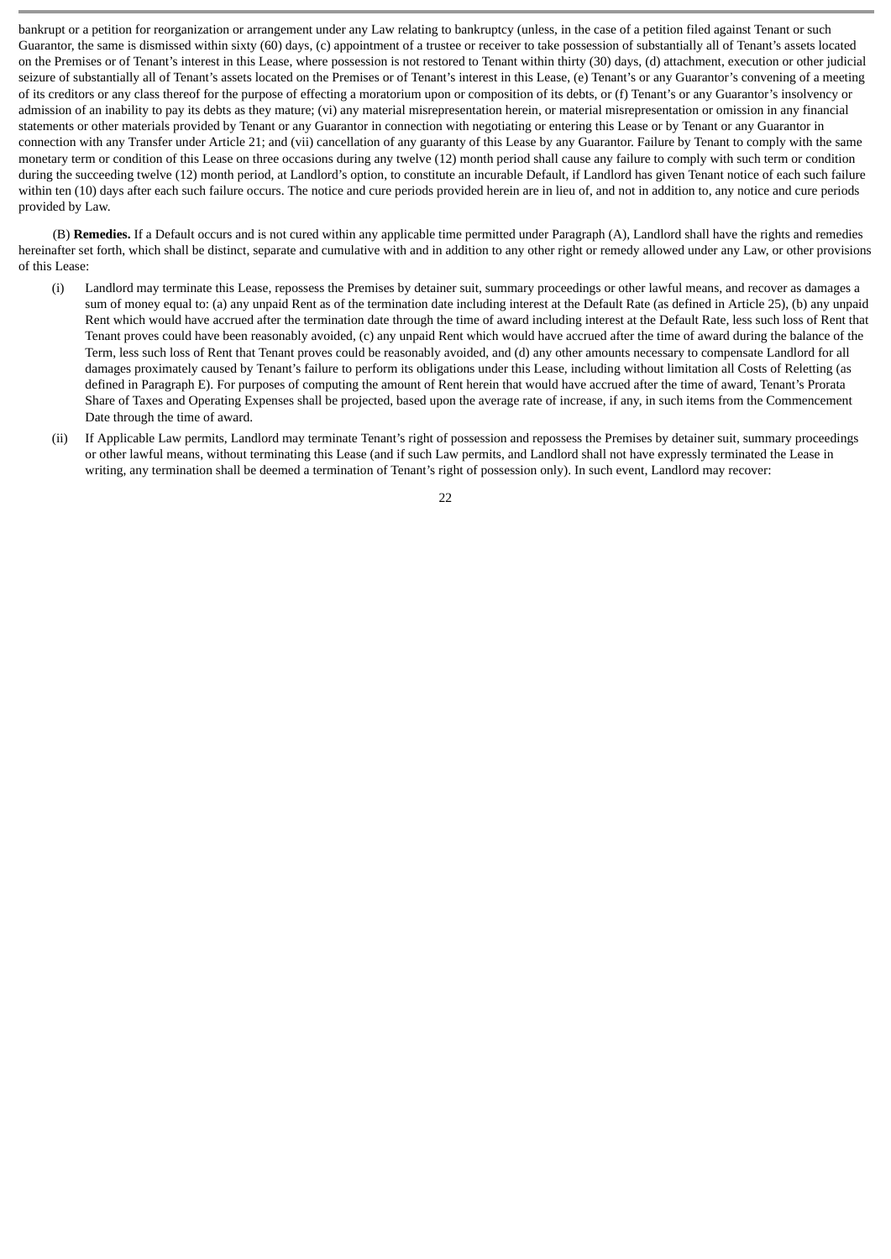bankrupt or a petition for reorganization or arrangement under any Law relating to bankruptcy (unless, in the case of a petition filed against Tenant or such Guarantor, the same is dismissed within sixty (60) days, (c) appointment of a trustee or receiver to take possession of substantially all of Tenant's assets located on the Premises or of Tenant's interest in this Lease, where possession is not restored to Tenant within thirty (30) days, (d) attachment, execution or other judicial seizure of substantially all of Tenant's assets located on the Premises or of Tenant's interest in this Lease, (e) Tenant's or any Guarantor's convening of a meeting of its creditors or any class thereof for the purpose of effecting a moratorium upon or composition of its debts, or (f) Tenant's or any Guarantor's insolvency or admission of an inability to pay its debts as they mature; (vi) any material misrepresentation herein, or material misrepresentation or omission in any financial statements or other materials provided by Tenant or any Guarantor in connection with negotiating or entering this Lease or by Tenant or any Guarantor in connection with any Transfer under Article 21; and (vii) cancellation of any guaranty of this Lease by any Guarantor. Failure by Tenant to comply with the same monetary term or condition of this Lease on three occasions during any twelve (12) month period shall cause any failure to comply with such term or condition during the succeeding twelve (12) month period, at Landlord's option, to constitute an incurable Default, if Landlord has given Tenant notice of each such failure within ten (10) days after each such failure occurs. The notice and cure periods provided herein are in lieu of, and not in addition to, any notice and cure periods provided by Law.

(B) **Remedies.** If a Default occurs and is not cured within any applicable time permitted under Paragraph (A), Landlord shall have the rights and remedies hereinafter set forth, which shall be distinct, separate and cumulative with and in addition to any other right or remedy allowed under any Law, or other provisions of this Lease:

- (i) Landlord may terminate this Lease, repossess the Premises by detainer suit, summary proceedings or other lawful means, and recover as damages a sum of money equal to: (a) any unpaid Rent as of the termination date including interest at the Default Rate (as defined in Article 25), (b) any unpaid Rent which would have accrued after the termination date through the time of award including interest at the Default Rate, less such loss of Rent that Tenant proves could have been reasonably avoided, (c) any unpaid Rent which would have accrued after the time of award during the balance of the Term, less such loss of Rent that Tenant proves could be reasonably avoided, and (d) any other amounts necessary to compensate Landlord for all damages proximately caused by Tenant's failure to perform its obligations under this Lease, including without limitation all Costs of Reletting (as defined in Paragraph E). For purposes of computing the amount of Rent herein that would have accrued after the time of award, Tenant's Prorata Share of Taxes and Operating Expenses shall be projected, based upon the average rate of increase, if any, in such items from the Commencement Date through the time of award.
- (ii) If Applicable Law permits, Landlord may terminate Tenant's right of possession and repossess the Premises by detainer suit, summary proceedings or other lawful means, without terminating this Lease (and if such Law permits, and Landlord shall not have expressly terminated the Lease in writing, any termination shall be deemed a termination of Tenant's right of possession only). In such event, Landlord may recover: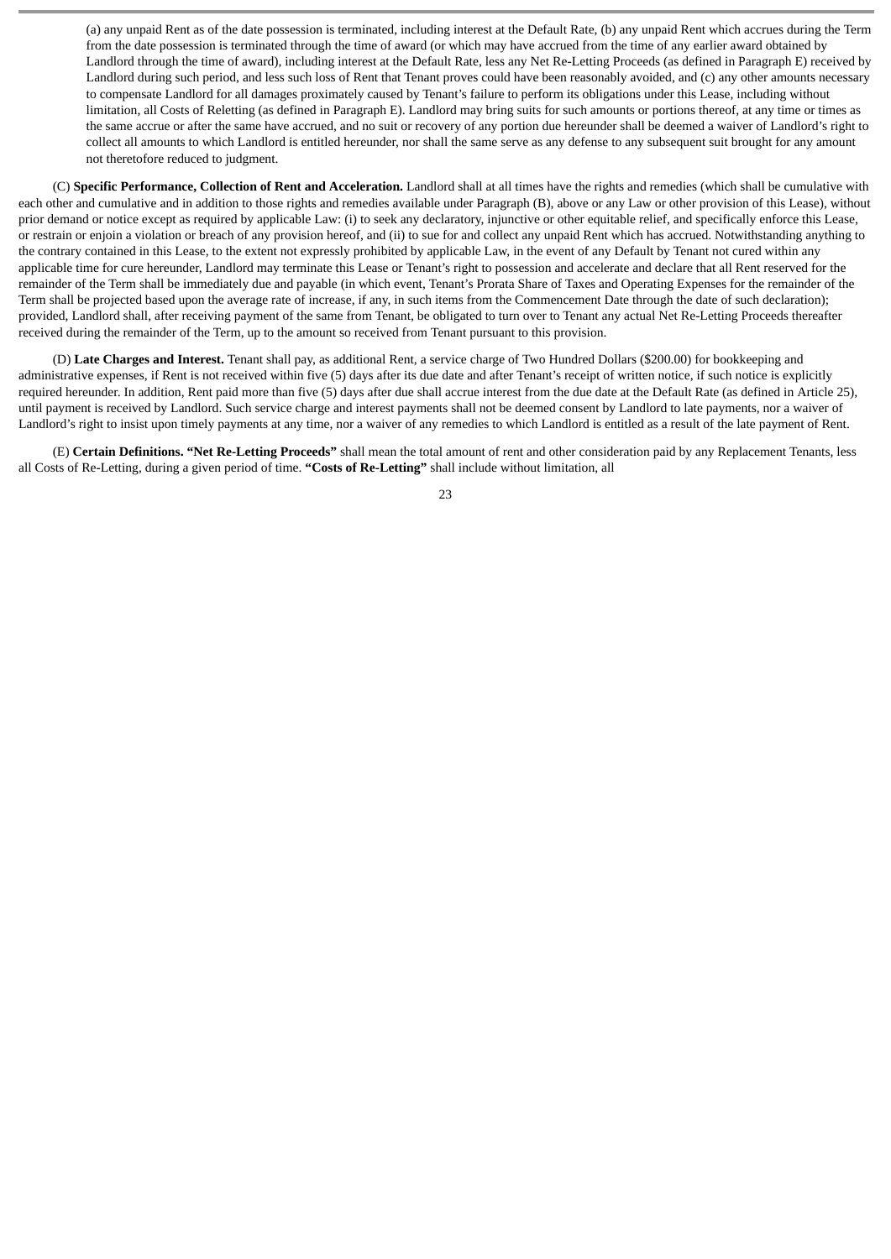(a) any unpaid Rent as of the date possession is terminated, including interest at the Default Rate, (b) any unpaid Rent which accrues during the Term from the date possession is terminated through the time of award (or which may have accrued from the time of any earlier award obtained by Landlord through the time of award), including interest at the Default Rate, less any Net Re-Letting Proceeds (as defined in Paragraph E) received by Landlord during such period, and less such loss of Rent that Tenant proves could have been reasonably avoided, and (c) any other amounts necessary to compensate Landlord for all damages proximately caused by Tenant's failure to perform its obligations under this Lease, including without limitation, all Costs of Reletting (as defined in Paragraph E). Landlord may bring suits for such amounts or portions thereof, at any time or times as the same accrue or after the same have accrued, and no suit or recovery of any portion due hereunder shall be deemed a waiver of Landlord's right to collect all amounts to which Landlord is entitled hereunder, nor shall the same serve as any defense to any subsequent suit brought for any amount not theretofore reduced to judgment.

(C) **Specific Performance, Collection of Rent and Acceleration.** Landlord shall at all times have the rights and remedies (which shall be cumulative with each other and cumulative and in addition to those rights and remedies available under Paragraph (B), above or any Law or other provision of this Lease), without prior demand or notice except as required by applicable Law: (i) to seek any declaratory, injunctive or other equitable relief, and specifically enforce this Lease, or restrain or enjoin a violation or breach of any provision hereof, and (ii) to sue for and collect any unpaid Rent which has accrued. Notwithstanding anything to the contrary contained in this Lease, to the extent not expressly prohibited by applicable Law, in the event of any Default by Tenant not cured within any applicable time for cure hereunder, Landlord may terminate this Lease or Tenant's right to possession and accelerate and declare that all Rent reserved for the remainder of the Term shall be immediately due and payable (in which event, Tenant's Prorata Share of Taxes and Operating Expenses for the remainder of the Term shall be projected based upon the average rate of increase, if any, in such items from the Commencement Date through the date of such declaration); provided, Landlord shall, after receiving payment of the same from Tenant, be obligated to turn over to Tenant any actual Net Re-Letting Proceeds thereafter received during the remainder of the Term, up to the amount so received from Tenant pursuant to this provision.

(D) **Late Charges and Interest.** Tenant shall pay, as additional Rent, a service charge of Two Hundred Dollars (\$200.00) for bookkeeping and administrative expenses, if Rent is not received within five (5) days after its due date and after Tenant's receipt of written notice, if such notice is explicitly required hereunder. In addition, Rent paid more than five (5) days after due shall accrue interest from the due date at the Default Rate (as defined in Article 25), until payment is received by Landlord. Such service charge and interest payments shall not be deemed consent by Landlord to late payments, nor a waiver of Landlord's right to insist upon timely payments at any time, nor a waiver of any remedies to which Landlord is entitled as a result of the late payment of Rent.

(E) **Certain Definitions. "Net Re-Letting Proceeds"** shall mean the total amount of rent and other consideration paid by any Replacement Tenants, less all Costs of Re-Letting, during a given period of time. **"Costs of Re-Letting"** shall include without limitation, all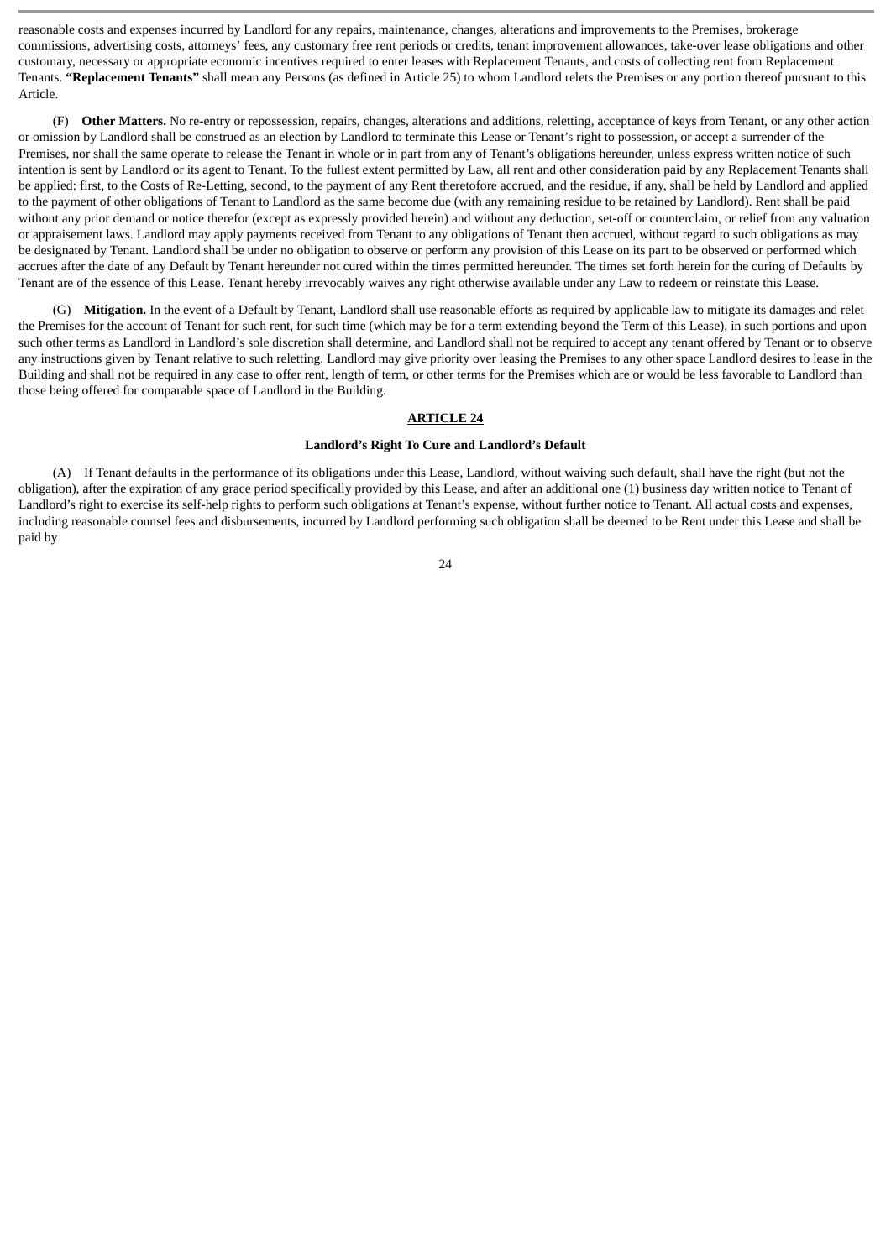reasonable costs and expenses incurred by Landlord for any repairs, maintenance, changes, alterations and improvements to the Premises, brokerage commissions, advertising costs, attorneys' fees, any customary free rent periods or credits, tenant improvement allowances, take-over lease obligations and other customary, necessary or appropriate economic incentives required to enter leases with Replacement Tenants, and costs of collecting rent from Replacement Tenants. **"Replacement Tenants"** shall mean any Persons (as defined in Article 25) to whom Landlord relets the Premises or any portion thereof pursuant to this Article.

(F) **Other Matters.** No re-entry or repossession, repairs, changes, alterations and additions, reletting, acceptance of keys from Tenant, or any other action or omission by Landlord shall be construed as an election by Landlord to terminate this Lease or Tenant's right to possession, or accept a surrender of the Premises, nor shall the same operate to release the Tenant in whole or in part from any of Tenant's obligations hereunder, unless express written notice of such intention is sent by Landlord or its agent to Tenant. To the fullest extent permitted by Law, all rent and other consideration paid by any Replacement Tenants shall be applied: first, to the Costs of Re-Letting, second, to the payment of any Rent theretofore accrued, and the residue, if any, shall be held by Landlord and applied to the payment of other obligations of Tenant to Landlord as the same become due (with any remaining residue to be retained by Landlord). Rent shall be paid without any prior demand or notice therefor (except as expressly provided herein) and without any deduction, set-off or counterclaim, or relief from any valuation or appraisement laws. Landlord may apply payments received from Tenant to any obligations of Tenant then accrued, without regard to such obligations as may be designated by Tenant. Landlord shall be under no obligation to observe or perform any provision of this Lease on its part to be observed or performed which accrues after the date of any Default by Tenant hereunder not cured within the times permitted hereunder. The times set forth herein for the curing of Defaults by Tenant are of the essence of this Lease. Tenant hereby irrevocably waives any right otherwise available under any Law to redeem or reinstate this Lease.

(G) **Mitigation.** In the event of a Default by Tenant, Landlord shall use reasonable efforts as required by applicable law to mitigate its damages and relet the Premises for the account of Tenant for such rent, for such time (which may be for a term extending beyond the Term of this Lease), in such portions and upon such other terms as Landlord in Landlord's sole discretion shall determine, and Landlord shall not be required to accept any tenant offered by Tenant or to observe any instructions given by Tenant relative to such reletting. Landlord may give priority over leasing the Premises to any other space Landlord desires to lease in the Building and shall not be required in any case to offer rent, length of term, or other terms for the Premises which are or would be less favorable to Landlord than those being offered for comparable space of Landlord in the Building.

## **ARTICLE 24**

#### **Landlord's Right To Cure and Landlord's Default**

(A) If Tenant defaults in the performance of its obligations under this Lease, Landlord, without waiving such default, shall have the right (but not the obligation), after the expiration of any grace period specifically provided by this Lease, and after an additional one (1) business day written notice to Tenant of Landlord's right to exercise its self-help rights to perform such obligations at Tenant's expense, without further notice to Tenant. All actual costs and expenses, including reasonable counsel fees and disbursements, incurred by Landlord performing such obligation shall be deemed to be Rent under this Lease and shall be paid by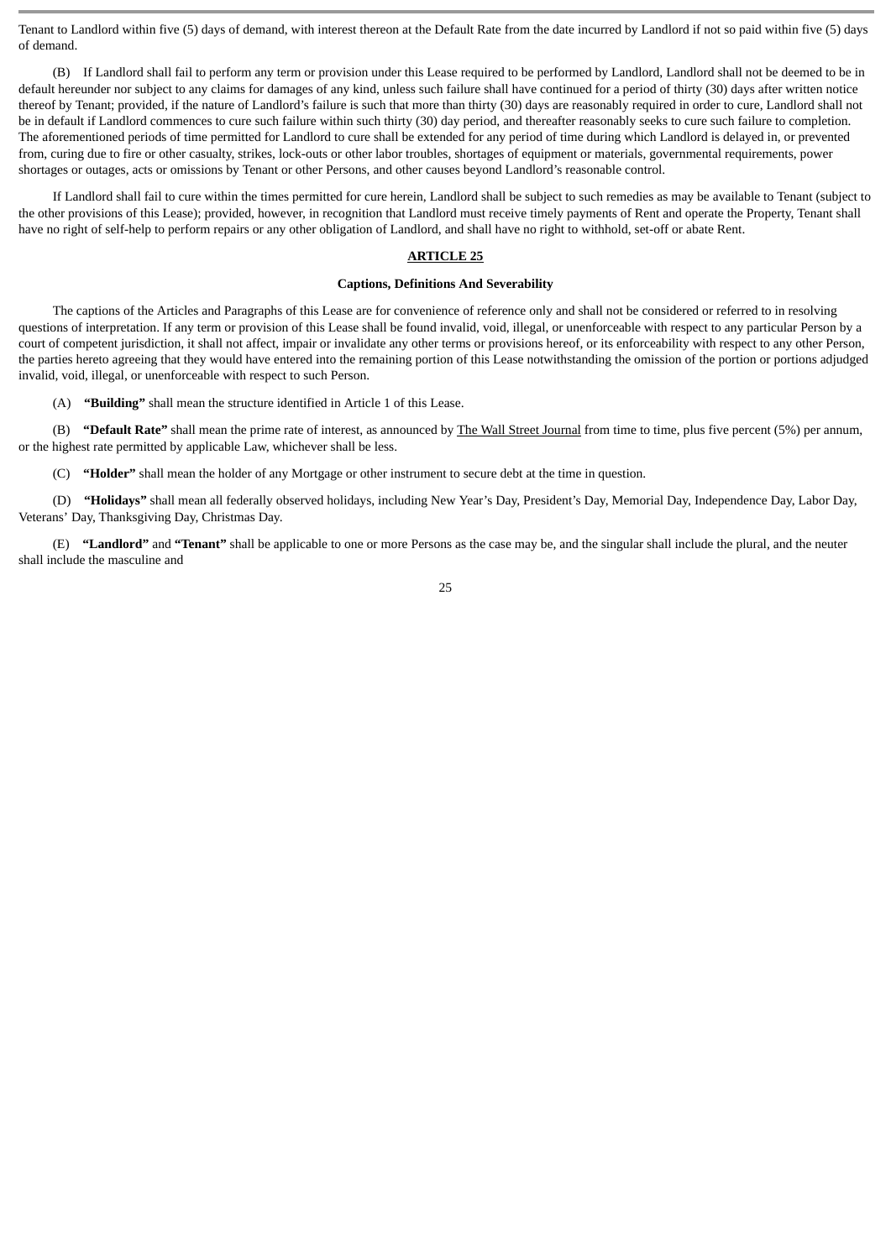Tenant to Landlord within five (5) days of demand, with interest thereon at the Default Rate from the date incurred by Landlord if not so paid within five (5) days of demand.

(B) If Landlord shall fail to perform any term or provision under this Lease required to be performed by Landlord, Landlord shall not be deemed to be in default hereunder nor subject to any claims for damages of any kind, unless such failure shall have continued for a period of thirty (30) days after written notice thereof by Tenant; provided, if the nature of Landlord's failure is such that more than thirty (30) days are reasonably required in order to cure, Landlord shall not be in default if Landlord commences to cure such failure within such thirty (30) day period, and thereafter reasonably seeks to cure such failure to completion. The aforementioned periods of time permitted for Landlord to cure shall be extended for any period of time during which Landlord is delayed in, or prevented from, curing due to fire or other casualty, strikes, lock-outs or other labor troubles, shortages of equipment or materials, governmental requirements, power shortages or outages, acts or omissions by Tenant or other Persons, and other causes beyond Landlord's reasonable control.

If Landlord shall fail to cure within the times permitted for cure herein, Landlord shall be subject to such remedies as may be available to Tenant (subject to the other provisions of this Lease); provided, however, in recognition that Landlord must receive timely payments of Rent and operate the Property, Tenant shall have no right of self-help to perform repairs or any other obligation of Landlord, and shall have no right to withhold, set-off or abate Rent.

# **ARTICLE 25**

#### **Captions, Definitions And Severability**

The captions of the Articles and Paragraphs of this Lease are for convenience of reference only and shall not be considered or referred to in resolving questions of interpretation. If any term or provision of this Lease shall be found invalid, void, illegal, or unenforceable with respect to any particular Person by a court of competent jurisdiction, it shall not affect, impair or invalidate any other terms or provisions hereof, or its enforceability with respect to any other Person, the parties hereto agreeing that they would have entered into the remaining portion of this Lease notwithstanding the omission of the portion or portions adjudged invalid, void, illegal, or unenforceable with respect to such Person.

(A) **"Building"** shall mean the structure identified in Article 1 of this Lease.

(B) **"Default Rate"** shall mean the prime rate of interest, as announced by The Wall Street Journal from time to time, plus five percent (5%) per annum, or the highest rate permitted by applicable Law, whichever shall be less.

(C) **"Holder"** shall mean the holder of any Mortgage or other instrument to secure debt at the time in question.

(D) **"Holidays"** shall mean all federally observed holidays, including New Year's Day, President's Day, Memorial Day, Independence Day, Labor Day, Veterans' Day, Thanksgiving Day, Christmas Day.

(E) **"Landlord"** and **"Tenant"** shall be applicable to one or more Persons as the case may be, and the singular shall include the plural, and the neuter shall include the masculine and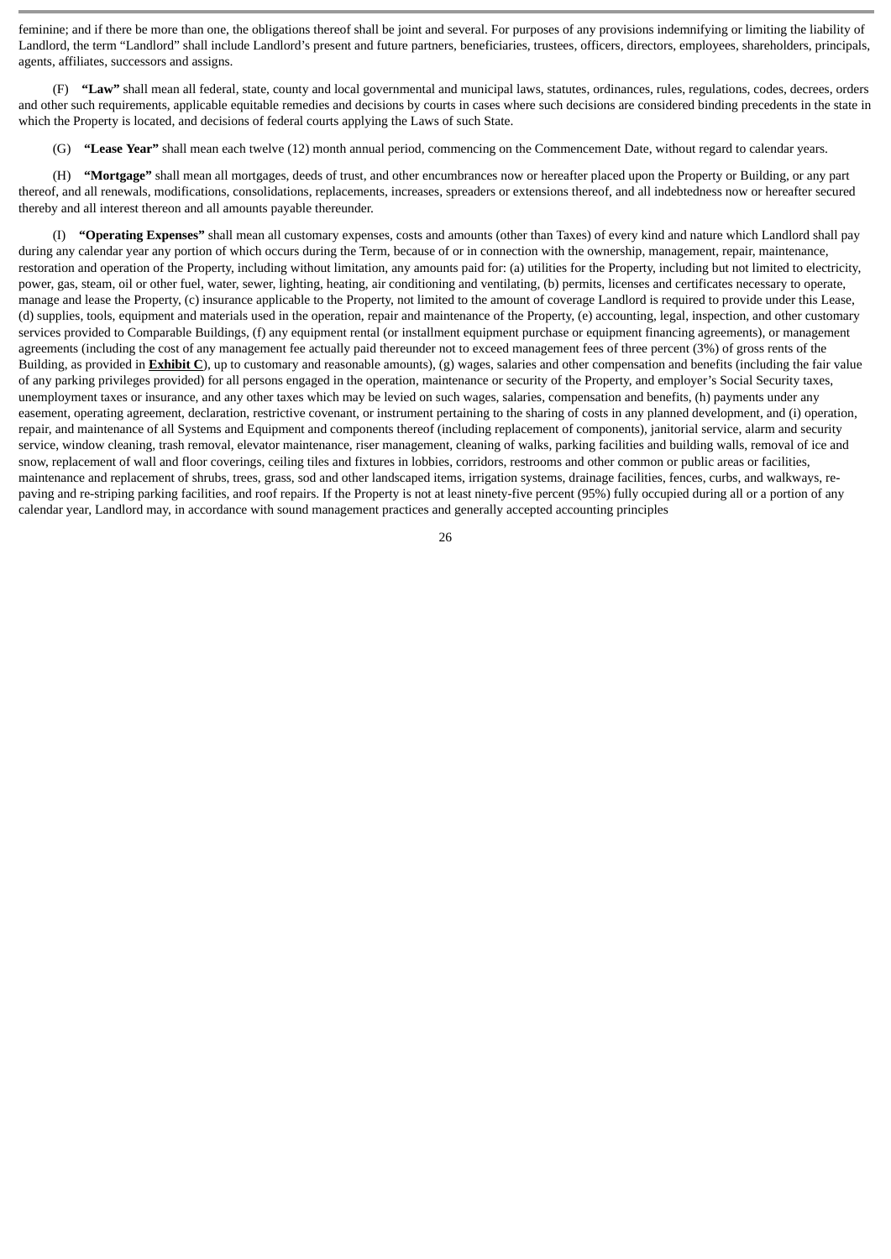feminine; and if there be more than one, the obligations thereof shall be joint and several. For purposes of any provisions indemnifying or limiting the liability of Landlord, the term "Landlord" shall include Landlord's present and future partners, beneficiaries, trustees, officers, directors, employees, shareholders, principals, agents, affiliates, successors and assigns.

(F) **"Law"** shall mean all federal, state, county and local governmental and municipal laws, statutes, ordinances, rules, regulations, codes, decrees, orders and other such requirements, applicable equitable remedies and decisions by courts in cases where such decisions are considered binding precedents in the state in which the Property is located, and decisions of federal courts applying the Laws of such State.

(G) **"Lease Year"** shall mean each twelve (12) month annual period, commencing on the Commencement Date, without regard to calendar years.

(H) **"Mortgage"** shall mean all mortgages, deeds of trust, and other encumbrances now or hereafter placed upon the Property or Building, or any part thereof, and all renewals, modifications, consolidations, replacements, increases, spreaders or extensions thereof, and all indebtedness now or hereafter secured thereby and all interest thereon and all amounts payable thereunder.

(I) **"Operating Expenses"** shall mean all customary expenses, costs and amounts (other than Taxes) of every kind and nature which Landlord shall pay during any calendar year any portion of which occurs during the Term, because of or in connection with the ownership, management, repair, maintenance, restoration and operation of the Property, including without limitation, any amounts paid for: (a) utilities for the Property, including but not limited to electricity, power, gas, steam, oil or other fuel, water, sewer, lighting, heating, air conditioning and ventilating, (b) permits, licenses and certificates necessary to operate, manage and lease the Property, (c) insurance applicable to the Property, not limited to the amount of coverage Landlord is required to provide under this Lease, (d) supplies, tools, equipment and materials used in the operation, repair and maintenance of the Property, (e) accounting, legal, inspection, and other customary services provided to Comparable Buildings, (f) any equipment rental (or installment equipment purchase or equipment financing agreements), or management agreements (including the cost of any management fee actually paid thereunder not to exceed management fees of three percent (3%) of gross rents of the Building, as provided in **Exhibit C**), up to customary and reasonable amounts), (g) wages, salaries and other compensation and benefits (including the fair value of any parking privileges provided) for all persons engaged in the operation, maintenance or security of the Property, and employer's Social Security taxes, unemployment taxes or insurance, and any other taxes which may be levied on such wages, salaries, compensation and benefits, (h) payments under any easement, operating agreement, declaration, restrictive covenant, or instrument pertaining to the sharing of costs in any planned development, and (i) operation, repair, and maintenance of all Systems and Equipment and components thereof (including replacement of components), janitorial service, alarm and security service, window cleaning, trash removal, elevator maintenance, riser management, cleaning of walks, parking facilities and building walls, removal of ice and snow, replacement of wall and floor coverings, ceiling tiles and fixtures in lobbies, corridors, restrooms and other common or public areas or facilities, maintenance and replacement of shrubs, trees, grass, sod and other landscaped items, irrigation systems, drainage facilities, fences, curbs, and walkways, repaving and re-striping parking facilities, and roof repairs. If the Property is not at least ninety-five percent (95%) fully occupied during all or a portion of any calendar year, Landlord may, in accordance with sound management practices and generally accepted accounting principles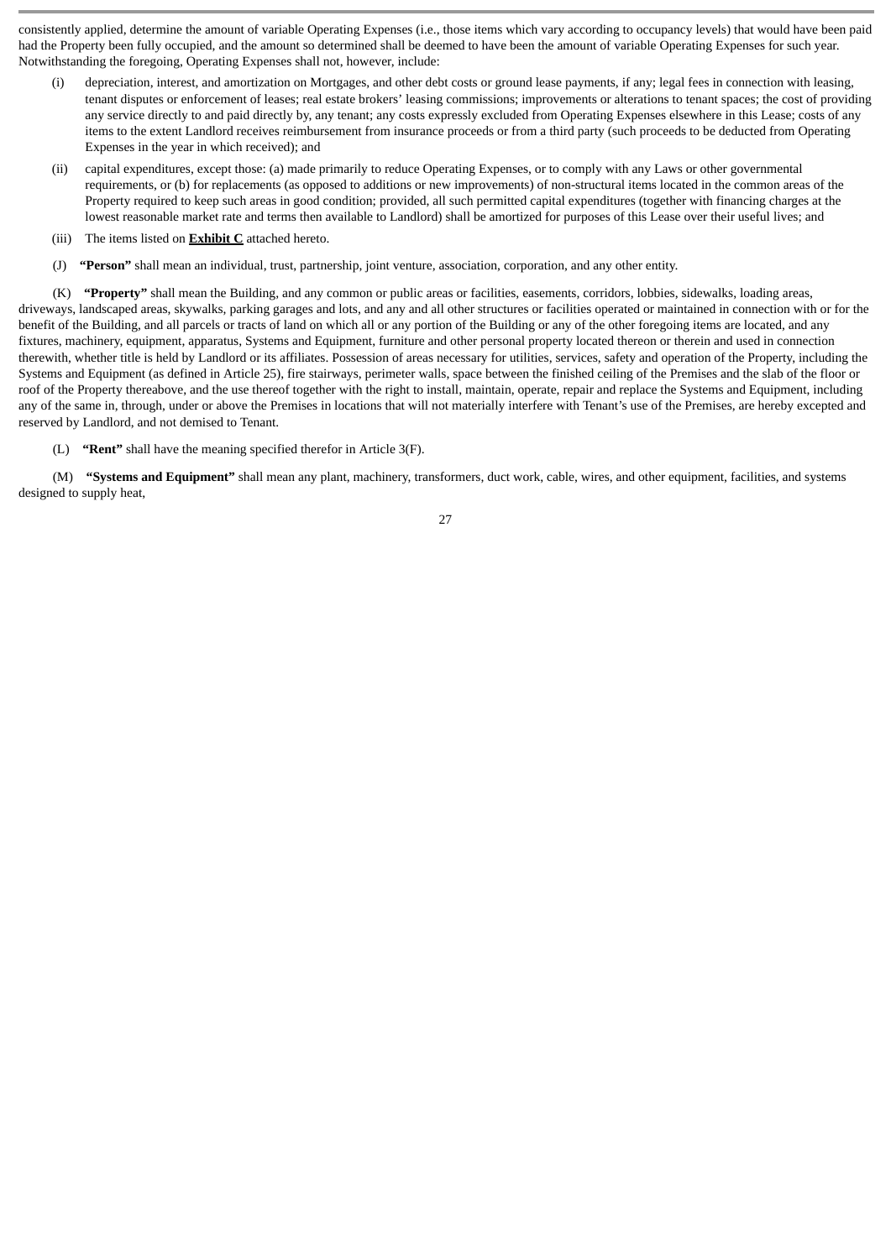consistently applied, determine the amount of variable Operating Expenses (i.e., those items which vary according to occupancy levels) that would have been paid had the Property been fully occupied, and the amount so determined shall be deemed to have been the amount of variable Operating Expenses for such year. Notwithstanding the foregoing, Operating Expenses shall not, however, include:

- (i) depreciation, interest, and amortization on Mortgages, and other debt costs or ground lease payments, if any; legal fees in connection with leasing, tenant disputes or enforcement of leases; real estate brokers' leasing commissions; improvements or alterations to tenant spaces; the cost of providing any service directly to and paid directly by, any tenant; any costs expressly excluded from Operating Expenses elsewhere in this Lease; costs of any items to the extent Landlord receives reimbursement from insurance proceeds or from a third party (such proceeds to be deducted from Operating Expenses in the year in which received); and
- (ii) capital expenditures, except those: (a) made primarily to reduce Operating Expenses, or to comply with any Laws or other governmental requirements, or (b) for replacements (as opposed to additions or new improvements) of non-structural items located in the common areas of the Property required to keep such areas in good condition; provided, all such permitted capital expenditures (together with financing charges at the lowest reasonable market rate and terms then available to Landlord) shall be amortized for purposes of this Lease over their useful lives; and
- (iii) The items listed on **Exhibit C** attached hereto.
- (J) **"Person"** shall mean an individual, trust, partnership, joint venture, association, corporation, and any other entity.

(K) **"Property"** shall mean the Building, and any common or public areas or facilities, easements, corridors, lobbies, sidewalks, loading areas, driveways, landscaped areas, skywalks, parking garages and lots, and any and all other structures or facilities operated or maintained in connection with or for the benefit of the Building, and all parcels or tracts of land on which all or any portion of the Building or any of the other foregoing items are located, and any fixtures, machinery, equipment, apparatus, Systems and Equipment, furniture and other personal property located thereon or therein and used in connection therewith, whether title is held by Landlord or its affiliates. Possession of areas necessary for utilities, services, safety and operation of the Property, including the Systems and Equipment (as defined in Article 25), fire stairways, perimeter walls, space between the finished ceiling of the Premises and the slab of the floor or roof of the Property thereabove, and the use thereof together with the right to install, maintain, operate, repair and replace the Systems and Equipment, including any of the same in, through, under or above the Premises in locations that will not materially interfere with Tenant's use of the Premises, are hereby excepted and reserved by Landlord, and not demised to Tenant.

(L) **"Rent"** shall have the meaning specified therefor in Article 3(F).

(M) **"Systems and Equipment"** shall mean any plant, machinery, transformers, duct work, cable, wires, and other equipment, facilities, and systems designed to supply heat,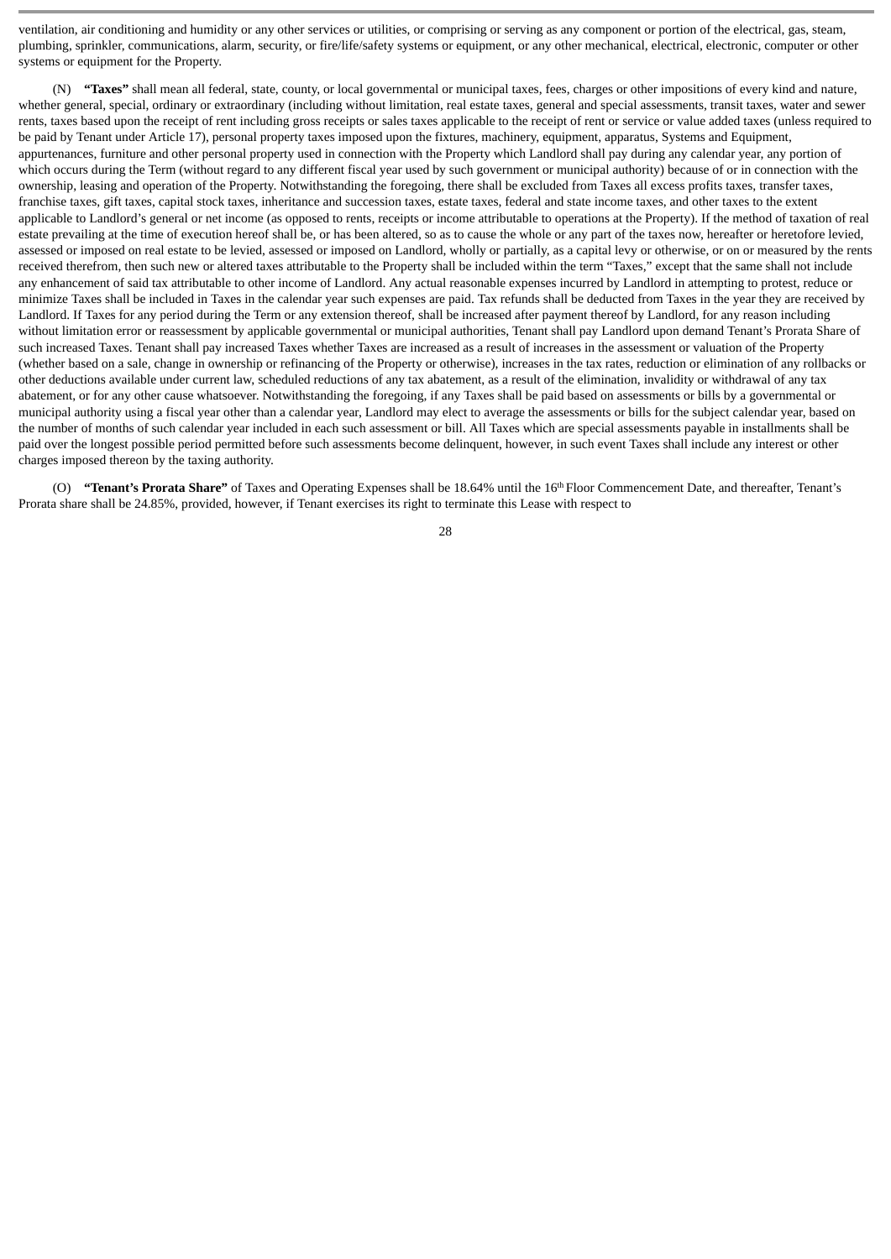ventilation, air conditioning and humidity or any other services or utilities, or comprising or serving as any component or portion of the electrical, gas, steam, plumbing, sprinkler, communications, alarm, security, or fire/life/safety systems or equipment, or any other mechanical, electrical, electronic, computer or other systems or equipment for the Property.

(N) **"Taxes"** shall mean all federal, state, county, or local governmental or municipal taxes, fees, charges or other impositions of every kind and nature, whether general, special, ordinary or extraordinary (including without limitation, real estate taxes, general and special assessments, transit taxes, water and sewer rents, taxes based upon the receipt of rent including gross receipts or sales taxes applicable to the receipt of rent or service or value added taxes (unless required to be paid by Tenant under Article 17), personal property taxes imposed upon the fixtures, machinery, equipment, apparatus, Systems and Equipment, appurtenances, furniture and other personal property used in connection with the Property which Landlord shall pay during any calendar year, any portion of which occurs during the Term (without regard to any different fiscal year used by such government or municipal authority) because of or in connection with the ownership, leasing and operation of the Property. Notwithstanding the foregoing, there shall be excluded from Taxes all excess profits taxes, transfer taxes, franchise taxes, gift taxes, capital stock taxes, inheritance and succession taxes, estate taxes, federal and state income taxes, and other taxes to the extent applicable to Landlord's general or net income (as opposed to rents, receipts or income attributable to operations at the Property). If the method of taxation of real estate prevailing at the time of execution hereof shall be, or has been altered, so as to cause the whole or any part of the taxes now, hereafter or heretofore levied, assessed or imposed on real estate to be levied, assessed or imposed on Landlord, wholly or partially, as a capital levy or otherwise, or on or measured by the rents received therefrom, then such new or altered taxes attributable to the Property shall be included within the term "Taxes," except that the same shall not include any enhancement of said tax attributable to other income of Landlord. Any actual reasonable expenses incurred by Landlord in attempting to protest, reduce or minimize Taxes shall be included in Taxes in the calendar year such expenses are paid. Tax refunds shall be deducted from Taxes in the year they are received by Landlord. If Taxes for any period during the Term or any extension thereof, shall be increased after payment thereof by Landlord, for any reason including without limitation error or reassessment by applicable governmental or municipal authorities, Tenant shall pay Landlord upon demand Tenant's Prorata Share of such increased Taxes. Tenant shall pay increased Taxes whether Taxes are increased as a result of increases in the assessment or valuation of the Property (whether based on a sale, change in ownership or refinancing of the Property or otherwise), increases in the tax rates, reduction or elimination of any rollbacks or other deductions available under current law, scheduled reductions of any tax abatement, as a result of the elimination, invalidity or withdrawal of any tax abatement, or for any other cause whatsoever. Notwithstanding the foregoing, if any Taxes shall be paid based on assessments or bills by a governmental or municipal authority using a fiscal year other than a calendar year, Landlord may elect to average the assessments or bills for the subject calendar year, based on the number of months of such calendar year included in each such assessment or bill. All Taxes which are special assessments payable in installments shall be paid over the longest possible period permitted before such assessments become delinquent, however, in such event Taxes shall include any interest or other charges imposed thereon by the taxing authority.

(O) **"Tenant's Prorata Share"** of Taxes and Operating Expenses shall be 18.64% until the 16<sup>th</sup> Floor Commencement Date, and thereafter, Tenant's Prorata share shall be 24.85%, provided, however, if Tenant exercises its right to terminate this Lease with respect to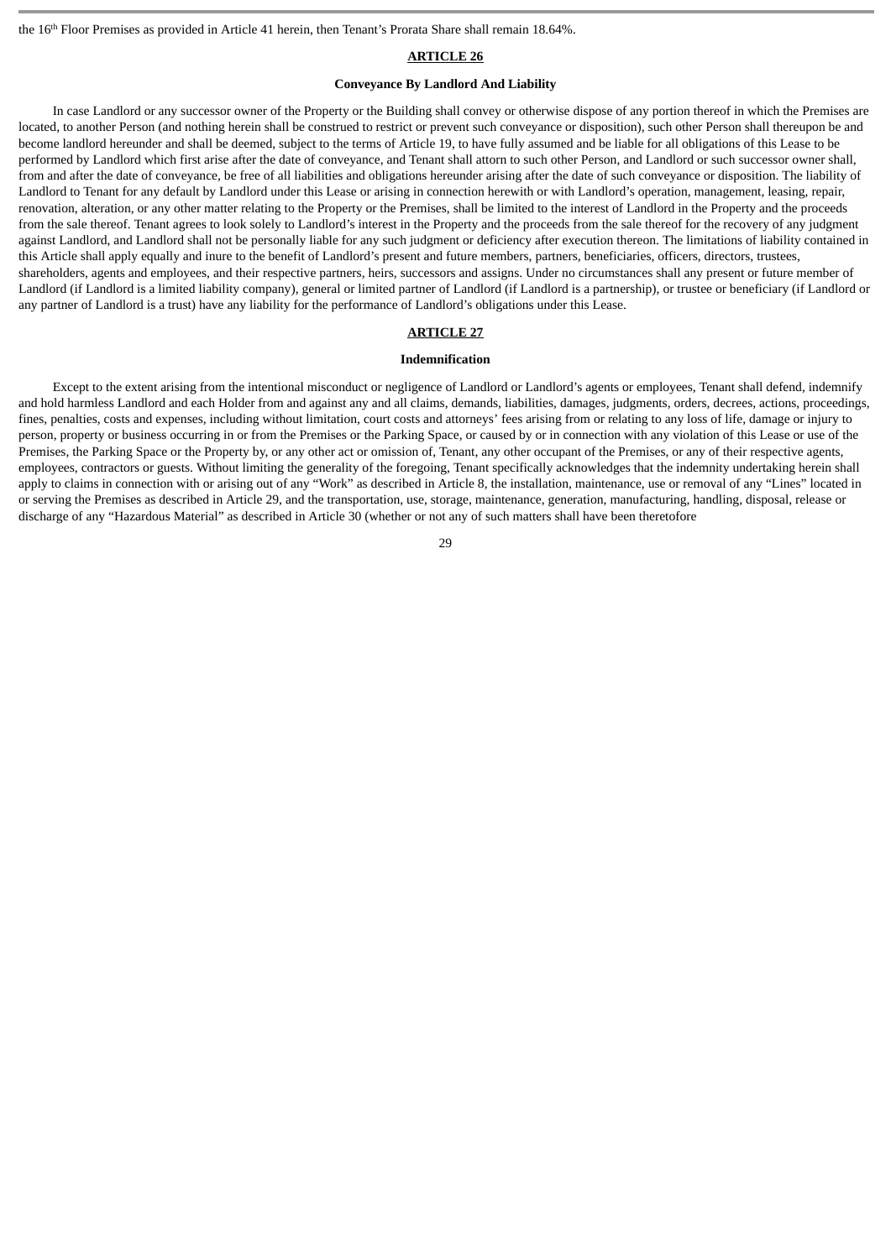the 16<sup>th</sup> Floor Premises as provided in Article 41 herein, then Tenant's Prorata Share shall remain 18.64%.

# **ARTICLE 26**

#### **Conveyance By Landlord And Liability**

In case Landlord or any successor owner of the Property or the Building shall convey or otherwise dispose of any portion thereof in which the Premises are located, to another Person (and nothing herein shall be construed to restrict or prevent such conveyance or disposition), such other Person shall thereupon be and become landlord hereunder and shall be deemed, subject to the terms of Article 19, to have fully assumed and be liable for all obligations of this Lease to be performed by Landlord which first arise after the date of conveyance, and Tenant shall attorn to such other Person, and Landlord or such successor owner shall, from and after the date of conveyance, be free of all liabilities and obligations hereunder arising after the date of such conveyance or disposition. The liability of Landlord to Tenant for any default by Landlord under this Lease or arising in connection herewith or with Landlord's operation, management, leasing, repair, renovation, alteration, or any other matter relating to the Property or the Premises, shall be limited to the interest of Landlord in the Property and the proceeds from the sale thereof. Tenant agrees to look solely to Landlord's interest in the Property and the proceeds from the sale thereof for the recovery of any judgment against Landlord, and Landlord shall not be personally liable for any such judgment or deficiency after execution thereon. The limitations of liability contained in this Article shall apply equally and inure to the benefit of Landlord's present and future members, partners, beneficiaries, officers, directors, trustees, shareholders, agents and employees, and their respective partners, heirs, successors and assigns. Under no circumstances shall any present or future member of Landlord (if Landlord is a limited liability company), general or limited partner of Landlord (if Landlord is a partnership), or trustee or beneficiary (if Landlord or any partner of Landlord is a trust) have any liability for the performance of Landlord's obligations under this Lease.

# **ARTICLE 27**

#### **Indemnification**

Except to the extent arising from the intentional misconduct or negligence of Landlord or Landlord's agents or employees, Tenant shall defend, indemnify and hold harmless Landlord and each Holder from and against any and all claims, demands, liabilities, damages, judgments, orders, decrees, actions, proceedings, fines, penalties, costs and expenses, including without limitation, court costs and attorneys' fees arising from or relating to any loss of life, damage or injury to person, property or business occurring in or from the Premises or the Parking Space, or caused by or in connection with any violation of this Lease or use of the Premises, the Parking Space or the Property by, or any other act or omission of, Tenant, any other occupant of the Premises, or any of their respective agents, employees, contractors or guests. Without limiting the generality of the foregoing, Tenant specifically acknowledges that the indemnity undertaking herein shall apply to claims in connection with or arising out of any "Work" as described in Article 8, the installation, maintenance, use or removal of any "Lines" located in or serving the Premises as described in Article 29, and the transportation, use, storage, maintenance, generation, manufacturing, handling, disposal, release or discharge of any "Hazardous Material" as described in Article 30 (whether or not any of such matters shall have been theretofore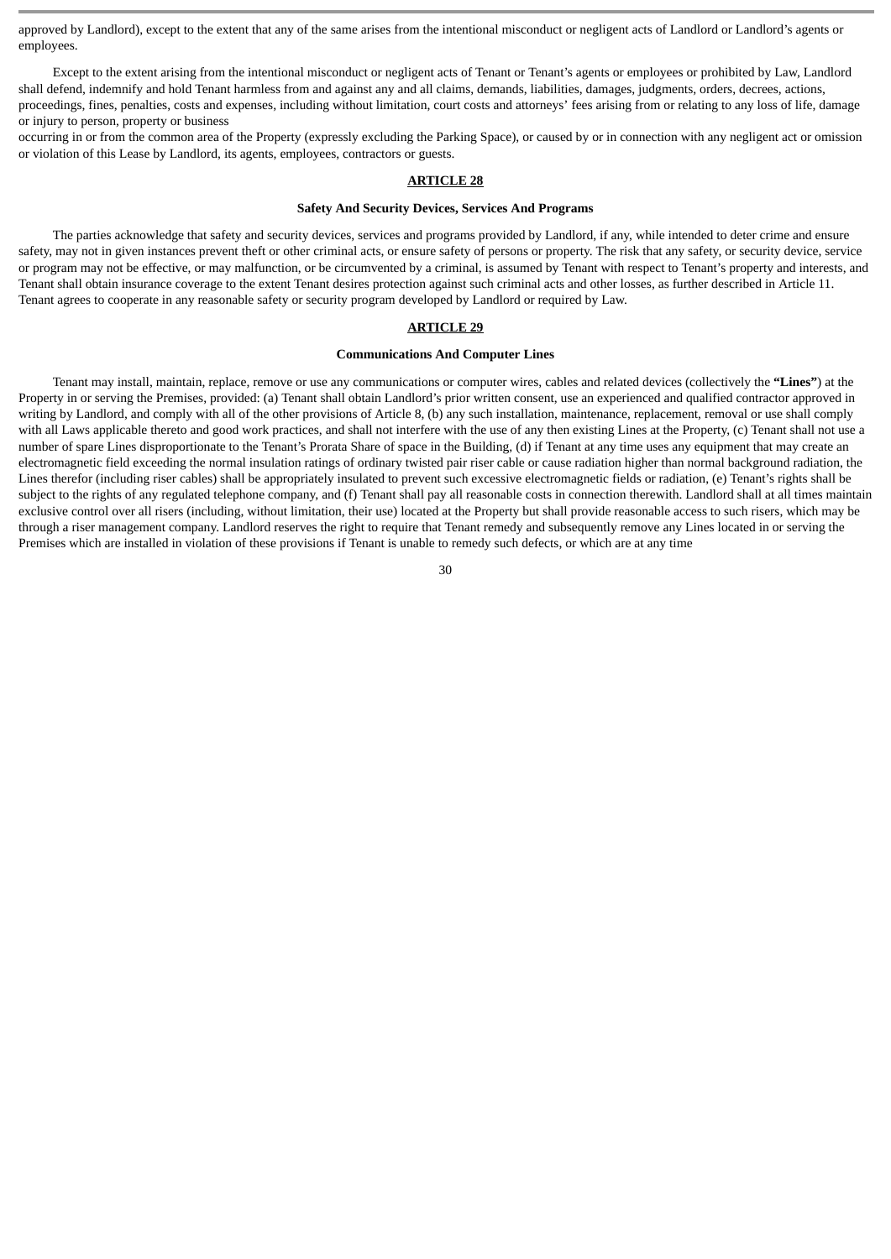approved by Landlord), except to the extent that any of the same arises from the intentional misconduct or negligent acts of Landlord or Landlord's agents or employees.

Except to the extent arising from the intentional misconduct or negligent acts of Tenant or Tenant's agents or employees or prohibited by Law, Landlord shall defend, indemnify and hold Tenant harmless from and against any and all claims, demands, liabilities, damages, judgments, orders, decrees, actions, proceedings, fines, penalties, costs and expenses, including without limitation, court costs and attorneys' fees arising from or relating to any loss of life, damage or injury to person, property or business

occurring in or from the common area of the Property (expressly excluding the Parking Space), or caused by or in connection with any negligent act or omission or violation of this Lease by Landlord, its agents, employees, contractors or guests.

## **ARTICLE 28**

#### **Safety And Security Devices, Services And Programs**

The parties acknowledge that safety and security devices, services and programs provided by Landlord, if any, while intended to deter crime and ensure safety, may not in given instances prevent theft or other criminal acts, or ensure safety of persons or property. The risk that any safety, or security device, service or program may not be effective, or may malfunction, or be circumvented by a criminal, is assumed by Tenant with respect to Tenant's property and interests, and Tenant shall obtain insurance coverage to the extent Tenant desires protection against such criminal acts and other losses, as further described in Article 11. Tenant agrees to cooperate in any reasonable safety or security program developed by Landlord or required by Law.

# **ARTICLE 29**

#### **Communications And Computer Lines**

Tenant may install, maintain, replace, remove or use any communications or computer wires, cables and related devices (collectively the **"Lines"**) at the Property in or serving the Premises, provided: (a) Tenant shall obtain Landlord's prior written consent, use an experienced and qualified contractor approved in writing by Landlord, and comply with all of the other provisions of Article 8, (b) any such installation, maintenance, replacement, removal or use shall comply with all Laws applicable thereto and good work practices, and shall not interfere with the use of any then existing Lines at the Property, (c) Tenant shall not use a number of spare Lines disproportionate to the Tenant's Prorata Share of space in the Building, (d) if Tenant at any time uses any equipment that may create an electromagnetic field exceeding the normal insulation ratings of ordinary twisted pair riser cable or cause radiation higher than normal background radiation, the Lines therefor (including riser cables) shall be appropriately insulated to prevent such excessive electromagnetic fields or radiation, (e) Tenant's rights shall be subject to the rights of any regulated telephone company, and (f) Tenant shall pay all reasonable costs in connection therewith. Landlord shall at all times maintain exclusive control over all risers (including, without limitation, their use) located at the Property but shall provide reasonable access to such risers, which may be through a riser management company. Landlord reserves the right to require that Tenant remedy and subsequently remove any Lines located in or serving the Premises which are installed in violation of these provisions if Tenant is unable to remedy such defects, or which are at any time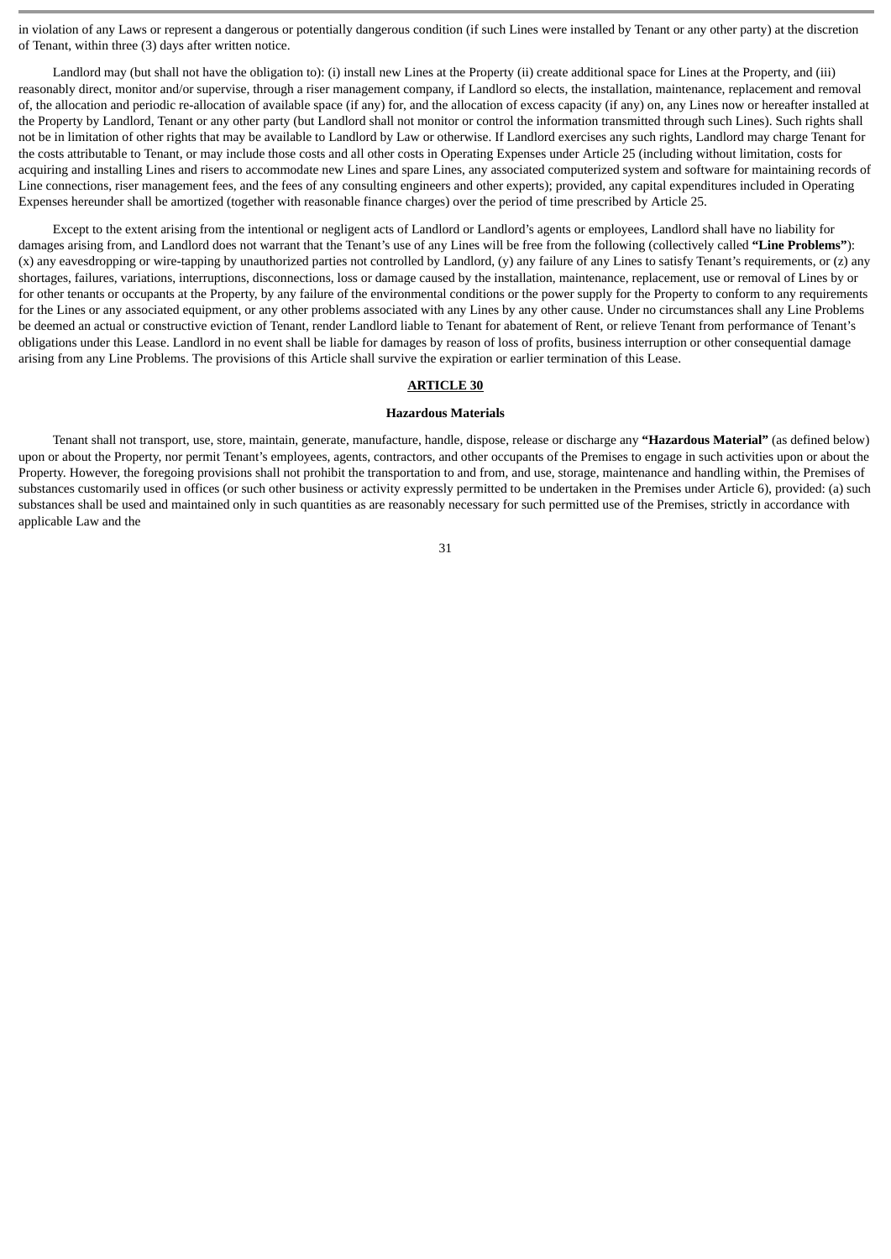in violation of any Laws or represent a dangerous or potentially dangerous condition (if such Lines were installed by Tenant or any other party) at the discretion of Tenant, within three (3) days after written notice.

Landlord may (but shall not have the obligation to): (i) install new Lines at the Property (ii) create additional space for Lines at the Property, and (iii) reasonably direct, monitor and/or supervise, through a riser management company, if Landlord so elects, the installation, maintenance, replacement and removal of, the allocation and periodic re-allocation of available space (if any) for, and the allocation of excess capacity (if any) on, any Lines now or hereafter installed at the Property by Landlord, Tenant or any other party (but Landlord shall not monitor or control the information transmitted through such Lines). Such rights shall not be in limitation of other rights that may be available to Landlord by Law or otherwise. If Landlord exercises any such rights, Landlord may charge Tenant for the costs attributable to Tenant, or may include those costs and all other costs in Operating Expenses under Article 25 (including without limitation, costs for acquiring and installing Lines and risers to accommodate new Lines and spare Lines, any associated computerized system and software for maintaining records of Line connections, riser management fees, and the fees of any consulting engineers and other experts); provided, any capital expenditures included in Operating Expenses hereunder shall be amortized (together with reasonable finance charges) over the period of time prescribed by Article 25.

Except to the extent arising from the intentional or negligent acts of Landlord or Landlord's agents or employees, Landlord shall have no liability for damages arising from, and Landlord does not warrant that the Tenant's use of any Lines will be free from the following (collectively called **"Line Problems"**): (x) any eavesdropping or wire-tapping by unauthorized parties not controlled by Landlord, (y) any failure of any Lines to satisfy Tenant's requirements, or (z) any shortages, failures, variations, interruptions, disconnections, loss or damage caused by the installation, maintenance, replacement, use or removal of Lines by or for other tenants or occupants at the Property, by any failure of the environmental conditions or the power supply for the Property to conform to any requirements for the Lines or any associated equipment, or any other problems associated with any Lines by any other cause. Under no circumstances shall any Line Problems be deemed an actual or constructive eviction of Tenant, render Landlord liable to Tenant for abatement of Rent, or relieve Tenant from performance of Tenant's obligations under this Lease. Landlord in no event shall be liable for damages by reason of loss of profits, business interruption or other consequential damage arising from any Line Problems. The provisions of this Article shall survive the expiration or earlier termination of this Lease.

## **ARTICLE 30**

#### **Hazardous Materials**

Tenant shall not transport, use, store, maintain, generate, manufacture, handle, dispose, release or discharge any **"Hazardous Material"** (as defined below) upon or about the Property, nor permit Tenant's employees, agents, contractors, and other occupants of the Premises to engage in such activities upon or about the Property. However, the foregoing provisions shall not prohibit the transportation to and from, and use, storage, maintenance and handling within, the Premises of substances customarily used in offices (or such other business or activity expressly permitted to be undertaken in the Premises under Article 6), provided: (a) such substances shall be used and maintained only in such quantities as are reasonably necessary for such permitted use of the Premises, strictly in accordance with applicable Law and the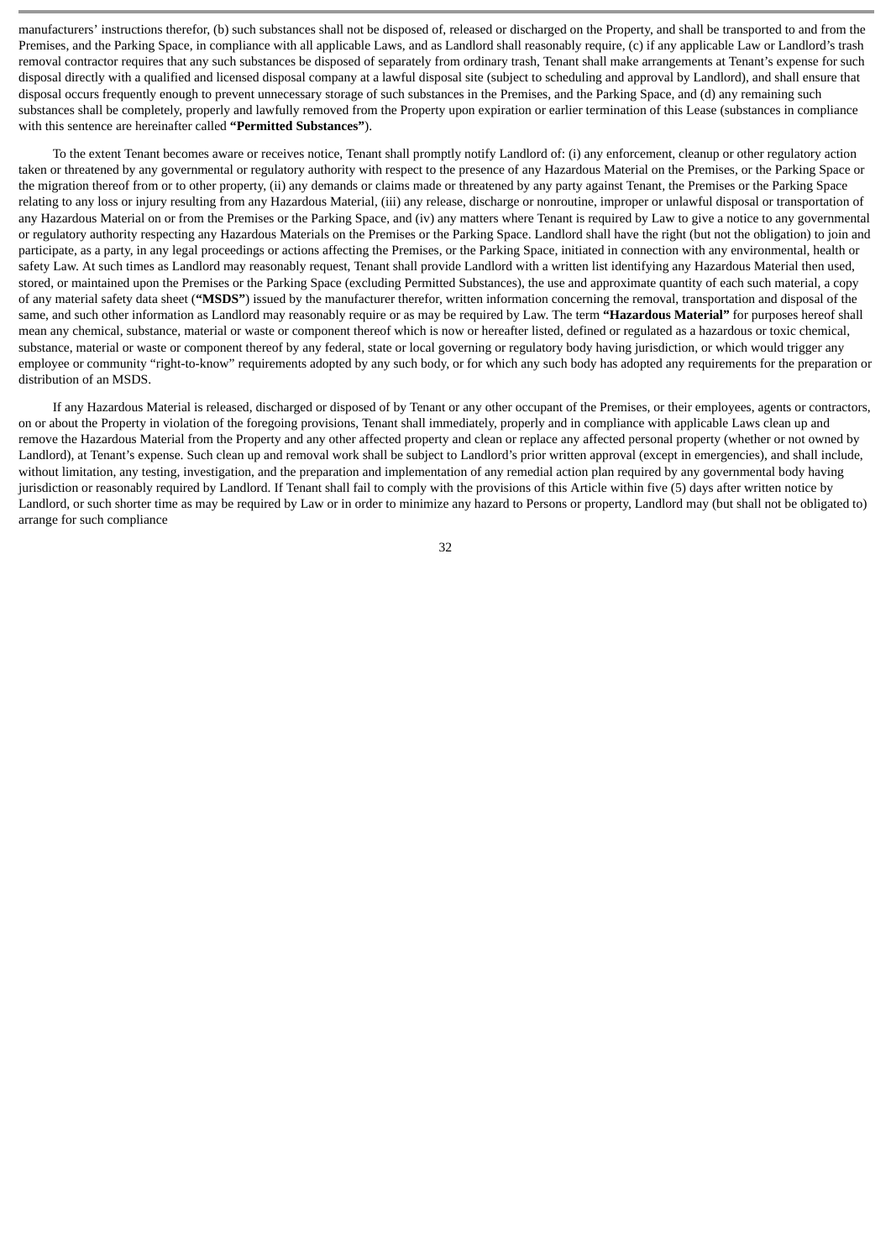manufacturers' instructions therefor, (b) such substances shall not be disposed of, released or discharged on the Property, and shall be transported to and from the Premises, and the Parking Space, in compliance with all applicable Laws, and as Landlord shall reasonably require, (c) if any applicable Law or Landlord's trash removal contractor requires that any such substances be disposed of separately from ordinary trash, Tenant shall make arrangements at Tenant's expense for such disposal directly with a qualified and licensed disposal company at a lawful disposal site (subject to scheduling and approval by Landlord), and shall ensure that disposal occurs frequently enough to prevent unnecessary storage of such substances in the Premises, and the Parking Space, and (d) any remaining such substances shall be completely, properly and lawfully removed from the Property upon expiration or earlier termination of this Lease (substances in compliance with this sentence are hereinafter called **"Permitted Substances"**).

To the extent Tenant becomes aware or receives notice, Tenant shall promptly notify Landlord of: (i) any enforcement, cleanup or other regulatory action taken or threatened by any governmental or regulatory authority with respect to the presence of any Hazardous Material on the Premises, or the Parking Space or the migration thereof from or to other property, (ii) any demands or claims made or threatened by any party against Tenant, the Premises or the Parking Space relating to any loss or injury resulting from any Hazardous Material, (iii) any release, discharge or nonroutine, improper or unlawful disposal or transportation of any Hazardous Material on or from the Premises or the Parking Space, and (iv) any matters where Tenant is required by Law to give a notice to any governmental or regulatory authority respecting any Hazardous Materials on the Premises or the Parking Space. Landlord shall have the right (but not the obligation) to join and participate, as a party, in any legal proceedings or actions affecting the Premises, or the Parking Space, initiated in connection with any environmental, health or safety Law. At such times as Landlord may reasonably request, Tenant shall provide Landlord with a written list identifying any Hazardous Material then used, stored, or maintained upon the Premises or the Parking Space (excluding Permitted Substances), the use and approximate quantity of each such material, a copy of any material safety data sheet (**"MSDS"**) issued by the manufacturer therefor, written information concerning the removal, transportation and disposal of the same, and such other information as Landlord may reasonably require or as may be required by Law. The term **"Hazardous Material"** for purposes hereof shall mean any chemical, substance, material or waste or component thereof which is now or hereafter listed, defined or regulated as a hazardous or toxic chemical, substance, material or waste or component thereof by any federal, state or local governing or regulatory body having jurisdiction, or which would trigger any employee or community "right-to-know" requirements adopted by any such body, or for which any such body has adopted any requirements for the preparation or distribution of an MSDS.

If any Hazardous Material is released, discharged or disposed of by Tenant or any other occupant of the Premises, or their employees, agents or contractors, on or about the Property in violation of the foregoing provisions, Tenant shall immediately, properly and in compliance with applicable Laws clean up and remove the Hazardous Material from the Property and any other affected property and clean or replace any affected personal property (whether or not owned by Landlord), at Tenant's expense. Such clean up and removal work shall be subject to Landlord's prior written approval (except in emergencies), and shall include, without limitation, any testing, investigation, and the preparation and implementation of any remedial action plan required by any governmental body having jurisdiction or reasonably required by Landlord. If Tenant shall fail to comply with the provisions of this Article within five (5) days after written notice by Landlord, or such shorter time as may be required by Law or in order to minimize any hazard to Persons or property, Landlord may (but shall not be obligated to) arrange for such compliance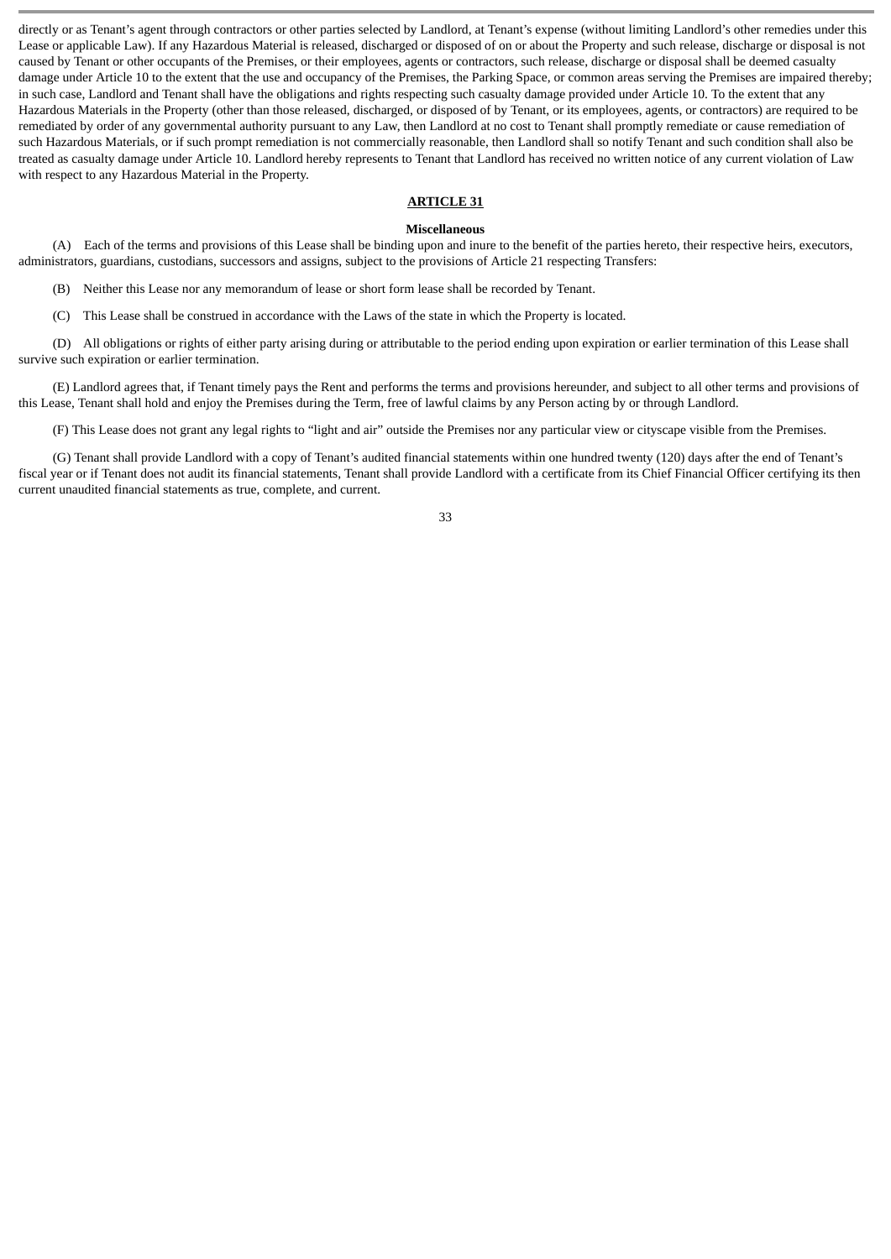directly or as Tenant's agent through contractors or other parties selected by Landlord, at Tenant's expense (without limiting Landlord's other remedies under this Lease or applicable Law). If any Hazardous Material is released, discharged or disposed of on or about the Property and such release, discharge or disposal is not caused by Tenant or other occupants of the Premises, or their employees, agents or contractors, such release, discharge or disposal shall be deemed casualty damage under Article 10 to the extent that the use and occupancy of the Premises, the Parking Space, or common areas serving the Premises are impaired thereby; in such case, Landlord and Tenant shall have the obligations and rights respecting such casualty damage provided under Article 10. To the extent that any Hazardous Materials in the Property (other than those released, discharged, or disposed of by Tenant, or its employees, agents, or contractors) are required to be remediated by order of any governmental authority pursuant to any Law, then Landlord at no cost to Tenant shall promptly remediate or cause remediation of such Hazardous Materials, or if such prompt remediation is not commercially reasonable, then Landlord shall so notify Tenant and such condition shall also be treated as casualty damage under Article 10. Landlord hereby represents to Tenant that Landlord has received no written notice of any current violation of Law with respect to any Hazardous Material in the Property.

#### **ARTICLE 31**

#### **Miscellaneous**

(A) Each of the terms and provisions of this Lease shall be binding upon and inure to the benefit of the parties hereto, their respective heirs, executors, administrators, guardians, custodians, successors and assigns, subject to the provisions of Article 21 respecting Transfers:

(B) Neither this Lease nor any memorandum of lease or short form lease shall be recorded by Tenant.

(C) This Lease shall be construed in accordance with the Laws of the state in which the Property is located.

(D) All obligations or rights of either party arising during or attributable to the period ending upon expiration or earlier termination of this Lease shall survive such expiration or earlier termination.

(E) Landlord agrees that, if Tenant timely pays the Rent and performs the terms and provisions hereunder, and subject to all other terms and provisions of this Lease, Tenant shall hold and enjoy the Premises during the Term, free of lawful claims by any Person acting by or through Landlord.

(F) This Lease does not grant any legal rights to "light and air" outside the Premises nor any particular view or cityscape visible from the Premises.

(G) Tenant shall provide Landlord with a copy of Tenant's audited financial statements within one hundred twenty (120) days after the end of Tenant's fiscal year or if Tenant does not audit its financial statements, Tenant shall provide Landlord with a certificate from its Chief Financial Officer certifying its then current unaudited financial statements as true, complete, and current.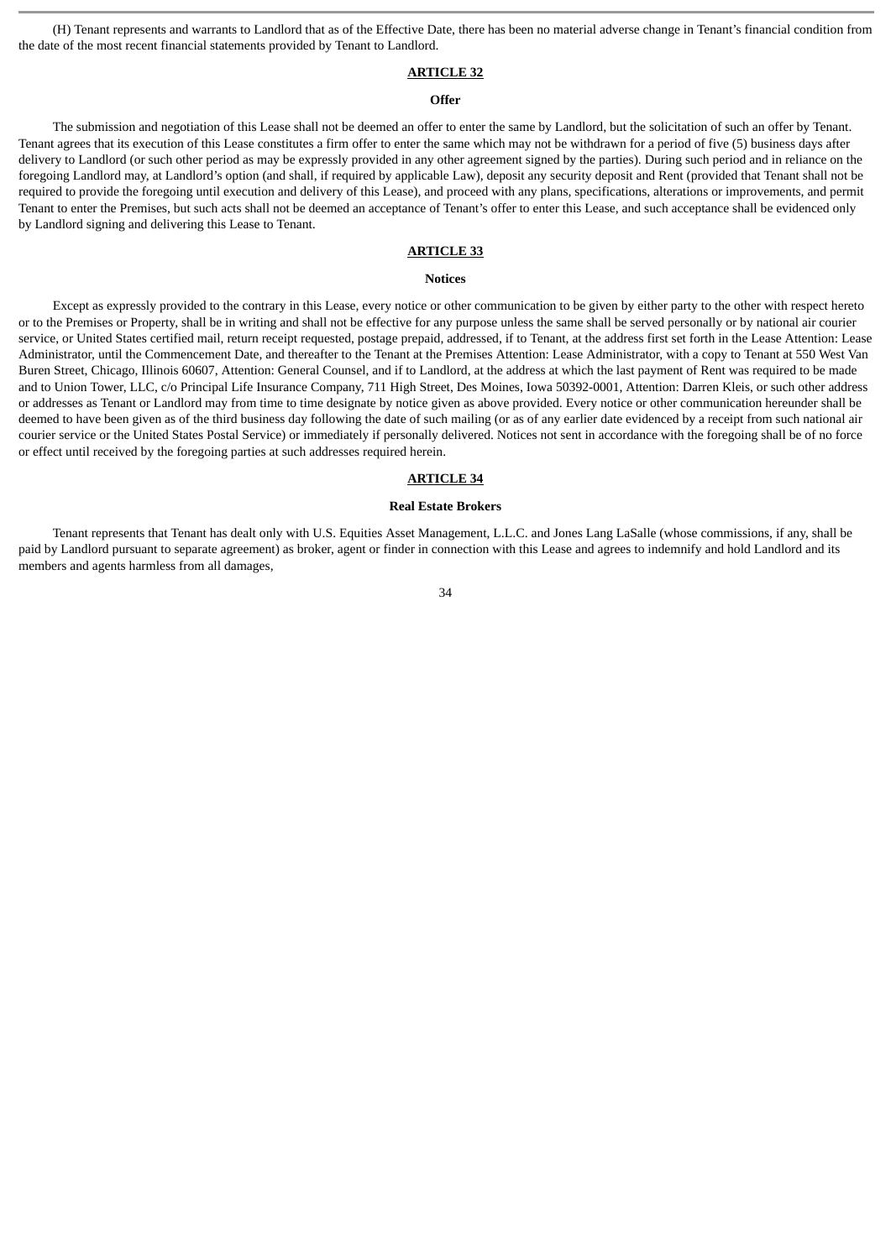(H) Tenant represents and warrants to Landlord that as of the Effective Date, there has been no material adverse change in Tenant's financial condition from the date of the most recent financial statements provided by Tenant to Landlord.

# **ARTICLE 32**

#### **Offer**

The submission and negotiation of this Lease shall not be deemed an offer to enter the same by Landlord, but the solicitation of such an offer by Tenant. Tenant agrees that its execution of this Lease constitutes a firm offer to enter the same which may not be withdrawn for a period of five (5) business days after delivery to Landlord (or such other period as may be expressly provided in any other agreement signed by the parties). During such period and in reliance on the foregoing Landlord may, at Landlord's option (and shall, if required by applicable Law), deposit any security deposit and Rent (provided that Tenant shall not be required to provide the foregoing until execution and delivery of this Lease), and proceed with any plans, specifications, alterations or improvements, and permit Tenant to enter the Premises, but such acts shall not be deemed an acceptance of Tenant's offer to enter this Lease, and such acceptance shall be evidenced only by Landlord signing and delivering this Lease to Tenant.

#### **ARTICLE 33**

#### **Notices**

Except as expressly provided to the contrary in this Lease, every notice or other communication to be given by either party to the other with respect hereto or to the Premises or Property, shall be in writing and shall not be effective for any purpose unless the same shall be served personally or by national air courier service, or United States certified mail, return receipt requested, postage prepaid, addressed, if to Tenant, at the address first set forth in the Lease Attention: Lease Administrator, until the Commencement Date, and thereafter to the Tenant at the Premises Attention: Lease Administrator, with a copy to Tenant at 550 West Van Buren Street, Chicago, Illinois 60607, Attention: General Counsel, and if to Landlord, at the address at which the last payment of Rent was required to be made and to Union Tower, LLC, c/o Principal Life Insurance Company, 711 High Street, Des Moines, Iowa 50392-0001, Attention: Darren Kleis, or such other address or addresses as Tenant or Landlord may from time to time designate by notice given as above provided. Every notice or other communication hereunder shall be deemed to have been given as of the third business day following the date of such mailing (or as of any earlier date evidenced by a receipt from such national air courier service or the United States Postal Service) or immediately if personally delivered. Notices not sent in accordance with the foregoing shall be of no force or effect until received by the foregoing parties at such addresses required herein.

#### **ARTICLE 34**

#### **Real Estate Brokers**

Tenant represents that Tenant has dealt only with U.S. Equities Asset Management, L.L.C. and Jones Lang LaSalle (whose commissions, if any, shall be paid by Landlord pursuant to separate agreement) as broker, agent or finder in connection with this Lease and agrees to indemnify and hold Landlord and its members and agents harmless from all damages,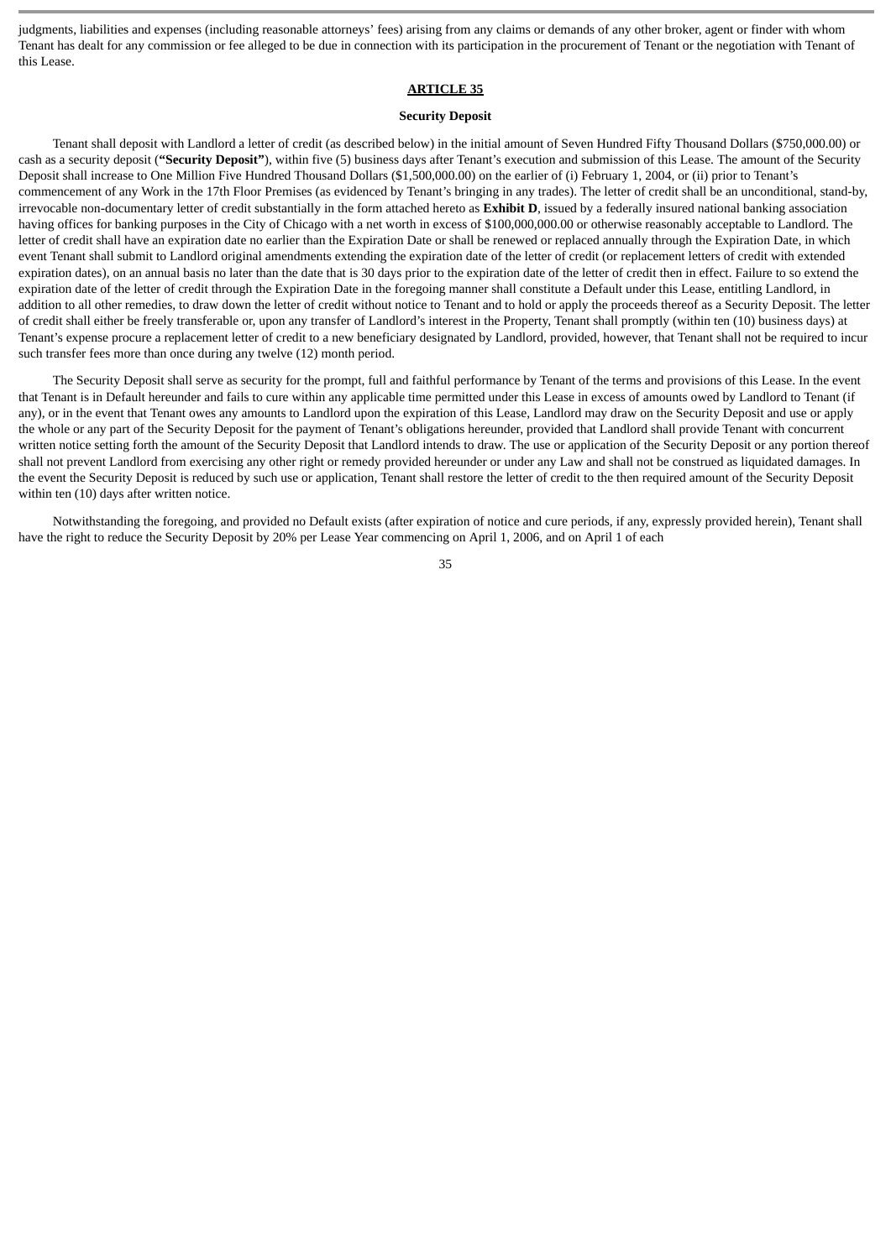judgments, liabilities and expenses (including reasonable attorneys' fees) arising from any claims or demands of any other broker, agent or finder with whom Tenant has dealt for any commission or fee alleged to be due in connection with its participation in the procurement of Tenant or the negotiation with Tenant of this Lease.

# **ARTICLE 35**

#### **Security Deposit**

Tenant shall deposit with Landlord a letter of credit (as described below) in the initial amount of Seven Hundred Fifty Thousand Dollars (\$750,000.00) or cash as a security deposit (**"Security Deposit"**), within five (5) business days after Tenant's execution and submission of this Lease. The amount of the Security Deposit shall increase to One Million Five Hundred Thousand Dollars (\$1,500,000.00) on the earlier of (i) February 1, 2004, or (ii) prior to Tenant's commencement of any Work in the 17th Floor Premises (as evidenced by Tenant's bringing in any trades). The letter of credit shall be an unconditional, stand-by, irrevocable non-documentary letter of credit substantially in the form attached hereto as **Exhibit D**, issued by a federally insured national banking association having offices for banking purposes in the City of Chicago with a net worth in excess of \$100,000,000.00 or otherwise reasonably acceptable to Landlord. The letter of credit shall have an expiration date no earlier than the Expiration Date or shall be renewed or replaced annually through the Expiration Date, in which event Tenant shall submit to Landlord original amendments extending the expiration date of the letter of credit (or replacement letters of credit with extended expiration dates), on an annual basis no later than the date that is 30 days prior to the expiration date of the letter of credit then in effect. Failure to so extend the expiration date of the letter of credit through the Expiration Date in the foregoing manner shall constitute a Default under this Lease, entitling Landlord, in addition to all other remedies, to draw down the letter of credit without notice to Tenant and to hold or apply the proceeds thereof as a Security Deposit. The letter of credit shall either be freely transferable or, upon any transfer of Landlord's interest in the Property, Tenant shall promptly (within ten (10) business days) at Tenant's expense procure a replacement letter of credit to a new beneficiary designated by Landlord, provided, however, that Tenant shall not be required to incur such transfer fees more than once during any twelve (12) month period.

The Security Deposit shall serve as security for the prompt, full and faithful performance by Tenant of the terms and provisions of this Lease. In the event that Tenant is in Default hereunder and fails to cure within any applicable time permitted under this Lease in excess of amounts owed by Landlord to Tenant (if any), or in the event that Tenant owes any amounts to Landlord upon the expiration of this Lease, Landlord may draw on the Security Deposit and use or apply the whole or any part of the Security Deposit for the payment of Tenant's obligations hereunder, provided that Landlord shall provide Tenant with concurrent written notice setting forth the amount of the Security Deposit that Landlord intends to draw. The use or application of the Security Deposit or any portion thereof shall not prevent Landlord from exercising any other right or remedy provided hereunder or under any Law and shall not be construed as liquidated damages. In the event the Security Deposit is reduced by such use or application, Tenant shall restore the letter of credit to the then required amount of the Security Deposit within ten (10) days after written notice.

Notwithstanding the foregoing, and provided no Default exists (after expiration of notice and cure periods, if any, expressly provided herein), Tenant shall have the right to reduce the Security Deposit by 20% per Lease Year commencing on April 1, 2006, and on April 1 of each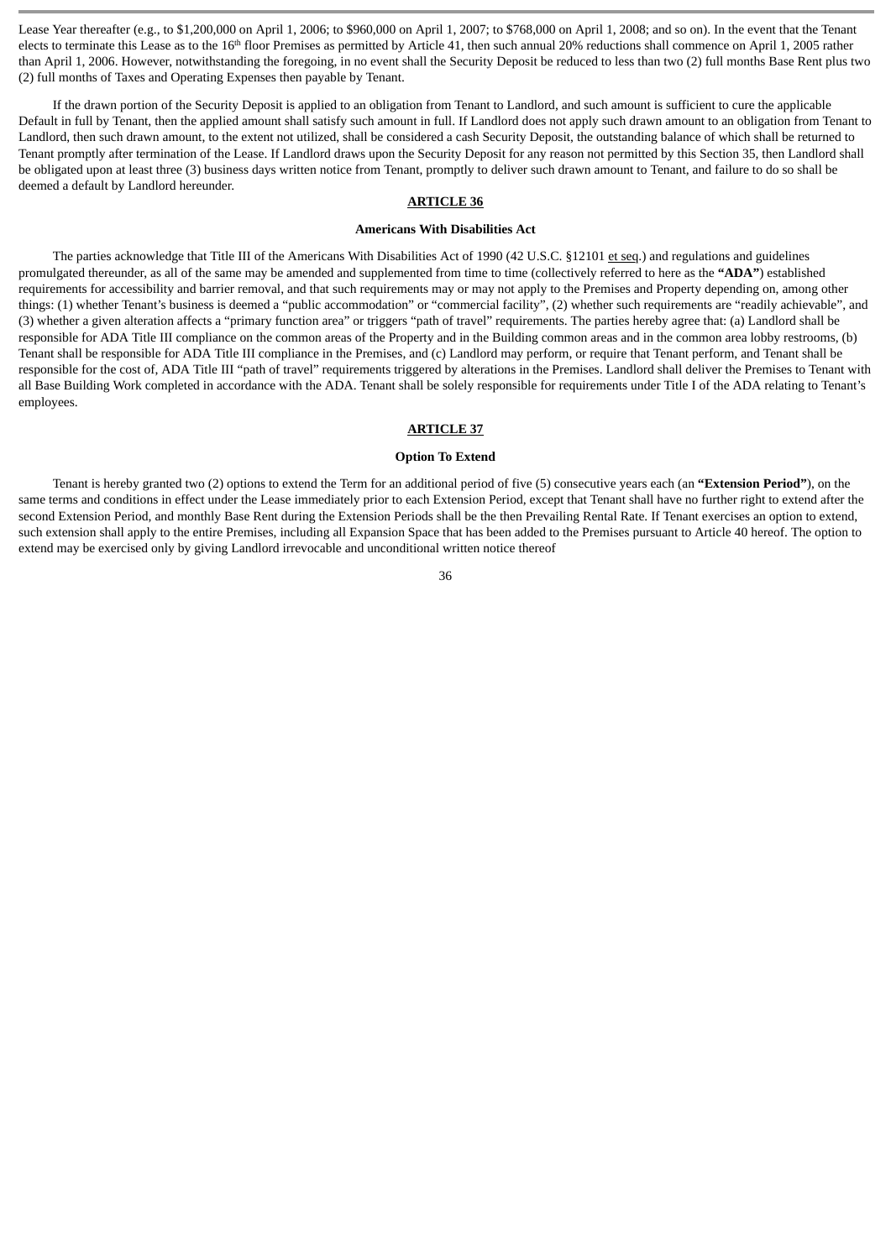Lease Year thereafter (e.g., to \$1,200,000 on April 1, 2006; to \$960,000 on April 1, 2007; to \$768,000 on April 1, 2008; and so on). In the event that the Tenant elects to terminate this Lease as to the 16<sup>th</sup> floor Premises as permitted by Article 41, then such annual 20% reductions shall commence on April 1, 2005 rather than April 1, 2006. However, notwithstanding the foregoing, in no event shall the Security Deposit be reduced to less than two (2) full months Base Rent plus two (2) full months of Taxes and Operating Expenses then payable by Tenant.

If the drawn portion of the Security Deposit is applied to an obligation from Tenant to Landlord, and such amount is sufficient to cure the applicable Default in full by Tenant, then the applied amount shall satisfy such amount in full. If Landlord does not apply such drawn amount to an obligation from Tenant to Landlord, then such drawn amount, to the extent not utilized, shall be considered a cash Security Deposit, the outstanding balance of which shall be returned to Tenant promptly after termination of the Lease. If Landlord draws upon the Security Deposit for any reason not permitted by this Section 35, then Landlord shall be obligated upon at least three (3) business days written notice from Tenant, promptly to deliver such drawn amount to Tenant, and failure to do so shall be deemed a default by Landlord hereunder.

# **ARTICLE 36**

#### **Americans With Disabilities Act**

The parties acknowledge that Title III of the Americans With Disabilities Act of 1990 (42 U.S.C. §12101 et seq.) and regulations and guidelines promulgated thereunder, as all of the same may be amended and supplemented from time to time (collectively referred to here as the **"ADA"**) established requirements for accessibility and barrier removal, and that such requirements may or may not apply to the Premises and Property depending on, among other things: (1) whether Tenant's business is deemed a "public accommodation" or "commercial facility", (2) whether such requirements are "readily achievable", and (3) whether a given alteration affects a "primary function area" or triggers "path of travel" requirements. The parties hereby agree that: (a) Landlord shall be responsible for ADA Title III compliance on the common areas of the Property and in the Building common areas and in the common area lobby restrooms, (b) Tenant shall be responsible for ADA Title III compliance in the Premises, and (c) Landlord may perform, or require that Tenant perform, and Tenant shall be responsible for the cost of, ADA Title III "path of travel" requirements triggered by alterations in the Premises. Landlord shall deliver the Premises to Tenant with all Base Building Work completed in accordance with the ADA. Tenant shall be solely responsible for requirements under Title I of the ADA relating to Tenant's employees.

# **ARTICLE 37**

#### **Option To Extend**

Tenant is hereby granted two (2) options to extend the Term for an additional period of five (5) consecutive years each (an **"Extension Period"**), on the same terms and conditions in effect under the Lease immediately prior to each Extension Period, except that Tenant shall have no further right to extend after the second Extension Period, and monthly Base Rent during the Extension Periods shall be the then Prevailing Rental Rate. If Tenant exercises an option to extend, such extension shall apply to the entire Premises, including all Expansion Space that has been added to the Premises pursuant to Article 40 hereof. The option to extend may be exercised only by giving Landlord irrevocable and unconditional written notice thereof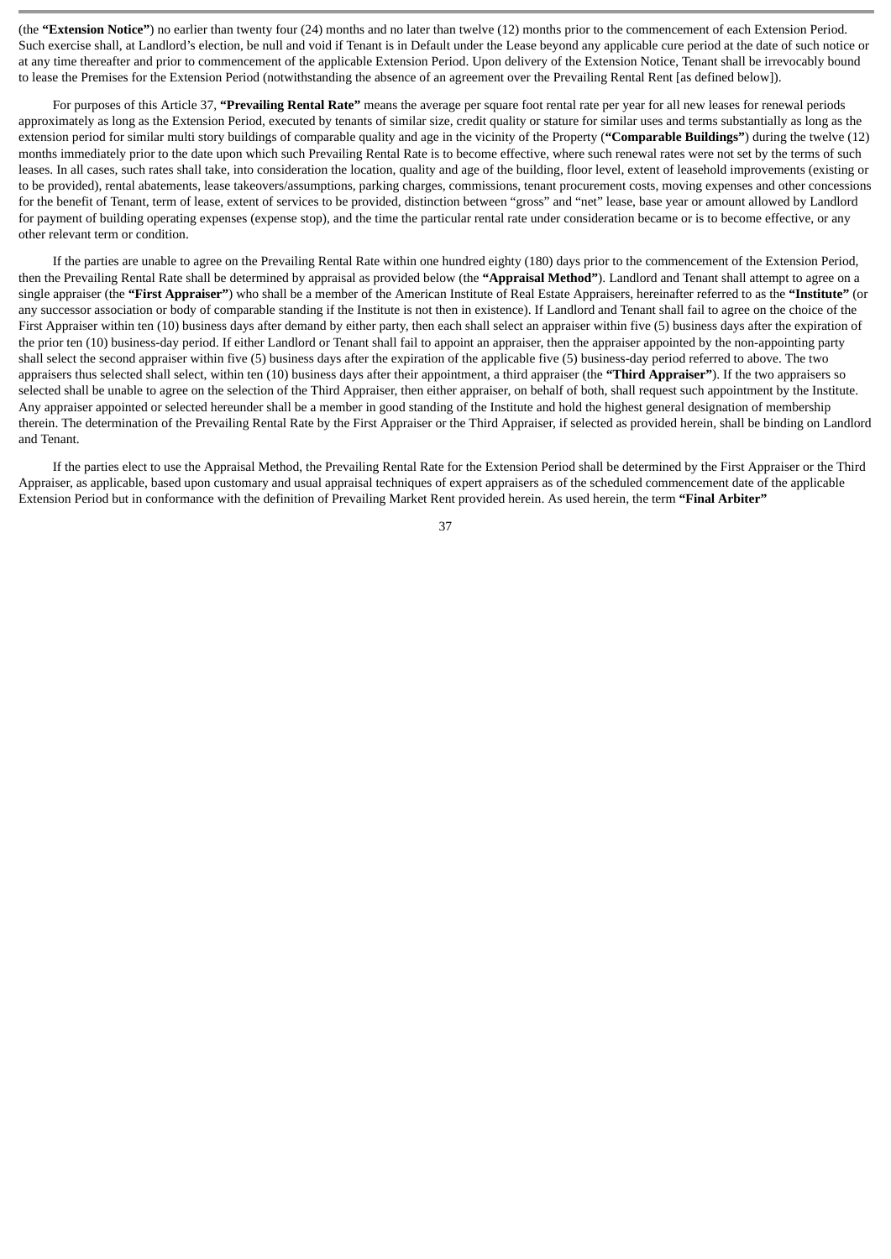(the **"Extension Notice"**) no earlier than twenty four (24) months and no later than twelve (12) months prior to the commencement of each Extension Period. Such exercise shall, at Landlord's election, be null and void if Tenant is in Default under the Lease beyond any applicable cure period at the date of such notice or at any time thereafter and prior to commencement of the applicable Extension Period. Upon delivery of the Extension Notice, Tenant shall be irrevocably bound to lease the Premises for the Extension Period (notwithstanding the absence of an agreement over the Prevailing Rental Rent [as defined below]).

For purposes of this Article 37, **"Prevailing Rental Rate"** means the average per square foot rental rate per year for all new leases for renewal periods approximately as long as the Extension Period, executed by tenants of similar size, credit quality or stature for similar uses and terms substantially as long as the extension period for similar multi story buildings of comparable quality and age in the vicinity of the Property (**"Comparable Buildings"**) during the twelve (12) months immediately prior to the date upon which such Prevailing Rental Rate is to become effective, where such renewal rates were not set by the terms of such leases. In all cases, such rates shall take, into consideration the location, quality and age of the building, floor level, extent of leasehold improvements (existing or to be provided), rental abatements, lease takeovers/assumptions, parking charges, commissions, tenant procurement costs, moving expenses and other concessions for the benefit of Tenant, term of lease, extent of services to be provided, distinction between "gross" and "net" lease, base year or amount allowed by Landlord for payment of building operating expenses (expense stop), and the time the particular rental rate under consideration became or is to become effective, or any other relevant term or condition.

If the parties are unable to agree on the Prevailing Rental Rate within one hundred eighty (180) days prior to the commencement of the Extension Period, then the Prevailing Rental Rate shall be determined by appraisal as provided below (the **"Appraisal Method"**). Landlord and Tenant shall attempt to agree on a single appraiser (the **"First Appraiser"**) who shall be a member of the American Institute of Real Estate Appraisers, hereinafter referred to as the **"Institute"** (or any successor association or body of comparable standing if the Institute is not then in existence). If Landlord and Tenant shall fail to agree on the choice of the First Appraiser within ten (10) business days after demand by either party, then each shall select an appraiser within five (5) business days after the expiration of the prior ten (10) business-day period. If either Landlord or Tenant shall fail to appoint an appraiser, then the appraiser appointed by the non-appointing party shall select the second appraiser within five (5) business days after the expiration of the applicable five (5) business-day period referred to above. The two appraisers thus selected shall select, within ten (10) business days after their appointment, a third appraiser (the **"Third Appraiser"**). If the two appraisers so selected shall be unable to agree on the selection of the Third Appraiser, then either appraiser, on behalf of both, shall request such appointment by the Institute. Any appraiser appointed or selected hereunder shall be a member in good standing of the Institute and hold the highest general designation of membership therein. The determination of the Prevailing Rental Rate by the First Appraiser or the Third Appraiser, if selected as provided herein, shall be binding on Landlord and Tenant.

If the parties elect to use the Appraisal Method, the Prevailing Rental Rate for the Extension Period shall be determined by the First Appraiser or the Third Appraiser, as applicable, based upon customary and usual appraisal techniques of expert appraisers as of the scheduled commencement date of the applicable Extension Period but in conformance with the definition of Prevailing Market Rent provided herein. As used herein, the term **"Final Arbiter"**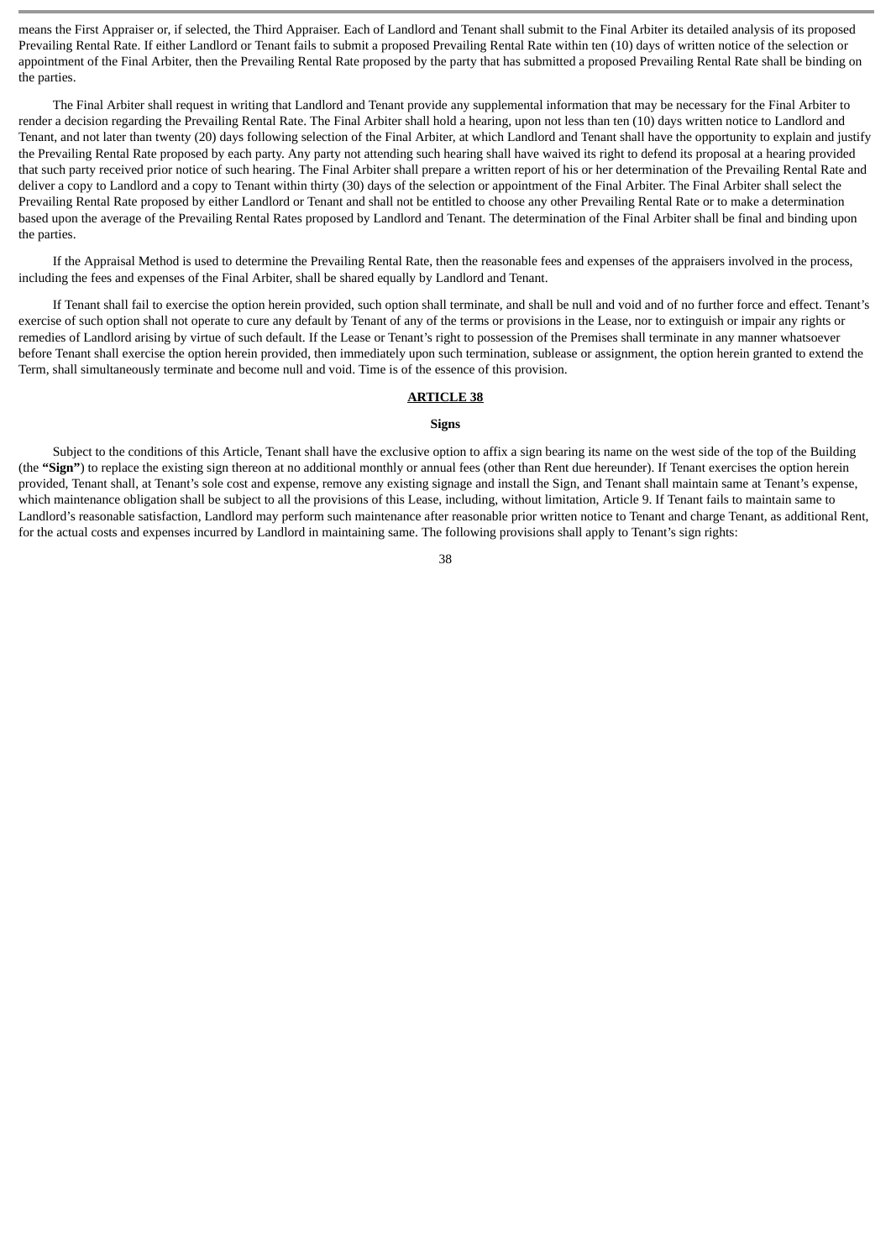means the First Appraiser or, if selected, the Third Appraiser. Each of Landlord and Tenant shall submit to the Final Arbiter its detailed analysis of its proposed Prevailing Rental Rate. If either Landlord or Tenant fails to submit a proposed Prevailing Rental Rate within ten (10) days of written notice of the selection or appointment of the Final Arbiter, then the Prevailing Rental Rate proposed by the party that has submitted a proposed Prevailing Rental Rate shall be binding on the parties.

The Final Arbiter shall request in writing that Landlord and Tenant provide any supplemental information that may be necessary for the Final Arbiter to render a decision regarding the Prevailing Rental Rate. The Final Arbiter shall hold a hearing, upon not less than ten (10) days written notice to Landlord and Tenant, and not later than twenty (20) days following selection of the Final Arbiter, at which Landlord and Tenant shall have the opportunity to explain and justify the Prevailing Rental Rate proposed by each party. Any party not attending such hearing shall have waived its right to defend its proposal at a hearing provided that such party received prior notice of such hearing. The Final Arbiter shall prepare a written report of his or her determination of the Prevailing Rental Rate and deliver a copy to Landlord and a copy to Tenant within thirty (30) days of the selection or appointment of the Final Arbiter. The Final Arbiter shall select the Prevailing Rental Rate proposed by either Landlord or Tenant and shall not be entitled to choose any other Prevailing Rental Rate or to make a determination based upon the average of the Prevailing Rental Rates proposed by Landlord and Tenant. The determination of the Final Arbiter shall be final and binding upon the parties.

If the Appraisal Method is used to determine the Prevailing Rental Rate, then the reasonable fees and expenses of the appraisers involved in the process, including the fees and expenses of the Final Arbiter, shall be shared equally by Landlord and Tenant.

If Tenant shall fail to exercise the option herein provided, such option shall terminate, and shall be null and void and of no further force and effect. Tenant's exercise of such option shall not operate to cure any default by Tenant of any of the terms or provisions in the Lease, nor to extinguish or impair any rights or remedies of Landlord arising by virtue of such default. If the Lease or Tenant's right to possession of the Premises shall terminate in any manner whatsoever before Tenant shall exercise the option herein provided, then immediately upon such termination, sublease or assignment, the option herein granted to extend the Term, shall simultaneously terminate and become null and void. Time is of the essence of this provision.

#### **ARTICLE 38**

#### **Signs**

Subject to the conditions of this Article, Tenant shall have the exclusive option to affix a sign bearing its name on the west side of the top of the Building (the "Sign") to replace the existing sign thereon at no additional monthly or annual fees (other than Rent due hereunder). If Tenant exercises the option herein provided, Tenant shall, at Tenant's sole cost and expense, remove any existing signage and install the Sign, and Tenant shall maintain same at Tenant's expense, which maintenance obligation shall be subject to all the provisions of this Lease, including, without limitation, Article 9. If Tenant fails to maintain same to Landlord's reasonable satisfaction, Landlord may perform such maintenance after reasonable prior written notice to Tenant and charge Tenant, as additional Rent, for the actual costs and expenses incurred by Landlord in maintaining same. The following provisions shall apply to Tenant's sign rights: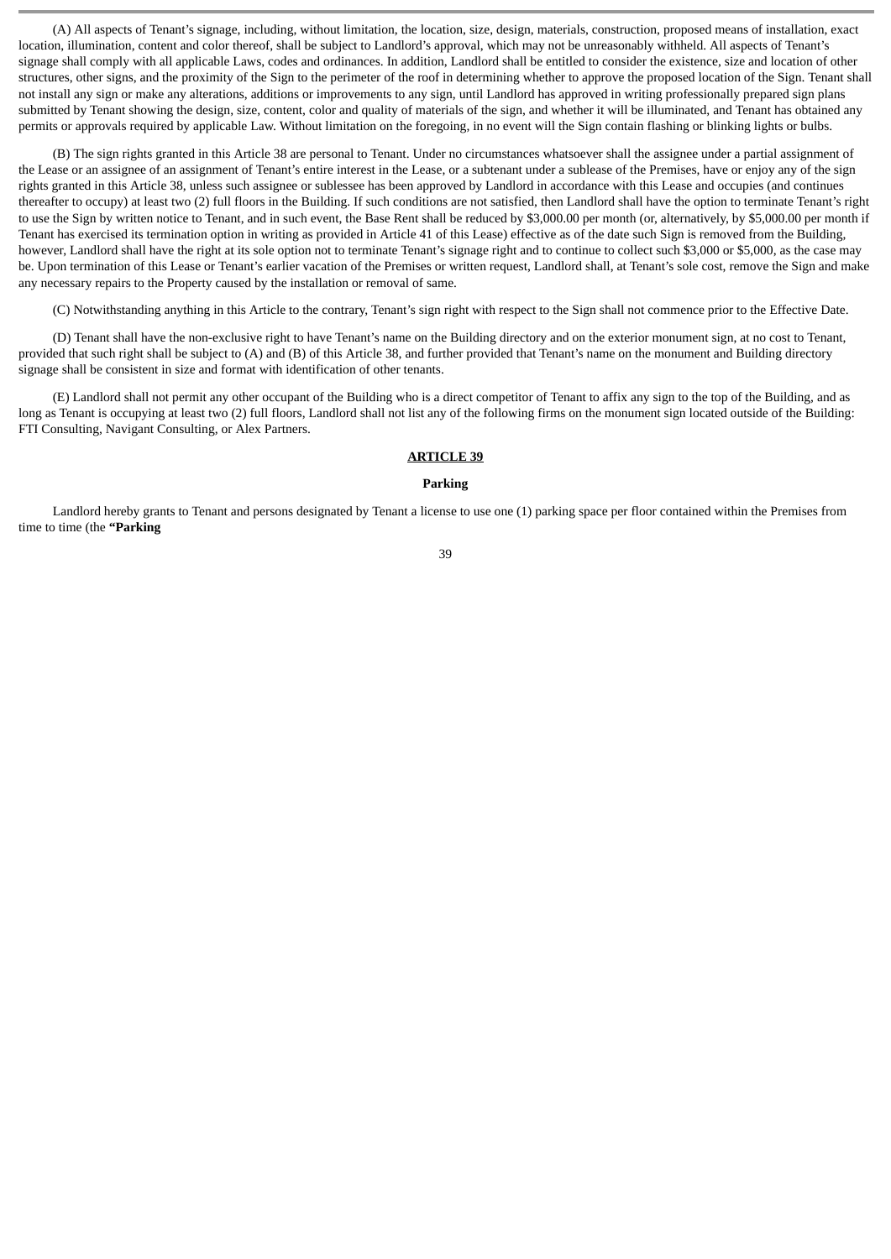(A) All aspects of Tenant's signage, including, without limitation, the location, size, design, materials, construction, proposed means of installation, exact location, illumination, content and color thereof, shall be subject to Landlord's approval, which may not be unreasonably withheld. All aspects of Tenant's signage shall comply with all applicable Laws, codes and ordinances. In addition, Landlord shall be entitled to consider the existence, size and location of other structures, other signs, and the proximity of the Sign to the perimeter of the roof in determining whether to approve the proposed location of the Sign. Tenant shall not install any sign or make any alterations, additions or improvements to any sign, until Landlord has approved in writing professionally prepared sign plans submitted by Tenant showing the design, size, content, color and quality of materials of the sign, and whether it will be illuminated, and Tenant has obtained any permits or approvals required by applicable Law. Without limitation on the foregoing, in no event will the Sign contain flashing or blinking lights or bulbs.

(B) The sign rights granted in this Article 38 are personal to Tenant. Under no circumstances whatsoever shall the assignee under a partial assignment of the Lease or an assignee of an assignment of Tenant's entire interest in the Lease, or a subtenant under a sublease of the Premises, have or enjoy any of the sign rights granted in this Article 38, unless such assignee or sublessee has been approved by Landlord in accordance with this Lease and occupies (and continues thereafter to occupy) at least two (2) full floors in the Building. If such conditions are not satisfied, then Landlord shall have the option to terminate Tenant's right to use the Sign by written notice to Tenant, and in such event, the Base Rent shall be reduced by \$3,000.00 per month (or, alternatively, by \$5,000.00 per month if Tenant has exercised its termination option in writing as provided in Article 41 of this Lease) effective as of the date such Sign is removed from the Building, however, Landlord shall have the right at its sole option not to terminate Tenant's signage right and to continue to collect such \$3,000 or \$5,000, as the case may be. Upon termination of this Lease or Tenant's earlier vacation of the Premises or written request, Landlord shall, at Tenant's sole cost, remove the Sign and make any necessary repairs to the Property caused by the installation or removal of same.

(C) Notwithstanding anything in this Article to the contrary, Tenant's sign right with respect to the Sign shall not commence prior to the Effective Date.

(D) Tenant shall have the non-exclusive right to have Tenant's name on the Building directory and on the exterior monument sign, at no cost to Tenant, provided that such right shall be subject to (A) and (B) of this Article 38, and further provided that Tenant's name on the monument and Building directory signage shall be consistent in size and format with identification of other tenants.

(E) Landlord shall not permit any other occupant of the Building who is a direct competitor of Tenant to affix any sign to the top of the Building, and as long as Tenant is occupying at least two (2) full floors, Landlord shall not list any of the following firms on the monument sign located outside of the Building: FTI Consulting, Navigant Consulting, or Alex Partners.

#### **ARTICLE 39**

#### **Parking**

Landlord hereby grants to Tenant and persons designated by Tenant a license to use one (1) parking space per floor contained within the Premises from time to time (the **"Parking**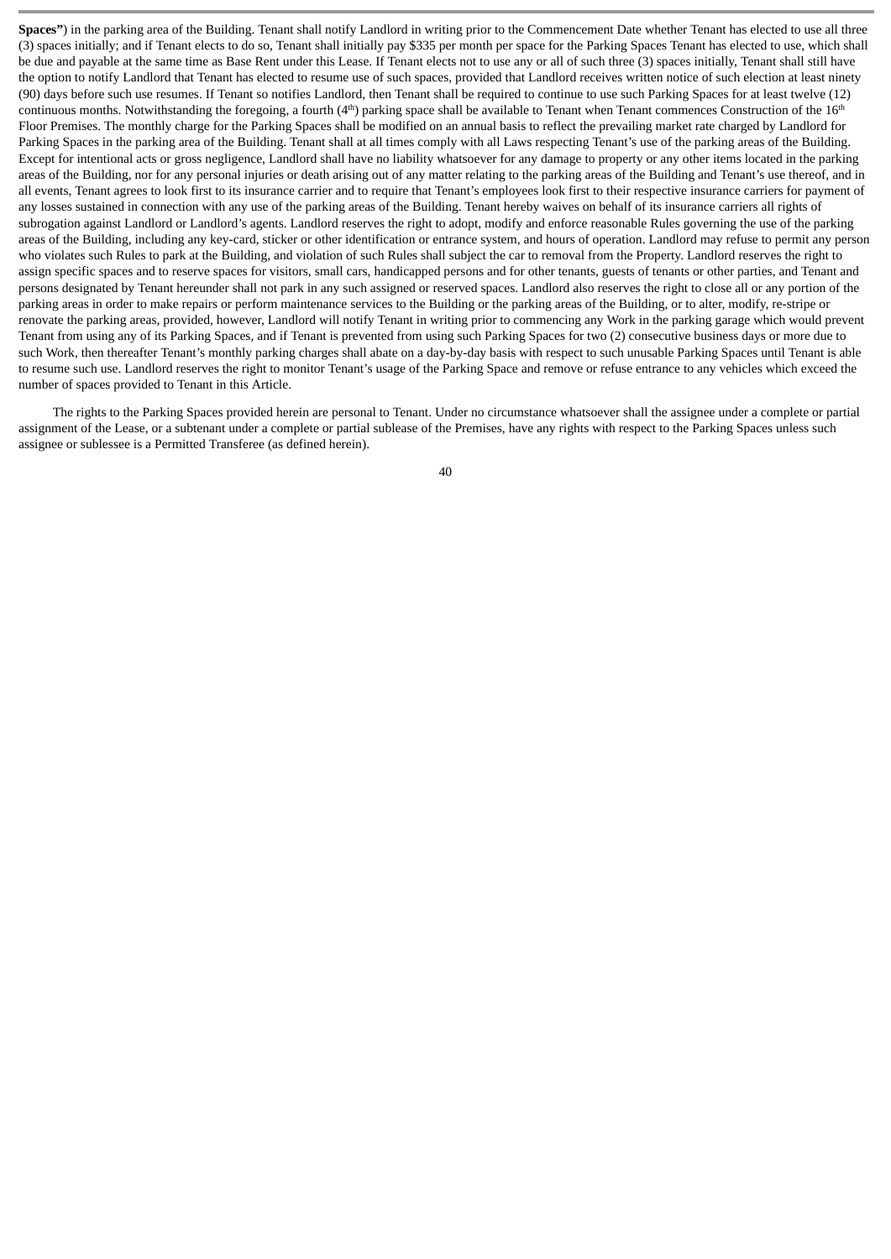**Spaces"**) in the parking area of the Building. Tenant shall notify Landlord in writing prior to the Commencement Date whether Tenant has elected to use all three (3) spaces initially; and if Tenant elects to do so, Tenant shall initially pay \$335 per month per space for the Parking Spaces Tenant has elected to use, which shall be due and payable at the same time as Base Rent under this Lease. If Tenant elects not to use any or all of such three (3) spaces initially, Tenant shall still have the option to notify Landlord that Tenant has elected to resume use of such spaces, provided that Landlord receives written notice of such election at least ninety (90) days before such use resumes. If Tenant so notifies Landlord, then Tenant shall be required to continue to use such Parking Spaces for at least twelve (12) continuous months. Notwithstanding the foregoing, a fourth  $(4<sup>th</sup>)$  parking space shall be available to Tenant when Tenant commences Construction of the  $16<sup>th</sup>$ Floor Premises. The monthly charge for the Parking Spaces shall be modified on an annual basis to reflect the prevailing market rate charged by Landlord for Parking Spaces in the parking area of the Building. Tenant shall at all times comply with all Laws respecting Tenant's use of the parking areas of the Building. Except for intentional acts or gross negligence, Landlord shall have no liability whatsoever for any damage to property or any other items located in the parking areas of the Building, nor for any personal injuries or death arising out of any matter relating to the parking areas of the Building and Tenant's use thereof, and in all events, Tenant agrees to look first to its insurance carrier and to require that Tenant's employees look first to their respective insurance carriers for payment of any losses sustained in connection with any use of the parking areas of the Building. Tenant hereby waives on behalf of its insurance carriers all rights of subrogation against Landlord or Landlord's agents. Landlord reserves the right to adopt, modify and enforce reasonable Rules governing the use of the parking areas of the Building, including any key-card, sticker or other identification or entrance system, and hours of operation. Landlord may refuse to permit any person who violates such Rules to park at the Building, and violation of such Rules shall subject the car to removal from the Property. Landlord reserves the right to assign specific spaces and to reserve spaces for visitors, small cars, handicapped persons and for other tenants, guests of tenants or other parties, and Tenant and persons designated by Tenant hereunder shall not park in any such assigned or reserved spaces. Landlord also reserves the right to close all or any portion of the parking areas in order to make repairs or perform maintenance services to the Building or the parking areas of the Building, or to alter, modify, re-stripe or renovate the parking areas, provided, however, Landlord will notify Tenant in writing prior to commencing any Work in the parking garage which would prevent Tenant from using any of its Parking Spaces, and if Tenant is prevented from using such Parking Spaces for two (2) consecutive business days or more due to such Work, then thereafter Tenant's monthly parking charges shall abate on a day-by-day basis with respect to such unusable Parking Spaces until Tenant is able to resume such use. Landlord reserves the right to monitor Tenant's usage of the Parking Space and remove or refuse entrance to any vehicles which exceed the number of spaces provided to Tenant in this Article.

The rights to the Parking Spaces provided herein are personal to Tenant. Under no circumstance whatsoever shall the assignee under a complete or partial assignment of the Lease, or a subtenant under a complete or partial sublease of the Premises, have any rights with respect to the Parking Spaces unless such assignee or sublessee is a Permitted Transferee (as defined herein).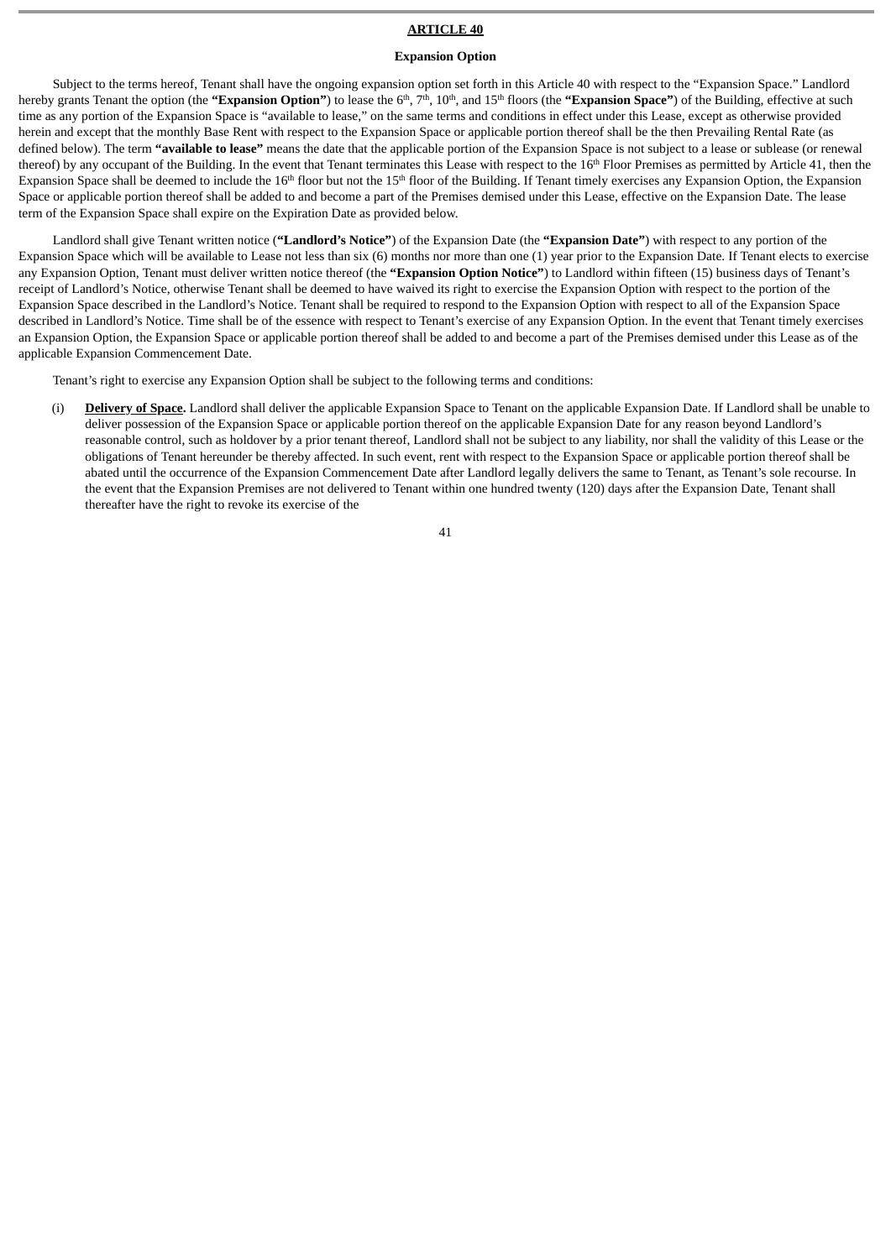## **ARTICLE 40**

## **Expansion Option**

Subject to the terms hereof, Tenant shall have the ongoing expansion option set forth in this Article 40 with respect to the "Expansion Space." Landlord hereby grants Tenant the option (the **"Expansion Option"**) to lease the 6<sup>th</sup>, 7<sup>th</sup>, 10<sup>th</sup>, and 15<sup>th</sup> floors (the **"Expansion Space"**) of the Building, effective at such time as any portion of the Expansion Space is "available to lease," on the same terms and conditions in effect under this Lease, except as otherwise provided herein and except that the monthly Base Rent with respect to the Expansion Space or applicable portion thereof shall be the then Prevailing Rental Rate (as defined below). The term **"available to lease"** means the date that the applicable portion of the Expansion Space is not subject to a lease or sublease (or renewal thereof) by any occupant of the Building. In the event that Tenant terminates this Lease with respect to the 16<sup>th</sup> Floor Premises as permitted by Article 41, then the Expansion Space shall be deemed to include the  $16<sup>th</sup>$  floor but not the  $15<sup>th</sup>$  floor of the Building. If Tenant timely exercises any Expansion Option, the Expansion Space or applicable portion thereof shall be added to and become a part of the Premises demised under this Lease, effective on the Expansion Date. The lease term of the Expansion Space shall expire on the Expiration Date as provided below.

Landlord shall give Tenant written notice (**"Landlord's Notice"**) of the Expansion Date (the **"Expansion Date"**) with respect to any portion of the Expansion Space which will be available to Lease not less than six (6) months nor more than one (1) year prior to the Expansion Date. If Tenant elects to exercise any Expansion Option, Tenant must deliver written notice thereof (the **"Expansion Option Notice"**) to Landlord within fifteen (15) business days of Tenant's receipt of Landlord's Notice, otherwise Tenant shall be deemed to have waived its right to exercise the Expansion Option with respect to the portion of the Expansion Space described in the Landlord's Notice. Tenant shall be required to respond to the Expansion Option with respect to all of the Expansion Space described in Landlord's Notice. Time shall be of the essence with respect to Tenant's exercise of any Expansion Option. In the event that Tenant timely exercises an Expansion Option, the Expansion Space or applicable portion thereof shall be added to and become a part of the Premises demised under this Lease as of the applicable Expansion Commencement Date.

Tenant's right to exercise any Expansion Option shall be subject to the following terms and conditions:

(i) **Delivery of Space.** Landlord shall deliver the applicable Expansion Space to Tenant on the applicable Expansion Date. If Landlord shall be unable to deliver possession of the Expansion Space or applicable portion thereof on the applicable Expansion Date for any reason beyond Landlord's reasonable control, such as holdover by a prior tenant thereof, Landlord shall not be subject to any liability, nor shall the validity of this Lease or the obligations of Tenant hereunder be thereby affected. In such event, rent with respect to the Expansion Space or applicable portion thereof shall be abated until the occurrence of the Expansion Commencement Date after Landlord legally delivers the same to Tenant, as Tenant's sole recourse. In the event that the Expansion Premises are not delivered to Tenant within one hundred twenty (120) days after the Expansion Date, Tenant shall thereafter have the right to revoke its exercise of the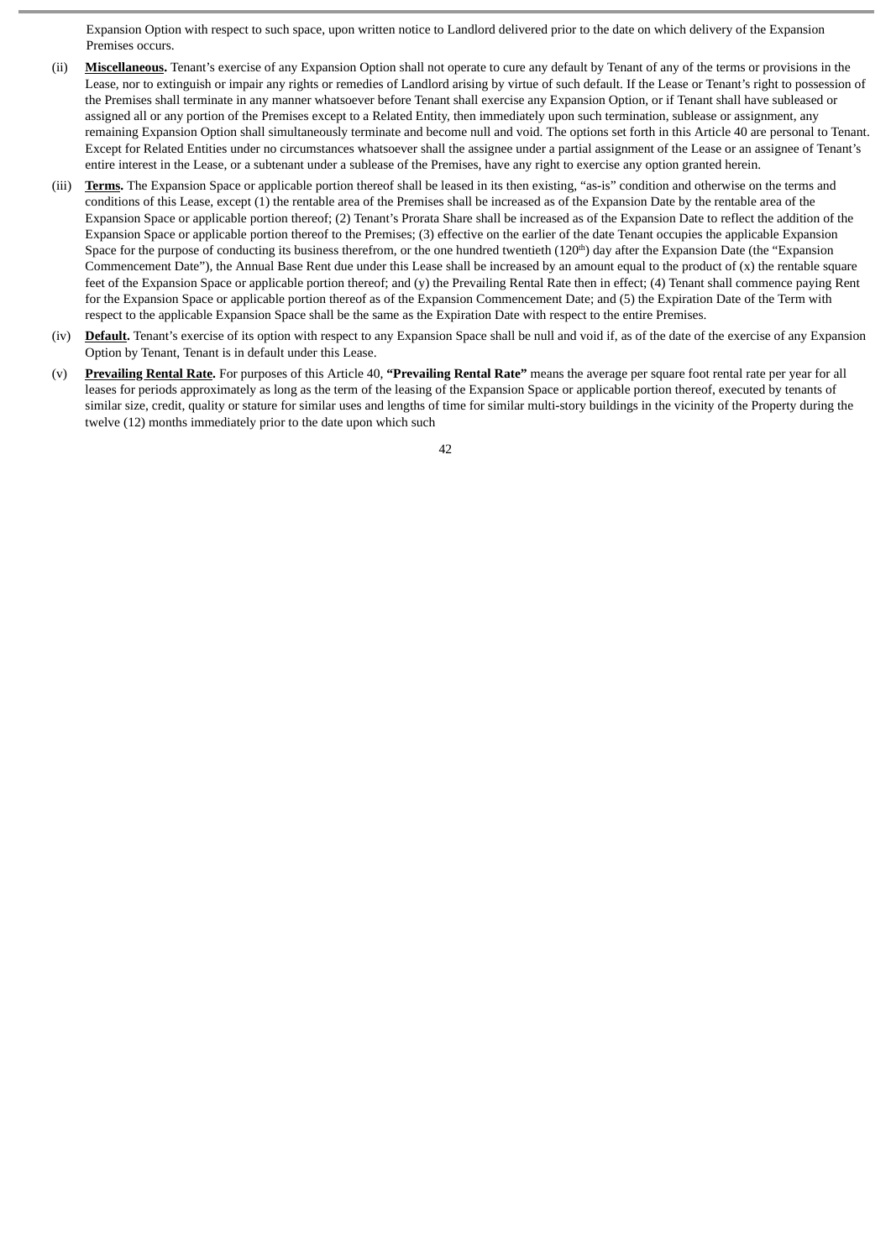Expansion Option with respect to such space, upon written notice to Landlord delivered prior to the date on which delivery of the Expansion Premises occurs.

- (ii) **Miscellaneous.** Tenant's exercise of any Expansion Option shall not operate to cure any default by Tenant of any of the terms or provisions in the Lease, nor to extinguish or impair any rights or remedies of Landlord arising by virtue of such default. If the Lease or Tenant's right to possession of the Premises shall terminate in any manner whatsoever before Tenant shall exercise any Expansion Option, or if Tenant shall have subleased or assigned all or any portion of the Premises except to a Related Entity, then immediately upon such termination, sublease or assignment, any remaining Expansion Option shall simultaneously terminate and become null and void. The options set forth in this Article 40 are personal to Tenant. Except for Related Entities under no circumstances whatsoever shall the assignee under a partial assignment of the Lease or an assignee of Tenant's entire interest in the Lease, or a subtenant under a sublease of the Premises, have any right to exercise any option granted herein.
- (iii) **Terms.** The Expansion Space or applicable portion thereof shall be leased in its then existing, "as-is" condition and otherwise on the terms and conditions of this Lease, except (1) the rentable area of the Premises shall be increased as of the Expansion Date by the rentable area of the Expansion Space or applicable portion thereof; (2) Tenant's Prorata Share shall be increased as of the Expansion Date to reflect the addition of the Expansion Space or applicable portion thereof to the Premises; (3) effective on the earlier of the date Tenant occupies the applicable Expansion Space for the purpose of conducting its business therefrom, or the one hundred twentieth  $(120<sup>th</sup>)$  day after the Expansion Date (the "Expansion") Commencement Date"), the Annual Base Rent due under this Lease shall be increased by an amount equal to the product of (x) the rentable square feet of the Expansion Space or applicable portion thereof; and (y) the Prevailing Rental Rate then in effect; (4) Tenant shall commence paying Rent for the Expansion Space or applicable portion thereof as of the Expansion Commencement Date; and (5) the Expiration Date of the Term with respect to the applicable Expansion Space shall be the same as the Expiration Date with respect to the entire Premises.
- (iv) **Default.** Tenant's exercise of its option with respect to any Expansion Space shall be null and void if, as of the date of the exercise of any Expansion Option by Tenant, Tenant is in default under this Lease.
- (v) **Prevailing Rental Rate.** For purposes of this Article 40, **"Prevailing Rental Rate"** means the average per square foot rental rate per year for all leases for periods approximately as long as the term of the leasing of the Expansion Space or applicable portion thereof, executed by tenants of similar size, credit, quality or stature for similar uses and lengths of time for similar multi-story buildings in the vicinity of the Property during the twelve (12) months immediately prior to the date upon which such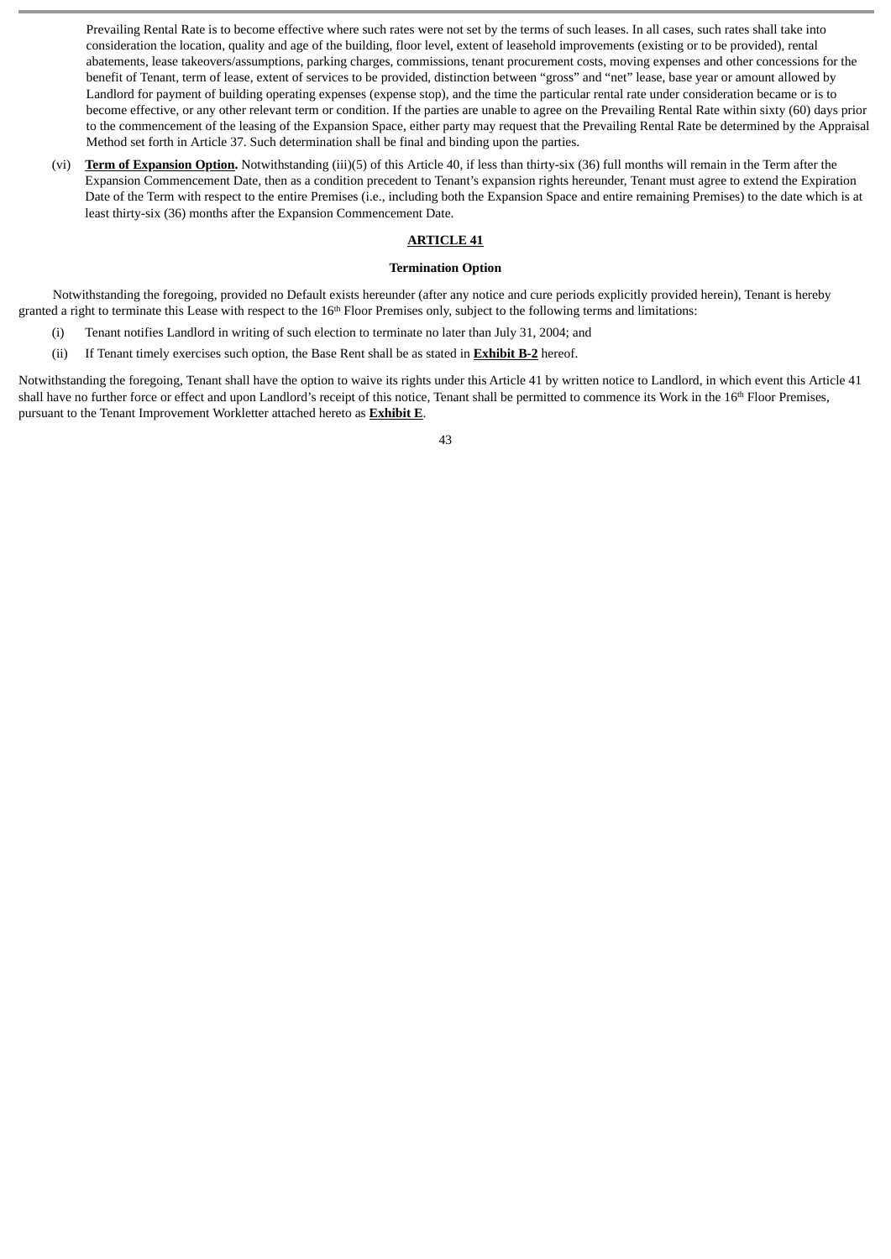Prevailing Rental Rate is to become effective where such rates were not set by the terms of such leases. In all cases, such rates shall take into consideration the location, quality and age of the building, floor level, extent of leasehold improvements (existing or to be provided), rental abatements, lease takeovers/assumptions, parking charges, commissions, tenant procurement costs, moving expenses and other concessions for the benefit of Tenant, term of lease, extent of services to be provided, distinction between "gross" and "net" lease, base year or amount allowed by Landlord for payment of building operating expenses (expense stop), and the time the particular rental rate under consideration became or is to become effective, or any other relevant term or condition. If the parties are unable to agree on the Prevailing Rental Rate within sixty (60) days prior to the commencement of the leasing of the Expansion Space, either party may request that the Prevailing Rental Rate be determined by the Appraisal Method set forth in Article 37. Such determination shall be final and binding upon the parties.

(vi) **Term of Expansion Option.** Notwithstanding (iii)(5) of this Article 40, if less than thirty-six (36) full months will remain in the Term after the Expansion Commencement Date, then as a condition precedent to Tenant's expansion rights hereunder, Tenant must agree to extend the Expiration Date of the Term with respect to the entire Premises (i.e., including both the Expansion Space and entire remaining Premises) to the date which is at least thirty-six (36) months after the Expansion Commencement Date.

# **ARTICLE 41**

## **Termination Option**

Notwithstanding the foregoing, provided no Default exists hereunder (after any notice and cure periods explicitly provided herein), Tenant is hereby granted a right to terminate this Lease with respect to the 16<sup>th</sup> Floor Premises only, subject to the following terms and limitations:

- (i) Tenant notifies Landlord in writing of such election to terminate no later than July 31, 2004; and
- (ii) If Tenant timely exercises such option, the Base Rent shall be as stated in **Exhibit B-2** hereof.

Notwithstanding the foregoing, Tenant shall have the option to waive its rights under this Article 41 by written notice to Landlord, in which event this Article 41 shall have no further force or effect and upon Landlord's receipt of this notice, Tenant shall be permitted to commence its Work in the 16<sup>th</sup> Floor Premises, pursuant to the Tenant Improvement Workletter attached hereto as **Exhibit E**.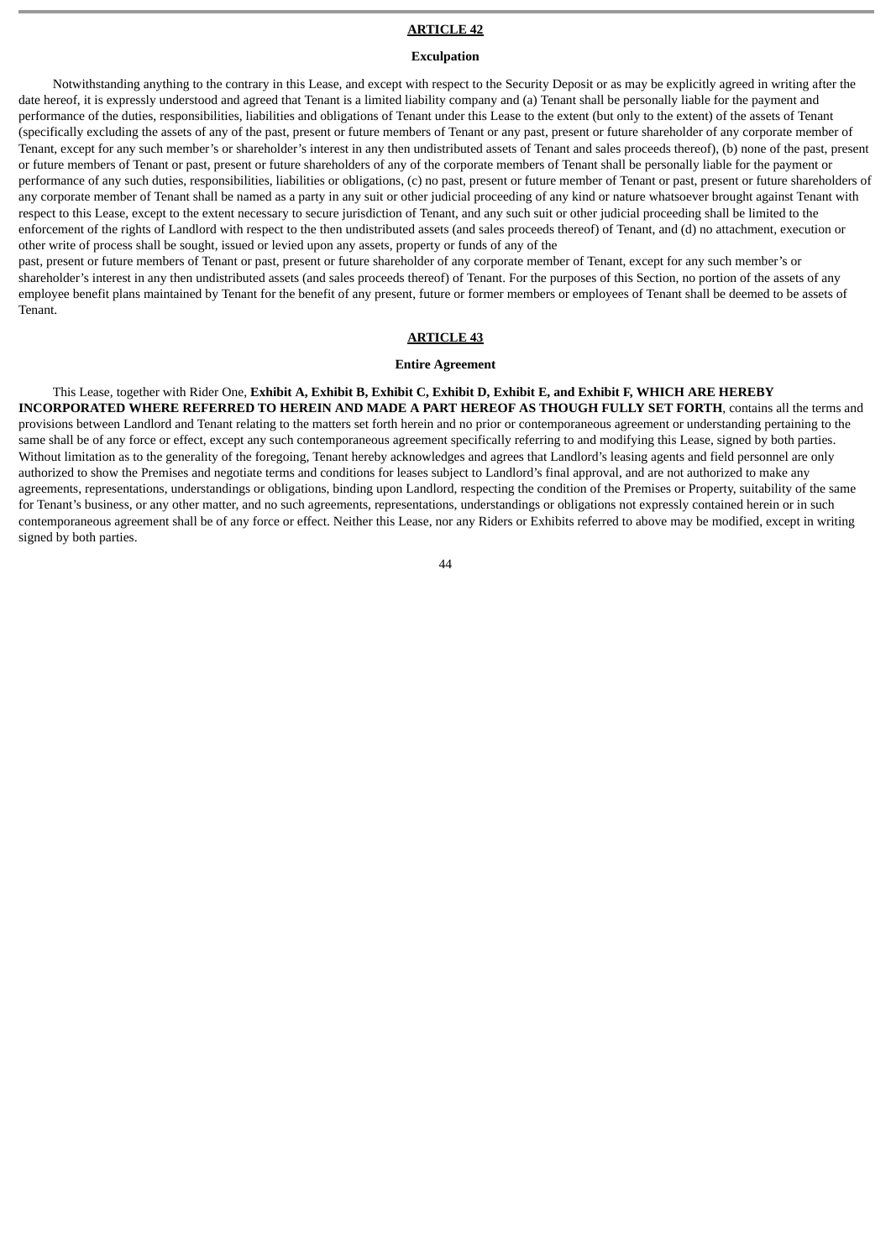## **ARTICLE 42**

# **Exculpation**

Notwithstanding anything to the contrary in this Lease, and except with respect to the Security Deposit or as may be explicitly agreed in writing after the date hereof, it is expressly understood and agreed that Tenant is a limited liability company and (a) Tenant shall be personally liable for the payment and performance of the duties, responsibilities, liabilities and obligations of Tenant under this Lease to the extent (but only to the extent) of the assets of Tenant (specifically excluding the assets of any of the past, present or future members of Tenant or any past, present or future shareholder of any corporate member of Tenant, except for any such member's or shareholder's interest in any then undistributed assets of Tenant and sales proceeds thereof), (b) none of the past, present or future members of Tenant or past, present or future shareholders of any of the corporate members of Tenant shall be personally liable for the payment or performance of any such duties, responsibilities, liabilities or obligations, (c) no past, present or future member of Tenant or past, present or future shareholders of any corporate member of Tenant shall be named as a party in any suit or other judicial proceeding of any kind or nature whatsoever brought against Tenant with respect to this Lease, except to the extent necessary to secure jurisdiction of Tenant, and any such suit or other judicial proceeding shall be limited to the enforcement of the rights of Landlord with respect to the then undistributed assets (and sales proceeds thereof) of Tenant, and (d) no attachment, execution or other write of process shall be sought, issued or levied upon any assets, property or funds of any of the

past, present or future members of Tenant or past, present or future shareholder of any corporate member of Tenant, except for any such member's or shareholder's interest in any then undistributed assets (and sales proceeds thereof) of Tenant. For the purposes of this Section, no portion of the assets of any employee benefit plans maintained by Tenant for the benefit of any present, future or former members or employees of Tenant shall be deemed to be assets of Tenant.

## **ARTICLE 43**

#### **Entire Agreement**

This Lease, together with Rider One, **Exhibit A, Exhibit B, Exhibit C, Exhibit D, Exhibit E, and Exhibit F, WHICH ARE HEREBY INCORPORATED WHERE REFERRED TO HEREIN AND MADE A PART HEREOF AS THOUGH FULLY SET FORTH**, contains all the terms and provisions between Landlord and Tenant relating to the matters set forth herein and no prior or contemporaneous agreement or understanding pertaining to the same shall be of any force or effect, except any such contemporaneous agreement specifically referring to and modifying this Lease, signed by both parties. Without limitation as to the generality of the foregoing, Tenant hereby acknowledges and agrees that Landlord's leasing agents and field personnel are only authorized to show the Premises and negotiate terms and conditions for leases subject to Landlord's final approval, and are not authorized to make any agreements, representations, understandings or obligations, binding upon Landlord, respecting the condition of the Premises or Property, suitability of the same for Tenant's business, or any other matter, and no such agreements, representations, understandings or obligations not expressly contained herein or in such contemporaneous agreement shall be of any force or effect. Neither this Lease, nor any Riders or Exhibits referred to above may be modified, except in writing signed by both parties.

#### $\overline{44}$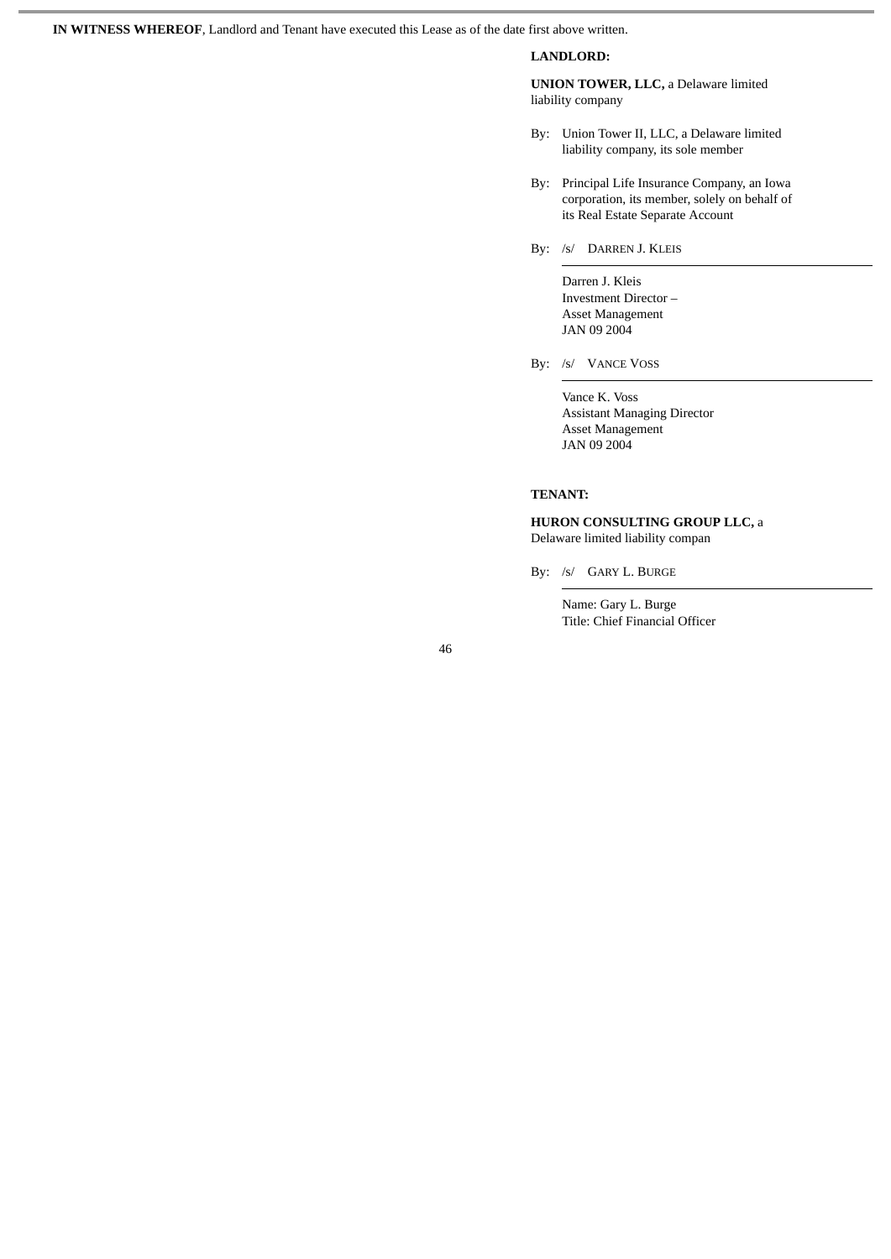**IN WITNESS WHEREOF**, Landlord and Tenant have executed this Lease as of the date first above written.

# **LANDLORD:**

**UNION TOWER, LLC,** a Delaware limited liability company

- By: Union Tower II, LLC, a Delaware limited liability company, its sole member
- By: Principal Life Insurance Company, an Iowa corporation, its member, solely on behalf of its Real Estate Separate Account
- By: /s/ DARREN J. KLEIS

Darren J. Kleis Investment Director – Asset Management JAN 09 2004

By: /s/ VANCE VOSS

Vance K. Voss Assistant Managing Director Asset Management JAN 09 2004

# **TENANT:**

# **HURON CONSULTING GROUP LLC,** a Delaware limited liability compan

By: /s/ GARY L. BURGE

Name: Gary L. Burge Title: Chief Financial Officer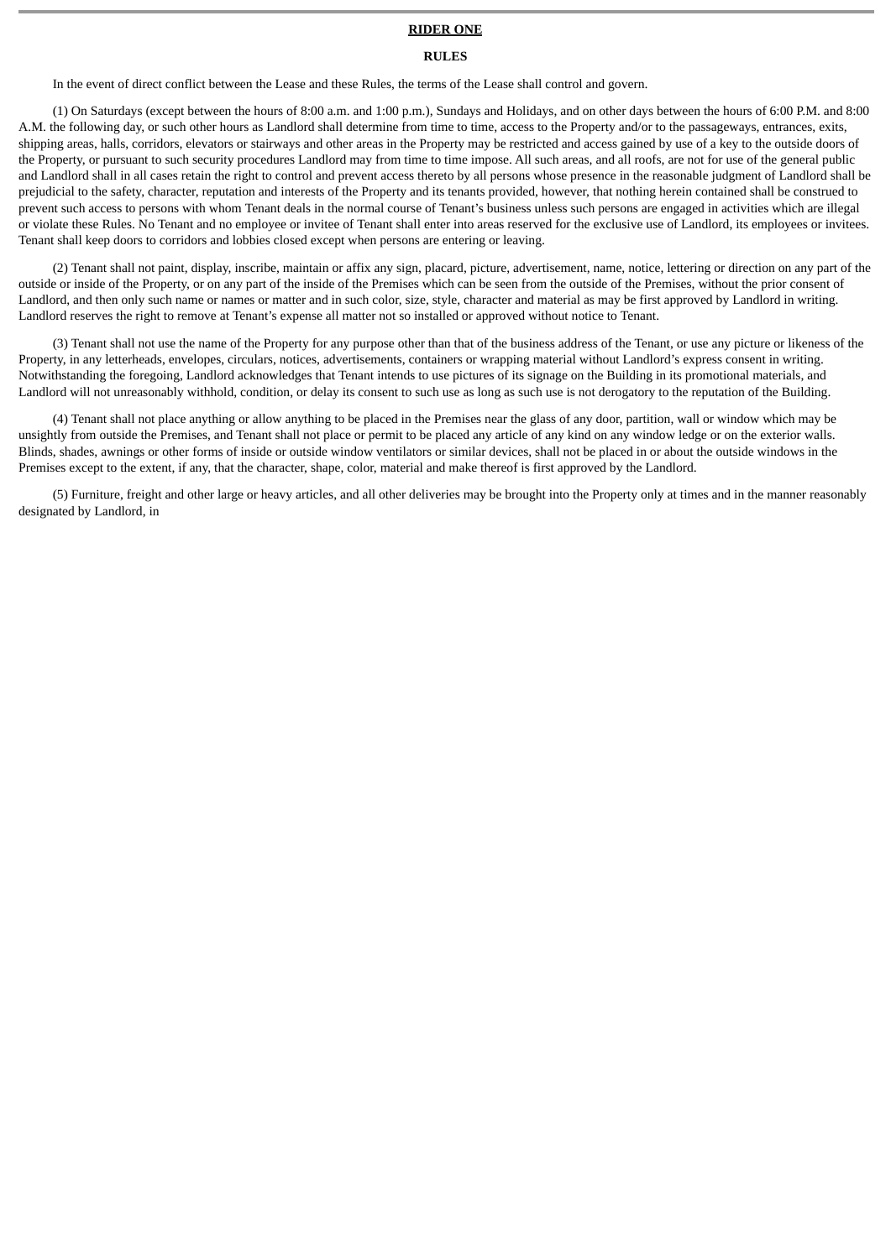## **RIDER ONE**

# **RULES**

In the event of direct conflict between the Lease and these Rules, the terms of the Lease shall control and govern.

(1) On Saturdays (except between the hours of 8:00 a.m. and 1:00 p.m.), Sundays and Holidays, and on other days between the hours of 6:00 P.M. and 8:00 A.M. the following day, or such other hours as Landlord shall determine from time to time, access to the Property and/or to the passageways, entrances, exits, shipping areas, halls, corridors, elevators or stairways and other areas in the Property may be restricted and access gained by use of a key to the outside doors of the Property, or pursuant to such security procedures Landlord may from time to time impose. All such areas, and all roofs, are not for use of the general public and Landlord shall in all cases retain the right to control and prevent access thereto by all persons whose presence in the reasonable judgment of Landlord shall be prejudicial to the safety, character, reputation and interests of the Property and its tenants provided, however, that nothing herein contained shall be construed to prevent such access to persons with whom Tenant deals in the normal course of Tenant's business unless such persons are engaged in activities which are illegal or violate these Rules. No Tenant and no employee or invitee of Tenant shall enter into areas reserved for the exclusive use of Landlord, its employees or invitees. Tenant shall keep doors to corridors and lobbies closed except when persons are entering or leaving.

(2) Tenant shall not paint, display, inscribe, maintain or affix any sign, placard, picture, advertisement, name, notice, lettering or direction on any part of the outside or inside of the Property, or on any part of the inside of the Premises which can be seen from the outside of the Premises, without the prior consent of Landlord, and then only such name or names or matter and in such color, size, style, character and material as may be first approved by Landlord in writing. Landlord reserves the right to remove at Tenant's expense all matter not so installed or approved without notice to Tenant.

(3) Tenant shall not use the name of the Property for any purpose other than that of the business address of the Tenant, or use any picture or likeness of the Property, in any letterheads, envelopes, circulars, notices, advertisements, containers or wrapping material without Landlord's express consent in writing. Notwithstanding the foregoing, Landlord acknowledges that Tenant intends to use pictures of its signage on the Building in its promotional materials, and Landlord will not unreasonably withhold, condition, or delay its consent to such use as long as such use is not derogatory to the reputation of the Building.

(4) Tenant shall not place anything or allow anything to be placed in the Premises near the glass of any door, partition, wall or window which may be unsightly from outside the Premises, and Tenant shall not place or permit to be placed any article of any kind on any window ledge or on the exterior walls. Blinds, shades, awnings or other forms of inside or outside window ventilators or similar devices, shall not be placed in or about the outside windows in the Premises except to the extent, if any, that the character, shape, color, material and make thereof is first approved by the Landlord.

(5) Furniture, freight and other large or heavy articles, and all other deliveries may be brought into the Property only at times and in the manner reasonably designated by Landlord, in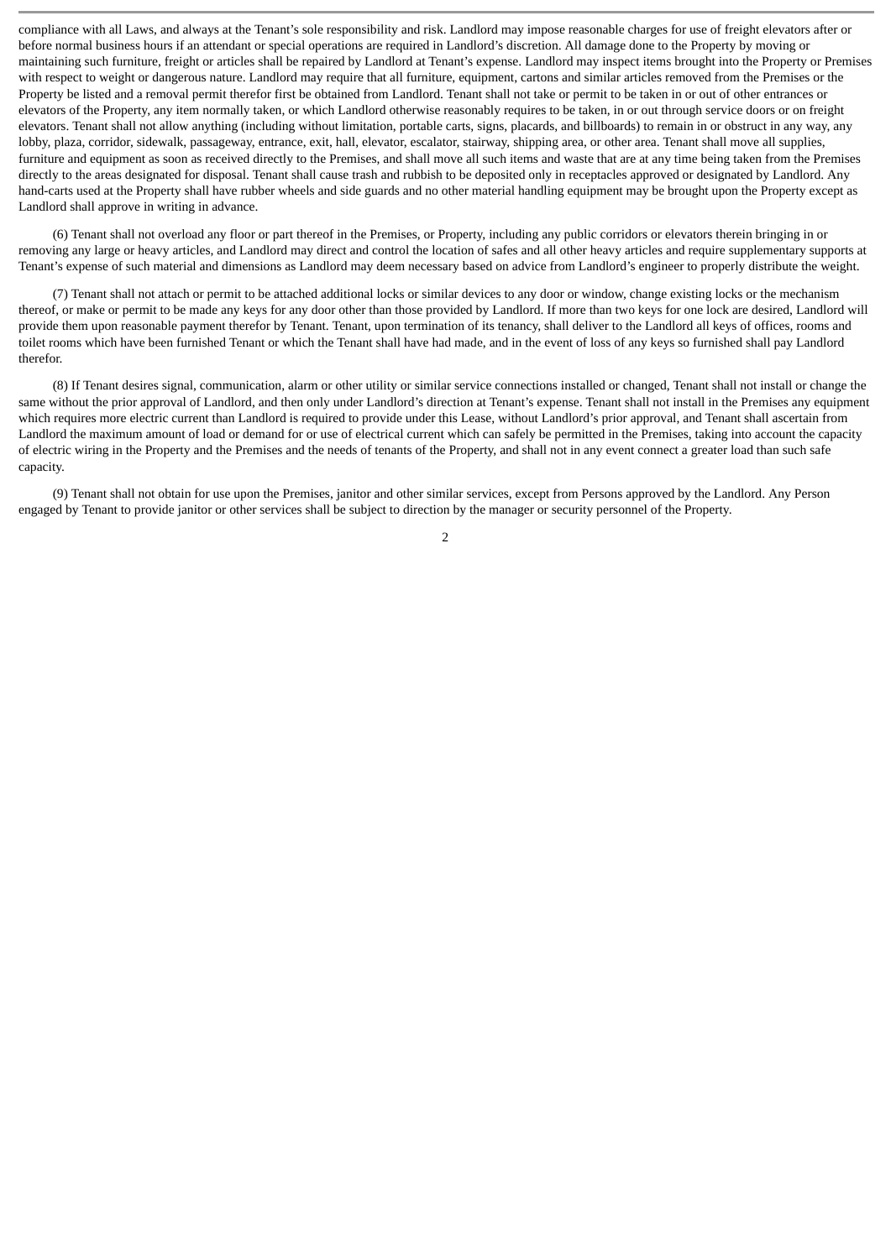compliance with all Laws, and always at the Tenant's sole responsibility and risk. Landlord may impose reasonable charges for use of freight elevators after or before normal business hours if an attendant or special operations are required in Landlord's discretion. All damage done to the Property by moving or maintaining such furniture, freight or articles shall be repaired by Landlord at Tenant's expense. Landlord may inspect items brought into the Property or Premises with respect to weight or dangerous nature. Landlord may require that all furniture, equipment, cartons and similar articles removed from the Premises or the Property be listed and a removal permit therefor first be obtained from Landlord. Tenant shall not take or permit to be taken in or out of other entrances or elevators of the Property, any item normally taken, or which Landlord otherwise reasonably requires to be taken, in or out through service doors or on freight elevators. Tenant shall not allow anything (including without limitation, portable carts, signs, placards, and billboards) to remain in or obstruct in any way, any lobby, plaza, corridor, sidewalk, passageway, entrance, exit, hall, elevator, escalator, stairway, shipping area, or other area. Tenant shall move all supplies, furniture and equipment as soon as received directly to the Premises, and shall move all such items and waste that are at any time being taken from the Premises directly to the areas designated for disposal. Tenant shall cause trash and rubbish to be deposited only in receptacles approved or designated by Landlord. Any hand-carts used at the Property shall have rubber wheels and side guards and no other material handling equipment may be brought upon the Property except as Landlord shall approve in writing in advance.

(6) Tenant shall not overload any floor or part thereof in the Premises, or Property, including any public corridors or elevators therein bringing in or removing any large or heavy articles, and Landlord may direct and control the location of safes and all other heavy articles and require supplementary supports at Tenant's expense of such material and dimensions as Landlord may deem necessary based on advice from Landlord's engineer to properly distribute the weight.

(7) Tenant shall not attach or permit to be attached additional locks or similar devices to any door or window, change existing locks or the mechanism thereof, or make or permit to be made any keys for any door other than those provided by Landlord. If more than two keys for one lock are desired, Landlord will provide them upon reasonable payment therefor by Tenant. Tenant, upon termination of its tenancy, shall deliver to the Landlord all keys of offices, rooms and toilet rooms which have been furnished Tenant or which the Tenant shall have had made, and in the event of loss of any keys so furnished shall pay Landlord therefor.

(8) If Tenant desires signal, communication, alarm or other utility or similar service connections installed or changed, Tenant shall not install or change the same without the prior approval of Landlord, and then only under Landlord's direction at Tenant's expense. Tenant shall not install in the Premises any equipment which requires more electric current than Landlord is required to provide under this Lease, without Landlord's prior approval, and Tenant shall ascertain from Landlord the maximum amount of load or demand for or use of electrical current which can safely be permitted in the Premises, taking into account the capacity of electric wiring in the Property and the Premises and the needs of tenants of the Property, and shall not in any event connect a greater load than such safe capacity.

(9) Tenant shall not obtain for use upon the Premises, janitor and other similar services, except from Persons approved by the Landlord. Any Person engaged by Tenant to provide janitor or other services shall be subject to direction by the manager or security personnel of the Property.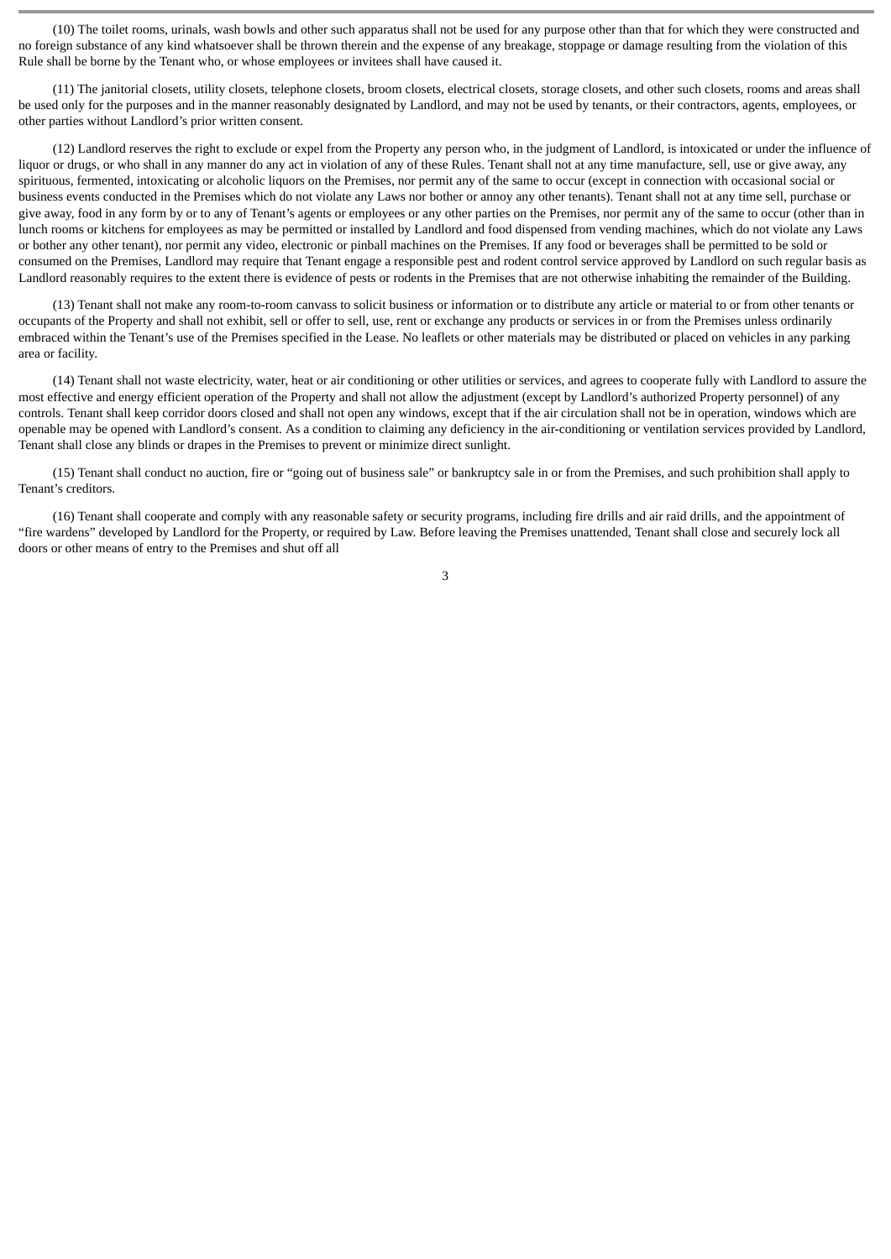(10) The toilet rooms, urinals, wash bowls and other such apparatus shall not be used for any purpose other than that for which they were constructed and no foreign substance of any kind whatsoever shall be thrown therein and the expense of any breakage, stoppage or damage resulting from the violation of this Rule shall be borne by the Tenant who, or whose employees or invitees shall have caused it.

(11) The janitorial closets, utility closets, telephone closets, broom closets, electrical closets, storage closets, and other such closets, rooms and areas shall be used only for the purposes and in the manner reasonably designated by Landlord, and may not be used by tenants, or their contractors, agents, employees, or other parties without Landlord's prior written consent.

(12) Landlord reserves the right to exclude or expel from the Property any person who, in the judgment of Landlord, is intoxicated or under the influence of liquor or drugs, or who shall in any manner do any act in violation of any of these Rules. Tenant shall not at any time manufacture, sell, use or give away, any spirituous, fermented, intoxicating or alcoholic liquors on the Premises, nor permit any of the same to occur (except in connection with occasional social or business events conducted in the Premises which do not violate any Laws nor bother or annoy any other tenants). Tenant shall not at any time sell, purchase or give away, food in any form by or to any of Tenant's agents or employees or any other parties on the Premises, nor permit any of the same to occur (other than in lunch rooms or kitchens for employees as may be permitted or installed by Landlord and food dispensed from vending machines, which do not violate any Laws or bother any other tenant), nor permit any video, electronic or pinball machines on the Premises. If any food or beverages shall be permitted to be sold or consumed on the Premises, Landlord may require that Tenant engage a responsible pest and rodent control service approved by Landlord on such regular basis as Landlord reasonably requires to the extent there is evidence of pests or rodents in the Premises that are not otherwise inhabiting the remainder of the Building.

(13) Tenant shall not make any room-to-room canvass to solicit business or information or to distribute any article or material to or from other tenants or occupants of the Property and shall not exhibit, sell or offer to sell, use, rent or exchange any products or services in or from the Premises unless ordinarily embraced within the Tenant's use of the Premises specified in the Lease. No leaflets or other materials may be distributed or placed on vehicles in any parking area or facility.

(14) Tenant shall not waste electricity, water, heat or air conditioning or other utilities or services, and agrees to cooperate fully with Landlord to assure the most effective and energy efficient operation of the Property and shall not allow the adjustment (except by Landlord's authorized Property personnel) of any controls. Tenant shall keep corridor doors closed and shall not open any windows, except that if the air circulation shall not be in operation, windows which are openable may be opened with Landlord's consent. As a condition to claiming any deficiency in the air-conditioning or ventilation services provided by Landlord, Tenant shall close any blinds or drapes in the Premises to prevent or minimize direct sunlight.

(15) Tenant shall conduct no auction, fire or "going out of business sale" or bankruptcy sale in or from the Premises, and such prohibition shall apply to Tenant's creditors.

(16) Tenant shall cooperate and comply with any reasonable safety or security programs, including fire drills and air raid drills, and the appointment of "fire wardens" developed by Landlord for the Property, or required by Law. Before leaving the Premises unattended, Tenant shall close and securely lock all doors or other means of entry to the Premises and shut off all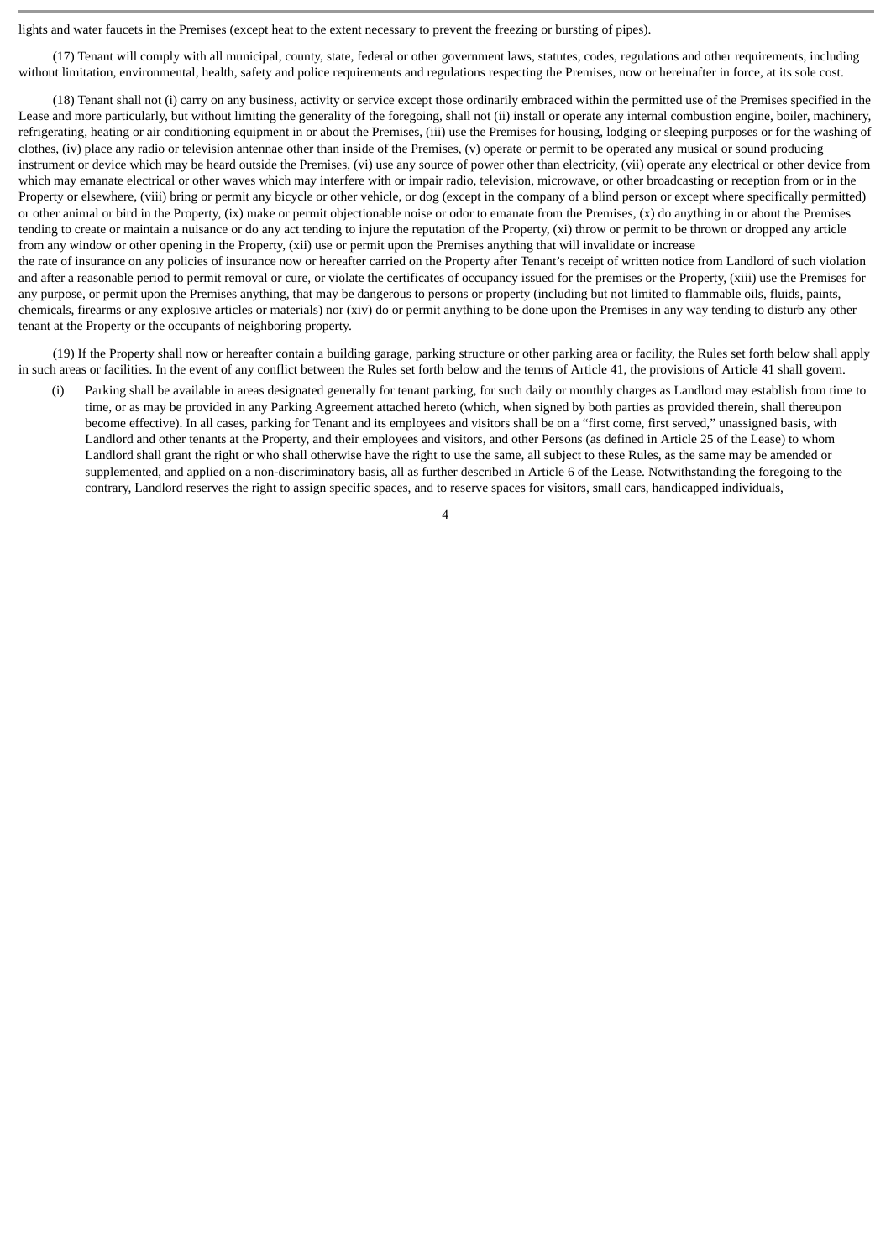lights and water faucets in the Premises (except heat to the extent necessary to prevent the freezing or bursting of pipes).

(17) Tenant will comply with all municipal, county, state, federal or other government laws, statutes, codes, regulations and other requirements, including without limitation, environmental, health, safety and police requirements and regulations respecting the Premises, now or hereinafter in force, at its sole cost.

(18) Tenant shall not (i) carry on any business, activity or service except those ordinarily embraced within the permitted use of the Premises specified in the Lease and more particularly, but without limiting the generality of the foregoing, shall not (ii) install or operate any internal combustion engine, boiler, machinery, refrigerating, heating or air conditioning equipment in or about the Premises, (iii) use the Premises for housing, lodging or sleeping purposes or for the washing of clothes, (iv) place any radio or television antennae other than inside of the Premises, (v) operate or permit to be operated any musical or sound producing instrument or device which may be heard outside the Premises, (vi) use any source of power other than electricity, (vii) operate any electrical or other device from which may emanate electrical or other waves which may interfere with or impair radio, television, microwave, or other broadcasting or reception from or in the Property or elsewhere, (viii) bring or permit any bicycle or other vehicle, or dog (except in the company of a blind person or except where specifically permitted) or other animal or bird in the Property, (ix) make or permit objectionable noise or odor to emanate from the Premises, (x) do anything in or about the Premises tending to create or maintain a nuisance or do any act tending to injure the reputation of the Property, (xi) throw or permit to be thrown or dropped any article from any window or other opening in the Property, (xii) use or permit upon the Premises anything that will invalidate or increase the rate of insurance on any policies of insurance now or hereafter carried on the Property after Tenant's receipt of written notice from Landlord of such violation and after a reasonable period to permit removal or cure, or violate the certificates of occupancy issued for the premises or the Property, (xiii) use the Premises for any purpose, or permit upon the Premises anything, that may be dangerous to persons or property (including but not limited to flammable oils, fluids, paints,

chemicals, firearms or any explosive articles or materials) nor (xiv) do or permit anything to be done upon the Premises in any way tending to disturb any other tenant at the Property or the occupants of neighboring property.

(19) If the Property shall now or hereafter contain a building garage, parking structure or other parking area or facility, the Rules set forth below shall apply in such areas or facilities. In the event of any conflict between the Rules set forth below and the terms of Article 41, the provisions of Article 41 shall govern.

(i) Parking shall be available in areas designated generally for tenant parking, for such daily or monthly charges as Landlord may establish from time to time, or as may be provided in any Parking Agreement attached hereto (which, when signed by both parties as provided therein, shall thereupon become effective). In all cases, parking for Tenant and its employees and visitors shall be on a "first come, first served," unassigned basis, with Landlord and other tenants at the Property, and their employees and visitors, and other Persons (as defined in Article 25 of the Lease) to whom Landlord shall grant the right or who shall otherwise have the right to use the same, all subject to these Rules, as the same may be amended or supplemented, and applied on a non-discriminatory basis, all as further described in Article 6 of the Lease. Notwithstanding the foregoing to the contrary, Landlord reserves the right to assign specific spaces, and to reserve spaces for visitors, small cars, handicapped individuals,

 $\overline{A}$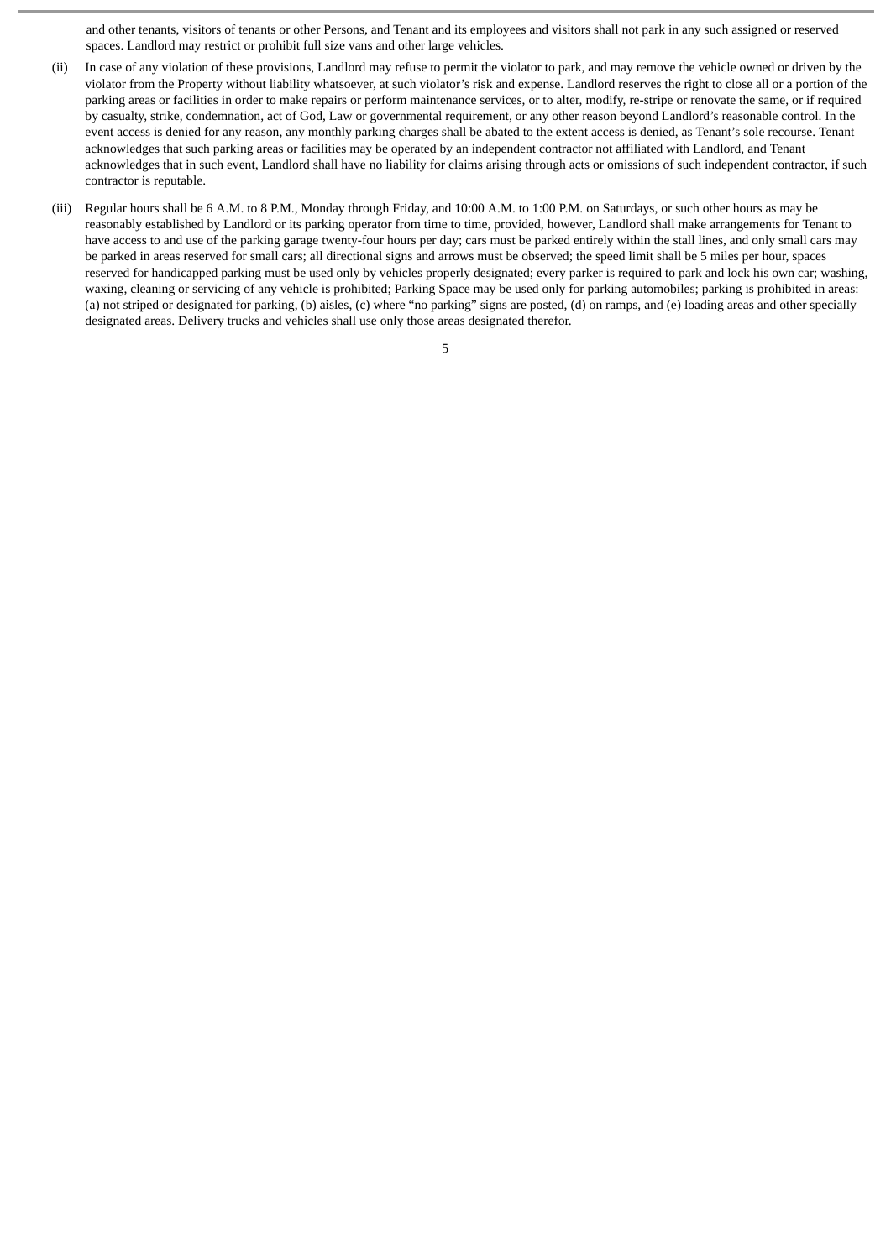and other tenants, visitors of tenants or other Persons, and Tenant and its employees and visitors shall not park in any such assigned or reserved spaces. Landlord may restrict or prohibit full size vans and other large vehicles.

- (ii) In case of any violation of these provisions, Landlord may refuse to permit the violator to park, and may remove the vehicle owned or driven by the violator from the Property without liability whatsoever, at such violator's risk and expense. Landlord reserves the right to close all or a portion of the parking areas or facilities in order to make repairs or perform maintenance services, or to alter, modify, re-stripe or renovate the same, or if required by casualty, strike, condemnation, act of God, Law or governmental requirement, or any other reason beyond Landlord's reasonable control. In the event access is denied for any reason, any monthly parking charges shall be abated to the extent access is denied, as Tenant's sole recourse. Tenant acknowledges that such parking areas or facilities may be operated by an independent contractor not affiliated with Landlord, and Tenant acknowledges that in such event, Landlord shall have no liability for claims arising through acts or omissions of such independent contractor, if such contractor is reputable.
- (iii) Regular hours shall be 6 A.M. to 8 P.M., Monday through Friday, and 10:00 A.M. to 1:00 P.M. on Saturdays, or such other hours as may be reasonably established by Landlord or its parking operator from time to time, provided, however, Landlord shall make arrangements for Tenant to have access to and use of the parking garage twenty-four hours per day; cars must be parked entirely within the stall lines, and only small cars may be parked in areas reserved for small cars; all directional signs and arrows must be observed; the speed limit shall be 5 miles per hour, spaces reserved for handicapped parking must be used only by vehicles properly designated; every parker is required to park and lock his own car; washing, waxing, cleaning or servicing of any vehicle is prohibited; Parking Space may be used only for parking automobiles; parking is prohibited in areas: (a) not striped or designated for parking, (b) aisles, (c) where "no parking" signs are posted, (d) on ramps, and (e) loading areas and other specially designated areas. Delivery trucks and vehicles shall use only those areas designated therefor.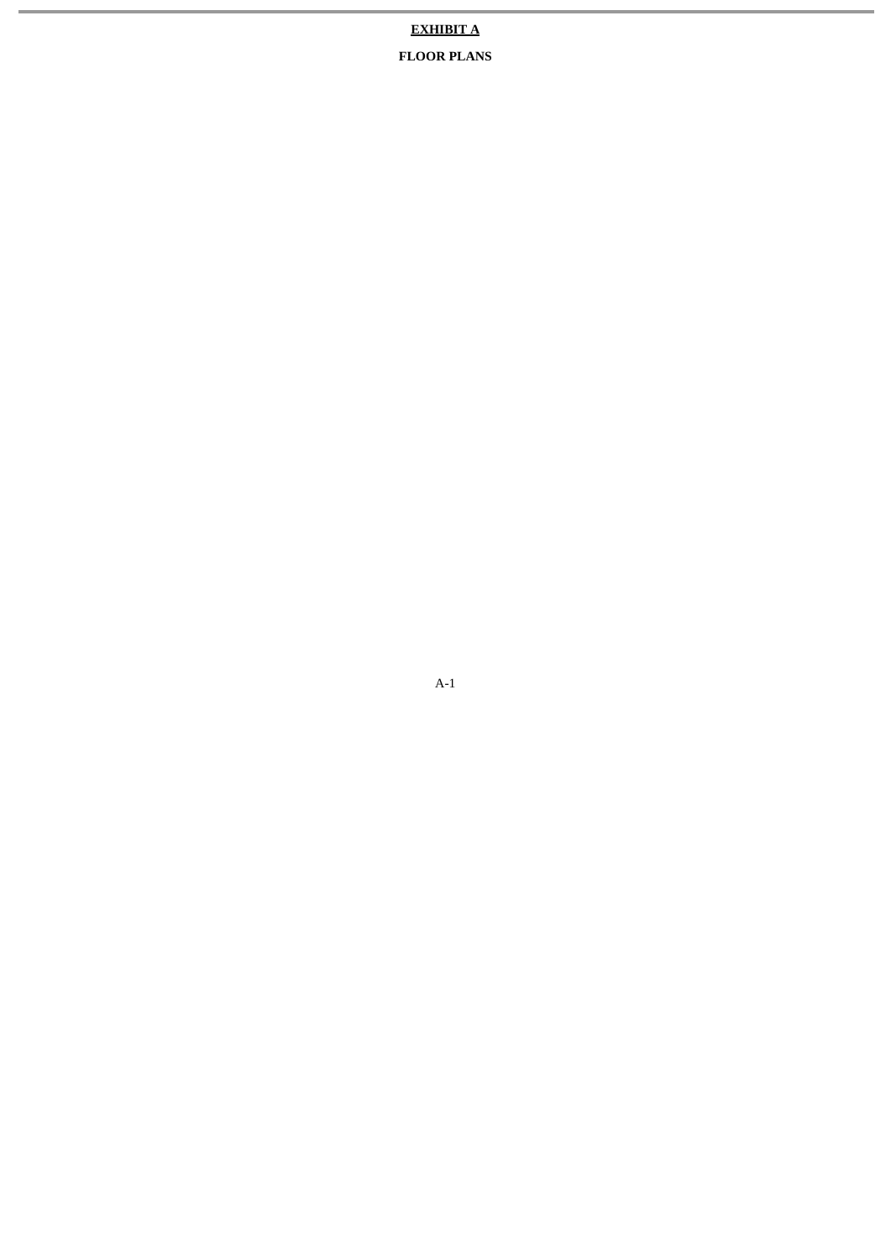# **EXHIBIT A**

# **FLOOR PLANS**

A-1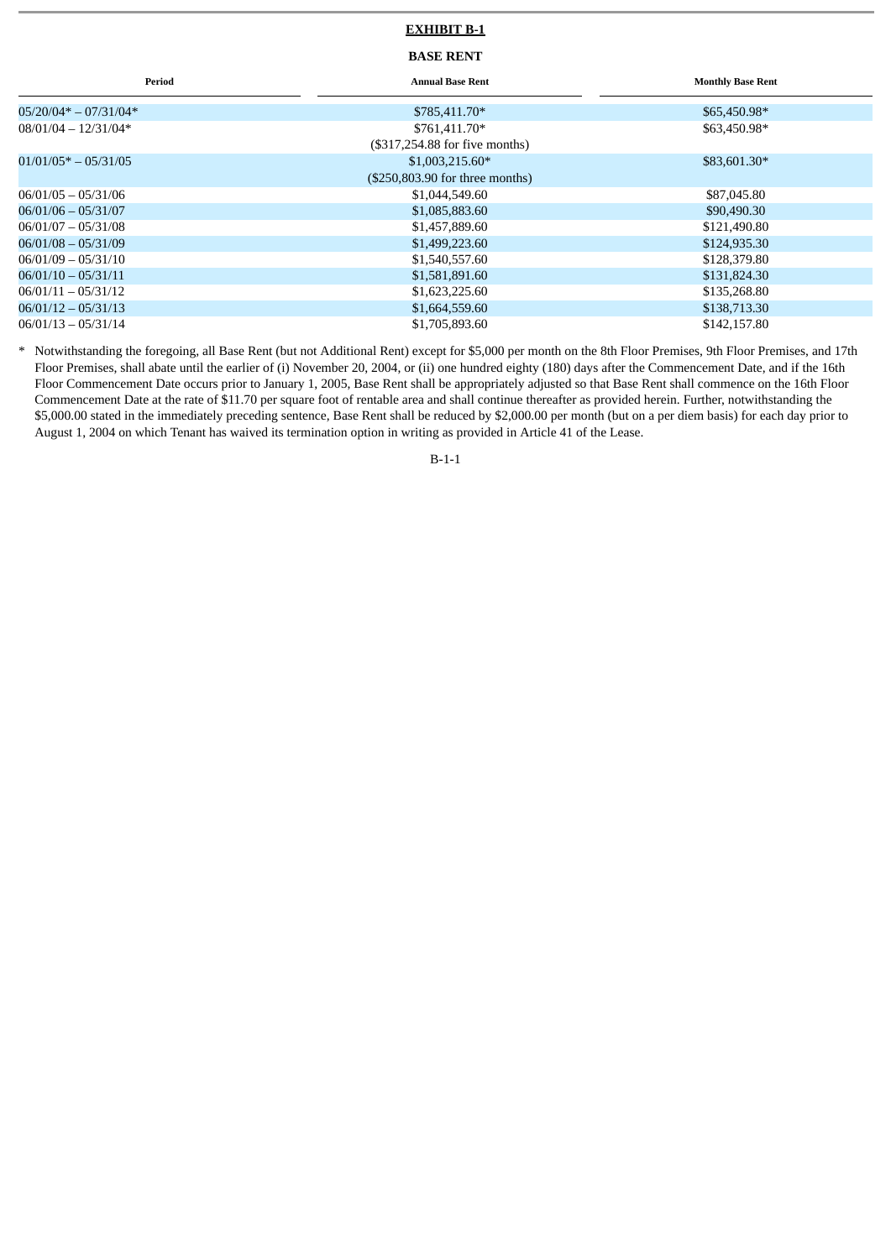# **EXHIBIT B-1**

# **BASE RENT**

| Period                  | <b>Annual Base Rent</b>                            | <b>Monthly Base Rent</b> |
|-------------------------|----------------------------------------------------|--------------------------|
| $05/20/04* - 07/31/04*$ | \$785,411.70*                                      | \$65,450.98*             |
| $08/01/04 - 12/31/04*$  | \$761,411.70*<br>(\$317,254.88 for five months)    | \$63,450.98*             |
| $01/01/05^* - 05/31/05$ | \$1,003,215.60*<br>(\$250,803.90 for three months) | \$83,601.30*             |
| $06/01/05 - 05/31/06$   | \$1,044,549.60                                     | \$87,045.80              |
| 06/01/06 - 05/31/07     | \$1,085,883.60                                     | \$90,490.30              |
| $06/01/07 - 05/31/08$   | \$1,457,889.60                                     | \$121,490.80             |
| $06/01/08 - 05/31/09$   | \$1,499,223.60                                     | \$124,935.30             |
| $06/01/09 - 05/31/10$   | \$1,540,557.60                                     | \$128,379.80             |
| $06/01/10 - 05/31/11$   | \$1,581,891.60                                     | \$131,824.30             |
| $06/01/11 - 05/31/12$   | \$1,623,225.60                                     | \$135,268.80             |
| $06/01/12 - 05/31/13$   | \$1,664,559.60                                     | \$138,713.30             |
| $06/01/13 - 05/31/14$   | \$1,705,893.60                                     | \$142,157.80             |

\* Notwithstanding the foregoing, all Base Rent (but not Additional Rent) except for \$5,000 per month on the 8th Floor Premises, 9th Floor Premises, and 17th Floor Premises, shall abate until the earlier of (i) November 20, 2004, or (ii) one hundred eighty (180) days after the Commencement Date, and if the 16th Floor Commencement Date occurs prior to January 1, 2005, Base Rent shall be appropriately adjusted so that Base Rent shall commence on the 16th Floor Commencement Date at the rate of \$11.70 per square foot of rentable area and shall continue thereafter as provided herein. Further, notwithstanding the \$5,000.00 stated in the immediately preceding sentence, Base Rent shall be reduced by \$2,000.00 per month (but on a per diem basis) for each day prior to August 1, 2004 on which Tenant has waived its termination option in writing as provided in Article 41 of the Lease.

B-1-1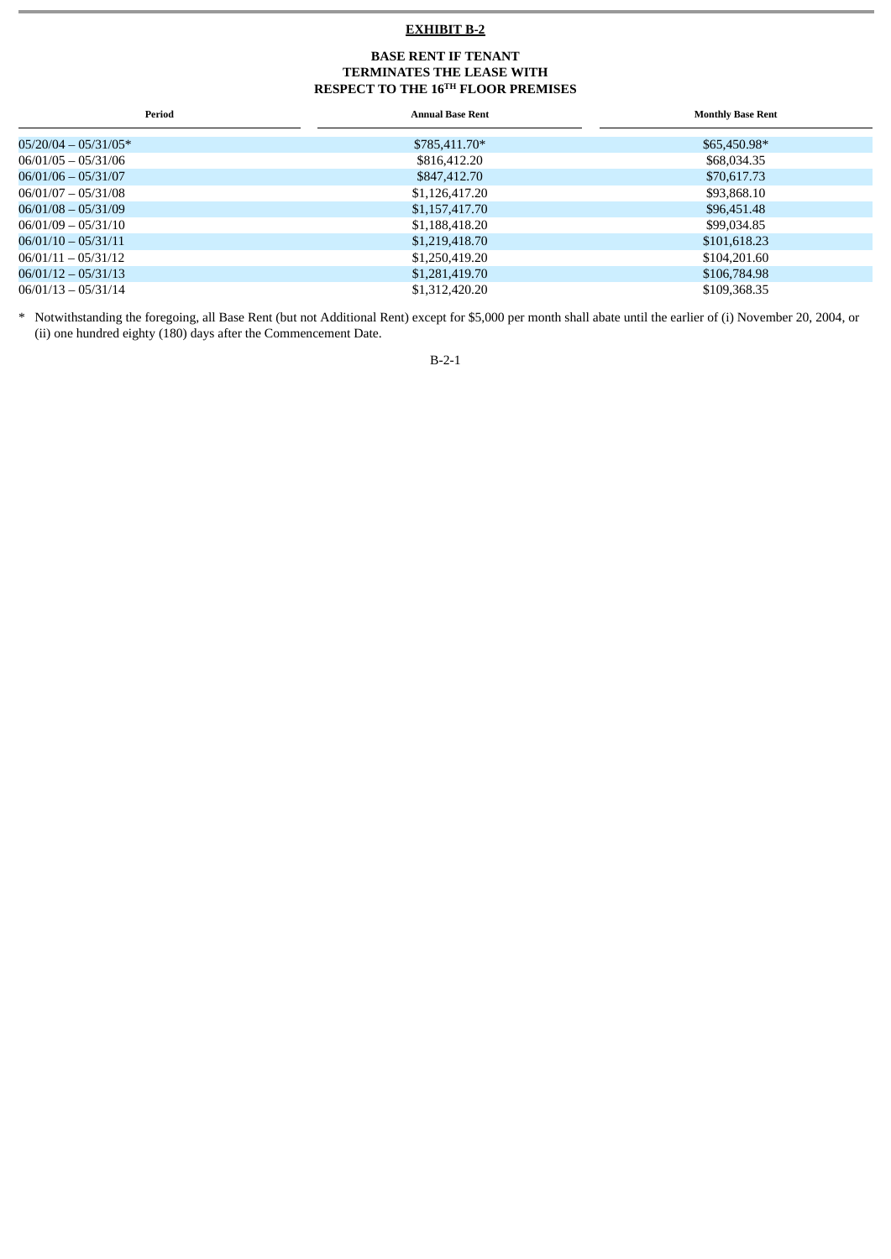# **EXHIBIT B-2**

# **BASE RENT IF TENANT TERMINATES THE LEASE WITH RESPECT TO THE 16TH FLOOR PREMISES**

| Period                 | <b>Annual Base Rent</b> | <b>Monthly Base Rent</b> |
|------------------------|-------------------------|--------------------------|
| $05/20/04 - 05/31/05*$ | $$785,411,70*$          | \$65,450.98*             |
| $06/01/05 - 05/31/06$  | \$816,412.20            | \$68,034.35              |
| $06/01/06 - 05/31/07$  | \$847,412.70            | \$70,617.73              |
| $06/01/07 - 05/31/08$  | \$1,126,417.20          | \$93,868.10              |
| $06/01/08 - 05/31/09$  | \$1,157,417.70          | \$96,451.48              |
| $06/01/09 - 05/31/10$  | \$1,188,418.20          | \$99,034.85              |
| $06/01/10 - 05/31/11$  | \$1,219,418.70          | \$101,618.23             |
| $06/01/11 - 05/31/12$  | \$1,250,419.20          | \$104,201.60             |
| $06/01/12 - 05/31/13$  | \$1,281,419.70          | \$106,784.98             |
| $06/01/13 - 05/31/14$  | \$1,312,420.20          | \$109,368.35             |

\* Notwithstanding the foregoing, all Base Rent (but not Additional Rent) except for \$5,000 per month shall abate until the earlier of (i) November 20, 2004, or (ii) one hundred eighty (180) days after the Commencement Date.

B-2-1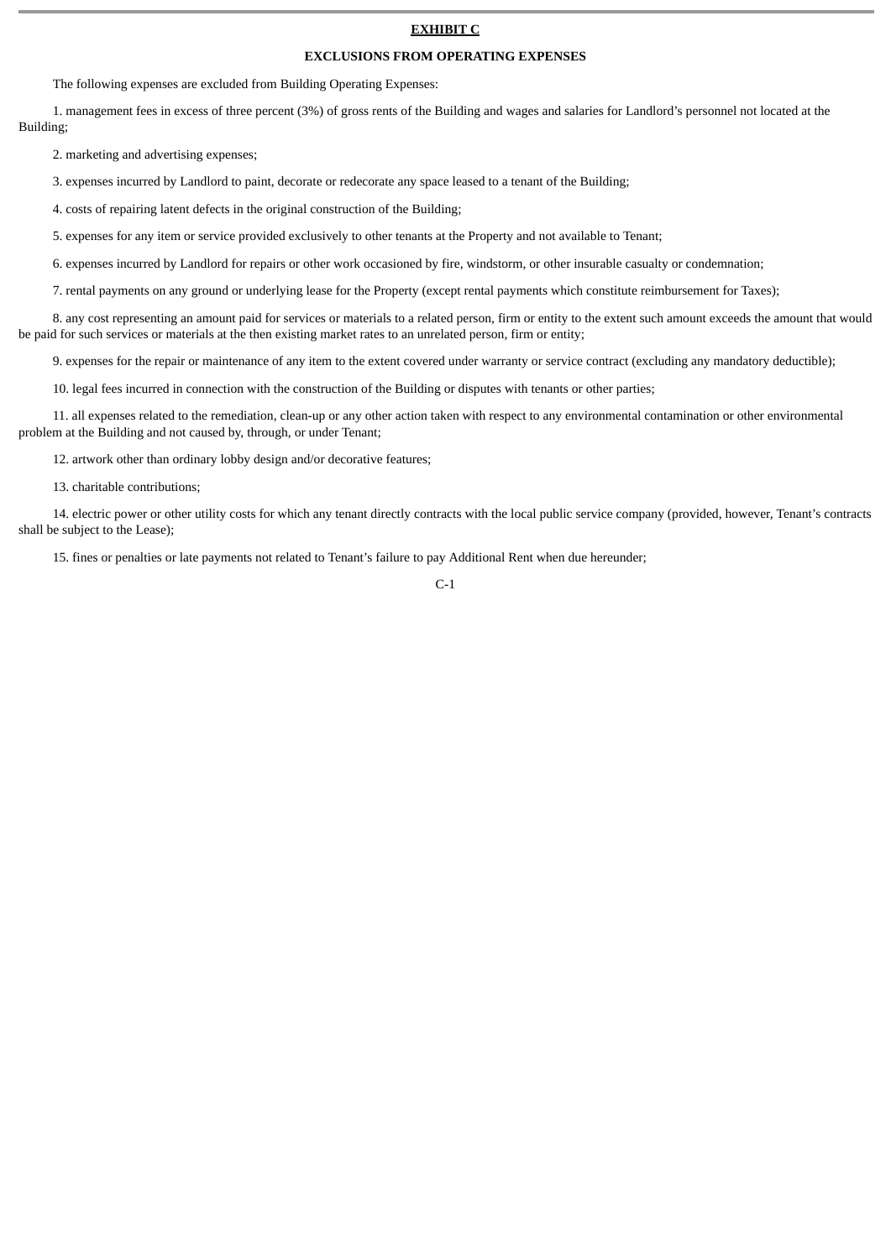# **EXHIBIT C**

# **EXCLUSIONS FROM OPERATING EXPENSES**

The following expenses are excluded from Building Operating Expenses:

1. management fees in excess of three percent (3%) of gross rents of the Building and wages and salaries for Landlord's personnel not located at the Building;

2. marketing and advertising expenses;

3. expenses incurred by Landlord to paint, decorate or redecorate any space leased to a tenant of the Building;

4. costs of repairing latent defects in the original construction of the Building;

5. expenses for any item or service provided exclusively to other tenants at the Property and not available to Tenant;

6. expenses incurred by Landlord for repairs or other work occasioned by fire, windstorm, or other insurable casualty or condemnation;

7. rental payments on any ground or underlying lease for the Property (except rental payments which constitute reimbursement for Taxes);

8. any cost representing an amount paid for services or materials to a related person, firm or entity to the extent such amount exceeds the amount that would be paid for such services or materials at the then existing market rates to an unrelated person, firm or entity;

9. expenses for the repair or maintenance of any item to the extent covered under warranty or service contract (excluding any mandatory deductible);

10. legal fees incurred in connection with the construction of the Building or disputes with tenants or other parties;

11. all expenses related to the remediation, clean-up or any other action taken with respect to any environmental contamination or other environmental problem at the Building and not caused by, through, or under Tenant;

12. artwork other than ordinary lobby design and/or decorative features;

13. charitable contributions;

14. electric power or other utility costs for which any tenant directly contracts with the local public service company (provided, however, Tenant's contracts shall be subject to the Lease);

15. fines or penalties or late payments not related to Tenant's failure to pay Additional Rent when due hereunder;

 $C-1$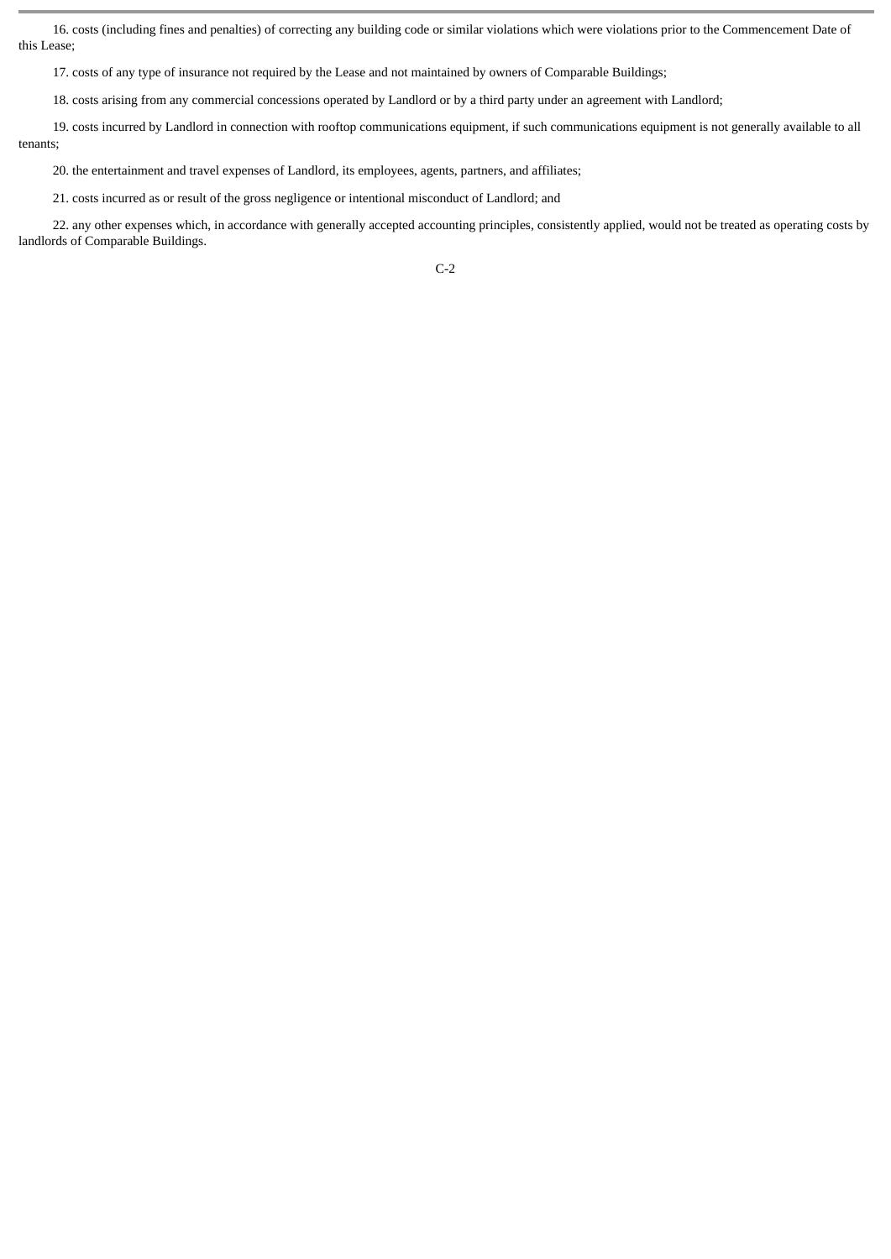16. costs (including fines and penalties) of correcting any building code or similar violations which were violations prior to the Commencement Date of this Lease;

17. costs of any type of insurance not required by the Lease and not maintained by owners of Comparable Buildings;

18. costs arising from any commercial concessions operated by Landlord or by a third party under an agreement with Landlord;

19. costs incurred by Landlord in connection with rooftop communications equipment, if such communications equipment is not generally available to all tenants;

20. the entertainment and travel expenses of Landlord, its employees, agents, partners, and affiliates;

21. costs incurred as or result of the gross negligence or intentional misconduct of Landlord; and

22. any other expenses which, in accordance with generally accepted accounting principles, consistently applied, would not be treated as operating costs by landlords of Comparable Buildings.

C-2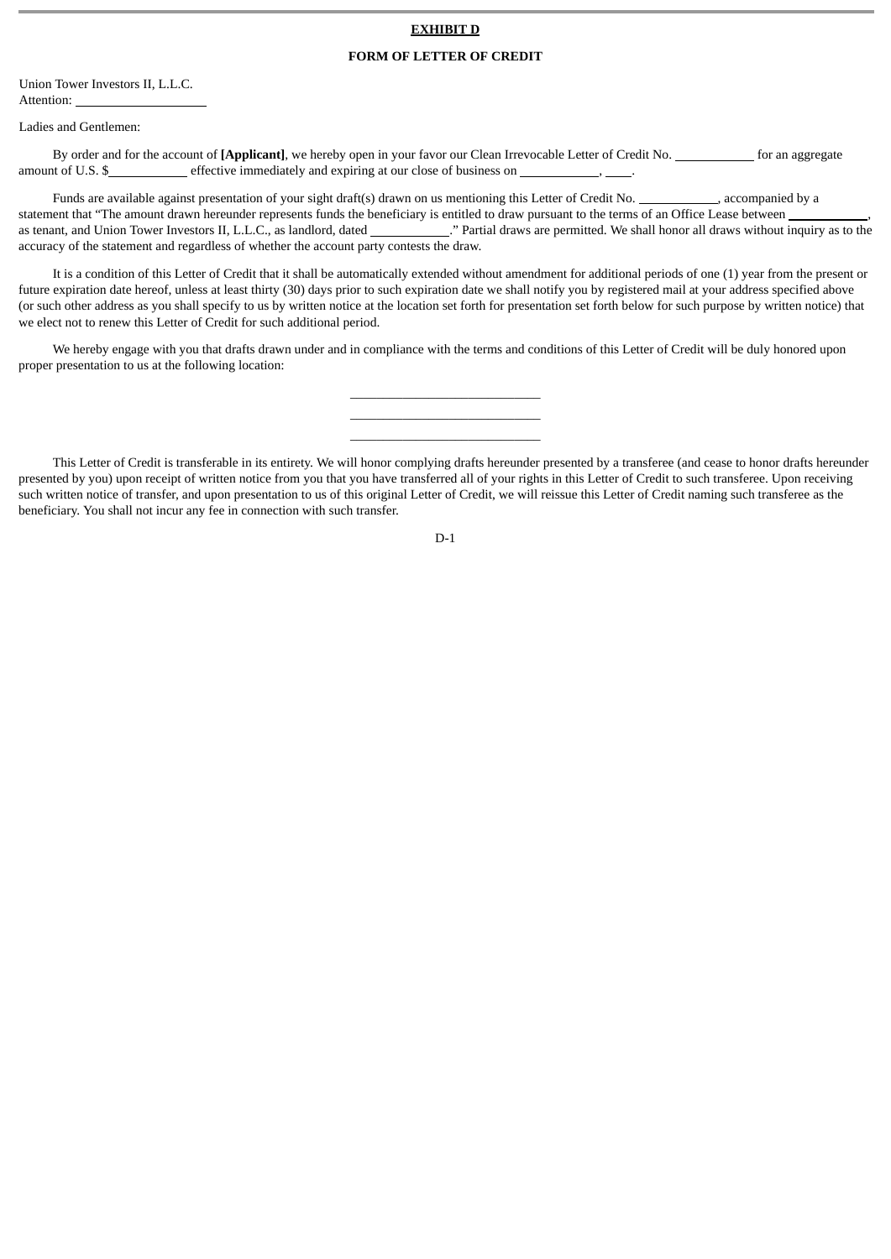#### **EXHIBIT D**

# **FORM OF LETTER OF CREDIT**

Union Tower Investors II, L.L.C. Attention:

Ladies and Gentlemen:

By order and for the account of [Applicant], we hereby open in your favor our Clean Irrevocable Letter of Credit No. **For an aggregate** amount of U.S.  $\frac{6}{5}$  effective immediately and expiring at our close of business on  $\frac{1}{1}$ ,  $\frac{1}{1}$ 

Funds are available against presentation of your sight draft(s) drawn on us mentioning this Letter of Credit No. \_\_\_\_\_\_\_\_\_\_\_\_, accompanied by a statement that "The amount drawn hereunder represents funds the beneficiary is entitled to draw pursuant to the terms of an Office Lease between as tenant, and Union Tower Investors II, L.L.C., as landlord, dated \_\_\_\_\_\_\_\_\_\_\_." Partial draws are permitted. We shall honor all draws without inquiry as to the accuracy of the statement and regardless of whether the account party contests the draw.

It is a condition of this Letter of Credit that it shall be automatically extended without amendment for additional periods of one (1) year from the present or future expiration date hereof, unless at least thirty (30) days prior to such expiration date we shall notify you by registered mail at your address specified above (or such other address as you shall specify to us by written notice at the location set forth for presentation set forth below for such purpose by written notice) that we elect not to renew this Letter of Credit for such additional period.

We hereby engage with you that drafts drawn under and in compliance with the terms and conditions of this Letter of Credit will be duly honored upon proper presentation to us at the following location:

> \_\_\_\_\_\_\_\_\_\_\_\_\_\_\_\_\_\_\_\_\_\_\_\_\_\_\_\_\_  $\frac{1}{2}$  ,  $\frac{1}{2}$  ,  $\frac{1}{2}$  ,  $\frac{1}{2}$  ,  $\frac{1}{2}$  ,  $\frac{1}{2}$  ,  $\frac{1}{2}$  ,  $\frac{1}{2}$  ,  $\frac{1}{2}$  ,  $\frac{1}{2}$  ,  $\frac{1}{2}$  ,  $\frac{1}{2}$  ,  $\frac{1}{2}$  ,  $\frac{1}{2}$  ,  $\frac{1}{2}$  ,  $\frac{1}{2}$  ,  $\frac{1}{2}$  ,  $\frac{1}{2}$  ,  $\frac{1$  $\frac{1}{2}$  ,  $\frac{1}{2}$  ,  $\frac{1}{2}$  ,  $\frac{1}{2}$  ,  $\frac{1}{2}$  ,  $\frac{1}{2}$  ,  $\frac{1}{2}$  ,  $\frac{1}{2}$  ,  $\frac{1}{2}$  ,  $\frac{1}{2}$  ,  $\frac{1}{2}$  ,  $\frac{1}{2}$  ,  $\frac{1}{2}$  ,  $\frac{1}{2}$  ,  $\frac{1}{2}$  ,  $\frac{1}{2}$  ,  $\frac{1}{2}$  ,  $\frac{1}{2}$  ,  $\frac{1$

This Letter of Credit is transferable in its entirety. We will honor complying drafts hereunder presented by a transferee (and cease to honor drafts hereunder presented by you) upon receipt of written notice from you that you have transferred all of your rights in this Letter of Credit to such transferee. Upon receiving such written notice of transfer, and upon presentation to us of this original Letter of Credit, we will reissue this Letter of Credit naming such transferee as the beneficiary. You shall not incur any fee in connection with such transfer.

| I |  |
|---|--|
|---|--|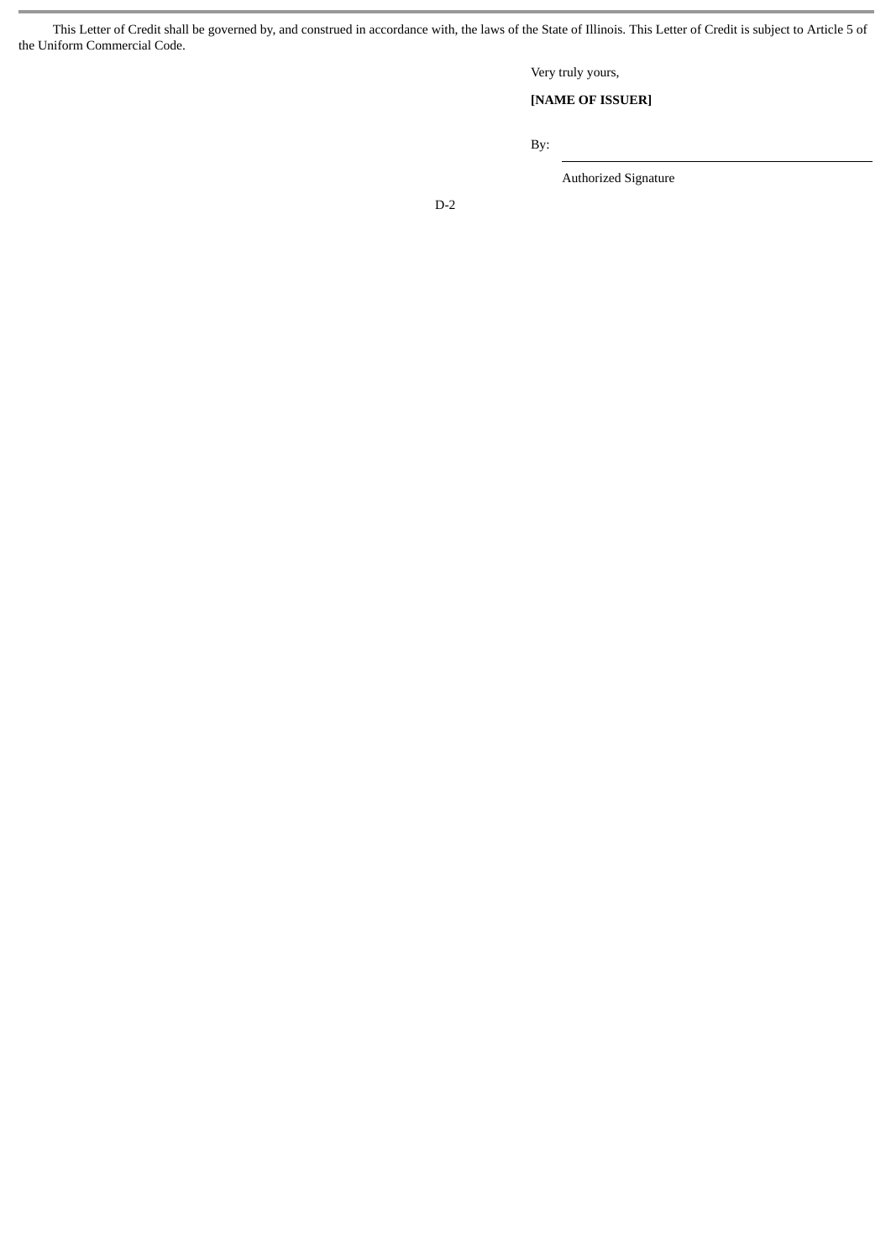This Letter of Credit shall be governed by, and construed in accordance with, the laws of the State of Illinois. This Letter of Credit is subject to Article 5 of the Uniform Commercial Code.

Very truly yours,

# **[NAME OF ISSUER]**

By:

Authorized Signature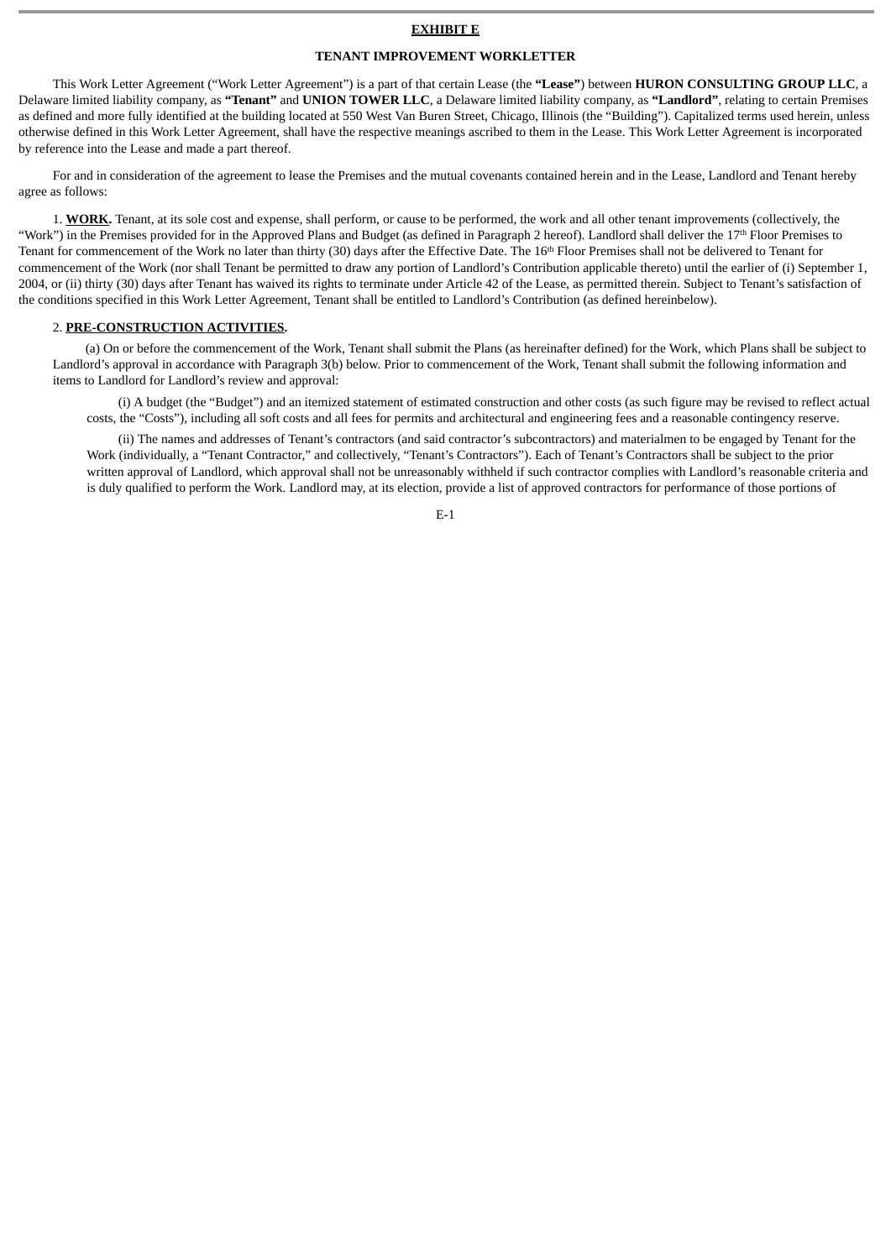#### **EXHIBIT E**

# **TENANT IMPROVEMENT WORKLETTER**

This Work Letter Agreement ("Work Letter Agreement") is a part of that certain Lease (the **"Lease"**) between **HURON CONSULTING GROUP LLC**, a Delaware limited liability company, as **"Tenant"** and **UNION TOWER LLC**, a Delaware limited liability company, as **"Landlord"**, relating to certain Premises as defined and more fully identified at the building located at 550 West Van Buren Street, Chicago, Illinois (the "Building"). Capitalized terms used herein, unless otherwise defined in this Work Letter Agreement, shall have the respective meanings ascribed to them in the Lease. This Work Letter Agreement is incorporated by reference into the Lease and made a part thereof.

For and in consideration of the agreement to lease the Premises and the mutual covenants contained herein and in the Lease, Landlord and Tenant hereby agree as follows:

1. **WORK.** Tenant, at its sole cost and expense, shall perform, or cause to be performed, the work and all other tenant improvements (collectively, the "Work") in the Premises provided for in the Approved Plans and Budget (as defined in Paragraph 2 hereof). Landlord shall deliver the 17<sup>th</sup> Floor Premises to Tenant for commencement of the Work no later than thirty (30) days after the Effective Date. The 16<sup>th</sup> Floor Premises shall not be delivered to Tenant for commencement of the Work (nor shall Tenant be permitted to draw any portion of Landlord's Contribution applicable thereto) until the earlier of (i) September 1, 2004, or (ii) thirty (30) days after Tenant has waived its rights to terminate under Article 42 of the Lease, as permitted therein. Subject to Tenant's satisfaction of the conditions specified in this Work Letter Agreement, Tenant shall be entitled to Landlord's Contribution (as defined hereinbelow).

#### 2. **PRE-CONSTRUCTION ACTIVITIES.**

(a) On or before the commencement of the Work, Tenant shall submit the Plans (as hereinafter defined) for the Work, which Plans shall be subject to Landlord's approval in accordance with Paragraph 3(b) below. Prior to commencement of the Work, Tenant shall submit the following information and items to Landlord for Landlord's review and approval:

(i) A budget (the "Budget") and an itemized statement of estimated construction and other costs (as such figure may be revised to reflect actual costs, the "Costs"), including all soft costs and all fees for permits and architectural and engineering fees and a reasonable contingency reserve.

(ii) The names and addresses of Tenant's contractors (and said contractor's subcontractors) and materialmen to be engaged by Tenant for the Work (individually, a "Tenant Contractor," and collectively, "Tenant's Contractors"). Each of Tenant's Contractors shall be subject to the prior written approval of Landlord, which approval shall not be unreasonably withheld if such contractor complies with Landlord's reasonable criteria and is duly qualified to perform the Work. Landlord may, at its election, provide a list of approved contractors for performance of those portions of

 $F-1$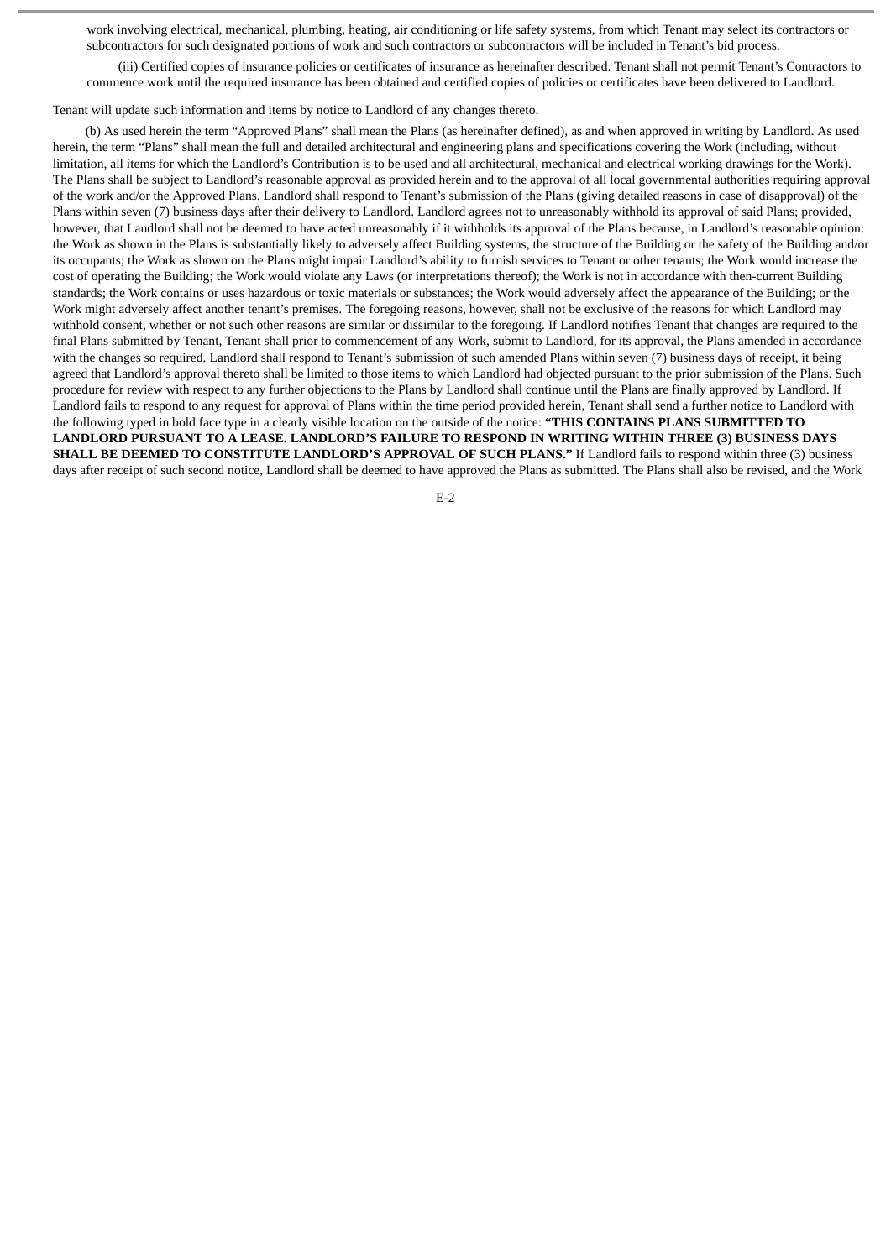work involving electrical, mechanical, plumbing, heating, air conditioning or life safety systems, from which Tenant may select its contractors or subcontractors for such designated portions of work and such contractors or subcontractors will be included in Tenant's bid process.

(iii) Certified copies of insurance policies or certificates of insurance as hereinafter described. Tenant shall not permit Tenant's Contractors to commence work until the required insurance has been obtained and certified copies of policies or certificates have been delivered to Landlord.

Tenant will update such information and items by notice to Landlord of any changes thereto.

(b) As used herein the term "Approved Plans" shall mean the Plans (as hereinafter defined), as and when approved in writing by Landlord. As used herein, the term "Plans" shall mean the full and detailed architectural and engineering plans and specifications covering the Work (including, without limitation, all items for which the Landlord's Contribution is to be used and all architectural, mechanical and electrical working drawings for the Work). The Plans shall be subject to Landlord's reasonable approval as provided herein and to the approval of all local governmental authorities requiring approval of the work and/or the Approved Plans. Landlord shall respond to Tenant's submission of the Plans (giving detailed reasons in case of disapproval) of the Plans within seven (7) business days after their delivery to Landlord. Landlord agrees not to unreasonably withhold its approval of said Plans; provided, however, that Landlord shall not be deemed to have acted unreasonably if it withholds its approval of the Plans because, in Landlord's reasonable opinion: the Work as shown in the Plans is substantially likely to adversely affect Building systems, the structure of the Building or the safety of the Building and/or its occupants; the Work as shown on the Plans might impair Landlord's ability to furnish services to Tenant or other tenants; the Work would increase the cost of operating the Building; the Work would violate any Laws (or interpretations thereof); the Work is not in accordance with then-current Building standards; the Work contains or uses hazardous or toxic materials or substances; the Work would adversely affect the appearance of the Building; or the Work might adversely affect another tenant's premises. The foregoing reasons, however, shall not be exclusive of the reasons for which Landlord may withhold consent, whether or not such other reasons are similar or dissimilar to the foregoing. If Landlord notifies Tenant that changes are required to the final Plans submitted by Tenant, Tenant shall prior to commencement of any Work, submit to Landlord, for its approval, the Plans amended in accordance with the changes so required. Landlord shall respond to Tenant's submission of such amended Plans within seven (7) business days of receipt, it being agreed that Landlord's approval thereto shall be limited to those items to which Landlord had objected pursuant to the prior submission of the Plans. Such procedure for review with respect to any further objections to the Plans by Landlord shall continue until the Plans are finally approved by Landlord. If Landlord fails to respond to any request for approval of Plans within the time period provided herein, Tenant shall send a further notice to Landlord with the following typed in bold face type in a clearly visible location on the outside of the notice: **"THIS CONTAINS PLANS SUBMITTED TO LANDLORD PURSUANT TO A LEASE. LANDLORD'S FAILURE TO RESPOND IN WRITING WITHIN THREE (3) BUSINESS DAYS SHALL BE DEEMED TO CONSTITUTE LANDLORD'S APPROVAL OF SUCH PLANS."** If Landlord fails to respond within three (3) business days after receipt of such second notice, Landlord shall be deemed to have approved the Plans as submitted. The Plans shall also be revised, and the Work

E-2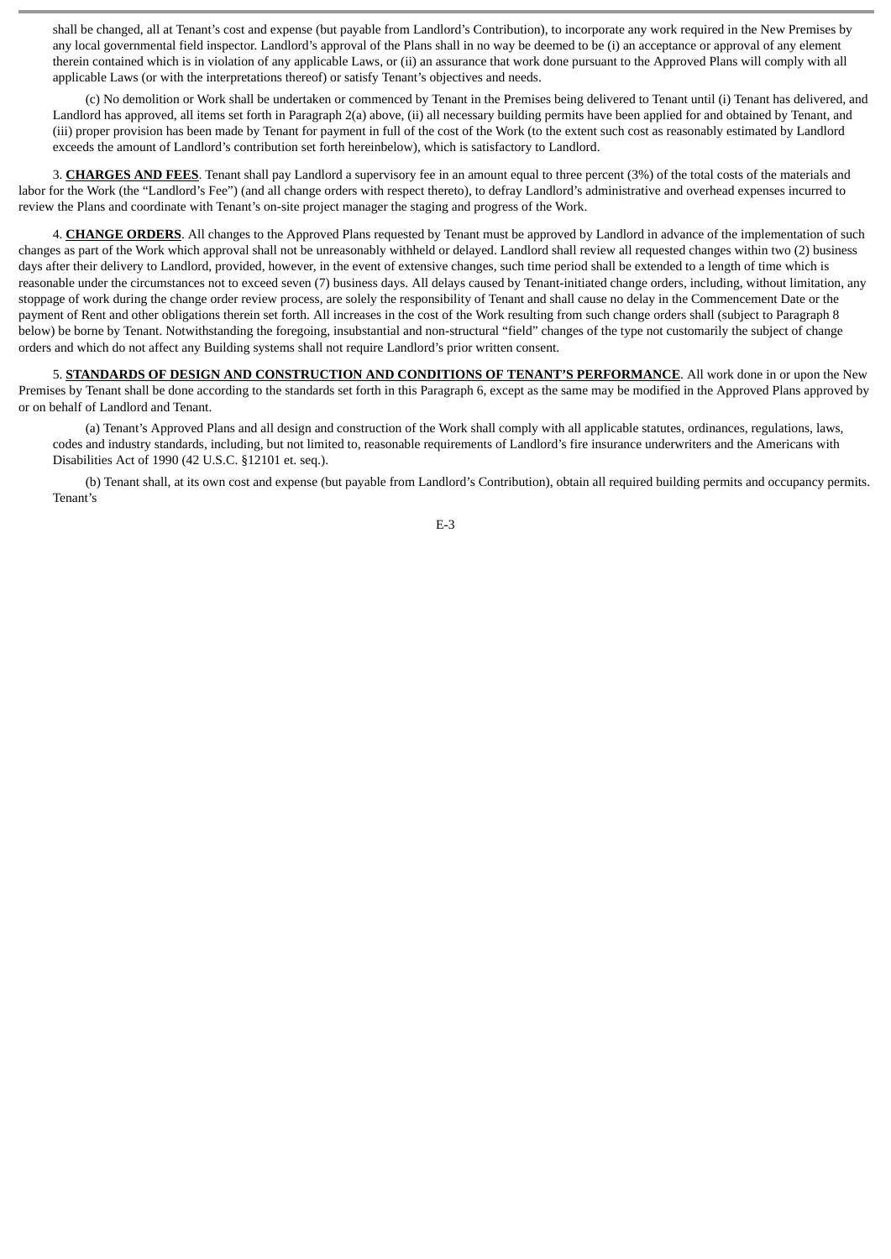shall be changed, all at Tenant's cost and expense (but payable from Landlord's Contribution), to incorporate any work required in the New Premises by any local governmental field inspector. Landlord's approval of the Plans shall in no way be deemed to be (i) an acceptance or approval of any element therein contained which is in violation of any applicable Laws, or (ii) an assurance that work done pursuant to the Approved Plans will comply with all applicable Laws (or with the interpretations thereof) or satisfy Tenant's objectives and needs.

(c) No demolition or Work shall be undertaken or commenced by Tenant in the Premises being delivered to Tenant until (i) Tenant has delivered, and Landlord has approved, all items set forth in Paragraph 2(a) above, (ii) all necessary building permits have been applied for and obtained by Tenant, and (iii) proper provision has been made by Tenant for payment in full of the cost of the Work (to the extent such cost as reasonably estimated by Landlord exceeds the amount of Landlord's contribution set forth hereinbelow), which is satisfactory to Landlord.

3. **CHARGES AND FEES**. Tenant shall pay Landlord a supervisory fee in an amount equal to three percent (3%) of the total costs of the materials and labor for the Work (the "Landlord's Fee") (and all change orders with respect thereto), to defray Landlord's administrative and overhead expenses incurred to review the Plans and coordinate with Tenant's on-site project manager the staging and progress of the Work.

4. **CHANGE ORDERS**. All changes to the Approved Plans requested by Tenant must be approved by Landlord in advance of the implementation of such changes as part of the Work which approval shall not be unreasonably withheld or delayed. Landlord shall review all requested changes within two (2) business days after their delivery to Landlord, provided, however, in the event of extensive changes, such time period shall be extended to a length of time which is reasonable under the circumstances not to exceed seven (7) business days. All delays caused by Tenant-initiated change orders, including, without limitation, any stoppage of work during the change order review process, are solely the responsibility of Tenant and shall cause no delay in the Commencement Date or the payment of Rent and other obligations therein set forth. All increases in the cost of the Work resulting from such change orders shall (subject to Paragraph 8 below) be borne by Tenant. Notwithstanding the foregoing, insubstantial and non-structural "field" changes of the type not customarily the subject of change orders and which do not affect any Building systems shall not require Landlord's prior written consent.

5. **STANDARDS OF DESIGN AND CONSTRUCTION AND CONDITIONS OF TENANT'S PERFORMANCE**. All work done in or upon the New Premises by Tenant shall be done according to the standards set forth in this Paragraph 6, except as the same may be modified in the Approved Plans approved by or on behalf of Landlord and Tenant.

(a) Tenant's Approved Plans and all design and construction of the Work shall comply with all applicable statutes, ordinances, regulations, laws, codes and industry standards, including, but not limited to, reasonable requirements of Landlord's fire insurance underwriters and the Americans with Disabilities Act of 1990 (42 U.S.C. §12101 et. seq.).

(b) Tenant shall, at its own cost and expense (but payable from Landlord's Contribution), obtain all required building permits and occupancy permits. Tenant's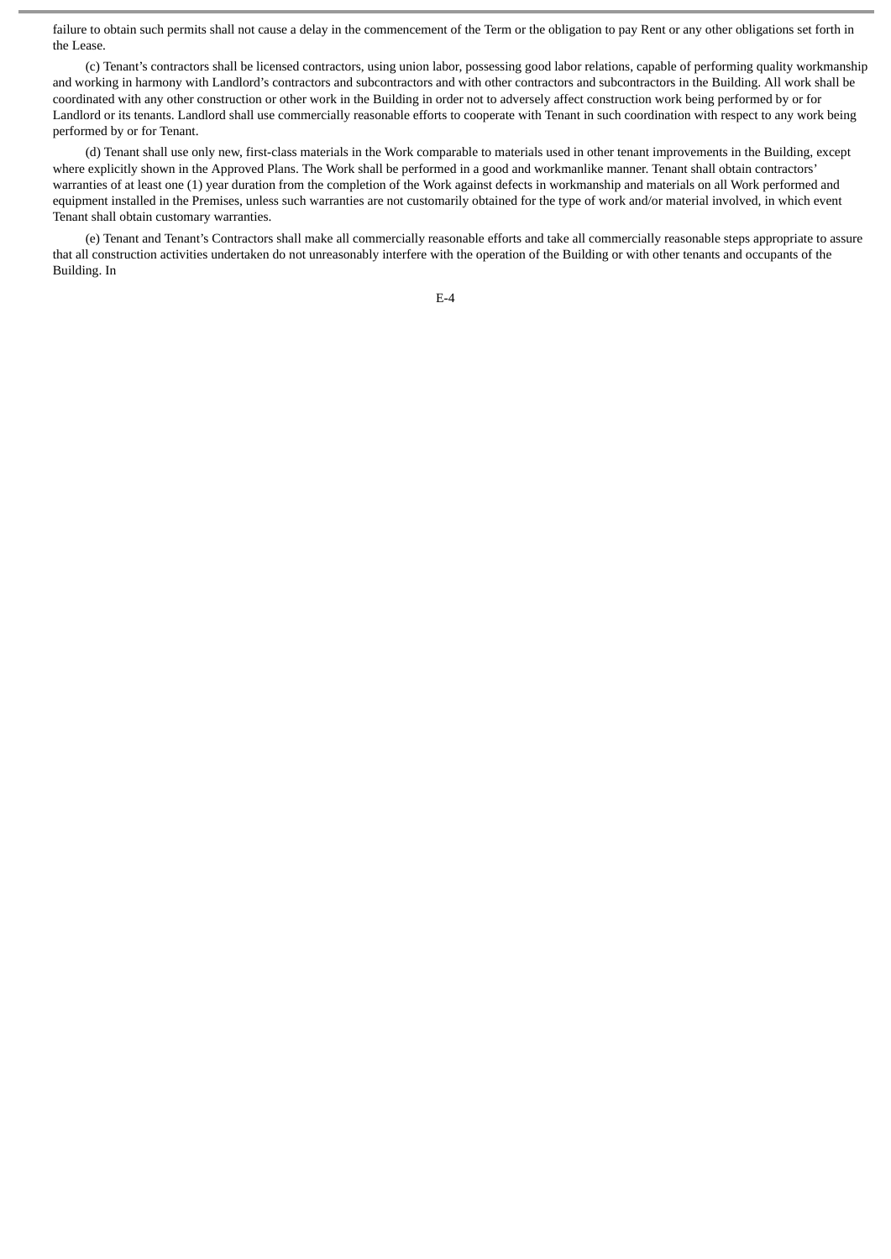failure to obtain such permits shall not cause a delay in the commencement of the Term or the obligation to pay Rent or any other obligations set forth in the Lease.

(c) Tenant's contractors shall be licensed contractors, using union labor, possessing good labor relations, capable of performing quality workmanship and working in harmony with Landlord's contractors and subcontractors and with other contractors and subcontractors in the Building. All work shall be coordinated with any other construction or other work in the Building in order not to adversely affect construction work being performed by or for Landlord or its tenants. Landlord shall use commercially reasonable efforts to cooperate with Tenant in such coordination with respect to any work being performed by or for Tenant.

(d) Tenant shall use only new, first-class materials in the Work comparable to materials used in other tenant improvements in the Building, except where explicitly shown in the Approved Plans. The Work shall be performed in a good and workmanlike manner. Tenant shall obtain contractors' warranties of at least one (1) year duration from the completion of the Work against defects in workmanship and materials on all Work performed and equipment installed in the Premises, unless such warranties are not customarily obtained for the type of work and/or material involved, in which event Tenant shall obtain customary warranties.

(e) Tenant and Tenant's Contractors shall make all commercially reasonable efforts and take all commercially reasonable steps appropriate to assure that all construction activities undertaken do not unreasonably interfere with the operation of the Building or with other tenants and occupants of the Building. In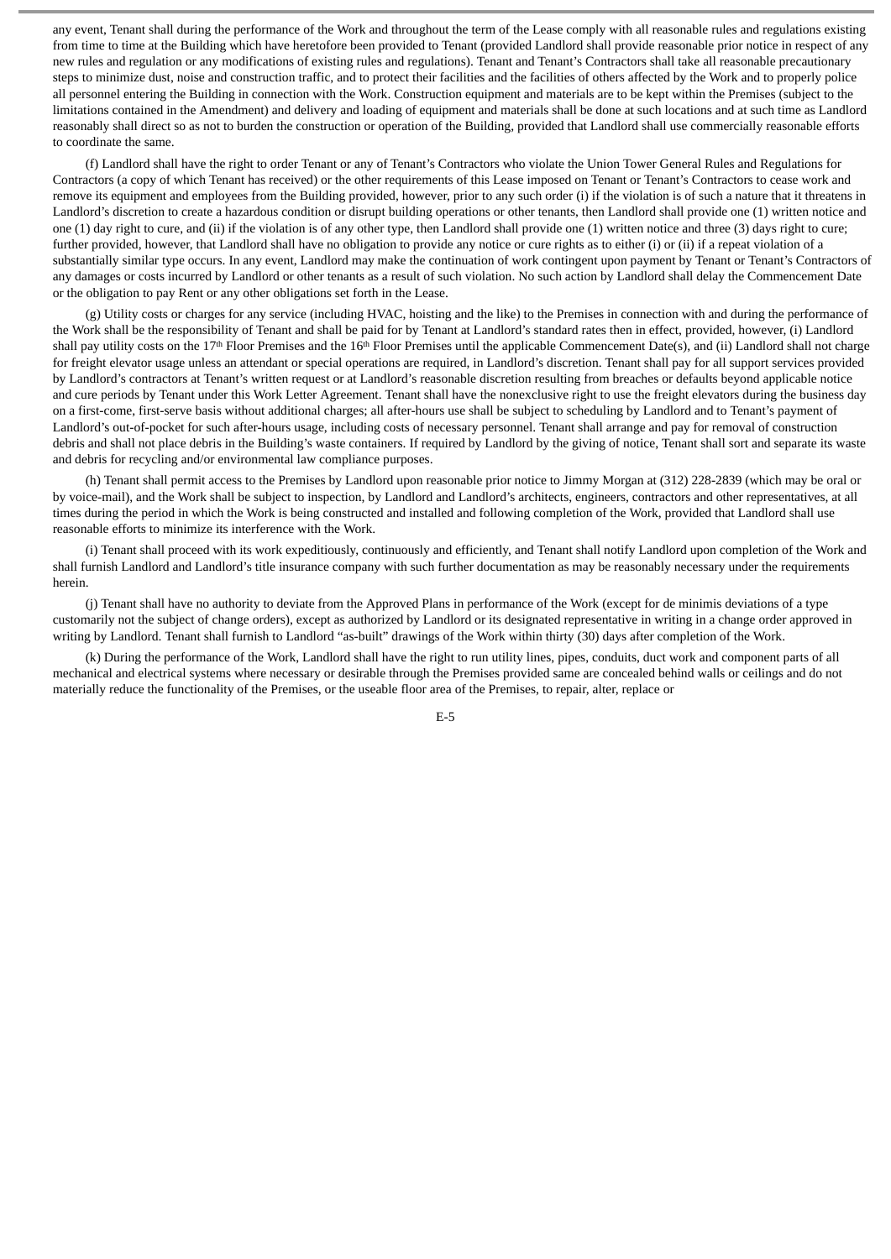any event, Tenant shall during the performance of the Work and throughout the term of the Lease comply with all reasonable rules and regulations existing from time to time at the Building which have heretofore been provided to Tenant (provided Landlord shall provide reasonable prior notice in respect of any new rules and regulation or any modifications of existing rules and regulations). Tenant and Tenant's Contractors shall take all reasonable precautionary steps to minimize dust, noise and construction traffic, and to protect their facilities and the facilities of others affected by the Work and to properly police all personnel entering the Building in connection with the Work. Construction equipment and materials are to be kept within the Premises (subject to the limitations contained in the Amendment) and delivery and loading of equipment and materials shall be done at such locations and at such time as Landlord reasonably shall direct so as not to burden the construction or operation of the Building, provided that Landlord shall use commercially reasonable efforts to coordinate the same.

(f) Landlord shall have the right to order Tenant or any of Tenant's Contractors who violate the Union Tower General Rules and Regulations for Contractors (a copy of which Tenant has received) or the other requirements of this Lease imposed on Tenant or Tenant's Contractors to cease work and remove its equipment and employees from the Building provided, however, prior to any such order (i) if the violation is of such a nature that it threatens in Landlord's discretion to create a hazardous condition or disrupt building operations or other tenants, then Landlord shall provide one (1) written notice and one (1) day right to cure, and (ii) if the violation is of any other type, then Landlord shall provide one (1) written notice and three (3) days right to cure; further provided, however, that Landlord shall have no obligation to provide any notice or cure rights as to either (i) or (ii) if a repeat violation of a substantially similar type occurs. In any event, Landlord may make the continuation of work contingent upon payment by Tenant or Tenant's Contractors of any damages or costs incurred by Landlord or other tenants as a result of such violation. No such action by Landlord shall delay the Commencement Date or the obligation to pay Rent or any other obligations set forth in the Lease.

(g) Utility costs or charges for any service (including HVAC, hoisting and the like) to the Premises in connection with and during the performance of the Work shall be the responsibility of Tenant and shall be paid for by Tenant at Landlord's standard rates then in effect, provided, however, (i) Landlord shall pay utility costs on the 17<sup>th</sup> Floor Premises and the 16<sup>th</sup> Floor Premises until the applicable Commencement Date(s), and (ii) Landlord shall not charge for freight elevator usage unless an attendant or special operations are required, in Landlord's discretion. Tenant shall pay for all support services provided by Landlord's contractors at Tenant's written request or at Landlord's reasonable discretion resulting from breaches or defaults beyond applicable notice and cure periods by Tenant under this Work Letter Agreement. Tenant shall have the nonexclusive right to use the freight elevators during the business day on a first-come, first-serve basis without additional charges; all after-hours use shall be subject to scheduling by Landlord and to Tenant's payment of Landlord's out-of-pocket for such after-hours usage, including costs of necessary personnel. Tenant shall arrange and pay for removal of construction debris and shall not place debris in the Building's waste containers. If required by Landlord by the giving of notice, Tenant shall sort and separate its waste and debris for recycling and/or environmental law compliance purposes.

(h) Tenant shall permit access to the Premises by Landlord upon reasonable prior notice to Jimmy Morgan at (312) 228-2839 (which may be oral or by voice-mail), and the Work shall be subject to inspection, by Landlord and Landlord's architects, engineers, contractors and other representatives, at all times during the period in which the Work is being constructed and installed and following completion of the Work, provided that Landlord shall use reasonable efforts to minimize its interference with the Work.

(i) Tenant shall proceed with its work expeditiously, continuously and efficiently, and Tenant shall notify Landlord upon completion of the Work and shall furnish Landlord and Landlord's title insurance company with such further documentation as may be reasonably necessary under the requirements herein.

(j) Tenant shall have no authority to deviate from the Approved Plans in performance of the Work (except for de minimis deviations of a type customarily not the subject of change orders), except as authorized by Landlord or its designated representative in writing in a change order approved in writing by Landlord. Tenant shall furnish to Landlord "as-built" drawings of the Work within thirty (30) days after completion of the Work.

(k) During the performance of the Work, Landlord shall have the right to run utility lines, pipes, conduits, duct work and component parts of all mechanical and electrical systems where necessary or desirable through the Premises provided same are concealed behind walls or ceilings and do not materially reduce the functionality of the Premises, or the useable floor area of the Premises, to repair, alter, replace or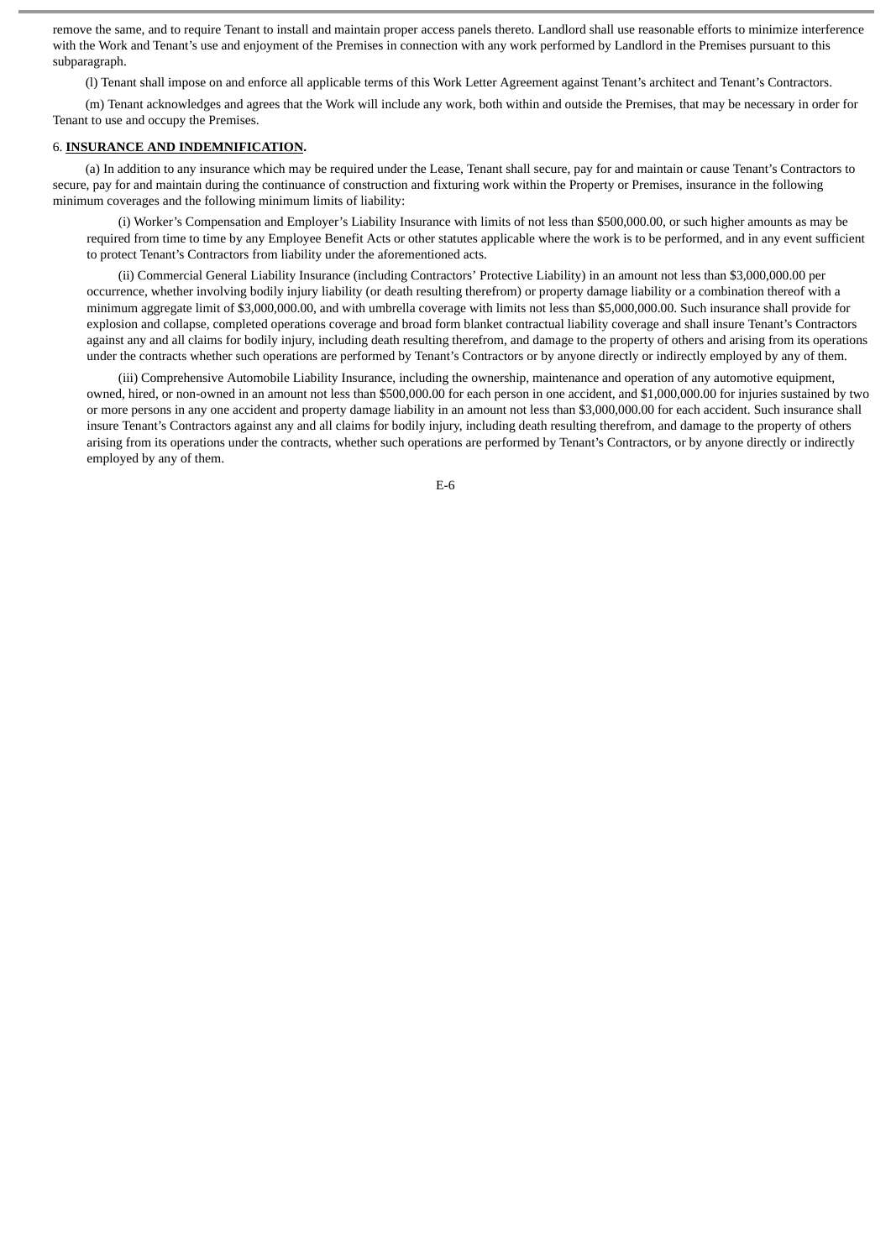remove the same, and to require Tenant to install and maintain proper access panels thereto. Landlord shall use reasonable efforts to minimize interference with the Work and Tenant's use and enjoyment of the Premises in connection with any work performed by Landlord in the Premises pursuant to this subparagraph.

(l) Tenant shall impose on and enforce all applicable terms of this Work Letter Agreement against Tenant's architect and Tenant's Contractors.

(m) Tenant acknowledges and agrees that the Work will include any work, both within and outside the Premises, that may be necessary in order for Tenant to use and occupy the Premises.

## 6. **INSURANCE AND INDEMNIFICATION.**

(a) In addition to any insurance which may be required under the Lease, Tenant shall secure, pay for and maintain or cause Tenant's Contractors to secure, pay for and maintain during the continuance of construction and fixturing work within the Property or Premises, insurance in the following minimum coverages and the following minimum limits of liability:

(i) Worker's Compensation and Employer's Liability Insurance with limits of not less than \$500,000.00, or such higher amounts as may be required from time to time by any Employee Benefit Acts or other statutes applicable where the work is to be performed, and in any event sufficient to protect Tenant's Contractors from liability under the aforementioned acts.

(ii) Commercial General Liability Insurance (including Contractors' Protective Liability) in an amount not less than \$3,000,000.00 per occurrence, whether involving bodily injury liability (or death resulting therefrom) or property damage liability or a combination thereof with a minimum aggregate limit of \$3,000,000.00, and with umbrella coverage with limits not less than \$5,000,000.00. Such insurance shall provide for explosion and collapse, completed operations coverage and broad form blanket contractual liability coverage and shall insure Tenant's Contractors against any and all claims for bodily injury, including death resulting therefrom, and damage to the property of others and arising from its operations under the contracts whether such operations are performed by Tenant's Contractors or by anyone directly or indirectly employed by any of them.

(iii) Comprehensive Automobile Liability Insurance, including the ownership, maintenance and operation of any automotive equipment, owned, hired, or non-owned in an amount not less than \$500,000.00 for each person in one accident, and \$1,000,000.00 for injuries sustained by two or more persons in any one accident and property damage liability in an amount not less than \$3,000,000.00 for each accident. Such insurance shall insure Tenant's Contractors against any and all claims for bodily injury, including death resulting therefrom, and damage to the property of others arising from its operations under the contracts, whether such operations are performed by Tenant's Contractors, or by anyone directly or indirectly employed by any of them.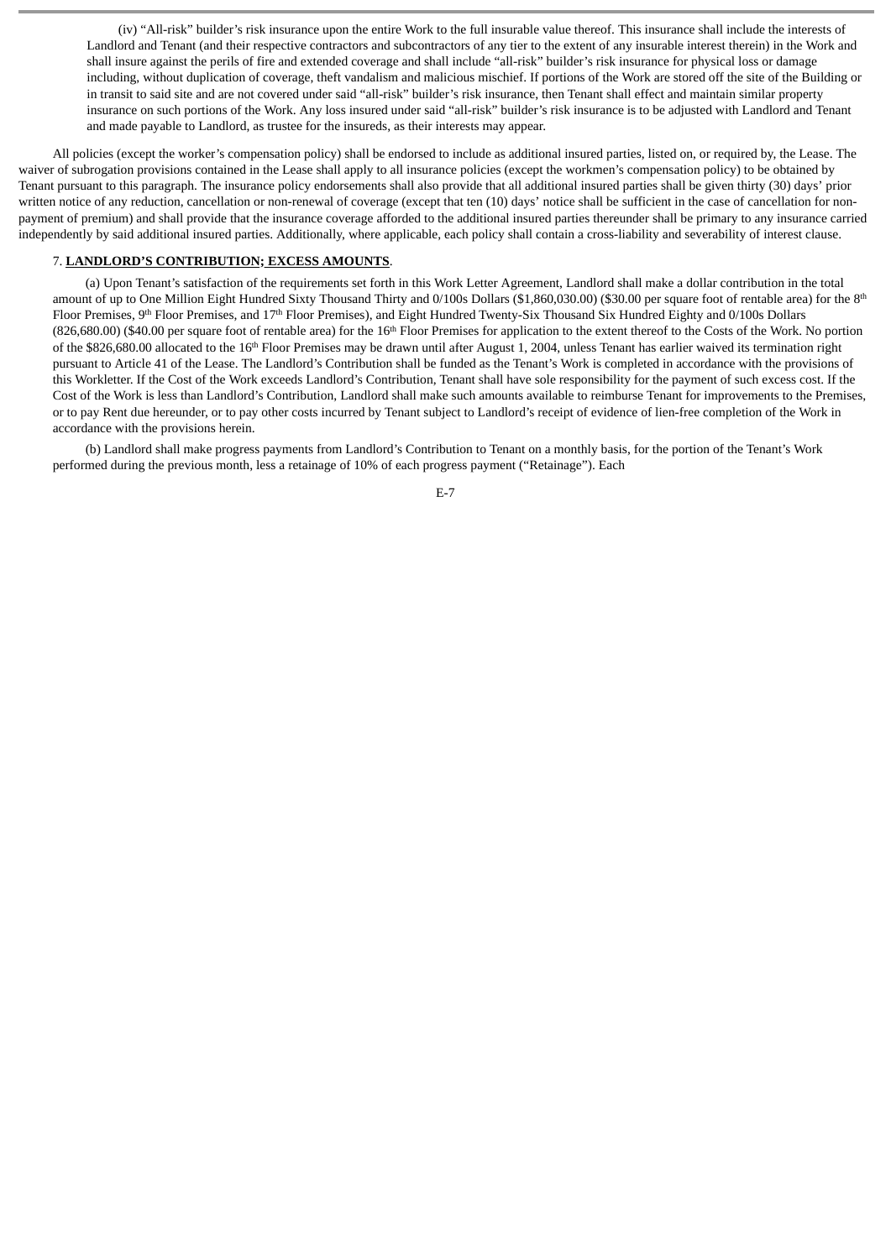(iv) "All-risk" builder's risk insurance upon the entire Work to the full insurable value thereof. This insurance shall include the interests of Landlord and Tenant (and their respective contractors and subcontractors of any tier to the extent of any insurable interest therein) in the Work and shall insure against the perils of fire and extended coverage and shall include "all-risk" builder's risk insurance for physical loss or damage including, without duplication of coverage, theft vandalism and malicious mischief. If portions of the Work are stored off the site of the Building or in transit to said site and are not covered under said "all-risk" builder's risk insurance, then Tenant shall effect and maintain similar property insurance on such portions of the Work. Any loss insured under said "all-risk" builder's risk insurance is to be adjusted with Landlord and Tenant and made payable to Landlord, as trustee for the insureds, as their interests may appear.

All policies (except the worker's compensation policy) shall be endorsed to include as additional insured parties, listed on, or required by, the Lease. The waiver of subrogation provisions contained in the Lease shall apply to all insurance policies (except the workmen's compensation policy) to be obtained by Tenant pursuant to this paragraph. The insurance policy endorsements shall also provide that all additional insured parties shall be given thirty (30) days' prior written notice of any reduction, cancellation or non-renewal of coverage (except that ten (10) days' notice shall be sufficient in the case of cancellation for nonpayment of premium) and shall provide that the insurance coverage afforded to the additional insured parties thereunder shall be primary to any insurance carried independently by said additional insured parties. Additionally, where applicable, each policy shall contain a cross-liability and severability of interest clause.

## 7. **LANDLORD'S CONTRIBUTION; EXCESS AMOUNTS**.

(a) Upon Tenant's satisfaction of the requirements set forth in this Work Letter Agreement, Landlord shall make a dollar contribution in the total amount of up to One Million Eight Hundred Sixty Thousand Thirty and 0/100s Dollars (\$1,860,030.00) (\$30.00 per square foot of rentable area) for the  $8<sup>th</sup>$ Floor Premises, 9<sup>th</sup> Floor Premises, and 17<sup>th</sup> Floor Premises), and Eight Hundred Twenty-Six Thousand Six Hundred Eighty and 0/100s Dollars (826,680.00) (\$40.00 per square foot of rentable area) for the 16<sup>th</sup> Floor Premises for application to the extent thereof to the Costs of the Work. No portion of the \$826,680.00 allocated to the 16<sup>th</sup> Floor Premises may be drawn until after August 1, 2004, unless Tenant has earlier waived its termination right pursuant to Article 41 of the Lease. The Landlord's Contribution shall be funded as the Tenant's Work is completed in accordance with the provisions of this Workletter. If the Cost of the Work exceeds Landlord's Contribution, Tenant shall have sole responsibility for the payment of such excess cost. If the Cost of the Work is less than Landlord's Contribution, Landlord shall make such amounts available to reimburse Tenant for improvements to the Premises, or to pay Rent due hereunder, or to pay other costs incurred by Tenant subject to Landlord's receipt of evidence of lien-free completion of the Work in accordance with the provisions herein.

(b) Landlord shall make progress payments from Landlord's Contribution to Tenant on a monthly basis, for the portion of the Tenant's Work performed during the previous month, less a retainage of 10% of each progress payment ("Retainage"). Each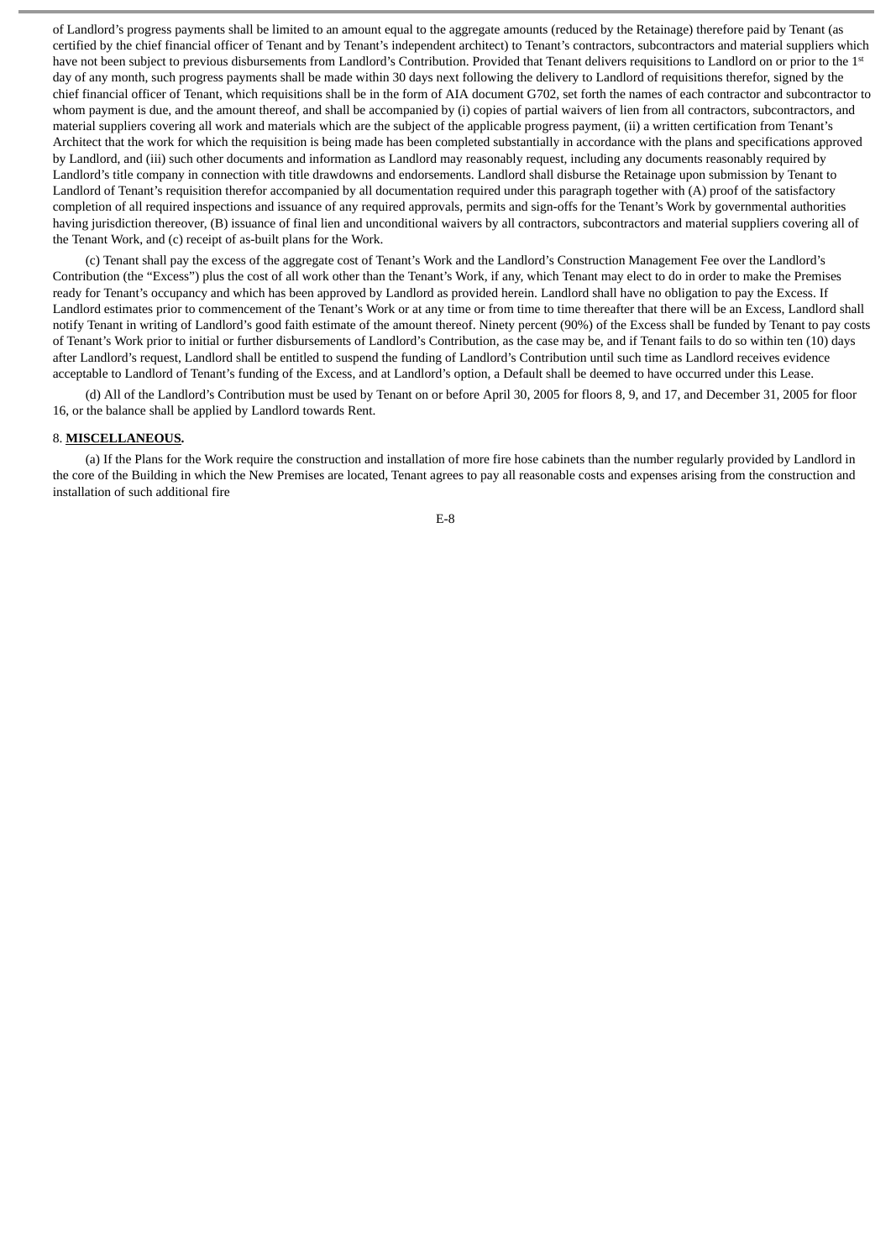of Landlord's progress payments shall be limited to an amount equal to the aggregate amounts (reduced by the Retainage) therefore paid by Tenant (as certified by the chief financial officer of Tenant and by Tenant's independent architect) to Tenant's contractors, subcontractors and material suppliers which have not been subject to previous disbursements from Landlord's Contribution. Provided that Tenant delivers requisitions to Landlord on or prior to the 1<sup>st</sup> day of any month, such progress payments shall be made within 30 days next following the delivery to Landlord of requisitions therefor, signed by the chief financial officer of Tenant, which requisitions shall be in the form of AIA document G702, set forth the names of each contractor and subcontractor to whom payment is due, and the amount thereof, and shall be accompanied by (i) copies of partial waivers of lien from all contractors, subcontractors, and material suppliers covering all work and materials which are the subject of the applicable progress payment, (ii) a written certification from Tenant's Architect that the work for which the requisition is being made has been completed substantially in accordance with the plans and specifications approved by Landlord, and (iii) such other documents and information as Landlord may reasonably request, including any documents reasonably required by Landlord's title company in connection with title drawdowns and endorsements. Landlord shall disburse the Retainage upon submission by Tenant to Landlord of Tenant's requisition therefor accompanied by all documentation required under this paragraph together with (A) proof of the satisfactory completion of all required inspections and issuance of any required approvals, permits and sign-offs for the Tenant's Work by governmental authorities having jurisdiction thereover, (B) issuance of final lien and unconditional waivers by all contractors, subcontractors and material suppliers covering all of the Tenant Work, and (c) receipt of as-built plans for the Work.

(c) Tenant shall pay the excess of the aggregate cost of Tenant's Work and the Landlord's Construction Management Fee over the Landlord's Contribution (the "Excess") plus the cost of all work other than the Tenant's Work, if any, which Tenant may elect to do in order to make the Premises ready for Tenant's occupancy and which has been approved by Landlord as provided herein. Landlord shall have no obligation to pay the Excess. If Landlord estimates prior to commencement of the Tenant's Work or at any time or from time to time thereafter that there will be an Excess, Landlord shall notify Tenant in writing of Landlord's good faith estimate of the amount thereof. Ninety percent (90%) of the Excess shall be funded by Tenant to pay costs of Tenant's Work prior to initial or further disbursements of Landlord's Contribution, as the case may be, and if Tenant fails to do so within ten (10) days after Landlord's request, Landlord shall be entitled to suspend the funding of Landlord's Contribution until such time as Landlord receives evidence acceptable to Landlord of Tenant's funding of the Excess, and at Landlord's option, a Default shall be deemed to have occurred under this Lease.

(d) All of the Landlord's Contribution must be used by Tenant on or before April 30, 2005 for floors 8, 9, and 17, and December 31, 2005 for floor 16, or the balance shall be applied by Landlord towards Rent.

#### 8. **MISCELLANEOUS.**

(a) If the Plans for the Work require the construction and installation of more fire hose cabinets than the number regularly provided by Landlord in the core of the Building in which the New Premises are located, Tenant agrees to pay all reasonable costs and expenses arising from the construction and installation of such additional fire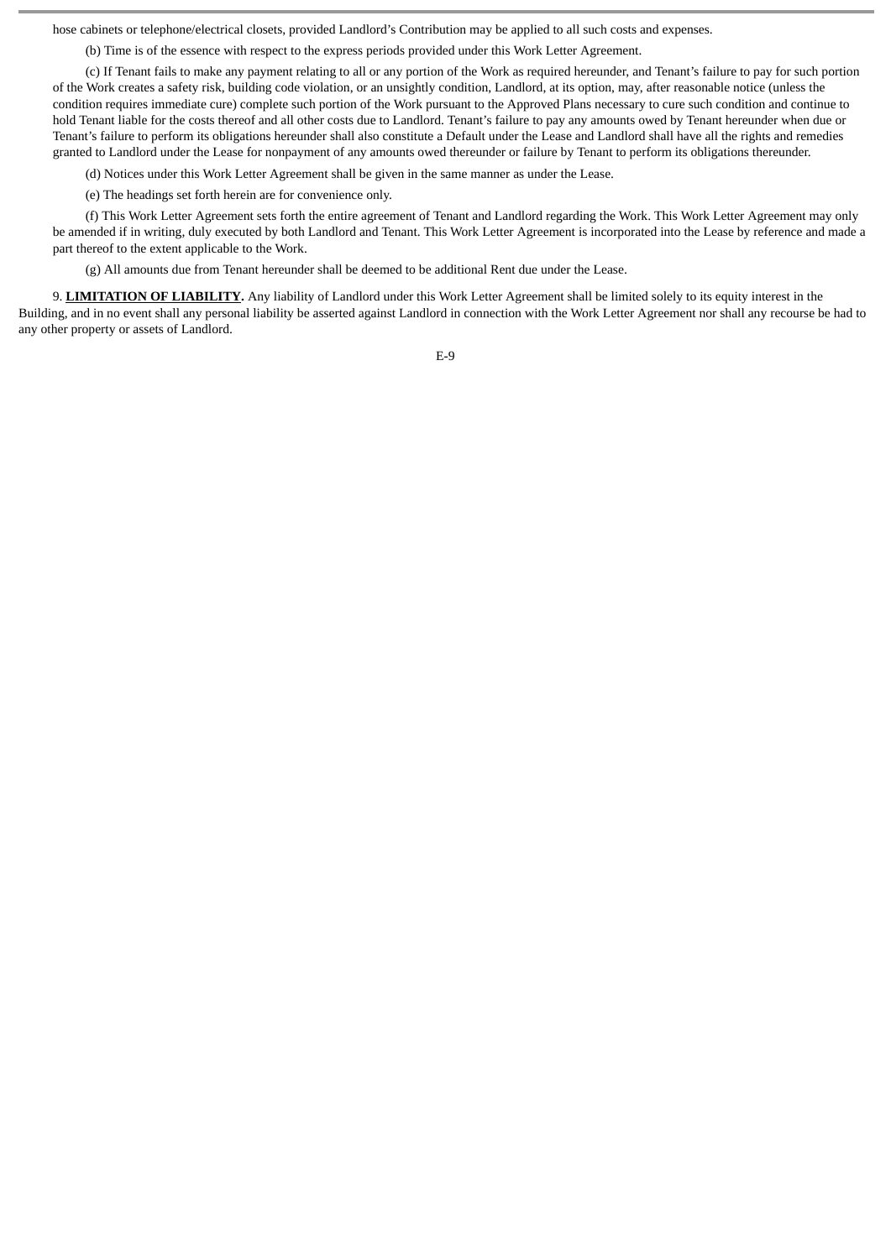hose cabinets or telephone/electrical closets, provided Landlord's Contribution may be applied to all such costs and expenses.

(b) Time is of the essence with respect to the express periods provided under this Work Letter Agreement.

(c) If Tenant fails to make any payment relating to all or any portion of the Work as required hereunder, and Tenant's failure to pay for such portion of the Work creates a safety risk, building code violation, or an unsightly condition, Landlord, at its option, may, after reasonable notice (unless the condition requires immediate cure) complete such portion of the Work pursuant to the Approved Plans necessary to cure such condition and continue to hold Tenant liable for the costs thereof and all other costs due to Landlord. Tenant's failure to pay any amounts owed by Tenant hereunder when due or Tenant's failure to perform its obligations hereunder shall also constitute a Default under the Lease and Landlord shall have all the rights and remedies granted to Landlord under the Lease for nonpayment of any amounts owed thereunder or failure by Tenant to perform its obligations thereunder.

(d) Notices under this Work Letter Agreement shall be given in the same manner as under the Lease.

(e) The headings set forth herein are for convenience only.

(f) This Work Letter Agreement sets forth the entire agreement of Tenant and Landlord regarding the Work. This Work Letter Agreement may only be amended if in writing, duly executed by both Landlord and Tenant. This Work Letter Agreement is incorporated into the Lease by reference and made a part thereof to the extent applicable to the Work.

(g) All amounts due from Tenant hereunder shall be deemed to be additional Rent due under the Lease.

9. **LIMITATION OF LIABILITY.** Any liability of Landlord under this Work Letter Agreement shall be limited solely to its equity interest in the Building, and in no event shall any personal liability be asserted against Landlord in connection with the Work Letter Agreement nor shall any recourse be had to any other property or assets of Landlord.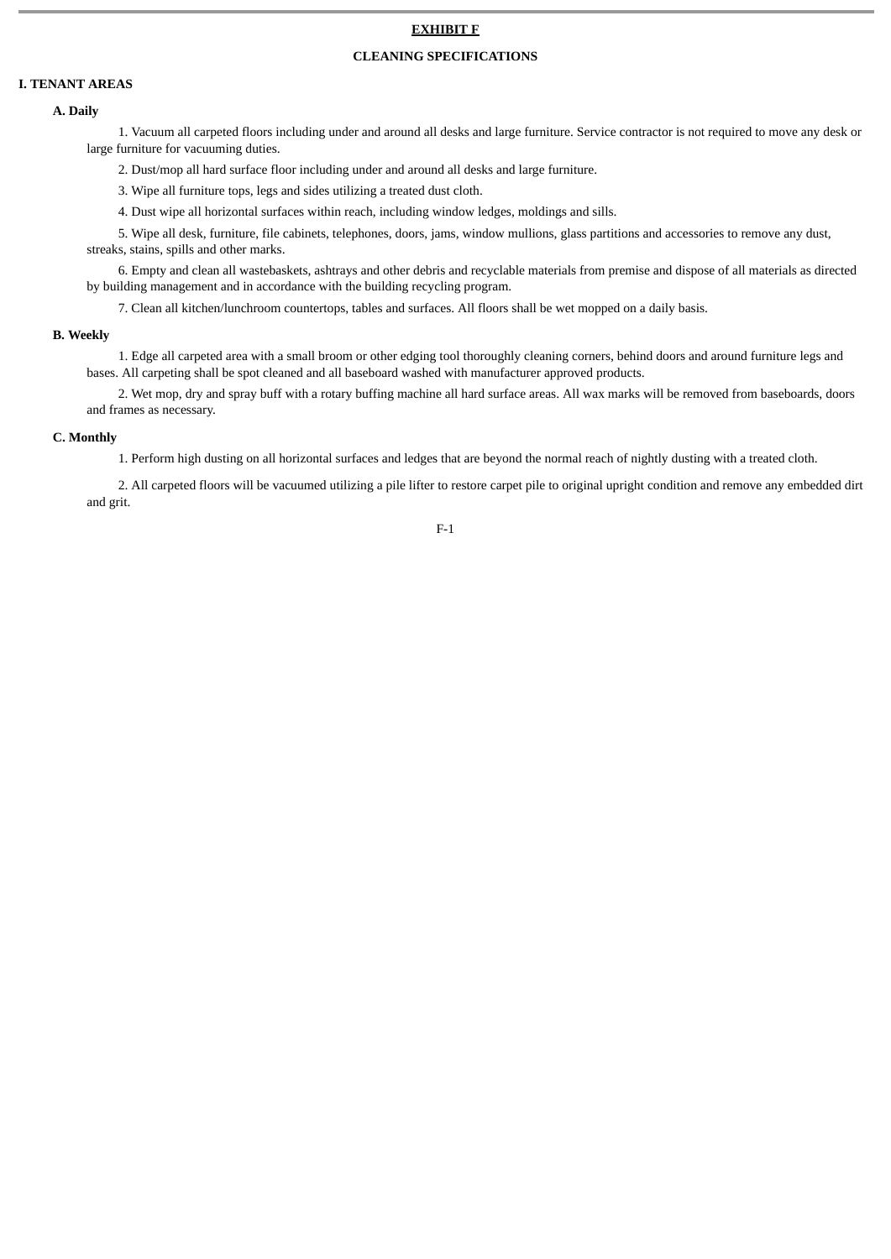# **EXHIBIT F**

# **CLEANING SPECIFICATIONS**

## **I. TENANT AREAS**

#### **A. Daily**

1. Vacuum all carpeted floors including under and around all desks and large furniture. Service contractor is not required to move any desk or large furniture for vacuuming duties.

2. Dust/mop all hard surface floor including under and around all desks and large furniture.

3. Wipe all furniture tops, legs and sides utilizing a treated dust cloth.

4. Dust wipe all horizontal surfaces within reach, including window ledges, moldings and sills.

5. Wipe all desk, furniture, file cabinets, telephones, doors, jams, window mullions, glass partitions and accessories to remove any dust, streaks, stains, spills and other marks.

6. Empty and clean all wastebaskets, ashtrays and other debris and recyclable materials from premise and dispose of all materials as directed by building management and in accordance with the building recycling program.

7. Clean all kitchen/lunchroom countertops, tables and surfaces. All floors shall be wet mopped on a daily basis.

#### **B. Weekly**

1. Edge all carpeted area with a small broom or other edging tool thoroughly cleaning corners, behind doors and around furniture legs and bases. All carpeting shall be spot cleaned and all baseboard washed with manufacturer approved products.

2. Wet mop, dry and spray buff with a rotary buffing machine all hard surface areas. All wax marks will be removed from baseboards, doors and frames as necessary.

### **C. Monthly**

1. Perform high dusting on all horizontal surfaces and ledges that are beyond the normal reach of nightly dusting with a treated cloth.

2. All carpeted floors will be vacuumed utilizing a pile lifter to restore carpet pile to original upright condition and remove any embedded dirt and grit.

F-1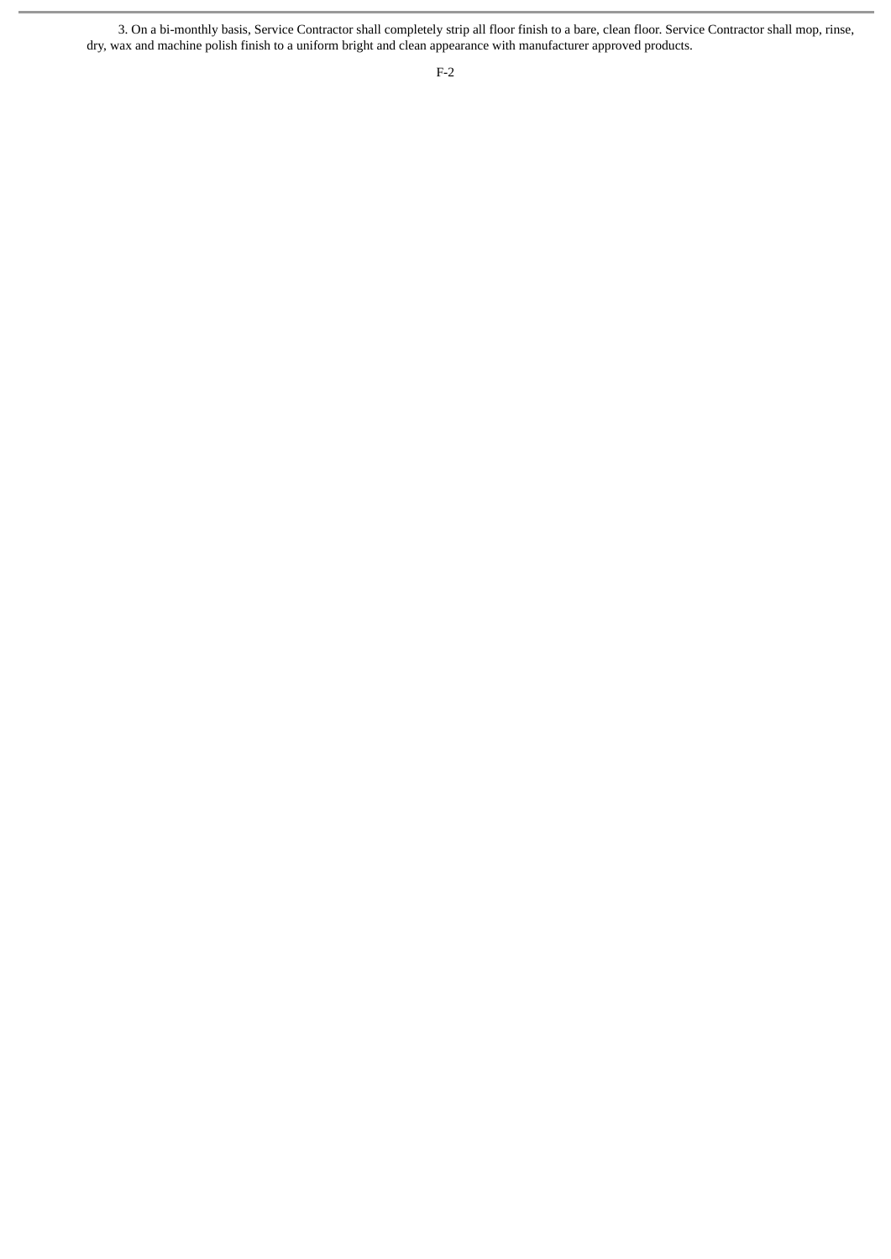3. On a bi-monthly basis, Service Contractor shall completely strip all floor finish to a bare, clean floor. Service Contractor shall mop, rinse, dry, wax and machine polish finish to a uniform bright and clean appearance with manufacturer approved products.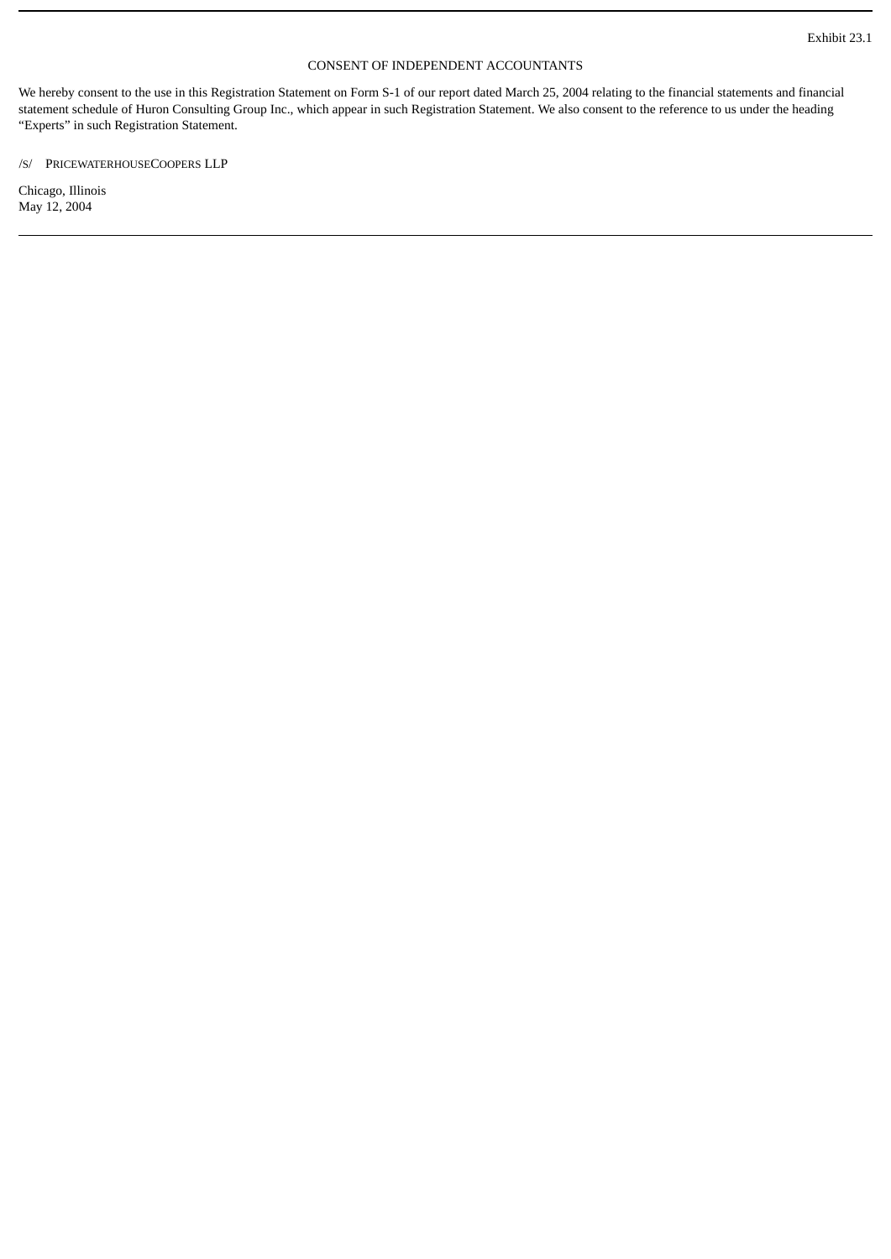# CONSENT OF INDEPENDENT ACCOUNTANTS

We hereby consent to the use in this Registration Statement on Form S-1 of our report dated March 25, 2004 relating to the financial statements and financial statement schedule of Huron Consulting Group Inc., which appear in such Registration Statement. We also consent to the reference to us under the heading "Experts" in such Registration Statement.

/S/ PRICEWATERHOUSECOOPERS LLP

Chicago, Illinois May 12, 2004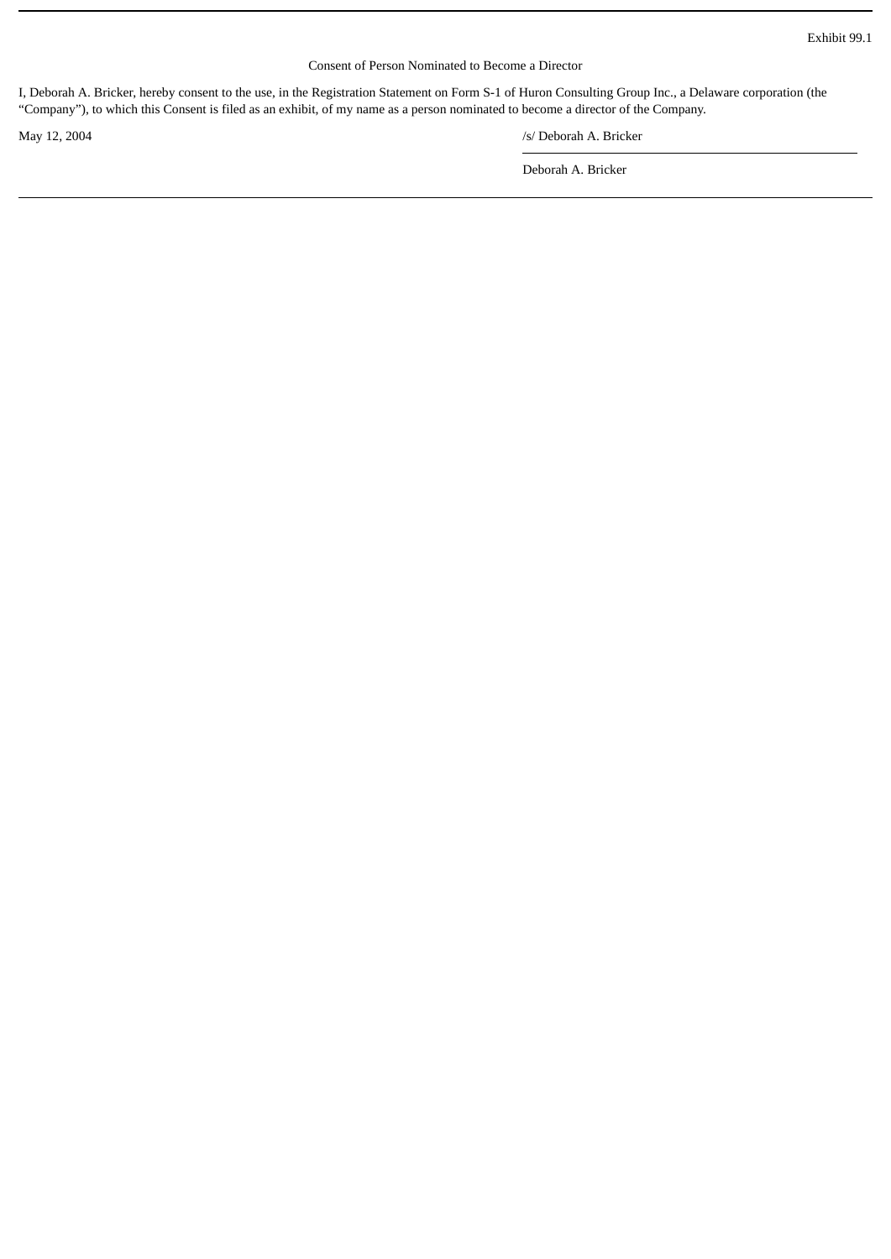### Consent of Person Nominated to Become a Director

I, Deborah A. Bricker, hereby consent to the use, in the Registration Statement on Form S-1 of Huron Consulting Group Inc., a Delaware corporation (the "Company"), to which this Consent is filed as an exhibit, of my name as a person nominated to become a director of the Company.

May 12, 2004 /s/ Deborah A. Bricker

Deborah A. Bricker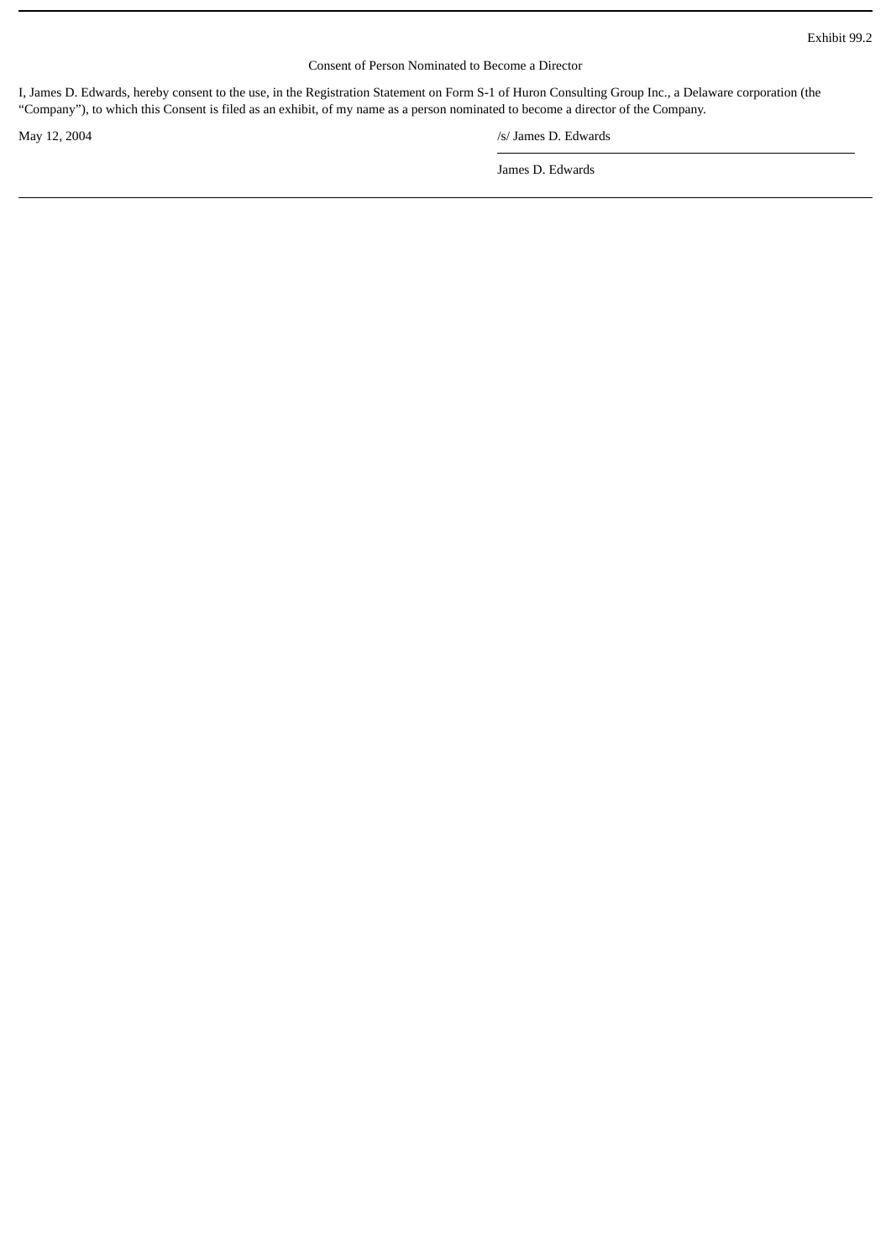### Consent of Person Nominated to Become a Director

I, James D. Edwards, hereby consent to the use, in the Registration Statement on Form S-1 of Huron Consulting Group Inc., a Delaware corporation (the "Company"), to which this Consent is filed as an exhibit, of my name as a person nominated to become a director of the Company.

May 12, 2004 /s/ James D. Edwards

James D. Edwards